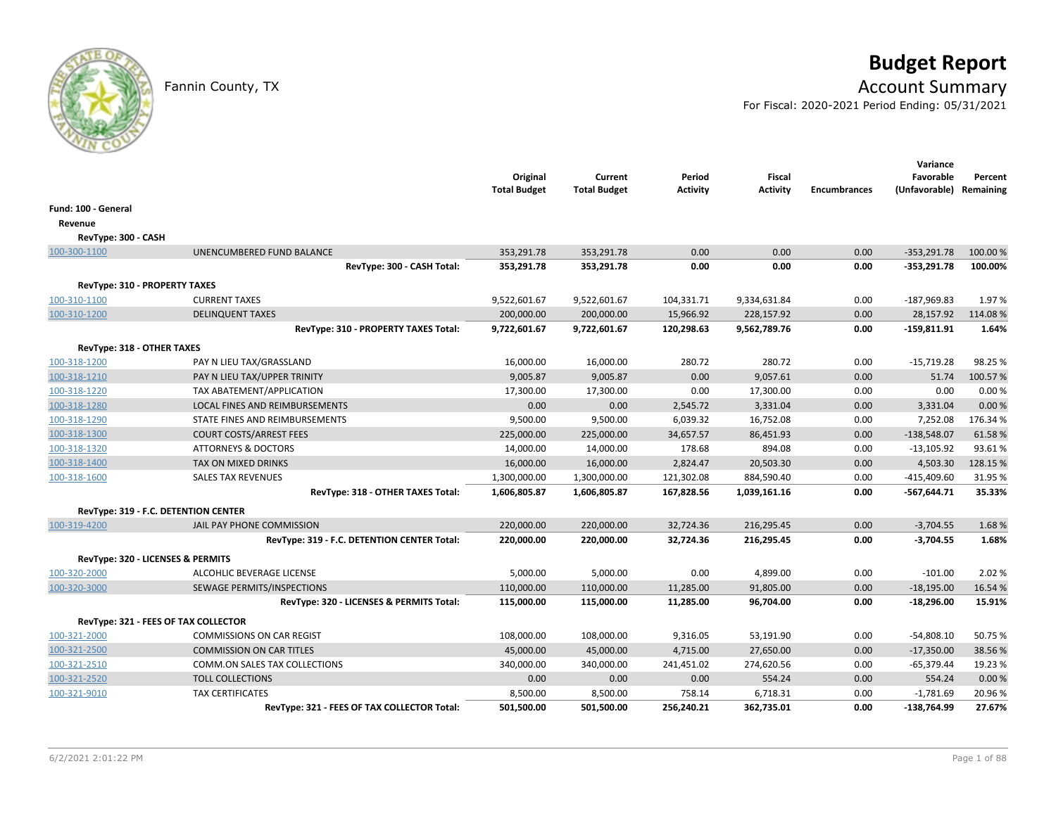# **Budget Report**

## Fannin County, TX **Account Summary**

For Fiscal: 2020-2021 Period Ending: 05/31/2021

|                               |                                             | Original<br><b>Total Budget</b> | Current<br><b>Total Budget</b> | Period<br><b>Activity</b> | <b>Fiscal</b><br><b>Activity</b> | <b>Encumbrances</b> | Variance<br>Favorable<br>(Unfavorable) Remaining | Percent  |
|-------------------------------|---------------------------------------------|---------------------------------|--------------------------------|---------------------------|----------------------------------|---------------------|--------------------------------------------------|----------|
| Fund: 100 - General           |                                             |                                 |                                |                           |                                  |                     |                                                  |          |
| Revenue                       |                                             |                                 |                                |                           |                                  |                     |                                                  |          |
| RevType: 300 - CASH           |                                             |                                 |                                |                           |                                  |                     |                                                  |          |
| 100-300-1100                  | UNENCUMBERED FUND BALANCE                   | 353,291.78                      | 353,291.78                     | 0.00                      | 0.00                             | 0.00                | $-353,291.78$                                    | 100.00 % |
|                               | RevType: 300 - CASH Total:                  | 353,291.78                      | 353,291.78                     | 0.00                      | 0.00                             | 0.00                | $-353,291.78$                                    | 100.00%  |
| RevType: 310 - PROPERTY TAXES |                                             |                                 |                                |                           |                                  |                     |                                                  |          |
| 100-310-1100                  | <b>CURRENT TAXES</b>                        | 9,522,601.67                    | 9,522,601.67                   | 104,331.71                | 9,334,631.84                     | 0.00                | $-187,969.83$                                    | 1.97%    |
| 100-310-1200                  | <b>DELINQUENT TAXES</b>                     | 200,000.00                      | 200,000.00                     | 15,966.92                 | 228,157.92                       | 0.00                | 28,157.92                                        | 114.08%  |
|                               | RevType: 310 - PROPERTY TAXES Total:        | 9,722,601.67                    | 9,722,601.67                   | 120,298.63                | 9,562,789.76                     | 0.00                | $-159,811.91$                                    | 1.64%    |
| RevType: 318 - OTHER TAXES    |                                             |                                 |                                |                           |                                  |                     |                                                  |          |
| 100-318-1200                  | PAY N LIEU TAX/GRASSLAND                    | 16,000.00                       | 16,000.00                      | 280.72                    | 280.72                           | 0.00                | $-15,719.28$                                     | 98.25 %  |
| 100-318-1210                  | PAY N LIEU TAX/UPPER TRINITY                | 9,005.87                        | 9,005.87                       | 0.00                      | 9,057.61                         | 0.00                | 51.74                                            | 100.57%  |
| 100-318-1220                  | TAX ABATEMENT/APPLICATION                   | 17,300.00                       | 17,300.00                      | 0.00                      | 17,300.00                        | 0.00                | 0.00                                             | 0.00%    |
| 100-318-1280                  | LOCAL FINES AND REIMBURSEMENTS              | 0.00                            | 0.00                           | 2,545.72                  | 3,331.04                         | 0.00                | 3,331.04                                         | 0.00%    |
| 100-318-1290                  | STATE FINES AND REIMBURSEMENTS              | 9,500.00                        | 9,500.00                       | 6,039.32                  | 16,752.08                        | 0.00                | 7,252.08                                         | 176.34%  |
| 100-318-1300                  | <b>COURT COSTS/ARREST FEES</b>              | 225,000.00                      | 225,000.00                     | 34,657.57                 | 86,451.93                        | 0.00                | $-138,548.07$                                    | 61.58%   |
| 100-318-1320                  | <b>ATTORNEYS &amp; DOCTORS</b>              | 14,000.00                       | 14,000.00                      | 178.68                    | 894.08                           | 0.00                | $-13,105.92$                                     | 93.61%   |
| 100-318-1400                  | TAX ON MIXED DRINKS                         | 16,000.00                       | 16,000.00                      | 2,824.47                  | 20,503.30                        | 0.00                | 4,503.30                                         | 128.15 % |
| 100-318-1600                  | <b>SALES TAX REVENUES</b>                   | 1,300,000.00                    | 1,300,000.00                   | 121,302.08                | 884,590.40                       | 0.00                | $-415,409.60$                                    | 31.95%   |
|                               | RevType: 318 - OTHER TAXES Total:           | 1,606,805.87                    | 1,606,805.87                   | 167,828.56                | 1,039,161.16                     | 0.00                | $-567,644.71$                                    | 35.33%   |
|                               | RevType: 319 - F.C. DETENTION CENTER        |                                 |                                |                           |                                  |                     |                                                  |          |
| 100-319-4200                  | JAIL PAY PHONE COMMISSION                   | 220,000.00                      | 220,000.00                     | 32,724.36                 | 216,295.45                       | 0.00                | $-3,704.55$                                      | 1.68%    |
|                               | RevType: 319 - F.C. DETENTION CENTER Total: | 220,000.00                      | 220,000.00                     | 32,724.36                 | 216,295.45                       | 0.00                | $-3,704.55$                                      | 1.68%    |
|                               | RevType: 320 - LICENSES & PERMITS           |                                 |                                |                           |                                  |                     |                                                  |          |
| 100-320-2000                  | ALCOHLIC BEVERAGE LICENSE                   | 5,000.00                        | 5,000.00                       | 0.00                      | 4,899.00                         | 0.00                | $-101.00$                                        | 2.02 %   |
| 100-320-3000                  | SEWAGE PERMITS/INSPECTIONS                  | 110,000.00                      | 110,000.00                     | 11,285.00                 | 91,805.00                        | 0.00                | $-18,195.00$                                     | 16.54 %  |
|                               | RevType: 320 - LICENSES & PERMITS Total:    | 115,000.00                      | 115,000.00                     | 11,285.00                 | 96,704.00                        | 0.00                | $-18,296.00$                                     | 15.91%   |
|                               | RevType: 321 - FEES OF TAX COLLECTOR        |                                 |                                |                           |                                  |                     |                                                  |          |
| 100-321-2000                  | <b>COMMISSIONS ON CAR REGIST</b>            | 108,000.00                      | 108,000.00                     | 9,316.05                  | 53,191.90                        | 0.00                | $-54,808.10$                                     | 50.75 %  |
| 100-321-2500                  | <b>COMMISSION ON CAR TITLES</b>             | 45,000.00                       | 45,000.00                      | 4,715.00                  | 27,650.00                        | 0.00                | $-17,350.00$                                     | 38.56%   |
| 100-321-2510                  | COMM.ON SALES TAX COLLECTIONS               | 340,000.00                      | 340,000.00                     | 241,451.02                | 274,620.56                       | 0.00                | $-65,379.44$                                     | 19.23 %  |
| 100-321-2520                  | <b>TOLL COLLECTIONS</b>                     | 0.00                            | 0.00                           | 0.00                      | 554.24                           | 0.00                | 554.24                                           | 0.00%    |
| 100-321-9010                  | <b>TAX CERTIFICATES</b>                     | 8,500.00                        | 8,500.00                       | 758.14                    | 6,718.31                         | 0.00                | $-1,781.69$                                      | 20.96%   |
|                               | RevType: 321 - FEES OF TAX COLLECTOR Total: | 501,500.00                      | 501,500.00                     | 256,240.21                | 362,735.01                       | 0.00                | -138,764.99                                      | 27.67%   |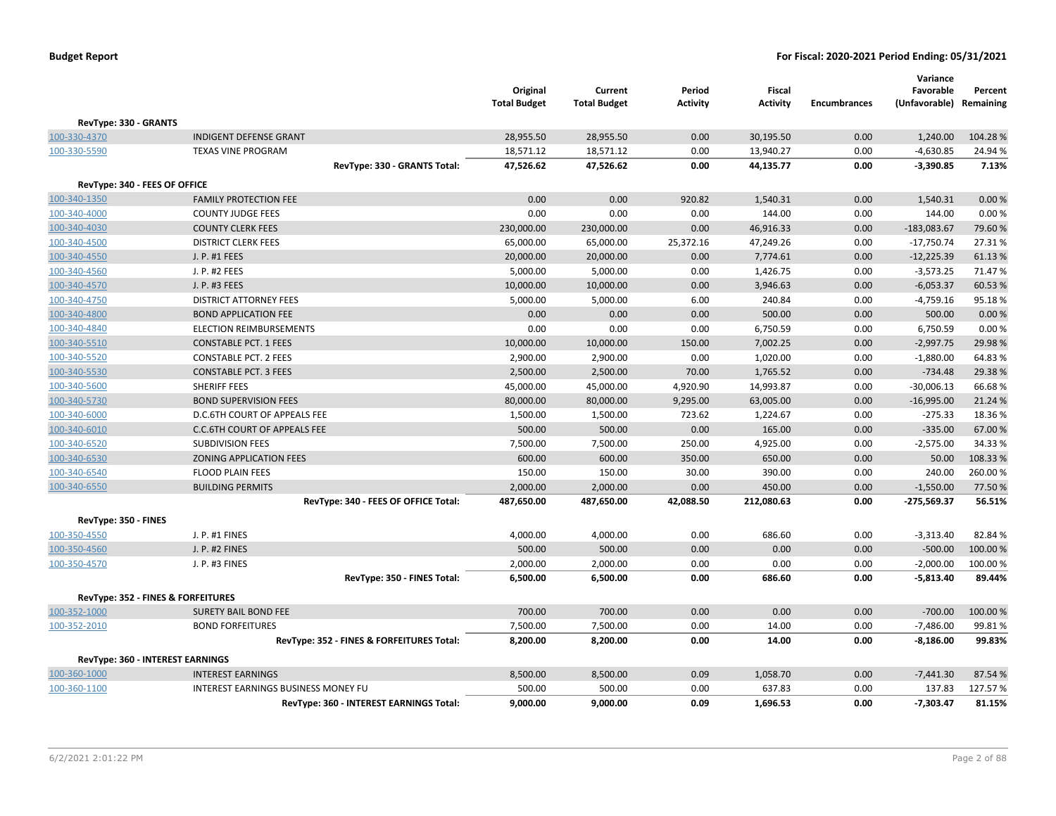| RevType: 330 - GRANTS<br><b>INDIGENT DEFENSE GRANT</b><br>28,955.50<br>28,955.50<br>0.00<br>30,195.50<br>0.00<br>1,240.00<br>104.28%<br>18,571.12<br>18,571.12<br>0.00<br>13,940.27<br>0.00<br>$-4,630.85$<br>24.94 %<br><b>TEXAS VINE PROGRAM</b><br>7.13%<br>47,526.62<br>47,526.62<br>0.00<br>44,135.77<br>0.00<br>$-3,390.85$<br>RevType: 330 - GRANTS Total:<br>RevType: 340 - FEES OF OFFICE<br><b>FAMILY PROTECTION FEE</b><br>0.00<br>0.00<br>920.82<br>1,540.31<br>0.00<br>0.00%<br>1,540.31<br>0.00<br>0.00<br>0.00<br>144.00<br>0.00<br>144.00<br>0.00%<br><b>COUNTY JUDGE FEES</b><br>46,916.33<br><b>COUNTY CLERK FEES</b><br>230,000.00<br>230,000.00<br>0.00<br>0.00<br>$-183,083.67$<br>79.60%<br><b>DISTRICT CLERK FEES</b><br>65,000.00<br>65,000.00<br>25,372.16<br>47,249.26<br>0.00<br>$-17,750.74$<br>27.31%<br>J. P. #1 FEES<br>20,000.00<br>20,000.00<br>0.00<br>7,774.61<br>0.00<br>$-12,225.39$<br>61.13%<br>J. P. #2 FEES<br>5,000.00<br>5,000.00<br>0.00<br>1,426.75<br>0.00<br>$-3,573.25$<br>71.47%<br>$-6,053.37$<br>J. P. #3 FEES<br>10,000.00<br>10,000.00<br>0.00<br>3,946.63<br>0.00<br>60.53%<br><b>DISTRICT ATTORNEY FEES</b><br>5,000.00<br>6.00<br>240.84<br>$-4,759.16$<br>95.18%<br>5,000.00<br>0.00<br><b>BOND APPLICATION FEE</b><br>0.00<br>0.00<br>0.00<br>500.00<br>0.00<br>500.00<br>0.00%<br>0.00<br>0.00<br>0.00<br>6,750.59<br>0.00<br>6,750.59<br>0.00%<br><b>ELECTION REIMBURSEMENTS</b><br>10,000.00<br>10,000.00<br>150.00<br>7,002.25<br>0.00<br>$-2,997.75$<br>29.98%<br><b>CONSTABLE PCT. 1 FEES</b><br>2,900.00<br>2,900.00<br>0.00<br>1,020.00<br>0.00<br>$-1,880.00$<br>64.83%<br><b>CONSTABLE PCT. 2 FEES</b><br>29.38%<br><b>CONSTABLE PCT. 3 FEES</b><br>2,500.00<br>2,500.00<br>70.00<br>1,765.52<br>0.00<br>$-734.48$<br><b>SHERIFF FEES</b><br>45,000.00<br>45,000.00<br>4,920.90<br>14,993.87<br>0.00<br>$-30,006.13$<br>66.68%<br><b>BOND SUPERVISION FEES</b><br>80,000.00<br>80,000.00<br>9,295.00<br>63,005.00<br>0.00<br>$-16,995.00$<br>21.24 %<br>D.C.6TH COURT OF APPEALS FEE<br>1,500.00<br>1,500.00<br>723.62<br>1,224.67<br>0.00<br>$-275.33$<br>18.36%<br>500.00<br>0.00<br>$-335.00$<br>67.00%<br>C.C.6TH COURT OF APPEALS FEE<br>500.00<br>165.00<br>0.00<br><b>SUBDIVISION FEES</b><br>7,500.00<br>7,500.00<br>250.00<br>4,925.00<br>0.00<br>$-2,575.00$<br>34.33%<br>600.00<br>600.00<br>350.00<br>650.00<br>0.00<br>50.00<br>108.33%<br><b>ZONING APPLICATION FEES</b><br>150.00<br>260.00%<br><b>FLOOD PLAIN FEES</b><br>150.00<br>30.00<br>390.00<br>0.00<br>240.00<br>2,000.00<br>450.00<br>$-1,550.00$<br>77.50%<br><b>BUILDING PERMITS</b><br>2,000.00<br>0.00<br>0.00<br>56.51%<br>RevType: 340 - FEES OF OFFICE Total:<br>487,650.00<br>487,650.00<br>42,088.50<br>212,080.63<br>0.00<br>$-275,569.37$<br>RevType: 350 - FINES<br>J. P. #1 FINES<br>4,000.00<br>4,000.00<br>0.00<br>686.60<br>0.00<br>$-3,313.40$<br>82.84%<br>500.00<br>500.00<br>0.00<br>0.00<br>0.00<br>$-500.00$<br>100.00%<br>J. P. #2 FINES<br>2,000.00<br>2,000.00<br>0.00<br>$-2,000.00$<br>100.00%<br>J. P. #3 FINES<br>0.00<br>0.00<br>0.00<br>$-5,813.40$<br>89.44%<br>RevType: 350 - FINES Total:<br>6,500.00<br>6,500.00<br>0.00<br>686.60<br>RevType: 352 - FINES & FORFEITURES<br>700.00<br>700.00<br>0.00<br>0.00<br>0.00<br>$-700.00$<br>100.00 %<br>100-352-1000<br><b>SURETY BAIL BOND FEE</b><br>0.00<br>$-7,486.00$<br>100-352-2010<br><b>BOND FORFEITURES</b><br>7,500.00<br>7,500.00<br>0.00<br>14.00<br>99.81%<br>8,200.00<br>8,200.00<br>0.00<br>$-8,186.00$<br>99.83%<br>RevType: 352 - FINES & FORFEITURES Total:<br>14.00<br>0.00<br>RevType: 360 - INTEREST EARNINGS<br>8,500.00<br>8,500.00<br>0.09<br>1,058.70<br>0.00<br>$-7,441.30$<br>87.54%<br>100-360-1000<br><b>INTEREST EARNINGS</b><br>100-360-1100<br>INTEREST EARNINGS BUSINESS MONEY FU<br>500.00<br>500.00<br>0.00<br>637.83<br>0.00<br>137.83<br>127.57%<br>9,000.00<br>9,000.00<br>0.09<br>1,696.53<br>0.00<br>$-7,303.47$<br>81.15%<br>RevType: 360 - INTEREST EARNINGS Total: |              | Original<br><b>Total Budget</b> | Current<br><b>Total Budget</b> | Period<br><b>Activity</b> | <b>Fiscal</b><br><b>Activity</b> | <b>Encumbrances</b> | Variance<br>Favorable<br>(Unfavorable) Remaining | Percent |
|-----------------------------------------------------------------------------------------------------------------------------------------------------------------------------------------------------------------------------------------------------------------------------------------------------------------------------------------------------------------------------------------------------------------------------------------------------------------------------------------------------------------------------------------------------------------------------------------------------------------------------------------------------------------------------------------------------------------------------------------------------------------------------------------------------------------------------------------------------------------------------------------------------------------------------------------------------------------------------------------------------------------------------------------------------------------------------------------------------------------------------------------------------------------------------------------------------------------------------------------------------------------------------------------------------------------------------------------------------------------------------------------------------------------------------------------------------------------------------------------------------------------------------------------------------------------------------------------------------------------------------------------------------------------------------------------------------------------------------------------------------------------------------------------------------------------------------------------------------------------------------------------------------------------------------------------------------------------------------------------------------------------------------------------------------------------------------------------------------------------------------------------------------------------------------------------------------------------------------------------------------------------------------------------------------------------------------------------------------------------------------------------------------------------------------------------------------------------------------------------------------------------------------------------------------------------------------------------------------------------------------------------------------------------------------------------------------------------------------------------------------------------------------------------------------------------------------------------------------------------------------------------------------------------------------------------------------------------------------------------------------------------------------------------------------------------------------------------------------------------------------------------------------------------------------------------------------------------------------------------------------------------------------------------------------------------------------------------------------------------------------------------------------------------------------------------------------------------------------------------------------------------------------------------------------------------------------------------------------------------------------------------------------------------------------------------------------------------------------------------------------------------------------------------------------------------------------------------------------------------------------------------------------------------------------------------------------------------------------------------------------------------------------------------|--------------|---------------------------------|--------------------------------|---------------------------|----------------------------------|---------------------|--------------------------------------------------|---------|
|                                                                                                                                                                                                                                                                                                                                                                                                                                                                                                                                                                                                                                                                                                                                                                                                                                                                                                                                                                                                                                                                                                                                                                                                                                                                                                                                                                                                                                                                                                                                                                                                                                                                                                                                                                                                                                                                                                                                                                                                                                                                                                                                                                                                                                                                                                                                                                                                                                                                                                                                                                                                                                                                                                                                                                                                                                                                                                                                                                                                                                                                                                                                                                                                                                                                                                                                                                                                                                                                                                                                                                                                                                                                                                                                                                                                                                                                                                                                                                                                                                         |              |                                 |                                |                           |                                  |                     |                                                  |         |
|                                                                                                                                                                                                                                                                                                                                                                                                                                                                                                                                                                                                                                                                                                                                                                                                                                                                                                                                                                                                                                                                                                                                                                                                                                                                                                                                                                                                                                                                                                                                                                                                                                                                                                                                                                                                                                                                                                                                                                                                                                                                                                                                                                                                                                                                                                                                                                                                                                                                                                                                                                                                                                                                                                                                                                                                                                                                                                                                                                                                                                                                                                                                                                                                                                                                                                                                                                                                                                                                                                                                                                                                                                                                                                                                                                                                                                                                                                                                                                                                                                         | 100-330-4370 |                                 |                                |                           |                                  |                     |                                                  |         |
|                                                                                                                                                                                                                                                                                                                                                                                                                                                                                                                                                                                                                                                                                                                                                                                                                                                                                                                                                                                                                                                                                                                                                                                                                                                                                                                                                                                                                                                                                                                                                                                                                                                                                                                                                                                                                                                                                                                                                                                                                                                                                                                                                                                                                                                                                                                                                                                                                                                                                                                                                                                                                                                                                                                                                                                                                                                                                                                                                                                                                                                                                                                                                                                                                                                                                                                                                                                                                                                                                                                                                                                                                                                                                                                                                                                                                                                                                                                                                                                                                                         | 100-330-5590 |                                 |                                |                           |                                  |                     |                                                  |         |
|                                                                                                                                                                                                                                                                                                                                                                                                                                                                                                                                                                                                                                                                                                                                                                                                                                                                                                                                                                                                                                                                                                                                                                                                                                                                                                                                                                                                                                                                                                                                                                                                                                                                                                                                                                                                                                                                                                                                                                                                                                                                                                                                                                                                                                                                                                                                                                                                                                                                                                                                                                                                                                                                                                                                                                                                                                                                                                                                                                                                                                                                                                                                                                                                                                                                                                                                                                                                                                                                                                                                                                                                                                                                                                                                                                                                                                                                                                                                                                                                                                         |              |                                 |                                |                           |                                  |                     |                                                  |         |
|                                                                                                                                                                                                                                                                                                                                                                                                                                                                                                                                                                                                                                                                                                                                                                                                                                                                                                                                                                                                                                                                                                                                                                                                                                                                                                                                                                                                                                                                                                                                                                                                                                                                                                                                                                                                                                                                                                                                                                                                                                                                                                                                                                                                                                                                                                                                                                                                                                                                                                                                                                                                                                                                                                                                                                                                                                                                                                                                                                                                                                                                                                                                                                                                                                                                                                                                                                                                                                                                                                                                                                                                                                                                                                                                                                                                                                                                                                                                                                                                                                         |              |                                 |                                |                           |                                  |                     |                                                  |         |
|                                                                                                                                                                                                                                                                                                                                                                                                                                                                                                                                                                                                                                                                                                                                                                                                                                                                                                                                                                                                                                                                                                                                                                                                                                                                                                                                                                                                                                                                                                                                                                                                                                                                                                                                                                                                                                                                                                                                                                                                                                                                                                                                                                                                                                                                                                                                                                                                                                                                                                                                                                                                                                                                                                                                                                                                                                                                                                                                                                                                                                                                                                                                                                                                                                                                                                                                                                                                                                                                                                                                                                                                                                                                                                                                                                                                                                                                                                                                                                                                                                         | 100-340-1350 |                                 |                                |                           |                                  |                     |                                                  |         |
|                                                                                                                                                                                                                                                                                                                                                                                                                                                                                                                                                                                                                                                                                                                                                                                                                                                                                                                                                                                                                                                                                                                                                                                                                                                                                                                                                                                                                                                                                                                                                                                                                                                                                                                                                                                                                                                                                                                                                                                                                                                                                                                                                                                                                                                                                                                                                                                                                                                                                                                                                                                                                                                                                                                                                                                                                                                                                                                                                                                                                                                                                                                                                                                                                                                                                                                                                                                                                                                                                                                                                                                                                                                                                                                                                                                                                                                                                                                                                                                                                                         | 100-340-4000 |                                 |                                |                           |                                  |                     |                                                  |         |
|                                                                                                                                                                                                                                                                                                                                                                                                                                                                                                                                                                                                                                                                                                                                                                                                                                                                                                                                                                                                                                                                                                                                                                                                                                                                                                                                                                                                                                                                                                                                                                                                                                                                                                                                                                                                                                                                                                                                                                                                                                                                                                                                                                                                                                                                                                                                                                                                                                                                                                                                                                                                                                                                                                                                                                                                                                                                                                                                                                                                                                                                                                                                                                                                                                                                                                                                                                                                                                                                                                                                                                                                                                                                                                                                                                                                                                                                                                                                                                                                                                         | 100-340-4030 |                                 |                                |                           |                                  |                     |                                                  |         |
|                                                                                                                                                                                                                                                                                                                                                                                                                                                                                                                                                                                                                                                                                                                                                                                                                                                                                                                                                                                                                                                                                                                                                                                                                                                                                                                                                                                                                                                                                                                                                                                                                                                                                                                                                                                                                                                                                                                                                                                                                                                                                                                                                                                                                                                                                                                                                                                                                                                                                                                                                                                                                                                                                                                                                                                                                                                                                                                                                                                                                                                                                                                                                                                                                                                                                                                                                                                                                                                                                                                                                                                                                                                                                                                                                                                                                                                                                                                                                                                                                                         | 100-340-4500 |                                 |                                |                           |                                  |                     |                                                  |         |
|                                                                                                                                                                                                                                                                                                                                                                                                                                                                                                                                                                                                                                                                                                                                                                                                                                                                                                                                                                                                                                                                                                                                                                                                                                                                                                                                                                                                                                                                                                                                                                                                                                                                                                                                                                                                                                                                                                                                                                                                                                                                                                                                                                                                                                                                                                                                                                                                                                                                                                                                                                                                                                                                                                                                                                                                                                                                                                                                                                                                                                                                                                                                                                                                                                                                                                                                                                                                                                                                                                                                                                                                                                                                                                                                                                                                                                                                                                                                                                                                                                         | 100-340-4550 |                                 |                                |                           |                                  |                     |                                                  |         |
|                                                                                                                                                                                                                                                                                                                                                                                                                                                                                                                                                                                                                                                                                                                                                                                                                                                                                                                                                                                                                                                                                                                                                                                                                                                                                                                                                                                                                                                                                                                                                                                                                                                                                                                                                                                                                                                                                                                                                                                                                                                                                                                                                                                                                                                                                                                                                                                                                                                                                                                                                                                                                                                                                                                                                                                                                                                                                                                                                                                                                                                                                                                                                                                                                                                                                                                                                                                                                                                                                                                                                                                                                                                                                                                                                                                                                                                                                                                                                                                                                                         | 100-340-4560 |                                 |                                |                           |                                  |                     |                                                  |         |
|                                                                                                                                                                                                                                                                                                                                                                                                                                                                                                                                                                                                                                                                                                                                                                                                                                                                                                                                                                                                                                                                                                                                                                                                                                                                                                                                                                                                                                                                                                                                                                                                                                                                                                                                                                                                                                                                                                                                                                                                                                                                                                                                                                                                                                                                                                                                                                                                                                                                                                                                                                                                                                                                                                                                                                                                                                                                                                                                                                                                                                                                                                                                                                                                                                                                                                                                                                                                                                                                                                                                                                                                                                                                                                                                                                                                                                                                                                                                                                                                                                         | 100-340-4570 |                                 |                                |                           |                                  |                     |                                                  |         |
|                                                                                                                                                                                                                                                                                                                                                                                                                                                                                                                                                                                                                                                                                                                                                                                                                                                                                                                                                                                                                                                                                                                                                                                                                                                                                                                                                                                                                                                                                                                                                                                                                                                                                                                                                                                                                                                                                                                                                                                                                                                                                                                                                                                                                                                                                                                                                                                                                                                                                                                                                                                                                                                                                                                                                                                                                                                                                                                                                                                                                                                                                                                                                                                                                                                                                                                                                                                                                                                                                                                                                                                                                                                                                                                                                                                                                                                                                                                                                                                                                                         | 100-340-4750 |                                 |                                |                           |                                  |                     |                                                  |         |
|                                                                                                                                                                                                                                                                                                                                                                                                                                                                                                                                                                                                                                                                                                                                                                                                                                                                                                                                                                                                                                                                                                                                                                                                                                                                                                                                                                                                                                                                                                                                                                                                                                                                                                                                                                                                                                                                                                                                                                                                                                                                                                                                                                                                                                                                                                                                                                                                                                                                                                                                                                                                                                                                                                                                                                                                                                                                                                                                                                                                                                                                                                                                                                                                                                                                                                                                                                                                                                                                                                                                                                                                                                                                                                                                                                                                                                                                                                                                                                                                                                         | 100-340-4800 |                                 |                                |                           |                                  |                     |                                                  |         |
|                                                                                                                                                                                                                                                                                                                                                                                                                                                                                                                                                                                                                                                                                                                                                                                                                                                                                                                                                                                                                                                                                                                                                                                                                                                                                                                                                                                                                                                                                                                                                                                                                                                                                                                                                                                                                                                                                                                                                                                                                                                                                                                                                                                                                                                                                                                                                                                                                                                                                                                                                                                                                                                                                                                                                                                                                                                                                                                                                                                                                                                                                                                                                                                                                                                                                                                                                                                                                                                                                                                                                                                                                                                                                                                                                                                                                                                                                                                                                                                                                                         | 100-340-4840 |                                 |                                |                           |                                  |                     |                                                  |         |
|                                                                                                                                                                                                                                                                                                                                                                                                                                                                                                                                                                                                                                                                                                                                                                                                                                                                                                                                                                                                                                                                                                                                                                                                                                                                                                                                                                                                                                                                                                                                                                                                                                                                                                                                                                                                                                                                                                                                                                                                                                                                                                                                                                                                                                                                                                                                                                                                                                                                                                                                                                                                                                                                                                                                                                                                                                                                                                                                                                                                                                                                                                                                                                                                                                                                                                                                                                                                                                                                                                                                                                                                                                                                                                                                                                                                                                                                                                                                                                                                                                         | 100-340-5510 |                                 |                                |                           |                                  |                     |                                                  |         |
|                                                                                                                                                                                                                                                                                                                                                                                                                                                                                                                                                                                                                                                                                                                                                                                                                                                                                                                                                                                                                                                                                                                                                                                                                                                                                                                                                                                                                                                                                                                                                                                                                                                                                                                                                                                                                                                                                                                                                                                                                                                                                                                                                                                                                                                                                                                                                                                                                                                                                                                                                                                                                                                                                                                                                                                                                                                                                                                                                                                                                                                                                                                                                                                                                                                                                                                                                                                                                                                                                                                                                                                                                                                                                                                                                                                                                                                                                                                                                                                                                                         | 100-340-5520 |                                 |                                |                           |                                  |                     |                                                  |         |
|                                                                                                                                                                                                                                                                                                                                                                                                                                                                                                                                                                                                                                                                                                                                                                                                                                                                                                                                                                                                                                                                                                                                                                                                                                                                                                                                                                                                                                                                                                                                                                                                                                                                                                                                                                                                                                                                                                                                                                                                                                                                                                                                                                                                                                                                                                                                                                                                                                                                                                                                                                                                                                                                                                                                                                                                                                                                                                                                                                                                                                                                                                                                                                                                                                                                                                                                                                                                                                                                                                                                                                                                                                                                                                                                                                                                                                                                                                                                                                                                                                         | 100-340-5530 |                                 |                                |                           |                                  |                     |                                                  |         |
|                                                                                                                                                                                                                                                                                                                                                                                                                                                                                                                                                                                                                                                                                                                                                                                                                                                                                                                                                                                                                                                                                                                                                                                                                                                                                                                                                                                                                                                                                                                                                                                                                                                                                                                                                                                                                                                                                                                                                                                                                                                                                                                                                                                                                                                                                                                                                                                                                                                                                                                                                                                                                                                                                                                                                                                                                                                                                                                                                                                                                                                                                                                                                                                                                                                                                                                                                                                                                                                                                                                                                                                                                                                                                                                                                                                                                                                                                                                                                                                                                                         | 100-340-5600 |                                 |                                |                           |                                  |                     |                                                  |         |
|                                                                                                                                                                                                                                                                                                                                                                                                                                                                                                                                                                                                                                                                                                                                                                                                                                                                                                                                                                                                                                                                                                                                                                                                                                                                                                                                                                                                                                                                                                                                                                                                                                                                                                                                                                                                                                                                                                                                                                                                                                                                                                                                                                                                                                                                                                                                                                                                                                                                                                                                                                                                                                                                                                                                                                                                                                                                                                                                                                                                                                                                                                                                                                                                                                                                                                                                                                                                                                                                                                                                                                                                                                                                                                                                                                                                                                                                                                                                                                                                                                         | 100-340-5730 |                                 |                                |                           |                                  |                     |                                                  |         |
|                                                                                                                                                                                                                                                                                                                                                                                                                                                                                                                                                                                                                                                                                                                                                                                                                                                                                                                                                                                                                                                                                                                                                                                                                                                                                                                                                                                                                                                                                                                                                                                                                                                                                                                                                                                                                                                                                                                                                                                                                                                                                                                                                                                                                                                                                                                                                                                                                                                                                                                                                                                                                                                                                                                                                                                                                                                                                                                                                                                                                                                                                                                                                                                                                                                                                                                                                                                                                                                                                                                                                                                                                                                                                                                                                                                                                                                                                                                                                                                                                                         | 100-340-6000 |                                 |                                |                           |                                  |                     |                                                  |         |
|                                                                                                                                                                                                                                                                                                                                                                                                                                                                                                                                                                                                                                                                                                                                                                                                                                                                                                                                                                                                                                                                                                                                                                                                                                                                                                                                                                                                                                                                                                                                                                                                                                                                                                                                                                                                                                                                                                                                                                                                                                                                                                                                                                                                                                                                                                                                                                                                                                                                                                                                                                                                                                                                                                                                                                                                                                                                                                                                                                                                                                                                                                                                                                                                                                                                                                                                                                                                                                                                                                                                                                                                                                                                                                                                                                                                                                                                                                                                                                                                                                         | 100-340-6010 |                                 |                                |                           |                                  |                     |                                                  |         |
|                                                                                                                                                                                                                                                                                                                                                                                                                                                                                                                                                                                                                                                                                                                                                                                                                                                                                                                                                                                                                                                                                                                                                                                                                                                                                                                                                                                                                                                                                                                                                                                                                                                                                                                                                                                                                                                                                                                                                                                                                                                                                                                                                                                                                                                                                                                                                                                                                                                                                                                                                                                                                                                                                                                                                                                                                                                                                                                                                                                                                                                                                                                                                                                                                                                                                                                                                                                                                                                                                                                                                                                                                                                                                                                                                                                                                                                                                                                                                                                                                                         | 100-340-6520 |                                 |                                |                           |                                  |                     |                                                  |         |
|                                                                                                                                                                                                                                                                                                                                                                                                                                                                                                                                                                                                                                                                                                                                                                                                                                                                                                                                                                                                                                                                                                                                                                                                                                                                                                                                                                                                                                                                                                                                                                                                                                                                                                                                                                                                                                                                                                                                                                                                                                                                                                                                                                                                                                                                                                                                                                                                                                                                                                                                                                                                                                                                                                                                                                                                                                                                                                                                                                                                                                                                                                                                                                                                                                                                                                                                                                                                                                                                                                                                                                                                                                                                                                                                                                                                                                                                                                                                                                                                                                         | 100-340-6530 |                                 |                                |                           |                                  |                     |                                                  |         |
|                                                                                                                                                                                                                                                                                                                                                                                                                                                                                                                                                                                                                                                                                                                                                                                                                                                                                                                                                                                                                                                                                                                                                                                                                                                                                                                                                                                                                                                                                                                                                                                                                                                                                                                                                                                                                                                                                                                                                                                                                                                                                                                                                                                                                                                                                                                                                                                                                                                                                                                                                                                                                                                                                                                                                                                                                                                                                                                                                                                                                                                                                                                                                                                                                                                                                                                                                                                                                                                                                                                                                                                                                                                                                                                                                                                                                                                                                                                                                                                                                                         | 100-340-6540 |                                 |                                |                           |                                  |                     |                                                  |         |
|                                                                                                                                                                                                                                                                                                                                                                                                                                                                                                                                                                                                                                                                                                                                                                                                                                                                                                                                                                                                                                                                                                                                                                                                                                                                                                                                                                                                                                                                                                                                                                                                                                                                                                                                                                                                                                                                                                                                                                                                                                                                                                                                                                                                                                                                                                                                                                                                                                                                                                                                                                                                                                                                                                                                                                                                                                                                                                                                                                                                                                                                                                                                                                                                                                                                                                                                                                                                                                                                                                                                                                                                                                                                                                                                                                                                                                                                                                                                                                                                                                         | 100-340-6550 |                                 |                                |                           |                                  |                     |                                                  |         |
|                                                                                                                                                                                                                                                                                                                                                                                                                                                                                                                                                                                                                                                                                                                                                                                                                                                                                                                                                                                                                                                                                                                                                                                                                                                                                                                                                                                                                                                                                                                                                                                                                                                                                                                                                                                                                                                                                                                                                                                                                                                                                                                                                                                                                                                                                                                                                                                                                                                                                                                                                                                                                                                                                                                                                                                                                                                                                                                                                                                                                                                                                                                                                                                                                                                                                                                                                                                                                                                                                                                                                                                                                                                                                                                                                                                                                                                                                                                                                                                                                                         |              |                                 |                                |                           |                                  |                     |                                                  |         |
|                                                                                                                                                                                                                                                                                                                                                                                                                                                                                                                                                                                                                                                                                                                                                                                                                                                                                                                                                                                                                                                                                                                                                                                                                                                                                                                                                                                                                                                                                                                                                                                                                                                                                                                                                                                                                                                                                                                                                                                                                                                                                                                                                                                                                                                                                                                                                                                                                                                                                                                                                                                                                                                                                                                                                                                                                                                                                                                                                                                                                                                                                                                                                                                                                                                                                                                                                                                                                                                                                                                                                                                                                                                                                                                                                                                                                                                                                                                                                                                                                                         |              |                                 |                                |                           |                                  |                     |                                                  |         |
|                                                                                                                                                                                                                                                                                                                                                                                                                                                                                                                                                                                                                                                                                                                                                                                                                                                                                                                                                                                                                                                                                                                                                                                                                                                                                                                                                                                                                                                                                                                                                                                                                                                                                                                                                                                                                                                                                                                                                                                                                                                                                                                                                                                                                                                                                                                                                                                                                                                                                                                                                                                                                                                                                                                                                                                                                                                                                                                                                                                                                                                                                                                                                                                                                                                                                                                                                                                                                                                                                                                                                                                                                                                                                                                                                                                                                                                                                                                                                                                                                                         | 100-350-4550 |                                 |                                |                           |                                  |                     |                                                  |         |
|                                                                                                                                                                                                                                                                                                                                                                                                                                                                                                                                                                                                                                                                                                                                                                                                                                                                                                                                                                                                                                                                                                                                                                                                                                                                                                                                                                                                                                                                                                                                                                                                                                                                                                                                                                                                                                                                                                                                                                                                                                                                                                                                                                                                                                                                                                                                                                                                                                                                                                                                                                                                                                                                                                                                                                                                                                                                                                                                                                                                                                                                                                                                                                                                                                                                                                                                                                                                                                                                                                                                                                                                                                                                                                                                                                                                                                                                                                                                                                                                                                         | 100-350-4560 |                                 |                                |                           |                                  |                     |                                                  |         |
|                                                                                                                                                                                                                                                                                                                                                                                                                                                                                                                                                                                                                                                                                                                                                                                                                                                                                                                                                                                                                                                                                                                                                                                                                                                                                                                                                                                                                                                                                                                                                                                                                                                                                                                                                                                                                                                                                                                                                                                                                                                                                                                                                                                                                                                                                                                                                                                                                                                                                                                                                                                                                                                                                                                                                                                                                                                                                                                                                                                                                                                                                                                                                                                                                                                                                                                                                                                                                                                                                                                                                                                                                                                                                                                                                                                                                                                                                                                                                                                                                                         | 100-350-4570 |                                 |                                |                           |                                  |                     |                                                  |         |
|                                                                                                                                                                                                                                                                                                                                                                                                                                                                                                                                                                                                                                                                                                                                                                                                                                                                                                                                                                                                                                                                                                                                                                                                                                                                                                                                                                                                                                                                                                                                                                                                                                                                                                                                                                                                                                                                                                                                                                                                                                                                                                                                                                                                                                                                                                                                                                                                                                                                                                                                                                                                                                                                                                                                                                                                                                                                                                                                                                                                                                                                                                                                                                                                                                                                                                                                                                                                                                                                                                                                                                                                                                                                                                                                                                                                                                                                                                                                                                                                                                         |              |                                 |                                |                           |                                  |                     |                                                  |         |
|                                                                                                                                                                                                                                                                                                                                                                                                                                                                                                                                                                                                                                                                                                                                                                                                                                                                                                                                                                                                                                                                                                                                                                                                                                                                                                                                                                                                                                                                                                                                                                                                                                                                                                                                                                                                                                                                                                                                                                                                                                                                                                                                                                                                                                                                                                                                                                                                                                                                                                                                                                                                                                                                                                                                                                                                                                                                                                                                                                                                                                                                                                                                                                                                                                                                                                                                                                                                                                                                                                                                                                                                                                                                                                                                                                                                                                                                                                                                                                                                                                         |              |                                 |                                |                           |                                  |                     |                                                  |         |
|                                                                                                                                                                                                                                                                                                                                                                                                                                                                                                                                                                                                                                                                                                                                                                                                                                                                                                                                                                                                                                                                                                                                                                                                                                                                                                                                                                                                                                                                                                                                                                                                                                                                                                                                                                                                                                                                                                                                                                                                                                                                                                                                                                                                                                                                                                                                                                                                                                                                                                                                                                                                                                                                                                                                                                                                                                                                                                                                                                                                                                                                                                                                                                                                                                                                                                                                                                                                                                                                                                                                                                                                                                                                                                                                                                                                                                                                                                                                                                                                                                         |              |                                 |                                |                           |                                  |                     |                                                  |         |
|                                                                                                                                                                                                                                                                                                                                                                                                                                                                                                                                                                                                                                                                                                                                                                                                                                                                                                                                                                                                                                                                                                                                                                                                                                                                                                                                                                                                                                                                                                                                                                                                                                                                                                                                                                                                                                                                                                                                                                                                                                                                                                                                                                                                                                                                                                                                                                                                                                                                                                                                                                                                                                                                                                                                                                                                                                                                                                                                                                                                                                                                                                                                                                                                                                                                                                                                                                                                                                                                                                                                                                                                                                                                                                                                                                                                                                                                                                                                                                                                                                         |              |                                 |                                |                           |                                  |                     |                                                  |         |
|                                                                                                                                                                                                                                                                                                                                                                                                                                                                                                                                                                                                                                                                                                                                                                                                                                                                                                                                                                                                                                                                                                                                                                                                                                                                                                                                                                                                                                                                                                                                                                                                                                                                                                                                                                                                                                                                                                                                                                                                                                                                                                                                                                                                                                                                                                                                                                                                                                                                                                                                                                                                                                                                                                                                                                                                                                                                                                                                                                                                                                                                                                                                                                                                                                                                                                                                                                                                                                                                                                                                                                                                                                                                                                                                                                                                                                                                                                                                                                                                                                         |              |                                 |                                |                           |                                  |                     |                                                  |         |
|                                                                                                                                                                                                                                                                                                                                                                                                                                                                                                                                                                                                                                                                                                                                                                                                                                                                                                                                                                                                                                                                                                                                                                                                                                                                                                                                                                                                                                                                                                                                                                                                                                                                                                                                                                                                                                                                                                                                                                                                                                                                                                                                                                                                                                                                                                                                                                                                                                                                                                                                                                                                                                                                                                                                                                                                                                                                                                                                                                                                                                                                                                                                                                                                                                                                                                                                                                                                                                                                                                                                                                                                                                                                                                                                                                                                                                                                                                                                                                                                                                         |              |                                 |                                |                           |                                  |                     |                                                  |         |
|                                                                                                                                                                                                                                                                                                                                                                                                                                                                                                                                                                                                                                                                                                                                                                                                                                                                                                                                                                                                                                                                                                                                                                                                                                                                                                                                                                                                                                                                                                                                                                                                                                                                                                                                                                                                                                                                                                                                                                                                                                                                                                                                                                                                                                                                                                                                                                                                                                                                                                                                                                                                                                                                                                                                                                                                                                                                                                                                                                                                                                                                                                                                                                                                                                                                                                                                                                                                                                                                                                                                                                                                                                                                                                                                                                                                                                                                                                                                                                                                                                         |              |                                 |                                |                           |                                  |                     |                                                  |         |
|                                                                                                                                                                                                                                                                                                                                                                                                                                                                                                                                                                                                                                                                                                                                                                                                                                                                                                                                                                                                                                                                                                                                                                                                                                                                                                                                                                                                                                                                                                                                                                                                                                                                                                                                                                                                                                                                                                                                                                                                                                                                                                                                                                                                                                                                                                                                                                                                                                                                                                                                                                                                                                                                                                                                                                                                                                                                                                                                                                                                                                                                                                                                                                                                                                                                                                                                                                                                                                                                                                                                                                                                                                                                                                                                                                                                                                                                                                                                                                                                                                         |              |                                 |                                |                           |                                  |                     |                                                  |         |
|                                                                                                                                                                                                                                                                                                                                                                                                                                                                                                                                                                                                                                                                                                                                                                                                                                                                                                                                                                                                                                                                                                                                                                                                                                                                                                                                                                                                                                                                                                                                                                                                                                                                                                                                                                                                                                                                                                                                                                                                                                                                                                                                                                                                                                                                                                                                                                                                                                                                                                                                                                                                                                                                                                                                                                                                                                                                                                                                                                                                                                                                                                                                                                                                                                                                                                                                                                                                                                                                                                                                                                                                                                                                                                                                                                                                                                                                                                                                                                                                                                         |              |                                 |                                |                           |                                  |                     |                                                  |         |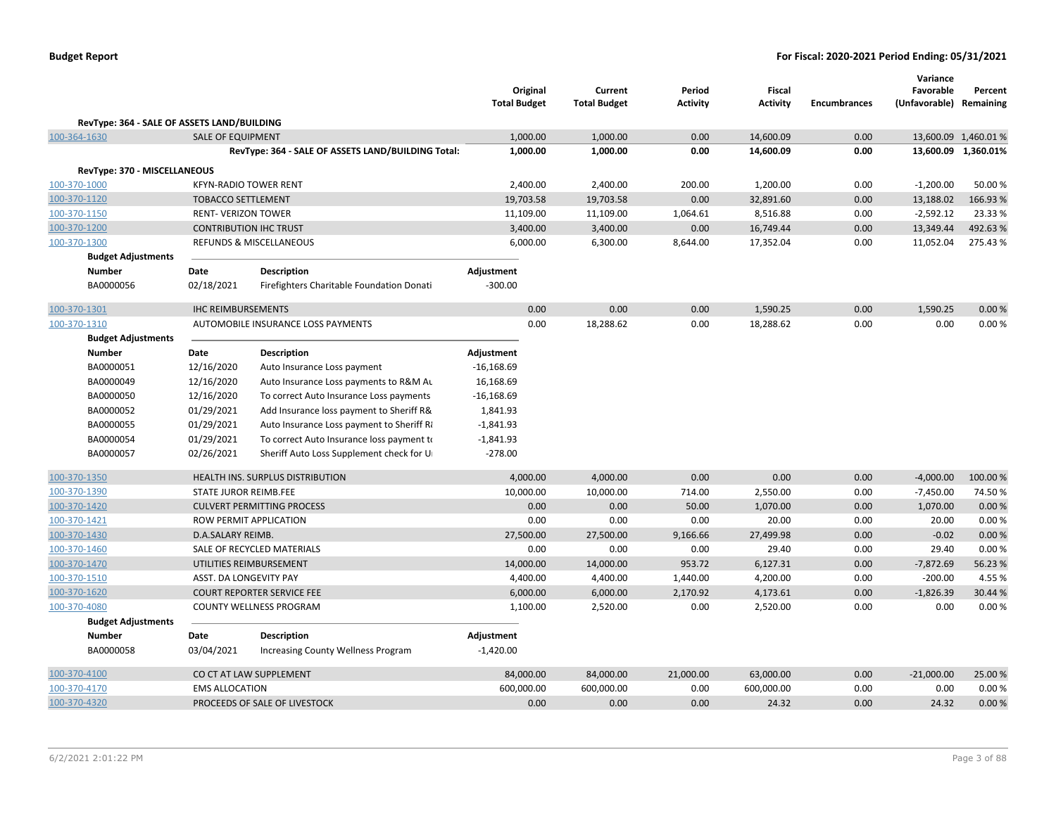|                                             |                                                         |                                                    | Original<br><b>Total Budget</b> | Current<br><b>Total Budget</b> | Period<br><b>Activity</b> | Fiscal<br><b>Activity</b> | <b>Encumbrances</b> | Variance<br>Favorable<br>(Unfavorable) Remaining | Percent              |
|---------------------------------------------|---------------------------------------------------------|----------------------------------------------------|---------------------------------|--------------------------------|---------------------------|---------------------------|---------------------|--------------------------------------------------|----------------------|
| RevType: 364 - SALE OF ASSETS LAND/BUILDING |                                                         |                                                    |                                 |                                |                           |                           |                     |                                                  |                      |
| 100-364-1630                                | <b>SALE OF EQUIPMENT</b>                                |                                                    | 1,000.00                        | 1,000.00                       | 0.00                      | 14,600.09                 | 0.00                |                                                  | 13,600.09 1,460.01 % |
|                                             |                                                         | RevType: 364 - SALE OF ASSETS LAND/BUILDING Total: | 1,000.00                        | 1,000.00                       | 0.00                      | 14,600.09                 | 0.00                |                                                  | 13,600.09 1,360.01%  |
|                                             |                                                         |                                                    |                                 |                                |                           |                           |                     |                                                  |                      |
| RevType: 370 - MISCELLANEOUS                |                                                         |                                                    |                                 |                                |                           |                           |                     |                                                  |                      |
| 100-370-1000<br>100-370-1120                |                                                         | <b>KFYN-RADIO TOWER RENT</b>                       | 2,400.00                        | 2,400.00                       | 200.00                    | 1,200.00                  | 0.00                | $-1,200.00$                                      | 50.00 %              |
|                                             | <b>TOBACCO SETTLEMENT</b><br><b>RENT- VERIZON TOWER</b> |                                                    | 19,703.58<br>11,109.00          | 19,703.58<br>11,109.00         | 0.00<br>1,064.61          | 32,891.60<br>8,516.88     | 0.00<br>0.00        | 13,188.02<br>$-2,592.12$                         | 166.93%<br>23.33 %   |
| 100-370-1150                                |                                                         |                                                    |                                 |                                |                           |                           |                     |                                                  | 492.63%              |
| 100-370-1200                                |                                                         | <b>CONTRIBUTION IHC TRUST</b>                      | 3,400.00                        | 3,400.00                       | 0.00                      | 16,749.44                 | 0.00                | 13,349.44                                        |                      |
| 100-370-1300                                |                                                         | REFUNDS & MISCELLANEOUS                            | 6,000.00                        | 6,300.00                       | 8,644.00                  | 17,352.04                 | 0.00                | 11,052.04                                        | 275.43%              |
| <b>Budget Adjustments</b>                   |                                                         |                                                    |                                 |                                |                           |                           |                     |                                                  |                      |
| <b>Number</b><br>BA0000056                  | Date<br>02/18/2021                                      | <b>Description</b>                                 | Adjustment<br>$-300.00$         |                                |                           |                           |                     |                                                  |                      |
|                                             |                                                         | Firefighters Charitable Foundation Donati          |                                 |                                |                           |                           |                     |                                                  |                      |
| 100-370-1301                                | <b>IHC REIMBURSEMENTS</b>                               |                                                    | 0.00                            | 0.00                           | 0.00                      | 1,590.25                  | 0.00                | 1,590.25                                         | 0.00%                |
| 100-370-1310                                |                                                         | AUTOMOBILE INSURANCE LOSS PAYMENTS                 | 0.00                            | 18,288.62                      | 0.00                      | 18,288.62                 | 0.00                | 0.00                                             | 0.00%                |
| <b>Budget Adjustments</b>                   |                                                         |                                                    |                                 |                                |                           |                           |                     |                                                  |                      |
| <b>Number</b>                               | Date                                                    | <b>Description</b>                                 | Adjustment                      |                                |                           |                           |                     |                                                  |                      |
| BA0000051                                   | 12/16/2020                                              | Auto Insurance Loss payment                        | $-16,168.69$                    |                                |                           |                           |                     |                                                  |                      |
| BA0000049                                   | 12/16/2020                                              | Auto Insurance Loss payments to R&M Au             | 16,168.69                       |                                |                           |                           |                     |                                                  |                      |
| BA0000050                                   | 12/16/2020                                              | To correct Auto Insurance Loss payments            | $-16,168.69$                    |                                |                           |                           |                     |                                                  |                      |
| BA0000052                                   | 01/29/2021                                              | Add Insurance loss payment to Sheriff R&           | 1,841.93                        |                                |                           |                           |                     |                                                  |                      |
| BA0000055                                   | 01/29/2021                                              | Auto Insurance Loss payment to Sheriff Ri          | $-1,841.93$                     |                                |                           |                           |                     |                                                  |                      |
| BA0000054                                   | 01/29/2021                                              | To correct Auto Insurance loss payment to          | $-1,841.93$                     |                                |                           |                           |                     |                                                  |                      |
| BA0000057                                   | 02/26/2021                                              | Sheriff Auto Loss Supplement check for U           | $-278.00$                       |                                |                           |                           |                     |                                                  |                      |
| 100-370-1350                                |                                                         | <b>HEALTH INS. SURPLUS DISTRIBUTION</b>            | 4,000.00                        | 4,000.00                       | 0.00                      | 0.00                      | 0.00                | $-4,000.00$                                      | 100.00 %             |
| 100-370-1390                                | STATE JUROR REIMB.FEE                                   |                                                    | 10,000.00                       | 10,000.00                      | 714.00                    | 2,550.00                  | 0.00                | $-7,450.00$                                      | 74.50%               |
| 100-370-1420                                |                                                         | <b>CULVERT PERMITTING PROCESS</b>                  | 0.00                            | 0.00                           | 50.00                     | 1,070.00                  | 0.00                | 1,070.00                                         | 0.00%                |
| 100-370-1421                                |                                                         | ROW PERMIT APPLICATION                             | 0.00                            | 0.00                           | 0.00                      | 20.00                     | 0.00                | 20.00                                            | 0.00%                |
| 100-370-1430                                | D.A.SALARY REIMB.                                       |                                                    | 27,500.00                       | 27,500.00                      | 9,166.66                  | 27,499.98                 | 0.00                | $-0.02$                                          | 0.00 %               |
| 100-370-1460                                |                                                         | SALE OF RECYCLED MATERIALS                         | 0.00                            | 0.00                           | 0.00                      | 29.40                     | 0.00                | 29.40                                            | 0.00%                |
| 100-370-1470                                |                                                         | UTILITIES REIMBURSEMENT                            | 14,000.00                       | 14,000.00                      | 953.72                    | 6,127.31                  | 0.00                | $-7,872.69$                                      | 56.23%               |
| 100-370-1510                                | ASST. DA LONGEVITY PAY                                  |                                                    | 4,400.00                        | 4,400.00                       | 1,440.00                  | 4,200.00                  | 0.00                | $-200.00$                                        | 4.55 %               |
| 100-370-1620                                |                                                         | <b>COURT REPORTER SERVICE FEE</b>                  | 6,000.00                        | 6,000.00                       | 2,170.92                  | 4,173.61                  | 0.00                | $-1,826.39$                                      | 30.44 %              |
| 100-370-4080                                |                                                         | <b>COUNTY WELLNESS PROGRAM</b>                     | 1,100.00                        | 2,520.00                       | 0.00                      | 2,520.00                  | 0.00                | 0.00                                             | 0.00%                |
| <b>Budget Adjustments</b>                   |                                                         |                                                    |                                 |                                |                           |                           |                     |                                                  |                      |
| Number                                      | Date                                                    | Description                                        | Adjustment                      |                                |                           |                           |                     |                                                  |                      |
| BA0000058                                   | 03/04/2021                                              | Increasing County Wellness Program                 | $-1,420.00$                     |                                |                           |                           |                     |                                                  |                      |
| 100-370-4100                                |                                                         | CO CT AT LAW SUPPLEMENT                            | 84,000.00                       | 84,000.00                      | 21,000.00                 | 63,000.00                 | 0.00                | $-21,000.00$                                     | 25.00 %              |
| 100-370-4170                                | <b>EMS ALLOCATION</b>                                   |                                                    | 600,000.00                      | 600,000.00                     | 0.00                      | 600,000.00                | 0.00                | 0.00                                             | 0.00%                |
| 100-370-4320                                |                                                         | PROCEEDS OF SALE OF LIVESTOCK                      | 0.00                            | 0.00                           | 0.00                      | 24.32                     | 0.00                | 24.32                                            | 0.00%                |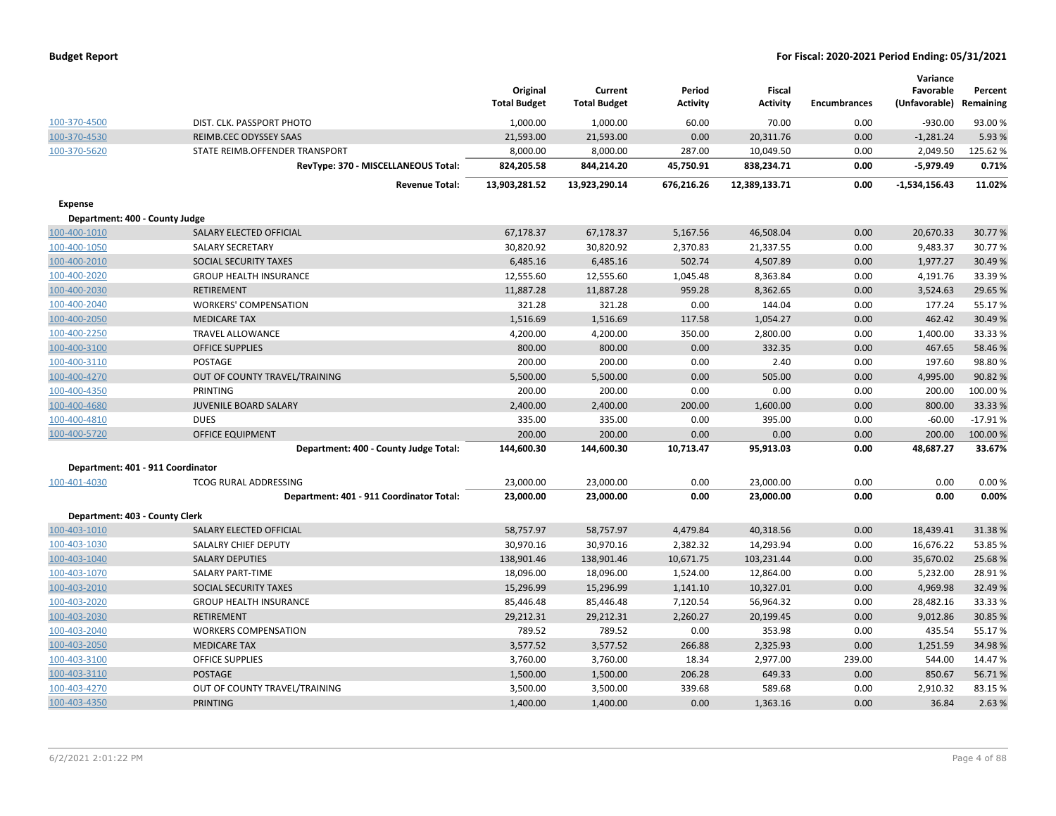| <b>Budget Report</b> |  |
|----------------------|--|
|----------------------|--|

|                                   |                                          | Original<br><b>Total Budget</b> | Current<br><b>Total Budget</b> | Period<br><b>Activity</b> | <b>Fiscal</b><br><b>Activity</b> | <b>Encumbrances</b> | Variance<br>Favorable<br>(Unfavorable) | Percent<br>Remaining |
|-----------------------------------|------------------------------------------|---------------------------------|--------------------------------|---------------------------|----------------------------------|---------------------|----------------------------------------|----------------------|
| 100-370-4500                      | DIST. CLK. PASSPORT PHOTO                | 1,000.00                        | 1,000.00                       | 60.00                     | 70.00                            | 0.00                | $-930.00$                              | 93.00%               |
| 100-370-4530                      | REIMB.CEC ODYSSEY SAAS                   | 21,593.00                       | 21,593.00                      | 0.00                      | 20,311.76                        | 0.00                | $-1,281.24$                            | 5.93%                |
| 100-370-5620                      | STATE REIMB.OFFENDER TRANSPORT           | 8,000.00                        | 8,000.00                       | 287.00                    | 10,049.50                        | 0.00                | 2,049.50                               | 125.62%              |
|                                   | RevType: 370 - MISCELLANEOUS Total:      | 824,205.58                      | 844,214.20                     | 45,750.91                 | 838,234.71                       | 0.00                | $-5,979.49$                            | 0.71%                |
|                                   | <b>Revenue Total:</b>                    | 13,903,281.52                   | 13,923,290.14                  | 676,216.26                | 12,389,133.71                    | 0.00                | $-1,534,156.43$                        | 11.02%               |
| <b>Expense</b>                    |                                          |                                 |                                |                           |                                  |                     |                                        |                      |
| Department: 400 - County Judge    |                                          |                                 |                                |                           |                                  |                     |                                        |                      |
| 100-400-1010                      | SALARY ELECTED OFFICIAL                  | 67,178.37                       | 67,178.37                      | 5,167.56                  | 46,508.04                        | 0.00                | 20,670.33                              | 30.77%               |
| 100-400-1050                      | <b>SALARY SECRETARY</b>                  | 30,820.92                       | 30,820.92                      | 2,370.83                  | 21,337.55                        | 0.00                | 9,483.37                               | 30.77%               |
| 100-400-2010                      | SOCIAL SECURITY TAXES                    | 6,485.16                        | 6,485.16                       | 502.74                    | 4,507.89                         | 0.00                | 1,977.27                               | 30.49%               |
| 100-400-2020                      | <b>GROUP HEALTH INSURANCE</b>            | 12,555.60                       | 12,555.60                      | 1,045.48                  | 8,363.84                         | 0.00                | 4,191.76                               | 33.39 %              |
| 100-400-2030                      | <b>RETIREMENT</b>                        | 11,887.28                       | 11,887.28                      | 959.28                    | 8,362.65                         | 0.00                | 3,524.63                               | 29.65%               |
| 100-400-2040                      | <b>WORKERS' COMPENSATION</b>             | 321.28                          | 321.28                         | 0.00                      | 144.04                           | 0.00                | 177.24                                 | 55.17%               |
| 100-400-2050                      | <b>MEDICARE TAX</b>                      | 1,516.69                        | 1,516.69                       | 117.58                    | 1,054.27                         | 0.00                | 462.42                                 | 30.49%               |
| 100-400-2250                      | <b>TRAVEL ALLOWANCE</b>                  | 4,200.00                        | 4,200.00                       | 350.00                    | 2,800.00                         | 0.00                | 1,400.00                               | 33.33%               |
| 100-400-3100                      | <b>OFFICE SUPPLIES</b>                   | 800.00                          | 800.00                         | 0.00                      | 332.35                           | 0.00                | 467.65                                 | 58.46%               |
| 100-400-3110                      | POSTAGE                                  | 200.00                          | 200.00                         | 0.00                      | 2.40                             | 0.00                | 197.60                                 | 98.80%               |
| 100-400-4270                      | OUT OF COUNTY TRAVEL/TRAINING            | 5,500.00                        | 5,500.00                       | 0.00                      | 505.00                           | 0.00                | 4,995.00                               | 90.82%               |
| 100-400-4350                      | PRINTING                                 | 200.00                          | 200.00                         | 0.00                      | 0.00                             | 0.00                | 200.00                                 | 100.00%              |
| 100-400-4680                      | JUVENILE BOARD SALARY                    | 2,400.00                        | 2,400.00                       | 200.00                    | 1,600.00                         | 0.00                | 800.00                                 | 33.33 %              |
| 100-400-4810                      | <b>DUES</b>                              | 335.00                          | 335.00                         | 0.00                      | 395.00                           | 0.00                | $-60.00$                               | $-17.91%$            |
| 100-400-5720                      | <b>OFFICE EQUIPMENT</b>                  | 200.00                          | 200.00                         | 0.00                      | 0.00                             | 0.00                | 200.00                                 | 100.00%              |
|                                   | Department: 400 - County Judge Total:    | 144,600.30                      | 144,600.30                     | 10,713.47                 | 95,913.03                        | 0.00                | 48,687.27                              | 33.67%               |
| Department: 401 - 911 Coordinator |                                          |                                 |                                |                           |                                  |                     |                                        |                      |
| 100-401-4030                      | <b>TCOG RURAL ADDRESSING</b>             | 23,000.00                       | 23,000.00                      | 0.00                      | 23,000.00                        | 0.00                | 0.00                                   | 0.00%                |
|                                   | Department: 401 - 911 Coordinator Total: | 23,000.00                       | 23,000.00                      | 0.00                      | 23,000.00                        | 0.00                | 0.00                                   | 0.00%                |
| Department: 403 - County Clerk    |                                          |                                 |                                |                           |                                  |                     |                                        |                      |
| 100-403-1010                      | SALARY ELECTED OFFICIAL                  | 58,757.97                       | 58,757.97                      | 4,479.84                  | 40,318.56                        | 0.00                | 18,439.41                              | 31.38%               |
| 100-403-1030                      | SALALRY CHIEF DEPUTY                     | 30,970.16                       | 30,970.16                      | 2,382.32                  | 14,293.94                        | 0.00                | 16,676.22                              | 53.85%               |
| 100-403-1040                      | <b>SALARY DEPUTIES</b>                   | 138,901.46                      | 138,901.46                     | 10,671.75                 | 103,231.44                       | 0.00                | 35,670.02                              | 25.68%               |
| 100-403-1070                      | <b>SALARY PART-TIME</b>                  | 18,096.00                       | 18,096.00                      | 1,524.00                  | 12,864.00                        | 0.00                | 5,232.00                               | 28.91%               |
| 100-403-2010                      | SOCIAL SECURITY TAXES                    | 15,296.99                       | 15,296.99                      | 1,141.10                  | 10,327.01                        | 0.00                | 4,969.98                               | 32.49%               |
| 100-403-2020                      | <b>GROUP HEALTH INSURANCE</b>            | 85,446.48                       | 85,446.48                      | 7,120.54                  | 56,964.32                        | 0.00                | 28,482.16                              | 33.33%               |
| 100-403-2030                      | <b>RETIREMENT</b>                        | 29,212.31                       | 29,212.31                      | 2,260.27                  | 20,199.45                        | 0.00                | 9,012.86                               | 30.85 %              |
| 100-403-2040                      | <b>WORKERS COMPENSATION</b>              | 789.52                          | 789.52                         | 0.00                      | 353.98                           | 0.00                | 435.54                                 | 55.17%               |
| 100-403-2050                      | <b>MEDICARE TAX</b>                      | 3,577.52                        | 3,577.52                       | 266.88                    | 2,325.93                         | 0.00                | 1,251.59                               | 34.98%               |
| 100-403-3100                      | <b>OFFICE SUPPLIES</b>                   | 3,760.00                        | 3,760.00                       | 18.34                     | 2,977.00                         | 239.00              | 544.00                                 | 14.47%               |
| 100-403-3110                      | <b>POSTAGE</b>                           | 1,500.00                        | 1,500.00                       | 206.28                    | 649.33                           | 0.00                | 850.67                                 | 56.71%               |
| 100-403-4270                      | OUT OF COUNTY TRAVEL/TRAINING            | 3,500.00                        | 3,500.00                       | 339.68                    | 589.68                           | 0.00                | 2,910.32                               | 83.15%               |
| 100-403-4350                      | <b>PRINTING</b>                          | 1,400.00                        | 1,400.00                       | 0.00                      | 1,363.16                         | 0.00                | 36.84                                  | 2.63%                |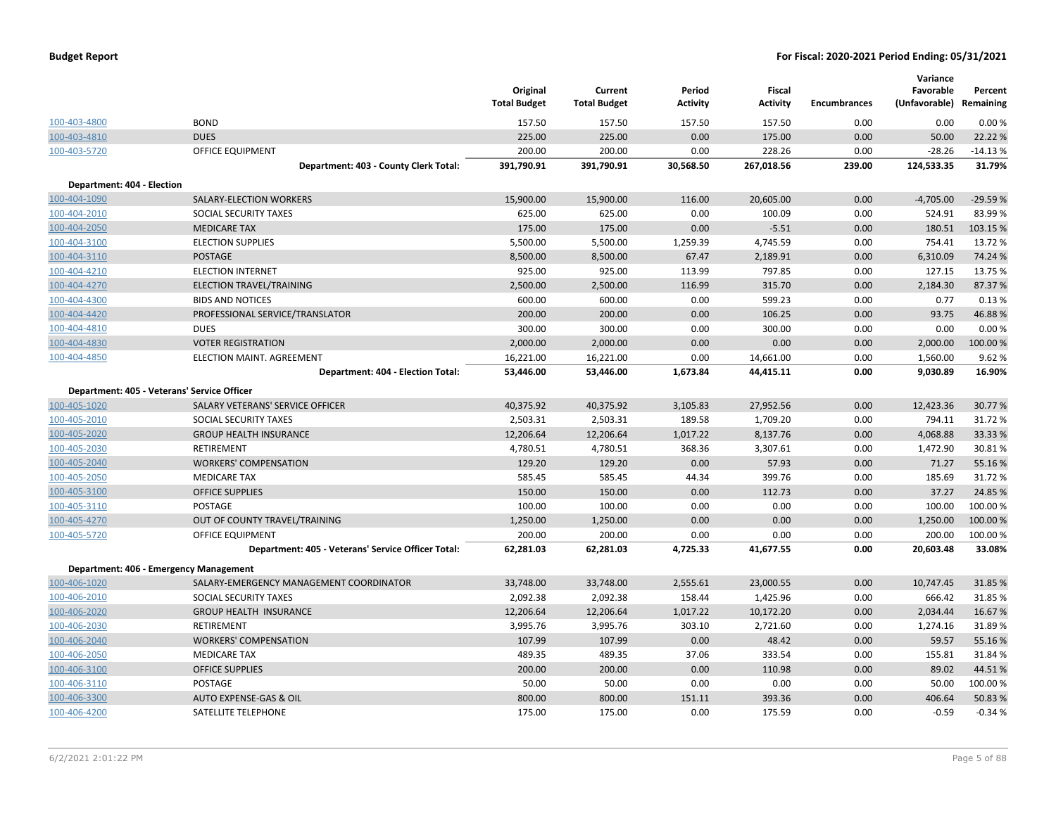| <b>Budget Report</b> |  |
|----------------------|--|
|----------------------|--|

|                            |                                                    | Original<br><b>Total Budget</b> | Current<br><b>Total Budget</b> | Period<br><b>Activity</b> | Fiscal<br><b>Activity</b> | <b>Encumbrances</b> | Variance<br>Favorable<br>(Unfavorable) Remaining | Percent   |
|----------------------------|----------------------------------------------------|---------------------------------|--------------------------------|---------------------------|---------------------------|---------------------|--------------------------------------------------|-----------|
| 100-403-4800               | <b>BOND</b>                                        | 157.50                          | 157.50                         | 157.50                    | 157.50                    | 0.00                | 0.00                                             | 0.00%     |
| 100-403-4810               | <b>DUES</b>                                        | 225.00                          | 225.00                         | 0.00                      | 175.00                    | 0.00                | 50.00                                            | 22.22 %   |
| 100-403-5720               | OFFICE EQUIPMENT                                   | 200.00                          | 200.00                         | 0.00                      | 228.26                    | 0.00                | $-28.26$                                         | $-14.13%$ |
|                            | Department: 403 - County Clerk Total:              | 391,790.91                      | 391,790.91                     | 30,568.50                 | 267,018.56                | 239.00              | 124,533.35                                       | 31.79%    |
| Department: 404 - Election |                                                    |                                 |                                |                           |                           |                     |                                                  |           |
| 100-404-1090               | SALARY-ELECTION WORKERS                            | 15,900.00                       | 15,900.00                      | 116.00                    | 20,605.00                 | 0.00                | $-4,705.00$                                      | $-29.59%$ |
| 100-404-2010               | SOCIAL SECURITY TAXES                              | 625.00                          | 625.00                         | 0.00                      | 100.09                    | 0.00                | 524.91                                           | 83.99%    |
| 100-404-2050               | <b>MEDICARE TAX</b>                                | 175.00                          | 175.00                         | 0.00                      | $-5.51$                   | 0.00                | 180.51                                           | 103.15 %  |
| 100-404-3100               | <b>ELECTION SUPPLIES</b>                           | 5,500.00                        | 5,500.00                       | 1,259.39                  | 4,745.59                  | 0.00                | 754.41                                           | 13.72 %   |
| 100-404-3110               | <b>POSTAGE</b>                                     | 8,500.00                        | 8,500.00                       | 67.47                     | 2,189.91                  | 0.00                | 6,310.09                                         | 74.24 %   |
| 100-404-4210               | <b>ELECTION INTERNET</b>                           | 925.00                          | 925.00                         | 113.99                    | 797.85                    | 0.00                | 127.15                                           | 13.75 %   |
| 100-404-4270               | ELECTION TRAVEL/TRAINING                           | 2,500.00                        | 2,500.00                       | 116.99                    | 315.70                    | 0.00                | 2,184.30                                         | 87.37 %   |
| 100-404-4300               | <b>BIDS AND NOTICES</b>                            | 600.00                          | 600.00                         | 0.00                      | 599.23                    | 0.00                | 0.77                                             | 0.13%     |
| 100-404-4420               | PROFESSIONAL SERVICE/TRANSLATOR                    | 200.00                          | 200.00                         | 0.00                      | 106.25                    | 0.00                | 93.75                                            | 46.88%    |
| 100-404-4810               | <b>DUES</b>                                        | 300.00                          | 300.00                         | 0.00                      | 300.00                    | 0.00                | 0.00                                             | 0.00%     |
| 100-404-4830               | <b>VOTER REGISTRATION</b>                          | 2,000.00                        | 2,000.00                       | 0.00                      | 0.00                      | 0.00                | 2,000.00                                         | 100.00 %  |
| 100-404-4850               | ELECTION MAINT. AGREEMENT                          | 16,221.00                       | 16,221.00                      | 0.00                      | 14,661.00                 | 0.00                | 1,560.00                                         | 9.62%     |
|                            | Department: 404 - Election Total:                  | 53,446.00                       | 53,446.00                      | 1,673.84                  | 44,415.11                 | 0.00                | 9,030.89                                         | 16.90%    |
|                            | Department: 405 - Veterans' Service Officer        |                                 |                                |                           |                           |                     |                                                  |           |
| 100-405-1020               | SALARY VETERANS' SERVICE OFFICER                   | 40,375.92                       | 40,375.92                      | 3,105.83                  | 27,952.56                 | 0.00                | 12,423.36                                        | 30.77 %   |
| 100-405-2010               | SOCIAL SECURITY TAXES                              | 2,503.31                        | 2,503.31                       | 189.58                    | 1,709.20                  | 0.00                | 794.11                                           | 31.72 %   |
| 100-405-2020               | <b>GROUP HEALTH INSURANCE</b>                      | 12,206.64                       | 12,206.64                      | 1,017.22                  | 8,137.76                  | 0.00                | 4,068.88                                         | 33.33 %   |
| 100-405-2030               | <b>RETIREMENT</b>                                  | 4,780.51                        | 4,780.51                       | 368.36                    | 3,307.61                  | 0.00                | 1,472.90                                         | 30.81%    |
| 100-405-2040               | <b>WORKERS' COMPENSATION</b>                       | 129.20                          | 129.20                         | 0.00                      | 57.93                     | 0.00                | 71.27                                            | 55.16 %   |
| 100-405-2050               | <b>MEDICARE TAX</b>                                | 585.45                          | 585.45                         | 44.34                     | 399.76                    | 0.00                | 185.69                                           | 31.72 %   |
| 100-405-3100               | <b>OFFICE SUPPLIES</b>                             | 150.00                          | 150.00                         | 0.00                      | 112.73                    | 0.00                | 37.27                                            | 24.85 %   |
| 100-405-3110               | POSTAGE                                            | 100.00                          | 100.00                         | 0.00                      | 0.00                      | 0.00                | 100.00                                           | 100.00%   |
| 100-405-4270               | OUT OF COUNTY TRAVEL/TRAINING                      | 1,250.00                        | 1,250.00                       | 0.00                      | 0.00                      | 0.00                | 1,250.00                                         | 100.00%   |
| 100-405-5720               | <b>OFFICE EQUIPMENT</b>                            | 200.00                          | 200.00                         | 0.00                      | 0.00                      | 0.00                | 200.00                                           | 100.00%   |
|                            | Department: 405 - Veterans' Service Officer Total: | 62,281.03                       | 62,281.03                      | 4,725.33                  | 41,677.55                 | 0.00                | 20,603.48                                        | 33.08%    |
|                            | Department: 406 - Emergency Management             |                                 |                                |                           |                           |                     |                                                  |           |
| 100-406-1020               | SALARY-EMERGENCY MANAGEMENT COORDINATOR            | 33,748.00                       | 33,748.00                      | 2,555.61                  | 23,000.55                 | 0.00                | 10,747.45                                        | 31.85 %   |
| 100-406-2010               | SOCIAL SECURITY TAXES                              | 2,092.38                        | 2,092.38                       | 158.44                    | 1,425.96                  | 0.00                | 666.42                                           | 31.85 %   |
| 100-406-2020               | <b>GROUP HEALTH INSURANCE</b>                      | 12,206.64                       | 12,206.64                      | 1,017.22                  | 10,172.20                 | 0.00                | 2,034.44                                         | 16.67%    |
| 100-406-2030               | <b>RETIREMENT</b>                                  | 3,995.76                        | 3,995.76                       | 303.10                    | 2,721.60                  | 0.00                | 1,274.16                                         | 31.89%    |
| 100-406-2040               | <b>WORKERS' COMPENSATION</b>                       | 107.99                          | 107.99                         | 0.00                      | 48.42                     | 0.00                | 59.57                                            | 55.16 %   |
| 100-406-2050               | <b>MEDICARE TAX</b>                                | 489.35                          | 489.35                         | 37.06                     | 333.54                    | 0.00                | 155.81                                           | 31.84 %   |
| 100-406-3100               | <b>OFFICE SUPPLIES</b>                             | 200.00                          | 200.00                         | 0.00                      | 110.98                    | 0.00                | 89.02                                            | 44.51%    |
| 100-406-3110               | POSTAGE                                            | 50.00                           | 50.00                          | 0.00                      | 0.00                      | 0.00                | 50.00                                            | 100.00%   |
| 100-406-3300               | AUTO EXPENSE-GAS & OIL                             | 800.00                          | 800.00                         | 151.11                    | 393.36                    | 0.00                | 406.64                                           | 50.83%    |
| 100-406-4200               | SATELLITE TELEPHONE                                | 175.00                          | 175.00                         | 0.00                      | 175.59                    | 0.00                | $-0.59$                                          | $-0.34%$  |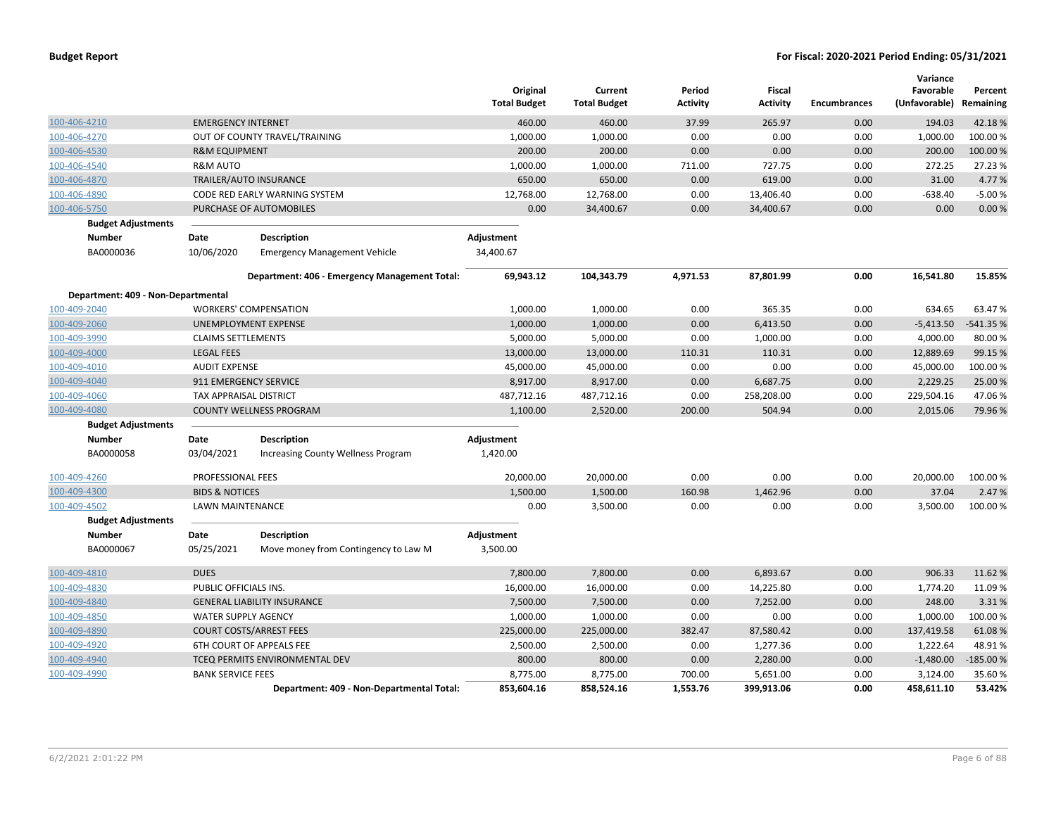|                                    |                            |                                               | Original<br><b>Total Budget</b> | Current<br><b>Total Budget</b> | Period<br><b>Activity</b> | <b>Fiscal</b><br><b>Activity</b> | <b>Encumbrances</b> | Variance<br>Favorable<br>(Unfavorable) Remaining | Percent    |
|------------------------------------|----------------------------|-----------------------------------------------|---------------------------------|--------------------------------|---------------------------|----------------------------------|---------------------|--------------------------------------------------|------------|
| 100-406-4210                       | <b>EMERGENCY INTERNET</b>  |                                               | 460.00                          | 460.00                         | 37.99                     | 265.97                           | 0.00                | 194.03                                           | 42.18%     |
| 100-406-4270                       |                            | OUT OF COUNTY TRAVEL/TRAINING                 | 1,000.00                        | 1,000.00                       | 0.00                      | 0.00                             | 0.00                | 1,000.00                                         | 100.00%    |
| 100-406-4530                       | <b>R&amp;M EQUIPMENT</b>   |                                               | 200.00                          | 200.00                         | 0.00                      | 0.00                             | 0.00                | 200.00                                           | 100.00%    |
| 100-406-4540                       | <b>R&amp;M AUTO</b>        |                                               | 1,000.00                        | 1,000.00                       | 711.00                    | 727.75                           | 0.00                | 272.25                                           | 27.23 %    |
| 100-406-4870                       |                            | TRAILER/AUTO INSURANCE                        | 650.00                          | 650.00                         | 0.00                      | 619.00                           | 0.00                | 31.00                                            | 4.77%      |
| 100-406-4890                       |                            | CODE RED EARLY WARNING SYSTEM                 | 12,768.00                       | 12,768.00                      | 0.00                      | 13,406.40                        | 0.00                | $-638.40$                                        | $-5.00%$   |
| 100-406-5750                       |                            | PURCHASE OF AUTOMOBILES                       | 0.00                            | 34,400.67                      | 0.00                      | 34,400.67                        | 0.00                | 0.00                                             | 0.00%      |
| <b>Budget Adjustments</b>          |                            |                                               |                                 |                                |                           |                                  |                     |                                                  |            |
| <b>Number</b>                      | Date                       | <b>Description</b>                            | Adjustment                      |                                |                           |                                  |                     |                                                  |            |
| BA0000036                          | 10/06/2020                 | <b>Emergency Management Vehicle</b>           | 34,400.67                       |                                |                           |                                  |                     |                                                  |            |
|                                    |                            | Department: 406 - Emergency Management Total: | 69,943.12                       | 104,343.79                     | 4,971.53                  | 87,801.99                        | 0.00                | 16,541.80                                        | 15.85%     |
| Department: 409 - Non-Departmental |                            |                                               |                                 |                                |                           |                                  |                     |                                                  |            |
| 100-409-2040                       |                            | <b>WORKERS' COMPENSATION</b>                  | 1,000.00                        | 1,000.00                       | 0.00                      | 365.35                           | 0.00                | 634.65                                           | 63.47%     |
| 100-409-2060                       |                            | UNEMPLOYMENT EXPENSE                          | 1,000.00                        | 1,000.00                       | 0.00                      | 6,413.50                         | 0.00                | $-5,413.50$                                      | -541.35 %  |
| 100-409-3990                       | <b>CLAIMS SETTLEMENTS</b>  |                                               | 5,000.00                        | 5,000.00                       | 0.00                      | 1,000.00                         | 0.00                | 4,000.00                                         | 80.00%     |
| 100-409-4000                       | <b>LEGAL FEES</b>          |                                               | 13,000.00                       | 13,000.00                      | 110.31                    | 110.31                           | 0.00                | 12,889.69                                        | 99.15 %    |
| 100-409-4010                       | <b>AUDIT EXPENSE</b>       |                                               | 45,000.00                       | 45,000.00                      | 0.00                      | 0.00                             | 0.00                | 45,000.00                                        | 100.00%    |
| 100-409-4040                       |                            | 911 EMERGENCY SERVICE                         | 8,917.00                        | 8,917.00                       | 0.00                      | 6,687.75                         | 0.00                | 2,229.25                                         | 25.00 %    |
| 100-409-4060                       | TAX APPRAISAL DISTRICT     |                                               | 487,712.16                      | 487,712.16                     | 0.00                      | 258,208.00                       | 0.00                | 229,504.16                                       | 47.06%     |
| 100-409-4080                       |                            | <b>COUNTY WELLNESS PROGRAM</b>                | 1,100.00                        | 2,520.00                       | 200.00                    | 504.94                           | 0.00                | 2,015.06                                         | 79.96%     |
| <b>Budget Adjustments</b>          |                            |                                               |                                 |                                |                           |                                  |                     |                                                  |            |
| <b>Number</b>                      | Date                       | <b>Description</b>                            | Adjustment                      |                                |                           |                                  |                     |                                                  |            |
| BA0000058                          | 03/04/2021                 | Increasing County Wellness Program            | 1,420.00                        |                                |                           |                                  |                     |                                                  |            |
| 100-409-4260                       | PROFESSIONAL FEES          |                                               | 20,000.00                       | 20,000.00                      | 0.00                      | 0.00                             | 0.00                | 20,000.00                                        | 100.00 %   |
| 100-409-4300                       | <b>BIDS &amp; NOTICES</b>  |                                               | 1,500.00                        | 1,500.00                       | 160.98                    | 1,462.96                         | 0.00                | 37.04                                            | 2.47 %     |
| 100-409-4502                       | LAWN MAINTENANCE           |                                               | 0.00                            | 3,500.00                       | 0.00                      | 0.00                             | 0.00                | 3,500.00                                         | 100.00 %   |
| <b>Budget Adjustments</b>          |                            |                                               |                                 |                                |                           |                                  |                     |                                                  |            |
| <b>Number</b>                      | Date                       | <b>Description</b>                            | Adjustment                      |                                |                           |                                  |                     |                                                  |            |
| BA0000067                          | 05/25/2021                 | Move money from Contingency to Law M          | 3,500.00                        |                                |                           |                                  |                     |                                                  |            |
| 100-409-4810                       | <b>DUES</b>                |                                               | 7,800.00                        | 7,800.00                       | 0.00                      | 6,893.67                         | 0.00                | 906.33                                           | 11.62%     |
| 100-409-4830                       | PUBLIC OFFICIALS INS.      |                                               | 16,000.00                       | 16,000.00                      | 0.00                      | 14,225.80                        | 0.00                | 1,774.20                                         | 11.09%     |
| 100-409-4840                       |                            | <b>GENERAL LIABILITY INSURANCE</b>            | 7,500.00                        | 7,500.00                       | 0.00                      | 7,252.00                         | 0.00                | 248.00                                           | 3.31%      |
| 100-409-4850                       | <b>WATER SUPPLY AGENCY</b> |                                               | 1,000.00                        | 1,000.00                       | 0.00                      | 0.00                             | 0.00                | 1,000.00                                         | 100.00%    |
| 100-409-4890                       |                            | <b>COURT COSTS/ARREST FEES</b>                | 225,000.00                      | 225,000.00                     | 382.47                    | 87,580.42                        | 0.00                | 137,419.58                                       | 61.08%     |
| 100-409-4920                       |                            | 6TH COURT OF APPEALS FEE                      | 2,500.00                        | 2,500.00                       | 0.00                      | 1,277.36                         | 0.00                | 1,222.64                                         | 48.91%     |
| 100-409-4940                       |                            | TCEQ PERMITS ENVIRONMENTAL DEV                | 800.00                          | 800.00                         | 0.00                      | 2,280.00                         | 0.00                | $-1,480.00$                                      | $-185.00%$ |
| 100-409-4990                       | <b>BANK SERVICE FEES</b>   |                                               | 8,775.00                        | 8,775.00                       | 700.00                    | 5,651.00                         | 0.00                | 3,124.00                                         | 35.60%     |
|                                    |                            | Department: 409 - Non-Departmental Total:     | 853,604.16                      | 858,524.16                     | 1,553.76                  | 399,913.06                       | 0.00                | 458,611.10                                       | 53.42%     |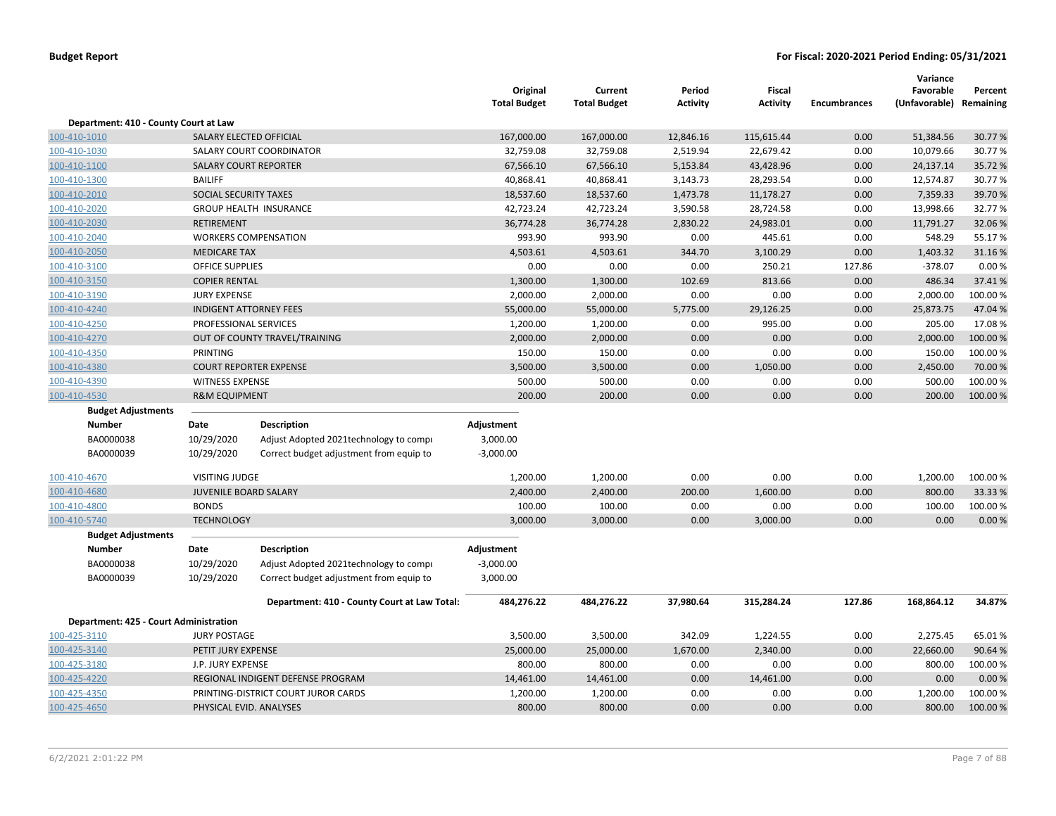|                                        |                              |                                              | Original<br><b>Total Budget</b> | Current<br><b>Total Budget</b> | Period<br><b>Activity</b> | <b>Fiscal</b><br><b>Activity</b> | <b>Encumbrances</b> | Variance<br>Favorable<br>(Unfavorable) Remaining | Percent  |
|----------------------------------------|------------------------------|----------------------------------------------|---------------------------------|--------------------------------|---------------------------|----------------------------------|---------------------|--------------------------------------------------|----------|
| Department: 410 - County Court at Law  |                              |                                              |                                 |                                |                           |                                  |                     |                                                  |          |
| 100-410-1010                           |                              | SALARY ELECTED OFFICIAL                      | 167,000.00                      | 167,000.00                     | 12,846.16                 | 115,615.44                       | 0.00                | 51,384.56                                        | 30.77%   |
| 100-410-1030                           |                              | SALARY COURT COORDINATOR                     | 32,759.08                       | 32,759.08                      | 2,519.94                  | 22,679.42                        | 0.00                | 10,079.66                                        | 30.77%   |
| 100-410-1100                           |                              | <b>SALARY COURT REPORTER</b>                 | 67,566.10                       | 67,566.10                      | 5,153.84                  | 43,428.96                        | 0.00                | 24,137.14                                        | 35.72%   |
| 100-410-1300                           | <b>BAILIFF</b>               |                                              | 40,868.41                       | 40,868.41                      | 3,143.73                  | 28,293.54                        | 0.00                | 12,574.87                                        | 30.77%   |
| 100-410-2010                           | SOCIAL SECURITY TAXES        |                                              | 18,537.60                       | 18,537.60                      | 1,473.78                  | 11,178.27                        | 0.00                | 7,359.33                                         | 39.70%   |
| 100-410-2020                           |                              | <b>GROUP HEALTH INSURANCE</b>                | 42,723.24                       | 42,723.24                      | 3,590.58                  | 28,724.58                        | 0.00                | 13,998.66                                        | 32.77%   |
| 100-410-2030                           | <b>RETIREMENT</b>            |                                              | 36,774.28                       | 36,774.28                      | 2,830.22                  | 24,983.01                        | 0.00                | 11,791.27                                        | 32.06 %  |
| 100-410-2040                           |                              | <b>WORKERS COMPENSATION</b>                  | 993.90                          | 993.90                         | 0.00                      | 445.61                           | 0.00                | 548.29                                           | 55.17%   |
| 100-410-2050                           | <b>MEDICARE TAX</b>          |                                              | 4,503.61                        | 4,503.61                       | 344.70                    | 3,100.29                         | 0.00                | 1,403.32                                         | 31.16%   |
| 100-410-3100                           | <b>OFFICE SUPPLIES</b>       |                                              | 0.00                            | 0.00                           | 0.00                      | 250.21                           | 127.86              | $-378.07$                                        | 0.00%    |
| 100-410-3150                           | <b>COPIER RENTAL</b>         |                                              | 1,300.00                        | 1,300.00                       | 102.69                    | 813.66                           | 0.00                | 486.34                                           | 37.41%   |
| 100-410-3190                           | <b>JURY EXPENSE</b>          |                                              | 2,000.00                        | 2,000.00                       | 0.00                      | 0.00                             | 0.00                | 2,000.00                                         | 100.00%  |
| 100-410-4240                           |                              | <b>INDIGENT ATTORNEY FEES</b>                | 55,000.00                       | 55,000.00                      | 5,775.00                  | 29,126.25                        | 0.00                | 25,873.75                                        | 47.04 %  |
| 100-410-4250                           | PROFESSIONAL SERVICES        |                                              | 1,200.00                        | 1,200.00                       | 0.00                      | 995.00                           | 0.00                | 205.00                                           | 17.08%   |
| 100-410-4270                           |                              | OUT OF COUNTY TRAVEL/TRAINING                | 2,000.00                        | 2,000.00                       | 0.00                      | 0.00                             | 0.00                | 2,000.00                                         | 100.00 % |
| 100-410-4350                           | PRINTING                     |                                              | 150.00                          | 150.00                         | 0.00                      | 0.00                             | 0.00                | 150.00                                           | 100.00 % |
| 100-410-4380                           |                              | <b>COURT REPORTER EXPENSE</b>                | 3,500.00                        | 3,500.00                       | 0.00                      | 1,050.00                         | 0.00                | 2,450.00                                         | 70.00 %  |
| 100-410-4390                           | <b>WITNESS EXPENSE</b>       |                                              | 500.00                          | 500.00                         | 0.00                      | 0.00                             | 0.00                | 500.00                                           | 100.00 % |
| 100-410-4530                           | <b>R&amp;M EQUIPMENT</b>     |                                              | 200.00                          | 200.00                         | 0.00                      | 0.00                             | 0.00                | 200.00                                           | 100.00 % |
| <b>Budget Adjustments</b>              |                              |                                              |                                 |                                |                           |                                  |                     |                                                  |          |
| Number                                 | Date                         | <b>Description</b>                           | Adjustment                      |                                |                           |                                  |                     |                                                  |          |
| BA0000038                              | 10/29/2020                   | Adjust Adopted 2021technology to compi       | 3,000.00                        |                                |                           |                                  |                     |                                                  |          |
| BA0000039                              | 10/29/2020                   | Correct budget adjustment from equip to      | $-3,000.00$                     |                                |                           |                                  |                     |                                                  |          |
| 100-410-4670                           | <b>VISITING JUDGE</b>        |                                              | 1,200.00                        | 1,200.00                       | 0.00                      | 0.00                             | 0.00                | 1,200.00                                         | 100.00%  |
| 100-410-4680                           | <b>JUVENILE BOARD SALARY</b> |                                              | 2,400.00                        | 2,400.00                       | 200.00                    | 1,600.00                         | 0.00                | 800.00                                           | 33.33 %  |
| 100-410-4800                           | <b>BONDS</b>                 |                                              | 100.00                          | 100.00                         | 0.00                      | 0.00                             | 0.00                | 100.00                                           | 100.00%  |
| 100-410-5740                           | <b>TECHNOLOGY</b>            |                                              | 3,000.00                        | 3,000.00                       | 0.00                      | 3,000.00                         | 0.00                | 0.00                                             | 0.00%    |
| <b>Budget Adjustments</b>              |                              |                                              |                                 |                                |                           |                                  |                     |                                                  |          |
| <b>Number</b>                          | Date                         | <b>Description</b>                           | Adjustment                      |                                |                           |                                  |                     |                                                  |          |
| BA0000038                              | 10/29/2020                   | Adjust Adopted 2021technology to compi       | $-3,000.00$                     |                                |                           |                                  |                     |                                                  |          |
| BA0000039                              | 10/29/2020                   | Correct budget adjustment from equip to      | 3,000.00                        |                                |                           |                                  |                     |                                                  |          |
|                                        |                              | Department: 410 - County Court at Law Total: | 484,276.22                      | 484,276.22                     | 37,980.64                 | 315,284.24                       | 127.86              | 168,864.12                                       | 34.87%   |
| Department: 425 - Court Administration |                              |                                              |                                 |                                |                           |                                  |                     |                                                  |          |
| 100-425-3110                           | <b>JURY POSTAGE</b>          |                                              | 3,500.00                        | 3,500.00                       | 342.09                    | 1,224.55                         | 0.00                | 2,275.45                                         | 65.01%   |
| 100-425-3140                           | PETIT JURY EXPENSE           |                                              | 25,000.00                       | 25,000.00                      | 1,670.00                  | 2,340.00                         | 0.00                | 22,660.00                                        | 90.64%   |
| 100-425-3180                           | J.P. JURY EXPENSE            |                                              | 800.00                          | 800.00                         | 0.00                      | 0.00                             | 0.00                | 800.00                                           | 100.00%  |
| 100-425-4220                           |                              | REGIONAL INDIGENT DEFENSE PROGRAM            | 14,461.00                       | 14,461.00                      | 0.00                      | 14,461.00                        | 0.00                | 0.00                                             | 0.00%    |
| 100-425-4350                           |                              | PRINTING-DISTRICT COURT JUROR CARDS          | 1,200.00                        | 1,200.00                       | 0.00                      | 0.00                             | 0.00                | 1,200.00                                         | 100.00 % |
| 100-425-4650                           |                              | PHYSICAL EVID. ANALYSES                      | 800.00                          | 800.00                         | 0.00                      | 0.00                             | 0.00                | 800.00                                           | 100.00 % |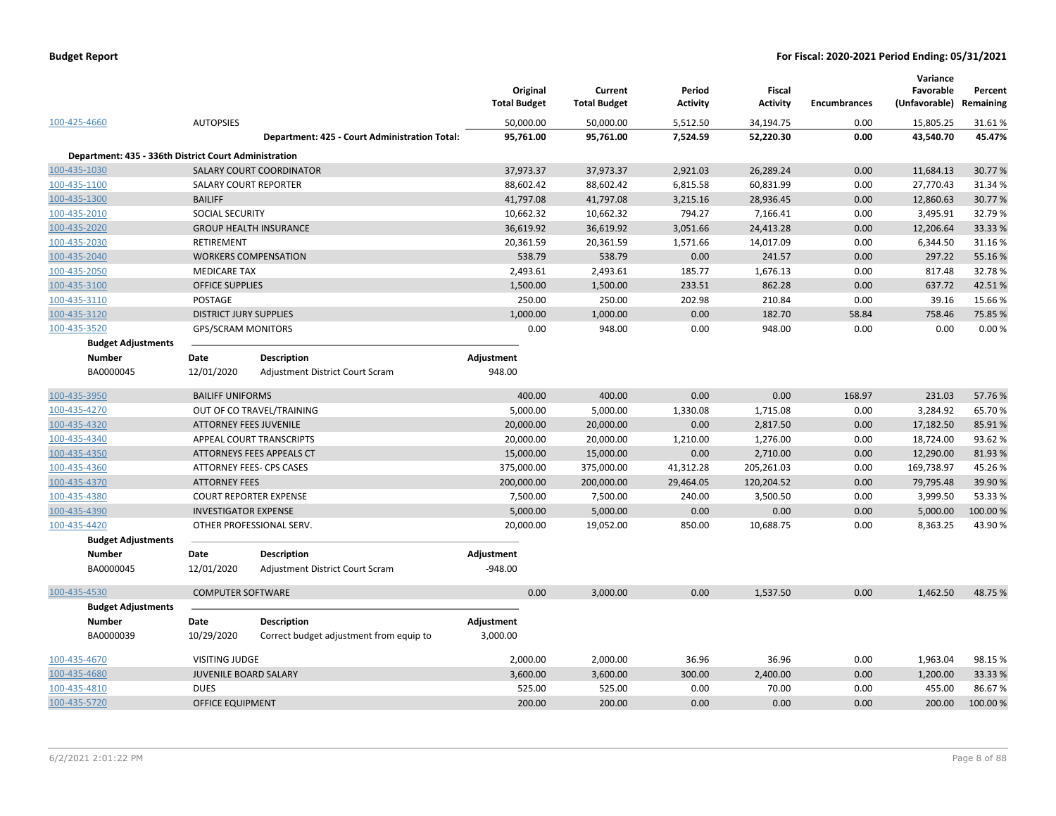|                                                       |                               |                                               | Original<br><b>Total Budget</b> | Current<br><b>Total Budget</b> | Period<br><b>Activity</b> | <b>Fiscal</b><br><b>Activity</b> | <b>Encumbrances</b> | Variance<br>Favorable<br>(Unfavorable) | Percent<br>Remaining |
|-------------------------------------------------------|-------------------------------|-----------------------------------------------|---------------------------------|--------------------------------|---------------------------|----------------------------------|---------------------|----------------------------------------|----------------------|
| 100-425-4660                                          | <b>AUTOPSIES</b>              |                                               | 50,000.00                       | 50,000.00                      | 5,512.50                  | 34,194.75                        | 0.00                | 15,805.25                              | 31.61%               |
|                                                       |                               | Department: 425 - Court Administration Total: | 95,761.00                       | 95,761.00                      | 7,524.59                  | 52,220.30                        | 0.00                | 43,540.70                              | 45.47%               |
| Department: 435 - 336th District Court Administration |                               |                                               |                                 |                                |                           |                                  |                     |                                        |                      |
| 100-435-1030                                          |                               | <b>SALARY COURT COORDINATOR</b>               | 37,973.37                       | 37,973.37                      | 2,921.03                  | 26,289.24                        | 0.00                | 11,684.13                              | 30.77%               |
| 100-435-1100                                          |                               | <b>SALARY COURT REPORTER</b>                  | 88,602.42                       | 88,602.42                      | 6,815.58                  | 60,831.99                        | 0.00                | 27,770.43                              | 31.34 %              |
| 100-435-1300                                          | <b>BAILIFF</b>                |                                               | 41,797.08                       | 41,797.08                      | 3,215.16                  | 28,936.45                        | 0.00                | 12,860.63                              | 30.77%               |
| 100-435-2010                                          | SOCIAL SECURITY               |                                               | 10,662.32                       | 10,662.32                      | 794.27                    | 7,166.41                         | 0.00                | 3,495.91                               | 32.79%               |
| 100-435-2020                                          |                               | <b>GROUP HEALTH INSURANCE</b>                 | 36,619.92                       | 36,619.92                      | 3,051.66                  | 24,413.28                        | 0.00                | 12,206.64                              | 33.33 %              |
| 100-435-2030                                          | RETIREMENT                    |                                               | 20,361.59                       | 20,361.59                      | 1,571.66                  | 14,017.09                        | 0.00                | 6,344.50                               | 31.16%               |
| 100-435-2040                                          |                               | <b>WORKERS COMPENSATION</b>                   | 538.79                          | 538.79                         | 0.00                      | 241.57                           | 0.00                | 297.22                                 | 55.16%               |
| 100-435-2050                                          | <b>MEDICARE TAX</b>           |                                               | 2,493.61                        | 2,493.61                       | 185.77                    | 1,676.13                         | 0.00                | 817.48                                 | 32.78%               |
| 100-435-3100                                          | <b>OFFICE SUPPLIES</b>        |                                               | 1,500.00                        | 1,500.00                       | 233.51                    | 862.28                           | 0.00                | 637.72                                 | 42.51%               |
| 100-435-3110                                          | <b>POSTAGE</b>                |                                               | 250.00                          | 250.00                         | 202.98                    | 210.84                           | 0.00                | 39.16                                  | 15.66%               |
| 100-435-3120                                          | <b>DISTRICT JURY SUPPLIES</b> |                                               | 1,000.00                        | 1,000.00                       | 0.00                      | 182.70                           | 58.84               | 758.46                                 | 75.85 %              |
| 100-435-3520                                          | <b>GPS/SCRAM MONITORS</b>     |                                               | 0.00                            | 948.00                         | 0.00                      | 948.00                           | 0.00                | 0.00                                   | 0.00%                |
| <b>Budget Adjustments</b>                             |                               |                                               |                                 |                                |                           |                                  |                     |                                        |                      |
| <b>Number</b>                                         | Date                          | <b>Description</b>                            | Adjustment                      |                                |                           |                                  |                     |                                        |                      |
| BA0000045                                             | 12/01/2020                    | Adjustment District Court Scram               | 948.00                          |                                |                           |                                  |                     |                                        |                      |
| 100-435-3950                                          | <b>BAILIFF UNIFORMS</b>       |                                               | 400.00                          | 400.00                         | 0.00                      | 0.00                             | 168.97              | 231.03                                 | 57.76%               |
| 100-435-4270                                          |                               | OUT OF CO TRAVEL/TRAINING                     | 5,000.00                        | 5,000.00                       | 1,330.08                  | 1,715.08                         | 0.00                | 3,284.92                               | 65.70%               |
| 100-435-4320                                          | <b>ATTORNEY FEES JUVENILE</b> |                                               | 20,000.00                       | 20,000.00                      | 0.00                      | 2,817.50                         | 0.00                | 17,182.50                              | 85.91%               |
| 100-435-4340                                          |                               | APPEAL COURT TRANSCRIPTS                      | 20,000.00                       | 20,000.00                      | 1,210.00                  | 1,276.00                         | 0.00                | 18,724.00                              | 93.62%               |
| 100-435-4350                                          |                               | ATTORNEYS FEES APPEALS CT                     | 15,000.00                       | 15,000.00                      | 0.00                      | 2,710.00                         | 0.00                | 12,290.00                              | 81.93%               |
| 100-435-4360                                          |                               | ATTORNEY FEES- CPS CASES                      | 375,000.00                      | 375,000.00                     | 41,312.28                 | 205,261.03                       | 0.00                | 169,738.97                             | 45.26%               |
| 100-435-4370                                          | <b>ATTORNEY FEES</b>          |                                               | 200,000.00                      | 200,000.00                     | 29,464.05                 | 120,204.52                       | 0.00                | 79,795.48                              | 39.90 %              |
| 100-435-4380                                          |                               | <b>COURT REPORTER EXPENSE</b>                 | 7,500.00                        | 7,500.00                       | 240.00                    | 3,500.50                         | 0.00                | 3,999.50                               | 53.33 %              |
| 100-435-4390                                          | <b>INVESTIGATOR EXPENSE</b>   |                                               | 5,000.00                        | 5,000.00                       | 0.00                      | 0.00                             | 0.00                | 5,000.00                               | 100.00%              |
| 100-435-4420                                          |                               | OTHER PROFESSIONAL SERV.                      | 20,000.00                       | 19,052.00                      | 850.00                    | 10,688.75                        | 0.00                | 8,363.25                               | 43.90%               |
| <b>Budget Adjustments</b>                             |                               |                                               |                                 |                                |                           |                                  |                     |                                        |                      |
| <b>Number</b>                                         | Date                          | Description                                   | Adjustment                      |                                |                           |                                  |                     |                                        |                      |
| BA0000045                                             | 12/01/2020                    | Adjustment District Court Scram               | $-948.00$                       |                                |                           |                                  |                     |                                        |                      |
| 100-435-4530                                          | <b>COMPUTER SOFTWARE</b>      |                                               | 0.00                            | 3,000.00                       | 0.00                      | 1,537.50                         | 0.00                | 1,462.50                               | 48.75%               |
| <b>Budget Adjustments</b>                             |                               |                                               |                                 |                                |                           |                                  |                     |                                        |                      |
| <b>Number</b>                                         | Date                          | <b>Description</b>                            | Adjustment                      |                                |                           |                                  |                     |                                        |                      |
| BA0000039                                             | 10/29/2020                    | Correct budget adjustment from equip to       | 3,000.00                        |                                |                           |                                  |                     |                                        |                      |
| 100-435-4670                                          | <b>VISITING JUDGE</b>         |                                               | 2,000.00                        | 2,000.00                       | 36.96                     | 36.96                            | 0.00                | 1,963.04                               | 98.15%               |
| 100-435-4680                                          | <b>JUVENILE BOARD SALARY</b>  |                                               | 3,600.00                        | 3,600.00                       | 300.00                    | 2,400.00                         | 0.00                | 1,200.00                               | 33.33 %              |
| 100-435-4810                                          | <b>DUES</b>                   |                                               | 525.00                          | 525.00                         | 0.00                      | 70.00                            | 0.00                | 455.00                                 | 86.67%               |
| 100-435-5720                                          | <b>OFFICE EQUIPMENT</b>       |                                               | 200.00                          | 200.00                         | 0.00                      | 0.00                             | 0.00                | 200.00                                 | 100.00 %             |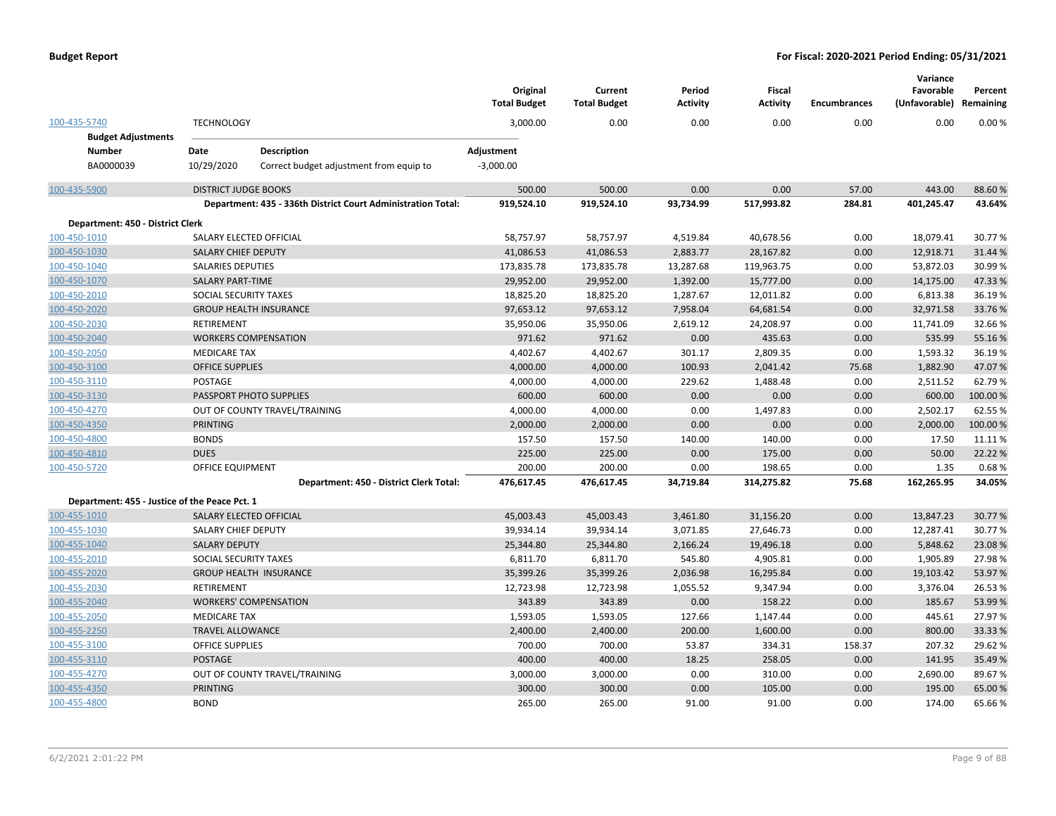|                                               |                                                              | Original<br><b>Total Budget</b> | Current<br><b>Total Budget</b> | Period<br><b>Activity</b> | <b>Fiscal</b><br><b>Activity</b> | <b>Encumbrances</b> | Variance<br>Favorable<br>(Unfavorable) | Percent<br>Remaining |
|-----------------------------------------------|--------------------------------------------------------------|---------------------------------|--------------------------------|---------------------------|----------------------------------|---------------------|----------------------------------------|----------------------|
| 100-435-5740                                  | <b>TECHNOLOGY</b>                                            | 3,000.00                        | 0.00                           | 0.00                      | 0.00                             | 0.00                | 0.00                                   | 0.00%                |
| <b>Budget Adjustments</b>                     |                                                              |                                 |                                |                           |                                  |                     |                                        |                      |
| <b>Number</b>                                 | Date<br><b>Description</b>                                   | Adjustment                      |                                |                           |                                  |                     |                                        |                      |
| BA0000039                                     | 10/29/2020<br>Correct budget adjustment from equip to        | $-3,000.00$                     |                                |                           |                                  |                     |                                        |                      |
| 100-435-5900                                  | <b>DISTRICT JUDGE BOOKS</b>                                  | 500.00                          | 500.00                         | 0.00                      | 0.00                             | 57.00               | 443.00                                 | 88.60%               |
|                                               | Department: 435 - 336th District Court Administration Total: | 919,524.10                      | 919,524.10                     | 93,734.99                 | 517,993.82                       | 284.81              | 401,245.47                             | 43.64%               |
| Department: 450 - District Clerk              |                                                              |                                 |                                |                           |                                  |                     |                                        |                      |
| 100-450-1010                                  | SALARY ELECTED OFFICIAL                                      | 58,757.97                       | 58,757.97                      | 4,519.84                  | 40,678.56                        | 0.00                | 18,079.41                              | 30.77%               |
| 100-450-1030                                  | <b>SALARY CHIEF DEPUTY</b>                                   | 41,086.53                       | 41,086.53                      | 2,883.77                  | 28,167.82                        | 0.00                | 12,918.71                              | 31.44 %              |
| 100-450-1040                                  | <b>SALARIES DEPUTIES</b>                                     | 173,835.78                      | 173,835.78                     | 13,287.68                 | 119,963.75                       | 0.00                | 53,872.03                              | 30.99%               |
| 100-450-1070                                  | <b>SALARY PART-TIME</b>                                      | 29,952.00                       | 29,952.00                      | 1,392.00                  | 15,777.00                        | 0.00                | 14,175.00                              | 47.33 %              |
| 100-450-2010                                  | SOCIAL SECURITY TAXES                                        | 18,825.20                       | 18,825.20                      | 1,287.67                  | 12,011.82                        | 0.00                | 6,813.38                               | 36.19%               |
| 100-450-2020                                  | <b>GROUP HEALTH INSURANCE</b>                                | 97,653.12                       | 97,653.12                      | 7,958.04                  | 64,681.54                        | 0.00                | 32,971.58                              | 33.76%               |
| 100-450-2030                                  | <b>RETIREMENT</b>                                            | 35,950.06                       | 35,950.06                      | 2,619.12                  | 24,208.97                        | 0.00                | 11,741.09                              | 32.66%               |
| 100-450-2040                                  | <b>WORKERS COMPENSATION</b>                                  | 971.62                          | 971.62                         | 0.00                      | 435.63                           | 0.00                | 535.99                                 | 55.16%               |
| 100-450-2050                                  | <b>MEDICARE TAX</b>                                          | 4,402.67                        | 4,402.67                       | 301.17                    | 2,809.35                         | 0.00                | 1,593.32                               | 36.19%               |
| 100-450-3100                                  | <b>OFFICE SUPPLIES</b>                                       | 4,000.00                        | 4,000.00                       | 100.93                    | 2,041.42                         | 75.68               | 1,882.90                               | 47.07%               |
| 100-450-3110                                  | POSTAGE                                                      | 4,000.00                        | 4,000.00                       | 229.62                    | 1,488.48                         | 0.00                | 2,511.52                               | 62.79%               |
| 100-450-3130                                  | PASSPORT PHOTO SUPPLIES                                      | 600.00                          | 600.00                         | 0.00                      | 0.00                             | 0.00                | 600.00                                 | 100.00%              |
| 100-450-4270                                  | OUT OF COUNTY TRAVEL/TRAINING                                | 4,000.00                        | 4,000.00                       | 0.00                      | 1,497.83                         | 0.00                | 2,502.17                               | 62.55%               |
| 100-450-4350                                  | <b>PRINTING</b>                                              | 2,000.00                        | 2,000.00                       | 0.00                      | 0.00                             | 0.00                | 2,000.00                               | 100.00%              |
| 100-450-4800                                  | <b>BONDS</b>                                                 | 157.50                          | 157.50                         | 140.00                    | 140.00                           | 0.00                | 17.50                                  | 11.11%               |
| 100-450-4810                                  | <b>DUES</b>                                                  | 225.00                          | 225.00                         | 0.00                      | 175.00                           | 0.00                | 50.00                                  | 22.22%               |
| 100-450-5720                                  | <b>OFFICE EQUIPMENT</b>                                      | 200.00                          | 200.00                         | 0.00                      | 198.65                           | 0.00                | 1.35                                   | 0.68%                |
|                                               | Department: 450 - District Clerk Total:                      | 476,617.45                      | 476,617.45                     | 34,719.84                 | 314,275.82                       | 75.68               | 162,265.95                             | 34.05%               |
| Department: 455 - Justice of the Peace Pct. 1 |                                                              |                                 |                                |                           |                                  |                     |                                        |                      |
| 100-455-1010                                  | SALARY ELECTED OFFICIAL                                      | 45,003.43                       | 45,003.43                      | 3,461.80                  | 31,156.20                        | 0.00                | 13,847.23                              | 30.77%               |
| 100-455-1030                                  | SALARY CHIEF DEPUTY                                          | 39,934.14                       | 39,934.14                      | 3,071.85                  | 27,646.73                        | 0.00                | 12,287.41                              | 30.77%               |
| 100-455-1040                                  | <b>SALARY DEPUTY</b>                                         | 25,344.80                       | 25,344.80                      | 2,166.24                  | 19,496.18                        | 0.00                | 5,848.62                               | 23.08%               |
| 100-455-2010                                  | SOCIAL SECURITY TAXES                                        | 6,811.70                        | 6,811.70                       | 545.80                    | 4,905.81                         | 0.00                | 1,905.89                               | 27.98%               |
| 100-455-2020                                  | <b>GROUP HEALTH INSURANCE</b>                                | 35,399.26                       | 35,399.26                      | 2,036.98                  | 16,295.84                        | 0.00                | 19,103.42                              | 53.97%               |
| 100-455-2030                                  | RETIREMENT                                                   | 12,723.98                       | 12,723.98                      | 1,055.52                  | 9,347.94                         | 0.00                | 3,376.04                               | 26.53%               |
| 100-455-2040                                  | <b>WORKERS' COMPENSATION</b>                                 | 343.89                          | 343.89                         | 0.00                      | 158.22                           | 0.00                | 185.67                                 | 53.99%               |
| 100-455-2050                                  | <b>MEDICARE TAX</b>                                          | 1,593.05                        | 1,593.05                       | 127.66                    | 1,147.44                         | 0.00                | 445.61                                 | 27.97%               |
| 100-455-2250                                  | <b>TRAVEL ALLOWANCE</b>                                      | 2,400.00                        | 2,400.00                       | 200.00                    | 1,600.00                         | 0.00                | 800.00                                 | 33.33 %              |
| 100-455-3100                                  | OFFICE SUPPLIES                                              | 700.00                          | 700.00                         | 53.87                     | 334.31                           | 158.37              | 207.32                                 | 29.62%               |
| 100-455-3110                                  | <b>POSTAGE</b>                                               | 400.00                          | 400.00                         | 18.25                     | 258.05                           | 0.00                | 141.95                                 | 35.49%               |
| 100-455-4270                                  | OUT OF COUNTY TRAVEL/TRAINING                                | 3,000.00                        | 3,000.00                       | 0.00                      | 310.00                           | 0.00                | 2,690.00                               | 89.67%               |
| 100-455-4350                                  | <b>PRINTING</b>                                              | 300.00                          | 300.00                         | 0.00                      | 105.00                           | 0.00                | 195.00                                 | 65.00 %              |
| 100-455-4800                                  | <b>BOND</b>                                                  | 265.00                          | 265.00                         | 91.00                     | 91.00                            | 0.00                | 174.00                                 | 65.66%               |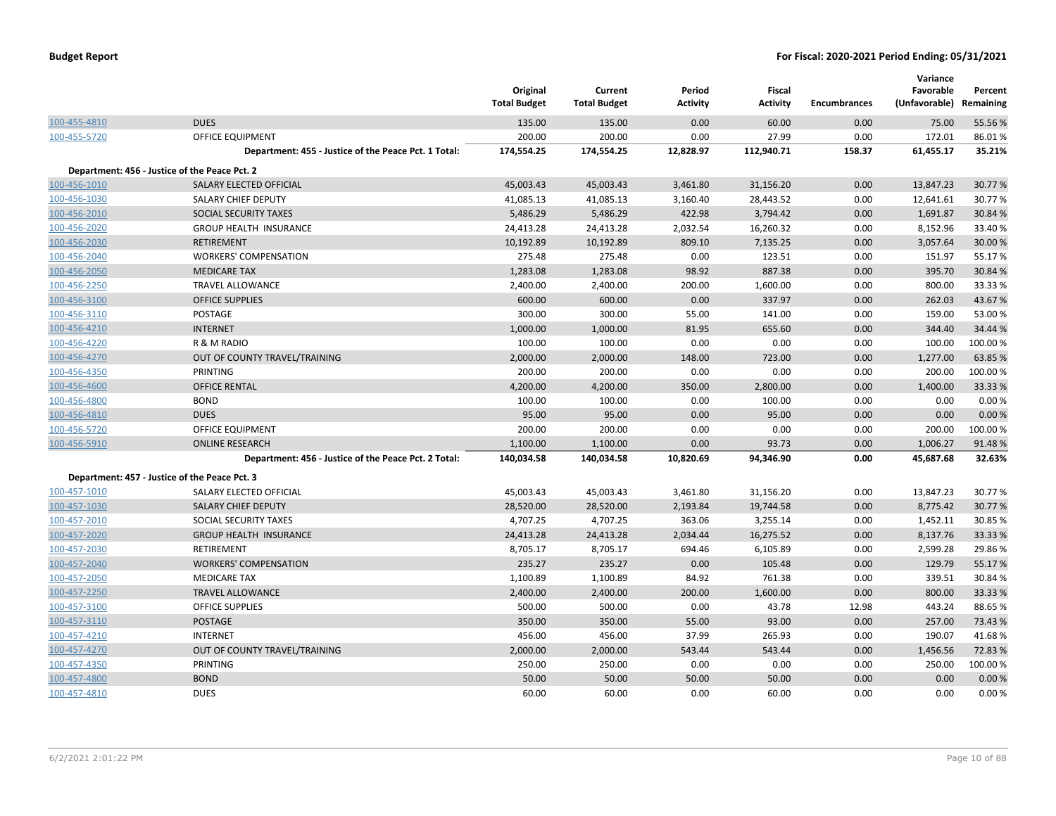|              |                                                      | Original<br><b>Total Budget</b> | Current<br><b>Total Budget</b> | Period<br><b>Activity</b> | <b>Fiscal</b><br><b>Activity</b> | <b>Encumbrances</b> | Variance<br>Favorable<br>(Unfavorable) | Percent<br>Remaining |
|--------------|------------------------------------------------------|---------------------------------|--------------------------------|---------------------------|----------------------------------|---------------------|----------------------------------------|----------------------|
| 100-455-4810 | <b>DUES</b>                                          | 135.00                          | 135.00                         | 0.00                      | 60.00                            | 0.00                | 75.00                                  | 55.56%               |
| 100-455-5720 | <b>OFFICE EQUIPMENT</b>                              | 200.00                          | 200.00                         | 0.00                      | 27.99                            | 0.00                | 172.01                                 | 86.01%               |
|              | Department: 455 - Justice of the Peace Pct. 1 Total: | 174,554.25                      | 174,554.25                     | 12,828.97                 | 112,940.71                       | 158.37              | 61,455.17                              | 35.21%               |
|              | Department: 456 - Justice of the Peace Pct. 2        |                                 |                                |                           |                                  |                     |                                        |                      |
| 100-456-1010 | SALARY ELECTED OFFICIAL                              | 45,003.43                       | 45,003.43                      | 3,461.80                  | 31,156.20                        | 0.00                | 13,847.23                              | 30.77%               |
| 100-456-1030 | SALARY CHIEF DEPUTY                                  | 41,085.13                       | 41,085.13                      | 3,160.40                  | 28,443.52                        | 0.00                | 12,641.61                              | 30.77%               |
| 100-456-2010 | SOCIAL SECURITY TAXES                                | 5,486.29                        | 5,486.29                       | 422.98                    | 3,794.42                         | 0.00                | 1,691.87                               | 30.84 %              |
| 100-456-2020 | <b>GROUP HEALTH INSURANCE</b>                        | 24,413.28                       | 24,413.28                      | 2,032.54                  | 16,260.32                        | 0.00                | 8,152.96                               | 33.40%               |
| 100-456-2030 | <b>RETIREMENT</b>                                    | 10,192.89                       | 10,192.89                      | 809.10                    | 7,135.25                         | 0.00                | 3,057.64                               | 30.00 %              |
| 100-456-2040 | <b>WORKERS' COMPENSATION</b>                         | 275.48                          | 275.48                         | 0.00                      | 123.51                           | 0.00                | 151.97                                 | 55.17%               |
| 100-456-2050 | <b>MEDICARE TAX</b>                                  | 1,283.08                        | 1,283.08                       | 98.92                     | 887.38                           | 0.00                | 395.70                                 | 30.84 %              |
| 100-456-2250 | <b>TRAVEL ALLOWANCE</b>                              | 2,400.00                        | 2,400.00                       | 200.00                    | 1,600.00                         | 0.00                | 800.00                                 | 33.33%               |
| 100-456-3100 | <b>OFFICE SUPPLIES</b>                               | 600.00                          | 600.00                         | 0.00                      | 337.97                           | 0.00                | 262.03                                 | 43.67%               |
| 100-456-3110 | <b>POSTAGE</b>                                       | 300.00                          | 300.00                         | 55.00                     | 141.00                           | 0.00                | 159.00                                 | 53.00 %              |
| 100-456-4210 | <b>INTERNET</b>                                      | 1,000.00                        | 1,000.00                       | 81.95                     | 655.60                           | 0.00                | 344.40                                 | 34.44 %              |
| 100-456-4220 | R & M RADIO                                          | 100.00                          | 100.00                         | 0.00                      | 0.00                             | 0.00                | 100.00                                 | 100.00%              |
| 100-456-4270 | OUT OF COUNTY TRAVEL/TRAINING                        | 2,000.00                        | 2,000.00                       | 148.00                    | 723.00                           | 0.00                | 1,277.00                               | 63.85 %              |
| 100-456-4350 | <b>PRINTING</b>                                      | 200.00                          | 200.00                         | 0.00                      | 0.00                             | 0.00                | 200.00                                 | 100.00%              |
| 100-456-4600 | <b>OFFICE RENTAL</b>                                 | 4,200.00                        | 4,200.00                       | 350.00                    | 2,800.00                         | 0.00                | 1,400.00                               | 33.33 %              |
| 100-456-4800 | <b>BOND</b>                                          | 100.00                          | 100.00                         | 0.00                      | 100.00                           | 0.00                | 0.00                                   | 0.00%                |
| 100-456-4810 | <b>DUES</b>                                          | 95.00                           | 95.00                          | 0.00                      | 95.00                            | 0.00                | 0.00                                   | 0.00%                |
| 100-456-5720 | <b>OFFICE EQUIPMENT</b>                              | 200.00                          | 200.00                         | 0.00                      | 0.00                             | 0.00                | 200.00                                 | 100.00%              |
| 100-456-5910 | <b>ONLINE RESEARCH</b>                               | 1,100.00                        | 1,100.00                       | 0.00                      | 93.73                            | 0.00                | 1,006.27                               | 91.48%               |
|              | Department: 456 - Justice of the Peace Pct. 2 Total: | 140,034.58                      | 140,034.58                     | 10,820.69                 | 94,346.90                        | 0.00                | 45,687.68                              | 32.63%               |
|              | Department: 457 - Justice of the Peace Pct. 3        |                                 |                                |                           |                                  |                     |                                        |                      |
| 100-457-1010 | SALARY ELECTED OFFICIAL                              | 45,003.43                       | 45,003.43                      | 3,461.80                  | 31,156.20                        | 0.00                | 13,847.23                              | 30.77%               |
| 100-457-1030 | SALARY CHIEF DEPUTY                                  | 28,520.00                       | 28,520.00                      | 2,193.84                  | 19,744.58                        | 0.00                | 8,775.42                               | 30.77%               |
| 100-457-2010 | SOCIAL SECURITY TAXES                                | 4,707.25                        | 4,707.25                       | 363.06                    | 3,255.14                         | 0.00                | 1,452.11                               | 30.85 %              |
| 100-457-2020 | <b>GROUP HEALTH INSURANCE</b>                        | 24,413.28                       | 24,413.28                      | 2,034.44                  | 16,275.52                        | 0.00                | 8,137.76                               | 33.33 %              |
| 100-457-2030 | RETIREMENT                                           | 8,705.17                        | 8,705.17                       | 694.46                    | 6,105.89                         | 0.00                | 2,599.28                               | 29.86%               |
| 100-457-2040 | <b>WORKERS' COMPENSATION</b>                         | 235.27                          | 235.27                         | 0.00                      | 105.48                           | 0.00                | 129.79                                 | 55.17%               |
| 100-457-2050 | <b>MEDICARE TAX</b>                                  | 1,100.89                        | 1,100.89                       | 84.92                     | 761.38                           | 0.00                | 339.51                                 | 30.84 %              |
| 100-457-2250 | <b>TRAVEL ALLOWANCE</b>                              | 2,400.00                        | 2,400.00                       | 200.00                    | 1,600.00                         | 0.00                | 800.00                                 | 33.33 %              |
| 100-457-3100 | <b>OFFICE SUPPLIES</b>                               | 500.00                          | 500.00                         | 0.00                      | 43.78                            | 12.98               | 443.24                                 | 88.65%               |
| 100-457-3110 | <b>POSTAGE</b>                                       | 350.00                          | 350.00                         | 55.00                     | 93.00                            | 0.00                | 257.00                                 | 73.43 %              |
| 100-457-4210 | <b>INTERNET</b>                                      | 456.00                          | 456.00                         | 37.99                     | 265.93                           | 0.00                | 190.07                                 | 41.68%               |
| 100-457-4270 | OUT OF COUNTY TRAVEL/TRAINING                        | 2,000.00                        | 2,000.00                       | 543.44                    | 543.44                           | 0.00                | 1,456.56                               | 72.83%               |
| 100-457-4350 | <b>PRINTING</b>                                      | 250.00                          | 250.00                         | 0.00                      | 0.00                             | 0.00                | 250.00                                 | 100.00%              |
| 100-457-4800 | <b>BOND</b>                                          | 50.00                           | 50.00                          | 50.00                     | 50.00                            | 0.00                | 0.00                                   | 0.00%                |
| 100-457-4810 | <b>DUES</b>                                          | 60.00                           | 60.00                          | 0.00                      | 60.00                            | 0.00                | 0.00                                   | 0.00%                |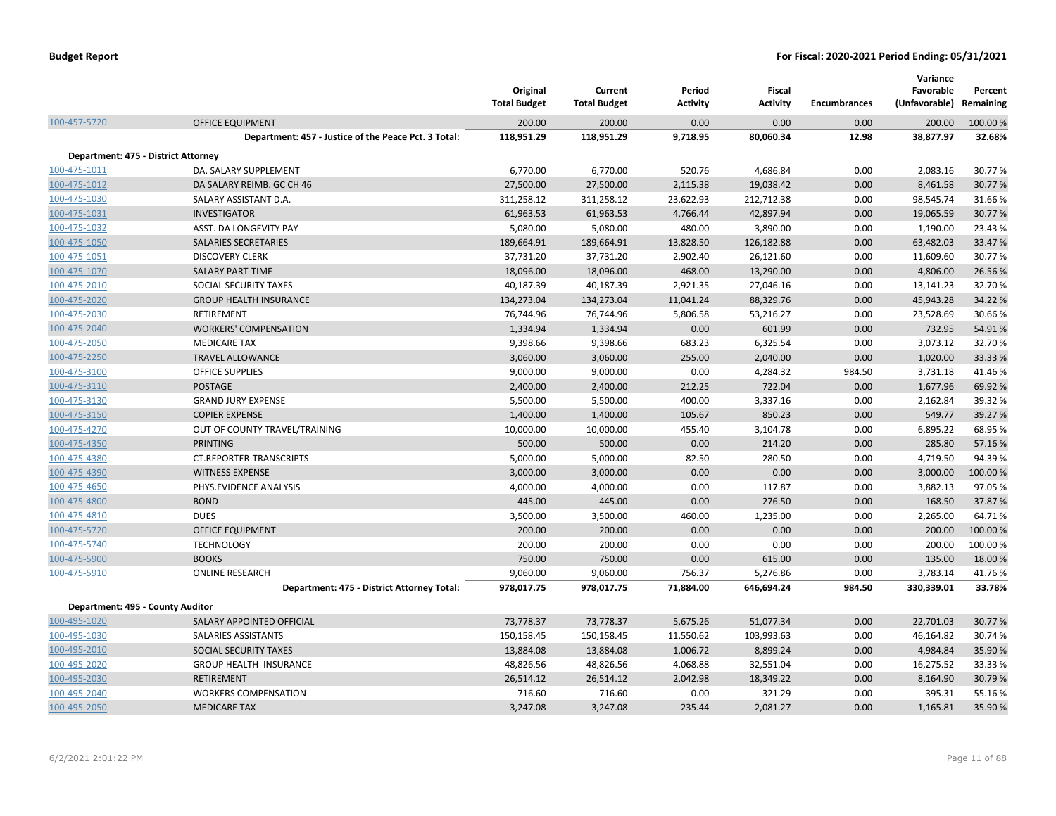|                                     |                                                      | Original<br><b>Total Budget</b> | Current<br><b>Total Budget</b> | Period<br><b>Activity</b> | <b>Fiscal</b><br><b>Activity</b> | <b>Encumbrances</b> | Variance<br>Favorable<br>(Unfavorable) | Percent<br>Remaining |
|-------------------------------------|------------------------------------------------------|---------------------------------|--------------------------------|---------------------------|----------------------------------|---------------------|----------------------------------------|----------------------|
| 100-457-5720                        | <b>OFFICE EQUIPMENT</b>                              | 200.00                          | 200.00                         | 0.00                      | 0.00                             | 0.00                | 200.00                                 | 100.00 %             |
|                                     | Department: 457 - Justice of the Peace Pct. 3 Total: | 118,951.29                      | 118,951.29                     | 9,718.95                  | 80,060.34                        | 12.98               | 38,877.97                              | 32.68%               |
| Department: 475 - District Attorney |                                                      |                                 |                                |                           |                                  |                     |                                        |                      |
| 100-475-1011                        | DA. SALARY SUPPLEMENT                                | 6,770.00                        | 6,770.00                       | 520.76                    | 4,686.84                         | 0.00                | 2,083.16                               | 30.77%               |
| 100-475-1012                        | DA SALARY REIMB. GC CH 46                            | 27,500.00                       | 27,500.00                      | 2,115.38                  | 19,038.42                        | 0.00                | 8,461.58                               | 30.77%               |
| 100-475-1030                        | SALARY ASSISTANT D.A.                                | 311,258.12                      | 311,258.12                     | 23,622.93                 | 212,712.38                       | 0.00                | 98,545.74                              | 31.66%               |
| 100-475-1031                        | <b>INVESTIGATOR</b>                                  | 61,963.53                       | 61,963.53                      | 4,766.44                  | 42,897.94                        | 0.00                | 19,065.59                              | 30.77%               |
| 100-475-1032                        | ASST. DA LONGEVITY PAY                               | 5,080.00                        | 5,080.00                       | 480.00                    | 3,890.00                         | 0.00                | 1,190.00                               | 23.43%               |
| 100-475-1050                        | SALARIES SECRETARIES                                 | 189,664.91                      | 189,664.91                     | 13,828.50                 | 126,182.88                       | 0.00                | 63,482.03                              | 33.47%               |
| 100-475-1051                        | <b>DISCOVERY CLERK</b>                               | 37,731.20                       | 37,731.20                      | 2,902.40                  | 26,121.60                        | 0.00                | 11,609.60                              | 30.77%               |
| 100-475-1070                        | <b>SALARY PART-TIME</b>                              | 18,096.00                       | 18,096.00                      | 468.00                    | 13,290.00                        | 0.00                | 4,806.00                               | 26.56%               |
| 100-475-2010                        | SOCIAL SECURITY TAXES                                | 40,187.39                       | 40,187.39                      | 2,921.35                  | 27,046.16                        | 0.00                | 13,141.23                              | 32.70%               |
| 100-475-2020                        | <b>GROUP HEALTH INSURANCE</b>                        | 134,273.04                      | 134,273.04                     | 11,041.24                 | 88,329.76                        | 0.00                | 45,943.28                              | 34.22 %              |
| 100-475-2030                        | RETIREMENT                                           | 76,744.96                       | 76,744.96                      | 5,806.58                  | 53,216.27                        | 0.00                | 23,528.69                              | 30.66%               |
| 100-475-2040                        | <b>WORKERS' COMPENSATION</b>                         | 1,334.94                        | 1,334.94                       | 0.00                      | 601.99                           | 0.00                | 732.95                                 | 54.91%               |
| 100-475-2050                        | <b>MEDICARE TAX</b>                                  | 9,398.66                        | 9,398.66                       | 683.23                    | 6,325.54                         | 0.00                | 3,073.12                               | 32.70%               |
| 100-475-2250                        | <b>TRAVEL ALLOWANCE</b>                              | 3,060.00                        | 3,060.00                       | 255.00                    | 2,040.00                         | 0.00                | 1,020.00                               | 33.33 %              |
| 100-475-3100                        | <b>OFFICE SUPPLIES</b>                               | 9,000.00                        | 9,000.00                       | 0.00                      | 4,284.32                         | 984.50              | 3,731.18                               | 41.46%               |
| 100-475-3110                        | <b>POSTAGE</b>                                       | 2,400.00                        | 2,400.00                       | 212.25                    | 722.04                           | 0.00                | 1,677.96                               | 69.92%               |
| 100-475-3130                        | <b>GRAND JURY EXPENSE</b>                            | 5,500.00                        | 5,500.00                       | 400.00                    | 3,337.16                         | 0.00                | 2,162.84                               | 39.32 %              |
| 100-475-3150                        | <b>COPIER EXPENSE</b>                                | 1,400.00                        | 1,400.00                       | 105.67                    | 850.23                           | 0.00                | 549.77                                 | 39.27 %              |
| 100-475-4270                        | OUT OF COUNTY TRAVEL/TRAINING                        | 10,000.00                       | 10,000.00                      | 455.40                    | 3,104.78                         | 0.00                | 6,895.22                               | 68.95%               |
| 100-475-4350                        | <b>PRINTING</b>                                      | 500.00                          | 500.00                         | 0.00                      | 214.20                           | 0.00                | 285.80                                 | 57.16%               |
| 100-475-4380                        | CT.REPORTER-TRANSCRIPTS                              | 5,000.00                        | 5,000.00                       | 82.50                     | 280.50                           | 0.00                | 4,719.50                               | 94.39%               |
| 100-475-4390                        | <b>WITNESS EXPENSE</b>                               | 3,000.00                        | 3,000.00                       | 0.00                      | 0.00                             | 0.00                | 3,000.00                               | 100.00%              |
| 100-475-4650                        | PHYS.EVIDENCE ANALYSIS                               | 4,000.00                        | 4,000.00                       | 0.00                      | 117.87                           | 0.00                | 3,882.13                               | 97.05%               |
| 100-475-4800                        | <b>BOND</b>                                          | 445.00                          | 445.00                         | 0.00                      | 276.50                           | 0.00                | 168.50                                 | 37.87%               |
| 100-475-4810                        | <b>DUES</b>                                          | 3,500.00                        | 3,500.00                       | 460.00                    | 1,235.00                         | 0.00                | 2,265.00                               | 64.71%               |
| 100-475-5720                        | OFFICE EQUIPMENT                                     | 200.00                          | 200.00                         | 0.00                      | 0.00                             | 0.00                | 200.00                                 | 100.00 %             |
| 100-475-5740                        | <b>TECHNOLOGY</b>                                    | 200.00                          | 200.00                         | 0.00                      | 0.00                             | 0.00                | 200.00                                 | 100.00%              |
| 100-475-5900                        | <b>BOOKS</b>                                         | 750.00                          | 750.00                         | 0.00                      | 615.00                           | 0.00                | 135.00                                 | 18.00 %              |
| 100-475-5910                        | <b>ONLINE RESEARCH</b>                               | 9,060.00                        | 9,060.00                       | 756.37                    | 5,276.86                         | 0.00                | 3,783.14                               | 41.76%               |
|                                     | Department: 475 - District Attorney Total:           | 978,017.75                      | 978,017.75                     | 71,884.00                 | 646,694.24                       | 984.50              | 330,339.01                             | 33.78%               |
| Department: 495 - County Auditor    |                                                      |                                 |                                |                           |                                  |                     |                                        |                      |
| 100-495-1020                        | SALARY APPOINTED OFFICIAL                            | 73,778.37                       | 73,778.37                      | 5,675.26                  | 51,077.34                        | 0.00                | 22,701.03                              | 30.77%               |
| 100-495-1030                        | SALARIES ASSISTANTS                                  | 150,158.45                      | 150,158.45                     | 11,550.62                 | 103,993.63                       | 0.00                | 46,164.82                              | 30.74 %              |
|                                     | SOCIAL SECURITY TAXES                                |                                 |                                | 1,006.72                  | 8,899.24                         | 0.00                |                                        |                      |
| 100-495-2010<br>100-495-2020        | <b>GROUP HEALTH INSURANCE</b>                        | 13,884.08                       | 13,884.08<br>48,826.56         | 4,068.88                  | 32,551.04                        | 0.00                | 4,984.84<br>16,275.52                  | 35.90%<br>33.33 %    |
| 100-495-2030                        | <b>RETIREMENT</b>                                    | 48,826.56<br>26,514.12          | 26,514.12                      | 2,042.98                  | 18,349.22                        | 0.00                | 8,164.90                               | 30.79%               |
| 100-495-2040                        | <b>WORKERS COMPENSATION</b>                          | 716.60                          | 716.60                         | 0.00                      | 321.29                           | 0.00                | 395.31                                 | 55.16%               |
| 100-495-2050                        | <b>MEDICARE TAX</b>                                  | 3,247.08                        | 3,247.08                       | 235.44                    | 2,081.27                         | 0.00                | 1,165.81                               | 35.90%               |
|                                     |                                                      |                                 |                                |                           |                                  |                     |                                        |                      |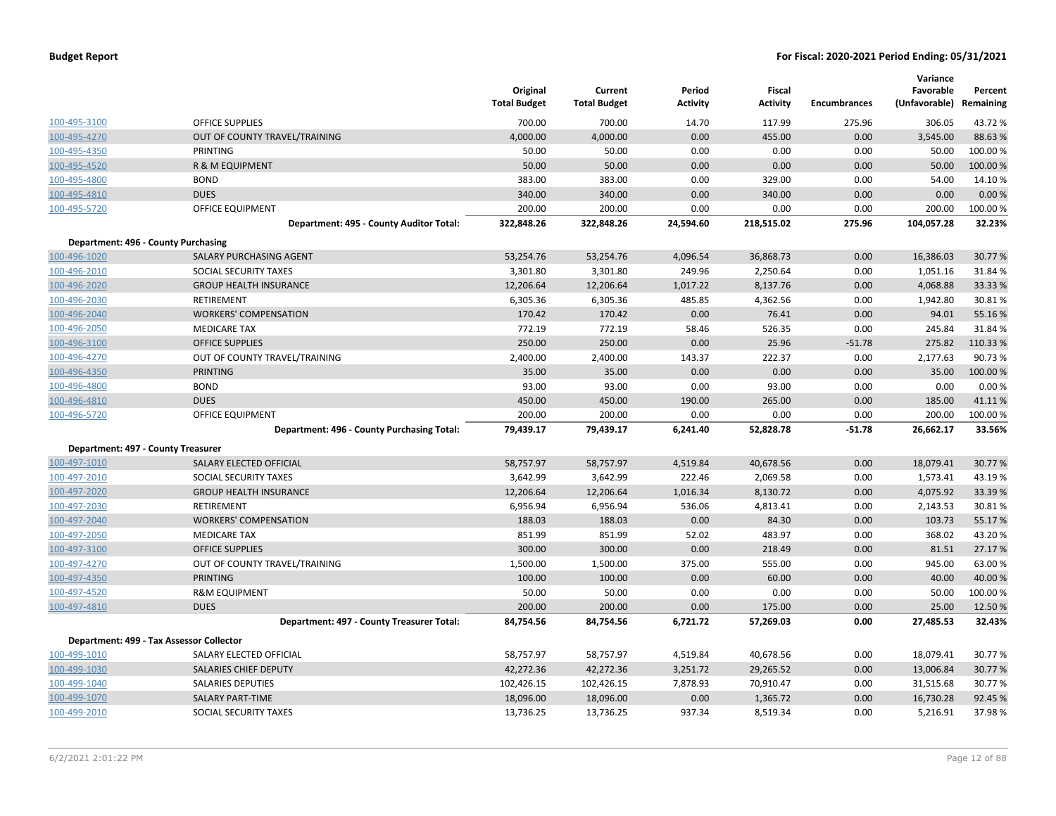|                                    |                                            | Original<br><b>Total Budget</b> | Current<br><b>Total Budget</b> | Period<br><b>Activity</b> | Fiscal<br><b>Activity</b> | <b>Encumbrances</b> | Variance<br>Favorable<br>(Unfavorable) | Percent<br>Remaining |
|------------------------------------|--------------------------------------------|---------------------------------|--------------------------------|---------------------------|---------------------------|---------------------|----------------------------------------|----------------------|
| 100-495-3100                       | <b>OFFICE SUPPLIES</b>                     | 700.00                          | 700.00                         | 14.70                     | 117.99                    | 275.96              | 306.05                                 | 43.72%               |
| 100-495-4270                       | OUT OF COUNTY TRAVEL/TRAINING              | 4,000.00                        | 4,000.00                       | 0.00                      | 455.00                    | 0.00                | 3,545.00                               | 88.63%               |
| 100-495-4350                       | PRINTING                                   | 50.00                           | 50.00                          | 0.00                      | 0.00                      | 0.00                | 50.00                                  | 100.00%              |
| 100-495-4520                       | R & M EQUIPMENT                            | 50.00                           | 50.00                          | 0.00                      | 0.00                      | 0.00                | 50.00                                  | 100.00 %             |
| 100-495-4800                       | <b>BOND</b>                                | 383.00                          | 383.00                         | 0.00                      | 329.00                    | 0.00                | 54.00                                  | 14.10%               |
| 100-495-4810                       | <b>DUES</b>                                | 340.00                          | 340.00                         | 0.00                      | 340.00                    | 0.00                | 0.00                                   | 0.00%                |
| 100-495-5720                       | OFFICE EQUIPMENT                           | 200.00                          | 200.00                         | 0.00                      | 0.00                      | 0.00                | 200.00                                 | 100.00 %             |
|                                    | Department: 495 - County Auditor Total:    | 322,848.26                      | 322,848.26                     | 24,594.60                 | 218,515.02                | 275.96              | 104,057.28                             | 32.23%               |
|                                    | Department: 496 - County Purchasing        |                                 |                                |                           |                           |                     |                                        |                      |
| 100-496-1020                       | SALARY PURCHASING AGENT                    | 53,254.76                       | 53,254.76                      | 4,096.54                  | 36,868.73                 | 0.00                | 16,386.03                              | 30.77 %              |
| 100-496-2010                       | SOCIAL SECURITY TAXES                      | 3,301.80                        | 3,301.80                       | 249.96                    | 2,250.64                  | 0.00                | 1,051.16                               | 31.84%               |
| 100-496-2020                       | <b>GROUP HEALTH INSURANCE</b>              | 12,206.64                       | 12,206.64                      | 1,017.22                  | 8,137.76                  | 0.00                | 4,068.88                               | 33.33 %              |
| 100-496-2030                       | RETIREMENT                                 | 6,305.36                        | 6,305.36                       | 485.85                    | 4,362.56                  | 0.00                | 1,942.80                               | 30.81%               |
| 100-496-2040                       | <b>WORKERS' COMPENSATION</b>               | 170.42                          | 170.42                         | 0.00                      | 76.41                     | 0.00                | 94.01                                  | 55.16%               |
| 100-496-2050                       | <b>MEDICARE TAX</b>                        | 772.19                          | 772.19                         | 58.46                     | 526.35                    | 0.00                | 245.84                                 | 31.84 %              |
| 100-496-3100                       | <b>OFFICE SUPPLIES</b>                     | 250.00                          | 250.00                         | 0.00                      | 25.96                     | $-51.78$            | 275.82                                 | 110.33%              |
| 100-496-4270                       | OUT OF COUNTY TRAVEL/TRAINING              | 2,400.00                        | 2,400.00                       | 143.37                    | 222.37                    | 0.00                | 2,177.63                               | 90.73%               |
| 100-496-4350                       | <b>PRINTING</b>                            | 35.00                           | 35.00                          | 0.00                      | 0.00                      | 0.00                | 35.00                                  | 100.00%              |
| 100-496-4800                       | <b>BOND</b>                                | 93.00                           | 93.00                          | 0.00                      | 93.00                     | 0.00                | 0.00                                   | 0.00%                |
| 100-496-4810                       | <b>DUES</b>                                | 450.00                          | 450.00                         | 190.00                    | 265.00                    | 0.00                | 185.00                                 | 41.11%               |
| 100-496-5720                       | OFFICE EQUIPMENT                           | 200.00                          | 200.00                         | 0.00                      | 0.00                      | 0.00                | 200.00                                 | 100.00%              |
|                                    | Department: 496 - County Purchasing Total: | 79,439.17                       | 79,439.17                      | 6,241.40                  | 52,828.78                 | $-51.78$            | 26,662.17                              | 33.56%               |
| Department: 497 - County Treasurer |                                            |                                 |                                |                           |                           |                     |                                        |                      |
| 100-497-1010                       | SALARY ELECTED OFFICIAL                    | 58,757.97                       | 58,757.97                      | 4,519.84                  | 40,678.56                 | 0.00                | 18,079.41                              | 30.77%               |
| 100-497-2010                       | SOCIAL SECURITY TAXES                      | 3,642.99                        | 3,642.99                       | 222.46                    | 2,069.58                  | 0.00                | 1,573.41                               | 43.19%               |
| 100-497-2020                       | <b>GROUP HEALTH INSURANCE</b>              | 12,206.64                       | 12,206.64                      | 1,016.34                  | 8,130.72                  | 0.00                | 4,075.92                               | 33.39 %              |
| 100-497-2030                       | RETIREMENT                                 | 6,956.94                        | 6,956.94                       | 536.06                    | 4,813.41                  | 0.00                | 2,143.53                               | 30.81%               |
| 100-497-2040                       | <b>WORKERS' COMPENSATION</b>               | 188.03                          | 188.03                         | 0.00                      | 84.30                     | 0.00                | 103.73                                 | 55.17%               |
| 100-497-2050                       | <b>MEDICARE TAX</b>                        | 851.99                          | 851.99                         | 52.02                     | 483.97                    | 0.00                | 368.02                                 | 43.20%               |
| 100-497-3100                       | <b>OFFICE SUPPLIES</b>                     | 300.00                          | 300.00                         | 0.00                      | 218.49                    | 0.00                | 81.51                                  | 27.17 %              |
| 100-497-4270                       | OUT OF COUNTY TRAVEL/TRAINING              | 1,500.00                        | 1,500.00                       | 375.00                    | 555.00                    | 0.00                | 945.00                                 | 63.00 %              |
| 100-497-4350                       | <b>PRINTING</b>                            | 100.00                          | 100.00                         | 0.00                      | 60.00                     | 0.00                | 40.00                                  | 40.00 %              |
| 100-497-4520                       | <b>R&amp;M EQUIPMENT</b>                   | 50.00                           | 50.00                          | 0.00                      | 0.00                      | 0.00                | 50.00                                  | 100.00%              |
| 100-497-4810                       | <b>DUES</b>                                | 200.00                          | 200.00                         | 0.00                      | 175.00                    | 0.00                | 25.00                                  | 12.50 %              |
|                                    | Department: 497 - County Treasurer Total:  | 84,754.56                       | 84,754.56                      | 6,721.72                  | 57,269.03                 | 0.00                | 27,485.53                              | 32.43%               |
|                                    | Department: 499 - Tax Assessor Collector   |                                 |                                |                           |                           |                     |                                        |                      |
| 100-499-1010                       | SALARY ELECTED OFFICIAL                    | 58,757.97                       | 58,757.97                      | 4,519.84                  | 40,678.56                 | 0.00                | 18,079.41                              | 30.77%               |
| 100-499-1030                       | SALARIES CHIEF DEPUTY                      | 42,272.36                       | 42,272.36                      | 3,251.72                  | 29,265.52                 | 0.00                | 13,006.84                              | 30.77 %              |
| 100-499-1040                       | SALARIES DEPUTIES                          | 102,426.15                      | 102,426.15                     | 7,878.93                  | 70,910.47                 | 0.00                | 31,515.68                              | 30.77%               |
| 100-499-1070                       | <b>SALARY PART-TIME</b>                    | 18,096.00                       | 18,096.00                      | 0.00                      | 1,365.72                  | 0.00                | 16,730.28                              | 92.45 %              |
| 100-499-2010                       | SOCIAL SECURITY TAXES                      | 13,736.25                       | 13,736.25                      | 937.34                    | 8,519.34                  | 0.00                | 5,216.91                               | 37.98%               |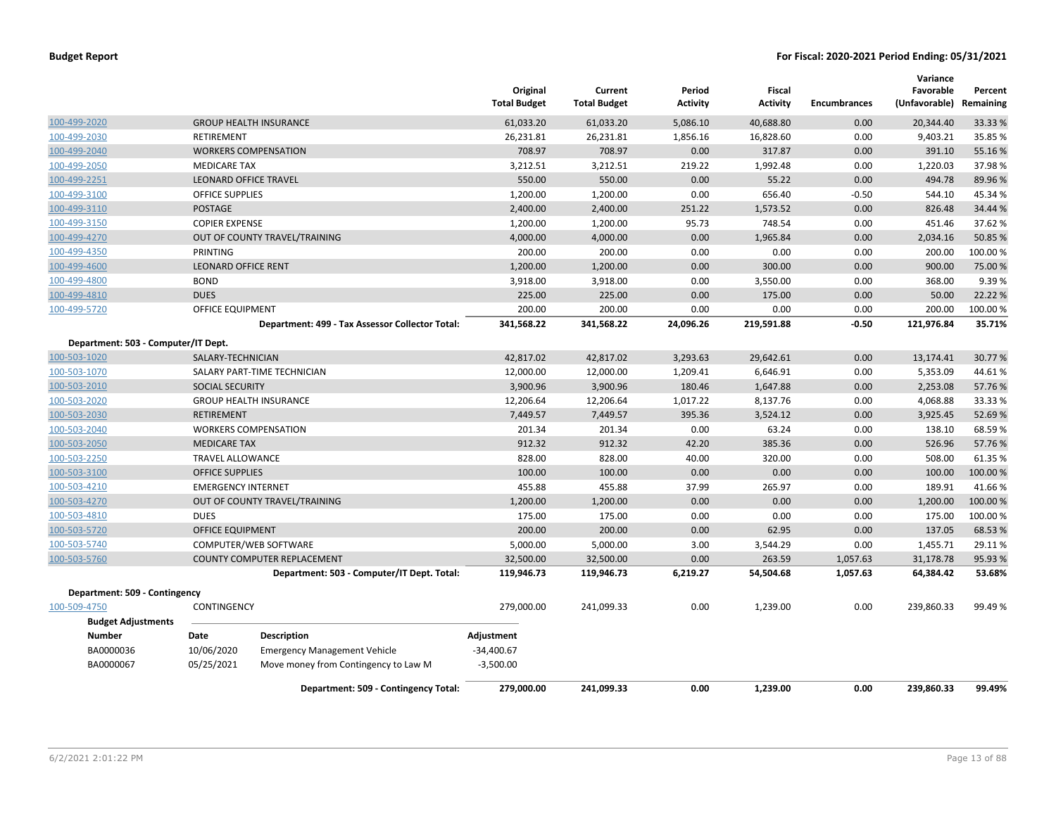|                                           |                            |                                                 | Original<br><b>Total Budget</b> | Current<br><b>Total Budget</b> | Period<br><b>Activity</b> | Fiscal<br><b>Activity</b> | <b>Encumbrances</b> | Variance<br>Favorable<br>(Unfavorable) | Percent<br>Remaining |
|-------------------------------------------|----------------------------|-------------------------------------------------|---------------------------------|--------------------------------|---------------------------|---------------------------|---------------------|----------------------------------------|----------------------|
| 100-499-2020                              |                            | <b>GROUP HEALTH INSURANCE</b>                   | 61,033.20                       | 61,033.20                      | 5,086.10                  | 40,688.80                 | 0.00                | 20,344.40                              | 33.33 %              |
| 100-499-2030                              | RETIREMENT                 |                                                 | 26,231.81                       | 26,231.81                      | 1,856.16                  | 16,828.60                 | 0.00                | 9,403.21                               | 35.85 %              |
| 100-499-2040                              |                            | <b>WORKERS COMPENSATION</b>                     | 708.97                          | 708.97                         | 0.00                      | 317.87                    | 0.00                | 391.10                                 | 55.16%               |
| 100-499-2050                              | <b>MEDICARE TAX</b>        |                                                 | 3,212.51                        | 3,212.51                       | 219.22                    | 1,992.48                  | 0.00                | 1,220.03                               | 37.98%               |
| 100-499-2251                              |                            | <b>LEONARD OFFICE TRAVEL</b>                    | 550.00                          | 550.00                         | 0.00                      | 55.22                     | 0.00                | 494.78                                 | 89.96%               |
| 100-499-3100                              | <b>OFFICE SUPPLIES</b>     |                                                 | 1,200.00                        | 1,200.00                       | 0.00                      | 656.40                    | $-0.50$             | 544.10                                 | 45.34 %              |
| 100-499-3110                              | <b>POSTAGE</b>             |                                                 | 2,400.00                        | 2,400.00                       | 251.22                    | 1,573.52                  | 0.00                | 826.48                                 | 34.44 %              |
| 100-499-3150                              | <b>COPIER EXPENSE</b>      |                                                 | 1,200.00                        | 1,200.00                       | 95.73                     | 748.54                    | 0.00                | 451.46                                 | 37.62 %              |
| 100-499-4270                              |                            | OUT OF COUNTY TRAVEL/TRAINING                   | 4,000.00                        | 4,000.00                       | 0.00                      | 1,965.84                  | 0.00                | 2,034.16                               | 50.85 %              |
| 100-499-4350                              | PRINTING                   |                                                 | 200.00                          | 200.00                         | 0.00                      | 0.00                      | 0.00                | 200.00                                 | 100.00%              |
| 100-499-4600                              | <b>LEONARD OFFICE RENT</b> |                                                 | 1,200.00                        | 1,200.00                       | 0.00                      | 300.00                    | 0.00                | 900.00                                 | 75.00 %              |
| 100-499-4800                              | <b>BOND</b>                |                                                 | 3,918.00                        | 3,918.00                       | 0.00                      | 3,550.00                  | 0.00                | 368.00                                 | 9.39%                |
| 100-499-4810                              | <b>DUES</b>                |                                                 | 225.00                          | 225.00                         | 0.00                      | 175.00                    | 0.00                | 50.00                                  | 22.22 %              |
| 100-499-5720                              | <b>OFFICE EQUIPMENT</b>    |                                                 | 200.00                          | 200.00                         | 0.00                      | 0.00                      | 0.00                | 200.00                                 | 100.00%              |
|                                           |                            | Department: 499 - Tax Assessor Collector Total: | 341,568.22                      | 341,568.22                     | 24,096.26                 | 219,591.88                | $-0.50$             | 121,976.84                             | 35.71%               |
| Department: 503 - Computer/IT Dept.       |                            |                                                 |                                 |                                |                           |                           |                     |                                        |                      |
| 100-503-1020                              | SALARY-TECHNICIAN          |                                                 | 42,817.02                       | 42,817.02                      | 3,293.63                  | 29,642.61                 | 0.00                | 13,174.41                              | 30.77%               |
| 100-503-1070                              |                            | SALARY PART-TIME TECHNICIAN                     | 12,000.00                       | 12,000.00                      | 1,209.41                  | 6,646.91                  | 0.00                | 5,353.09                               | 44.61%               |
| 100-503-2010                              | SOCIAL SECURITY            |                                                 | 3,900.96                        | 3,900.96                       | 180.46                    | 1,647.88                  | 0.00                | 2,253.08                               | 57.76%               |
| 100-503-2020                              |                            | <b>GROUP HEALTH INSURANCE</b>                   | 12,206.64                       | 12,206.64                      | 1,017.22                  | 8,137.76                  | 0.00                | 4,068.88                               | 33.33 %              |
| 100-503-2030                              | <b>RETIREMENT</b>          |                                                 | 7,449.57                        | 7,449.57                       | 395.36                    | 3,524.12                  | 0.00                | 3,925.45                               | 52.69%               |
| 100-503-2040                              |                            | <b>WORKERS COMPENSATION</b>                     | 201.34                          | 201.34                         | 0.00                      | 63.24                     | 0.00                | 138.10                                 | 68.59 %              |
| 100-503-2050                              | <b>MEDICARE TAX</b>        |                                                 | 912.32                          | 912.32                         | 42.20                     | 385.36                    | 0.00                | 526.96                                 | 57.76%               |
| 100-503-2250                              | <b>TRAVEL ALLOWANCE</b>    |                                                 | 828.00                          | 828.00                         | 40.00                     | 320.00                    | 0.00                | 508.00                                 | 61.35 %              |
| 100-503-3100                              | <b>OFFICE SUPPLIES</b>     |                                                 | 100.00                          | 100.00                         | 0.00                      | 0.00                      | 0.00                | 100.00                                 | 100.00 %             |
| 100-503-4210                              | <b>EMERGENCY INTERNET</b>  |                                                 | 455.88                          | 455.88                         | 37.99                     | 265.97                    | 0.00                | 189.91                                 | 41.66%               |
| 100-503-4270                              |                            | OUT OF COUNTY TRAVEL/TRAINING                   | 1,200.00                        | 1,200.00                       | 0.00                      | 0.00                      | 0.00                | 1,200.00                               | 100.00 %             |
| 100-503-4810                              | <b>DUES</b>                |                                                 | 175.00                          | 175.00                         | 0.00                      | 0.00                      | 0.00                | 175.00                                 | 100.00%              |
| 100-503-5720                              | <b>OFFICE EQUIPMENT</b>    |                                                 | 200.00                          | 200.00                         | 0.00                      | 62.95                     | 0.00                | 137.05                                 | 68.53 %              |
| 100-503-5740                              |                            | COMPUTER/WEB SOFTWARE                           | 5,000.00                        | 5,000.00                       | 3.00                      | 3,544.29                  | 0.00                | 1,455.71                               | 29.11%               |
| 100-503-5760                              |                            | COUNTY COMPUTER REPLACEMENT                     | 32,500.00                       | 32,500.00                      | 0.00                      | 263.59                    | 1,057.63            | 31,178.78                              | 95.93 %              |
|                                           |                            | Department: 503 - Computer/IT Dept. Total:      | 119,946.73                      | 119,946.73                     | 6,219.27                  | 54,504.68                 | 1,057.63            | 64,384.42                              | 53.68%               |
| Department: 509 - Contingency             |                            |                                                 |                                 |                                |                           |                           |                     |                                        |                      |
| 100-509-4750<br><b>Budget Adjustments</b> | CONTINGENCY                |                                                 | 279,000.00                      | 241,099.33                     | 0.00                      | 1,239.00                  | 0.00                | 239,860.33                             | 99.49%               |
| <b>Number</b>                             | Date                       | <b>Description</b>                              | Adjustment                      |                                |                           |                           |                     |                                        |                      |
| BA0000036                                 | 10/06/2020                 | <b>Emergency Management Vehicle</b>             | $-34,400.67$                    |                                |                           |                           |                     |                                        |                      |
| BA0000067                                 | 05/25/2021                 | Move money from Contingency to Law M            | $-3,500.00$                     |                                |                           |                           |                     |                                        |                      |
|                                           |                            |                                                 |                                 |                                |                           |                           |                     |                                        |                      |
|                                           |                            | Department: 509 - Contingency Total:            | 279,000.00                      | 241,099.33                     | 0.00                      | 1,239.00                  | 0.00                | 239,860.33                             | 99.49%               |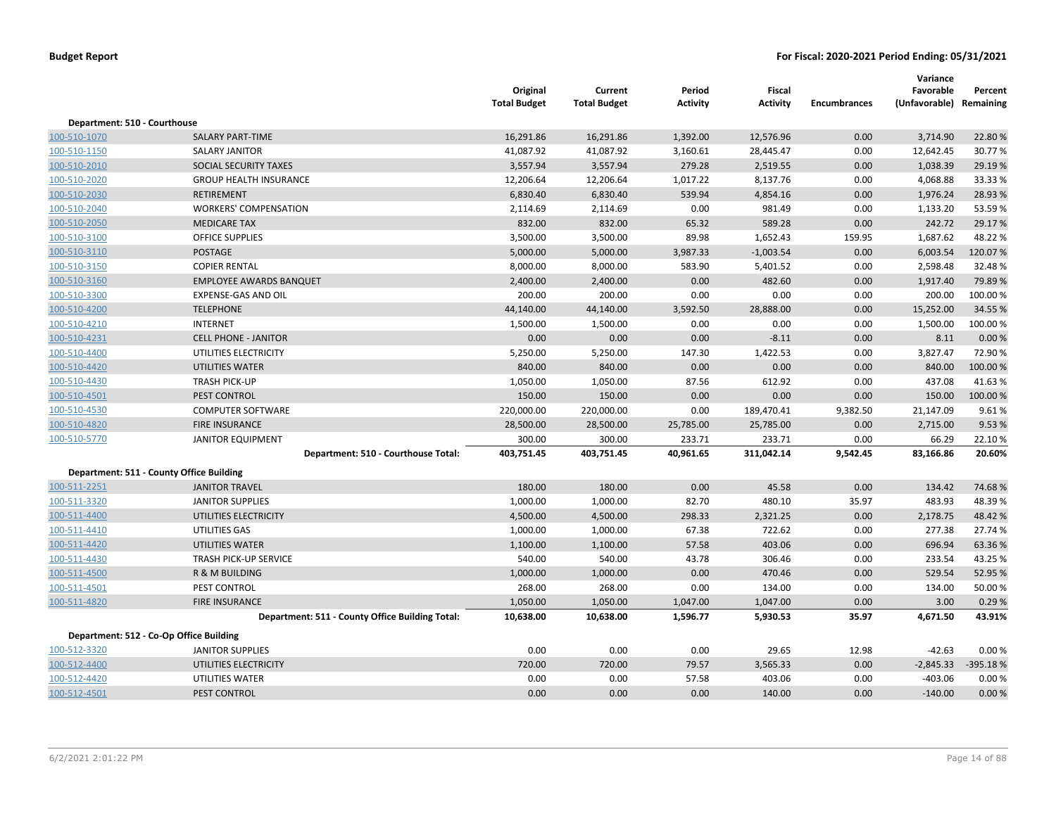|                              |                                                 | Original<br><b>Total Budget</b> | Current<br><b>Total Budget</b> | Period<br><b>Activity</b> | Fiscal<br><b>Activity</b> | <b>Encumbrances</b> | Variance<br>Favorable<br>(Unfavorable) Remaining | Percent  |
|------------------------------|-------------------------------------------------|---------------------------------|--------------------------------|---------------------------|---------------------------|---------------------|--------------------------------------------------|----------|
| Department: 510 - Courthouse |                                                 |                                 |                                |                           |                           |                     |                                                  |          |
| 100-510-1070                 | <b>SALARY PART-TIME</b>                         | 16,291.86                       | 16,291.86                      | 1,392.00                  | 12,576.96                 | 0.00                | 3,714.90                                         | 22.80%   |
| 100-510-1150                 | <b>SALARY JANITOR</b>                           | 41,087.92                       | 41,087.92                      | 3,160.61                  | 28,445.47                 | 0.00                | 12,642.45                                        | 30.77%   |
| 100-510-2010                 | SOCIAL SECURITY TAXES                           | 3,557.94                        | 3,557.94                       | 279.28                    | 2,519.55                  | 0.00                | 1,038.39                                         | 29.19 %  |
| 100-510-2020                 | <b>GROUP HEALTH INSURANCE</b>                   | 12,206.64                       | 12,206.64                      | 1,017.22                  | 8,137.76                  | 0.00                | 4,068.88                                         | 33.33 %  |
| 100-510-2030                 | <b>RETIREMENT</b>                               | 6,830.40                        | 6,830.40                       | 539.94                    | 4,854.16                  | 0.00                | 1,976.24                                         | 28.93%   |
| 100-510-2040                 | <b>WORKERS' COMPENSATION</b>                    | 2,114.69                        | 2,114.69                       | 0.00                      | 981.49                    | 0.00                | 1,133.20                                         | 53.59%   |
| 100-510-2050                 | <b>MEDICARE TAX</b>                             | 832.00                          | 832.00                         | 65.32                     | 589.28                    | 0.00                | 242.72                                           | 29.17%   |
| 100-510-3100                 | <b>OFFICE SUPPLIES</b>                          | 3,500.00                        | 3,500.00                       | 89.98                     | 1,652.43                  | 159.95              | 1,687.62                                         | 48.22%   |
| 100-510-3110                 | <b>POSTAGE</b>                                  | 5,000.00                        | 5,000.00                       | 3,987.33                  | $-1,003.54$               | 0.00                | 6,003.54                                         | 120.07%  |
| 100-510-3150                 | <b>COPIER RENTAL</b>                            | 8,000.00                        | 8,000.00                       | 583.90                    | 5,401.52                  | 0.00                | 2,598.48                                         | 32.48%   |
| 100-510-3160                 | <b>EMPLOYEE AWARDS BANQUET</b>                  | 2,400.00                        | 2,400.00                       | 0.00                      | 482.60                    | 0.00                | 1,917.40                                         | 79.89%   |
| 100-510-3300                 | EXPENSE-GAS AND OIL                             | 200.00                          | 200.00                         | 0.00                      | 0.00                      | 0.00                | 200.00                                           | 100.00%  |
| 100-510-4200                 | <b>TELEPHONE</b>                                | 44,140.00                       | 44,140.00                      | 3,592.50                  | 28,888.00                 | 0.00                | 15,252.00                                        | 34.55 %  |
| 100-510-4210                 | <b>INTERNET</b>                                 | 1,500.00                        | 1,500.00                       | 0.00                      | 0.00                      | 0.00                | 1,500.00                                         | 100.00 % |
| 100-510-4231                 | <b>CELL PHONE - JANITOR</b>                     | 0.00                            | 0.00                           | 0.00                      | $-8.11$                   | 0.00                | 8.11                                             | 0.00%    |
| 100-510-4400                 | UTILITIES ELECTRICITY                           | 5,250.00                        | 5,250.00                       | 147.30                    | 1,422.53                  | 0.00                | 3,827.47                                         | 72.90%   |
| 100-510-4420                 | <b>UTILITIES WATER</b>                          | 840.00                          | 840.00                         | 0.00                      | 0.00                      | 0.00                | 840.00                                           | 100.00%  |
| 100-510-4430                 | <b>TRASH PICK-UP</b>                            | 1,050.00                        | 1,050.00                       | 87.56                     | 612.92                    | 0.00                | 437.08                                           | 41.63%   |
| 100-510-4501                 | PEST CONTROL                                    | 150.00                          | 150.00                         | 0.00                      | 0.00                      | 0.00                | 150.00                                           | 100.00%  |
| 100-510-4530                 | <b>COMPUTER SOFTWARE</b>                        | 220,000.00                      | 220,000.00                     | 0.00                      | 189,470.41                | 9,382.50            | 21,147.09                                        | 9.61%    |
| 100-510-4820                 | <b>FIRE INSURANCE</b>                           | 28,500.00                       | 28,500.00                      | 25,785.00                 | 25,785.00                 | 0.00                | 2,715.00                                         | 9.53 %   |
| 100-510-5770                 | <b>JANITOR EQUIPMENT</b>                        | 300.00                          | 300.00                         | 233.71                    | 233.71                    | 0.00                | 66.29                                            | 22.10%   |
|                              | Department: 510 - Courthouse Total:             | 403,751.45                      | 403,751.45                     | 40,961.65                 | 311,042.14                | 9,542.45            | 83,166.86                                        | 20.60%   |
|                              | Department: 511 - County Office Building        |                                 |                                |                           |                           |                     |                                                  |          |
| 100-511-2251                 | <b>JANITOR TRAVEL</b>                           | 180.00                          | 180.00                         | 0.00                      | 45.58                     | 0.00                | 134.42                                           | 74.68%   |
| 100-511-3320                 | <b>JANITOR SUPPLIES</b>                         | 1,000.00                        | 1,000.00                       | 82.70                     | 480.10                    | 35.97               | 483.93                                           | 48.39%   |
| 100-511-4400                 | UTILITIES ELECTRICITY                           | 4,500.00                        | 4,500.00                       | 298.33                    | 2,321.25                  | 0.00                | 2,178.75                                         | 48.42%   |
| 100-511-4410                 | UTILITIES GAS                                   | 1,000.00                        | 1,000.00                       | 67.38                     | 722.62                    | 0.00                | 277.38                                           | 27.74 %  |
| 100-511-4420                 | <b>UTILITIES WATER</b>                          | 1,100.00                        | 1,100.00                       | 57.58                     | 403.06                    | 0.00                | 696.94                                           | 63.36%   |
| 100-511-4430                 | <b>TRASH PICK-UP SERVICE</b>                    | 540.00                          | 540.00                         | 43.78                     | 306.46                    | 0.00                | 233.54                                           | 43.25%   |
| 100-511-4500                 | R & M BUILDING                                  | 1,000.00                        | 1,000.00                       | 0.00                      | 470.46                    | 0.00                | 529.54                                           | 52.95 %  |
| 100-511-4501                 | PEST CONTROL                                    | 268.00                          | 268.00                         | 0.00                      | 134.00                    | 0.00                | 134.00                                           | 50.00 %  |
| 100-511-4820                 | <b>FIRE INSURANCE</b>                           | 1,050.00                        | 1,050.00                       | 1,047.00                  | 1,047.00                  | 0.00                | 3.00                                             | 0.29%    |
|                              | Department: 511 - County Office Building Total: | 10,638.00                       | 10,638.00                      | 1,596.77                  | 5,930.53                  | 35.97               | 4,671.50                                         | 43.91%   |
|                              | Department: 512 - Co-Op Office Building         |                                 |                                |                           |                           |                     |                                                  |          |
| 100-512-3320                 | <b>JANITOR SUPPLIES</b>                         | 0.00                            | 0.00                           | 0.00                      | 29.65                     | 12.98               | $-42.63$                                         | 0.00%    |
| 100-512-4400                 | UTILITIES ELECTRICITY                           | 720.00                          | 720.00                         | 79.57                     | 3,565.33                  | 0.00                | $-2,845.33$                                      | -395.18% |
| 100-512-4420                 | UTILITIES WATER                                 | 0.00                            | 0.00                           | 57.58                     | 403.06                    | 0.00                | $-403.06$                                        | 0.00%    |
| 100-512-4501                 | PEST CONTROL                                    | 0.00                            | 0.00                           | 0.00                      | 140.00                    | 0.00                | $-140.00$                                        | 0.00%    |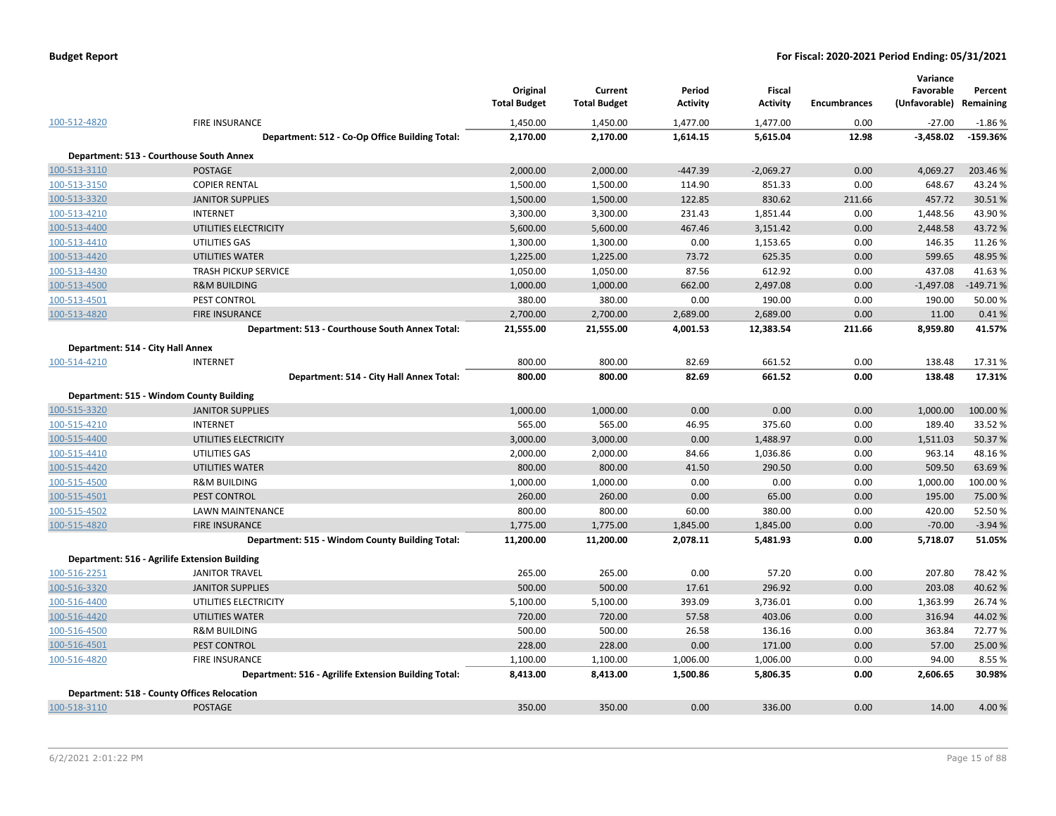|              |                                                      | Original<br><b>Total Budget</b> | Current<br><b>Total Budget</b> | Period<br><b>Activity</b> | Fiscal<br><b>Activity</b> | <b>Encumbrances</b> | Variance<br>Favorable<br>(Unfavorable) | Percent<br>Remaining |
|--------------|------------------------------------------------------|---------------------------------|--------------------------------|---------------------------|---------------------------|---------------------|----------------------------------------|----------------------|
| 100-512-4820 | FIRE INSURANCE                                       | 1,450.00                        | 1,450.00                       | 1,477.00                  | 1,477.00                  | 0.00                | $-27.00$                               | $-1.86%$             |
|              | Department: 512 - Co-Op Office Building Total:       | 2,170.00                        | 2,170.00                       | 1,614.15                  | 5,615.04                  | 12.98               | $-3,458.02$                            | $-159.36%$           |
|              | Department: 513 - Courthouse South Annex             |                                 |                                |                           |                           |                     |                                        |                      |
| 100-513-3110 | <b>POSTAGE</b>                                       | 2,000.00                        | 2,000.00                       | $-447.39$                 | $-2,069.27$               | 0.00                | 4,069.27                               | 203.46%              |
| 100-513-3150 | <b>COPIER RENTAL</b>                                 | 1,500.00                        | 1,500.00                       | 114.90                    | 851.33                    | 0.00                | 648.67                                 | 43.24 %              |
| 100-513-3320 | <b>JANITOR SUPPLIES</b>                              | 1,500.00                        | 1,500.00                       | 122.85                    | 830.62                    | 211.66              | 457.72                                 | 30.51%               |
| 100-513-4210 | <b>INTERNET</b>                                      | 3,300.00                        | 3,300.00                       | 231.43                    | 1,851.44                  | 0.00                | 1,448.56                               | 43.90%               |
| 100-513-4400 | UTILITIES ELECTRICITY                                | 5,600.00                        | 5,600.00                       | 467.46                    | 3,151.42                  | 0.00                | 2,448.58                               | 43.72%               |
| 100-513-4410 | UTILITIES GAS                                        | 1,300.00                        | 1,300.00                       | 0.00                      | 1,153.65                  | 0.00                | 146.35                                 | 11.26%               |
| 100-513-4420 | UTILITIES WATER                                      | 1,225.00                        | 1,225.00                       | 73.72                     | 625.35                    | 0.00                | 599.65                                 | 48.95 %              |
| 100-513-4430 | <b>TRASH PICKUP SERVICE</b>                          | 1,050.00                        | 1,050.00                       | 87.56                     | 612.92                    | 0.00                | 437.08                                 | 41.63%               |
| 100-513-4500 | <b>R&amp;M BUILDING</b>                              | 1,000.00                        | 1,000.00                       | 662.00                    | 2,497.08                  | 0.00                | $-1,497.08$                            | $-149.71%$           |
| 100-513-4501 | PEST CONTROL                                         | 380.00                          | 380.00                         | 0.00                      | 190.00                    | 0.00                | 190.00                                 | 50.00 %              |
| 100-513-4820 | <b>FIRE INSURANCE</b>                                | 2,700.00                        | 2,700.00                       | 2,689.00                  | 2,689.00                  | 0.00                | 11.00                                  | 0.41%                |
|              | Department: 513 - Courthouse South Annex Total:      | 21,555.00                       | 21,555.00                      | 4,001.53                  | 12,383.54                 | 211.66              | 8,959.80                               | 41.57%               |
|              | Department: 514 - City Hall Annex                    |                                 |                                |                           |                           |                     |                                        |                      |
| 100-514-4210 | <b>INTERNET</b>                                      | 800.00                          | 800.00                         | 82.69                     | 661.52                    | 0.00                | 138.48                                 | 17.31%               |
|              | Department: 514 - City Hall Annex Total:             | 800.00                          | 800.00                         | 82.69                     | 661.52                    | 0.00                | 138.48                                 | 17.31%               |
|              |                                                      |                                 |                                |                           |                           |                     |                                        |                      |
|              | Department: 515 - Windom County Building             |                                 |                                |                           |                           |                     |                                        |                      |
| 100-515-3320 | <b>JANITOR SUPPLIES</b>                              | 1,000.00                        | 1,000.00                       | 0.00                      | 0.00                      | 0.00                | 1,000.00                               | 100.00%              |
| 100-515-4210 | <b>INTERNET</b>                                      | 565.00                          | 565.00                         | 46.95                     | 375.60                    | 0.00                | 189.40                                 | 33.52 %              |
| 100-515-4400 | UTILITIES ELECTRICITY                                | 3,000.00                        | 3,000.00                       | 0.00                      | 1,488.97                  | 0.00                | 1,511.03                               | 50.37%               |
| 100-515-4410 | UTILITIES GAS                                        | 2,000.00                        | 2,000.00                       | 84.66                     | 1,036.86                  | 0.00                | 963.14                                 | 48.16%               |
| 100-515-4420 | UTILITIES WATER                                      | 800.00                          | 800.00                         | 41.50                     | 290.50                    | 0.00                | 509.50                                 | 63.69%               |
| 100-515-4500 | <b>R&amp;M BUILDING</b>                              | 1,000.00                        | 1,000.00                       | 0.00                      | 0.00                      | 0.00                | 1,000.00                               | 100.00%              |
| 100-515-4501 | PEST CONTROL                                         | 260.00                          | 260.00                         | 0.00                      | 65.00                     | 0.00                | 195.00                                 | 75.00 %              |
| 100-515-4502 | LAWN MAINTENANCE                                     | 800.00                          | 800.00                         | 60.00                     | 380.00                    | 0.00                | 420.00                                 | 52.50%               |
| 100-515-4820 | <b>FIRE INSURANCE</b>                                | 1,775.00                        | 1,775.00                       | 1,845.00                  | 1,845.00                  | 0.00                | $-70.00$                               | $-3.94%$             |
|              | Department: 515 - Windom County Building Total:      | 11,200.00                       | 11,200.00                      | 2,078.11                  | 5,481.93                  | 0.00                | 5,718.07                               | 51.05%               |
|              | Department: 516 - Agrilife Extension Building        |                                 |                                |                           |                           |                     |                                        |                      |
| 100-516-2251 | <b>JANITOR TRAVEL</b>                                | 265.00                          | 265.00                         | 0.00                      | 57.20                     | 0.00                | 207.80                                 | 78.42 %              |
| 100-516-3320 | <b>JANITOR SUPPLIES</b>                              | 500.00                          | 500.00                         | 17.61                     | 296.92                    | 0.00                | 203.08                                 | 40.62%               |
| 100-516-4400 | UTILITIES ELECTRICITY                                | 5,100.00                        | 5,100.00                       | 393.09                    | 3,736.01                  | 0.00                | 1,363.99                               | 26.74 %              |
| 100-516-4420 | UTILITIES WATER                                      | 720.00                          | 720.00                         | 57.58                     | 403.06                    | 0.00                | 316.94                                 | 44.02%               |
| 100-516-4500 | <b>R&amp;M BUILDING</b>                              | 500.00                          | 500.00                         | 26.58                     | 136.16                    | 0.00                | 363.84                                 | 72.77%               |
| 100-516-4501 | PEST CONTROL                                         | 228.00                          | 228.00                         | 0.00                      | 171.00                    | 0.00                | 57.00                                  | 25.00 %              |
| 100-516-4820 | <b>FIRE INSURANCE</b>                                | 1,100.00                        | 1,100.00                       | 1,006.00                  | 1,006.00                  | 0.00                | 94.00                                  | 8.55 %               |
|              | Department: 516 - Agrilife Extension Building Total: | 8,413.00                        | 8,413.00                       | 1,500.86                  | 5,806.35                  | 0.00                | 2,606.65                               | 30.98%               |
|              | <b>Department: 518 - County Offices Relocation</b>   |                                 |                                |                           |                           |                     |                                        |                      |
| 100-518-3110 | <b>POSTAGE</b>                                       | 350.00                          | 350.00                         | 0.00                      | 336.00                    | 0.00                | 14.00                                  | 4.00%                |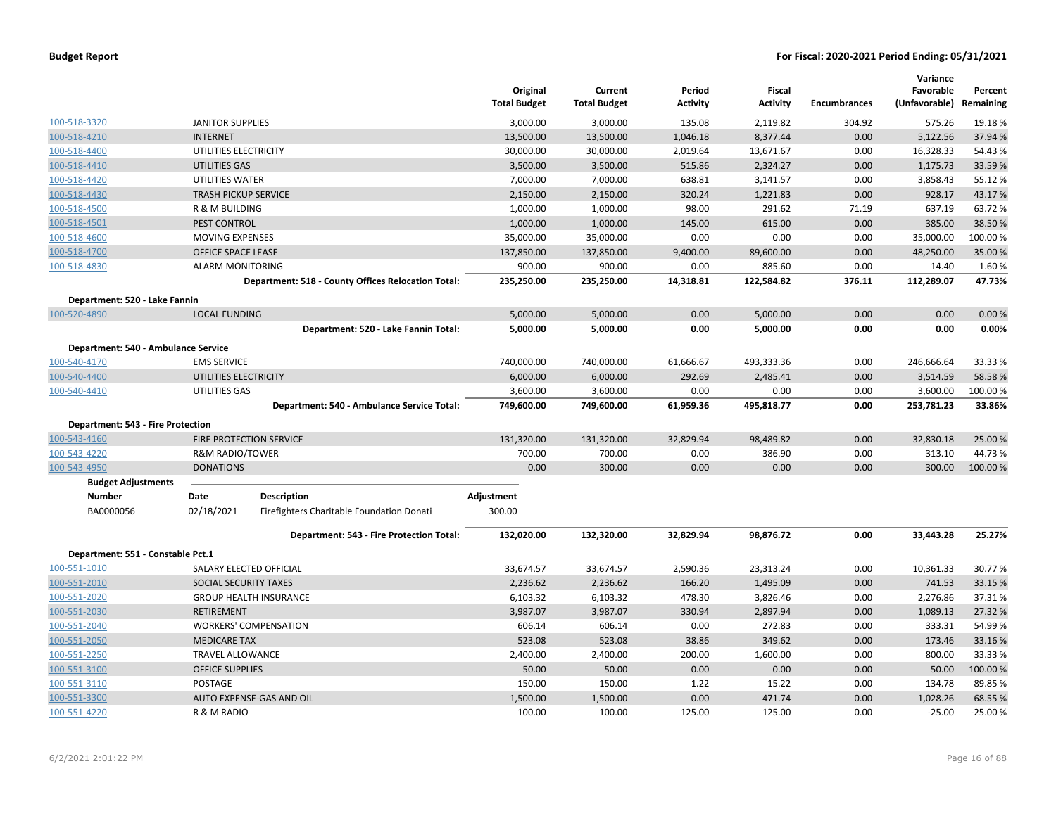|                                     |                                |                                                    | Original            | Current             | Period          | <b>Fiscal</b>   |                     | Variance<br>Favorable | Percent   |
|-------------------------------------|--------------------------------|----------------------------------------------------|---------------------|---------------------|-----------------|-----------------|---------------------|-----------------------|-----------|
|                                     |                                |                                                    | <b>Total Budget</b> | <b>Total Budget</b> | <b>Activity</b> | <b>Activity</b> | <b>Encumbrances</b> | (Unfavorable)         | Remaining |
| 100-518-3320                        | <b>JANITOR SUPPLIES</b>        |                                                    | 3,000.00            | 3,000.00            | 135.08          | 2,119.82        | 304.92              | 575.26                | 19.18%    |
| 100-518-4210                        | <b>INTERNET</b>                |                                                    | 13,500.00           | 13,500.00           | 1,046.18        | 8,377.44        | 0.00                | 5,122.56              | 37.94 %   |
| 100-518-4400                        | UTILITIES ELECTRICITY          |                                                    | 30,000.00           | 30,000.00           | 2,019.64        | 13,671.67       | 0.00                | 16,328.33             | 54.43%    |
| 100-518-4410                        | UTILITIES GAS                  |                                                    | 3,500.00            | 3,500.00            | 515.86          | 2,324.27        | 0.00                | 1,175.73              | 33.59 %   |
| 100-518-4420                        | UTILITIES WATER                |                                                    | 7,000.00            | 7,000.00            | 638.81          | 3,141.57        | 0.00                | 3,858.43              | 55.12 %   |
| 100-518-4430                        | <b>TRASH PICKUP SERVICE</b>    |                                                    | 2,150.00            | 2,150.00            | 320.24          | 1,221.83        | 0.00                | 928.17                | 43.17%    |
| 100-518-4500                        | R & M BUILDING                 |                                                    | 1,000.00            | 1,000.00            | 98.00           | 291.62          | 71.19               | 637.19                | 63.72%    |
| 100-518-4501                        | PEST CONTROL                   |                                                    | 1,000.00            | 1,000.00            | 145.00          | 615.00          | 0.00                | 385.00                | 38.50 %   |
| 100-518-4600                        | <b>MOVING EXPENSES</b>         |                                                    | 35,000.00           | 35,000.00           | 0.00            | 0.00            | 0.00                | 35,000.00             | 100.00%   |
| 100-518-4700                        | OFFICE SPACE LEASE             |                                                    | 137,850.00          | 137,850.00          | 9,400.00        | 89,600.00       | 0.00                | 48,250.00             | 35.00 %   |
| 100-518-4830                        | <b>ALARM MONITORING</b>        |                                                    | 900.00              | 900.00              | 0.00            | 885.60          | 0.00                | 14.40                 | 1.60%     |
|                                     |                                | Department: 518 - County Offices Relocation Total: | 235,250.00          | 235,250.00          | 14,318.81       | 122,584.82      | 376.11              | 112,289.07            | 47.73%    |
| Department: 520 - Lake Fannin       |                                |                                                    |                     |                     |                 |                 |                     |                       |           |
| 100-520-4890                        | <b>LOCAL FUNDING</b>           |                                                    | 5,000.00            | 5,000.00            | 0.00            | 5,000.00        | 0.00                | 0.00                  | 0.00%     |
|                                     |                                | Department: 520 - Lake Fannin Total:               | 5,000.00            | 5,000.00            | 0.00            | 5,000.00        | 0.00                | 0.00                  | 0.00%     |
| Department: 540 - Ambulance Service |                                |                                                    |                     |                     |                 |                 |                     |                       |           |
| 100-540-4170                        | <b>EMS SERVICE</b>             |                                                    | 740,000.00          | 740,000.00          | 61,666.67       | 493,333.36      | 0.00                | 246,666.64            | 33.33 %   |
| 100-540-4400                        | UTILITIES ELECTRICITY          |                                                    | 6,000.00            | 6,000.00            | 292.69          | 2,485.41        | 0.00                | 3,514.59              | 58.58%    |
| 100-540-4410                        | UTILITIES GAS                  |                                                    | 3,600.00            | 3,600.00            | 0.00            | 0.00            | 0.00                | 3,600.00              | 100.00%   |
|                                     |                                | Department: 540 - Ambulance Service Total:         | 749,600.00          | 749,600.00          | 61,959.36       | 495,818.77      | 0.00                | 253,781.23            | 33.86%    |
| Department: 543 - Fire Protection   |                                |                                                    |                     |                     |                 |                 |                     |                       |           |
| 100-543-4160                        | <b>FIRE PROTECTION SERVICE</b> |                                                    | 131,320.00          | 131,320.00          | 32,829.94       | 98,489.82       | 0.00                | 32,830.18             | 25.00 %   |
| 100-543-4220                        | <b>R&amp;M RADIO/TOWER</b>     |                                                    | 700.00              | 700.00              | 0.00            | 386.90          | 0.00                | 313.10                | 44.73%    |
| 100-543-4950                        | <b>DONATIONS</b>               |                                                    | 0.00                | 300.00              | 0.00            | 0.00            | 0.00                | 300.00                | 100.00%   |
| <b>Budget Adjustments</b>           |                                |                                                    |                     |                     |                 |                 |                     |                       |           |
| Number                              | Date                           | <b>Description</b>                                 | Adjustment          |                     |                 |                 |                     |                       |           |
| BA0000056                           | 02/18/2021                     | Firefighters Charitable Foundation Donati          | 300.00              |                     |                 |                 |                     |                       |           |
|                                     |                                | Department: 543 - Fire Protection Total:           | 132,020.00          | 132,320.00          | 32,829.94       | 98,876.72       | 0.00                | 33,443.28             | 25.27%    |
| Department: 551 - Constable Pct.1   |                                |                                                    |                     |                     |                 |                 |                     |                       |           |
| 100-551-1010                        | SALARY ELECTED OFFICIAL        |                                                    | 33,674.57           | 33,674.57           | 2,590.36        | 23,313.24       | 0.00                | 10,361.33             | 30.77%    |
| 100-551-2010                        | SOCIAL SECURITY TAXES          |                                                    | 2,236.62            | 2,236.62            | 166.20          | 1,495.09        | 0.00                | 741.53                | 33.15 %   |
| 100-551-2020                        |                                | <b>GROUP HEALTH INSURANCE</b>                      | 6,103.32            | 6,103.32            | 478.30          | 3,826.46        | 0.00                | 2,276.86              | 37.31%    |
| 100-551-2030                        | RETIREMENT                     |                                                    | 3,987.07            | 3,987.07            | 330.94          | 2,897.94        | 0.00                | 1,089.13              | 27.32 %   |
| 100-551-2040                        |                                | <b>WORKERS' COMPENSATION</b>                       | 606.14              | 606.14              | 0.00            | 272.83          | 0.00                | 333.31                | 54.99%    |
| 100-551-2050                        | <b>MEDICARE TAX</b>            |                                                    | 523.08              | 523.08              | 38.86           | 349.62          | 0.00                | 173.46                | 33.16%    |
| 100-551-2250                        | TRAVEL ALLOWANCE               |                                                    | 2,400.00            | 2,400.00            | 200.00          | 1,600.00        | 0.00                | 800.00                | 33.33%    |
| 100-551-3100                        | <b>OFFICE SUPPLIES</b>         |                                                    | 50.00               | 50.00               | 0.00            | 0.00            | 0.00                | 50.00                 | 100.00%   |
| 100-551-3110                        | POSTAGE                        |                                                    | 150.00              | 150.00              | 1.22            | 15.22           | 0.00                | 134.78                | 89.85 %   |
| 100-551-3300                        |                                | AUTO EXPENSE-GAS AND OIL                           | 1,500.00            | 1,500.00            | 0.00            | 471.74          | 0.00                | 1,028.26              | 68.55 %   |
| 100-551-4220                        | R & M RADIO                    |                                                    | 100.00              | 100.00              | 125.00          | 125.00          | 0.00                | $-25.00$              | $-25.00%$ |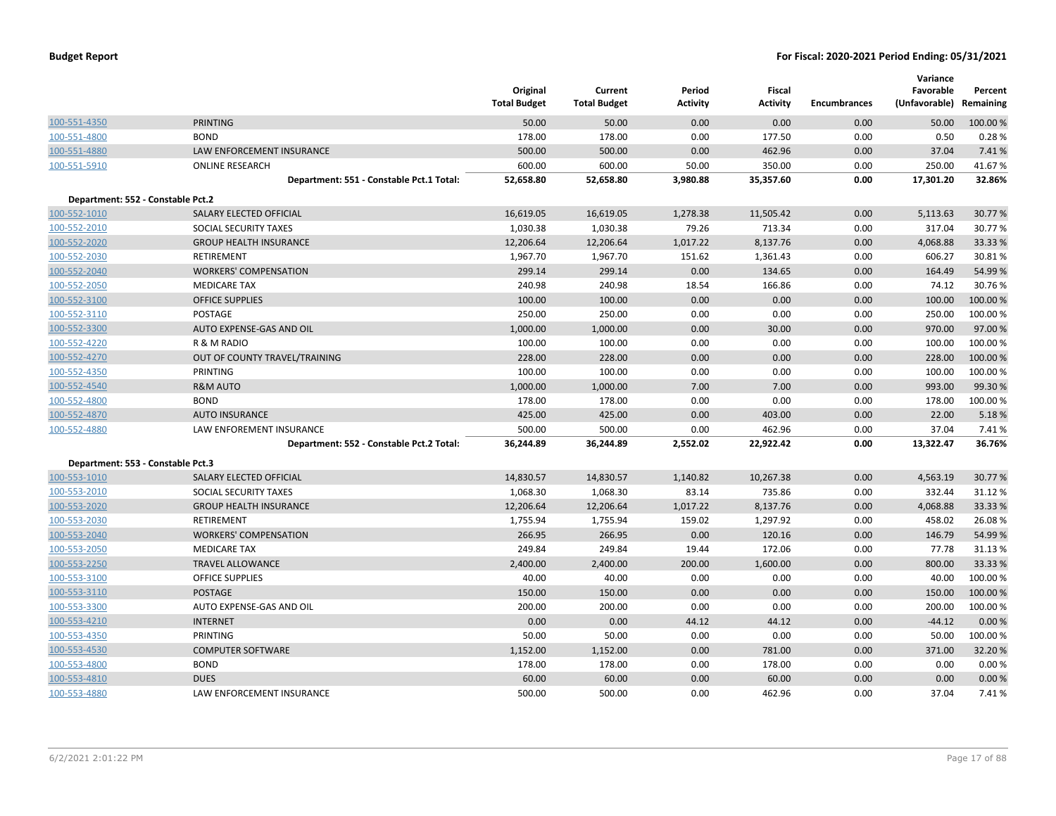|                                   |                                          | Original<br><b>Total Budget</b> | Current<br><b>Total Budget</b> | Period<br><b>Activity</b> | Fiscal<br><b>Activity</b> | Encumbrances | Variance<br>Favorable<br>(Unfavorable) Remaining | Percent  |
|-----------------------------------|------------------------------------------|---------------------------------|--------------------------------|---------------------------|---------------------------|--------------|--------------------------------------------------|----------|
| 100-551-4350                      | <b>PRINTING</b>                          | 50.00                           | 50.00                          | 0.00                      | 0.00                      | 0.00         | 50.00                                            | 100.00 % |
| 100-551-4800                      | <b>BOND</b>                              | 178.00                          | 178.00                         | 0.00                      | 177.50                    | 0.00         | 0.50                                             | 0.28%    |
| 100-551-4880                      | LAW ENFORCEMENT INSURANCE                | 500.00                          | 500.00                         | 0.00                      | 462.96                    | 0.00         | 37.04                                            | 7.41%    |
| 100-551-5910                      | <b>ONLINE RESEARCH</b>                   | 600.00                          | 600.00                         | 50.00                     | 350.00                    | 0.00         | 250.00                                           | 41.67%   |
|                                   | Department: 551 - Constable Pct.1 Total: | 52,658.80                       | 52,658.80                      | 3,980.88                  | 35,357.60                 | 0.00         | 17,301.20                                        | 32.86%   |
| Department: 552 - Constable Pct.2 |                                          |                                 |                                |                           |                           |              |                                                  |          |
| 100-552-1010                      | SALARY ELECTED OFFICIAL                  | 16,619.05                       | 16,619.05                      | 1,278.38                  | 11,505.42                 | 0.00         | 5,113.63                                         | 30.77 %  |
| 100-552-2010                      | SOCIAL SECURITY TAXES                    | 1,030.38                        | 1,030.38                       | 79.26                     | 713.34                    | 0.00         | 317.04                                           | 30.77%   |
| 100-552-2020                      | <b>GROUP HEALTH INSURANCE</b>            | 12,206.64                       | 12,206.64                      | 1,017.22                  | 8,137.76                  | 0.00         | 4,068.88                                         | 33.33 %  |
| 100-552-2030                      | RETIREMENT                               | 1,967.70                        | 1,967.70                       | 151.62                    | 1,361.43                  | 0.00         | 606.27                                           | 30.81%   |
| 100-552-2040                      | <b>WORKERS' COMPENSATION</b>             | 299.14                          | 299.14                         | 0.00                      | 134.65                    | 0.00         | 164.49                                           | 54.99%   |
| 100-552-2050                      | <b>MEDICARE TAX</b>                      | 240.98                          | 240.98                         | 18.54                     | 166.86                    | 0.00         | 74.12                                            | 30.76%   |
| 100-552-3100                      | <b>OFFICE SUPPLIES</b>                   | 100.00                          | 100.00                         | 0.00                      | 0.00                      | 0.00         | 100.00                                           | 100.00%  |
| 100-552-3110                      | <b>POSTAGE</b>                           | 250.00                          | 250.00                         | 0.00                      | 0.00                      | 0.00         | 250.00                                           | 100.00%  |
| 100-552-3300                      | AUTO EXPENSE-GAS AND OIL                 | 1,000.00                        | 1,000.00                       | 0.00                      | 30.00                     | 0.00         | 970.00                                           | 97.00%   |
| 100-552-4220                      | R & M RADIO                              | 100.00                          | 100.00                         | 0.00                      | 0.00                      | 0.00         | 100.00                                           | 100.00 % |
| 100-552-4270                      | OUT OF COUNTY TRAVEL/TRAINING            | 228.00                          | 228.00                         | 0.00                      | 0.00                      | 0.00         | 228.00                                           | 100.00%  |
| 100-552-4350                      | PRINTING                                 | 100.00                          | 100.00                         | 0.00                      | 0.00                      | 0.00         | 100.00                                           | 100.00%  |
| 100-552-4540                      | <b>R&amp;M AUTO</b>                      | 1,000.00                        | 1,000.00                       | 7.00                      | 7.00                      | 0.00         | 993.00                                           | 99.30%   |
| 100-552-4800                      | <b>BOND</b>                              | 178.00                          | 178.00                         | 0.00                      | 0.00                      | 0.00         | 178.00                                           | 100.00 % |
| 100-552-4870                      | <b>AUTO INSURANCE</b>                    | 425.00                          | 425.00                         | 0.00                      | 403.00                    | 0.00         | 22.00                                            | 5.18%    |
| 100-552-4880                      | <b>LAW ENFOREMENT INSURANCE</b>          | 500.00                          | 500.00                         | 0.00                      | 462.96                    | 0.00         | 37.04                                            | 7.41%    |
|                                   | Department: 552 - Constable Pct.2 Total: | 36,244.89                       | 36,244.89                      | 2,552.02                  | 22,922.42                 | 0.00         | 13,322.47                                        | 36.76%   |
| Department: 553 - Constable Pct.3 |                                          |                                 |                                |                           |                           |              |                                                  |          |
| 100-553-1010                      | <b>SALARY ELECTED OFFICIAL</b>           | 14,830.57                       | 14,830.57                      | 1,140.82                  | 10,267.38                 | 0.00         | 4,563.19                                         | 30.77 %  |
| 100-553-2010                      | SOCIAL SECURITY TAXES                    | 1,068.30                        | 1,068.30                       | 83.14                     | 735.86                    | 0.00         | 332.44                                           | 31.12%   |
| 100-553-2020                      | <b>GROUP HEALTH INSURANCE</b>            | 12,206.64                       | 12,206.64                      | 1,017.22                  | 8,137.76                  | 0.00         | 4,068.88                                         | 33.33 %  |
| 100-553-2030                      | <b>RETIREMENT</b>                        | 1,755.94                        | 1,755.94                       | 159.02                    | 1,297.92                  | 0.00         | 458.02                                           | 26.08%   |
| 100-553-2040                      | <b>WORKERS' COMPENSATION</b>             | 266.95                          | 266.95                         | 0.00                      | 120.16                    | 0.00         | 146.79                                           | 54.99%   |
| 100-553-2050                      | <b>MEDICARE TAX</b>                      | 249.84                          | 249.84                         | 19.44                     | 172.06                    | 0.00         | 77.78                                            | 31.13%   |
| 100-553-2250                      | <b>TRAVEL ALLOWANCE</b>                  | 2,400.00                        | 2,400.00                       | 200.00                    | 1,600.00                  | 0.00         | 800.00                                           | 33.33 %  |
| 100-553-3100                      | <b>OFFICE SUPPLIES</b>                   | 40.00                           | 40.00                          | 0.00                      | 0.00                      | 0.00         | 40.00                                            | 100.00%  |
| 100-553-3110                      | <b>POSTAGE</b>                           | 150.00                          | 150.00                         | 0.00                      | 0.00                      | 0.00         | 150.00                                           | 100.00 % |
| 100-553-3300                      | AUTO EXPENSE-GAS AND OIL                 | 200.00                          | 200.00                         | 0.00                      | 0.00                      | 0.00         | 200.00                                           | 100.00 % |
| 100-553-4210                      | <b>INTERNET</b>                          | 0.00                            | 0.00                           | 44.12                     | 44.12                     | 0.00         | $-44.12$                                         | 0.00%    |
| 100-553-4350                      | PRINTING                                 | 50.00                           | 50.00                          | 0.00                      | 0.00                      | 0.00         | 50.00                                            | 100.00 % |
| 100-553-4530                      | <b>COMPUTER SOFTWARE</b>                 | 1,152.00                        | 1,152.00                       | 0.00                      | 781.00                    | 0.00         | 371.00                                           | 32.20%   |
| 100-553-4800                      | <b>BOND</b>                              | 178.00                          | 178.00                         | 0.00                      | 178.00                    | 0.00         | 0.00                                             | 0.00%    |
| 100-553-4810                      | <b>DUES</b>                              | 60.00                           | 60.00                          | 0.00                      | 60.00                     | 0.00         | 0.00                                             | 0.00%    |
| 100-553-4880                      | LAW ENFORCEMENT INSURANCE                | 500.00                          | 500.00                         | 0.00                      | 462.96                    | 0.00         | 37.04                                            | 7.41%    |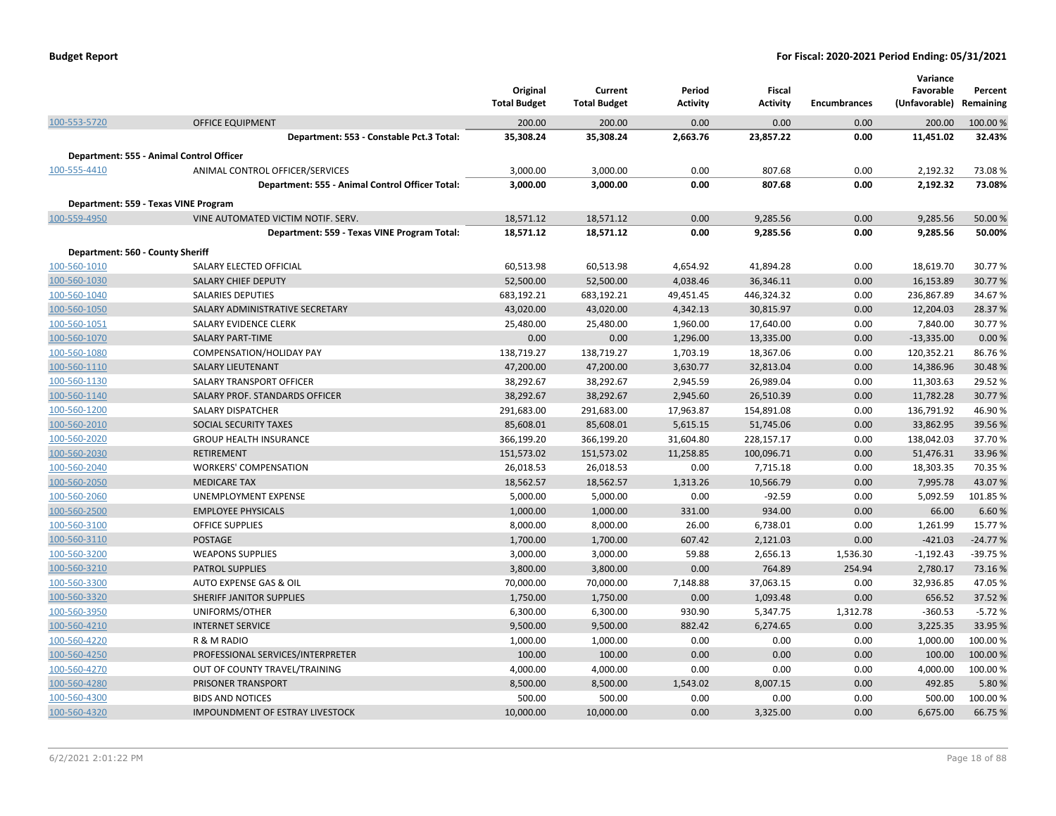|                                  |                                                      | Original<br><b>Total Budget</b> | Current<br><b>Total Budget</b> | Period<br><b>Activity</b> | <b>Fiscal</b><br><b>Activity</b> | <b>Encumbrances</b> | Variance<br>Favorable<br>(Unfavorable) | Percent<br>Remaining |
|----------------------------------|------------------------------------------------------|---------------------------------|--------------------------------|---------------------------|----------------------------------|---------------------|----------------------------------------|----------------------|
| 100-553-5720                     | <b>OFFICE EQUIPMENT</b>                              | 200.00                          | 200.00                         | 0.00                      | 0.00                             | 0.00                | 200.00                                 | 100.00 %             |
|                                  | Department: 553 - Constable Pct.3 Total:             | 35,308.24                       | 35,308.24                      | 2,663.76                  | 23,857.22                        | 0.00                | 11,451.02                              | 32.43%               |
|                                  | Department: 555 - Animal Control Officer             |                                 |                                |                           |                                  |                     |                                        |                      |
| 100-555-4410                     | ANIMAL CONTROL OFFICER/SERVICES                      | 3,000.00                        | 3,000.00                       | 0.00                      | 807.68                           | 0.00                | 2,192.32                               | 73.08%               |
|                                  | Department: 555 - Animal Control Officer Total:      | 3,000.00                        | 3,000.00                       | 0.00                      | 807.68                           | 0.00                | 2,192.32                               | 73.08%               |
|                                  | Department: 559 - Texas VINE Program                 |                                 |                                |                           |                                  |                     |                                        |                      |
| 100-559-4950                     | VINE AUTOMATED VICTIM NOTIF. SERV.                   | 18,571.12                       | 18,571.12                      | 0.00                      | 9,285.56                         | 0.00                | 9,285.56                               | 50.00 %              |
|                                  | Department: 559 - Texas VINE Program Total:          | 18,571.12                       | 18,571.12                      | 0.00                      | 9,285.56                         | 0.00                | 9,285.56                               | 50.00%               |
|                                  |                                                      |                                 |                                |                           |                                  |                     |                                        |                      |
| Department: 560 - County Sheriff |                                                      |                                 |                                |                           |                                  |                     |                                        |                      |
| 100-560-1010                     | SALARY ELECTED OFFICIAL                              | 60,513.98                       | 60,513.98                      | 4,654.92                  | 41,894.28                        | 0.00                | 18,619.70                              | 30.77%               |
| 100-560-1030                     | SALARY CHIEF DEPUTY                                  | 52,500.00                       | 52,500.00                      | 4,038.46                  | 36,346.11                        | 0.00                | 16,153.89                              | 30.77%               |
| 100-560-1040                     | <b>SALARIES DEPUTIES</b>                             | 683,192.21                      | 683,192.21                     | 49,451.45                 | 446,324.32                       | 0.00                | 236,867.89                             | 34.67%               |
| 100-560-1050                     | SALARY ADMINISTRATIVE SECRETARY                      | 43,020.00                       | 43,020.00                      | 4,342.13                  | 30,815.97                        | 0.00                | 12,204.03                              | 28.37 %              |
| 100-560-1051                     | SALARY EVIDENCE CLERK                                | 25,480.00                       | 25,480.00                      | 1,960.00                  | 17,640.00                        | 0.00                | 7,840.00                               | 30.77%               |
| 100-560-1070                     | <b>SALARY PART-TIME</b><br>COMPENSATION/HOLIDAY PAY  | 0.00                            | 0.00                           | 1,296.00                  | 13,335.00                        | 0.00<br>0.00        | $-13,335.00$                           | 0.00%                |
| 100-560-1080<br>100-560-1110     |                                                      | 138,719.27                      | 138,719.27                     | 1,703.19                  | 18,367.06                        | 0.00                | 120,352.21                             | 86.76%               |
| 100-560-1130                     | <b>SALARY LIEUTENANT</b><br>SALARY TRANSPORT OFFICER | 47,200.00<br>38,292.67          | 47,200.00<br>38,292.67         | 3,630.77<br>2,945.59      | 32,813.04<br>26,989.04           | 0.00                | 14,386.96<br>11,303.63                 | 30.48%<br>29.52 %    |
| 100-560-1140                     | SALARY PROF. STANDARDS OFFICER                       | 38,292.67                       | 38,292.67                      | 2,945.60                  | 26,510.39                        | 0.00                | 11,782.28                              | 30.77%               |
| 100-560-1200                     | <b>SALARY DISPATCHER</b>                             | 291,683.00                      | 291,683.00                     | 17,963.87                 | 154,891.08                       | 0.00                | 136,791.92                             | 46.90%               |
| 100-560-2010                     | SOCIAL SECURITY TAXES                                | 85,608.01                       | 85,608.01                      | 5,615.15                  | 51,745.06                        | 0.00                | 33,862.95                              | 39.56%               |
| 100-560-2020                     | <b>GROUP HEALTH INSURANCE</b>                        | 366,199.20                      | 366,199.20                     | 31,604.80                 | 228,157.17                       | 0.00                | 138,042.03                             | 37.70%               |
| 100-560-2030                     | <b>RETIREMENT</b>                                    | 151,573.02                      | 151,573.02                     | 11,258.85                 | 100,096.71                       | 0.00                | 51,476.31                              | 33.96%               |
| 100-560-2040                     | <b>WORKERS' COMPENSATION</b>                         | 26,018.53                       | 26,018.53                      | 0.00                      | 7,715.18                         | 0.00                | 18,303.35                              | 70.35 %              |
| 100-560-2050                     | <b>MEDICARE TAX</b>                                  | 18,562.57                       | 18,562.57                      | 1,313.26                  | 10,566.79                        | 0.00                | 7,995.78                               | 43.07%               |
| 100-560-2060                     | UNEMPLOYMENT EXPENSE                                 | 5,000.00                        | 5,000.00                       | 0.00                      | $-92.59$                         | 0.00                | 5,092.59                               | 101.85%              |
| 100-560-2500                     | <b>EMPLOYEE PHYSICALS</b>                            | 1,000.00                        | 1,000.00                       | 331.00                    | 934.00                           | 0.00                | 66.00                                  | 6.60%                |
| 100-560-3100                     | <b>OFFICE SUPPLIES</b>                               | 8,000.00                        | 8,000.00                       | 26.00                     | 6,738.01                         | 0.00                | 1,261.99                               | 15.77%               |
| 100-560-3110                     | <b>POSTAGE</b>                                       | 1,700.00                        | 1,700.00                       | 607.42                    | 2,121.03                         | 0.00                | $-421.03$                              | $-24.77%$            |
| 100-560-3200                     | <b>WEAPONS SUPPLIES</b>                              | 3,000.00                        | 3,000.00                       | 59.88                     | 2,656.13                         | 1,536.30            | $-1,192.43$                            | -39.75 %             |
| 100-560-3210                     | <b>PATROL SUPPLIES</b>                               | 3,800.00                        | 3,800.00                       | 0.00                      | 764.89                           | 254.94              | 2,780.17                               | 73.16%               |
| 100-560-3300                     | AUTO EXPENSE GAS & OIL                               | 70,000.00                       | 70,000.00                      | 7,148.88                  | 37,063.15                        | 0.00                | 32,936.85                              | 47.05%               |
| 100-560-3320                     | SHERIFF JANITOR SUPPLIES                             | 1,750.00                        | 1,750.00                       | 0.00                      | 1,093.48                         | 0.00                | 656.52                                 | 37.52 %              |
| 100-560-3950                     | UNIFORMS/OTHER                                       | 6,300.00                        | 6,300.00                       | 930.90                    | 5,347.75                         | 1,312.78            | $-360.53$                              | $-5.72%$             |
| 100-560-4210                     | <b>INTERNET SERVICE</b>                              | 9,500.00                        | 9,500.00                       | 882.42                    | 6,274.65                         | 0.00                | 3,225.35                               | 33.95 %              |
| 100-560-4220                     | R & M RADIO                                          | 1,000.00                        | 1,000.00                       | 0.00                      | 0.00                             | 0.00                | 1,000.00                               | 100.00%              |
| 100-560-4250                     | PROFESSIONAL SERVICES/INTERPRETER                    | 100.00                          | 100.00                         | 0.00                      | 0.00                             | 0.00                | 100.00                                 | 100.00 %             |
| 100-560-4270                     | OUT OF COUNTY TRAVEL/TRAINING                        | 4,000.00                        | 4,000.00                       | 0.00                      | 0.00                             | 0.00                | 4,000.00                               | 100.00%              |
| 100-560-4280                     | PRISONER TRANSPORT                                   | 8,500.00                        | 8,500.00                       | 1,543.02                  | 8,007.15                         | 0.00                | 492.85                                 | 5.80%                |
| 100-560-4300                     | <b>BIDS AND NOTICES</b>                              | 500.00                          | 500.00                         | 0.00                      | 0.00                             | 0.00                | 500.00                                 | 100.00%              |
| 100-560-4320                     | <b>IMPOUNDMENT OF ESTRAY LIVESTOCK</b>               | 10,000.00                       | 10,000.00                      | 0.00                      | 3,325.00                         | 0.00                | 6,675.00                               | 66.75 %              |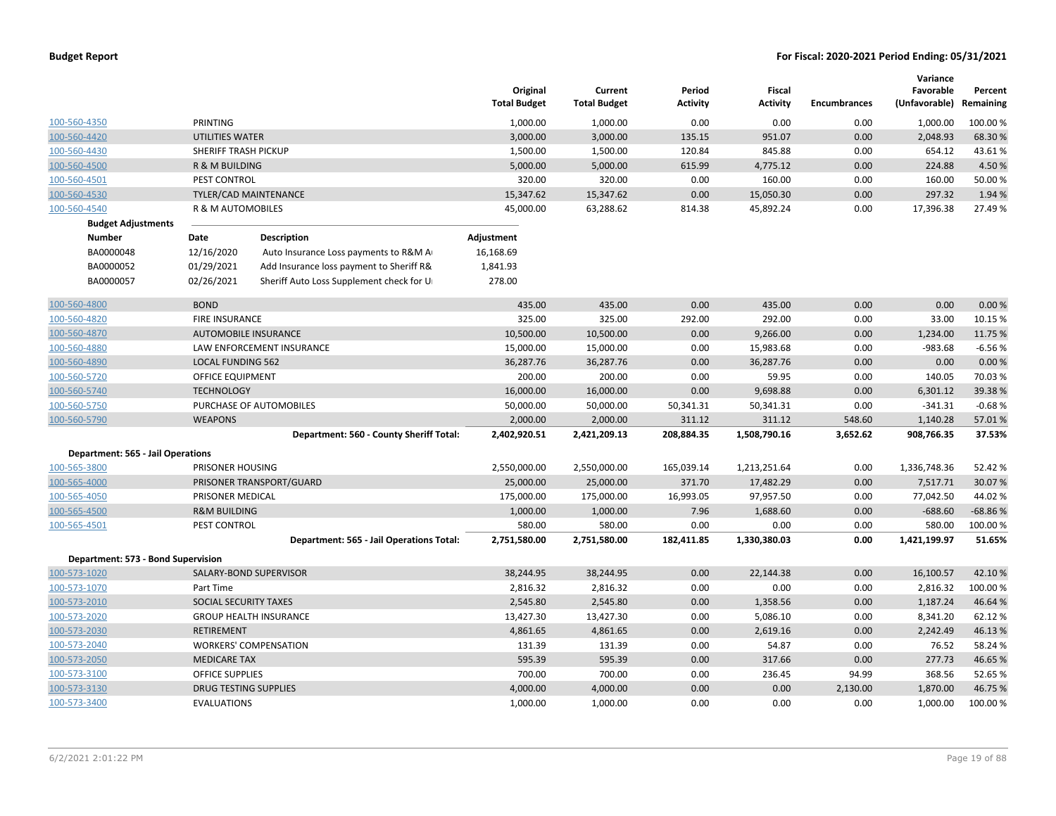|              |                                          |                              |                                          | Original<br><b>Total Budget</b> | Current<br><b>Total Budget</b> | Period<br>Activity | Fiscal<br><b>Activity</b> | <b>Encumbrances</b> | Variance<br>Favorable<br>(Unfavorable) Remaining | Percent   |
|--------------|------------------------------------------|------------------------------|------------------------------------------|---------------------------------|--------------------------------|--------------------|---------------------------|---------------------|--------------------------------------------------|-----------|
| 100-560-4350 |                                          | PRINTING                     |                                          | 1,000.00                        | 1,000.00                       | 0.00               | 0.00                      | 0.00                | 1,000.00                                         | 100.00 %  |
| 100-560-4420 |                                          | <b>UTILITIES WATER</b>       |                                          | 3,000.00                        | 3,000.00                       | 135.15             | 951.07                    | 0.00                | 2,048.93                                         | 68.30 %   |
| 100-560-4430 |                                          | SHERIFF TRASH PICKUP         |                                          | 1,500.00                        | 1,500.00                       | 120.84             | 845.88                    | 0.00                | 654.12                                           | 43.61%    |
| 100-560-4500 |                                          | R & M BUILDING               |                                          | 5,000.00                        | 5,000.00                       | 615.99             | 4,775.12                  | 0.00                | 224.88                                           | 4.50%     |
| 100-560-4501 |                                          | PEST CONTROL                 |                                          | 320.00                          | 320.00                         | 0.00               | 160.00                    | 0.00                | 160.00                                           | 50.00 %   |
| 100-560-4530 |                                          |                              | <b>TYLER/CAD MAINTENANCE</b>             | 15,347.62                       | 15,347.62                      | 0.00               | 15,050.30                 | 0.00                | 297.32                                           | 1.94 %    |
| 100-560-4540 |                                          | R & M AUTOMOBILES            |                                          | 45,000.00                       | 63,288.62                      | 814.38             | 45,892.24                 | 0.00                | 17,396.38                                        | 27.49%    |
|              | <b>Budget Adjustments</b>                |                              |                                          |                                 |                                |                    |                           |                     |                                                  |           |
|              | <b>Number</b>                            | Date                         | <b>Description</b>                       | Adjustment                      |                                |                    |                           |                     |                                                  |           |
|              | BA0000048                                | 12/16/2020                   | Auto Insurance Loss payments to R&M A    | 16,168.69                       |                                |                    |                           |                     |                                                  |           |
|              | BA0000052                                | 01/29/2021                   | Add Insurance loss payment to Sheriff R& | 1,841.93                        |                                |                    |                           |                     |                                                  |           |
|              | BA0000057                                | 02/26/2021                   | Sheriff Auto Loss Supplement check for U | 278.00                          |                                |                    |                           |                     |                                                  |           |
| 100-560-4800 |                                          | <b>BOND</b>                  |                                          | 435.00                          | 435.00                         | 0.00               | 435.00                    | 0.00                | 0.00                                             | 0.00%     |
| 100-560-4820 |                                          | FIRE INSURANCE               |                                          | 325.00                          | 325.00                         | 292.00             | 292.00                    | 0.00                | 33.00                                            | 10.15 %   |
| 100-560-4870 |                                          |                              | <b>AUTOMOBILE INSURANCE</b>              | 10,500.00                       | 10,500.00                      | 0.00               | 9,266.00                  | 0.00                | 1,234.00                                         | 11.75 %   |
| 100-560-4880 |                                          |                              | LAW ENFORCEMENT INSURANCE                | 15,000.00                       | 15,000.00                      | 0.00               | 15,983.68                 | 0.00                | $-983.68$                                        | $-6.56%$  |
| 100-560-4890 |                                          | <b>LOCAL FUNDING 562</b>     |                                          | 36,287.76                       | 36,287.76                      | 0.00               | 36,287.76                 | 0.00                | 0.00                                             | 0.00%     |
| 100-560-5720 |                                          | <b>OFFICE EQUIPMENT</b>      |                                          | 200.00                          | 200.00                         | 0.00               | 59.95                     | 0.00                | 140.05                                           | 70.03%    |
| 100-560-5740 |                                          | <b>TECHNOLOGY</b>            |                                          | 16,000.00                       | 16,000.00                      | 0.00               | 9,698.88                  | 0.00                | 6,301.12                                         | 39.38%    |
| 100-560-5750 |                                          |                              | PURCHASE OF AUTOMOBILES                  | 50,000.00                       | 50,000.00                      | 50,341.31          | 50,341.31                 | 0.00                | $-341.31$                                        | $-0.68%$  |
| 100-560-5790 |                                          | <b>WEAPONS</b>               |                                          | 2,000.00                        | 2,000.00                       | 311.12             | 311.12                    | 548.60              | 1,140.28                                         | 57.01%    |
|              |                                          |                              | Department: 560 - County Sheriff Total:  | 2,402,920.51                    | 2,421,209.13                   | 208,884.35         | 1,508,790.16              | 3,652.62            | 908,766.35                                       | 37.53%    |
|              | <b>Department: 565 - Jail Operations</b> |                              |                                          |                                 |                                |                    |                           |                     |                                                  |           |
| 100-565-3800 |                                          | PRISONER HOUSING             |                                          | 2,550,000.00                    | 2,550,000.00                   | 165,039.14         | 1,213,251.64              | 0.00                | 1,336,748.36                                     | 52.42 %   |
| 100-565-4000 |                                          |                              | PRISONER TRANSPORT/GUARD                 | 25,000.00                       | 25,000.00                      | 371.70             | 17,482.29                 | 0.00                | 7,517.71                                         | 30.07%    |
| 100-565-4050 |                                          | PRISONER MEDICAL             |                                          | 175,000.00                      | 175,000.00                     | 16,993.05          | 97,957.50                 | 0.00                | 77,042.50                                        | 44.02%    |
| 100-565-4500 |                                          | <b>R&amp;M BUILDING</b>      |                                          | 1,000.00                        | 1,000.00                       | 7.96               | 1,688.60                  | 0.00                | $-688.60$                                        | $-68.86%$ |
| 100-565-4501 |                                          | PEST CONTROL                 |                                          | 580.00                          | 580.00                         | 0.00               | 0.00                      | 0.00                | 580.00                                           | 100.00 %  |
|              |                                          |                              | Department: 565 - Jail Operations Total: | 2,751,580.00                    | 2,751,580.00                   | 182,411.85         | 1,330,380.03              | 0.00                | 1,421,199.97                                     | 51.65%    |
|              | Department: 573 - Bond Supervision       |                              |                                          |                                 |                                |                    |                           |                     |                                                  |           |
| 100-573-1020 |                                          |                              | SALARY-BOND SUPERVISOR                   | 38,244.95                       | 38,244.95                      | 0.00               | 22,144.38                 | 0.00                | 16,100.57                                        | 42.10%    |
| 100-573-1070 |                                          | Part Time                    |                                          | 2,816.32                        | 2,816.32                       | 0.00               | 0.00                      | 0.00                | 2,816.32                                         | 100.00 %  |
| 100-573-2010 |                                          | SOCIAL SECURITY TAXES        |                                          | 2,545.80                        | 2,545.80                       | 0.00               | 1,358.56                  | 0.00                | 1,187.24                                         | 46.64 %   |
| 100-573-2020 |                                          |                              | <b>GROUP HEALTH INSURANCE</b>            | 13,427.30                       | 13,427.30                      | 0.00               | 5,086.10                  | 0.00                | 8,341.20                                         | 62.12%    |
| 100-573-2030 |                                          | <b>RETIREMENT</b>            |                                          | 4,861.65                        | 4,861.65                       | 0.00               | 2,619.16                  | 0.00                | 2,242.49                                         | 46.13%    |
| 100-573-2040 |                                          |                              | <b>WORKERS' COMPENSATION</b>             | 131.39                          | 131.39                         | 0.00               | 54.87                     | 0.00                | 76.52                                            | 58.24 %   |
| 100-573-2050 |                                          | <b>MEDICARE TAX</b>          |                                          | 595.39                          | 595.39                         | 0.00               | 317.66                    | 0.00                | 277.73                                           | 46.65%    |
| 100-573-3100 |                                          | <b>OFFICE SUPPLIES</b>       |                                          | 700.00                          | 700.00                         | 0.00               | 236.45                    | 94.99               | 368.56                                           | 52.65%    |
| 100-573-3130 |                                          | <b>DRUG TESTING SUPPLIES</b> |                                          | 4,000.00                        | 4,000.00                       | 0.00               | 0.00                      | 2,130.00            | 1,870.00                                         | 46.75 %   |
| 100-573-3400 |                                          | <b>EVALUATIONS</b>           |                                          | 1,000.00                        | 1,000.00                       | 0.00               | 0.00                      | 0.00                | 1,000.00                                         | 100.00%   |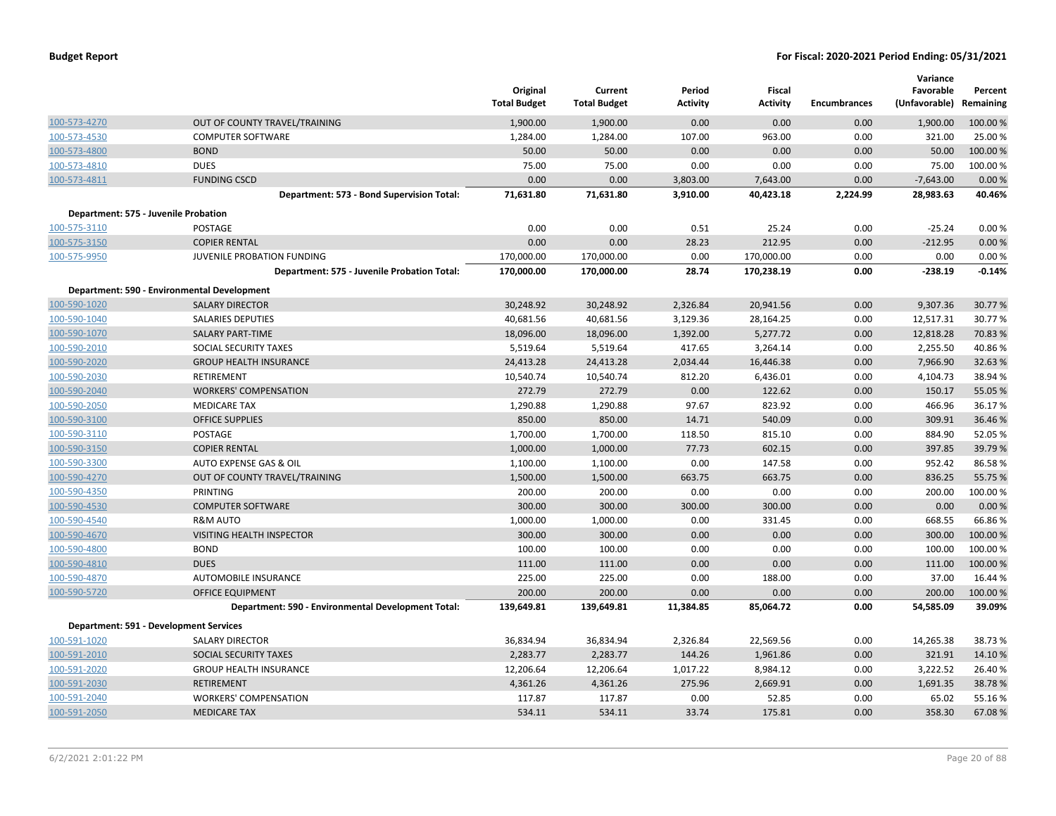|              |                                                    | Original<br><b>Total Budget</b> | Current<br><b>Total Budget</b> | Period<br>Activity | Fiscal<br><b>Activity</b> | <b>Encumbrances</b> | Variance<br>Favorable<br>(Unfavorable) Remaining | Percent  |
|--------------|----------------------------------------------------|---------------------------------|--------------------------------|--------------------|---------------------------|---------------------|--------------------------------------------------|----------|
| 100-573-4270 | OUT OF COUNTY TRAVEL/TRAINING                      | 1,900.00                        | 1,900.00                       | 0.00               | 0.00                      | 0.00                | 1,900.00                                         | 100.00%  |
| 100-573-4530 | <b>COMPUTER SOFTWARE</b>                           | 1,284.00                        | 1,284.00                       | 107.00             | 963.00                    | 0.00                | 321.00                                           | 25.00 %  |
| 100-573-4800 | <b>BOND</b>                                        | 50.00                           | 50.00                          | 0.00               | 0.00                      | 0.00                | 50.00                                            | 100.00 % |
| 100-573-4810 | <b>DUES</b>                                        | 75.00                           | 75.00                          | 0.00               | 0.00                      | 0.00                | 75.00                                            | 100.00%  |
| 100-573-4811 | <b>FUNDING CSCD</b>                                | 0.00                            | 0.00                           | 3,803.00           | 7,643.00                  | 0.00                | $-7,643.00$                                      | 0.00%    |
|              | Department: 573 - Bond Supervision Total:          | 71,631.80                       | 71,631.80                      | 3,910.00           | 40,423.18                 | 2,224.99            | 28,983.63                                        | 40.46%   |
|              | Department: 575 - Juvenile Probation               |                                 |                                |                    |                           |                     |                                                  |          |
| 100-575-3110 | POSTAGE                                            | 0.00                            | 0.00                           | 0.51               | 25.24                     | 0.00                | $-25.24$                                         | 0.00%    |
| 100-575-3150 | <b>COPIER RENTAL</b>                               | 0.00                            | 0.00                           | 28.23              | 212.95                    | 0.00                | $-212.95$                                        | 0.00%    |
| 100-575-9950 | JUVENILE PROBATION FUNDING                         | 170,000.00                      | 170,000.00                     | 0.00               | 170,000.00                | 0.00                | 0.00                                             | 0.00%    |
|              | Department: 575 - Juvenile Probation Total:        | 170,000.00                      | 170,000.00                     | 28.74              | 170,238.19                | 0.00                | $-238.19$                                        | $-0.14%$ |
|              | Department: 590 - Environmental Development        |                                 |                                |                    |                           |                     |                                                  |          |
| 100-590-1020 | <b>SALARY DIRECTOR</b>                             | 30,248.92                       | 30,248.92                      | 2,326.84           | 20,941.56                 | 0.00                | 9,307.36                                         | 30.77 %  |
| 100-590-1040 | <b>SALARIES DEPUTIES</b>                           | 40,681.56                       | 40,681.56                      | 3,129.36           | 28,164.25                 | 0.00                | 12,517.31                                        | 30.77%   |
| 100-590-1070 | <b>SALARY PART-TIME</b>                            | 18,096.00                       | 18,096.00                      | 1,392.00           | 5,277.72                  | 0.00                | 12,818.28                                        | 70.83 %  |
| 100-590-2010 | SOCIAL SECURITY TAXES                              | 5,519.64                        | 5,519.64                       | 417.65             | 3,264.14                  | 0.00                | 2,255.50                                         | 40.86%   |
| 100-590-2020 | <b>GROUP HEALTH INSURANCE</b>                      | 24,413.28                       | 24,413.28                      | 2,034.44           | 16,446.38                 | 0.00                | 7,966.90                                         | 32.63%   |
| 100-590-2030 | RETIREMENT                                         | 10,540.74                       | 10,540.74                      | 812.20             | 6,436.01                  | 0.00                | 4,104.73                                         | 38.94 %  |
| 100-590-2040 | <b>WORKERS' COMPENSATION</b>                       | 272.79                          | 272.79                         | 0.00               | 122.62                    | 0.00                | 150.17                                           | 55.05 %  |
| 100-590-2050 | <b>MEDICARE TAX</b>                                | 1,290.88                        | 1,290.88                       | 97.67              | 823.92                    | 0.00                | 466.96                                           | 36.17%   |
| 100-590-3100 | <b>OFFICE SUPPLIES</b>                             | 850.00                          | 850.00                         | 14.71              | 540.09                    | 0.00                | 309.91                                           | 36.46%   |
| 100-590-3110 | POSTAGE                                            | 1,700.00                        | 1,700.00                       | 118.50             | 815.10                    | 0.00                | 884.90                                           | 52.05 %  |
| 100-590-3150 | <b>COPIER RENTAL</b>                               | 1,000.00                        | 1,000.00                       | 77.73              | 602.15                    | 0.00                | 397.85                                           | 39.79 %  |
| 100-590-3300 | AUTO EXPENSE GAS & OIL                             | 1,100.00                        | 1,100.00                       | 0.00               | 147.58                    | 0.00                | 952.42                                           | 86.58%   |
| 100-590-4270 | OUT OF COUNTY TRAVEL/TRAINING                      | 1,500.00                        | 1,500.00                       | 663.75             | 663.75                    | 0.00                | 836.25                                           | 55.75 %  |
| 100-590-4350 | PRINTING                                           | 200.00                          | 200.00                         | 0.00               | 0.00                      | 0.00                | 200.00                                           | 100.00%  |
| 100-590-4530 | <b>COMPUTER SOFTWARE</b>                           | 300.00                          | 300.00                         | 300.00             | 300.00                    | 0.00                | 0.00                                             | 0.00%    |
| 100-590-4540 | <b>R&amp;M AUTO</b>                                | 1,000.00                        | 1,000.00                       | 0.00               | 331.45                    | 0.00                | 668.55                                           | 66.86%   |
| 100-590-4670 | VISITING HEALTH INSPECTOR                          | 300.00                          | 300.00                         | 0.00               | 0.00                      | 0.00                | 300.00                                           | 100.00 % |
| 100-590-4800 | <b>BOND</b>                                        | 100.00                          | 100.00                         | 0.00               | 0.00                      | 0.00                | 100.00                                           | 100.00%  |
| 100-590-4810 | <b>DUES</b>                                        | 111.00                          | 111.00                         | 0.00               | 0.00                      | 0.00                | 111.00                                           | 100.00%  |
| 100-590-4870 | AUTOMOBILE INSURANCE                               | 225.00                          | 225.00                         | 0.00               | 188.00                    | 0.00                | 37.00                                            | 16.44 %  |
| 100-590-5720 | <b>OFFICE EQUIPMENT</b>                            | 200.00                          | 200.00                         | 0.00               | 0.00                      | 0.00                | 200.00                                           | 100.00 % |
|              | Department: 590 - Environmental Development Total: | 139,649.81                      | 139,649.81                     | 11,384.85          | 85,064.72                 | 0.00                | 54,585.09                                        | 39.09%   |
|              | Department: 591 - Development Services             |                                 |                                |                    |                           |                     |                                                  |          |
| 100-591-1020 | <b>SALARY DIRECTOR</b>                             | 36,834.94                       | 36,834.94                      | 2,326.84           | 22,569.56                 | 0.00                | 14,265.38                                        | 38.73%   |
| 100-591-2010 | SOCIAL SECURITY TAXES                              | 2,283.77                        | 2,283.77                       | 144.26             | 1,961.86                  | 0.00                | 321.91                                           | 14.10%   |
| 100-591-2020 | <b>GROUP HEALTH INSURANCE</b>                      | 12,206.64                       | 12,206.64                      | 1,017.22           | 8,984.12                  | 0.00                | 3,222.52                                         | 26.40%   |
| 100-591-2030 | <b>RETIREMENT</b>                                  | 4,361.26                        | 4,361.26                       | 275.96             | 2,669.91                  | 0.00                | 1,691.35                                         | 38.78%   |
| 100-591-2040 | <b>WORKERS' COMPENSATION</b>                       | 117.87                          | 117.87                         | 0.00               | 52.85                     | 0.00                | 65.02                                            | 55.16%   |
| 100-591-2050 | <b>MEDICARE TAX</b>                                | 534.11                          | 534.11                         | 33.74              | 175.81                    | 0.00                | 358.30                                           | 67.08%   |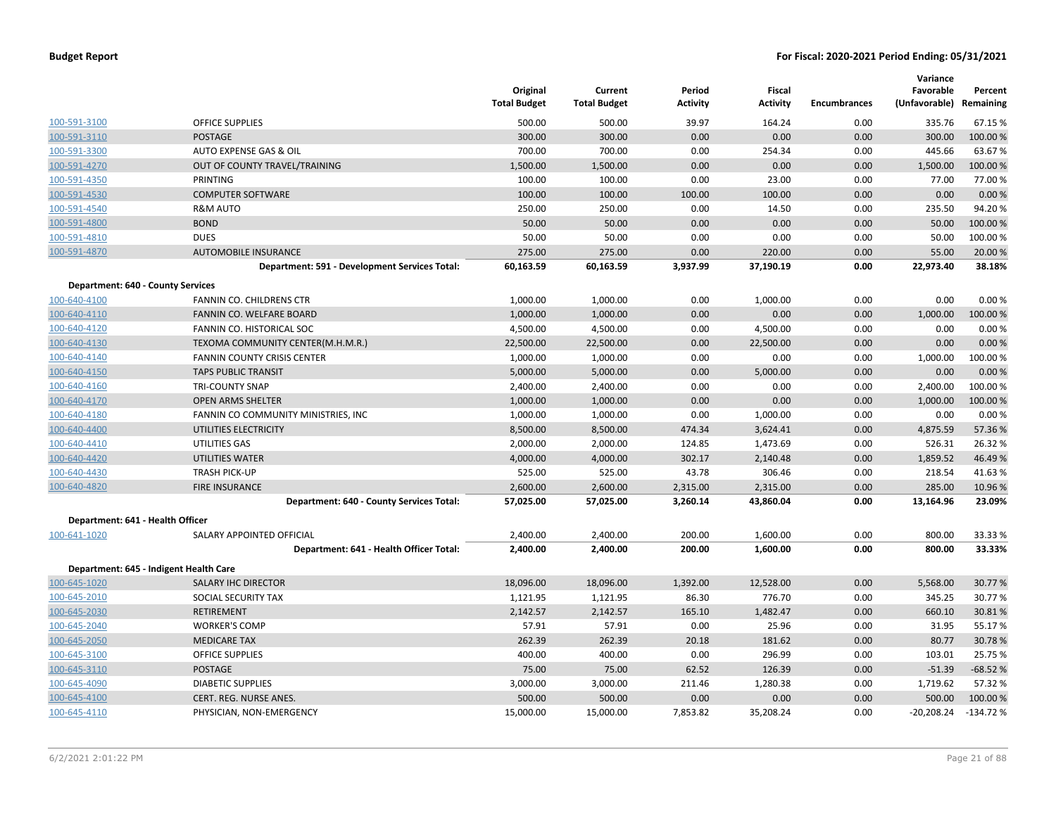|                                          |                                               | Original<br><b>Total Budget</b> | Current<br><b>Total Budget</b> | Period<br><b>Activity</b> | Fiscal<br><b>Activity</b> | <b>Encumbrances</b> | Variance<br>Favorable<br>(Unfavorable) Remaining | Percent    |
|------------------------------------------|-----------------------------------------------|---------------------------------|--------------------------------|---------------------------|---------------------------|---------------------|--------------------------------------------------|------------|
| 100-591-3100                             | <b>OFFICE SUPPLIES</b>                        | 500.00                          | 500.00                         | 39.97                     | 164.24                    | 0.00                | 335.76                                           | 67.15 %    |
| 100-591-3110                             | <b>POSTAGE</b>                                | 300.00                          | 300.00                         | 0.00                      | 0.00                      | 0.00                | 300.00                                           | 100.00%    |
| 100-591-3300                             | AUTO EXPENSE GAS & OIL                        | 700.00                          | 700.00                         | 0.00                      | 254.34                    | 0.00                | 445.66                                           | 63.67%     |
| 100-591-4270                             | OUT OF COUNTY TRAVEL/TRAINING                 | 1,500.00                        | 1,500.00                       | 0.00                      | 0.00                      | 0.00                | 1,500.00                                         | 100.00 %   |
| 100-591-4350                             | PRINTING                                      | 100.00                          | 100.00                         | 0.00                      | 23.00                     | 0.00                | 77.00                                            | 77.00 %    |
| 100-591-4530                             | <b>COMPUTER SOFTWARE</b>                      | 100.00                          | 100.00                         | 100.00                    | 100.00                    | 0.00                | 0.00                                             | 0.00%      |
| 100-591-4540                             | <b>R&amp;M AUTO</b>                           | 250.00                          | 250.00                         | 0.00                      | 14.50                     | 0.00                | 235.50                                           | 94.20%     |
| 100-591-4800                             | <b>BOND</b>                                   | 50.00                           | 50.00                          | 0.00                      | 0.00                      | 0.00                | 50.00                                            | 100.00%    |
| 100-591-4810                             | <b>DUES</b>                                   | 50.00                           | 50.00                          | 0.00                      | 0.00                      | 0.00                | 50.00                                            | 100.00%    |
| 100-591-4870                             | <b>AUTOMOBILE INSURANCE</b>                   | 275.00                          | 275.00                         | 0.00                      | 220.00                    | 0.00                | 55.00                                            | 20.00 %    |
|                                          | Department: 591 - Development Services Total: | 60,163.59                       | 60,163.59                      | 3,937.99                  | 37,190.19                 | 0.00                | 22,973.40                                        | 38.18%     |
| <b>Department: 640 - County Services</b> |                                               |                                 |                                |                           |                           |                     |                                                  |            |
| 100-640-4100                             | FANNIN CO. CHILDRENS CTR                      | 1,000.00                        | 1,000.00                       | 0.00                      | 1,000.00                  | 0.00                | 0.00                                             | 0.00%      |
| 100-640-4110                             | FANNIN CO. WELFARE BOARD                      | 1,000.00                        | 1,000.00                       | 0.00                      | 0.00                      | 0.00                | 1,000.00                                         | 100.00 %   |
| 100-640-4120                             | FANNIN CO. HISTORICAL SOC                     | 4,500.00                        | 4,500.00                       | 0.00                      | 4,500.00                  | 0.00                | 0.00                                             | 0.00%      |
| 100-640-4130                             | TEXOMA COMMUNITY CENTER(M.H.M.R.)             | 22,500.00                       | 22,500.00                      | 0.00                      | 22,500.00                 | 0.00                | 0.00                                             | 0.00%      |
| 100-640-4140                             | <b>FANNIN COUNTY CRISIS CENTER</b>            | 1,000.00                        | 1,000.00                       | 0.00                      | 0.00                      | 0.00                | 1,000.00                                         | 100.00%    |
| 100-640-4150                             | <b>TAPS PUBLIC TRANSIT</b>                    | 5,000.00                        | 5,000.00                       | 0.00                      | 5,000.00                  | 0.00                | 0.00                                             | 0.00%      |
| 100-640-4160                             | <b>TRI-COUNTY SNAP</b>                        | 2,400.00                        | 2,400.00                       | 0.00                      | 0.00                      | 0.00                | 2,400.00                                         | 100.00%    |
| 100-640-4170                             | <b>OPEN ARMS SHELTER</b>                      | 1,000.00                        | 1,000.00                       | 0.00                      | 0.00                      | 0.00                | 1,000.00                                         | 100.00%    |
| 100-640-4180                             | FANNIN CO COMMUNITY MINISTRIES, INC           | 1,000.00                        | 1,000.00                       | 0.00                      | 1,000.00                  | 0.00                | 0.00                                             | 0.00%      |
| 100-640-4400                             | UTILITIES ELECTRICITY                         | 8,500.00                        | 8,500.00                       | 474.34                    | 3,624.41                  | 0.00                | 4,875.59                                         | 57.36%     |
| 100-640-4410                             | UTILITIES GAS                                 | 2,000.00                        | 2,000.00                       | 124.85                    | 1,473.69                  | 0.00                | 526.31                                           | 26.32 %    |
| 100-640-4420                             | UTILITIES WATER                               | 4,000.00                        | 4,000.00                       | 302.17                    | 2,140.48                  | 0.00                | 1,859.52                                         | 46.49 %    |
| 100-640-4430                             | <b>TRASH PICK-UP</b>                          | 525.00                          | 525.00                         | 43.78                     | 306.46                    | 0.00                | 218.54                                           | 41.63%     |
| 100-640-4820                             | <b>FIRE INSURANCE</b>                         | 2,600.00                        | 2,600.00                       | 2,315.00                  | 2,315.00                  | 0.00                | 285.00                                           | 10.96 %    |
|                                          | Department: 640 - County Services Total:      | 57,025.00                       | 57,025.00                      | 3,260.14                  | 43,860.04                 | 0.00                | 13,164.96                                        | 23.09%     |
| Department: 641 - Health Officer         |                                               |                                 |                                |                           |                           |                     |                                                  |            |
| 100-641-1020                             | SALARY APPOINTED OFFICIAL                     | 2,400.00                        | 2,400.00                       | 200.00                    | 1,600.00                  | 0.00                | 800.00                                           | 33.33 %    |
|                                          | Department: 641 - Health Officer Total:       | 2,400.00                        | 2,400.00                       | 200.00                    | 1,600.00                  | 0.00                | 800.00                                           | 33.33%     |
|                                          | Department: 645 - Indigent Health Care        |                                 |                                |                           |                           |                     |                                                  |            |
| 100-645-1020                             | <b>SALARY IHC DIRECTOR</b>                    | 18,096.00                       | 18,096.00                      | 1,392.00                  | 12,528.00                 | 0.00                | 5,568.00                                         | 30.77 %    |
| 100-645-2010                             | SOCIAL SECURITY TAX                           | 1,121.95                        | 1,121.95                       | 86.30                     | 776.70                    | 0.00                | 345.25                                           | 30.77%     |
| 100-645-2030                             | RETIREMENT                                    | 2,142.57                        | 2,142.57                       | 165.10                    | 1,482.47                  | 0.00                | 660.10                                           | 30.81%     |
| 100-645-2040                             | <b>WORKER'S COMP</b>                          | 57.91                           | 57.91                          | 0.00                      | 25.96                     | 0.00                | 31.95                                            | 55.17%     |
| 100-645-2050                             | <b>MEDICARE TAX</b>                           | 262.39                          | 262.39                         | 20.18                     | 181.62                    | 0.00                | 80.77                                            | 30.78%     |
| 100-645-3100                             | <b>OFFICE SUPPLIES</b>                        | 400.00                          | 400.00                         | 0.00                      | 296.99                    | 0.00                | 103.01                                           | 25.75 %    |
| 100-645-3110                             | POSTAGE                                       | 75.00                           | 75.00                          | 62.52                     | 126.39                    | 0.00                | $-51.39$                                         | $-68.52%$  |
| 100-645-4090                             | <b>DIABETIC SUPPLIES</b>                      | 3,000.00                        | 3,000.00                       | 211.46                    | 1,280.38                  | 0.00                | 1,719.62                                         | 57.32 %    |
| 100-645-4100                             | CERT. REG. NURSE ANES.                        | 500.00                          | 500.00                         | 0.00                      | 0.00                      | 0.00                | 500.00                                           | 100.00%    |
| 100-645-4110                             | PHYSICIAN, NON-EMERGENCY                      | 15,000.00                       | 15,000.00                      | 7,853.82                  | 35,208.24                 | 0.00                | $-20,208.24$                                     | $-134.72%$ |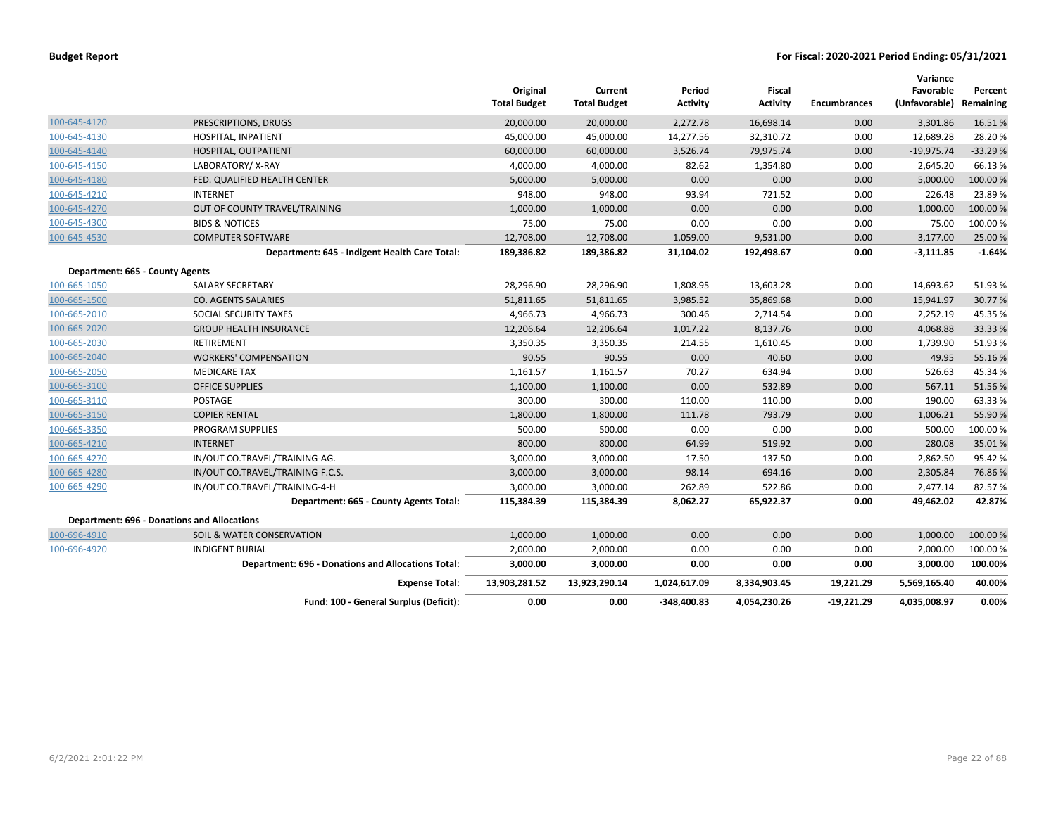|                                 |                                                    | Original<br><b>Total Budget</b> | Current<br><b>Total Budget</b> | Period<br><b>Activity</b> | <b>Fiscal</b><br><b>Activity</b> | <b>Encumbrances</b> | Variance<br>Favorable<br>(Unfavorable) | Percent<br>Remaining |
|---------------------------------|----------------------------------------------------|---------------------------------|--------------------------------|---------------------------|----------------------------------|---------------------|----------------------------------------|----------------------|
| 100-645-4120                    | PRESCRIPTIONS, DRUGS                               | 20,000.00                       | 20,000.00                      | 2,272.78                  | 16,698.14                        | 0.00                | 3,301.86                               | 16.51%               |
| 100-645-4130                    | HOSPITAL, INPATIENT                                | 45,000.00                       | 45,000.00                      | 14,277.56                 | 32,310.72                        | 0.00                | 12,689.28                              | 28.20%               |
| 100-645-4140                    | HOSPITAL, OUTPATIENT                               | 60,000.00                       | 60,000.00                      | 3,526.74                  | 79,975.74                        | 0.00                | $-19,975.74$                           | $-33.29%$            |
| 100-645-4150                    | LABORATORY/X-RAY                                   | 4,000.00                        | 4,000.00                       | 82.62                     | 1,354.80                         | 0.00                | 2,645.20                               | 66.13%               |
| 100-645-4180                    | FED. QUALIFIED HEALTH CENTER                       | 5,000.00                        | 5,000.00                       | 0.00                      | 0.00                             | 0.00                | 5,000.00                               | 100.00 %             |
| 100-645-4210                    | <b>INTERNET</b>                                    | 948.00                          | 948.00                         | 93.94                     | 721.52                           | 0.00                | 226.48                                 | 23.89%               |
| 100-645-4270                    | OUT OF COUNTY TRAVEL/TRAINING                      | 1,000.00                        | 1,000.00                       | 0.00                      | 0.00                             | 0.00                | 1,000.00                               | 100.00%              |
| 100-645-4300                    | <b>BIDS &amp; NOTICES</b>                          | 75.00                           | 75.00                          | 0.00                      | 0.00                             | 0.00                | 75.00                                  | 100.00%              |
| 100-645-4530                    | <b>COMPUTER SOFTWARE</b>                           | 12,708.00                       | 12,708.00                      | 1,059.00                  | 9,531.00                         | 0.00                | 3,177.00                               | 25.00 %              |
|                                 | Department: 645 - Indigent Health Care Total:      | 189,386.82                      | 189,386.82                     | 31,104.02                 | 192,498.67                       | 0.00                | $-3,111.85$                            | $-1.64%$             |
| Department: 665 - County Agents |                                                    |                                 |                                |                           |                                  |                     |                                        |                      |
| 100-665-1050                    | <b>SALARY SECRETARY</b>                            | 28,296.90                       | 28,296.90                      | 1,808.95                  | 13,603.28                        | 0.00                | 14,693.62                              | 51.93%               |
| 100-665-1500                    | <b>CO. AGENTS SALARIES</b>                         | 51,811.65                       | 51,811.65                      | 3,985.52                  | 35,869.68                        | 0.00                | 15,941.97                              | 30.77%               |
| 100-665-2010                    | SOCIAL SECURITY TAXES                              | 4,966.73                        | 4,966.73                       | 300.46                    | 2,714.54                         | 0.00                | 2,252.19                               | 45.35%               |
| 100-665-2020                    | <b>GROUP HEALTH INSURANCE</b>                      | 12,206.64                       | 12,206.64                      | 1,017.22                  | 8,137.76                         | 0.00                | 4,068.88                               | 33.33%               |
| 100-665-2030                    | RETIREMENT                                         | 3,350.35                        | 3,350.35                       | 214.55                    | 1,610.45                         | 0.00                | 1,739.90                               | 51.93%               |
| 100-665-2040                    | <b>WORKERS' COMPENSATION</b>                       | 90.55                           | 90.55                          | 0.00                      | 40.60                            | 0.00                | 49.95                                  | 55.16%               |
| 100-665-2050                    | <b>MEDICARE TAX</b>                                | 1,161.57                        | 1,161.57                       | 70.27                     | 634.94                           | 0.00                | 526.63                                 | 45.34 %              |
| 100-665-3100                    | <b>OFFICE SUPPLIES</b>                             | 1,100.00                        | 1,100.00                       | 0.00                      | 532.89                           | 0.00                | 567.11                                 | 51.56%               |
| 100-665-3110                    | POSTAGE                                            | 300.00                          | 300.00                         | 110.00                    | 110.00                           | 0.00                | 190.00                                 | 63.33%               |
| 100-665-3150                    | <b>COPIER RENTAL</b>                               | 1,800.00                        | 1,800.00                       | 111.78                    | 793.79                           | 0.00                | 1,006.21                               | 55.90 %              |
| 100-665-3350                    | PROGRAM SUPPLIES                                   | 500.00                          | 500.00                         | 0.00                      | 0.00                             | 0.00                | 500.00                                 | 100.00%              |
| 100-665-4210                    | <b>INTERNET</b>                                    | 800.00                          | 800.00                         | 64.99                     | 519.92                           | 0.00                | 280.08                                 | 35.01%               |
| 100-665-4270                    | IN/OUT CO.TRAVEL/TRAINING-AG.                      | 3,000.00                        | 3,000.00                       | 17.50                     | 137.50                           | 0.00                | 2,862.50                               | 95.42%               |
| 100-665-4280                    | IN/OUT CO.TRAVEL/TRAINING-F.C.S.                   | 3,000.00                        | 3,000.00                       | 98.14                     | 694.16                           | 0.00                | 2,305.84                               | 76.86%               |
| 100-665-4290                    | IN/OUT CO.TRAVEL/TRAINING-4-H                      | 3,000.00                        | 3,000.00                       | 262.89                    | 522.86                           | 0.00                | 2,477.14                               | 82.57%               |
|                                 | Department: 665 - County Agents Total:             | 115,384.39                      | 115,384.39                     | 8,062.27                  | 65,922.37                        | 0.00                | 49,462.02                              | 42.87%               |
|                                 | <b>Department: 696 - Donations and Allocations</b> |                                 |                                |                           |                                  |                     |                                        |                      |
| 100-696-4910                    | SOIL & WATER CONSERVATION                          | 1,000.00                        | 1,000.00                       | 0.00                      | 0.00                             | 0.00                | 1,000.00                               | 100.00%              |
| 100-696-4920                    | <b>INDIGENT BURIAL</b>                             | 2,000.00                        | 2,000.00                       | 0.00                      | 0.00                             | 0.00                | 2,000.00                               | 100.00%              |
|                                 | Department: 696 - Donations and Allocations Total: | 3,000.00                        | 3,000.00                       | 0.00                      | 0.00                             | 0.00                | 3,000.00                               | 100.00%              |
|                                 | <b>Expense Total:</b>                              | 13,903,281.52                   | 13,923,290.14                  | 1,024,617.09              | 8,334,903.45                     | 19,221.29           | 5,569,165.40                           | 40.00%               |
|                                 | Fund: 100 - General Surplus (Deficit):             | 0.00                            | 0.00                           | -348,400.83               | 4,054,230.26                     | -19,221.29          | 4,035,008.97                           | 0.00%                |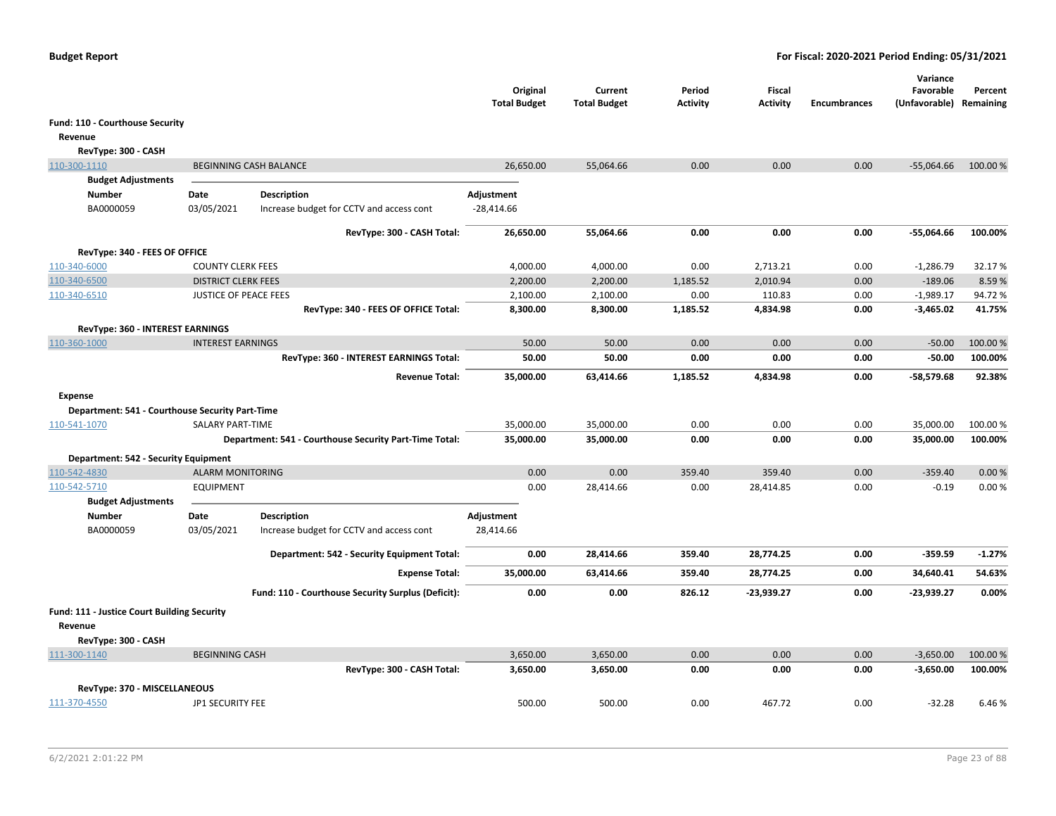|                                                 |                              |                                                        | Original<br><b>Total Budget</b> | Current<br><b>Total Budget</b> | Period<br><b>Activity</b> | <b>Fiscal</b><br>Activity | <b>Encumbrances</b> | Variance<br>Favorable<br>(Unfavorable) | Percent<br>Remaining |
|-------------------------------------------------|------------------------------|--------------------------------------------------------|---------------------------------|--------------------------------|---------------------------|---------------------------|---------------------|----------------------------------------|----------------------|
| Fund: 110 - Courthouse Security                 |                              |                                                        |                                 |                                |                           |                           |                     |                                        |                      |
| Revenue                                         |                              |                                                        |                                 |                                |                           |                           |                     |                                        |                      |
| RevType: 300 - CASH                             |                              |                                                        |                                 |                                |                           |                           |                     |                                        |                      |
| 110-300-1110                                    |                              | <b>BEGINNING CASH BALANCE</b>                          | 26,650.00                       | 55,064.66                      | 0.00                      | 0.00                      | 0.00                | $-55,064.66$                           | 100.00 %             |
| <b>Budget Adjustments</b>                       |                              |                                                        |                                 |                                |                           |                           |                     |                                        |                      |
| Number                                          | Date                         | <b>Description</b>                                     | Adjustment                      |                                |                           |                           |                     |                                        |                      |
| BA0000059                                       | 03/05/2021                   | Increase budget for CCTV and access cont               | $-28,414.66$                    |                                |                           |                           |                     |                                        |                      |
|                                                 |                              | RevType: 300 - CASH Total:                             | 26,650.00                       | 55,064.66                      | 0.00                      | 0.00                      | 0.00                | -55,064.66                             | 100.00%              |
| RevType: 340 - FEES OF OFFICE                   |                              |                                                        |                                 |                                |                           |                           |                     |                                        |                      |
| 110-340-6000                                    | <b>COUNTY CLERK FEES</b>     |                                                        | 4,000.00                        | 4,000.00                       | 0.00                      | 2,713.21                  | 0.00                | $-1,286.79$                            | 32.17%               |
| 110-340-6500                                    | <b>DISTRICT CLERK FEES</b>   |                                                        | 2,200.00                        | 2,200.00                       | 1,185.52                  | 2,010.94                  | 0.00                | $-189.06$                              | 8.59%                |
| 110-340-6510                                    | <b>JUSTICE OF PEACE FEES</b> |                                                        | 2,100.00                        | 2,100.00                       | 0.00                      | 110.83                    | 0.00                | $-1,989.17$                            | 94.72%               |
|                                                 |                              | RevType: 340 - FEES OF OFFICE Total:                   | 8,300.00                        | 8,300.00                       | 1,185.52                  | 4,834.98                  | 0.00                | $-3,465.02$                            | 41.75%               |
| RevType: 360 - INTEREST EARNINGS                |                              |                                                        |                                 |                                |                           |                           |                     |                                        |                      |
| 110-360-1000                                    | <b>INTEREST EARNINGS</b>     |                                                        | 50.00                           | 50.00                          | 0.00                      | 0.00                      | 0.00                | $-50.00$                               | 100.00%              |
|                                                 |                              | RevType: 360 - INTEREST EARNINGS Total:                | 50.00                           | 50.00                          | 0.00                      | 0.00                      | 0.00                | $-50.00$                               | 100.00%              |
|                                                 |                              | <b>Revenue Total:</b>                                  | 35,000.00                       | 63,414.66                      | 1,185.52                  | 4,834.98                  | 0.00                | $-58,579.68$                           | 92.38%               |
| <b>Expense</b>                                  |                              |                                                        |                                 |                                |                           |                           |                     |                                        |                      |
| Department: 541 - Courthouse Security Part-Time |                              |                                                        |                                 |                                |                           |                           |                     |                                        |                      |
| 110-541-1070                                    | SALARY PART-TIME             |                                                        | 35,000.00                       | 35,000.00                      | 0.00                      | 0.00                      | 0.00                | 35,000.00                              | 100.00 %             |
|                                                 |                              | Department: 541 - Courthouse Security Part-Time Total: | 35,000.00                       | 35,000.00                      | 0.00                      | 0.00                      | 0.00                | 35,000.00                              | 100.00%              |
| Department: 542 - Security Equipment            |                              |                                                        |                                 |                                |                           |                           |                     |                                        |                      |
| 110-542-4830                                    | <b>ALARM MONITORING</b>      |                                                        | 0.00                            | 0.00                           | 359.40                    | 359.40                    | 0.00                | $-359.40$                              | 0.00%                |
| 110-542-5710<br><b>Budget Adjustments</b>       | <b>EQUIPMENT</b>             |                                                        | 0.00                            | 28,414.66                      | 0.00                      | 28,414.85                 | 0.00                | $-0.19$                                | 0.00%                |
| Number                                          | Date                         | <b>Description</b>                                     | Adjustment                      |                                |                           |                           |                     |                                        |                      |
| BA0000059                                       | 03/05/2021                   | Increase budget for CCTV and access cont               | 28,414.66                       |                                |                           |                           |                     |                                        |                      |
|                                                 |                              | Department: 542 - Security Equipment Total:            | 0.00                            | 28,414.66                      | 359.40                    | 28,774.25                 | 0.00                | $-359.59$                              | $-1.27%$             |
|                                                 |                              | <b>Expense Total:</b>                                  | 35,000.00                       | 63,414.66                      | 359.40                    | 28,774.25                 | 0.00                | 34,640.41                              | 54.63%               |
|                                                 |                              | Fund: 110 - Courthouse Security Surplus (Deficit):     | 0.00                            | 0.00                           | 826.12                    | $-23,939.27$              | 0.00                | -23,939.27                             | 0.00%                |
| Fund: 111 - Justice Court Building Security     |                              |                                                        |                                 |                                |                           |                           |                     |                                        |                      |
| Revenue                                         |                              |                                                        |                                 |                                |                           |                           |                     |                                        |                      |
| RevType: 300 - CASH                             |                              |                                                        |                                 |                                |                           |                           |                     |                                        |                      |
| 111-300-1140                                    | <b>BEGINNING CASH</b>        | RevType: 300 - CASH Total:                             | 3,650.00<br>3,650.00            | 3,650.00<br>3,650.00           | 0.00<br>0.00              | 0.00<br>0.00              | 0.00<br>0.00        | $-3,650.00$<br>$-3,650.00$             | 100.00 %<br>100.00%  |
|                                                 |                              |                                                        |                                 |                                |                           |                           |                     |                                        |                      |
| RevType: 370 - MISCELLANEOUS                    |                              |                                                        |                                 |                                |                           |                           |                     |                                        |                      |
| 111-370-4550                                    | JP1 SECURITY FEE             |                                                        | 500.00                          | 500.00                         | 0.00                      | 467.72                    | 0.00                | $-32.28$                               | 6.46%                |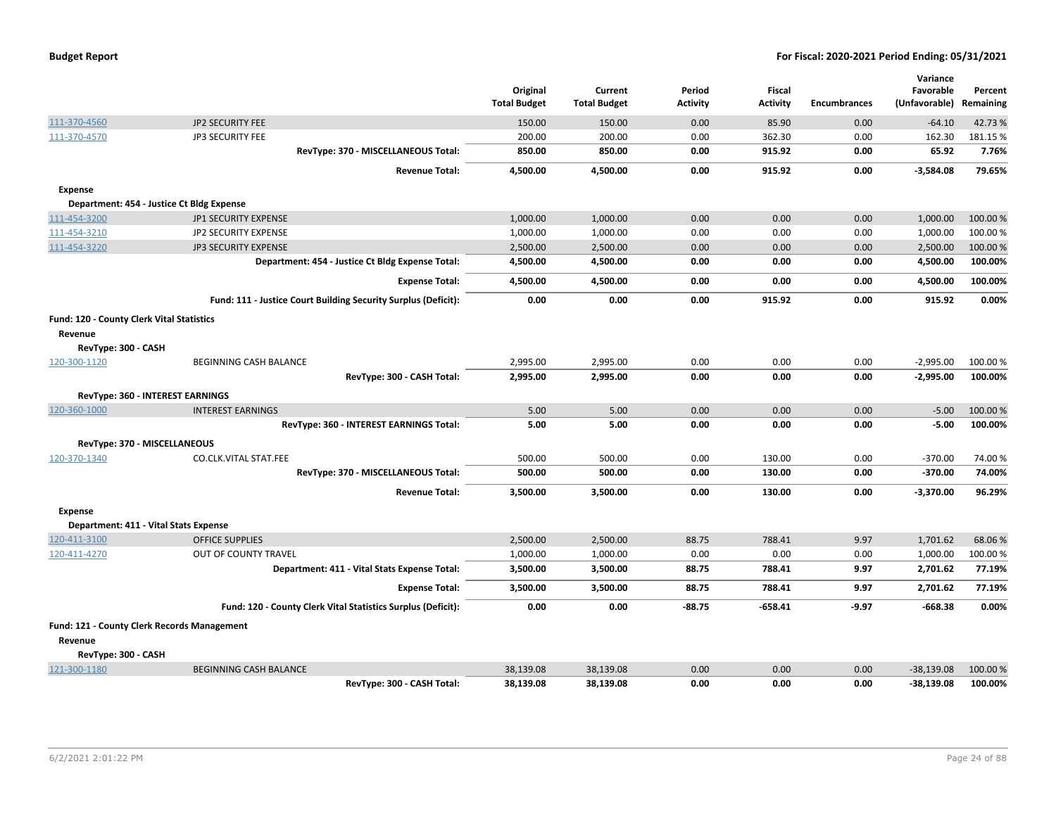| <b>Budget Report</b> |  |
|----------------------|--|
|----------------------|--|

|                                           |                                                                | Original<br><b>Total Budget</b> | Current<br><b>Total Budget</b> | Period<br><b>Activity</b> | <b>Fiscal</b><br><b>Activity</b> | <b>Encumbrances</b> | Variance<br>Favorable<br>(Unfavorable) | Percent<br>Remaining |
|-------------------------------------------|----------------------------------------------------------------|---------------------------------|--------------------------------|---------------------------|----------------------------------|---------------------|----------------------------------------|----------------------|
| 111-370-4560                              | JP2 SECURITY FEE                                               | 150.00                          | 150.00                         | 0.00                      | 85.90                            | 0.00                | $-64.10$                               | 42.73%               |
| 111-370-4570                              | JP3 SECURITY FEE                                               | 200.00                          | 200.00                         | 0.00                      | 362.30                           | 0.00                | 162.30                                 | 181.15 %             |
|                                           | RevType: 370 - MISCELLANEOUS Total:                            | 850.00                          | 850.00                         | 0.00                      | 915.92                           | 0.00                | 65.92                                  | 7.76%                |
|                                           |                                                                |                                 |                                |                           |                                  |                     |                                        |                      |
|                                           | <b>Revenue Total:</b>                                          | 4,500.00                        | 4,500.00                       | 0.00                      | 915.92                           | 0.00                | $-3,584.08$                            | 79.65%               |
| <b>Expense</b>                            |                                                                |                                 |                                |                           |                                  |                     |                                        |                      |
|                                           | Department: 454 - Justice Ct Bldg Expense                      |                                 |                                |                           |                                  |                     |                                        |                      |
| 111-454-3200                              | JP1 SECURITY EXPENSE                                           | 1,000.00                        | 1,000.00                       | 0.00                      | 0.00                             | 0.00                | 1,000.00                               | 100.00 %             |
| 111-454-3210                              | <b>JP2 SECURITY EXPENSE</b>                                    | 1,000.00                        | 1,000.00                       | 0.00                      | 0.00                             | 0.00                | 1,000.00                               | 100.00%              |
| 111-454-3220                              | <b>JP3 SECURITY EXPENSE</b>                                    | 2,500.00                        | 2,500.00                       | 0.00                      | 0.00                             | 0.00                | 2,500.00                               | 100.00 %             |
|                                           | Department: 454 - Justice Ct Bldg Expense Total:               | 4,500.00                        | 4,500.00                       | 0.00                      | 0.00                             | 0.00                | 4,500.00                               | 100.00%              |
|                                           | <b>Expense Total:</b>                                          | 4,500.00                        | 4,500.00                       | 0.00                      | 0.00                             | 0.00                | 4,500.00                               | 100.00%              |
|                                           | Fund: 111 - Justice Court Building Security Surplus (Deficit): | 0.00                            | 0.00                           | 0.00                      | 915.92                           | 0.00                | 915.92                                 | 0.00%                |
| Fund: 120 - County Clerk Vital Statistics |                                                                |                                 |                                |                           |                                  |                     |                                        |                      |
| Revenue                                   |                                                                |                                 |                                |                           |                                  |                     |                                        |                      |
| RevType: 300 - CASH                       |                                                                |                                 |                                |                           |                                  |                     |                                        |                      |
| 120-300-1120                              | <b>BEGINNING CASH BALANCE</b>                                  | 2,995.00                        | 2,995.00                       | 0.00                      | 0.00                             | 0.00                | $-2,995.00$                            | 100.00%              |
|                                           | RevType: 300 - CASH Total:                                     | 2,995.00                        | 2,995.00                       | 0.00                      | 0.00                             | 0.00                | $-2,995.00$                            | 100.00%              |
|                                           | RevType: 360 - INTEREST EARNINGS                               |                                 |                                |                           |                                  |                     |                                        |                      |
| 120-360-1000                              | <b>INTEREST EARNINGS</b>                                       | 5.00                            | 5.00                           | 0.00                      | 0.00                             | 0.00                | $-5.00$                                | 100.00%              |
|                                           | RevType: 360 - INTEREST EARNINGS Total:                        | 5.00                            | 5.00                           | 0.00                      | 0.00                             | 0.00                | $-5.00$                                | 100.00%              |
|                                           | RevType: 370 - MISCELLANEOUS                                   |                                 |                                |                           |                                  |                     |                                        |                      |
| 120-370-1340                              | CO.CLK.VITAL STAT.FEE                                          | 500.00                          | 500.00                         | 0.00                      | 130.00                           | 0.00                | $-370.00$                              | 74.00%               |
|                                           | RevType: 370 - MISCELLANEOUS Total:                            | 500.00                          | 500.00                         | 0.00                      | 130.00                           | 0.00                | $-370.00$                              | 74.00%               |
|                                           | <b>Revenue Total:</b>                                          | 3,500.00                        | 3,500.00                       | 0.00                      | 130.00                           | 0.00                | $-3,370.00$                            | 96.29%               |
| <b>Expense</b>                            |                                                                |                                 |                                |                           |                                  |                     |                                        |                      |
|                                           | Department: 411 - Vital Stats Expense                          |                                 |                                |                           |                                  |                     |                                        |                      |
| 120-411-3100                              | <b>OFFICE SUPPLIES</b>                                         | 2,500.00                        | 2,500.00                       | 88.75                     | 788.41                           | 9.97                | 1,701.62                               | 68.06%               |
| 120-411-4270                              | OUT OF COUNTY TRAVEL                                           | 1,000.00                        | 1,000.00                       | 0.00                      | 0.00                             | 0.00                | 1,000.00                               | 100.00 %             |
|                                           | Department: 411 - Vital Stats Expense Total:                   | 3,500.00                        | 3,500.00                       | 88.75                     | 788.41                           | 9.97                | 2,701.62                               | 77.19%               |
|                                           | <b>Expense Total:</b>                                          | 3,500.00                        | 3,500.00                       | 88.75                     | 788.41                           | 9.97                | 2,701.62                               | 77.19%               |
|                                           | Fund: 120 - County Clerk Vital Statistics Surplus (Deficit):   | 0.00                            | 0.00                           | $-88.75$                  | $-658.41$                        | $-9.97$             | $-668.38$                              | 0.00%                |
|                                           | Fund: 121 - County Clerk Records Management                    |                                 |                                |                           |                                  |                     |                                        |                      |
| Revenue                                   |                                                                |                                 |                                |                           |                                  |                     |                                        |                      |
| RevType: 300 - CASH                       |                                                                |                                 |                                |                           |                                  |                     |                                        |                      |
| 121-300-1180                              | <b>BEGINNING CASH BALANCE</b>                                  | 38,139.08                       | 38,139.08                      | 0.00                      | 0.00                             | 0.00                | $-38,139.08$                           | 100.00 %             |
|                                           | RevType: 300 - CASH Total:                                     | 38,139.08                       | 38,139.08                      | 0.00                      | 0.00                             | 0.00                | -38,139.08                             | 100.00%              |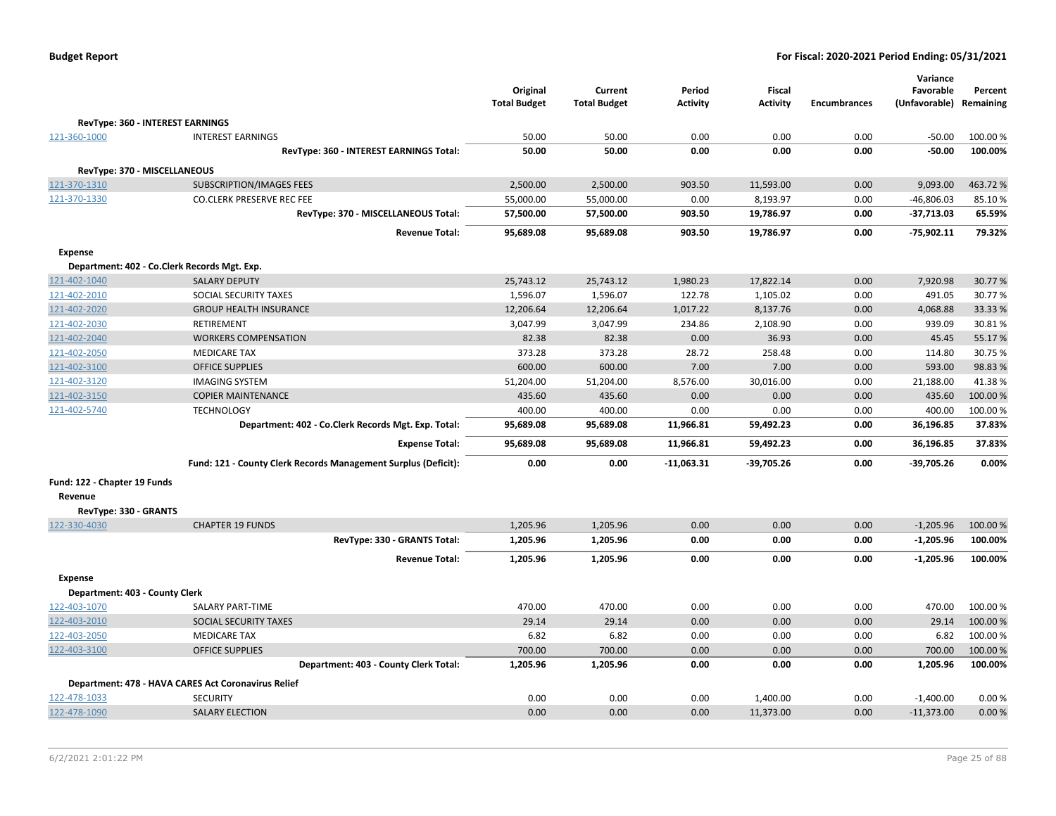|  |  |  | <b>Budget Report</b> |
|--|--|--|----------------------|
|--|--|--|----------------------|

|                                              |                                                                |                     |                     |              |                 |                     | Variance      |           |
|----------------------------------------------|----------------------------------------------------------------|---------------------|---------------------|--------------|-----------------|---------------------|---------------|-----------|
|                                              |                                                                | Original            | Current             | Period       | Fiscal          |                     | Favorable     | Percent   |
|                                              |                                                                | <b>Total Budget</b> | <b>Total Budget</b> | Activity     | <b>Activity</b> | <b>Encumbrances</b> | (Unfavorable) | Remaining |
| RevType: 360 - INTEREST EARNINGS             |                                                                |                     |                     |              |                 |                     |               |           |
| 121-360-1000                                 | <b>INTEREST EARNINGS</b>                                       | 50.00               | 50.00               | 0.00         | 0.00            | 0.00                | $-50.00$      | 100.00%   |
|                                              | RevType: 360 - INTEREST EARNINGS Total:                        | 50.00               | 50.00               | 0.00         | 0.00            | 0.00                | $-50.00$      | 100.00%   |
| RevType: 370 - MISCELLANEOUS                 |                                                                |                     |                     |              |                 |                     |               |           |
| 121-370-1310                                 | <b>SUBSCRIPTION/IMAGES FEES</b>                                | 2,500.00            | 2,500.00            | 903.50       | 11,593.00       | 0.00                | 9,093.00      | 463.72%   |
| 121-370-1330                                 | <b>CO.CLERK PRESERVE REC FEE</b>                               | 55,000.00           | 55,000.00           | 0.00         | 8,193.97        | 0.00                | $-46,806.03$  | 85.10%    |
|                                              | RevType: 370 - MISCELLANEOUS Total:                            | 57,500.00           | 57,500.00           | 903.50       | 19,786.97       | 0.00                | -37,713.03    | 65.59%    |
|                                              | <b>Revenue Total:</b>                                          | 95,689.08           | 95,689.08           | 903.50       | 19,786.97       | 0.00                | $-75,902.11$  | 79.32%    |
| <b>Expense</b>                               |                                                                |                     |                     |              |                 |                     |               |           |
| Department: 402 - Co.Clerk Records Mgt. Exp. |                                                                |                     |                     |              |                 |                     |               |           |
| 121-402-1040                                 | <b>SALARY DEPUTY</b>                                           | 25,743.12           | 25,743.12           | 1,980.23     | 17,822.14       | 0.00                | 7,920.98      | 30.77%    |
| 121-402-2010                                 | SOCIAL SECURITY TAXES                                          | 1,596.07            | 1,596.07            | 122.78       | 1,105.02        | 0.00                | 491.05        | 30.77%    |
| 121-402-2020                                 | <b>GROUP HEALTH INSURANCE</b>                                  | 12,206.64           | 12,206.64           | 1,017.22     | 8,137.76        | 0.00                | 4,068.88      | 33.33 %   |
| 121-402-2030                                 | <b>RETIREMENT</b>                                              | 3,047.99            | 3,047.99            | 234.86       | 2,108.90        | 0.00                | 939.09        | 30.81%    |
| 121-402-2040                                 | <b>WORKERS COMPENSATION</b>                                    | 82.38               | 82.38               | 0.00         | 36.93           | 0.00                | 45.45         | 55.17%    |
| 121-402-2050                                 | <b>MEDICARE TAX</b>                                            | 373.28              | 373.28              | 28.72        | 258.48          | 0.00                | 114.80        | 30.75%    |
| 121-402-3100                                 | <b>OFFICE SUPPLIES</b>                                         | 600.00              | 600.00              | 7.00         | 7.00            | 0.00                | 593.00        | 98.83%    |
| 121-402-3120                                 | <b>IMAGING SYSTEM</b>                                          | 51,204.00           | 51,204.00           | 8,576.00     | 30,016.00       | 0.00                | 21,188.00     | 41.38%    |
| 121-402-3150                                 | <b>COPIER MAINTENANCE</b>                                      | 435.60              | 435.60              | 0.00         | 0.00            | 0.00                | 435.60        | 100.00 %  |
| 121-402-5740                                 | <b>TECHNOLOGY</b>                                              | 400.00              | 400.00              | 0.00         | 0.00            | 0.00                | 400.00        | 100.00%   |
|                                              | Department: 402 - Co.Clerk Records Mgt. Exp. Total:            | 95,689.08           | 95,689.08           | 11,966.81    | 59,492.23       | 0.00                | 36,196.85     | 37.83%    |
|                                              | <b>Expense Total:</b>                                          | 95,689.08           | 95,689.08           | 11,966.81    | 59,492.23       | 0.00                | 36,196.85     | 37.83%    |
|                                              | Fund: 121 - County Clerk Records Management Surplus (Deficit): | 0.00                | 0.00                | $-11,063.31$ | $-39,705.26$    | 0.00                | $-39,705.26$  | 0.00%     |
| Fund: 122 - Chapter 19 Funds                 |                                                                |                     |                     |              |                 |                     |               |           |
| Revenue                                      |                                                                |                     |                     |              |                 |                     |               |           |
| RevType: 330 - GRANTS                        |                                                                |                     |                     |              |                 |                     |               |           |
| 122-330-4030                                 | <b>CHAPTER 19 FUNDS</b>                                        | 1,205.96            | 1,205.96            | 0.00         | 0.00            | 0.00                | $-1,205.96$   | 100.00 %  |
|                                              | RevType: 330 - GRANTS Total:                                   | 1,205.96            | 1,205.96            | 0.00         | 0.00            | 0.00                | $-1,205.96$   | 100.00%   |
|                                              | <b>Revenue Total:</b>                                          | 1,205.96            | 1,205.96            | 0.00         | 0.00            | 0.00                | $-1,205.96$   | 100.00%   |
| <b>Expense</b>                               |                                                                |                     |                     |              |                 |                     |               |           |
| Department: 403 - County Clerk               |                                                                |                     |                     |              |                 |                     |               |           |
| 122-403-1070                                 | <b>SALARY PART-TIME</b>                                        | 470.00              | 470.00              | 0.00         | 0.00            | 0.00                | 470.00        | 100.00%   |
| 122-403-2010                                 | SOCIAL SECURITY TAXES                                          | 29.14               | 29.14               | 0.00         | 0.00            | 0.00                | 29.14         | 100.00 %  |
| 122-403-2050                                 | <b>MEDICARE TAX</b>                                            | 6.82                | 6.82                | 0.00         | 0.00            | 0.00                | 6.82          | 100.00 %  |
| 122-403-3100                                 | <b>OFFICE SUPPLIES</b>                                         | 700.00              | 700.00              | 0.00         | 0.00            | 0.00                | 700.00        | 100.00 %  |
|                                              | Department: 403 - County Clerk Total:                          | 1,205.96            | 1,205.96            | 0.00         | 0.00            | 0.00                | 1,205.96      | 100.00%   |
|                                              | Department: 478 - HAVA CARES Act Coronavirus Relief            |                     |                     |              |                 |                     |               |           |
| 122-478-1033                                 | <b>SECURITY</b>                                                | 0.00                | 0.00                | 0.00         | 1,400.00        | 0.00                | $-1,400.00$   | 0.00%     |
| 122-478-1090                                 | <b>SALARY ELECTION</b>                                         | 0.00                | 0.00                | 0.00         | 11,373.00       | 0.00                | $-11,373.00$  | 0.00%     |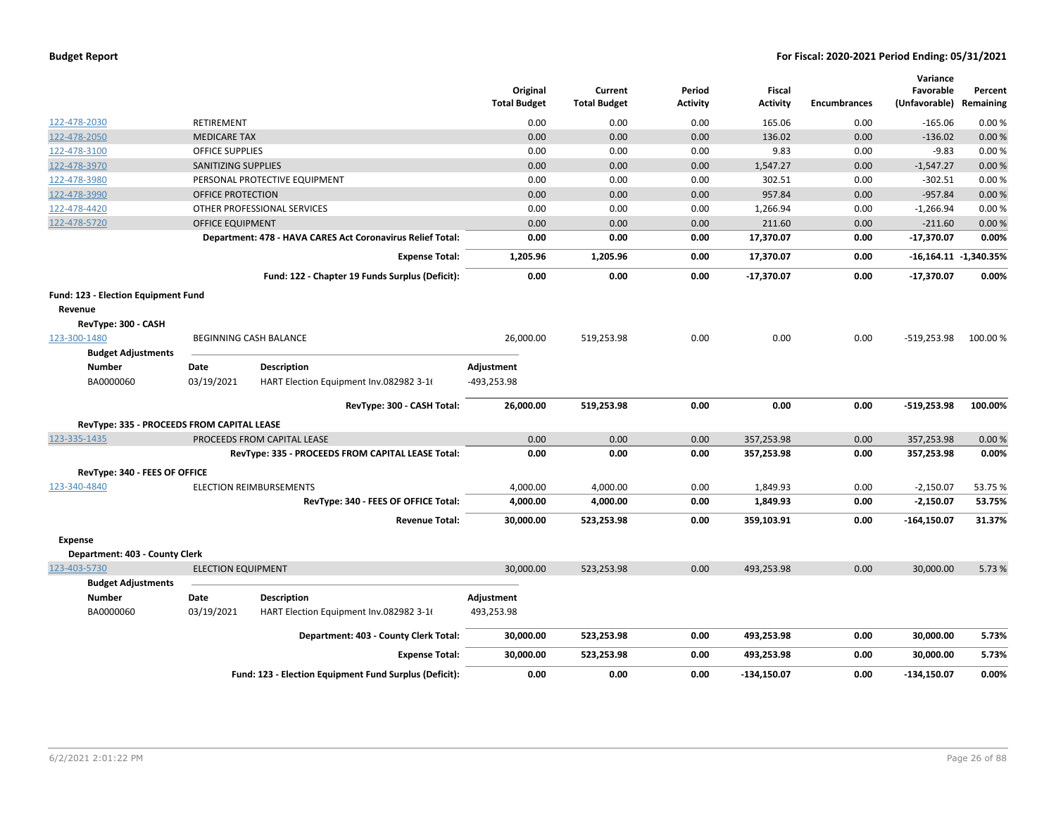|                                            |                           |                                                            | Original<br><b>Total Budget</b> | Current<br><b>Total Budget</b> | Period<br><b>Activity</b> | <b>Fiscal</b><br><b>Activity</b> | <b>Encumbrances</b> | Variance<br>Favorable<br>(Unfavorable) | Percent<br>Remaining    |
|--------------------------------------------|---------------------------|------------------------------------------------------------|---------------------------------|--------------------------------|---------------------------|----------------------------------|---------------------|----------------------------------------|-------------------------|
| 122-478-2030                               | RETIREMENT                |                                                            | 0.00                            | 0.00                           | 0.00                      | 165.06                           | 0.00                | $-165.06$                              | 0.00%                   |
| 122-478-2050                               | <b>MEDICARE TAX</b>       |                                                            | 0.00                            | 0.00                           | 0.00                      | 136.02                           | 0.00                | $-136.02$                              | 0.00%                   |
| 122-478-3100                               | <b>OFFICE SUPPLIES</b>    |                                                            | 0.00                            | 0.00                           | 0.00                      | 9.83                             | 0.00                | $-9.83$                                | 0.00%                   |
| 122-478-3970                               | SANITIZING SUPPLIES       |                                                            | 0.00                            | 0.00                           | 0.00                      | 1,547.27                         | 0.00                | $-1,547.27$                            | 0.00%                   |
| 122-478-3980                               |                           | PERSONAL PROTECTIVE EQUIPMENT                              | 0.00                            | 0.00                           | 0.00                      | 302.51                           | 0.00                | $-302.51$                              | 0.00%                   |
| 122-478-3990                               | OFFICE PROTECTION         |                                                            | 0.00                            | 0.00                           | 0.00                      | 957.84                           | 0.00                | $-957.84$                              | 0.00%                   |
| 122-478-4420                               |                           | OTHER PROFESSIONAL SERVICES                                | 0.00                            | 0.00                           | 0.00                      | 1,266.94                         | 0.00                | $-1,266.94$                            | 0.00%                   |
| 122-478-5720                               | <b>OFFICE EQUIPMENT</b>   |                                                            | 0.00                            | 0.00                           | 0.00                      | 211.60                           | 0.00                | $-211.60$                              | 0.00%                   |
|                                            |                           | Department: 478 - HAVA CARES Act Coronavirus Relief Total: | 0.00                            | 0.00                           | 0.00                      | 17,370.07                        | 0.00                | $-17,370.07$                           | 0.00%                   |
|                                            |                           | <b>Expense Total:</b>                                      | 1,205.96                        | 1,205.96                       | 0.00                      | 17,370.07                        | 0.00                |                                        | $-16,164.11 -1,340.35%$ |
|                                            |                           | Fund: 122 - Chapter 19 Funds Surplus (Deficit):            | 0.00                            | 0.00                           | 0.00                      | $-17,370.07$                     | 0.00                | $-17,370.07$                           | 0.00%                   |
| Fund: 123 - Election Equipment Fund        |                           |                                                            |                                 |                                |                           |                                  |                     |                                        |                         |
| Revenue                                    |                           |                                                            |                                 |                                |                           |                                  |                     |                                        |                         |
| RevType: 300 - CASH                        |                           |                                                            |                                 |                                |                           |                                  |                     |                                        |                         |
| 123-300-1480                               |                           | BEGINNING CASH BALANCE                                     | 26,000.00                       | 519,253.98                     | 0.00                      | 0.00                             | 0.00                | $-519,253.98$                          | 100.00%                 |
| <b>Budget Adjustments</b>                  |                           |                                                            |                                 |                                |                           |                                  |                     |                                        |                         |
| <b>Number</b>                              | Date                      | <b>Description</b>                                         | Adjustment                      |                                |                           |                                  |                     |                                        |                         |
| BA0000060                                  | 03/19/2021                | HART Election Equipment Inv.082982 3-16                    | -493,253.98                     |                                |                           |                                  |                     |                                        |                         |
|                                            |                           | RevType: 300 - CASH Total:                                 | 26,000.00                       | 519,253.98                     | 0.00                      | 0.00                             | 0.00                | $-519,253.98$                          | 100.00%                 |
| RevType: 335 - PROCEEDS FROM CAPITAL LEASE |                           |                                                            |                                 |                                |                           |                                  |                     |                                        |                         |
| 123-335-1435                               |                           | PROCEEDS FROM CAPITAL LEASE                                | 0.00                            | 0.00                           | 0.00                      | 357,253.98                       | 0.00                | 357,253.98                             | 0.00%                   |
|                                            |                           | RevType: 335 - PROCEEDS FROM CAPITAL LEASE Total:          | 0.00                            | 0.00                           | 0.00                      | 357,253.98                       | 0.00                | 357,253.98                             | 0.00%                   |
| RevType: 340 - FEES OF OFFICE              |                           |                                                            |                                 |                                |                           |                                  |                     |                                        |                         |
| 123-340-4840                               |                           | <b>ELECTION REIMBURSEMENTS</b>                             | 4,000.00                        | 4,000.00                       | 0.00                      | 1,849.93                         | 0.00                | $-2,150.07$                            | 53.75 %                 |
|                                            |                           | RevType: 340 - FEES OF OFFICE Total:                       | 4,000.00                        | 4,000.00                       | 0.00                      | 1,849.93                         | 0.00                | $-2,150.07$                            | 53.75%                  |
|                                            |                           | <b>Revenue Total:</b>                                      | 30,000.00                       | 523,253.98                     | 0.00                      | 359,103.91                       | 0.00                | $-164, 150.07$                         | 31.37%                  |
| <b>Expense</b>                             |                           |                                                            |                                 |                                |                           |                                  |                     |                                        |                         |
| Department: 403 - County Clerk             |                           |                                                            |                                 |                                |                           |                                  |                     |                                        |                         |
| 123-403-5730                               | <b>ELECTION EQUIPMENT</b> |                                                            | 30,000.00                       | 523,253.98                     | 0.00                      | 493,253.98                       | 0.00                | 30,000.00                              | 5.73 %                  |
| <b>Budget Adjustments</b>                  |                           |                                                            |                                 |                                |                           |                                  |                     |                                        |                         |
| Number                                     | Date                      | <b>Description</b>                                         | Adjustment                      |                                |                           |                                  |                     |                                        |                         |
| BA0000060                                  | 03/19/2021                | HART Election Equipment Inv.082982 3-16                    | 493,253.98                      |                                |                           |                                  |                     |                                        |                         |
|                                            |                           | Department: 403 - County Clerk Total:                      | 30,000.00                       | 523,253.98                     | 0.00                      | 493,253.98                       | 0.00                | 30,000.00                              | 5.73%                   |
|                                            |                           | <b>Expense Total:</b>                                      | 30,000.00                       | 523,253.98                     | 0.00                      | 493,253.98                       | 0.00                | 30,000.00                              | 5.73%                   |
|                                            |                           | Fund: 123 - Election Equipment Fund Surplus (Deficit):     | 0.00                            | 0.00                           | 0.00                      | $-134,150.07$                    | 0.00                | $-134,150.07$                          | 0.00%                   |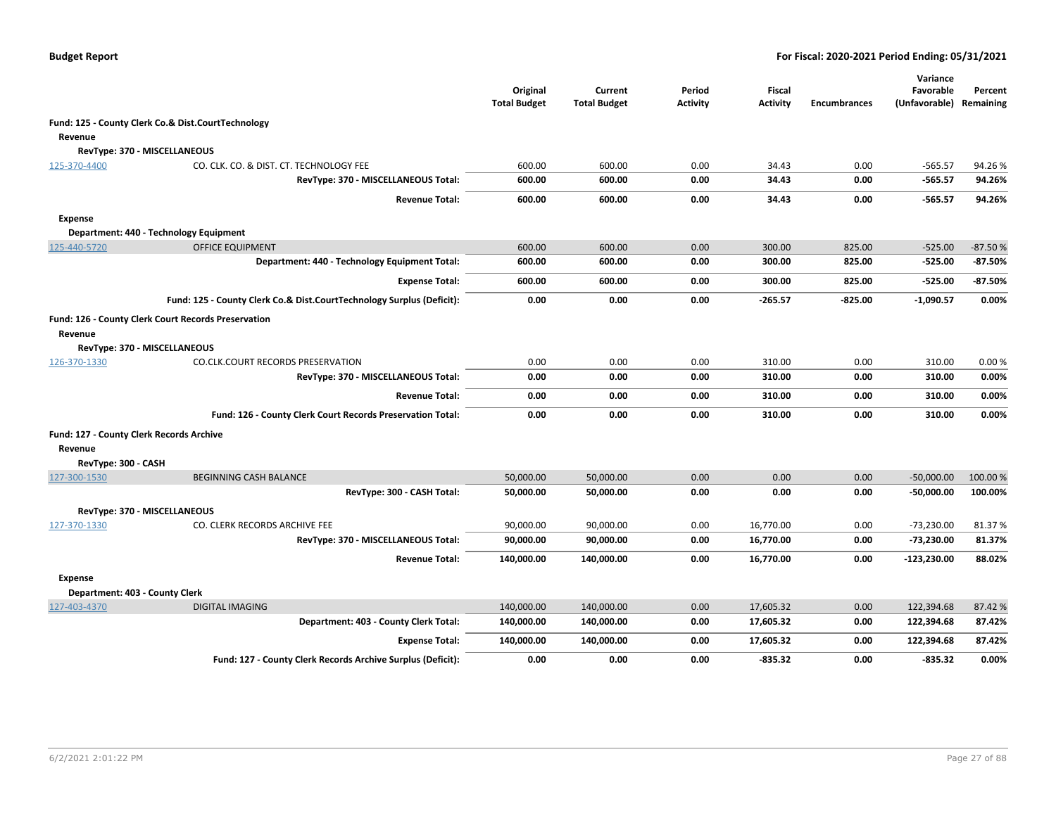|                     |                                                                       | Original<br><b>Total Budget</b> | Current<br><b>Total Budget</b> | Period<br>Activity | <b>Fiscal</b><br><b>Activity</b> | <b>Encumbrances</b> | Variance<br>Favorable<br>(Unfavorable) | Percent<br>Remaining |
|---------------------|-----------------------------------------------------------------------|---------------------------------|--------------------------------|--------------------|----------------------------------|---------------------|----------------------------------------|----------------------|
|                     | Fund: 125 - County Clerk Co.& Dist.CourtTechnology                    |                                 |                                |                    |                                  |                     |                                        |                      |
| Revenue             |                                                                       |                                 |                                |                    |                                  |                     |                                        |                      |
|                     | RevType: 370 - MISCELLANEOUS                                          |                                 |                                |                    |                                  |                     |                                        |                      |
| 125-370-4400        | CO. CLK. CO. & DIST. CT. TECHNOLOGY FEE                               | 600.00                          | 600.00                         | 0.00               | 34.43                            | 0.00                | $-565.57$                              | 94.26%               |
|                     | RevType: 370 - MISCELLANEOUS Total:                                   | 600.00                          | 600.00                         | 0.00               | 34.43                            | 0.00                | $-565.57$                              | 94.26%               |
|                     | <b>Revenue Total:</b>                                                 | 600.00                          | 600.00                         | 0.00               | 34.43                            | 0.00                | $-565.57$                              | 94.26%               |
| <b>Expense</b>      |                                                                       |                                 |                                |                    |                                  |                     |                                        |                      |
|                     | Department: 440 - Technology Equipment                                |                                 |                                |                    |                                  |                     |                                        |                      |
| 125-440-5720        | <b>OFFICE EQUIPMENT</b>                                               | 600.00                          | 600.00                         | 0.00               | 300.00                           | 825.00              | $-525.00$                              | $-87.50%$            |
|                     | Department: 440 - Technology Equipment Total:                         | 600.00                          | 600.00                         | 0.00               | 300.00                           | 825.00              | $-525.00$                              | $-87.50%$            |
|                     | <b>Expense Total:</b>                                                 | 600.00                          | 600.00                         | 0.00               | 300.00                           | 825.00              | $-525.00$                              | $-87.50%$            |
|                     | Fund: 125 - County Clerk Co.& Dist.CourtTechnology Surplus (Deficit): | 0.00                            | 0.00                           | 0.00               | $-265.57$                        | $-825.00$           | $-1,090.57$                            | 0.00%                |
|                     | Fund: 126 - County Clerk Court Records Preservation                   |                                 |                                |                    |                                  |                     |                                        |                      |
| Revenue             |                                                                       |                                 |                                |                    |                                  |                     |                                        |                      |
|                     | RevType: 370 - MISCELLANEOUS                                          |                                 |                                |                    |                                  |                     |                                        |                      |
| 126-370-1330        | CO.CLK.COURT RECORDS PRESERVATION                                     | 0.00                            | 0.00                           | 0.00               | 310.00                           | 0.00                | 310.00                                 | 0.00%                |
|                     | RevType: 370 - MISCELLANEOUS Total:                                   | 0.00                            | 0.00                           | 0.00               | 310.00                           | 0.00                | 310.00                                 | 0.00%                |
|                     | <b>Revenue Total:</b>                                                 | 0.00                            | 0.00                           | 0.00               | 310.00                           | 0.00                | 310.00                                 | 0.00%                |
|                     | Fund: 126 - County Clerk Court Records Preservation Total:            | 0.00                            | 0.00                           | 0.00               | 310.00                           | 0.00                | 310.00                                 | 0.00%                |
|                     | Fund: 127 - County Clerk Records Archive                              |                                 |                                |                    |                                  |                     |                                        |                      |
| Revenue             |                                                                       |                                 |                                |                    |                                  |                     |                                        |                      |
| RevType: 300 - CASH |                                                                       |                                 |                                |                    |                                  |                     |                                        |                      |
| 127-300-1530        | <b>BEGINNING CASH BALANCE</b>                                         | 50,000.00                       | 50,000.00                      | 0.00               | 0.00                             | 0.00                | $-50,000.00$                           | 100.00 %             |
|                     | RevType: 300 - CASH Total:                                            | 50,000.00                       | 50,000.00                      | 0.00               | 0.00                             | 0.00                | -50,000.00                             | 100.00%              |
|                     | RevType: 370 - MISCELLANEOUS                                          |                                 |                                |                    |                                  |                     |                                        |                      |
| 127-370-1330        | CO. CLERK RECORDS ARCHIVE FEE                                         | 90,000.00                       | 90,000.00                      | 0.00               | 16,770.00                        | 0.00                | $-73,230.00$                           | 81.37%               |
|                     | RevType: 370 - MISCELLANEOUS Total:                                   | 90,000.00                       | 90,000.00                      | 0.00               | 16,770.00                        | 0.00                | $-73,230.00$                           | 81.37%               |
|                     | <b>Revenue Total:</b>                                                 | 140,000.00                      | 140,000.00                     | 0.00               | 16,770.00                        | 0.00                | $-123,230.00$                          | 88.02%               |
| <b>Expense</b>      |                                                                       |                                 |                                |                    |                                  |                     |                                        |                      |
|                     | Department: 403 - County Clerk                                        |                                 |                                |                    |                                  |                     |                                        |                      |
| 127-403-4370        | <b>DIGITAL IMAGING</b>                                                | 140,000.00                      | 140,000.00                     | 0.00               | 17,605.32                        | 0.00                | 122,394.68                             | 87.42 %              |
|                     | Department: 403 - County Clerk Total:                                 | 140,000.00                      | 140,000.00                     | 0.00               | 17,605.32                        | 0.00                | 122,394.68                             | 87.42%               |
|                     | <b>Expense Total:</b>                                                 | 140,000.00                      | 140,000.00                     | 0.00               | 17,605.32                        | 0.00                | 122,394.68                             | 87.42%               |
|                     | Fund: 127 - County Clerk Records Archive Surplus (Deficit):           | 0.00                            | 0.00                           | 0.00               | $-835.32$                        | 0.00                | $-835.32$                              | 0.00%                |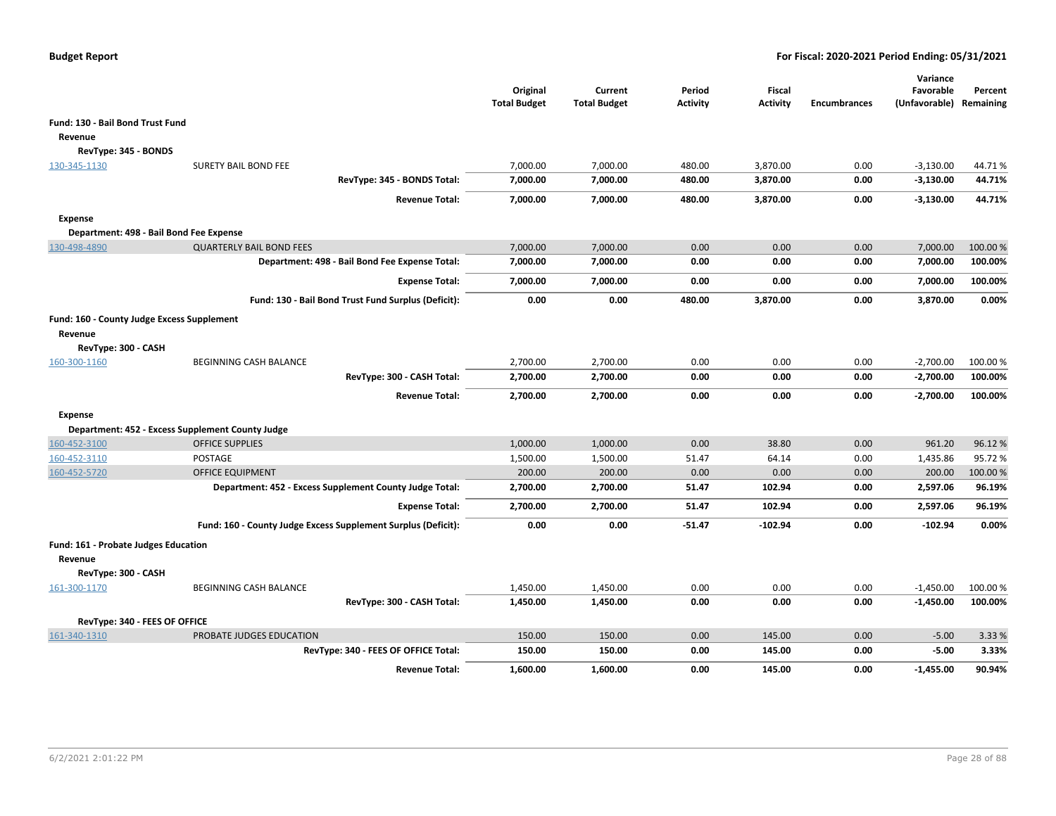|                                            |                                                               | Original<br><b>Total Budget</b> | Current<br><b>Total Budget</b> | Period<br><b>Activity</b> | <b>Fiscal</b><br><b>Activity</b> | <b>Encumbrances</b> | Variance<br>Favorable<br>(Unfavorable) | Percent<br>Remaining |
|--------------------------------------------|---------------------------------------------------------------|---------------------------------|--------------------------------|---------------------------|----------------------------------|---------------------|----------------------------------------|----------------------|
| Fund: 130 - Bail Bond Trust Fund           |                                                               |                                 |                                |                           |                                  |                     |                                        |                      |
| Revenue                                    |                                                               |                                 |                                |                           |                                  |                     |                                        |                      |
| RevType: 345 - BONDS                       |                                                               |                                 |                                |                           |                                  |                     |                                        |                      |
| 130-345-1130                               | <b>SURETY BAIL BOND FEE</b>                                   | 7,000.00                        | 7,000.00                       | 480.00                    | 3,870.00                         | 0.00                | $-3,130.00$                            | 44.71%               |
|                                            | RevType: 345 - BONDS Total:                                   | 7,000.00                        | 7,000.00                       | 480.00                    | 3,870.00                         | 0.00                | $-3,130.00$                            | 44.71%               |
|                                            | <b>Revenue Total:</b>                                         | 7,000.00                        | 7,000.00                       | 480.00                    | 3,870.00                         | 0.00                | $-3,130.00$                            | 44.71%               |
| <b>Expense</b>                             |                                                               |                                 |                                |                           |                                  |                     |                                        |                      |
| Department: 498 - Bail Bond Fee Expense    |                                                               |                                 |                                |                           |                                  |                     |                                        |                      |
| 130-498-4890                               | <b>QUARTERLY BAIL BOND FEES</b>                               | 7,000.00                        | 7,000.00                       | 0.00                      | 0.00                             | 0.00                | 7,000.00                               | 100.00 %             |
|                                            | Department: 498 - Bail Bond Fee Expense Total:                | 7,000.00                        | 7,000.00                       | 0.00                      | 0.00                             | 0.00                | 7,000.00                               | 100.00%              |
|                                            | <b>Expense Total:</b>                                         | 7,000.00                        | 7,000.00                       | 0.00                      | 0.00                             | 0.00                | 7,000.00                               | 100.00%              |
|                                            | Fund: 130 - Bail Bond Trust Fund Surplus (Deficit):           | 0.00                            | 0.00                           | 480.00                    | 3,870.00                         | 0.00                | 3,870.00                               | 0.00%                |
| Fund: 160 - County Judge Excess Supplement |                                                               |                                 |                                |                           |                                  |                     |                                        |                      |
| Revenue                                    |                                                               |                                 |                                |                           |                                  |                     |                                        |                      |
| RevType: 300 - CASH                        |                                                               |                                 |                                |                           |                                  |                     |                                        |                      |
| 160-300-1160                               | <b>BEGINNING CASH BALANCE</b>                                 | 2.700.00                        | 2,700.00                       | 0.00                      | 0.00                             | 0.00                | $-2,700.00$                            | 100.00%              |
|                                            | RevType: 300 - CASH Total:                                    | 2,700.00                        | 2,700.00                       | 0.00                      | 0.00                             | 0.00                | $-2,700.00$                            | 100.00%              |
|                                            | <b>Revenue Total:</b>                                         | 2,700.00                        | 2,700.00                       | 0.00                      | 0.00                             | 0.00                | $-2,700.00$                            | 100.00%              |
| <b>Expense</b>                             |                                                               |                                 |                                |                           |                                  |                     |                                        |                      |
|                                            | Department: 452 - Excess Supplement County Judge              |                                 |                                |                           |                                  |                     |                                        |                      |
| 160-452-3100                               | <b>OFFICE SUPPLIES</b>                                        | 1,000.00                        | 1,000.00                       | 0.00                      | 38.80                            | 0.00                | 961.20                                 | 96.12%               |
| 160-452-3110                               | POSTAGE                                                       | 1,500.00                        | 1,500.00                       | 51.47                     | 64.14                            | 0.00                | 1,435.86                               | 95.72%               |
| 160-452-5720                               | <b>OFFICE EQUIPMENT</b>                                       | 200.00                          | 200.00                         | 0.00                      | 0.00                             | 0.00                | 200.00                                 | 100.00 %             |
|                                            | Department: 452 - Excess Supplement County Judge Total:       | 2,700.00                        | 2,700.00                       | 51.47                     | 102.94                           | 0.00                | 2,597.06                               | 96.19%               |
|                                            | <b>Expense Total:</b>                                         | 2,700.00                        | 2,700.00                       | 51.47                     | 102.94                           | 0.00                | 2,597.06                               | 96.19%               |
|                                            | Fund: 160 - County Judge Excess Supplement Surplus (Deficit): | 0.00                            | 0.00                           | $-51.47$                  | $-102.94$                        | 0.00                | $-102.94$                              | 0.00%                |
| Fund: 161 - Probate Judges Education       |                                                               |                                 |                                |                           |                                  |                     |                                        |                      |
| Revenue                                    |                                                               |                                 |                                |                           |                                  |                     |                                        |                      |
| RevType: 300 - CASH                        |                                                               |                                 |                                |                           |                                  |                     |                                        |                      |
| 161-300-1170                               | BEGINNING CASH BALANCE                                        | 1,450.00                        | 1,450.00                       | 0.00                      | 0.00                             | 0.00                | $-1,450.00$                            | 100.00 %             |
|                                            | RevType: 300 - CASH Total:                                    | 1,450.00                        | 1,450.00                       | 0.00                      | 0.00                             | 0.00                | $-1,450.00$                            | 100.00%              |
| RevType: 340 - FEES OF OFFICE              |                                                               |                                 |                                |                           |                                  |                     |                                        |                      |
| 161-340-1310                               | PROBATE JUDGES EDUCATION                                      | 150.00                          | 150.00                         | 0.00                      | 145.00                           | 0.00                | $-5.00$                                | 3.33 %               |
|                                            | RevType: 340 - FEES OF OFFICE Total:                          | 150.00                          | 150.00                         | 0.00                      | 145.00                           | 0.00                | $-5.00$                                | 3.33%                |
|                                            | <b>Revenue Total:</b>                                         | 1,600.00                        | 1,600.00                       | 0.00                      | 145.00                           | 0.00                | $-1,455.00$                            | 90.94%               |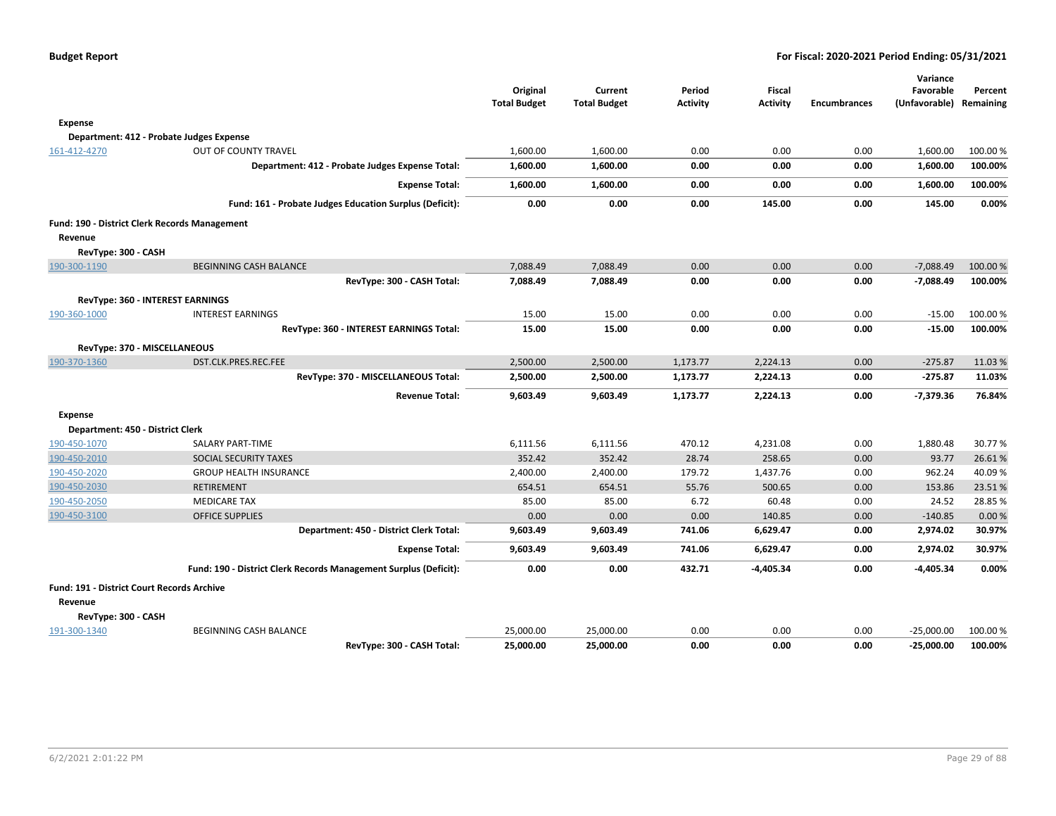|                                                   |                                                                  | Original<br><b>Total Budget</b> | Current<br><b>Total Budget</b> | Period<br><b>Activity</b> | <b>Fiscal</b><br><b>Activity</b> | <b>Encumbrances</b> | Variance<br>Favorable<br>(Unfavorable) Remaining | Percent         |
|---------------------------------------------------|------------------------------------------------------------------|---------------------------------|--------------------------------|---------------------------|----------------------------------|---------------------|--------------------------------------------------|-----------------|
| <b>Expense</b>                                    |                                                                  |                                 |                                |                           |                                  |                     |                                                  |                 |
|                                                   | Department: 412 - Probate Judges Expense                         |                                 |                                |                           |                                  |                     |                                                  |                 |
| 161-412-4270                                      | OUT OF COUNTY TRAVEL                                             | 1,600.00                        | 1,600.00                       | 0.00                      | 0.00                             | 0.00                | 1,600.00                                         | 100.00 %        |
|                                                   | Department: 412 - Probate Judges Expense Total:                  | 1,600.00                        | 1,600.00                       | 0.00                      | 0.00                             | 0.00                | 1,600.00                                         | 100.00%         |
|                                                   | <b>Expense Total:</b>                                            | 1,600.00                        | 1,600.00                       | 0.00                      | 0.00                             | 0.00                | 1,600.00                                         | 100.00%         |
|                                                   | Fund: 161 - Probate Judges Education Surplus (Deficit):          | 0.00                            | 0.00                           | 0.00                      | 145.00                           | 0.00                | 145.00                                           | 0.00%           |
|                                                   | Fund: 190 - District Clerk Records Management                    |                                 |                                |                           |                                  |                     |                                                  |                 |
| Revenue                                           |                                                                  |                                 |                                |                           |                                  |                     |                                                  |                 |
| RevType: 300 - CASH                               |                                                                  |                                 |                                |                           |                                  |                     |                                                  |                 |
| 190-300-1190                                      | <b>BEGINNING CASH BALANCE</b>                                    | 7,088.49                        | 7,088.49                       | 0.00                      | 0.00                             | 0.00                | $-7,088.49$                                      | 100.00 %        |
|                                                   | RevType: 300 - CASH Total:                                       | 7,088.49                        | 7.088.49                       | 0.00                      | 0.00                             | 0.00                | $-7,088.49$                                      | 100.00%         |
|                                                   | <b>RevType: 360 - INTEREST EARNINGS</b>                          |                                 |                                |                           |                                  |                     |                                                  |                 |
| 190-360-1000                                      | <b>INTEREST EARNINGS</b>                                         | 15.00                           | 15.00                          | 0.00                      | 0.00                             | 0.00                | $-15.00$                                         | 100.00%         |
|                                                   | RevType: 360 - INTEREST EARNINGS Total:                          | 15.00                           | 15.00                          | 0.00                      | 0.00                             | 0.00                | $-15.00$                                         | 100.00%         |
|                                                   | RevType: 370 - MISCELLANEOUS                                     |                                 |                                |                           |                                  |                     |                                                  |                 |
| 190-370-1360                                      | DST.CLK.PRES.REC.FEE                                             | 2,500.00                        | 2,500.00                       | 1,173.77                  | 2,224.13                         | 0.00                | $-275.87$                                        | 11.03%          |
|                                                   | RevType: 370 - MISCELLANEOUS Total:                              | 2,500.00                        | 2,500.00                       | 1,173.77                  | 2,224.13                         | 0.00                | $-275.87$                                        | 11.03%          |
|                                                   | <b>Revenue Total:</b>                                            | 9,603.49                        | 9,603.49                       | 1,173.77                  | 2,224.13                         | 0.00                | -7,379.36                                        | 76.84%          |
| <b>Expense</b>                                    |                                                                  |                                 |                                |                           |                                  |                     |                                                  |                 |
| Department: 450 - District Clerk                  |                                                                  |                                 |                                |                           |                                  |                     |                                                  |                 |
| 190-450-1070                                      | SALARY PART-TIME                                                 | 6,111.56                        | 6,111.56                       | 470.12                    | 4,231.08                         | 0.00                | 1,880.48                                         | 30.77%          |
| 190-450-2010                                      | SOCIAL SECURITY TAXES                                            | 352.42                          | 352.42                         | 28.74                     | 258.65                           | 0.00                | 93.77                                            | 26.61%          |
| 190-450-2020                                      | <b>GROUP HEALTH INSURANCE</b>                                    | 2,400.00                        | 2,400.00                       | 179.72                    | 1,437.76                         | 0.00                | 962.24                                           | 40.09%          |
| 190-450-2030                                      | <b>RETIREMENT</b>                                                | 654.51                          | 654.51                         | 55.76                     | 500.65                           | 0.00                | 153.86                                           | 23.51%          |
| 190-450-2050<br>190-450-3100                      | <b>MEDICARE TAX</b><br><b>OFFICE SUPPLIES</b>                    | 85.00<br>0.00                   | 85.00<br>0.00                  | 6.72<br>0.00              | 60.48<br>140.85                  | 0.00<br>0.00        | 24.52<br>$-140.85$                               | 28.85%<br>0.00% |
|                                                   | Department: 450 - District Clerk Total:                          | 9,603.49                        | 9,603.49                       | 741.06                    | 6,629.47                         | 0.00                | 2,974.02                                         | 30.97%          |
|                                                   | <b>Expense Total:</b>                                            | 9,603.49                        | 9,603.49                       | 741.06                    | 6,629.47                         | 0.00                | 2,974.02                                         | 30.97%          |
|                                                   | Fund: 190 - District Clerk Records Management Surplus (Deficit): | 0.00                            | 0.00                           | 432.71                    | $-4,405.34$                      | 0.00                | -4,405.34                                        | 0.00%           |
| <b>Fund: 191 - District Court Records Archive</b> |                                                                  |                                 |                                |                           |                                  |                     |                                                  |                 |
| Revenue                                           |                                                                  |                                 |                                |                           |                                  |                     |                                                  |                 |
| RevType: 300 - CASH                               |                                                                  |                                 |                                |                           |                                  |                     |                                                  |                 |
| 191-300-1340                                      | BEGINNING CASH BALANCE                                           | 25,000.00                       | 25,000.00                      | 0.00                      | 0.00                             | 0.00                | $-25,000.00$                                     | 100.00 %        |
|                                                   | RevType: 300 - CASH Total:                                       | 25,000.00                       | 25,000.00                      | 0.00                      | 0.00                             | 0.00                | $-25,000.00$                                     | 100.00%         |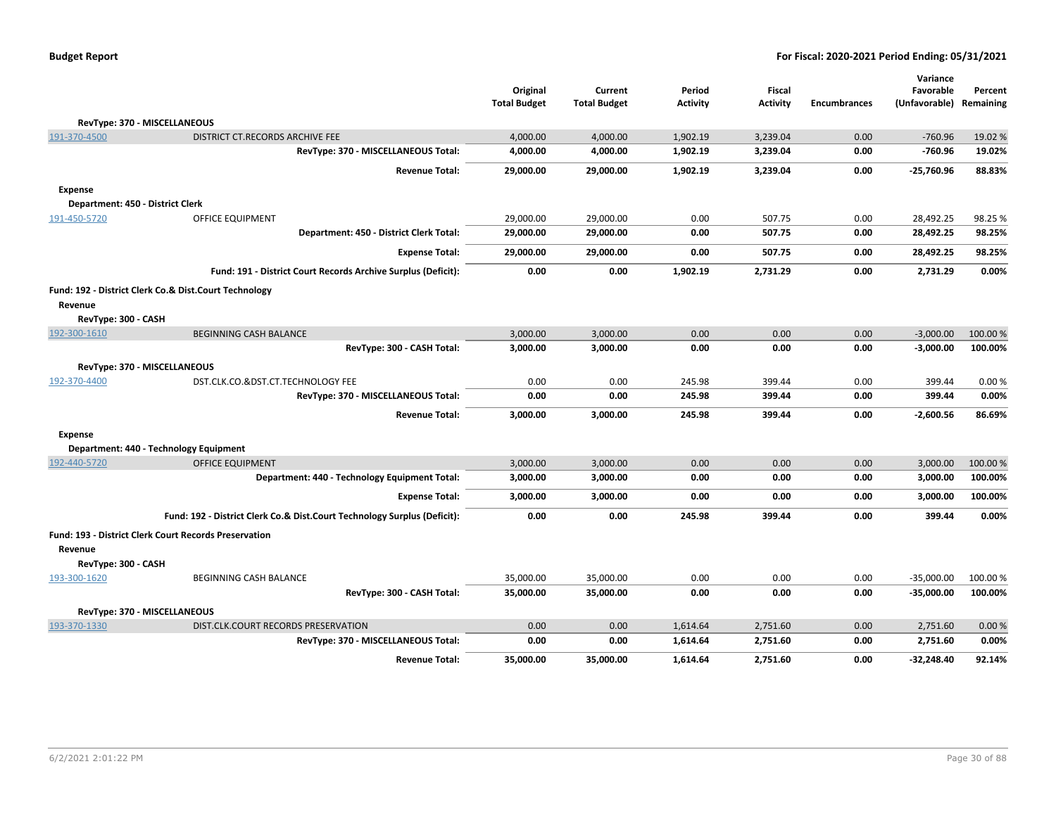| <b>Budget Report</b> |  |
|----------------------|--|
|----------------------|--|

|                                                                         |                                                                          |                                 |                                |                           |                                  |                     | Variance                   |                      |
|-------------------------------------------------------------------------|--------------------------------------------------------------------------|---------------------------------|--------------------------------|---------------------------|----------------------------------|---------------------|----------------------------|----------------------|
|                                                                         |                                                                          | Original<br><b>Total Budget</b> | Current<br><b>Total Budget</b> | Period<br><b>Activity</b> | <b>Fiscal</b><br><b>Activity</b> | <b>Encumbrances</b> | Favorable<br>(Unfavorable) | Percent<br>Remaining |
|                                                                         |                                                                          |                                 |                                |                           |                                  |                     |                            |                      |
| RevType: 370 - MISCELLANEOUS                                            |                                                                          |                                 |                                |                           |                                  |                     |                            |                      |
| 191-370-4500                                                            | DISTRICT CT.RECORDS ARCHIVE FEE                                          | 4,000.00                        | 4,000.00                       | 1,902.19                  | 3,239.04                         | 0.00                | $-760.96$                  | 19.02 %              |
|                                                                         | RevType: 370 - MISCELLANEOUS Total:                                      | 4,000.00                        | 4,000.00                       | 1,902.19                  | 3,239.04                         | 0.00                | -760.96                    | 19.02%               |
|                                                                         | <b>Revenue Total:</b>                                                    | 29,000.00                       | 29,000.00                      | 1,902.19                  | 3,239.04                         | 0.00                | $-25,760.96$               | 88.83%               |
| <b>Expense</b>                                                          |                                                                          |                                 |                                |                           |                                  |                     |                            |                      |
| Department: 450 - District Clerk                                        |                                                                          |                                 |                                |                           |                                  |                     |                            |                      |
| 191-450-5720                                                            | OFFICE EQUIPMENT                                                         | 29,000.00                       | 29.000.00                      | 0.00                      | 507.75                           | 0.00                | 28,492.25                  | 98.25 %              |
|                                                                         | Department: 450 - District Clerk Total:                                  | 29,000.00                       | 29,000.00                      | 0.00                      | 507.75                           | 0.00                | 28,492.25                  | 98.25%               |
|                                                                         | <b>Expense Total:</b>                                                    | 29,000.00                       | 29,000.00                      | 0.00                      | 507.75                           | 0.00                | 28,492.25                  | 98.25%               |
|                                                                         | Fund: 191 - District Court Records Archive Surplus (Deficit):            | 0.00                            | 0.00                           | 1,902.19                  | 2,731.29                         | 0.00                | 2,731.29                   | 0.00%                |
| Fund: 192 - District Clerk Co.& Dist.Court Technology                   |                                                                          |                                 |                                |                           |                                  |                     |                            |                      |
| Revenue                                                                 |                                                                          |                                 |                                |                           |                                  |                     |                            |                      |
| RevType: 300 - CASH                                                     |                                                                          |                                 |                                |                           |                                  |                     |                            |                      |
| 192-300-1610                                                            | <b>BEGINNING CASH BALANCE</b>                                            | 3,000.00                        | 3,000.00                       | 0.00                      | 0.00                             | 0.00                | $-3,000.00$                | 100.00 %             |
|                                                                         | RevType: 300 - CASH Total:                                               | 3,000.00                        | 3,000.00                       | 0.00                      | 0.00                             | 0.00                | $-3,000.00$                | 100.00%              |
| RevType: 370 - MISCELLANEOUS                                            |                                                                          |                                 |                                |                           |                                  |                     |                            |                      |
| 192-370-4400                                                            | DST.CLK.CO.&DST.CT.TECHNOLOGY FEE                                        | 0.00                            | 0.00                           | 245.98                    | 399.44                           | 0.00                | 399.44                     | 0.00%                |
|                                                                         | RevType: 370 - MISCELLANEOUS Total:                                      | 0.00                            | 0.00                           | 245.98                    | 399.44                           | 0.00                | 399.44                     | 0.00%                |
|                                                                         | <b>Revenue Total:</b>                                                    | 3,000.00                        | 3,000.00                       | 245.98                    | 399.44                           | 0.00                | $-2,600.56$                | 86.69%               |
| <b>Expense</b>                                                          |                                                                          |                                 |                                |                           |                                  |                     |                            |                      |
| Department: 440 - Technology Equipment                                  |                                                                          |                                 |                                |                           |                                  |                     |                            |                      |
| 192-440-5720                                                            | <b>OFFICE EQUIPMENT</b>                                                  | 3,000.00                        | 3,000.00                       | 0.00                      | 0.00                             | 0.00                | 3,000.00                   | 100.00 %             |
|                                                                         | Department: 440 - Technology Equipment Total:                            | 3,000.00                        | 3,000.00                       | 0.00                      | 0.00                             | 0.00                | 3,000.00                   | 100.00%              |
|                                                                         | <b>Expense Total:</b>                                                    | 3,000.00                        | 3,000.00                       | 0.00                      | 0.00                             | 0.00                | 3,000.00                   | 100.00%              |
|                                                                         | Fund: 192 - District Clerk Co.& Dist.Court Technology Surplus (Deficit): | 0.00                            | 0.00                           | 245.98                    | 399.44                           | 0.00                | 399.44                     | 0.00%                |
| <b>Fund: 193 - District Clerk Court Records Preservation</b><br>Revenue |                                                                          |                                 |                                |                           |                                  |                     |                            |                      |
| RevType: 300 - CASH                                                     |                                                                          |                                 |                                |                           |                                  |                     |                            |                      |
| 193-300-1620                                                            | BEGINNING CASH BALANCE                                                   | 35,000.00                       | 35,000.00                      | 0.00                      | 0.00                             | 0.00                | $-35,000.00$               | 100.00%              |
|                                                                         | RevType: 300 - CASH Total:                                               | 35,000.00                       | 35,000.00                      | 0.00                      | 0.00                             | 0.00                | $-35,000.00$               | 100.00%              |
| RevType: 370 - MISCELLANEOUS                                            |                                                                          |                                 |                                |                           |                                  |                     |                            |                      |
| 193-370-1330                                                            | DIST.CLK.COURT RECORDS PRESERVATION                                      | 0.00                            | 0.00                           | 1,614.64                  | 2,751.60                         | 0.00                | 2,751.60                   | 0.00%                |
|                                                                         | RevType: 370 - MISCELLANEOUS Total:                                      | 0.00                            | 0.00                           | 1,614.64                  | 2,751.60                         | 0.00                | 2,751.60                   | 0.00%                |
|                                                                         | <b>Revenue Total:</b>                                                    | 35,000.00                       | 35,000.00                      | 1,614.64                  | 2,751.60                         | 0.00                | -32,248.40                 | 92.14%               |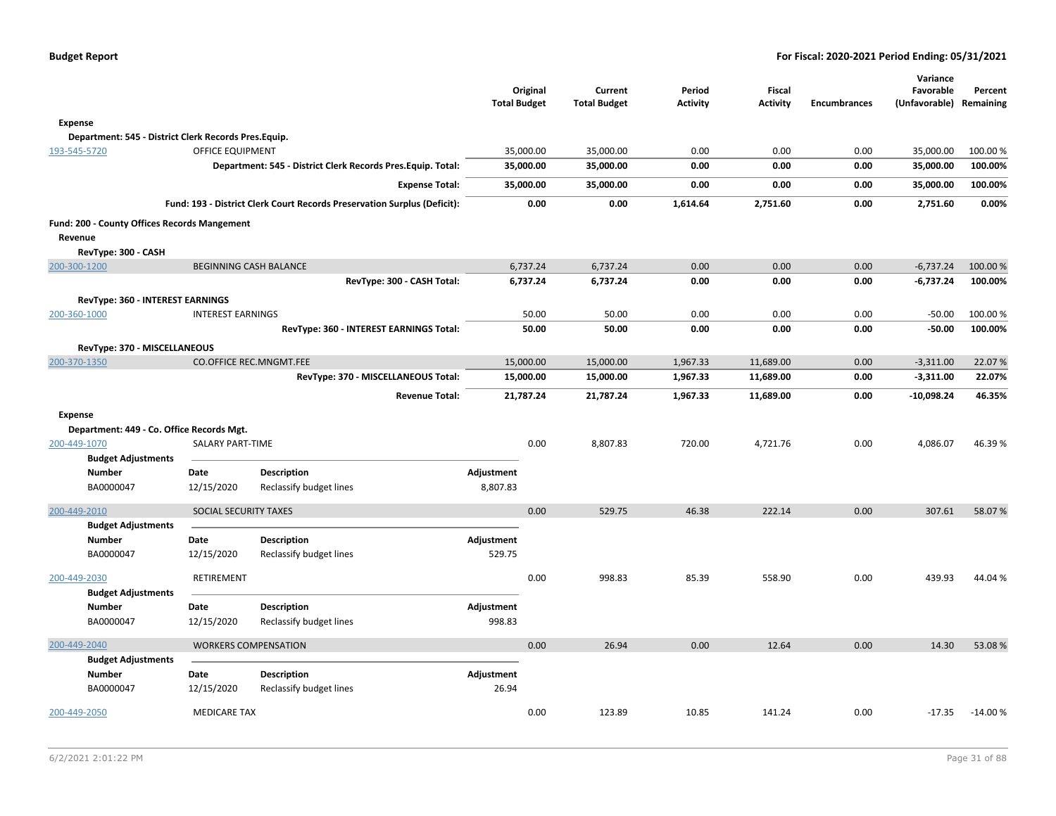|                                                             |                          |                                                                          | Original<br><b>Total Budget</b> | Current<br><b>Total Budget</b> | Period<br><b>Activity</b> | <b>Fiscal</b><br><b>Activity</b> | <b>Encumbrances</b> | Variance<br>Favorable<br>(Unfavorable) Remaining | Percent   |
|-------------------------------------------------------------|--------------------------|--------------------------------------------------------------------------|---------------------------------|--------------------------------|---------------------------|----------------------------------|---------------------|--------------------------------------------------|-----------|
| Expense                                                     |                          |                                                                          |                                 |                                |                           |                                  |                     |                                                  |           |
| Department: 545 - District Clerk Records Pres.Equip.        |                          |                                                                          |                                 |                                |                           |                                  |                     |                                                  |           |
| 193-545-5720                                                | <b>OFFICE EQUIPMENT</b>  |                                                                          | 35,000.00                       | 35,000.00                      | 0.00                      | 0.00                             | 0.00                | 35,000.00                                        | 100.00%   |
|                                                             |                          | Department: 545 - District Clerk Records Pres. Equip. Total:             | 35,000.00                       | 35,000.00                      | 0.00                      | 0.00                             | 0.00                | 35,000.00                                        | 100.00%   |
|                                                             |                          | <b>Expense Total:</b>                                                    | 35,000.00                       | 35,000.00                      | 0.00                      | 0.00                             | 0.00                | 35,000.00                                        | 100.00%   |
|                                                             |                          | Fund: 193 - District Clerk Court Records Preservation Surplus (Deficit): | 0.00                            | 0.00                           | 1,614.64                  | 2,751.60                         | 0.00                | 2,751.60                                         | 0.00%     |
| Fund: 200 - County Offices Records Mangement                |                          |                                                                          |                                 |                                |                           |                                  |                     |                                                  |           |
| Revenue                                                     |                          |                                                                          |                                 |                                |                           |                                  |                     |                                                  |           |
| RevType: 300 - CASH                                         |                          |                                                                          |                                 |                                |                           |                                  |                     |                                                  |           |
| 200-300-1200                                                |                          | <b>BEGINNING CASH BALANCE</b>                                            | 6,737.24                        | 6,737.24                       | 0.00                      | 0.00                             | 0.00                | $-6,737.24$                                      | 100.00 %  |
|                                                             |                          | RevType: 300 - CASH Total:                                               | 6,737.24                        | 6,737.24                       | 0.00                      | 0.00                             | 0.00                | $-6,737.24$                                      | 100.00%   |
| RevType: 360 - INTEREST EARNINGS                            |                          |                                                                          |                                 |                                |                           |                                  |                     |                                                  |           |
| 200-360-1000                                                | <b>INTEREST EARNINGS</b> |                                                                          | 50.00                           | 50.00                          | 0.00                      | 0.00                             | 0.00                | $-50.00$                                         | 100.00%   |
|                                                             |                          | RevType: 360 - INTEREST EARNINGS Total:                                  | 50.00                           | 50.00                          | 0.00                      | 0.00                             | 0.00                | $-50.00$                                         | 100.00%   |
| RevType: 370 - MISCELLANEOUS                                |                          |                                                                          |                                 |                                |                           |                                  |                     |                                                  |           |
| 200-370-1350                                                |                          | <b>CO.OFFICE REC.MNGMT.FEE</b>                                           | 15,000.00                       | 15,000.00                      | 1,967.33                  | 11,689.00                        | 0.00                | $-3,311.00$                                      | 22.07%    |
|                                                             |                          | RevType: 370 - MISCELLANEOUS Total:                                      | 15,000.00                       | 15,000.00                      | 1,967.33                  | 11,689.00                        | 0.00                | $-3,311.00$                                      | 22.07%    |
|                                                             |                          | <b>Revenue Total:</b>                                                    | 21,787.24                       | 21,787.24                      | 1,967.33                  | 11,689.00                        | 0.00                | $-10,098.24$                                     | 46.35%    |
| <b>Expense</b><br>Department: 449 - Co. Office Records Mgt. |                          |                                                                          |                                 |                                |                           |                                  |                     |                                                  |           |
| 200-449-1070                                                | SALARY PART-TIME         |                                                                          | 0.00                            | 8,807.83                       | 720.00                    | 4,721.76                         | 0.00                | 4,086.07                                         | 46.39%    |
| <b>Budget Adjustments</b>                                   |                          |                                                                          |                                 |                                |                           |                                  |                     |                                                  |           |
| <b>Number</b>                                               | Date                     | <b>Description</b>                                                       | Adjustment                      |                                |                           |                                  |                     |                                                  |           |
| BA0000047                                                   | 12/15/2020               | Reclassify budget lines                                                  | 8,807.83                        |                                |                           |                                  |                     |                                                  |           |
| 200-449-2010                                                | SOCIAL SECURITY TAXES    |                                                                          | 0.00                            | 529.75                         | 46.38                     | 222.14                           | 0.00                | 307.61                                           | 58.07%    |
| <b>Budget Adjustments</b>                                   |                          |                                                                          |                                 |                                |                           |                                  |                     |                                                  |           |
| Number                                                      | Date                     | Description                                                              | Adjustment                      |                                |                           |                                  |                     |                                                  |           |
| BA0000047                                                   | 12/15/2020               | Reclassify budget lines                                                  | 529.75                          |                                |                           |                                  |                     |                                                  |           |
| 200-449-2030                                                | RETIREMENT               |                                                                          | 0.00                            | 998.83                         | 85.39                     | 558.90                           | 0.00                | 439.93                                           | 44.04%    |
| <b>Budget Adjustments</b>                                   |                          |                                                                          |                                 |                                |                           |                                  |                     |                                                  |           |
| <b>Number</b>                                               | Date                     | <b>Description</b>                                                       | Adjustment                      |                                |                           |                                  |                     |                                                  |           |
| BA0000047                                                   | 12/15/2020               | Reclassify budget lines                                                  | 998.83                          |                                |                           |                                  |                     |                                                  |           |
| 200-449-2040                                                |                          | <b>WORKERS COMPENSATION</b>                                              | 0.00                            | 26.94                          | 0.00                      | 12.64                            | 0.00                | 14.30                                            | 53.08%    |
| <b>Budget Adjustments</b>                                   |                          |                                                                          |                                 |                                |                           |                                  |                     |                                                  |           |
| <b>Number</b>                                               | Date                     | Description                                                              | Adjustment                      |                                |                           |                                  |                     |                                                  |           |
| BA0000047                                                   | 12/15/2020               | Reclassify budget lines                                                  | 26.94                           |                                |                           |                                  |                     |                                                  |           |
| 200-449-2050                                                | <b>MEDICARE TAX</b>      |                                                                          | 0.00                            | 123.89                         | 10.85                     | 141.24                           | 0.00                | $-17.35$                                         | $-14.00%$ |
|                                                             |                          |                                                                          |                                 |                                |                           |                                  |                     |                                                  |           |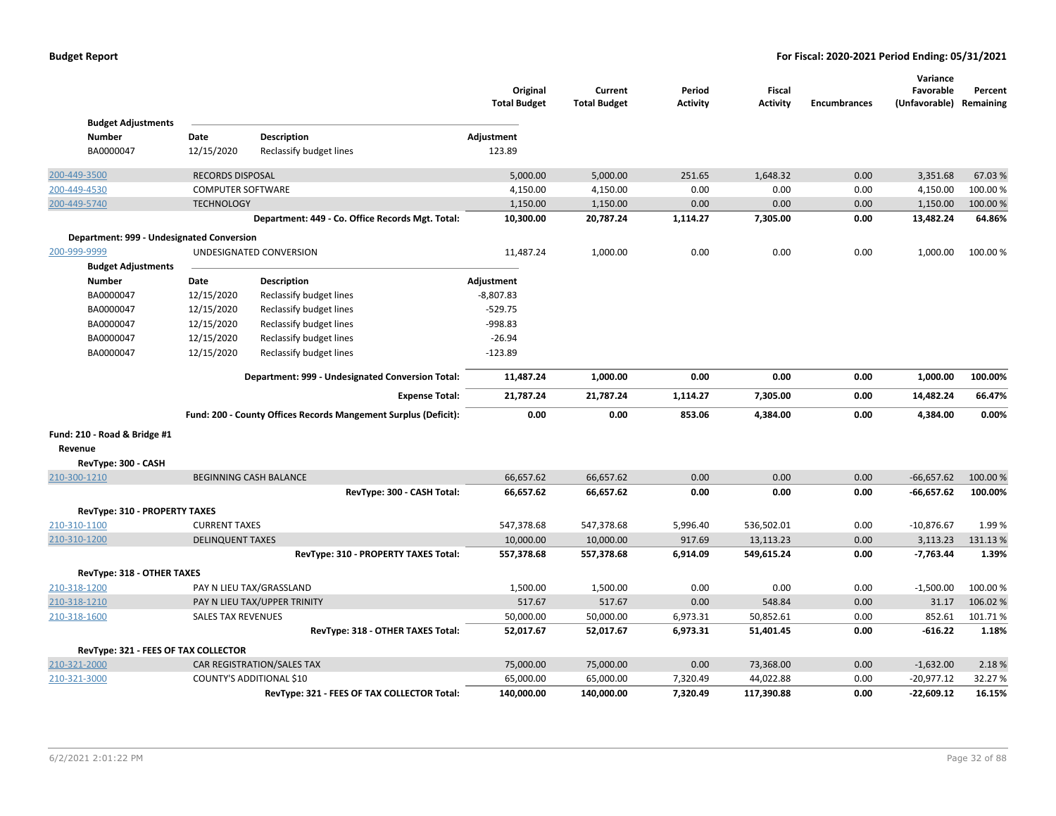|                                           |                           |                                                                 | Original<br><b>Total Budget</b> | Current<br><b>Total Budget</b> | Period<br><b>Activity</b> | <b>Fiscal</b><br><b>Activity</b> | <b>Encumbrances</b> | Variance<br>Favorable<br>(Unfavorable) Remaining | Percent  |
|-------------------------------------------|---------------------------|-----------------------------------------------------------------|---------------------------------|--------------------------------|---------------------------|----------------------------------|---------------------|--------------------------------------------------|----------|
| <b>Budget Adjustments</b>                 |                           |                                                                 |                                 |                                |                           |                                  |                     |                                                  |          |
| <b>Number</b>                             | Date                      | Description                                                     | Adjustment                      |                                |                           |                                  |                     |                                                  |          |
| BA0000047                                 | 12/15/2020                | Reclassify budget lines                                         | 123.89                          |                                |                           |                                  |                     |                                                  |          |
| 200-449-3500                              | <b>RECORDS DISPOSAL</b>   |                                                                 | 5,000.00                        | 5,000.00                       | 251.65                    | 1,648.32                         | 0.00                | 3,351.68                                         | 67.03%   |
| 200-449-4530                              | <b>COMPUTER SOFTWARE</b>  |                                                                 | 4,150.00                        | 4,150.00                       | 0.00                      | 0.00                             | 0.00                | 4,150.00                                         | 100.00%  |
| 200-449-5740                              | <b>TECHNOLOGY</b>         |                                                                 | 1,150.00                        | 1,150.00                       | 0.00                      | 0.00                             | 0.00                | 1,150.00                                         | 100.00 % |
|                                           |                           | Department: 449 - Co. Office Records Mgt. Total:                | 10,300.00                       | 20,787.24                      | 1,114.27                  | 7,305.00                         | 0.00                | 13,482.24                                        | 64.86%   |
| Department: 999 - Undesignated Conversion |                           |                                                                 |                                 |                                |                           |                                  |                     |                                                  |          |
| 200-999-9999                              |                           | UNDESIGNATED CONVERSION                                         | 11,487.24                       | 1,000.00                       | 0.00                      | 0.00                             | 0.00                | 1,000.00                                         | 100.00%  |
| <b>Budget Adjustments</b>                 |                           |                                                                 |                                 |                                |                           |                                  |                     |                                                  |          |
| <b>Number</b>                             | Date                      | Description                                                     | Adjustment                      |                                |                           |                                  |                     |                                                  |          |
| BA0000047                                 | 12/15/2020                | Reclassify budget lines                                         | $-8,807.83$                     |                                |                           |                                  |                     |                                                  |          |
| BA0000047                                 | 12/15/2020                | Reclassify budget lines                                         | $-529.75$                       |                                |                           |                                  |                     |                                                  |          |
| BA0000047                                 | 12/15/2020                | Reclassify budget lines                                         | $-998.83$                       |                                |                           |                                  |                     |                                                  |          |
| BA0000047                                 | 12/15/2020                | Reclassify budget lines                                         | $-26.94$                        |                                |                           |                                  |                     |                                                  |          |
| BA0000047                                 | 12/15/2020                | Reclassify budget lines                                         | $-123.89$                       |                                |                           |                                  |                     |                                                  |          |
|                                           |                           | Department: 999 - Undesignated Conversion Total:                | 11,487.24                       | 1,000.00                       | 0.00                      | 0.00                             | 0.00                | 1,000.00                                         | 100.00%  |
|                                           |                           | <b>Expense Total:</b>                                           | 21,787.24                       | 21,787.24                      | 1,114.27                  | 7,305.00                         | 0.00                | 14,482.24                                        | 66.47%   |
|                                           |                           | Fund: 200 - County Offices Records Mangement Surplus (Deficit): | 0.00                            | 0.00                           | 853.06                    | 4,384.00                         | 0.00                | 4,384.00                                         | 0.00%    |
| Fund: 210 - Road & Bridge #1              |                           |                                                                 |                                 |                                |                           |                                  |                     |                                                  |          |
| Revenue                                   |                           |                                                                 |                                 |                                |                           |                                  |                     |                                                  |          |
| RevType: 300 - CASH                       |                           |                                                                 |                                 |                                |                           |                                  |                     |                                                  |          |
| 210-300-1210                              |                           | <b>BEGINNING CASH BALANCE</b>                                   | 66,657.62                       | 66,657.62                      | 0.00                      | 0.00                             | 0.00                | $-66,657.62$                                     | 100.00 % |
|                                           |                           | RevType: 300 - CASH Total:                                      | 66,657.62                       | 66,657.62                      | 0.00                      | 0.00                             | 0.00                | $-66,657.62$                                     | 100.00%  |
| RevType: 310 - PROPERTY TAXES             |                           |                                                                 |                                 |                                |                           |                                  |                     |                                                  |          |
| 210-310-1100                              | <b>CURRENT TAXES</b>      |                                                                 | 547,378.68                      | 547,378.68                     | 5,996.40                  | 536,502.01                       | 0.00                | $-10,876.67$                                     | 1.99%    |
| 210-310-1200                              | <b>DELINQUENT TAXES</b>   |                                                                 | 10,000.00                       | 10,000.00                      | 917.69                    | 13,113.23                        | 0.00                | 3,113.23                                         | 131.13%  |
|                                           |                           | RevType: 310 - PROPERTY TAXES Total:                            | 557,378.68                      | 557,378.68                     | 6,914.09                  | 549,615.24                       | 0.00                | $-7,763.44$                                      | 1.39%    |
| RevType: 318 - OTHER TAXES                |                           |                                                                 |                                 |                                |                           |                                  |                     |                                                  |          |
| 210-318-1200                              |                           | PAY N LIEU TAX/GRASSLAND                                        | 1,500.00                        | 1,500.00                       | 0.00                      | 0.00                             | 0.00                | $-1,500.00$                                      | 100.00%  |
| 210-318-1210                              |                           | PAY N LIEU TAX/UPPER TRINITY                                    | 517.67                          | 517.67                         | 0.00                      | 548.84                           | 0.00                | 31.17                                            | 106.02%  |
| 210-318-1600                              | <b>SALES TAX REVENUES</b> |                                                                 | 50,000.00                       | 50,000.00                      | 6,973.31                  | 50,852.61                        | 0.00                | 852.61                                           | 101.71%  |
|                                           |                           | RevType: 318 - OTHER TAXES Total:                               | 52,017.67                       | 52,017.67                      | 6,973.31                  | 51,401.45                        | 0.00                | $-616.22$                                        | 1.18%    |
| RevType: 321 - FEES OF TAX COLLECTOR      |                           |                                                                 |                                 |                                |                           |                                  |                     |                                                  |          |
| 210-321-2000                              |                           | CAR REGISTRATION/SALES TAX                                      | 75,000.00                       | 75,000.00                      | 0.00                      | 73,368.00                        | 0.00                | $-1,632.00$                                      | 2.18%    |
| 210-321-3000                              |                           | COUNTY'S ADDITIONAL \$10                                        | 65,000.00                       | 65,000.00                      | 7,320.49                  | 44,022.88                        | 0.00                | $-20,977.12$                                     | 32.27 %  |
|                                           |                           | RevType: 321 - FEES OF TAX COLLECTOR Total:                     | 140,000.00                      | 140,000.00                     | 7,320.49                  | 117,390.88                       | 0.00                | $-22,609.12$                                     | 16.15%   |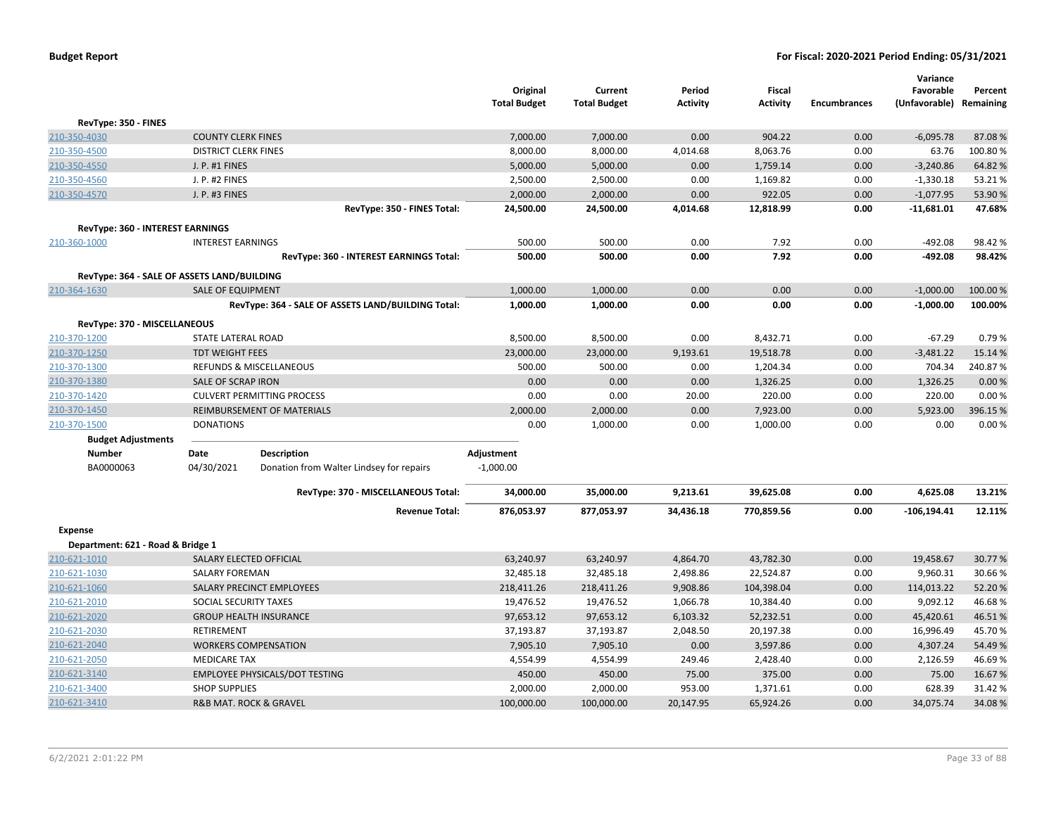| RevType: 350 - FINES<br>0.00<br>0.00<br>210-350-4030<br><b>COUNTY CLERK FINES</b><br>7,000.00<br>7,000.00<br>904.22<br>8,000.00<br>8,000.00<br>8,063.76<br>210-350-4500<br><b>DISTRICT CLERK FINES</b><br>4,014.68<br>0.00 |                        |                  |
|----------------------------------------------------------------------------------------------------------------------------------------------------------------------------------------------------------------------------|------------------------|------------------|
|                                                                                                                                                                                                                            |                        |                  |
|                                                                                                                                                                                                                            | $-6,095.78$            | 87.08%           |
|                                                                                                                                                                                                                            | 63.76                  | 100.80%          |
| 5,000.00<br>5,000.00<br>0.00<br>0.00<br>210-350-4550<br>J. P. #1 FINES<br>1,759.14                                                                                                                                         | $-3,240.86$            | 64.82%           |
| 2,500.00<br>2,500.00<br>1,169.82<br>0.00<br>J. P. #2 FINES<br>0.00<br>210-350-4560                                                                                                                                         | $-1,330.18$            | 53.21%           |
| 2,000.00<br>2,000.00<br>0.00<br>922.05<br>0.00<br>210-350-4570<br>J. P. #3 FINES                                                                                                                                           | $-1,077.95$            | 53.90%           |
| RevType: 350 - FINES Total:<br>24,500.00<br>24,500.00<br>4,014.68<br>12,818.99<br>0.00                                                                                                                                     | $-11,681.01$           | 47.68%           |
| RevType: 360 - INTEREST EARNINGS                                                                                                                                                                                           |                        |                  |
| <b>INTEREST EARNINGS</b><br>500.00<br>500.00<br>0.00<br>7.92<br>0.00<br>210-360-1000                                                                                                                                       | $-492.08$              | 98.42%           |
| 7.92<br>RevType: 360 - INTEREST EARNINGS Total:<br>500.00<br>0.00<br>0.00<br>500.00                                                                                                                                        | $-492.08$              | 98.42%           |
| RevType: 364 - SALE OF ASSETS LAND/BUILDING                                                                                                                                                                                |                        |                  |
| 0.00<br>0.00<br>0.00<br>210-364-1630<br><b>SALE OF EQUIPMENT</b><br>1,000.00<br>1,000.00                                                                                                                                   | $-1,000.00$            | 100.00%          |
| RevType: 364 - SALE OF ASSETS LAND/BUILDING Total:<br>1,000.00<br>1,000.00<br>0.00<br>0.00<br>0.00                                                                                                                         | $-1,000.00$            | 100.00%          |
| RevType: 370 - MISCELLANEOUS                                                                                                                                                                                               |                        |                  |
| 210-370-1200<br>STATE LATERAL ROAD<br>8,500.00<br>8,500.00<br>0.00<br>8,432.71<br>0.00                                                                                                                                     | $-67.29$               | 0.79%            |
| 210-370-1250<br><b>TDT WEIGHT FEES</b><br>23,000.00<br>23,000.00<br>9,193.61<br>19,518.78<br>0.00                                                                                                                          | $-3,481.22$            | 15.14 %          |
| 210-370-1300<br>REFUNDS & MISCELLANEOUS<br>500.00<br>500.00<br>1,204.34<br>0.00<br>0.00                                                                                                                                    | 704.34                 | 240.87%          |
| 0.00<br>0.00<br>1,326.25<br>0.00<br>210-370-1380<br>SALE OF SCRAP IRON<br>0.00                                                                                                                                             | 1,326.25               | 0.00%            |
| 210-370-1420<br><b>CULVERT PERMITTING PROCESS</b><br>0.00<br>0.00<br>20.00<br>220.00<br>0.00                                                                                                                               | 220.00                 | 0.00%            |
| <b>REIMBURSEMENT OF MATERIALS</b><br>2,000.00<br>2,000.00<br>0.00<br>7,923.00<br>0.00<br>210-370-1450                                                                                                                      | 5,923.00               | 396.15%          |
| 210-370-1500<br><b>DONATIONS</b><br>0.00<br>1,000.00<br>1,000.00<br>0.00<br>0.00                                                                                                                                           | 0.00                   | 0.00%            |
| <b>Budget Adjustments</b>                                                                                                                                                                                                  |                        |                  |
| Date<br><b>Description</b><br>Adjustment<br>Number                                                                                                                                                                         |                        |                  |
| BA0000063<br>04/30/2021<br>$-1,000.00$<br>Donation from Walter Lindsey for repairs                                                                                                                                         |                        |                  |
| RevType: 370 - MISCELLANEOUS Total:<br>34,000.00<br>35,000.00<br>9,213.61<br>39,625.08<br>0.00                                                                                                                             | 4,625.08               | 13.21%           |
| 876,053.97<br>877,053.97<br>34,436.18<br>770,859.56<br>0.00<br><b>Revenue Total:</b>                                                                                                                                       | $-106, 194.41$         | 12.11%           |
|                                                                                                                                                                                                                            |                        |                  |
| <b>Expense</b>                                                                                                                                                                                                             |                        |                  |
| Department: 621 - Road & Bridge 1                                                                                                                                                                                          |                        |                  |
| 210-621-1010<br>43,782.30<br>0.00<br>SALARY ELECTED OFFICIAL<br>63,240.97<br>63,240.97<br>4,864.70<br><b>SALARY FOREMAN</b><br>0.00                                                                                        | 19,458.67<br>9,960.31  | 30.77%<br>30.66% |
| 210-621-1030<br>32,485.18<br>32,485.18<br>2,498.86<br>22,524.87<br>SALARY PRECINCT EMPLOYEES<br>0.00                                                                                                                       |                        | 52.20%           |
| 210-621-1060<br>218,411.26<br>218,411.26<br>9,908.86<br>104,398.04<br>19,476.52<br>10,384.40<br>0.00<br>SOCIAL SECURITY TAXES                                                                                              | 114,013.22<br>9,092.12 | 46.68%           |
| 210-621-2010<br>19,476.52<br>1,066.78<br>97,653.12<br>52,232.51<br>0.00<br><b>GROUP HEALTH INSURANCE</b>                                                                                                                   | 45,420.61              | 46.51%           |
| 210-621-2020<br>97,653.12<br>6,103.32<br>210-621-2030<br>37,193.87<br>2,048.50<br>0.00<br><b>RETIREMENT</b><br>37,193.87<br>20,197.38                                                                                      | 16,996.49              | 45.70%           |
| 210-621-2040<br><b>WORKERS COMPENSATION</b><br>7,905.10<br>7,905.10<br>0.00<br>3,597.86<br>0.00                                                                                                                            | 4,307.24               | 54.49%           |
| 4,554.99<br>4,554.99<br>2,428.40<br>0.00<br>210-621-2050<br><b>MEDICARE TAX</b><br>249.46                                                                                                                                  | 2,126.59               | 46.69%           |
| <b>EMPLOYEE PHYSICALS/DOT TESTING</b><br>450.00<br>450.00<br>75.00<br>375.00<br>0.00<br>210-621-3140                                                                                                                       | 75.00                  | 16.67%           |
| 210-621-3400<br><b>SHOP SUPPLIES</b><br>2,000.00<br>2,000.00<br>953.00<br>1,371.61<br>0.00                                                                                                                                 | 628.39                 | 31.42%           |
| 210-621-3410<br><b>R&amp;B MAT. ROCK &amp; GRAVEL</b><br>100,000.00<br>100,000.00<br>20,147.95<br>65,924.26<br>0.00                                                                                                        | 34,075.74              | 34.08%           |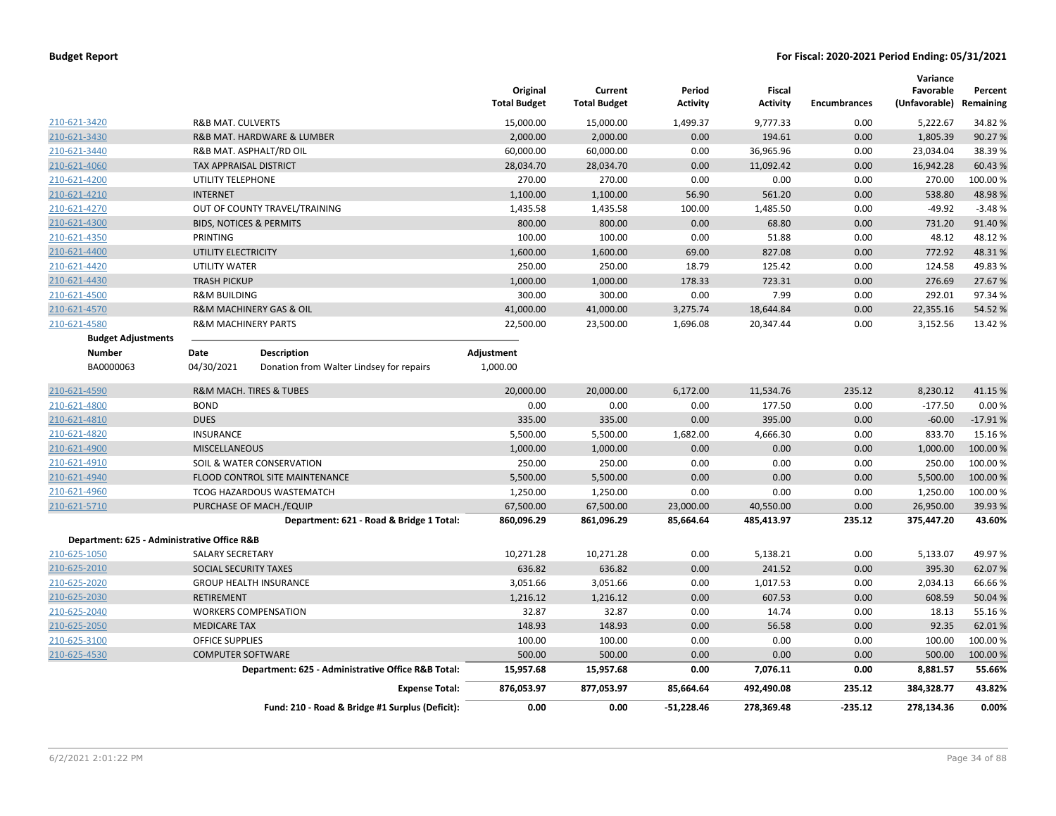|                              |                                                                          | Original<br><b>Total Budget</b> | Current<br><b>Total Budget</b> | Period<br><b>Activity</b> | <b>Fiscal</b><br><b>Activity</b> | <b>Encumbrances</b> | Variance<br>Favorable<br>(Unfavorable) | Percent<br>Remaining |
|------------------------------|--------------------------------------------------------------------------|---------------------------------|--------------------------------|---------------------------|----------------------------------|---------------------|----------------------------------------|----------------------|
| 210-621-3420                 | <b>R&amp;B MAT. CULVERTS</b>                                             | 15,000.00                       | 15,000.00                      | 1,499.37                  | 9,777.33                         | 0.00                | 5,222.67                               | 34.82 %              |
| 210-621-3430                 | R&B MAT. HARDWARE & LUMBER                                               | 2,000.00                        | 2,000.00                       | 0.00                      | 194.61                           | 0.00                | 1,805.39                               | 90.27 %              |
| 210-621-3440                 | R&B MAT. ASPHALT/RD OIL                                                  | 60,000.00                       | 60,000.00                      | 0.00                      | 36,965.96                        | 0.00                | 23,034.04                              | 38.39%               |
| 210-621-4060                 | <b>TAX APPRAISAL DISTRICT</b>                                            | 28,034.70                       | 28,034.70                      | 0.00                      | 11,092.42                        | 0.00                | 16,942.28                              | 60.43%               |
| 210-621-4200                 | UTILITY TELEPHONE                                                        | 270.00                          | 270.00                         | 0.00                      | 0.00                             | 0.00                | 270.00                                 | 100.00%              |
| 210-621-4210                 | <b>INTERNET</b>                                                          | 1,100.00                        | 1,100.00                       | 56.90                     | 561.20                           | 0.00                | 538.80                                 | 48.98%               |
| 210-621-4270                 | OUT OF COUNTY TRAVEL/TRAINING                                            | 1,435.58                        | 1,435.58                       | 100.00                    | 1,485.50                         | 0.00                | $-49.92$                               | $-3.48%$             |
| 210-621-4300                 | <b>BIDS, NOTICES &amp; PERMITS</b>                                       | 800.00                          | 800.00                         | 0.00                      | 68.80                            | 0.00                | 731.20                                 | 91.40%               |
| 210-621-4350                 | <b>PRINTING</b>                                                          | 100.00                          | 100.00                         | 0.00                      | 51.88                            | 0.00                | 48.12                                  | 48.12%               |
| 210-621-4400                 | UTILITY ELECTRICITY                                                      | 1,600.00                        | 1,600.00                       | 69.00                     | 827.08                           | 0.00                | 772.92                                 | 48.31%               |
| 210-621-4420                 | <b>UTILITY WATER</b>                                                     | 250.00                          | 250.00                         | 18.79                     | 125.42                           | 0.00                | 124.58                                 | 49.83%               |
| 210-621-4430                 | <b>TRASH PICKUP</b>                                                      | 1,000.00                        | 1,000.00                       | 178.33                    | 723.31                           | 0.00                | 276.69                                 | 27.67%               |
| 210-621-4500                 | <b>R&amp;M BUILDING</b>                                                  | 300.00                          | 300.00                         | 0.00                      | 7.99                             | 0.00                | 292.01                                 | 97.34 %              |
| 210-621-4570                 | R&M MACHINERY GAS & OIL                                                  | 41,000.00                       | 41,000.00                      | 3,275.74                  | 18,644.84                        | 0.00                | 22,355.16                              | 54.52 %              |
| 210-621-4580                 | <b>R&amp;M MACHINERY PARTS</b>                                           | 22,500.00                       | 23,500.00                      | 1,696.08                  | 20,347.44                        | 0.00                | 3,152.56                               | 13.42 %              |
| <b>Budget Adjustments</b>    |                                                                          |                                 |                                |                           |                                  |                     |                                        |                      |
| <b>Number</b>                | Description<br>Date                                                      | Adjustment                      |                                |                           |                                  |                     |                                        |                      |
| BA0000063                    | 04/30/2021<br>Donation from Walter Lindsey for repairs                   | 1,000.00                        |                                |                           |                                  |                     |                                        |                      |
| 210-621-4590                 | <b>R&amp;M MACH. TIRES &amp; TUBES</b>                                   | 20,000.00                       | 20,000.00                      | 6,172.00                  | 11,534.76                        | 235.12              | 8,230.12                               | 41.15 %              |
| 210-621-4800                 | <b>BOND</b>                                                              | 0.00                            | 0.00                           | 0.00                      | 177.50                           | 0.00                | $-177.50$                              | 0.00%                |
| 210-621-4810                 | <b>DUES</b>                                                              | 335.00                          | 335.00                         | 0.00                      | 395.00                           | 0.00                | $-60.00$                               | $-17.91%$            |
| 210-621-4820                 | <b>INSURANCE</b>                                                         | 5,500.00                        | 5,500.00                       | 1,682.00                  | 4,666.30                         | 0.00                | 833.70                                 | 15.16%               |
| 210-621-4900                 | <b>MISCELLANEOUS</b>                                                     | 1,000.00                        | 1,000.00                       | 0.00                      | 0.00                             | 0.00                | 1,000.00                               | 100.00%              |
| 210-621-4910                 | SOIL & WATER CONSERVATION                                                | 250.00                          | 250.00                         | 0.00                      | 0.00                             | 0.00                | 250.00                                 | 100.00%              |
| 210-621-4940                 | FLOOD CONTROL SITE MAINTENANCE                                           | 5,500.00                        | 5,500.00                       | 0.00                      | 0.00                             | 0.00                | 5,500.00                               | 100.00%              |
| 210-621-4960                 | <b>TCOG HAZARDOUS WASTEMATCH</b>                                         | 1,250.00                        | 1,250.00                       | 0.00                      | 0.00                             | 0.00                | 1,250.00                               | 100.00%              |
| 210-621-5710                 | PURCHASE OF MACH./EQUIP<br>Department: 621 - Road & Bridge 1 Total:      | 67,500.00<br>860,096.29         | 67,500.00<br>861,096.29        | 23,000.00<br>85,664.64    | 40,550.00<br>485,413.97          | 0.00<br>235.12      | 26,950.00<br>375,447.20                | 39.93 %<br>43.60%    |
|                              | Department: 625 - Administrative Office R&B                              |                                 |                                |                           |                                  |                     |                                        |                      |
| 210-625-1050                 | <b>SALARY SECRETARY</b>                                                  | 10,271.28                       | 10,271.28                      | 0.00                      | 5,138.21                         | 0.00                | 5,133.07                               | 49.97%               |
| 210-625-2010                 | SOCIAL SECURITY TAXES                                                    | 636.82                          | 636.82                         | 0.00                      | 241.52                           | 0.00                | 395.30                                 | 62.07%               |
| 210-625-2020                 | <b>GROUP HEALTH INSURANCE</b>                                            | 3,051.66                        | 3,051.66                       | 0.00                      | 1,017.53                         | 0.00                | 2,034.13                               | 66.66%               |
| 210-625-2030                 | <b>RETIREMENT</b>                                                        | 1,216.12                        | 1,216.12                       | 0.00                      | 607.53                           | 0.00                | 608.59                                 | 50.04 %              |
| 210-625-2040                 | <b>WORKERS COMPENSATION</b>                                              | 32.87                           | 32.87                          | 0.00                      | 14.74                            | 0.00                | 18.13                                  | 55.16%               |
| 210-625-2050                 | <b>MEDICARE TAX</b>                                                      | 148.93                          | 148.93                         | 0.00                      | 56.58                            | 0.00                | 92.35                                  | 62.01%               |
|                              |                                                                          | 100.00                          | 100.00                         |                           |                                  | 0.00                |                                        | 100.00%              |
| 210-625-3100<br>210-625-4530 | <b>OFFICE SUPPLIES</b><br><b>COMPUTER SOFTWARE</b>                       | 500.00                          | 500.00                         | 0.00<br>0.00              | 0.00<br>0.00                     | 0.00                | 100.00<br>500.00                       | 100.00 %             |
|                              |                                                                          | 15,957.68                       |                                | 0.00                      | 7,076.11                         |                     |                                        |                      |
|                              | Department: 625 - Administrative Office R&B Total:                       |                                 | 15,957.68                      |                           |                                  | 0.00<br>235.12      | 8,881.57                               | 55.66%<br>43.82%     |
|                              | <b>Expense Total:</b><br>Fund: 210 - Road & Bridge #1 Surplus (Deficit): | 876,053.97<br>0.00              | 877,053.97<br>0.00             | 85,664.64<br>$-51,228.46$ | 492,490.08<br>278,369.48         | $-235.12$           | 384,328.77<br>278,134.36               | 0.00%                |
|                              |                                                                          |                                 |                                |                           |                                  |                     |                                        |                      |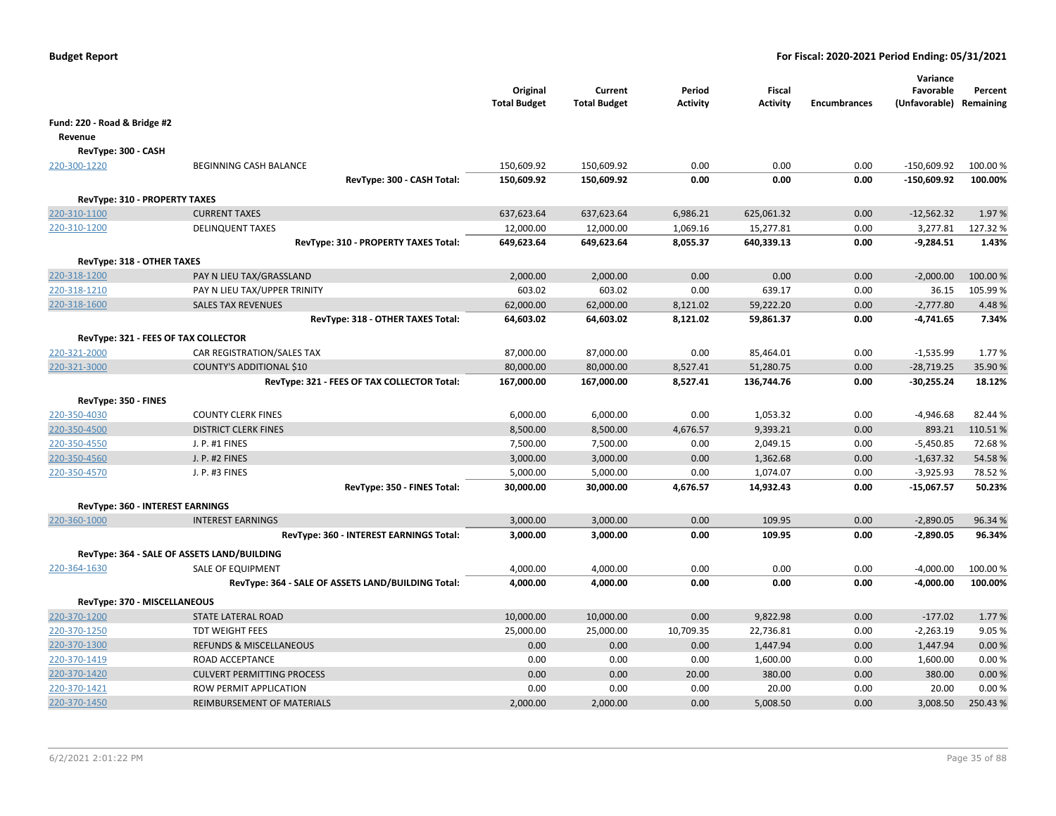|                                  |                                                    | Original<br><b>Total Budget</b> | Current<br><b>Total Budget</b> | Period<br><b>Activity</b> | <b>Fiscal</b><br><b>Activity</b> | <b>Encumbrances</b> | Variance<br>Favorable<br>(Unfavorable) Remaining | Percent  |
|----------------------------------|----------------------------------------------------|---------------------------------|--------------------------------|---------------------------|----------------------------------|---------------------|--------------------------------------------------|----------|
| Fund: 220 - Road & Bridge #2     |                                                    |                                 |                                |                           |                                  |                     |                                                  |          |
| Revenue                          |                                                    |                                 |                                |                           |                                  |                     |                                                  |          |
| RevType: 300 - CASH              |                                                    |                                 |                                |                           |                                  |                     |                                                  |          |
| 220-300-1220                     | <b>BEGINNING CASH BALANCE</b>                      | 150,609.92                      | 150,609.92                     | 0.00                      | 0.00                             | 0.00                | $-150,609.92$                                    | 100.00%  |
|                                  | RevType: 300 - CASH Total:                         | 150,609.92                      | 150,609.92                     | 0.00                      | 0.00                             | 0.00                | $-150,609.92$                                    | 100.00%  |
| RevType: 310 - PROPERTY TAXES    |                                                    |                                 |                                |                           |                                  |                     |                                                  |          |
| 220-310-1100                     | <b>CURRENT TAXES</b>                               | 637,623.64                      | 637,623.64                     | 6,986.21                  | 625,061.32                       | 0.00                | $-12,562.32$                                     | 1.97%    |
| 220-310-1200                     | <b>DELINQUENT TAXES</b>                            | 12,000.00                       | 12,000.00                      | 1,069.16                  | 15,277.81                        | 0.00                | 3,277.81                                         | 127.32%  |
|                                  | RevType: 310 - PROPERTY TAXES Total:               | 649,623.64                      | 649,623.64                     | 8,055.37                  | 640,339.13                       | 0.00                | $-9,284.51$                                      | 1.43%    |
| RevType: 318 - OTHER TAXES       |                                                    |                                 |                                |                           |                                  |                     |                                                  |          |
| 220-318-1200                     | PAY N LIEU TAX/GRASSLAND                           | 2,000.00                        | 2,000.00                       | 0.00                      | 0.00                             | 0.00                | $-2,000.00$                                      | 100.00 % |
| 220-318-1210                     | PAY N LIEU TAX/UPPER TRINITY                       | 603.02                          | 603.02                         | 0.00                      | 639.17                           | 0.00                | 36.15                                            | 105.99%  |
| 220-318-1600                     | <b>SALES TAX REVENUES</b>                          | 62,000.00                       | 62,000.00                      | 8,121.02                  | 59,222.20                        | 0.00                | $-2,777.80$                                      | 4.48%    |
|                                  | RevType: 318 - OTHER TAXES Total:                  | 64,603.02                       | 64,603.02                      | 8,121.02                  | 59,861.37                        | 0.00                | $-4,741.65$                                      | 7.34%    |
|                                  | RevType: 321 - FEES OF TAX COLLECTOR               |                                 |                                |                           |                                  |                     |                                                  |          |
| 220-321-2000                     | CAR REGISTRATION/SALES TAX                         | 87,000.00                       | 87,000.00                      | 0.00                      | 85,464.01                        | 0.00                | $-1,535.99$                                      | 1.77%    |
| 220-321-3000                     | <b>COUNTY'S ADDITIONAL \$10</b>                    | 80,000.00                       | 80,000.00                      | 8,527.41                  | 51,280.75                        | 0.00                | $-28,719.25$                                     | 35.90 %  |
|                                  | RevType: 321 - FEES OF TAX COLLECTOR Total:        | 167,000.00                      | 167,000.00                     | 8,527.41                  | 136,744.76                       | 0.00                | -30,255.24                                       | 18.12%   |
| RevType: 350 - FINES             |                                                    |                                 |                                |                           |                                  |                     |                                                  |          |
| 220-350-4030                     | <b>COUNTY CLERK FINES</b>                          | 6,000.00                        | 6,000.00                       | 0.00                      | 1,053.32                         | 0.00                | $-4,946.68$                                      | 82.44 %  |
| 220-350-4500                     | <b>DISTRICT CLERK FINES</b>                        | 8,500.00                        | 8,500.00                       | 4,676.57                  | 9,393.21                         | 0.00                | 893.21                                           | 110.51%  |
| 220-350-4550                     | J. P. #1 FINES                                     | 7,500.00                        | 7,500.00                       | 0.00                      | 2,049.15                         | 0.00                | $-5,450.85$                                      | 72.68%   |
| 220-350-4560                     | J. P. #2 FINES                                     | 3,000.00                        | 3,000.00                       | 0.00                      | 1,362.68                         | 0.00                | $-1,637.32$                                      | 54.58%   |
| 220-350-4570                     | J. P. #3 FINES                                     | 5,000.00                        | 5,000.00                       | 0.00                      | 1,074.07                         | 0.00                | $-3,925.93$                                      | 78.52%   |
|                                  | RevType: 350 - FINES Total:                        | 30,000.00                       | 30,000.00                      | 4,676.57                  | 14,932.43                        | 0.00                | $-15,067.57$                                     | 50.23%   |
| RevType: 360 - INTEREST EARNINGS |                                                    |                                 |                                |                           |                                  |                     |                                                  |          |
| 220-360-1000                     | <b>INTEREST EARNINGS</b>                           | 3,000.00                        | 3,000.00                       | 0.00                      | 109.95                           | 0.00                | $-2,890.05$                                      | 96.34 %  |
|                                  | RevType: 360 - INTEREST EARNINGS Total:            | 3,000.00                        | 3,000.00                       | 0.00                      | 109.95                           | 0.00                | $-2,890.05$                                      | 96.34%   |
|                                  | RevType: 364 - SALE OF ASSETS LAND/BUILDING        |                                 |                                |                           |                                  |                     |                                                  |          |
| 220-364-1630                     | SALE OF EQUIPMENT                                  | 4,000.00                        | 4,000.00                       | 0.00                      | 0.00                             | 0.00                | $-4,000.00$                                      | 100.00%  |
|                                  | RevType: 364 - SALE OF ASSETS LAND/BUILDING Total: | 4,000.00                        | 4,000.00                       | 0.00                      | 0.00                             | 0.00                | $-4,000.00$                                      | 100.00%  |
| RevType: 370 - MISCELLANEOUS     |                                                    |                                 |                                |                           |                                  |                     |                                                  |          |
| 220-370-1200                     | <b>STATE LATERAL ROAD</b>                          | 10,000.00                       | 10,000.00                      | 0.00                      | 9,822.98                         | 0.00                | $-177.02$                                        | 1.77 %   |
| 220-370-1250                     | <b>TDT WEIGHT FEES</b>                             | 25,000.00                       | 25,000.00                      | 10,709.35                 | 22,736.81                        | 0.00                | $-2,263.19$                                      | 9.05 %   |
| 220-370-1300                     | <b>REFUNDS &amp; MISCELLANEOUS</b>                 | 0.00                            | 0.00                           | 0.00                      | 1,447.94                         | 0.00                | 1,447.94                                         | 0.00%    |
| 220-370-1419                     | ROAD ACCEPTANCE                                    | 0.00                            | 0.00                           | 0.00                      | 1,600.00                         | 0.00                | 1,600.00                                         | 0.00%    |
| 220-370-1420                     | <b>CULVERT PERMITTING PROCESS</b>                  | 0.00                            | 0.00                           | 20.00                     | 380.00                           | 0.00                | 380.00                                           | 0.00 %   |
| 220-370-1421                     | ROW PERMIT APPLICATION                             | 0.00                            | 0.00                           | 0.00                      | 20.00                            | 0.00                | 20.00                                            | 0.00%    |
| 220-370-1450                     | REIMBURSEMENT OF MATERIALS                         | 2,000.00                        | 2,000.00                       | 0.00                      | 5,008.50                         | 0.00                | 3,008.50                                         | 250.43%  |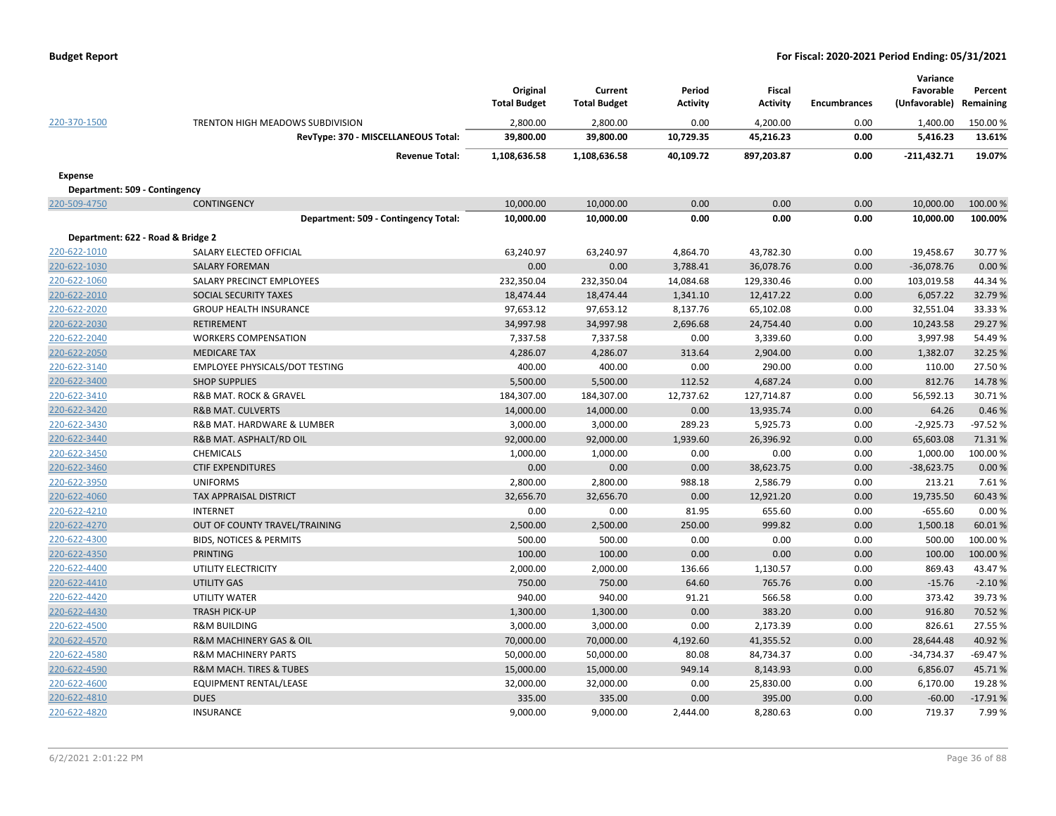|                                   |                                      | Original<br><b>Total Budget</b> | Current<br><b>Total Budget</b> | Period<br><b>Activity</b> | <b>Fiscal</b><br><b>Activity</b> | <b>Encumbrances</b> | Variance<br>Favorable<br>(Unfavorable) | Percent<br>Remaining |
|-----------------------------------|--------------------------------------|---------------------------------|--------------------------------|---------------------------|----------------------------------|---------------------|----------------------------------------|----------------------|
| 220-370-1500                      | TRENTON HIGH MEADOWS SUBDIVISION     | 2,800.00                        | 2,800.00                       | 0.00                      | 4,200.00                         | 0.00                | 1,400.00                               | 150.00%              |
|                                   | RevType: 370 - MISCELLANEOUS Total:  | 39,800.00                       | 39,800.00                      | 10,729.35                 | 45,216.23                        | 0.00                | 5,416.23                               | 13.61%               |
|                                   | <b>Revenue Total:</b>                | 1,108,636.58                    | 1,108,636.58                   | 40,109.72                 | 897,203.87                       | 0.00                | $-211,432.71$                          | 19.07%               |
| Expense                           |                                      |                                 |                                |                           |                                  |                     |                                        |                      |
| Department: 509 - Contingency     |                                      |                                 |                                |                           |                                  |                     |                                        |                      |
| 220-509-4750                      | <b>CONTINGENCY</b>                   | 10,000.00                       | 10,000.00                      | 0.00                      | 0.00                             | 0.00                | 10,000.00                              | 100.00%              |
|                                   | Department: 509 - Contingency Total: | 10,000.00                       | 10,000.00                      | 0.00                      | 0.00                             | 0.00                | 10,000.00                              | 100.00%              |
| Department: 622 - Road & Bridge 2 |                                      |                                 |                                |                           |                                  |                     |                                        |                      |
| 220-622-1010                      | SALARY ELECTED OFFICIAL              | 63,240.97                       | 63,240.97                      | 4,864.70                  | 43,782.30                        | 0.00                | 19,458.67                              | 30.77%               |
| 220-622-1030                      | <b>SALARY FOREMAN</b>                | 0.00                            | 0.00                           | 3,788.41                  | 36,078.76                        | 0.00                | $-36,078.76$                           | 0.00%                |
| 220-622-1060                      | SALARY PRECINCT EMPLOYEES            | 232,350.04                      | 232,350.04                     | 14,084.68                 | 129,330.46                       | 0.00                | 103,019.58                             | 44.34 %              |
| 220-622-2010                      | SOCIAL SECURITY TAXES                | 18,474.44                       | 18,474.44                      | 1,341.10                  | 12,417.22                        | 0.00                | 6,057.22                               | 32.79%               |
| 220-622-2020                      | <b>GROUP HEALTH INSURANCE</b>        | 97,653.12                       | 97,653.12                      | 8,137.76                  | 65,102.08                        | 0.00                | 32,551.04                              | 33.33 %              |
| 220-622-2030                      | <b>RETIREMENT</b>                    | 34,997.98                       | 34,997.98                      | 2,696.68                  | 24,754.40                        | 0.00                | 10,243.58                              | 29.27 %              |
| 220-622-2040                      | <b>WORKERS COMPENSATION</b>          | 7,337.58                        | 7,337.58                       | 0.00                      | 3,339.60                         | 0.00                | 3,997.98                               | 54.49%               |
| 220-622-2050                      | <b>MEDICARE TAX</b>                  | 4,286.07                        | 4,286.07                       | 313.64                    | 2,904.00                         | 0.00                | 1,382.07                               | 32.25 %              |
| 220-622-3140                      | EMPLOYEE PHYSICALS/DOT TESTING       | 400.00                          | 400.00                         | 0.00                      | 290.00                           | 0.00                | 110.00                                 | 27.50%               |
| 220-622-3400                      | <b>SHOP SUPPLIES</b>                 | 5,500.00                        | 5,500.00                       | 112.52                    | 4,687.24                         | 0.00                | 812.76                                 | 14.78%               |
| 220-622-3410                      | R&B MAT. ROCK & GRAVEL               | 184,307.00                      | 184,307.00                     | 12,737.62                 | 127,714.87                       | 0.00                | 56,592.13                              | 30.71%               |
| 220-622-3420                      | <b>R&amp;B MAT. CULVERTS</b>         | 14,000.00                       | 14,000.00                      | 0.00                      | 13,935.74                        | 0.00                | 64.26                                  | 0.46%                |
| 220-622-3430                      | R&B MAT. HARDWARE & LUMBER           | 3,000.00                        | 3,000.00                       | 289.23                    | 5,925.73                         | 0.00                | $-2,925.73$                            | $-97.52%$            |
| 220-622-3440                      | R&B MAT. ASPHALT/RD OIL              | 92,000.00                       | 92,000.00                      | 1,939.60                  | 26,396.92                        | 0.00                | 65,603.08                              | 71.31%               |
| 220-622-3450                      | <b>CHEMICALS</b>                     | 1,000.00                        | 1,000.00                       | 0.00                      | 0.00                             | 0.00                | 1,000.00                               | 100.00%              |
| 220-622-3460                      | <b>CTIF EXPENDITURES</b>             | 0.00                            | 0.00                           | 0.00                      | 38,623.75                        | 0.00                | $-38,623.75$                           | 0.00%                |
| 220-622-3950                      | <b>UNIFORMS</b>                      | 2,800.00                        | 2,800.00                       | 988.18                    | 2,586.79                         | 0.00                | 213.21                                 | 7.61%                |
| 220-622-4060                      | <b>TAX APPRAISAL DISTRICT</b>        | 32,656.70                       | 32,656.70                      | 0.00                      | 12,921.20                        | 0.00                | 19,735.50                              | 60.43%               |
| 220-622-4210                      | <b>INTERNET</b>                      | 0.00                            | 0.00                           | 81.95                     | 655.60                           | 0.00                | $-655.60$                              | 0.00%                |
| 220-622-4270                      | OUT OF COUNTY TRAVEL/TRAINING        | 2,500.00                        | 2,500.00                       | 250.00                    | 999.82                           | 0.00                | 1,500.18                               | 60.01%               |
| 220-622-4300                      | <b>BIDS, NOTICES &amp; PERMITS</b>   | 500.00                          | 500.00                         | 0.00                      | 0.00                             | 0.00                | 500.00                                 | 100.00 %             |
| 220-622-4350                      | <b>PRINTING</b>                      | 100.00                          | 100.00                         | 0.00                      | 0.00                             | 0.00                | 100.00                                 | 100.00 %             |
| 220-622-4400                      | UTILITY ELECTRICITY                  | 2,000.00                        | 2,000.00                       | 136.66                    | 1,130.57                         | 0.00                | 869.43                                 | 43.47%               |
| 220-622-4410                      | <b>UTILITY GAS</b>                   | 750.00                          | 750.00                         | 64.60                     | 765.76                           | 0.00                | $-15.76$                               | $-2.10%$             |
| 220-622-4420                      | <b>UTILITY WATER</b>                 | 940.00                          | 940.00                         | 91.21                     | 566.58                           | 0.00                | 373.42                                 | 39.73%               |
| 220-622-4430                      | <b>TRASH PICK-UP</b>                 | 1,300.00                        | 1,300.00                       | 0.00                      | 383.20                           | 0.00                | 916.80                                 | 70.52 %              |
| 220-622-4500                      | <b>R&amp;M BUILDING</b>              | 3,000.00                        | 3,000.00                       | 0.00                      | 2,173.39                         | 0.00                | 826.61                                 | 27.55 %              |
| 220-622-4570                      | R&M MACHINERY GAS & OIL              | 70,000.00                       | 70,000.00                      | 4,192.60                  | 41,355.52                        | 0.00                | 28,644.48                              | 40.92%               |
| 220-622-4580                      | <b>R&amp;M MACHINERY PARTS</b>       | 50,000.00                       | 50,000.00                      | 80.08                     | 84,734.37                        | 0.00                | $-34,734.37$                           | $-69.47%$            |
| 220-622-4590                      | R&M MACH. TIRES & TUBES              | 15,000.00                       | 15,000.00                      | 949.14                    | 8,143.93                         | 0.00                | 6,856.07                               | 45.71%               |
| 220-622-4600                      | EQUIPMENT RENTAL/LEASE               | 32,000.00                       | 32,000.00                      | 0.00                      | 25,830.00                        | 0.00                | 6,170.00                               | 19.28%               |
| 220-622-4810                      | <b>DUES</b>                          | 335.00                          | 335.00                         | 0.00                      | 395.00                           | 0.00                | $-60.00$                               | $-17.91%$            |
| 220-622-4820                      | <b>INSURANCE</b>                     | 9,000.00                        | 9,000.00                       | 2,444.00                  | 8,280.63                         | 0.00                | 719.37                                 | 7.99%                |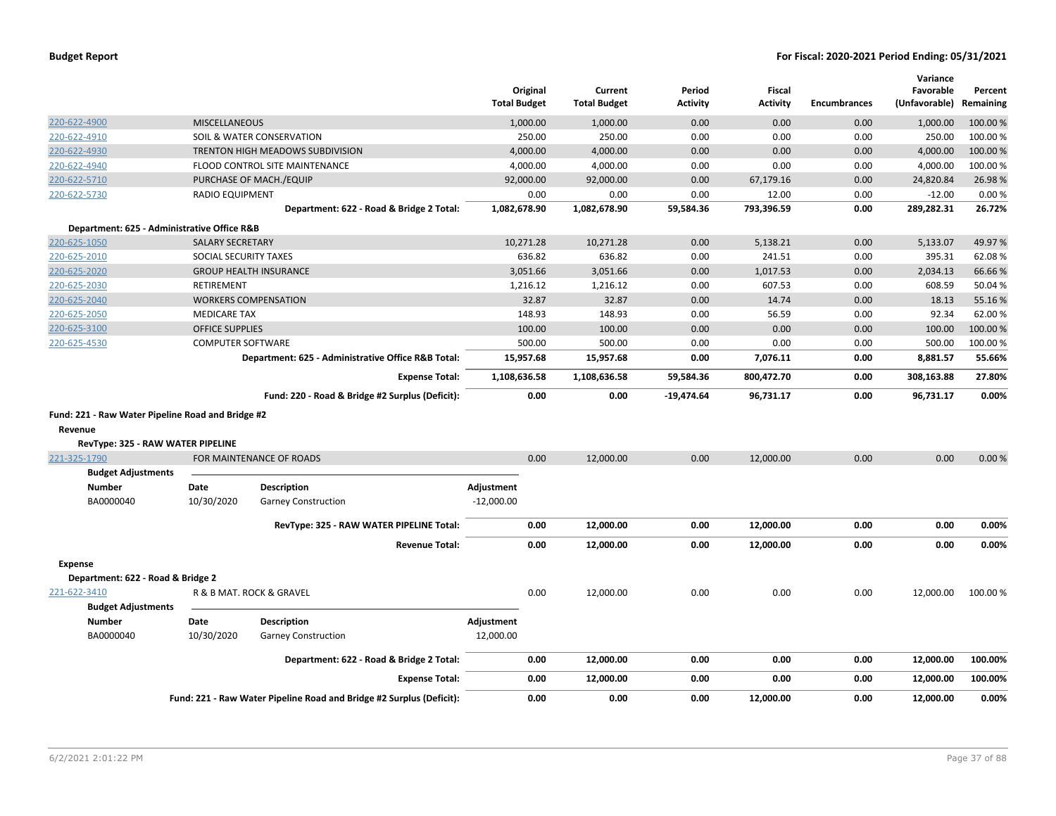| <b>Budget Report</b> |  |
|----------------------|--|
|----------------------|--|

|                                                   |                          |                                                                      | <b>Total Budget</b> | Original  | Current<br><b>Total Budget</b> | Period<br><b>Activity</b> | <b>Fiscal</b><br><b>Activity</b> | <b>Encumbrances</b> | Variance<br>Favorable<br>(Unfavorable) | Percent<br>Remaining |
|---------------------------------------------------|--------------------------|----------------------------------------------------------------------|---------------------|-----------|--------------------------------|---------------------------|----------------------------------|---------------------|----------------------------------------|----------------------|
| 220-622-4900                                      | <b>MISCELLANEOUS</b>     |                                                                      |                     | 1,000.00  | 1,000.00                       | 0.00                      | 0.00                             | 0.00                | 1,000.00                               | 100.00 %             |
| 220-622-4910                                      |                          | SOIL & WATER CONSERVATION                                            |                     | 250.00    | 250.00                         | 0.00                      | 0.00                             | 0.00                | 250.00                                 | 100.00%              |
| 220-622-4930                                      |                          | TRENTON HIGH MEADOWS SUBDIVISION                                     |                     | 4,000.00  | 4,000.00                       | 0.00                      | 0.00                             | 0.00                | 4,000.00                               | 100.00%              |
| 220-622-4940                                      |                          | FLOOD CONTROL SITE MAINTENANCE                                       |                     | 4,000.00  | 4,000.00                       | 0.00                      | 0.00                             | 0.00                | 4,000.00                               | 100.00%              |
| 220-622-5710                                      |                          | PURCHASE OF MACH./EQUIP                                              |                     | 92,000.00 | 92,000.00                      | 0.00                      | 67,179.16                        | 0.00                | 24,820.84                              | 26.98%               |
| 220-622-5730                                      | <b>RADIO EQUIPMENT</b>   |                                                                      |                     | 0.00      | 0.00                           | 0.00                      | 12.00                            | 0.00                | $-12.00$                               | 0.00%                |
|                                                   |                          | Department: 622 - Road & Bridge 2 Total:                             | 1,082,678.90        |           | 1,082,678.90                   | 59,584.36                 | 793,396.59                       | 0.00                | 289,282.31                             | 26.72%               |
| Department: 625 - Administrative Office R&B       |                          |                                                                      |                     |           |                                |                           |                                  |                     |                                        |                      |
| 220-625-1050                                      | <b>SALARY SECRETARY</b>  |                                                                      |                     | 10,271.28 | 10,271.28                      | 0.00                      | 5,138.21                         | 0.00                | 5,133.07                               | 49.97%               |
| 220-625-2010                                      | SOCIAL SECURITY TAXES    |                                                                      |                     | 636.82    | 636.82                         | 0.00                      | 241.51                           | 0.00                | 395.31                                 | 62.08%               |
| 220-625-2020                                      |                          | <b>GROUP HEALTH INSURANCE</b>                                        |                     | 3,051.66  | 3,051.66                       | 0.00                      | 1,017.53                         | 0.00                | 2,034.13                               | 66.66%               |
| 220-625-2030                                      | <b>RETIREMENT</b>        |                                                                      |                     | 1,216.12  | 1,216.12                       | 0.00                      | 607.53                           | 0.00                | 608.59                                 | 50.04%               |
| 220-625-2040                                      |                          | <b>WORKERS COMPENSATION</b>                                          |                     | 32.87     | 32.87                          | 0.00                      | 14.74                            | 0.00                | 18.13                                  | 55.16%               |
| 220-625-2050                                      | <b>MEDICARE TAX</b>      |                                                                      |                     | 148.93    | 148.93                         | 0.00                      | 56.59                            | 0.00                | 92.34                                  | 62.00%               |
| 220-625-3100                                      | <b>OFFICE SUPPLIES</b>   |                                                                      |                     | 100.00    | 100.00                         | 0.00                      | 0.00                             | 0.00                | 100.00                                 | 100.00 %             |
| 220-625-4530                                      | <b>COMPUTER SOFTWARE</b> |                                                                      |                     | 500.00    | 500.00                         | 0.00                      | 0.00                             | 0.00                | 500.00                                 | 100.00%              |
|                                                   |                          | Department: 625 - Administrative Office R&B Total:                   |                     | 15,957.68 | 15,957.68                      | 0.00                      | 7,076.11                         | 0.00                | 8,881.57                               | 55.66%               |
|                                                   |                          | <b>Expense Total:</b>                                                | 1,108,636.58        |           | 1,108,636.58                   | 59,584.36                 | 800,472.70                       | 0.00                | 308,163.88                             | 27.80%               |
|                                                   |                          | Fund: 220 - Road & Bridge #2 Surplus (Deficit):                      |                     | 0.00      | 0.00                           | $-19,474.64$              | 96,731.17                        | 0.00                | 96,731.17                              | 0.00%                |
| Fund: 221 - Raw Water Pipeline Road and Bridge #2 |                          |                                                                      |                     |           |                                |                           |                                  |                     |                                        |                      |
| Revenue                                           |                          |                                                                      |                     |           |                                |                           |                                  |                     |                                        |                      |
| RevType: 325 - RAW WATER PIPELINE                 |                          |                                                                      |                     |           |                                |                           |                                  |                     |                                        |                      |
| 221-325-1790                                      |                          | FOR MAINTENANCE OF ROADS                                             |                     | 0.00      | 12,000.00                      | 0.00                      | 12,000.00                        | 0.00                | 0.00                                   | 0.00%                |
| <b>Budget Adjustments</b>                         |                          |                                                                      |                     |           |                                |                           |                                  |                     |                                        |                      |
| <b>Number</b>                                     | Date                     | <b>Description</b>                                                   | Adjustment          |           |                                |                           |                                  |                     |                                        |                      |
| BA0000040                                         | 10/30/2020               | <b>Garney Construction</b>                                           | $-12,000.00$        |           |                                |                           |                                  |                     |                                        |                      |
|                                                   |                          | RevType: 325 - RAW WATER PIPELINE Total:                             |                     | 0.00      | 12,000.00                      | 0.00                      | 12,000.00                        | 0.00                | 0.00                                   | 0.00%                |
|                                                   |                          | <b>Revenue Total:</b>                                                |                     | 0.00      | 12,000.00                      | 0.00                      | 12,000.00                        | 0.00                | 0.00                                   | 0.00%                |
| <b>Expense</b>                                    |                          |                                                                      |                     |           |                                |                           |                                  |                     |                                        |                      |
| Department: 622 - Road & Bridge 2                 |                          |                                                                      |                     |           |                                |                           |                                  |                     |                                        |                      |
| 221-622-3410                                      |                          | R & B MAT. ROCK & GRAVEL                                             |                     | 0.00      | 12,000.00                      | 0.00                      | 0.00                             | 0.00                | 12,000.00                              | 100.00 %             |
| <b>Budget Adjustments</b><br><b>Number</b>        | Date                     | <b>Description</b>                                                   | Adjustment          |           |                                |                           |                                  |                     |                                        |                      |
|                                                   |                          |                                                                      |                     |           |                                |                           |                                  |                     |                                        |                      |
| BA0000040                                         | 10/30/2020               | <b>Garney Construction</b>                                           | 12,000.00           |           |                                |                           |                                  |                     |                                        |                      |
|                                                   |                          | Department: 622 - Road & Bridge 2 Total:                             |                     | 0.00      | 12,000.00                      | 0.00                      | 0.00                             | 0.00                | 12,000.00                              | 100.00%              |
|                                                   |                          | <b>Expense Total:</b>                                                |                     | 0.00      | 12,000.00                      | 0.00                      | 0.00                             | 0.00                | 12,000.00                              | 100.00%              |
|                                                   |                          | Fund: 221 - Raw Water Pipeline Road and Bridge #2 Surplus (Deficit): |                     | 0.00      | 0.00                           | 0.00                      | 12,000.00                        | 0.00                | 12,000.00                              | 0.00%                |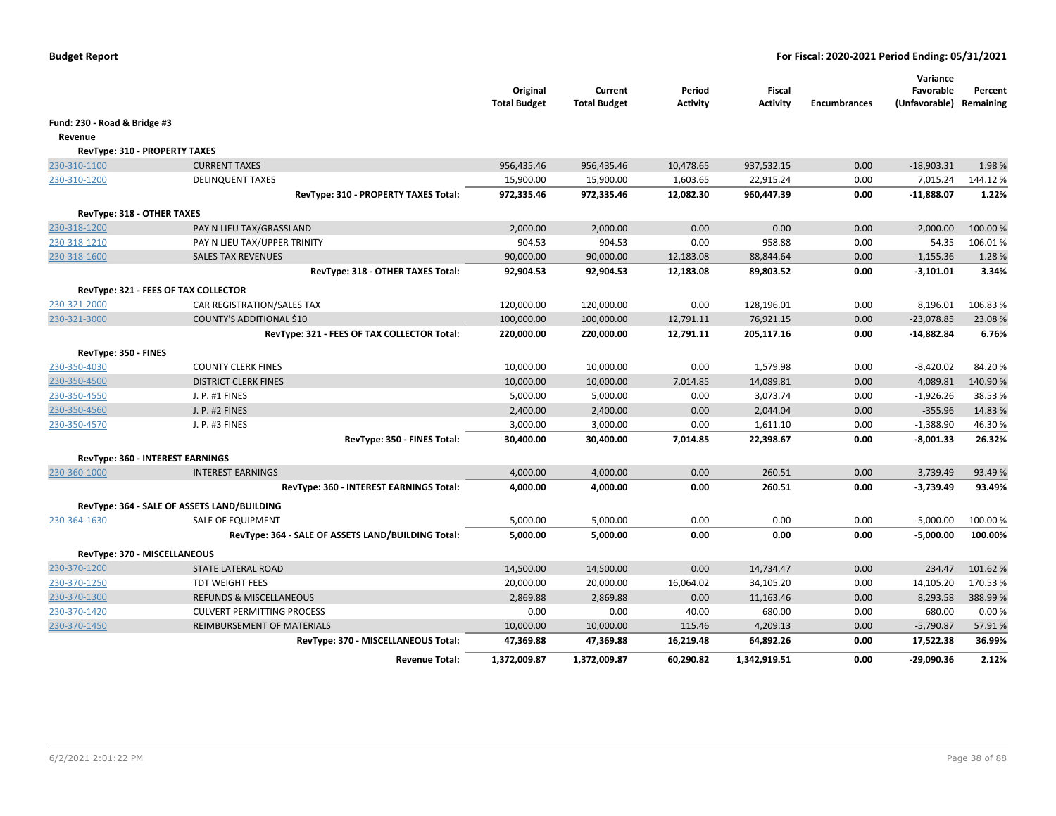|                                      |                                                    | Original<br><b>Total Budget</b> | Current<br><b>Total Budget</b> | Period<br><b>Activity</b> | <b>Fiscal</b><br><b>Activity</b> | <b>Encumbrances</b> | Variance<br>Favorable<br>(Unfavorable) Remaining | Percent  |
|--------------------------------------|----------------------------------------------------|---------------------------------|--------------------------------|---------------------------|----------------------------------|---------------------|--------------------------------------------------|----------|
| Fund: 230 - Road & Bridge #3         |                                                    |                                 |                                |                           |                                  |                     |                                                  |          |
| Revenue                              |                                                    |                                 |                                |                           |                                  |                     |                                                  |          |
| <b>RevType: 310 - PROPERTY TAXES</b> |                                                    |                                 |                                |                           |                                  |                     |                                                  |          |
| 230-310-1100                         | <b>CURRENT TAXES</b>                               | 956,435.46                      | 956,435.46                     | 10,478.65                 | 937,532.15                       | 0.00                | $-18,903.31$                                     | 1.98%    |
| 230-310-1200                         | <b>DELINQUENT TAXES</b>                            | 15,900.00                       | 15,900.00                      | 1,603.65                  | 22,915.24                        | 0.00                | 7,015.24                                         | 144.12%  |
|                                      | RevType: 310 - PROPERTY TAXES Total:               | 972,335.46                      | 972,335.46                     | 12,082.30                 | 960,447.39                       | 0.00                | $-11,888.07$                                     | 1.22%    |
| RevType: 318 - OTHER TAXES           |                                                    |                                 |                                |                           |                                  |                     |                                                  |          |
| 230-318-1200                         | PAY N LIEU TAX/GRASSLAND                           | 2,000.00                        | 2,000.00                       | 0.00                      | 0.00                             | 0.00                | $-2,000.00$                                      | 100.00 % |
| 230-318-1210                         | PAY N LIEU TAX/UPPER TRINITY                       | 904.53                          | 904.53                         | 0.00                      | 958.88                           | 0.00                | 54.35                                            | 106.01%  |
| 230-318-1600                         | <b>SALES TAX REVENUES</b>                          | 90,000.00                       | 90,000.00                      | 12,183.08                 | 88,844.64                        | 0.00                | $-1,155.36$                                      | 1.28%    |
|                                      | RevType: 318 - OTHER TAXES Total:                  | 92,904.53                       | 92,904.53                      | 12,183.08                 | 89,803.52                        | 0.00                | $-3,101.01$                                      | 3.34%    |
|                                      | RevType: 321 - FEES OF TAX COLLECTOR               |                                 |                                |                           |                                  |                     |                                                  |          |
| 230-321-2000                         | CAR REGISTRATION/SALES TAX                         | 120,000.00                      | 120,000.00                     | 0.00                      | 128,196.01                       | 0.00                | 8,196.01                                         | 106.83%  |
| 230-321-3000                         | <b>COUNTY'S ADDITIONAL \$10</b>                    | 100,000.00                      | 100,000.00                     | 12,791.11                 | 76,921.15                        | 0.00                | $-23,078.85$                                     | 23.08%   |
|                                      | RevType: 321 - FEES OF TAX COLLECTOR Total:        | 220,000.00                      | 220,000.00                     | 12,791.11                 | 205,117.16                       | 0.00                | -14,882.84                                       | 6.76%    |
| RevType: 350 - FINES                 |                                                    |                                 |                                |                           |                                  |                     |                                                  |          |
| 230-350-4030                         | <b>COUNTY CLERK FINES</b>                          | 10,000.00                       | 10,000.00                      | 0.00                      | 1,579.98                         | 0.00                | $-8,420.02$                                      | 84.20%   |
| 230-350-4500                         | <b>DISTRICT CLERK FINES</b>                        | 10,000.00                       | 10,000.00                      | 7,014.85                  | 14,089.81                        | 0.00                | 4,089.81                                         | 140.90%  |
| 230-350-4550                         | J. P. #1 FINES                                     | 5,000.00                        | 5,000.00                       | 0.00                      | 3,073.74                         | 0.00                | $-1,926.26$                                      | 38.53%   |
| 230-350-4560                         | J. P. #2 FINES                                     | 2,400.00                        | 2,400.00                       | 0.00                      | 2,044.04                         | 0.00                | $-355.96$                                        | 14.83%   |
| 230-350-4570                         | J. P. #3 FINES                                     | 3,000.00                        | 3,000.00                       | 0.00                      | 1,611.10                         | 0.00                | $-1,388.90$                                      | 46.30%   |
|                                      | RevType: 350 - FINES Total:                        | 30,400.00                       | 30,400.00                      | 7,014.85                  | 22,398.67                        | 0.00                | $-8,001.33$                                      | 26.32%   |
|                                      | <b>RevType: 360 - INTEREST EARNINGS</b>            |                                 |                                |                           |                                  |                     |                                                  |          |
| 230-360-1000                         | <b>INTEREST EARNINGS</b>                           | 4,000.00                        | 4,000.00                       | 0.00                      | 260.51                           | 0.00                | $-3,739.49$                                      | 93.49%   |
|                                      | RevType: 360 - INTEREST EARNINGS Total:            | 4,000.00                        | 4,000.00                       | 0.00                      | 260.51                           | 0.00                | $-3,739.49$                                      | 93.49%   |
|                                      | RevType: 364 - SALE OF ASSETS LAND/BUILDING        |                                 |                                |                           |                                  |                     |                                                  |          |
| 230-364-1630                         | SALE OF EQUIPMENT                                  | 5,000.00                        | 5,000.00                       | 0.00                      | 0.00                             | 0.00                | $-5,000.00$                                      | 100.00 % |
|                                      | RevType: 364 - SALE OF ASSETS LAND/BUILDING Total: | 5,000.00                        | 5,000.00                       | 0.00                      | 0.00                             | 0.00                | $-5,000.00$                                      | 100.00%  |
| RevType: 370 - MISCELLANEOUS         |                                                    |                                 |                                |                           |                                  |                     |                                                  |          |
| 230-370-1200                         | STATE LATERAL ROAD                                 | 14,500.00                       | 14,500.00                      | 0.00                      | 14,734.47                        | 0.00                | 234.47                                           | 101.62%  |
| 230-370-1250                         | <b>TDT WEIGHT FEES</b>                             | 20,000.00                       | 20,000.00                      | 16,064.02                 | 34,105.20                        | 0.00                | 14,105.20                                        | 170.53%  |
| 230-370-1300                         | REFUNDS & MISCELLANEOUS                            | 2,869.88                        | 2,869.88                       | 0.00                      | 11,163.46                        | 0.00                | 8,293.58                                         | 388.99%  |
| 230-370-1420                         | <b>CULVERT PERMITTING PROCESS</b>                  | 0.00                            | 0.00                           | 40.00                     | 680.00                           | 0.00                | 680.00                                           | 0.00%    |
| 230-370-1450                         | REIMBURSEMENT OF MATERIALS                         | 10,000.00                       | 10,000.00                      | 115.46                    | 4,209.13                         | 0.00                | $-5,790.87$                                      | 57.91%   |
|                                      | RevType: 370 - MISCELLANEOUS Total:                | 47,369.88                       | 47,369.88                      | 16,219.48                 | 64,892.26                        | 0.00                | 17,522.38                                        | 36.99%   |
|                                      | <b>Revenue Total:</b>                              | 1,372,009.87                    | 1,372,009.87                   | 60,290.82                 | 1,342,919.51                     | 0.00                | -29,090.36                                       | 2.12%    |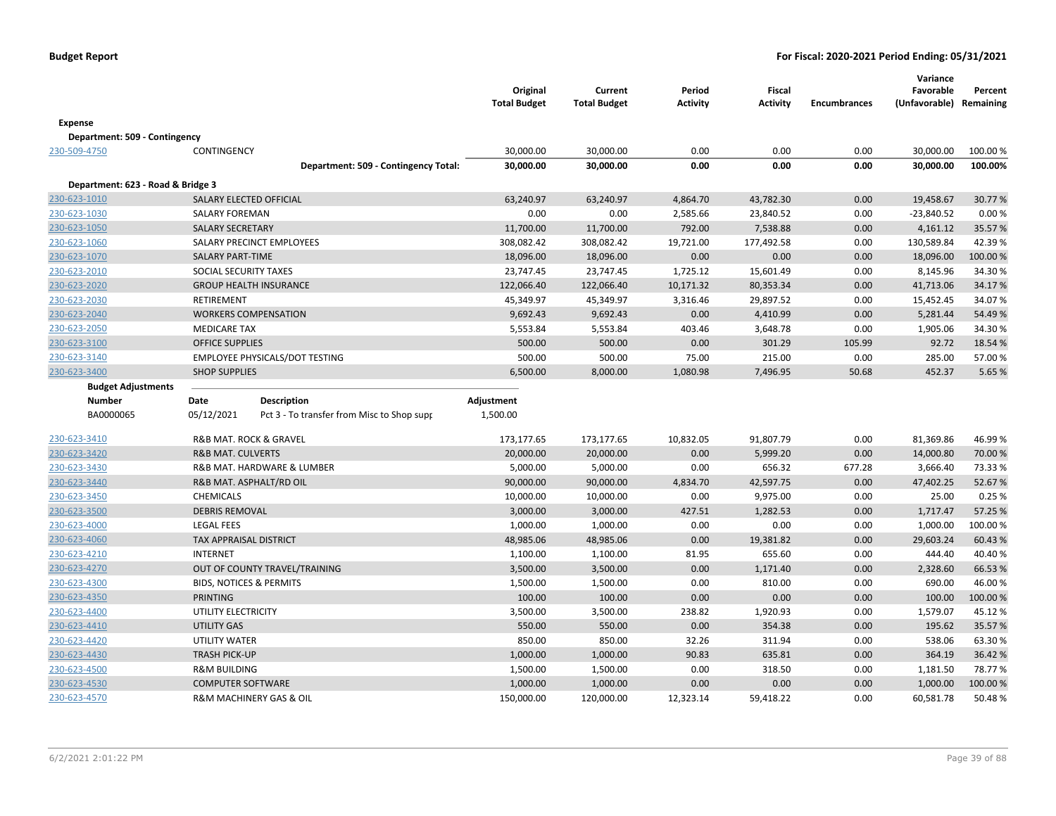| <b>Expense</b><br>Department: 509 - Contingency<br>230-509-4750<br>30,000.00<br>30,000.00<br>0.00<br>0.00<br>0.00<br>30,000.00<br>100.00 %<br>CONTINGENCY<br>30,000.00<br>30,000.00<br>0.00<br>0.00<br>0.00<br>30,000.00<br>100.00%<br>Department: 509 - Contingency Total:<br>Department: 623 - Road & Bridge 3<br>230-623-1010<br>SALARY ELECTED OFFICIAL<br>63,240.97<br>63,240.97<br>4,864.70<br>43,782.30<br>0.00<br>19,458.67<br>30.77%<br>0.00<br>0.00<br>2,585.66<br><b>SALARY FOREMAN</b><br>23,840.52<br>0.00<br>$-23,840.52$<br>0.00%<br>792.00<br>7,538.88<br>0.00<br><b>SALARY SECRETARY</b><br>11,700.00<br>11,700.00<br>4,161.12<br>35.57 %<br>19,721.00<br>177,492.58<br>42.39%<br>SALARY PRECINCT EMPLOYEES<br>308,082.42<br>308,082.42<br>0.00<br>130,589.84<br>SALARY PART-TIME<br>18,096.00<br>18,096.00<br>0.00<br>0.00<br>0.00<br>18,096.00<br>100.00%<br>230-623-2010<br>SOCIAL SECURITY TAXES<br>23,747.45<br>23,747.45<br>1,725.12<br>15,601.49<br>0.00<br>8,145.96<br>34.30%<br><b>GROUP HEALTH INSURANCE</b><br>122,066.40<br>10,171.32<br>80,353.34<br>0.00<br>41,713.06<br>34.17%<br>122,066.40<br><b>RETIREMENT</b><br>0.00<br>34.07%<br>45,349.97<br>45,349.97<br>3,316.46<br>29,897.52<br>15,452.45<br>9,692.43<br>9,692.43<br>4,410.99<br>0.00<br>5,281.44<br><b>WORKERS COMPENSATION</b><br>0.00<br>54.49%<br><b>MEDICARE TAX</b><br>5,553.84<br>5,553.84<br>403.46<br>3,648.78<br>0.00<br>1,905.06<br>34.30%<br>500.00<br>500.00<br>0.00<br>301.29<br>105.99<br>92.72<br>18.54 %<br><b>OFFICE SUPPLIES</b><br>EMPLOYEE PHYSICALS/DOT TESTING<br>500.00<br>500.00<br>75.00<br>215.00<br>0.00<br>285.00<br>57.00 %<br>6,500.00<br>1,080.98<br>50.68<br>452.37<br><b>SHOP SUPPLIES</b><br>8,000.00<br>7,496.95<br>5.65 %<br><b>Budget Adjustments</b><br>Number<br>Date<br><b>Description</b><br>Adjustment<br>BA0000065<br>05/12/2021<br>1,500.00<br>Pct 3 - To transfer from Misc to Shop supp<br>230-623-3410<br>R&B MAT. ROCK & GRAVEL<br>173,177.65<br>173,177.65<br>10,832.05<br>91,807.79<br>0.00<br>81,369.86<br>46.99%<br><b>R&amp;B MAT. CULVERTS</b><br>20,000.00<br>20,000.00<br>0.00<br>5,999.20<br>0.00<br>14,000.80<br>70.00 %<br>230-623-3420<br>230-623-3430<br>R&B MAT. HARDWARE & LUMBER<br>5,000.00<br>5,000.00<br>0.00<br>656.32<br>677.28<br>3,666.40<br>73.33 %<br>230-623-3440<br>R&B MAT. ASPHALT/RD OIL<br>90,000.00<br>90,000.00<br>4,834.70<br>42,597.75<br>0.00<br>47,402.25<br>52.67%<br>0.00<br>9,975.00<br>0.00<br>25.00<br>0.25%<br>230-623-3450<br>CHEMICALS<br>10,000.00<br>10,000.00<br>230-623-3500<br>3,000.00<br>427.51<br>1,282.53<br>0.00<br>57.25 %<br><b>DEBRIS REMOVAL</b><br>3,000.00<br>1,717.47<br><b>LEGAL FEES</b><br>1,000.00<br>1,000.00<br>0.00<br>0.00<br>0.00<br>1,000.00<br>100.00%<br>230-623-4000<br>230-623-4060<br>TAX APPRAISAL DISTRICT<br>48,985.06<br>48,985.06<br>0.00<br>19,381.82<br>0.00<br>29,603.24<br>60.43%<br><b>INTERNET</b><br>1,100.00<br>1,100.00<br>81.95<br>655.60<br>0.00<br>444.40<br>40.40%<br>230-623-4210<br>230-623-4270<br>OUT OF COUNTY TRAVEL/TRAINING<br>3,500.00<br>3,500.00<br>0.00<br>1,171.40<br>0.00<br>2,328.60<br>66.53%<br>1,500.00<br>1,500.00<br>810.00<br>0.00<br>690.00<br>46.00%<br>230-623-4300<br><b>BIDS, NOTICES &amp; PERMITS</b><br>0.00<br><b>PRINTING</b><br>100.00<br>100.00<br>0.00<br>0.00<br>0.00<br>100.00<br>100.00%<br>230-623-4350<br>230-623-4400<br>UTILITY ELECTRICITY<br>3,500.00<br>3,500.00<br>238.82<br>1,920.93<br>0.00<br>1,579.07<br>45.12%<br>230-623-4410<br><b>UTILITY GAS</b><br>550.00<br>550.00<br>0.00<br>354.38<br>0.00<br>195.62<br>35.57%<br>850.00<br>850.00<br>0.00<br>63.30%<br>230-623-4420<br>UTILITY WATER<br>32.26<br>311.94<br>538.06<br>230-623-4430<br><b>TRASH PICK-UP</b><br>90.83<br>635.81<br>0.00<br>364.19<br>36.42%<br>1,000.00<br>1,000.00 |              |  | Original<br><b>Total Budget</b> | Current<br><b>Total Budget</b> | Period<br><b>Activity</b> | <b>Fiscal</b><br><b>Activity</b> | <b>Encumbrances</b> | Variance<br>Favorable<br>(Unfavorable) Remaining | Percent |
|---------------------------------------------------------------------------------------------------------------------------------------------------------------------------------------------------------------------------------------------------------------------------------------------------------------------------------------------------------------------------------------------------------------------------------------------------------------------------------------------------------------------------------------------------------------------------------------------------------------------------------------------------------------------------------------------------------------------------------------------------------------------------------------------------------------------------------------------------------------------------------------------------------------------------------------------------------------------------------------------------------------------------------------------------------------------------------------------------------------------------------------------------------------------------------------------------------------------------------------------------------------------------------------------------------------------------------------------------------------------------------------------------------------------------------------------------------------------------------------------------------------------------------------------------------------------------------------------------------------------------------------------------------------------------------------------------------------------------------------------------------------------------------------------------------------------------------------------------------------------------------------------------------------------------------------------------------------------------------------------------------------------------------------------------------------------------------------------------------------------------------------------------------------------------------------------------------------------------------------------------------------------------------------------------------------------------------------------------------------------------------------------------------------------------------------------------------------------------------------------------------------------------------------------------------------------------------------------------------------------------------------------------------------------------------------------------------------------------------------------------------------------------------------------------------------------------------------------------------------------------------------------------------------------------------------------------------------------------------------------------------------------------------------------------------------------------------------------------------------------------------------------------------------------------------------------------------------------------------------------------------------------------------------------------------------------------------------------------------------------------------------------------------------------------------------------------------------------------------------------------------------------------------------------------------------------------------------------------------------------------------------------------------------------------------------------------------------------------------------------------------------------------------------------------------------------------------------|--------------|--|---------------------------------|--------------------------------|---------------------------|----------------------------------|---------------------|--------------------------------------------------|---------|
|                                                                                                                                                                                                                                                                                                                                                                                                                                                                                                                                                                                                                                                                                                                                                                                                                                                                                                                                                                                                                                                                                                                                                                                                                                                                                                                                                                                                                                                                                                                                                                                                                                                                                                                                                                                                                                                                                                                                                                                                                                                                                                                                                                                                                                                                                                                                                                                                                                                                                                                                                                                                                                                                                                                                                                                                                                                                                                                                                                                                                                                                                                                                                                                                                                                                                                                                                                                                                                                                                                                                                                                                                                                                                                                                                                                                                                       |              |  |                                 |                                |                           |                                  |                     |                                                  |         |
|                                                                                                                                                                                                                                                                                                                                                                                                                                                                                                                                                                                                                                                                                                                                                                                                                                                                                                                                                                                                                                                                                                                                                                                                                                                                                                                                                                                                                                                                                                                                                                                                                                                                                                                                                                                                                                                                                                                                                                                                                                                                                                                                                                                                                                                                                                                                                                                                                                                                                                                                                                                                                                                                                                                                                                                                                                                                                                                                                                                                                                                                                                                                                                                                                                                                                                                                                                                                                                                                                                                                                                                                                                                                                                                                                                                                                                       |              |  |                                 |                                |                           |                                  |                     |                                                  |         |
|                                                                                                                                                                                                                                                                                                                                                                                                                                                                                                                                                                                                                                                                                                                                                                                                                                                                                                                                                                                                                                                                                                                                                                                                                                                                                                                                                                                                                                                                                                                                                                                                                                                                                                                                                                                                                                                                                                                                                                                                                                                                                                                                                                                                                                                                                                                                                                                                                                                                                                                                                                                                                                                                                                                                                                                                                                                                                                                                                                                                                                                                                                                                                                                                                                                                                                                                                                                                                                                                                                                                                                                                                                                                                                                                                                                                                                       |              |  |                                 |                                |                           |                                  |                     |                                                  |         |
|                                                                                                                                                                                                                                                                                                                                                                                                                                                                                                                                                                                                                                                                                                                                                                                                                                                                                                                                                                                                                                                                                                                                                                                                                                                                                                                                                                                                                                                                                                                                                                                                                                                                                                                                                                                                                                                                                                                                                                                                                                                                                                                                                                                                                                                                                                                                                                                                                                                                                                                                                                                                                                                                                                                                                                                                                                                                                                                                                                                                                                                                                                                                                                                                                                                                                                                                                                                                                                                                                                                                                                                                                                                                                                                                                                                                                                       |              |  |                                 |                                |                           |                                  |                     |                                                  |         |
|                                                                                                                                                                                                                                                                                                                                                                                                                                                                                                                                                                                                                                                                                                                                                                                                                                                                                                                                                                                                                                                                                                                                                                                                                                                                                                                                                                                                                                                                                                                                                                                                                                                                                                                                                                                                                                                                                                                                                                                                                                                                                                                                                                                                                                                                                                                                                                                                                                                                                                                                                                                                                                                                                                                                                                                                                                                                                                                                                                                                                                                                                                                                                                                                                                                                                                                                                                                                                                                                                                                                                                                                                                                                                                                                                                                                                                       |              |  |                                 |                                |                           |                                  |                     |                                                  |         |
|                                                                                                                                                                                                                                                                                                                                                                                                                                                                                                                                                                                                                                                                                                                                                                                                                                                                                                                                                                                                                                                                                                                                                                                                                                                                                                                                                                                                                                                                                                                                                                                                                                                                                                                                                                                                                                                                                                                                                                                                                                                                                                                                                                                                                                                                                                                                                                                                                                                                                                                                                                                                                                                                                                                                                                                                                                                                                                                                                                                                                                                                                                                                                                                                                                                                                                                                                                                                                                                                                                                                                                                                                                                                                                                                                                                                                                       |              |  |                                 |                                |                           |                                  |                     |                                                  |         |
|                                                                                                                                                                                                                                                                                                                                                                                                                                                                                                                                                                                                                                                                                                                                                                                                                                                                                                                                                                                                                                                                                                                                                                                                                                                                                                                                                                                                                                                                                                                                                                                                                                                                                                                                                                                                                                                                                                                                                                                                                                                                                                                                                                                                                                                                                                                                                                                                                                                                                                                                                                                                                                                                                                                                                                                                                                                                                                                                                                                                                                                                                                                                                                                                                                                                                                                                                                                                                                                                                                                                                                                                                                                                                                                                                                                                                                       |              |  |                                 |                                |                           |                                  |                     |                                                  |         |
|                                                                                                                                                                                                                                                                                                                                                                                                                                                                                                                                                                                                                                                                                                                                                                                                                                                                                                                                                                                                                                                                                                                                                                                                                                                                                                                                                                                                                                                                                                                                                                                                                                                                                                                                                                                                                                                                                                                                                                                                                                                                                                                                                                                                                                                                                                                                                                                                                                                                                                                                                                                                                                                                                                                                                                                                                                                                                                                                                                                                                                                                                                                                                                                                                                                                                                                                                                                                                                                                                                                                                                                                                                                                                                                                                                                                                                       | 230-623-1030 |  |                                 |                                |                           |                                  |                     |                                                  |         |
|                                                                                                                                                                                                                                                                                                                                                                                                                                                                                                                                                                                                                                                                                                                                                                                                                                                                                                                                                                                                                                                                                                                                                                                                                                                                                                                                                                                                                                                                                                                                                                                                                                                                                                                                                                                                                                                                                                                                                                                                                                                                                                                                                                                                                                                                                                                                                                                                                                                                                                                                                                                                                                                                                                                                                                                                                                                                                                                                                                                                                                                                                                                                                                                                                                                                                                                                                                                                                                                                                                                                                                                                                                                                                                                                                                                                                                       | 230-623-1050 |  |                                 |                                |                           |                                  |                     |                                                  |         |
|                                                                                                                                                                                                                                                                                                                                                                                                                                                                                                                                                                                                                                                                                                                                                                                                                                                                                                                                                                                                                                                                                                                                                                                                                                                                                                                                                                                                                                                                                                                                                                                                                                                                                                                                                                                                                                                                                                                                                                                                                                                                                                                                                                                                                                                                                                                                                                                                                                                                                                                                                                                                                                                                                                                                                                                                                                                                                                                                                                                                                                                                                                                                                                                                                                                                                                                                                                                                                                                                                                                                                                                                                                                                                                                                                                                                                                       | 230-623-1060 |  |                                 |                                |                           |                                  |                     |                                                  |         |
|                                                                                                                                                                                                                                                                                                                                                                                                                                                                                                                                                                                                                                                                                                                                                                                                                                                                                                                                                                                                                                                                                                                                                                                                                                                                                                                                                                                                                                                                                                                                                                                                                                                                                                                                                                                                                                                                                                                                                                                                                                                                                                                                                                                                                                                                                                                                                                                                                                                                                                                                                                                                                                                                                                                                                                                                                                                                                                                                                                                                                                                                                                                                                                                                                                                                                                                                                                                                                                                                                                                                                                                                                                                                                                                                                                                                                                       | 230-623-1070 |  |                                 |                                |                           |                                  |                     |                                                  |         |
|                                                                                                                                                                                                                                                                                                                                                                                                                                                                                                                                                                                                                                                                                                                                                                                                                                                                                                                                                                                                                                                                                                                                                                                                                                                                                                                                                                                                                                                                                                                                                                                                                                                                                                                                                                                                                                                                                                                                                                                                                                                                                                                                                                                                                                                                                                                                                                                                                                                                                                                                                                                                                                                                                                                                                                                                                                                                                                                                                                                                                                                                                                                                                                                                                                                                                                                                                                                                                                                                                                                                                                                                                                                                                                                                                                                                                                       |              |  |                                 |                                |                           |                                  |                     |                                                  |         |
|                                                                                                                                                                                                                                                                                                                                                                                                                                                                                                                                                                                                                                                                                                                                                                                                                                                                                                                                                                                                                                                                                                                                                                                                                                                                                                                                                                                                                                                                                                                                                                                                                                                                                                                                                                                                                                                                                                                                                                                                                                                                                                                                                                                                                                                                                                                                                                                                                                                                                                                                                                                                                                                                                                                                                                                                                                                                                                                                                                                                                                                                                                                                                                                                                                                                                                                                                                                                                                                                                                                                                                                                                                                                                                                                                                                                                                       | 230-623-2020 |  |                                 |                                |                           |                                  |                     |                                                  |         |
|                                                                                                                                                                                                                                                                                                                                                                                                                                                                                                                                                                                                                                                                                                                                                                                                                                                                                                                                                                                                                                                                                                                                                                                                                                                                                                                                                                                                                                                                                                                                                                                                                                                                                                                                                                                                                                                                                                                                                                                                                                                                                                                                                                                                                                                                                                                                                                                                                                                                                                                                                                                                                                                                                                                                                                                                                                                                                                                                                                                                                                                                                                                                                                                                                                                                                                                                                                                                                                                                                                                                                                                                                                                                                                                                                                                                                                       | 230-623-2030 |  |                                 |                                |                           |                                  |                     |                                                  |         |
|                                                                                                                                                                                                                                                                                                                                                                                                                                                                                                                                                                                                                                                                                                                                                                                                                                                                                                                                                                                                                                                                                                                                                                                                                                                                                                                                                                                                                                                                                                                                                                                                                                                                                                                                                                                                                                                                                                                                                                                                                                                                                                                                                                                                                                                                                                                                                                                                                                                                                                                                                                                                                                                                                                                                                                                                                                                                                                                                                                                                                                                                                                                                                                                                                                                                                                                                                                                                                                                                                                                                                                                                                                                                                                                                                                                                                                       | 230-623-2040 |  |                                 |                                |                           |                                  |                     |                                                  |         |
|                                                                                                                                                                                                                                                                                                                                                                                                                                                                                                                                                                                                                                                                                                                                                                                                                                                                                                                                                                                                                                                                                                                                                                                                                                                                                                                                                                                                                                                                                                                                                                                                                                                                                                                                                                                                                                                                                                                                                                                                                                                                                                                                                                                                                                                                                                                                                                                                                                                                                                                                                                                                                                                                                                                                                                                                                                                                                                                                                                                                                                                                                                                                                                                                                                                                                                                                                                                                                                                                                                                                                                                                                                                                                                                                                                                                                                       | 230-623-2050 |  |                                 |                                |                           |                                  |                     |                                                  |         |
|                                                                                                                                                                                                                                                                                                                                                                                                                                                                                                                                                                                                                                                                                                                                                                                                                                                                                                                                                                                                                                                                                                                                                                                                                                                                                                                                                                                                                                                                                                                                                                                                                                                                                                                                                                                                                                                                                                                                                                                                                                                                                                                                                                                                                                                                                                                                                                                                                                                                                                                                                                                                                                                                                                                                                                                                                                                                                                                                                                                                                                                                                                                                                                                                                                                                                                                                                                                                                                                                                                                                                                                                                                                                                                                                                                                                                                       | 230-623-3100 |  |                                 |                                |                           |                                  |                     |                                                  |         |
|                                                                                                                                                                                                                                                                                                                                                                                                                                                                                                                                                                                                                                                                                                                                                                                                                                                                                                                                                                                                                                                                                                                                                                                                                                                                                                                                                                                                                                                                                                                                                                                                                                                                                                                                                                                                                                                                                                                                                                                                                                                                                                                                                                                                                                                                                                                                                                                                                                                                                                                                                                                                                                                                                                                                                                                                                                                                                                                                                                                                                                                                                                                                                                                                                                                                                                                                                                                                                                                                                                                                                                                                                                                                                                                                                                                                                                       | 230-623-3140 |  |                                 |                                |                           |                                  |                     |                                                  |         |
|                                                                                                                                                                                                                                                                                                                                                                                                                                                                                                                                                                                                                                                                                                                                                                                                                                                                                                                                                                                                                                                                                                                                                                                                                                                                                                                                                                                                                                                                                                                                                                                                                                                                                                                                                                                                                                                                                                                                                                                                                                                                                                                                                                                                                                                                                                                                                                                                                                                                                                                                                                                                                                                                                                                                                                                                                                                                                                                                                                                                                                                                                                                                                                                                                                                                                                                                                                                                                                                                                                                                                                                                                                                                                                                                                                                                                                       | 230-623-3400 |  |                                 |                                |                           |                                  |                     |                                                  |         |
|                                                                                                                                                                                                                                                                                                                                                                                                                                                                                                                                                                                                                                                                                                                                                                                                                                                                                                                                                                                                                                                                                                                                                                                                                                                                                                                                                                                                                                                                                                                                                                                                                                                                                                                                                                                                                                                                                                                                                                                                                                                                                                                                                                                                                                                                                                                                                                                                                                                                                                                                                                                                                                                                                                                                                                                                                                                                                                                                                                                                                                                                                                                                                                                                                                                                                                                                                                                                                                                                                                                                                                                                                                                                                                                                                                                                                                       |              |  |                                 |                                |                           |                                  |                     |                                                  |         |
|                                                                                                                                                                                                                                                                                                                                                                                                                                                                                                                                                                                                                                                                                                                                                                                                                                                                                                                                                                                                                                                                                                                                                                                                                                                                                                                                                                                                                                                                                                                                                                                                                                                                                                                                                                                                                                                                                                                                                                                                                                                                                                                                                                                                                                                                                                                                                                                                                                                                                                                                                                                                                                                                                                                                                                                                                                                                                                                                                                                                                                                                                                                                                                                                                                                                                                                                                                                                                                                                                                                                                                                                                                                                                                                                                                                                                                       |              |  |                                 |                                |                           |                                  |                     |                                                  |         |
|                                                                                                                                                                                                                                                                                                                                                                                                                                                                                                                                                                                                                                                                                                                                                                                                                                                                                                                                                                                                                                                                                                                                                                                                                                                                                                                                                                                                                                                                                                                                                                                                                                                                                                                                                                                                                                                                                                                                                                                                                                                                                                                                                                                                                                                                                                                                                                                                                                                                                                                                                                                                                                                                                                                                                                                                                                                                                                                                                                                                                                                                                                                                                                                                                                                                                                                                                                                                                                                                                                                                                                                                                                                                                                                                                                                                                                       |              |  |                                 |                                |                           |                                  |                     |                                                  |         |
|                                                                                                                                                                                                                                                                                                                                                                                                                                                                                                                                                                                                                                                                                                                                                                                                                                                                                                                                                                                                                                                                                                                                                                                                                                                                                                                                                                                                                                                                                                                                                                                                                                                                                                                                                                                                                                                                                                                                                                                                                                                                                                                                                                                                                                                                                                                                                                                                                                                                                                                                                                                                                                                                                                                                                                                                                                                                                                                                                                                                                                                                                                                                                                                                                                                                                                                                                                                                                                                                                                                                                                                                                                                                                                                                                                                                                                       |              |  |                                 |                                |                           |                                  |                     |                                                  |         |
|                                                                                                                                                                                                                                                                                                                                                                                                                                                                                                                                                                                                                                                                                                                                                                                                                                                                                                                                                                                                                                                                                                                                                                                                                                                                                                                                                                                                                                                                                                                                                                                                                                                                                                                                                                                                                                                                                                                                                                                                                                                                                                                                                                                                                                                                                                                                                                                                                                                                                                                                                                                                                                                                                                                                                                                                                                                                                                                                                                                                                                                                                                                                                                                                                                                                                                                                                                                                                                                                                                                                                                                                                                                                                                                                                                                                                                       |              |  |                                 |                                |                           |                                  |                     |                                                  |         |
|                                                                                                                                                                                                                                                                                                                                                                                                                                                                                                                                                                                                                                                                                                                                                                                                                                                                                                                                                                                                                                                                                                                                                                                                                                                                                                                                                                                                                                                                                                                                                                                                                                                                                                                                                                                                                                                                                                                                                                                                                                                                                                                                                                                                                                                                                                                                                                                                                                                                                                                                                                                                                                                                                                                                                                                                                                                                                                                                                                                                                                                                                                                                                                                                                                                                                                                                                                                                                                                                                                                                                                                                                                                                                                                                                                                                                                       |              |  |                                 |                                |                           |                                  |                     |                                                  |         |
|                                                                                                                                                                                                                                                                                                                                                                                                                                                                                                                                                                                                                                                                                                                                                                                                                                                                                                                                                                                                                                                                                                                                                                                                                                                                                                                                                                                                                                                                                                                                                                                                                                                                                                                                                                                                                                                                                                                                                                                                                                                                                                                                                                                                                                                                                                                                                                                                                                                                                                                                                                                                                                                                                                                                                                                                                                                                                                                                                                                                                                                                                                                                                                                                                                                                                                                                                                                                                                                                                                                                                                                                                                                                                                                                                                                                                                       |              |  |                                 |                                |                           |                                  |                     |                                                  |         |
|                                                                                                                                                                                                                                                                                                                                                                                                                                                                                                                                                                                                                                                                                                                                                                                                                                                                                                                                                                                                                                                                                                                                                                                                                                                                                                                                                                                                                                                                                                                                                                                                                                                                                                                                                                                                                                                                                                                                                                                                                                                                                                                                                                                                                                                                                                                                                                                                                                                                                                                                                                                                                                                                                                                                                                                                                                                                                                                                                                                                                                                                                                                                                                                                                                                                                                                                                                                                                                                                                                                                                                                                                                                                                                                                                                                                                                       |              |  |                                 |                                |                           |                                  |                     |                                                  |         |
|                                                                                                                                                                                                                                                                                                                                                                                                                                                                                                                                                                                                                                                                                                                                                                                                                                                                                                                                                                                                                                                                                                                                                                                                                                                                                                                                                                                                                                                                                                                                                                                                                                                                                                                                                                                                                                                                                                                                                                                                                                                                                                                                                                                                                                                                                                                                                                                                                                                                                                                                                                                                                                                                                                                                                                                                                                                                                                                                                                                                                                                                                                                                                                                                                                                                                                                                                                                                                                                                                                                                                                                                                                                                                                                                                                                                                                       |              |  |                                 |                                |                           |                                  |                     |                                                  |         |
|                                                                                                                                                                                                                                                                                                                                                                                                                                                                                                                                                                                                                                                                                                                                                                                                                                                                                                                                                                                                                                                                                                                                                                                                                                                                                                                                                                                                                                                                                                                                                                                                                                                                                                                                                                                                                                                                                                                                                                                                                                                                                                                                                                                                                                                                                                                                                                                                                                                                                                                                                                                                                                                                                                                                                                                                                                                                                                                                                                                                                                                                                                                                                                                                                                                                                                                                                                                                                                                                                                                                                                                                                                                                                                                                                                                                                                       |              |  |                                 |                                |                           |                                  |                     |                                                  |         |
|                                                                                                                                                                                                                                                                                                                                                                                                                                                                                                                                                                                                                                                                                                                                                                                                                                                                                                                                                                                                                                                                                                                                                                                                                                                                                                                                                                                                                                                                                                                                                                                                                                                                                                                                                                                                                                                                                                                                                                                                                                                                                                                                                                                                                                                                                                                                                                                                                                                                                                                                                                                                                                                                                                                                                                                                                                                                                                                                                                                                                                                                                                                                                                                                                                                                                                                                                                                                                                                                                                                                                                                                                                                                                                                                                                                                                                       |              |  |                                 |                                |                           |                                  |                     |                                                  |         |
|                                                                                                                                                                                                                                                                                                                                                                                                                                                                                                                                                                                                                                                                                                                                                                                                                                                                                                                                                                                                                                                                                                                                                                                                                                                                                                                                                                                                                                                                                                                                                                                                                                                                                                                                                                                                                                                                                                                                                                                                                                                                                                                                                                                                                                                                                                                                                                                                                                                                                                                                                                                                                                                                                                                                                                                                                                                                                                                                                                                                                                                                                                                                                                                                                                                                                                                                                                                                                                                                                                                                                                                                                                                                                                                                                                                                                                       |              |  |                                 |                                |                           |                                  |                     |                                                  |         |
|                                                                                                                                                                                                                                                                                                                                                                                                                                                                                                                                                                                                                                                                                                                                                                                                                                                                                                                                                                                                                                                                                                                                                                                                                                                                                                                                                                                                                                                                                                                                                                                                                                                                                                                                                                                                                                                                                                                                                                                                                                                                                                                                                                                                                                                                                                                                                                                                                                                                                                                                                                                                                                                                                                                                                                                                                                                                                                                                                                                                                                                                                                                                                                                                                                                                                                                                                                                                                                                                                                                                                                                                                                                                                                                                                                                                                                       |              |  |                                 |                                |                           |                                  |                     |                                                  |         |
|                                                                                                                                                                                                                                                                                                                                                                                                                                                                                                                                                                                                                                                                                                                                                                                                                                                                                                                                                                                                                                                                                                                                                                                                                                                                                                                                                                                                                                                                                                                                                                                                                                                                                                                                                                                                                                                                                                                                                                                                                                                                                                                                                                                                                                                                                                                                                                                                                                                                                                                                                                                                                                                                                                                                                                                                                                                                                                                                                                                                                                                                                                                                                                                                                                                                                                                                                                                                                                                                                                                                                                                                                                                                                                                                                                                                                                       |              |  |                                 |                                |                           |                                  |                     |                                                  |         |
|                                                                                                                                                                                                                                                                                                                                                                                                                                                                                                                                                                                                                                                                                                                                                                                                                                                                                                                                                                                                                                                                                                                                                                                                                                                                                                                                                                                                                                                                                                                                                                                                                                                                                                                                                                                                                                                                                                                                                                                                                                                                                                                                                                                                                                                                                                                                                                                                                                                                                                                                                                                                                                                                                                                                                                                                                                                                                                                                                                                                                                                                                                                                                                                                                                                                                                                                                                                                                                                                                                                                                                                                                                                                                                                                                                                                                                       |              |  |                                 |                                |                           |                                  |                     |                                                  |         |
|                                                                                                                                                                                                                                                                                                                                                                                                                                                                                                                                                                                                                                                                                                                                                                                                                                                                                                                                                                                                                                                                                                                                                                                                                                                                                                                                                                                                                                                                                                                                                                                                                                                                                                                                                                                                                                                                                                                                                                                                                                                                                                                                                                                                                                                                                                                                                                                                                                                                                                                                                                                                                                                                                                                                                                                                                                                                                                                                                                                                                                                                                                                                                                                                                                                                                                                                                                                                                                                                                                                                                                                                                                                                                                                                                                                                                                       |              |  |                                 |                                |                           |                                  |                     |                                                  |         |
|                                                                                                                                                                                                                                                                                                                                                                                                                                                                                                                                                                                                                                                                                                                                                                                                                                                                                                                                                                                                                                                                                                                                                                                                                                                                                                                                                                                                                                                                                                                                                                                                                                                                                                                                                                                                                                                                                                                                                                                                                                                                                                                                                                                                                                                                                                                                                                                                                                                                                                                                                                                                                                                                                                                                                                                                                                                                                                                                                                                                                                                                                                                                                                                                                                                                                                                                                                                                                                                                                                                                                                                                                                                                                                                                                                                                                                       |              |  |                                 |                                |                           |                                  |                     |                                                  |         |
|                                                                                                                                                                                                                                                                                                                                                                                                                                                                                                                                                                                                                                                                                                                                                                                                                                                                                                                                                                                                                                                                                                                                                                                                                                                                                                                                                                                                                                                                                                                                                                                                                                                                                                                                                                                                                                                                                                                                                                                                                                                                                                                                                                                                                                                                                                                                                                                                                                                                                                                                                                                                                                                                                                                                                                                                                                                                                                                                                                                                                                                                                                                                                                                                                                                                                                                                                                                                                                                                                                                                                                                                                                                                                                                                                                                                                                       |              |  |                                 |                                |                           |                                  |                     |                                                  |         |
|                                                                                                                                                                                                                                                                                                                                                                                                                                                                                                                                                                                                                                                                                                                                                                                                                                                                                                                                                                                                                                                                                                                                                                                                                                                                                                                                                                                                                                                                                                                                                                                                                                                                                                                                                                                                                                                                                                                                                                                                                                                                                                                                                                                                                                                                                                                                                                                                                                                                                                                                                                                                                                                                                                                                                                                                                                                                                                                                                                                                                                                                                                                                                                                                                                                                                                                                                                                                                                                                                                                                                                                                                                                                                                                                                                                                                                       |              |  |                                 |                                |                           |                                  |                     |                                                  |         |
| <b>R&amp;M BUILDING</b><br>1,500.00<br>1,500.00<br>0.00<br>318.50<br>0.00<br>1,181.50<br>78.77%                                                                                                                                                                                                                                                                                                                                                                                                                                                                                                                                                                                                                                                                                                                                                                                                                                                                                                                                                                                                                                                                                                                                                                                                                                                                                                                                                                                                                                                                                                                                                                                                                                                                                                                                                                                                                                                                                                                                                                                                                                                                                                                                                                                                                                                                                                                                                                                                                                                                                                                                                                                                                                                                                                                                                                                                                                                                                                                                                                                                                                                                                                                                                                                                                                                                                                                                                                                                                                                                                                                                                                                                                                                                                                                                       | 230-623-4500 |  |                                 |                                |                           |                                  |                     |                                                  |         |
| <b>COMPUTER SOFTWARE</b><br>1,000.00<br>1,000.00<br>0.00<br>0.00<br>0.00<br>1,000.00<br>100.00 %                                                                                                                                                                                                                                                                                                                                                                                                                                                                                                                                                                                                                                                                                                                                                                                                                                                                                                                                                                                                                                                                                                                                                                                                                                                                                                                                                                                                                                                                                                                                                                                                                                                                                                                                                                                                                                                                                                                                                                                                                                                                                                                                                                                                                                                                                                                                                                                                                                                                                                                                                                                                                                                                                                                                                                                                                                                                                                                                                                                                                                                                                                                                                                                                                                                                                                                                                                                                                                                                                                                                                                                                                                                                                                                                      | 230-623-4530 |  |                                 |                                |                           |                                  |                     |                                                  |         |
| R&M MACHINERY GAS & OIL<br>150,000.00<br>120,000.00<br>12,323.14<br>59,418.22<br>0.00<br>60,581.78<br>50.48%                                                                                                                                                                                                                                                                                                                                                                                                                                                                                                                                                                                                                                                                                                                                                                                                                                                                                                                                                                                                                                                                                                                                                                                                                                                                                                                                                                                                                                                                                                                                                                                                                                                                                                                                                                                                                                                                                                                                                                                                                                                                                                                                                                                                                                                                                                                                                                                                                                                                                                                                                                                                                                                                                                                                                                                                                                                                                                                                                                                                                                                                                                                                                                                                                                                                                                                                                                                                                                                                                                                                                                                                                                                                                                                          | 230-623-4570 |  |                                 |                                |                           |                                  |                     |                                                  |         |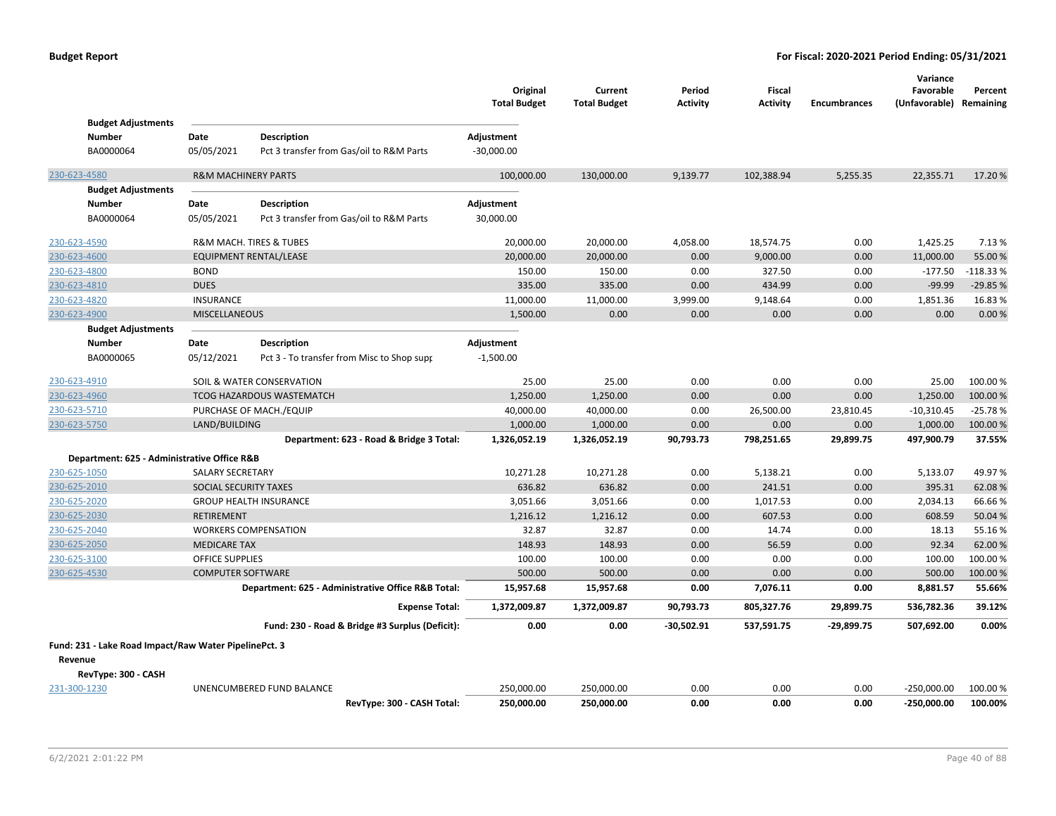| <b>Budget Adjustments</b>                             |                                |                                                    | Original<br><b>Total Budget</b> | Current<br><b>Total Budget</b> | Period<br><b>Activity</b> | <b>Fiscal</b><br><b>Activity</b> | <b>Encumbrances</b> | Variance<br>Favorable<br>(Unfavorable) Remaining | Percent    |
|-------------------------------------------------------|--------------------------------|----------------------------------------------------|---------------------------------|--------------------------------|---------------------------|----------------------------------|---------------------|--------------------------------------------------|------------|
| <b>Number</b>                                         | Date                           | <b>Description</b>                                 | Adjustment                      |                                |                           |                                  |                     |                                                  |            |
| BA0000064                                             | 05/05/2021                     | Pct 3 transfer from Gas/oil to R&M Parts           | $-30,000.00$                    |                                |                           |                                  |                     |                                                  |            |
|                                                       |                                |                                                    |                                 |                                |                           |                                  |                     |                                                  |            |
| 230-623-4580                                          | <b>R&amp;M MACHINERY PARTS</b> |                                                    | 100,000.00                      | 130,000.00                     | 9,139.77                  | 102,388.94                       | 5,255.35            | 22,355.71                                        | 17.20%     |
| <b>Budget Adjustments</b>                             |                                |                                                    |                                 |                                |                           |                                  |                     |                                                  |            |
| <b>Number</b>                                         | Date                           | <b>Description</b>                                 | Adjustment                      |                                |                           |                                  |                     |                                                  |            |
| BA0000064                                             | 05/05/2021                     | Pct 3 transfer from Gas/oil to R&M Parts           | 30,000.00                       |                                |                           |                                  |                     |                                                  |            |
| 230-623-4590                                          |                                | R&M MACH. TIRES & TUBES                            | 20,000.00                       | 20,000.00                      | 4,058.00                  | 18,574.75                        | 0.00                | 1,425.25                                         | 7.13 %     |
| 230-623-4600                                          |                                | <b>EQUIPMENT RENTAL/LEASE</b>                      | 20,000.00                       | 20,000.00                      | 0.00                      | 9,000.00                         | 0.00                | 11,000.00                                        | 55.00 %    |
| 230-623-4800                                          | <b>BOND</b>                    |                                                    | 150.00                          | 150.00                         | 0.00                      | 327.50                           | 0.00                | $-177.50$                                        | $-118.33%$ |
| 230-623-4810                                          | <b>DUES</b>                    |                                                    | 335.00                          | 335.00                         | 0.00                      | 434.99                           | 0.00                | $-99.99$                                         | $-29.85%$  |
| 230-623-4820                                          | <b>INSURANCE</b>               |                                                    | 11,000.00                       | 11,000.00                      | 3,999.00                  | 9,148.64                         | 0.00                | 1,851.36                                         | 16.83%     |
| 230-623-4900                                          | <b>MISCELLANEOUS</b>           |                                                    | 1,500.00                        | 0.00                           | 0.00                      | 0.00                             | 0.00                | 0.00                                             | 0.00%      |
| <b>Budget Adjustments</b>                             |                                |                                                    |                                 |                                |                           |                                  |                     |                                                  |            |
| <b>Number</b>                                         | <b>Date</b>                    | Description                                        | Adjustment                      |                                |                           |                                  |                     |                                                  |            |
| BA0000065                                             | 05/12/2021                     | Pct 3 - To transfer from Misc to Shop supr         | $-1,500.00$                     |                                |                           |                                  |                     |                                                  |            |
| 230-623-4910                                          |                                | SOIL & WATER CONSERVATION                          | 25.00                           | 25.00                          | 0.00                      | 0.00                             | 0.00                | 25.00                                            | 100.00 %   |
| 230-623-4960                                          |                                | <b>TCOG HAZARDOUS WASTEMATCH</b>                   | 1,250.00                        | 1,250.00                       | 0.00                      | 0.00                             | 0.00                | 1,250.00                                         | 100.00 %   |
| 230-623-5710                                          |                                | PURCHASE OF MACH./EQUIP                            | 40,000.00                       | 40,000.00                      | 0.00                      | 26,500.00                        | 23,810.45           | $-10,310.45$                                     | $-25.78%$  |
| 230-623-5750                                          | LAND/BUILDING                  |                                                    | 1,000.00                        | 1,000.00                       | 0.00                      | 0.00                             | 0.00                | 1,000.00                                         | 100.00 %   |
|                                                       |                                | Department: 623 - Road & Bridge 3 Total:           | 1,326,052.19                    | 1,326,052.19                   | 90,793.73                 | 798,251.65                       | 29,899.75           | 497,900.79                                       | 37.55%     |
| Department: 625 - Administrative Office R&B           |                                |                                                    |                                 |                                |                           |                                  |                     |                                                  |            |
| 230-625-1050                                          | <b>SALARY SECRETARY</b>        |                                                    | 10,271.28                       | 10,271.28                      | 0.00                      | 5,138.21                         | 0.00                | 5,133.07                                         | 49.97%     |
| 230-625-2010                                          | SOCIAL SECURITY TAXES          |                                                    | 636.82                          | 636.82                         | 0.00                      | 241.51                           | 0.00                | 395.31                                           | 62.08%     |
| 230-625-2020                                          |                                | <b>GROUP HEALTH INSURANCE</b>                      | 3,051.66                        | 3,051.66                       | 0.00                      | 1,017.53                         | 0.00                | 2,034.13                                         | 66.66%     |
| 230-625-2030                                          | <b>RETIREMENT</b>              |                                                    | 1,216.12                        | 1,216.12                       | 0.00                      | 607.53                           | 0.00                | 608.59                                           | 50.04 %    |
| 230-625-2040                                          |                                | <b>WORKERS COMPENSATION</b>                        | 32.87                           | 32.87                          | 0.00                      | 14.74                            | 0.00                | 18.13                                            | 55.16%     |
| 230-625-2050                                          | <b>MEDICARE TAX</b>            |                                                    | 148.93                          | 148.93                         | 0.00                      | 56.59                            | 0.00                | 92.34                                            | 62.00%     |
| 230-625-3100                                          | <b>OFFICE SUPPLIES</b>         |                                                    | 100.00                          | 100.00                         | 0.00                      | 0.00                             | 0.00                | 100.00                                           | 100.00%    |
| 230-625-4530                                          | <b>COMPUTER SOFTWARE</b>       |                                                    | 500.00                          | 500.00                         | 0.00                      | 0.00                             | 0.00                | 500.00                                           | 100.00%    |
|                                                       |                                | Department: 625 - Administrative Office R&B Total: | 15,957.68                       | 15,957.68                      | 0.00                      | 7,076.11                         | 0.00                | 8,881.57                                         | 55.66%     |
|                                                       |                                | <b>Expense Total:</b>                              | 1,372,009.87                    | 1,372,009.87                   | 90,793.73                 | 805,327.76                       | 29,899.75           | 536,782.36                                       | 39.12%     |
|                                                       |                                | Fund: 230 - Road & Bridge #3 Surplus (Deficit):    | 0.00                            | 0.00                           | -30,502.91                | 537,591.75                       | $-29,899.75$        | 507,692.00                                       | 0.00%      |
| Fund: 231 - Lake Road Impact/Raw Water PipelinePct. 3 |                                |                                                    |                                 |                                |                           |                                  |                     |                                                  |            |
| Revenue                                               |                                |                                                    |                                 |                                |                           |                                  |                     |                                                  |            |
| RevType: 300 - CASH                                   |                                |                                                    |                                 |                                |                           |                                  |                     |                                                  |            |
| 231-300-1230                                          |                                | UNENCUMBERED FUND BALANCE                          | 250,000.00                      | 250,000.00                     | 0.00                      | 0.00                             | 0.00                | $-250,000.00$                                    | 100.00%    |
|                                                       |                                | RevType: 300 - CASH Total:                         | 250,000.00                      | 250,000.00                     | 0.00                      | 0.00                             | 0.00                | $-250,000.00$                                    | 100.00%    |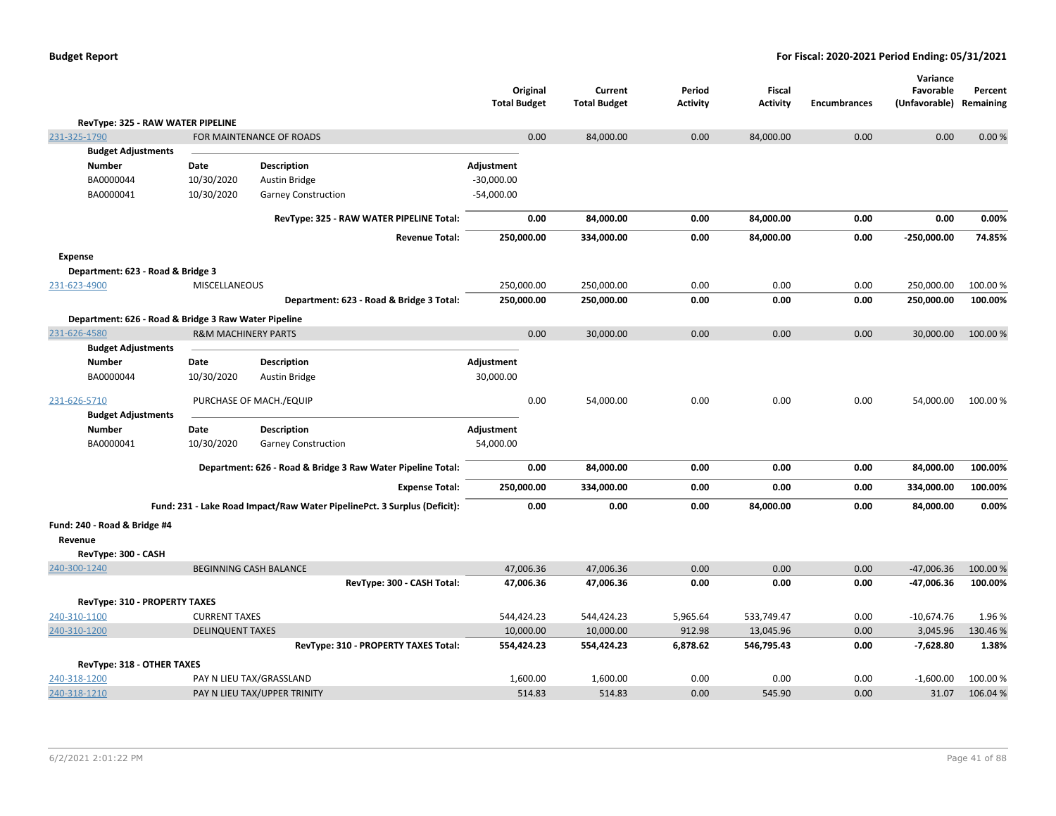| <b>Budget Report</b> |  |
|----------------------|--|
|----------------------|--|

|                                                      |                                |                                                                          |                                 |      |                                |                           |                           |                     | Variance                   |                      |
|------------------------------------------------------|--------------------------------|--------------------------------------------------------------------------|---------------------------------|------|--------------------------------|---------------------------|---------------------------|---------------------|----------------------------|----------------------|
|                                                      |                                |                                                                          | Original<br><b>Total Budget</b> |      | Current<br><b>Total Budget</b> | Period<br><b>Activity</b> | Fiscal<br><b>Activity</b> | <b>Encumbrances</b> | Favorable<br>(Unfavorable) | Percent<br>Remaining |
| RevType: 325 - RAW WATER PIPELINE                    |                                |                                                                          |                                 |      |                                |                           |                           |                     |                            |                      |
| 231-325-1790                                         |                                | FOR MAINTENANCE OF ROADS                                                 |                                 | 0.00 | 84,000.00                      | 0.00                      | 84,000.00                 | 0.00                | 0.00                       | 0.00 %               |
| <b>Budget Adjustments</b>                            |                                |                                                                          |                                 |      |                                |                           |                           |                     |                            |                      |
| <b>Number</b>                                        | Date                           | <b>Description</b>                                                       | Adjustment                      |      |                                |                           |                           |                     |                            |                      |
| BA0000044                                            | 10/30/2020                     | Austin Bridge                                                            | $-30,000.00$                    |      |                                |                           |                           |                     |                            |                      |
| BA0000041                                            | 10/30/2020                     | <b>Garney Construction</b>                                               | $-54,000.00$                    |      |                                |                           |                           |                     |                            |                      |
|                                                      |                                | RevType: 325 - RAW WATER PIPELINE Total:                                 |                                 | 0.00 | 84,000.00                      | 0.00                      | 84,000.00                 | 0.00                | 0.00                       | 0.00%                |
|                                                      |                                | <b>Revenue Total:</b>                                                    | 250,000.00                      |      | 334,000.00                     | 0.00                      | 84,000.00                 | 0.00                | $-250,000.00$              | 74.85%               |
| <b>Expense</b>                                       |                                |                                                                          |                                 |      |                                |                           |                           |                     |                            |                      |
| Department: 623 - Road & Bridge 3                    |                                |                                                                          |                                 |      |                                |                           |                           |                     |                            |                      |
| 231-623-4900                                         | MISCELLANEOUS                  |                                                                          | 250,000.00                      |      | 250,000.00                     | 0.00                      | 0.00                      | 0.00                | 250,000.00                 | 100.00%              |
|                                                      |                                | Department: 623 - Road & Bridge 3 Total:                                 | 250,000.00                      |      | 250,000.00                     | 0.00                      | 0.00                      | 0.00                | 250,000.00                 | 100.00%              |
| Department: 626 - Road & Bridge 3 Raw Water Pipeline |                                |                                                                          |                                 |      |                                |                           |                           |                     |                            |                      |
| 231-626-4580                                         | <b>R&amp;M MACHINERY PARTS</b> |                                                                          |                                 | 0.00 | 30,000.00                      | 0.00                      | 0.00                      | 0.00                | 30,000.00                  | 100.00 %             |
| <b>Budget Adjustments</b>                            |                                |                                                                          |                                 |      |                                |                           |                           |                     |                            |                      |
| <b>Number</b>                                        | Date                           | <b>Description</b>                                                       | Adjustment                      |      |                                |                           |                           |                     |                            |                      |
| BA0000044                                            | 10/30/2020                     | <b>Austin Bridge</b>                                                     | 30,000.00                       |      |                                |                           |                           |                     |                            |                      |
| 231-626-5710                                         |                                | PURCHASE OF MACH./EQUIP                                                  |                                 | 0.00 | 54,000.00                      | 0.00                      | 0.00                      | 0.00                | 54,000.00                  | 100.00%              |
| <b>Budget Adjustments</b>                            |                                |                                                                          |                                 |      |                                |                           |                           |                     |                            |                      |
| <b>Number</b>                                        | Date                           | <b>Description</b>                                                       | Adjustment                      |      |                                |                           |                           |                     |                            |                      |
| BA0000041                                            | 10/30/2020                     | <b>Garney Construction</b>                                               | 54,000.00                       |      |                                |                           |                           |                     |                            |                      |
|                                                      |                                | Department: 626 - Road & Bridge 3 Raw Water Pipeline Total:              |                                 | 0.00 | 84,000.00                      | 0.00                      | 0.00                      | 0.00                | 84,000.00                  | 100.00%              |
|                                                      |                                | <b>Expense Total:</b>                                                    | 250,000.00                      |      | 334,000.00                     | 0.00                      | 0.00                      | 0.00                | 334,000.00                 | 100.00%              |
|                                                      |                                | Fund: 231 - Lake Road Impact/Raw Water PipelinePct. 3 Surplus (Deficit): |                                 | 0.00 | 0.00                           | 0.00                      | 84,000.00                 | 0.00                | 84,000.00                  | 0.00%                |
| Fund: 240 - Road & Bridge #4                         |                                |                                                                          |                                 |      |                                |                           |                           |                     |                            |                      |
| Revenue                                              |                                |                                                                          |                                 |      |                                |                           |                           |                     |                            |                      |
| RevType: 300 - CASH                                  |                                |                                                                          |                                 |      |                                |                           |                           |                     |                            |                      |
| 240-300-1240                                         |                                | BEGINNING CASH BALANCE                                                   | 47,006.36                       |      | 47,006.36                      | 0.00                      | 0.00                      | 0.00                | $-47,006.36$               | 100.00%              |
|                                                      |                                | RevType: 300 - CASH Total:                                               | 47,006.36                       |      | 47,006.36                      | 0.00                      | 0.00                      | 0.00                | $-47,006.36$               | 100.00%              |
| <b>RevType: 310 - PROPERTY TAXES</b>                 |                                |                                                                          |                                 |      |                                |                           |                           |                     |                            |                      |
| 240-310-1100                                         | <b>CURRENT TAXES</b>           |                                                                          | 544,424.23                      |      | 544,424.23                     | 5,965.64                  | 533,749.47                | 0.00                | $-10,674.76$               | 1.96%                |
| 240-310-1200                                         | <b>DELINQUENT TAXES</b>        |                                                                          | 10,000.00                       |      | 10,000.00                      | 912.98                    | 13,045.96                 | 0.00                | 3,045.96                   | 130.46%              |
|                                                      |                                | RevType: 310 - PROPERTY TAXES Total:                                     | 554,424.23                      |      | 554,424.23                     | 6,878.62                  | 546,795.43                | 0.00                | $-7,628.80$                | 1.38%                |
| RevType: 318 - OTHER TAXES                           |                                |                                                                          |                                 |      |                                |                           |                           |                     |                            |                      |
| 240-318-1200                                         |                                | PAY N LIEU TAX/GRASSLAND                                                 | 1,600.00                        |      | 1,600.00                       | 0.00                      | 0.00                      | 0.00                | $-1,600.00$                | 100.00%              |
| 240-318-1210                                         |                                | PAY N LIEU TAX/UPPER TRINITY                                             | 514.83                          |      | 514.83                         | 0.00                      | 545.90                    | 0.00                | 31.07                      | 106.04 %             |
|                                                      |                                |                                                                          |                                 |      |                                |                           |                           |                     |                            |                      |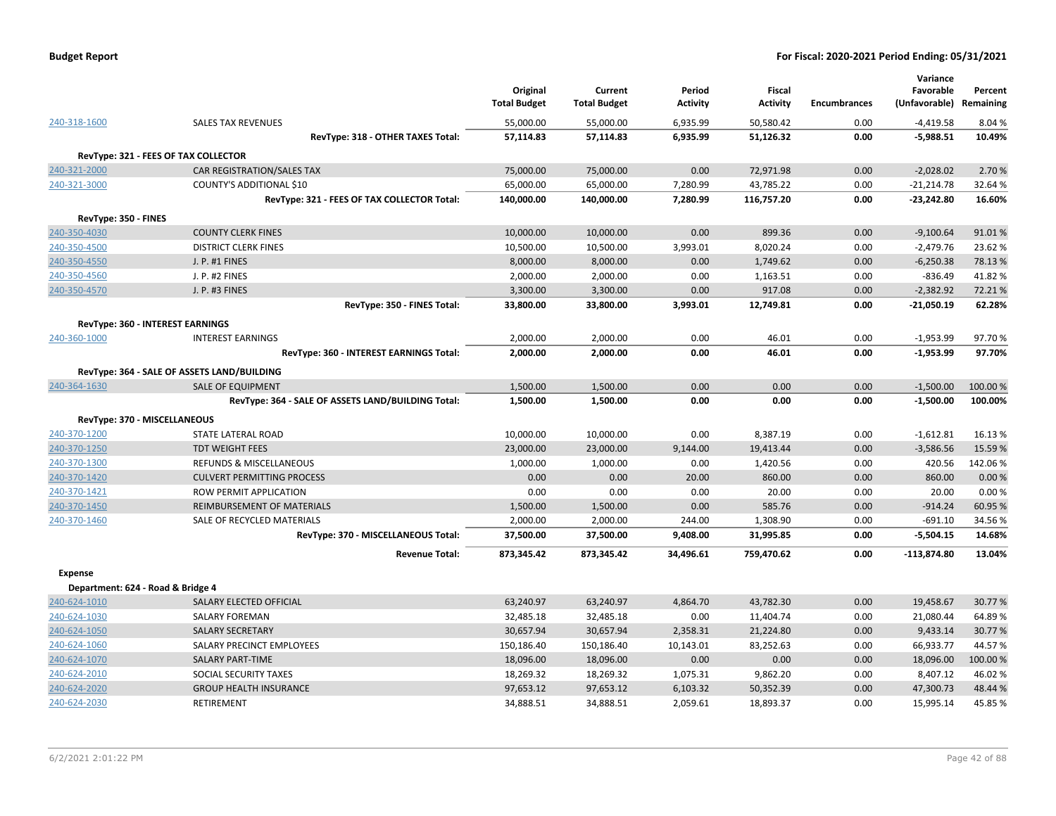| <b>Budget Report</b> |  |
|----------------------|--|
|----------------------|--|

|                      |                                                    | Original            | Current             | Period          | Fiscal          |                     | Variance<br>Favorable | Percent   |
|----------------------|----------------------------------------------------|---------------------|---------------------|-----------------|-----------------|---------------------|-----------------------|-----------|
|                      |                                                    | <b>Total Budget</b> | <b>Total Budget</b> | <b>Activity</b> | <b>Activity</b> | <b>Encumbrances</b> | (Unfavorable)         | Remaining |
| 240-318-1600         | <b>SALES TAX REVENUES</b>                          | 55,000.00           | 55,000.00           | 6,935.99        | 50,580.42       | 0.00                | $-4,419.58$           | 8.04 %    |
|                      | RevType: 318 - OTHER TAXES Total:                  | 57,114.83           | 57,114.83           | 6,935.99        | 51,126.32       | 0.00                | $-5,988.51$           | 10.49%    |
|                      | RevType: 321 - FEES OF TAX COLLECTOR               |                     |                     |                 |                 |                     |                       |           |
| 240-321-2000         | CAR REGISTRATION/SALES TAX                         | 75,000.00           | 75,000.00           | 0.00            | 72,971.98       | 0.00                | $-2,028.02$           | 2.70 %    |
| 240-321-3000         | COUNTY'S ADDITIONAL \$10                           | 65,000.00           | 65,000.00           | 7,280.99        | 43,785.22       | 0.00                | $-21,214.78$          | 32.64%    |
|                      | RevType: 321 - FEES OF TAX COLLECTOR Total:        | 140,000.00          | 140,000.00          | 7,280.99        | 116,757.20      | 0.00                | $-23,242.80$          | 16.60%    |
| RevType: 350 - FINES |                                                    |                     |                     |                 |                 |                     |                       |           |
| 240-350-4030         | <b>COUNTY CLERK FINES</b>                          | 10,000.00           | 10,000.00           | 0.00            | 899.36          | 0.00                | $-9,100.64$           | 91.01%    |
| 240-350-4500         | <b>DISTRICT CLERK FINES</b>                        | 10,500.00           | 10,500.00           | 3,993.01        | 8,020.24        | 0.00                | $-2,479.76$           | 23.62%    |
| 240-350-4550         | J. P. #1 FINES                                     | 8,000.00            | 8,000.00            | 0.00            | 1,749.62        | 0.00                | $-6,250.38$           | 78.13 %   |
| 240-350-4560         | J. P. #2 FINES                                     | 2,000.00            | 2,000.00            | 0.00            | 1,163.51        | 0.00                | $-836.49$             | 41.82%    |
| 240-350-4570         | J. P. #3 FINES                                     | 3,300.00            | 3,300.00            | 0.00            | 917.08          | 0.00                | $-2,382.92$           | 72.21%    |
|                      | RevType: 350 - FINES Total:                        | 33,800.00           | 33,800.00           | 3,993.01        | 12,749.81       | 0.00                | $-21,050.19$          | 62.28%    |
|                      | RevType: 360 - INTEREST EARNINGS                   |                     |                     |                 |                 |                     |                       |           |
| 240-360-1000         | <b>INTEREST EARNINGS</b>                           | 2,000.00            | 2,000.00            | 0.00            | 46.01           | 0.00                | $-1,953.99$           | 97.70%    |
|                      | RevType: 360 - INTEREST EARNINGS Total:            | 2,000.00            | 2,000.00            | 0.00            | 46.01           | 0.00                | $-1,953.99$           | 97.70%    |
|                      | RevType: 364 - SALE OF ASSETS LAND/BUILDING        |                     |                     |                 |                 |                     |                       |           |
| 240-364-1630         | <b>SALE OF EQUIPMENT</b>                           | 1,500.00            | 1,500.00            | 0.00            | 0.00            | 0.00                | $-1,500.00$           | 100.00 %  |
|                      | RevType: 364 - SALE OF ASSETS LAND/BUILDING Total: | 1,500.00            | 1,500.00            | 0.00            | 0.00            | 0.00                | $-1,500.00$           | 100.00%   |
|                      | RevType: 370 - MISCELLANEOUS                       |                     |                     |                 |                 |                     |                       |           |
| 240-370-1200         | STATE LATERAL ROAD                                 | 10,000.00           | 10,000.00           | 0.00            | 8,387.19        | 0.00                | $-1,612.81$           | 16.13%    |
| 240-370-1250         | <b>TDT WEIGHT FEES</b>                             | 23,000.00           | 23,000.00           | 9,144.00        | 19,413.44       | 0.00                | $-3,586.56$           | 15.59%    |
| 240-370-1300         | <b>REFUNDS &amp; MISCELLANEOUS</b>                 | 1,000.00            | 1,000.00            | 0.00            | 1,420.56        | 0.00                | 420.56                | 142.06%   |
| 240-370-1420         | <b>CULVERT PERMITTING PROCESS</b>                  | 0.00                | 0.00                | 20.00           | 860.00          | 0.00                | 860.00                | 0.00 %    |
| 240-370-1421         | <b>ROW PERMIT APPLICATION</b>                      | 0.00                | 0.00                | 0.00            | 20.00           | 0.00                | 20.00                 | 0.00%     |
| 240-370-1450         | REIMBURSEMENT OF MATERIALS                         | 1,500.00            | 1,500.00            | 0.00            | 585.76          | 0.00                | $-914.24$             | 60.95%    |
| 240-370-1460         | SALE OF RECYCLED MATERIALS                         | 2,000.00            | 2,000.00            | 244.00          | 1,308.90        | 0.00                | $-691.10$             | 34.56%    |
|                      | RevType: 370 - MISCELLANEOUS Total:                | 37,500.00           | 37,500.00           | 9,408.00        | 31,995.85       | 0.00                | $-5,504.15$           | 14.68%    |
|                      | <b>Revenue Total:</b>                              | 873,345.42          | 873,345.42          | 34,496.61       | 759,470.62      | 0.00                | $-113,874.80$         | 13.04%    |
| <b>Expense</b>       |                                                    |                     |                     |                 |                 |                     |                       |           |
|                      | Department: 624 - Road & Bridge 4                  |                     |                     |                 |                 |                     |                       |           |
| 240-624-1010         | SALARY ELECTED OFFICIAL                            | 63,240.97           | 63,240.97           | 4,864.70        | 43,782.30       | 0.00                | 19,458.67             | 30.77%    |
| 240-624-1030         | <b>SALARY FOREMAN</b>                              | 32,485.18           | 32,485.18           | 0.00            | 11,404.74       | 0.00                | 21,080.44             | 64.89%    |
| 240-624-1050         | <b>SALARY SECRETARY</b>                            | 30,657.94           | 30,657.94           | 2,358.31        | 21,224.80       | 0.00                | 9,433.14              | 30.77%    |
| 240-624-1060         | SALARY PRECINCT EMPLOYEES                          | 150,186.40          | 150,186.40          | 10,143.01       | 83,252.63       | 0.00                | 66,933.77             | 44.57%    |
| 240-624-1070         | <b>SALARY PART-TIME</b>                            | 18,096.00           | 18,096.00           | 0.00            | 0.00            | 0.00                | 18,096.00             | 100.00%   |
| 240-624-2010         | SOCIAL SECURITY TAXES                              | 18,269.32           | 18,269.32           | 1,075.31        | 9,862.20        | 0.00                | 8,407.12              | 46.02%    |
| 240-624-2020         | <b>GROUP HEALTH INSURANCE</b>                      | 97,653.12           | 97,653.12           | 6,103.32        | 50,352.39       | 0.00                | 47,300.73             | 48.44 %   |
| 240-624-2030         | RETIREMENT                                         | 34,888.51           | 34,888.51           | 2,059.61        | 18,893.37       | 0.00                | 15,995.14             | 45.85%    |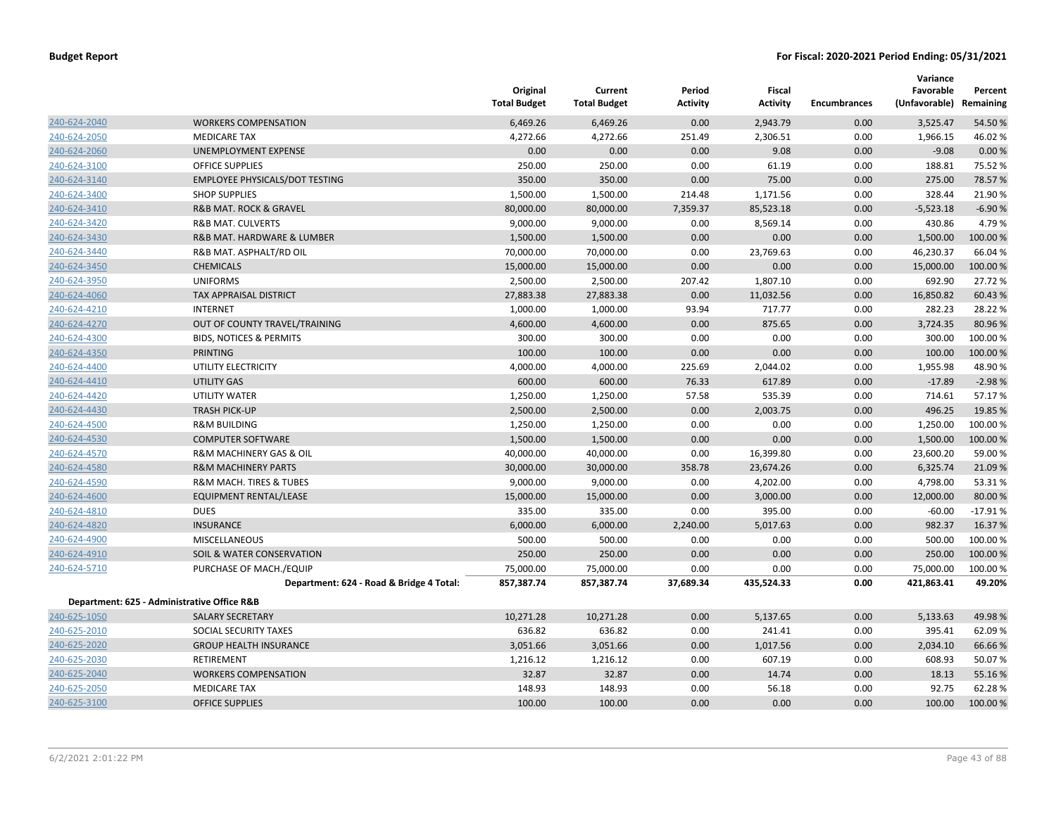|              |                                             | Original<br><b>Total Budget</b> | Current<br><b>Total Budget</b> | Period<br><b>Activity</b> | Fiscal<br><b>Activity</b> | <b>Encumbrances</b> | Variance<br>Favorable<br>(Unfavorable) Remaining | Percent   |
|--------------|---------------------------------------------|---------------------------------|--------------------------------|---------------------------|---------------------------|---------------------|--------------------------------------------------|-----------|
| 240-624-2040 | <b>WORKERS COMPENSATION</b>                 | 6,469.26                        | 6,469.26                       | 0.00                      | 2,943.79                  | 0.00                | 3,525.47                                         | 54.50 %   |
| 240-624-2050 | <b>MEDICARE TAX</b>                         | 4,272.66                        | 4,272.66                       | 251.49                    | 2,306.51                  | 0.00                | 1,966.15                                         | 46.02%    |
| 240-624-2060 | UNEMPLOYMENT EXPENSE                        | 0.00                            | 0.00                           | 0.00                      | 9.08                      | 0.00                | $-9.08$                                          | 0.00%     |
| 240-624-3100 | <b>OFFICE SUPPLIES</b>                      | 250.00                          | 250.00                         | 0.00                      | 61.19                     | 0.00                | 188.81                                           | 75.52 %   |
| 240-624-3140 | <b>EMPLOYEE PHYSICALS/DOT TESTING</b>       | 350.00                          | 350.00                         | 0.00                      | 75.00                     | 0.00                | 275.00                                           | 78.57 %   |
| 240-624-3400 | <b>SHOP SUPPLIES</b>                        | 1,500.00                        | 1,500.00                       | 214.48                    | 1,171.56                  | 0.00                | 328.44                                           | 21.90%    |
| 240-624-3410 | <b>R&amp;B MAT. ROCK &amp; GRAVEL</b>       | 80,000.00                       | 80,000.00                      | 7,359.37                  | 85,523.18                 | 0.00                | $-5,523.18$                                      | $-6.90%$  |
| 240-624-3420 | <b>R&amp;B MAT. CULVERTS</b>                | 9,000.00                        | 9,000.00                       | 0.00                      | 8,569.14                  | 0.00                | 430.86                                           | 4.79%     |
| 240-624-3430 | R&B MAT. HARDWARE & LUMBER                  | 1,500.00                        | 1,500.00                       | 0.00                      | 0.00                      | 0.00                | 1,500.00                                         | 100.00 %  |
| 240-624-3440 | R&B MAT. ASPHALT/RD OIL                     | 70,000.00                       | 70,000.00                      | 0.00                      | 23,769.63                 | 0.00                | 46,230.37                                        | 66.04 %   |
| 240-624-3450 | <b>CHEMICALS</b>                            | 15,000.00                       | 15,000.00                      | 0.00                      | 0.00                      | 0.00                | 15,000.00                                        | 100.00 %  |
| 240-624-3950 | <b>UNIFORMS</b>                             | 2,500.00                        | 2,500.00                       | 207.42                    | 1,807.10                  | 0.00                | 692.90                                           | 27.72 %   |
| 240-624-4060 | TAX APPRAISAL DISTRICT                      | 27,883.38                       | 27,883.38                      | 0.00                      | 11,032.56                 | 0.00                | 16,850.82                                        | 60.43 %   |
| 240-624-4210 | <b>INTERNET</b>                             | 1,000.00                        | 1,000.00                       | 93.94                     | 717.77                    | 0.00                | 282.23                                           | 28.22 %   |
| 240-624-4270 | OUT OF COUNTY TRAVEL/TRAINING               | 4,600.00                        | 4,600.00                       | 0.00                      | 875.65                    | 0.00                | 3,724.35                                         | 80.96 %   |
| 240-624-4300 | <b>BIDS, NOTICES &amp; PERMITS</b>          | 300.00                          | 300.00                         | 0.00                      | 0.00                      | 0.00                | 300.00                                           | 100.00 %  |
| 240-624-4350 | <b>PRINTING</b>                             | 100.00                          | 100.00                         | 0.00                      | 0.00                      | 0.00                | 100.00                                           | 100.00 %  |
| 240-624-4400 | UTILITY ELECTRICITY                         | 4,000.00                        | 4,000.00                       | 225.69                    | 2,044.02                  | 0.00                | 1,955.98                                         | 48.90%    |
| 240-624-4410 | UTILITY GAS                                 | 600.00                          | 600.00                         | 76.33                     | 617.89                    | 0.00                | $-17.89$                                         | $-2.98%$  |
| 240-624-4420 | UTILITY WATER                               | 1,250.00                        | 1,250.00                       | 57.58                     | 535.39                    | 0.00                | 714.61                                           | 57.17%    |
| 240-624-4430 | <b>TRASH PICK-UP</b>                        | 2,500.00                        | 2,500.00                       | 0.00                      | 2,003.75                  | 0.00                | 496.25                                           | 19.85 %   |
| 240-624-4500 | <b>R&amp;M BUILDING</b>                     | 1,250.00                        | 1,250.00                       | 0.00                      | 0.00                      | 0.00                | 1,250.00                                         | 100.00%   |
| 240-624-4530 | <b>COMPUTER SOFTWARE</b>                    | 1,500.00                        | 1,500.00                       | 0.00                      | 0.00                      | 0.00                | 1,500.00                                         | 100.00%   |
| 240-624-4570 | R&M MACHINERY GAS & OIL                     | 40,000.00                       | 40,000.00                      | 0.00                      | 16,399.80                 | 0.00                | 23,600.20                                        | 59.00 %   |
| 240-624-4580 | <b>R&amp;M MACHINERY PARTS</b>              | 30,000.00                       | 30,000.00                      | 358.78                    | 23,674.26                 | 0.00                | 6,325.74                                         | 21.09 %   |
| 240-624-4590 | R&M MACH. TIRES & TUBES                     | 9,000.00                        | 9,000.00                       | 0.00                      | 4,202.00                  | 0.00                | 4,798.00                                         | 53.31%    |
| 240-624-4600 | <b>EQUIPMENT RENTAL/LEASE</b>               | 15,000.00                       | 15,000.00                      | 0.00                      | 3,000.00                  | 0.00                | 12,000.00                                        | 80.00 %   |
| 240-624-4810 | <b>DUES</b>                                 | 335.00                          | 335.00                         | 0.00                      | 395.00                    | 0.00                | $-60.00$                                         | $-17.91%$ |
| 240-624-4820 | <b>INSURANCE</b>                            | 6,000.00                        | 6,000.00                       | 2,240.00                  | 5,017.63                  | 0.00                | 982.37                                           | 16.37%    |
| 240-624-4900 | <b>MISCELLANEOUS</b>                        | 500.00                          | 500.00                         | 0.00                      | 0.00                      | 0.00                | 500.00                                           | 100.00%   |
| 240-624-4910 | <b>SOIL &amp; WATER CONSERVATION</b>        | 250.00                          | 250.00                         | 0.00                      | 0.00                      | 0.00                | 250.00                                           | 100.00 %  |
| 240-624-5710 | PURCHASE OF MACH./EQUIP                     | 75,000.00                       | 75,000.00                      | 0.00                      | 0.00                      | 0.00                | 75,000.00                                        | 100.00 %  |
|              | Department: 624 - Road & Bridge 4 Total:    | 857,387.74                      | 857,387.74                     | 37,689.34                 | 435,524.33                | 0.00                | 421,863.41                                       | 49.20%    |
|              | Department: 625 - Administrative Office R&B |                                 |                                |                           |                           |                     |                                                  |           |
| 240-625-1050 | <b>SALARY SECRETARY</b>                     | 10,271.28                       | 10,271.28                      | 0.00                      | 5,137.65                  | 0.00                | 5,133.63                                         | 49.98%    |
| 240-625-2010 | SOCIAL SECURITY TAXES                       | 636.82                          | 636.82                         | 0.00                      | 241.41                    | 0.00                | 395.41                                           | 62.09%    |
| 240-625-2020 | <b>GROUP HEALTH INSURANCE</b>               | 3,051.66                        | 3,051.66                       | 0.00                      | 1,017.56                  | 0.00                | 2,034.10                                         | 66.66%    |
| 240-625-2030 | <b>RETIREMENT</b>                           | 1,216.12                        | 1,216.12                       | 0.00                      | 607.19                    | 0.00                | 608.93                                           | 50.07%    |
| 240-625-2040 | <b>WORKERS COMPENSATION</b>                 | 32.87                           | 32.87                          | 0.00                      | 14.74                     | 0.00                | 18.13                                            | 55.16 %   |
| 240-625-2050 | <b>MEDICARE TAX</b>                         | 148.93                          | 148.93                         | 0.00                      | 56.18                     | 0.00                | 92.75                                            | 62.28%    |
| 240-625-3100 | <b>OFFICE SUPPLIES</b>                      | 100.00                          | 100.00                         | 0.00                      | 0.00                      | 0.00                | 100.00                                           | 100.00 %  |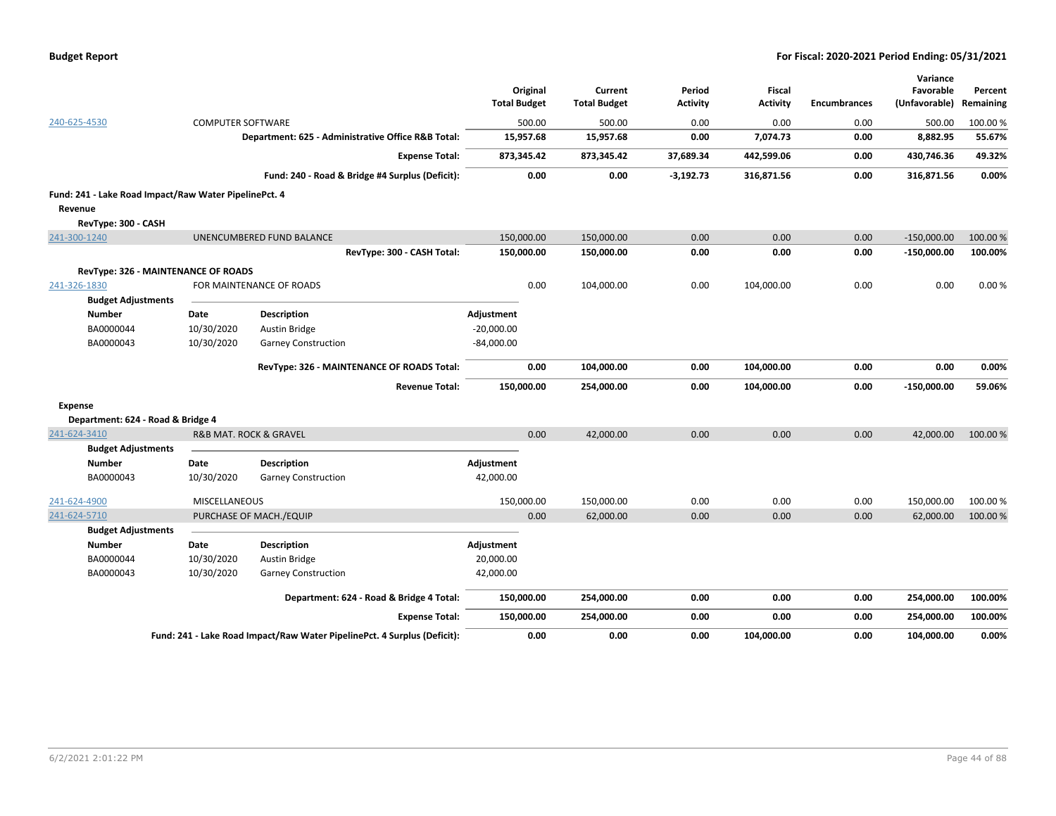| <b>Budget Report</b> |  |
|----------------------|--|
|----------------------|--|

|                                                       |                          |                                                                          |                     |                     |                 |                 |                     | Variance      |           |
|-------------------------------------------------------|--------------------------|--------------------------------------------------------------------------|---------------------|---------------------|-----------------|-----------------|---------------------|---------------|-----------|
|                                                       |                          |                                                                          | Original            | Current             | Period          | <b>Fiscal</b>   |                     | Favorable     | Percent   |
|                                                       |                          |                                                                          | <b>Total Budget</b> | <b>Total Budget</b> | <b>Activity</b> | <b>Activity</b> | <b>Encumbrances</b> | (Unfavorable) | Remaining |
| 240-625-4530                                          | <b>COMPUTER SOFTWARE</b> |                                                                          | 500.00              | 500.00              | 0.00            | 0.00            | 0.00                | 500.00        | 100.00 %  |
|                                                       |                          | Department: 625 - Administrative Office R&B Total:                       | 15,957.68           | 15,957.68           | 0.00            | 7,074.73        | 0.00                | 8,882.95      | 55.67%    |
|                                                       |                          | <b>Expense Total:</b>                                                    | 873,345.42          | 873,345.42          | 37,689.34       | 442,599.06      | 0.00                | 430,746.36    | 49.32%    |
|                                                       |                          | Fund: 240 - Road & Bridge #4 Surplus (Deficit):                          | 0.00                | 0.00                | $-3,192.73$     | 316,871.56      | 0.00                | 316,871.56    | 0.00%     |
| Fund: 241 - Lake Road Impact/Raw Water PipelinePct. 4 |                          |                                                                          |                     |                     |                 |                 |                     |               |           |
| Revenue                                               |                          |                                                                          |                     |                     |                 |                 |                     |               |           |
| RevType: 300 - CASH                                   |                          |                                                                          |                     |                     |                 |                 |                     |               |           |
| 241-300-1240                                          |                          | UNENCUMBERED FUND BALANCE                                                | 150,000.00          | 150,000.00          | 0.00            | 0.00            | 0.00                | $-150,000.00$ | 100.00 %  |
|                                                       |                          | RevType: 300 - CASH Total:                                               | 150,000.00          | 150,000.00          | 0.00            | 0.00            | 0.00                | $-150,000.00$ | 100.00%   |
| RevType: 326 - MAINTENANCE OF ROADS                   |                          |                                                                          |                     |                     |                 |                 |                     |               |           |
| 241-326-1830                                          |                          | FOR MAINTENANCE OF ROADS                                                 | 0.00                | 104,000.00          | 0.00            | 104,000.00      | 0.00                | 0.00          | 0.00%     |
| <b>Budget Adjustments</b>                             |                          |                                                                          |                     |                     |                 |                 |                     |               |           |
| <b>Number</b>                                         | Date                     | <b>Description</b>                                                       | Adjustment          |                     |                 |                 |                     |               |           |
| BA0000044                                             | 10/30/2020               | Austin Bridge                                                            | $-20,000.00$        |                     |                 |                 |                     |               |           |
| BA0000043                                             | 10/30/2020               | <b>Garney Construction</b>                                               | $-84,000.00$        |                     |                 |                 |                     |               |           |
|                                                       |                          |                                                                          |                     |                     |                 |                 |                     |               |           |
|                                                       |                          | RevType: 326 - MAINTENANCE OF ROADS Total:                               | 0.00                | 104,000.00          | 0.00            | 104,000.00      | 0.00                | 0.00          | 0.00%     |
|                                                       |                          | <b>Revenue Total:</b>                                                    | 150,000.00          | 254,000.00          | 0.00            | 104,000.00      | 0.00                | $-150,000.00$ | 59.06%    |
| <b>Expense</b>                                        |                          |                                                                          |                     |                     |                 |                 |                     |               |           |
| Department: 624 - Road & Bridge 4                     |                          |                                                                          |                     |                     |                 |                 |                     |               |           |
| 241-624-3410                                          |                          | <b>R&amp;B MAT. ROCK &amp; GRAVEL</b>                                    | 0.00                | 42,000.00           | 0.00            | 0.00            | 0.00                | 42,000.00     | 100.00%   |
| <b>Budget Adjustments</b>                             |                          |                                                                          |                     |                     |                 |                 |                     |               |           |
| <b>Number</b>                                         | Date                     | <b>Description</b>                                                       | Adjustment          |                     |                 |                 |                     |               |           |
| BA0000043                                             | 10/30/2020               | <b>Garney Construction</b>                                               | 42,000.00           |                     |                 |                 |                     |               |           |
| 241-624-4900                                          | <b>MISCELLANEOUS</b>     |                                                                          | 150,000.00          | 150,000.00          | 0.00            | 0.00            | 0.00                | 150,000.00    | 100.00%   |
| 241-624-5710                                          |                          | PURCHASE OF MACH./EQUIP                                                  | 0.00                | 62,000.00           | 0.00            | 0.00            | 0.00                | 62,000.00     | 100.00 %  |
| <b>Budget Adjustments</b>                             |                          |                                                                          |                     |                     |                 |                 |                     |               |           |
| <b>Number</b>                                         | Date                     | <b>Description</b>                                                       | Adjustment          |                     |                 |                 |                     |               |           |
| BA0000044                                             | 10/30/2020               | Austin Bridge                                                            | 20,000.00           |                     |                 |                 |                     |               |           |
| BA0000043                                             | 10/30/2020               | <b>Garney Construction</b>                                               | 42,000.00           |                     |                 |                 |                     |               |           |
|                                                       |                          | Department: 624 - Road & Bridge 4 Total:                                 | 150,000.00          | 254,000.00          | 0.00            | 0.00            | 0.00                | 254,000.00    | 100.00%   |
|                                                       |                          | <b>Expense Total:</b>                                                    | 150,000.00          | 254,000.00          | 0.00            | 0.00            | 0.00                | 254,000.00    | 100.00%   |
|                                                       |                          | Fund: 241 - Lake Road Impact/Raw Water PipelinePct. 4 Surplus (Deficit): | 0.00                | 0.00                | 0.00            | 104,000.00      | 0.00                | 104,000.00    | 0.00%     |
|                                                       |                          |                                                                          |                     |                     |                 |                 |                     |               |           |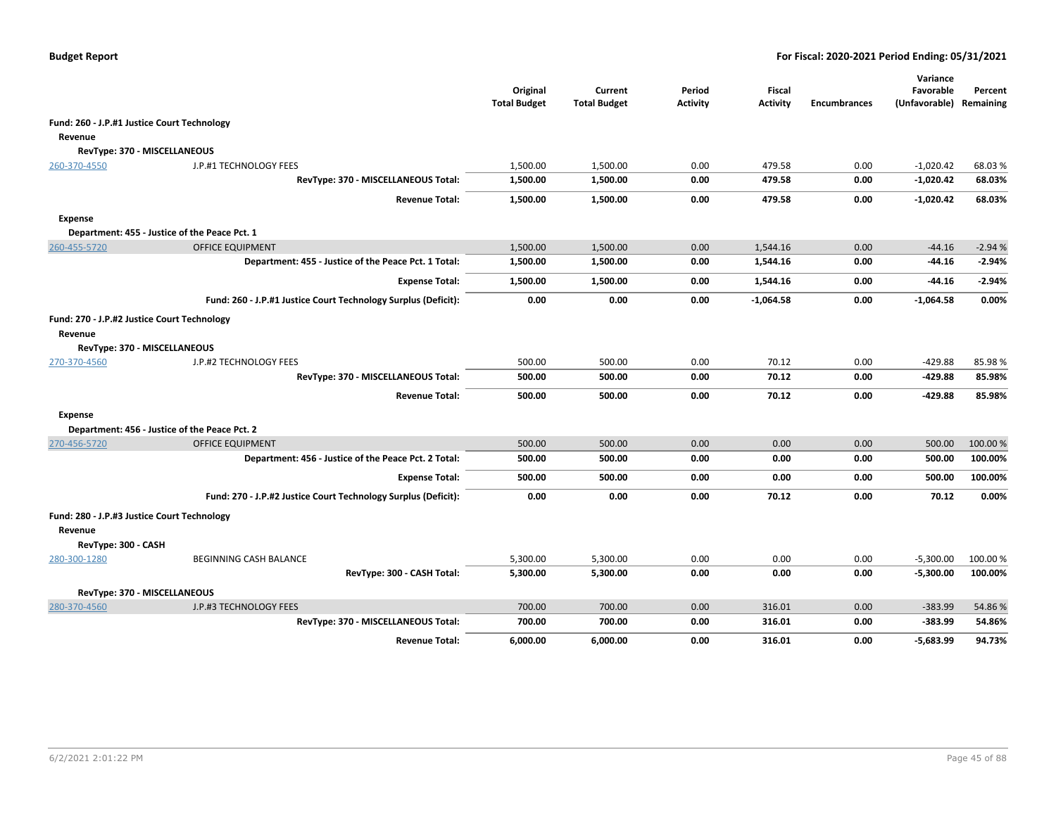|                                                        |                                                                | Original<br><b>Total Budget</b> | Current<br><b>Total Budget</b> | Period<br><b>Activity</b> | <b>Fiscal</b><br><b>Activity</b> | <b>Encumbrances</b> | Variance<br>Favorable<br>(Unfavorable) | Percent<br>Remaining |
|--------------------------------------------------------|----------------------------------------------------------------|---------------------------------|--------------------------------|---------------------------|----------------------------------|---------------------|----------------------------------------|----------------------|
| Fund: 260 - J.P.#1 Justice Court Technology            |                                                                |                                 |                                |                           |                                  |                     |                                        |                      |
| Revenue                                                |                                                                |                                 |                                |                           |                                  |                     |                                        |                      |
| RevType: 370 - MISCELLANEOUS                           |                                                                |                                 |                                |                           |                                  |                     |                                        |                      |
| 260-370-4550                                           | J.P.#1 TECHNOLOGY FEES                                         | 1,500.00                        | 1,500.00                       | 0.00                      | 479.58                           | 0.00                | $-1,020.42$                            | 68.03%               |
|                                                        | RevType: 370 - MISCELLANEOUS Total:                            | 1,500.00                        | 1,500.00                       | 0.00                      | 479.58                           | 0.00                | $-1,020.42$                            | 68.03%               |
|                                                        | <b>Revenue Total:</b>                                          | 1,500.00                        | 1,500.00                       | 0.00                      | 479.58                           | 0.00                | $-1,020.42$                            | 68.03%               |
| <b>Expense</b>                                         |                                                                |                                 |                                |                           |                                  |                     |                                        |                      |
|                                                        | Department: 455 - Justice of the Peace Pct. 1                  |                                 |                                |                           |                                  |                     |                                        |                      |
| 260-455-5720                                           | <b>OFFICE EQUIPMENT</b>                                        | 1,500.00                        | 1,500.00                       | 0.00                      | 1.544.16                         | 0.00                | $-44.16$                               | $-2.94%$             |
|                                                        | Department: 455 - Justice of the Peace Pct. 1 Total:           | 1,500.00                        | 1,500.00                       | 0.00                      | 1,544.16                         | 0.00                | $-44.16$                               | $-2.94%$             |
|                                                        | <b>Expense Total:</b>                                          | 1,500.00                        | 1,500.00                       | 0.00                      | 1,544.16                         | 0.00                | $-44.16$                               | $-2.94%$             |
|                                                        | Fund: 260 - J.P.#1 Justice Court Technology Surplus (Deficit): | 0.00                            | 0.00                           | 0.00                      | $-1,064.58$                      | 0.00                | $-1,064.58$                            | 0.00%                |
| Fund: 270 - J.P.#2 Justice Court Technology<br>Revenue |                                                                |                                 |                                |                           |                                  |                     |                                        |                      |
| RevType: 370 - MISCELLANEOUS                           |                                                                |                                 |                                |                           |                                  |                     |                                        |                      |
| 270-370-4560                                           | J.P.#2 TECHNOLOGY FEES                                         | 500.00                          | 500.00                         | 0.00                      | 70.12                            | 0.00                | $-429.88$                              | 85.98%               |
|                                                        | RevType: 370 - MISCELLANEOUS Total:                            | 500.00                          | 500.00                         | 0.00                      | 70.12                            | 0.00                | -429.88                                | 85.98%               |
|                                                        | <b>Revenue Total:</b>                                          | 500.00                          | 500.00                         | 0.00                      | 70.12                            | 0.00                | -429.88                                | 85.98%               |
| <b>Expense</b>                                         |                                                                |                                 |                                |                           |                                  |                     |                                        |                      |
|                                                        | Department: 456 - Justice of the Peace Pct. 2                  |                                 |                                |                           |                                  |                     |                                        |                      |
| 270-456-5720                                           | <b>OFFICE EQUIPMENT</b>                                        | 500.00                          | 500.00                         | 0.00                      | 0.00                             | 0.00                | 500.00                                 | 100.00 %             |
|                                                        | Department: 456 - Justice of the Peace Pct. 2 Total:           | 500.00                          | 500.00                         | 0.00                      | 0.00                             | 0.00                | 500.00                                 | 100.00%              |
|                                                        | <b>Expense Total:</b>                                          | 500.00                          | 500.00                         | 0.00                      | 0.00                             | 0.00                | 500.00                                 | 100.00%              |
|                                                        | Fund: 270 - J.P.#2 Justice Court Technology Surplus (Deficit): | 0.00                            | 0.00                           | 0.00                      | 70.12                            | 0.00                | 70.12                                  | 0.00%                |
| Fund: 280 - J.P.#3 Justice Court Technology            |                                                                |                                 |                                |                           |                                  |                     |                                        |                      |
| Revenue                                                |                                                                |                                 |                                |                           |                                  |                     |                                        |                      |
| RevType: 300 - CASH                                    |                                                                |                                 |                                |                           |                                  |                     |                                        |                      |
| 280-300-1280                                           | BEGINNING CASH BALANCE                                         | 5,300.00                        | 5,300.00                       | 0.00                      | 0.00                             | 0.00                | $-5,300.00$                            | 100.00 %             |
|                                                        | RevType: 300 - CASH Total:                                     | 5,300.00                        | 5,300.00                       | 0.00                      | 0.00                             | 0.00                | $-5,300.00$                            | 100.00%              |
| RevType: 370 - MISCELLANEOUS                           |                                                                |                                 |                                |                           |                                  |                     |                                        |                      |
| 280-370-4560                                           | J.P.#3 TECHNOLOGY FEES                                         | 700.00                          | 700.00                         | 0.00                      | 316.01                           | 0.00                | $-383.99$                              | 54.86%               |
|                                                        | RevType: 370 - MISCELLANEOUS Total:                            | 700.00                          | 700.00                         | 0.00                      | 316.01                           | 0.00                | $-383.99$                              | 54.86%               |
|                                                        | <b>Revenue Total:</b>                                          | 6,000.00                        | 6,000.00                       | 0.00                      | 316.01                           | 0.00                | $-5,683.99$                            | 94.73%               |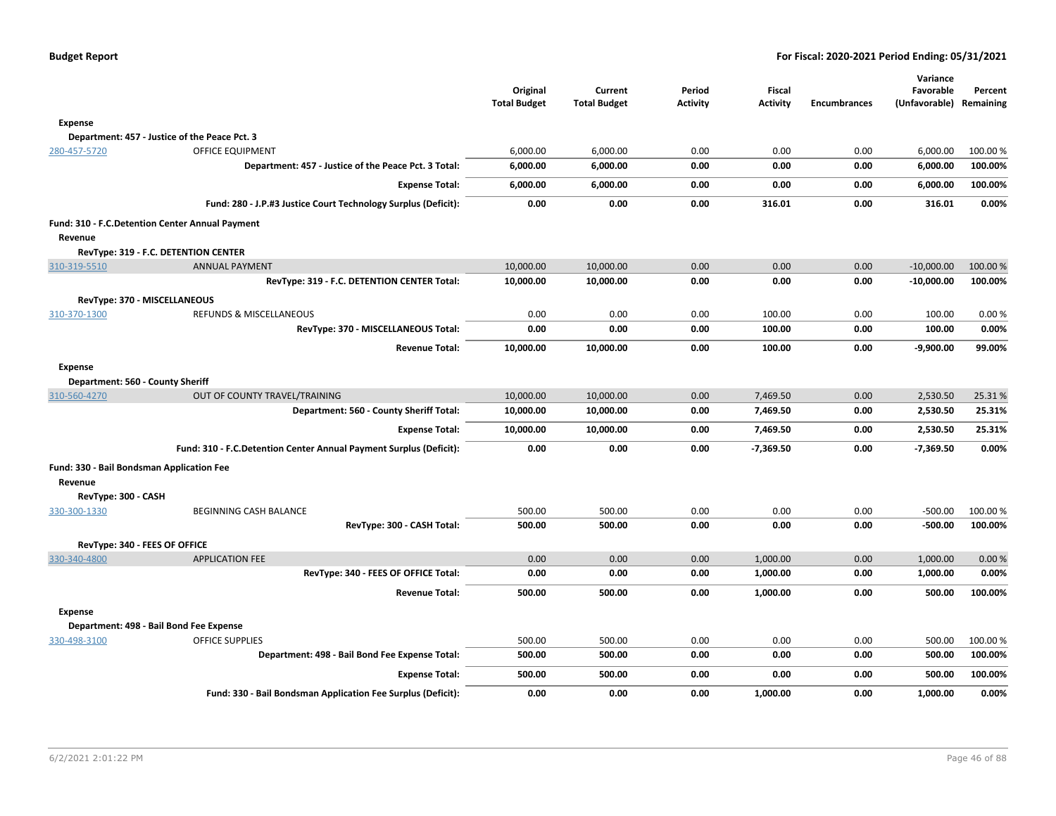| <b>Budget Report</b> |  |
|----------------------|--|
|----------------------|--|

|                                                 |                                                                    | Original            | Current             | Period          | <b>Fiscal</b>   |                     | Variance<br>Favorable | Percent   |
|-------------------------------------------------|--------------------------------------------------------------------|---------------------|---------------------|-----------------|-----------------|---------------------|-----------------------|-----------|
|                                                 |                                                                    | <b>Total Budget</b> | <b>Total Budget</b> | <b>Activity</b> | <b>Activity</b> | <b>Encumbrances</b> | (Unfavorable)         | Remaining |
| <b>Expense</b>                                  |                                                                    |                     |                     |                 |                 |                     |                       |           |
| Department: 457 - Justice of the Peace Pct. 3   |                                                                    |                     |                     |                 |                 |                     |                       |           |
| 280-457-5720                                    | <b>OFFICE EQUIPMENT</b>                                            | 6,000.00            | 6,000.00            | 0.00            | 0.00            | 0.00                | 6,000.00              | 100.00 %  |
|                                                 | Department: 457 - Justice of the Peace Pct. 3 Total:               | 6,000.00            | 6,000.00            | 0.00            | 0.00            | 0.00                | 6,000.00              | 100.00%   |
|                                                 | <b>Expense Total:</b>                                              | 6,000.00            | 6,000.00            | 0.00            | 0.00            | 0.00                | 6,000.00              | 100.00%   |
|                                                 | Fund: 280 - J.P.#3 Justice Court Technology Surplus (Deficit):     | 0.00                | 0.00                | 0.00            | 316.01          | 0.00                | 316.01                | 0.00%     |
| Fund: 310 - F.C.Detention Center Annual Payment |                                                                    |                     |                     |                 |                 |                     |                       |           |
| Revenue                                         |                                                                    |                     |                     |                 |                 |                     |                       |           |
| RevType: 319 - F.C. DETENTION CENTER            |                                                                    |                     |                     |                 |                 |                     |                       |           |
| 310-319-5510                                    | <b>ANNUAL PAYMENT</b>                                              | 10,000.00           | 10,000.00           | 0.00            | 0.00            | 0.00                | $-10,000.00$          | 100.00%   |
|                                                 | RevType: 319 - F.C. DETENTION CENTER Total:                        | 10,000.00           | 10,000.00           | 0.00            | 0.00            | 0.00                | $-10,000.00$          | 100.00%   |
| RevType: 370 - MISCELLANEOUS                    |                                                                    |                     |                     |                 |                 |                     |                       |           |
| 310-370-1300                                    | REFUNDS & MISCELLANEOUS                                            | 0.00                | 0.00                | 0.00            | 100.00          | 0.00                | 100.00                | 0.00%     |
|                                                 | RevType: 370 - MISCELLANEOUS Total:                                | 0.00                | 0.00                | 0.00            | 100.00          | 0.00                | 100.00                | 0.00%     |
|                                                 | <b>Revenue Total:</b>                                              | 10,000.00           | 10,000.00           | 0.00            | 100.00          | 0.00                | $-9,900.00$           | 99.00%    |
| <b>Expense</b>                                  |                                                                    |                     |                     |                 |                 |                     |                       |           |
| Department: 560 - County Sheriff                |                                                                    |                     |                     |                 |                 |                     |                       |           |
| 310-560-4270                                    | OUT OF COUNTY TRAVEL/TRAINING                                      | 10,000.00           | 10,000.00           | 0.00            | 7,469.50        | 0.00                | 2,530.50              | 25.31%    |
|                                                 | Department: 560 - County Sheriff Total:                            | 10,000.00           | 10,000.00           | 0.00            | 7,469.50        | 0.00                | 2,530.50              | 25.31%    |
|                                                 | <b>Expense Total:</b>                                              | 10,000.00           | 10,000.00           | 0.00            | 7,469.50        | 0.00                | 2,530.50              | 25.31%    |
|                                                 | Fund: 310 - F.C.Detention Center Annual Payment Surplus (Deficit): | 0.00                | 0.00                | 0.00            | $-7,369.50$     | 0.00                | $-7,369.50$           | 0.00%     |
| Fund: 330 - Bail Bondsman Application Fee       |                                                                    |                     |                     |                 |                 |                     |                       |           |
| Revenue<br>RevType: 300 - CASH                  |                                                                    |                     |                     |                 |                 |                     |                       |           |
| 330-300-1330                                    | <b>BEGINNING CASH BALANCE</b>                                      | 500.00              | 500.00              | 0.00            | 0.00            | 0.00                | $-500.00$             | 100.00 %  |
|                                                 | RevType: 300 - CASH Total:                                         | 500.00              | 500.00              | 0.00            | 0.00            | 0.00                | $-500.00$             | 100.00%   |
| RevType: 340 - FEES OF OFFICE                   |                                                                    |                     |                     |                 |                 |                     |                       |           |
| 330-340-4800                                    | <b>APPLICATION FEE</b>                                             | 0.00                | 0.00                | 0.00            | 1,000.00        | 0.00                | 1,000.00              | 0.00%     |
|                                                 | RevType: 340 - FEES OF OFFICE Total:                               | 0.00                | 0.00                | 0.00            | 1,000.00        | 0.00                | 1,000.00              | 0.00%     |
|                                                 | <b>Revenue Total:</b>                                              | 500.00              | 500.00              | 0.00            | 1,000.00        | 0.00                | 500.00                | 100.00%   |
| Expense                                         |                                                                    |                     |                     |                 |                 |                     |                       |           |
| Department: 498 - Bail Bond Fee Expense         |                                                                    |                     |                     |                 |                 |                     |                       |           |
| 330-498-3100                                    | <b>OFFICE SUPPLIES</b>                                             | 500.00              | 500.00              | 0.00            | 0.00            | 0.00                | 500.00                | 100.00%   |
|                                                 | Department: 498 - Bail Bond Fee Expense Total:                     | 500.00              | 500.00              | 0.00            | 0.00            | 0.00                | 500.00                | 100.00%   |
|                                                 | <b>Expense Total:</b>                                              | 500.00              | 500.00              | 0.00            | 0.00            | 0.00                | 500.00                | 100.00%   |
|                                                 | Fund: 330 - Bail Bondsman Application Fee Surplus (Deficit):       | 0.00                | 0.00                | 0.00            | 1,000.00        | 0.00                | 1,000.00              | 0.00%     |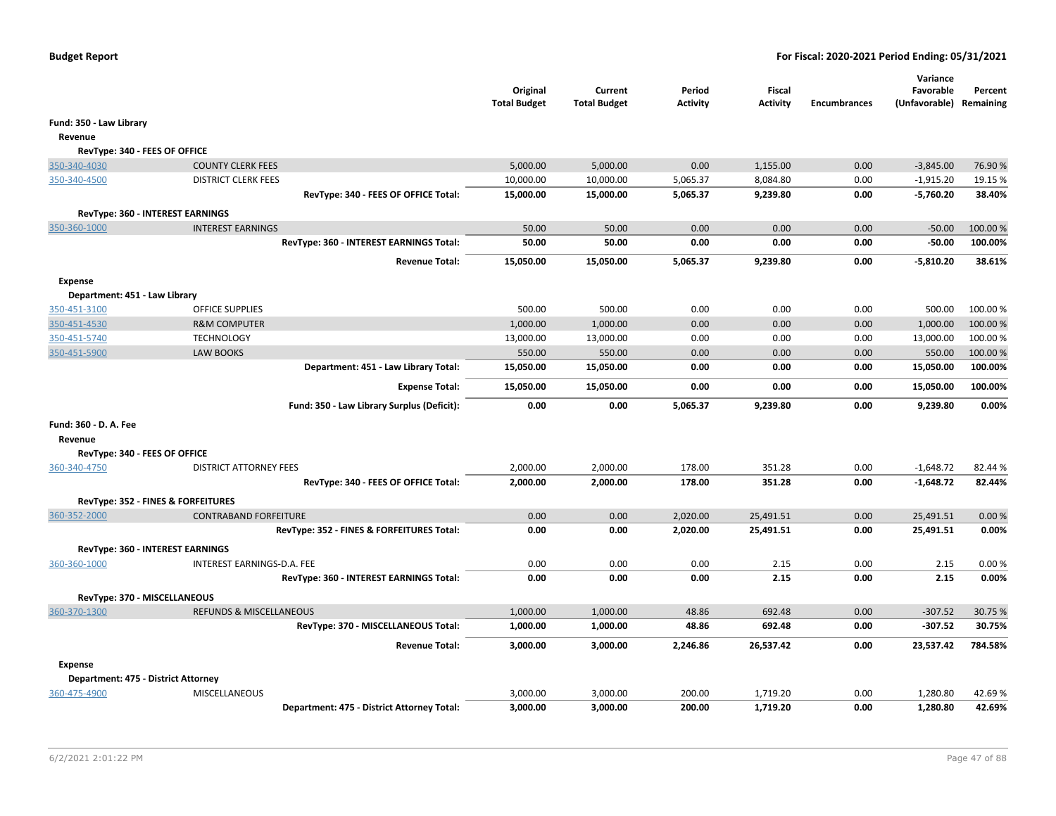|                                     |                                            | Original<br><b>Total Budget</b> | Current<br><b>Total Budget</b> | Period<br>Activity | <b>Fiscal</b><br><b>Activity</b> | <b>Encumbrances</b> | Variance<br>Favorable<br>(Unfavorable) Remaining | Percent  |
|-------------------------------------|--------------------------------------------|---------------------------------|--------------------------------|--------------------|----------------------------------|---------------------|--------------------------------------------------|----------|
| Fund: 350 - Law Library             |                                            |                                 |                                |                    |                                  |                     |                                                  |          |
| Revenue                             |                                            |                                 |                                |                    |                                  |                     |                                                  |          |
| RevType: 340 - FEES OF OFFICE       |                                            |                                 |                                |                    |                                  |                     |                                                  |          |
| 350-340-4030                        | <b>COUNTY CLERK FEES</b>                   | 5,000.00                        | 5,000.00                       | 0.00               | 1,155.00                         | 0.00                | $-3,845.00$                                      | 76.90%   |
| 350-340-4500                        | <b>DISTRICT CLERK FEES</b>                 | 10,000.00                       | 10,000.00                      | 5,065.37           | 8,084.80                         | 0.00                | $-1,915.20$                                      | 19.15 %  |
|                                     | RevType: 340 - FEES OF OFFICE Total:       | 15,000.00                       | 15,000.00                      | 5,065.37           | 9,239.80                         | 0.00                | $-5,760.20$                                      | 38.40%   |
|                                     | RevType: 360 - INTEREST EARNINGS           |                                 |                                |                    |                                  |                     |                                                  |          |
| 350-360-1000                        | <b>INTEREST EARNINGS</b>                   | 50.00                           | 50.00                          | 0.00               | 0.00                             | 0.00                | $-50.00$                                         | 100.00 % |
|                                     | RevType: 360 - INTEREST EARNINGS Total:    | 50.00                           | 50.00                          | 0.00               | 0.00                             | 0.00                | $-50.00$                                         | 100.00%  |
|                                     |                                            |                                 |                                |                    |                                  |                     |                                                  |          |
|                                     | <b>Revenue Total:</b>                      | 15,050.00                       | 15,050.00                      | 5,065.37           | 9,239.80                         | 0.00                | $-5,810.20$                                      | 38.61%   |
| <b>Expense</b>                      |                                            |                                 |                                |                    |                                  |                     |                                                  |          |
| Department: 451 - Law Library       |                                            |                                 |                                |                    |                                  |                     |                                                  |          |
| 350-451-3100                        | <b>OFFICE SUPPLIES</b>                     | 500.00                          | 500.00                         | 0.00               | 0.00                             | 0.00                | 500.00                                           | 100.00 % |
| 350-451-4530                        | <b>R&amp;M COMPUTER</b>                    | 1,000.00                        | 1,000.00                       | 0.00               | 0.00                             | 0.00                | 1,000.00                                         | 100.00%  |
| 350-451-5740                        | <b>TECHNOLOGY</b>                          | 13,000.00                       | 13,000.00                      | 0.00               | 0.00                             | 0.00                | 13,000.00                                        | 100.00%  |
| 350-451-5900                        | <b>LAW BOOKS</b>                           | 550.00                          | 550.00                         | 0.00               | 0.00                             | 0.00                | 550.00                                           | 100.00 % |
|                                     | Department: 451 - Law Library Total:       | 15,050.00                       | 15,050.00                      | 0.00               | 0.00                             | 0.00                | 15,050.00                                        | 100.00%  |
|                                     | <b>Expense Total:</b>                      | 15,050.00                       | 15,050.00                      | 0.00               | 0.00                             | 0.00                | 15,050.00                                        | 100.00%  |
|                                     | Fund: 350 - Law Library Surplus (Deficit): | 0.00                            | 0.00                           | 5,065.37           | 9,239.80                         | 0.00                | 9,239.80                                         | 0.00%    |
| Fund: 360 - D. A. Fee               |                                            |                                 |                                |                    |                                  |                     |                                                  |          |
| Revenue                             |                                            |                                 |                                |                    |                                  |                     |                                                  |          |
| RevType: 340 - FEES OF OFFICE       |                                            |                                 |                                |                    |                                  |                     |                                                  |          |
| 360-340-4750                        | <b>DISTRICT ATTORNEY FEES</b>              | 2,000.00                        | 2,000.00                       | 178.00             | 351.28                           | 0.00                | $-1,648.72$                                      | 82.44 %  |
|                                     | RevType: 340 - FEES OF OFFICE Total:       | 2,000.00                        | 2,000.00                       | 178.00             | 351.28                           | 0.00                | $-1,648.72$                                      | 82.44%   |
|                                     | RevType: 352 - FINES & FORFEITURES         |                                 |                                |                    |                                  |                     |                                                  |          |
| 360-352-2000                        | <b>CONTRABAND FORFEITURE</b>               | 0.00                            | 0.00                           | 2,020.00           | 25,491.51                        | 0.00                | 25,491.51                                        | 0.00%    |
|                                     | RevType: 352 - FINES & FORFEITURES Total:  | 0.00                            | 0.00                           | 2,020.00           | 25,491.51                        | 0.00                | 25,491.51                                        | 0.00%    |
|                                     | RevType: 360 - INTEREST EARNINGS           |                                 |                                |                    |                                  |                     |                                                  |          |
| 360-360-1000                        | INTEREST EARNINGS-D.A. FEE                 | 0.00                            | 0.00                           | 0.00               | 2.15                             | 0.00                | 2.15                                             | 0.00%    |
|                                     | RevType: 360 - INTEREST EARNINGS Total:    | 0.00                            | 0.00                           | 0.00               | 2.15                             | 0.00                | 2.15                                             | 0.00%    |
| RevType: 370 - MISCELLANEOUS        |                                            |                                 |                                |                    |                                  |                     |                                                  |          |
| 360-370-1300                        | <b>REFUNDS &amp; MISCELLANEOUS</b>         | 1,000.00                        | 1,000.00                       | 48.86              | 692.48                           | 0.00                | $-307.52$                                        | 30.75 %  |
|                                     | RevType: 370 - MISCELLANEOUS Total:        | 1,000.00                        | 1,000.00                       | 48.86              | 692.48                           | 0.00                | $-307.52$                                        | 30.75%   |
|                                     |                                            |                                 |                                |                    |                                  |                     |                                                  |          |
|                                     | <b>Revenue Total:</b>                      | 3,000.00                        | 3,000.00                       | 2,246.86           | 26,537.42                        | 0.00                | 23,537.42                                        | 784.58%  |
| <b>Expense</b>                      |                                            |                                 |                                |                    |                                  |                     |                                                  |          |
| Department: 475 - District Attorney |                                            |                                 |                                |                    |                                  |                     |                                                  |          |
| 360-475-4900                        | <b>MISCELLANEOUS</b>                       | 3,000.00                        | 3,000.00                       | 200.00             | 1,719.20                         | 0.00                | 1,280.80                                         | 42.69%   |
|                                     | Department: 475 - District Attorney Total: | 3,000.00                        | 3,000.00                       | 200.00             | 1,719.20                         | 0.00                | 1,280.80                                         | 42.69%   |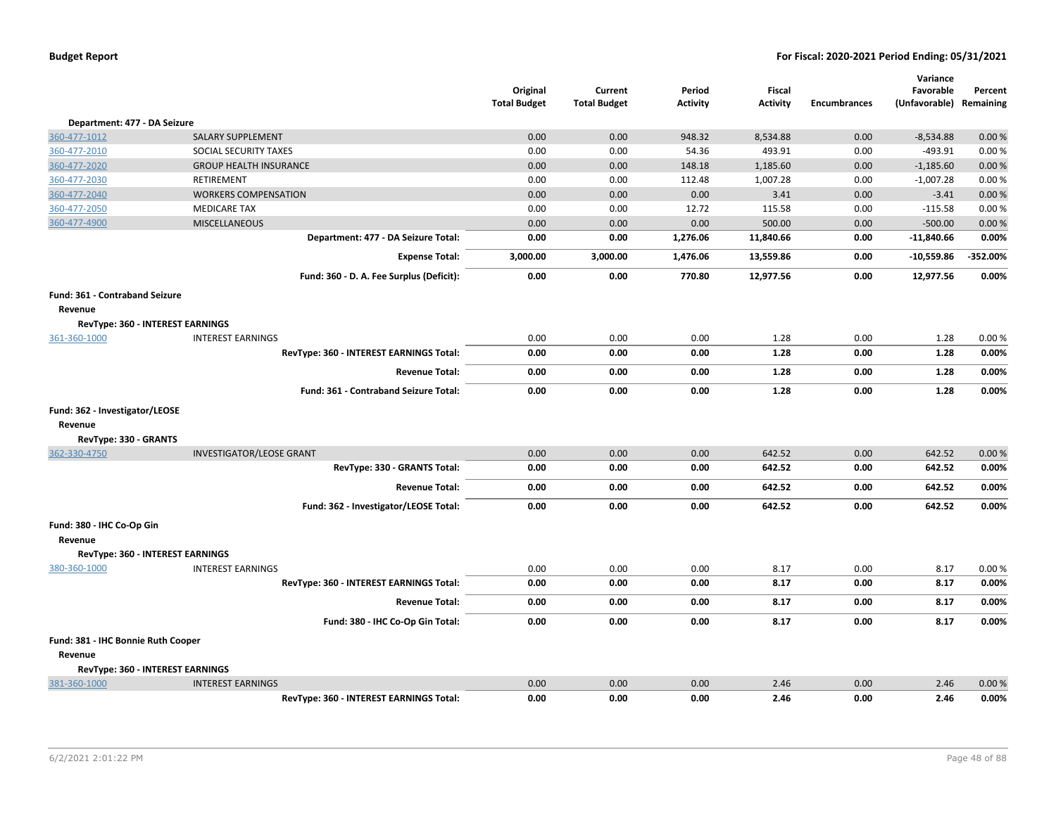|                                       |                                          | Original<br><b>Total Budget</b> | Current<br><b>Total Budget</b> | Period<br><b>Activity</b> | Fiscal<br><b>Activity</b> | <b>Encumbrances</b> | Variance<br>Favorable<br>(Unfavorable) Remaining | Percent  |
|---------------------------------------|------------------------------------------|---------------------------------|--------------------------------|---------------------------|---------------------------|---------------------|--------------------------------------------------|----------|
| Department: 477 - DA Seizure          |                                          |                                 |                                |                           |                           |                     |                                                  |          |
| 360-477-1012                          | <b>SALARY SUPPLEMENT</b>                 | 0.00                            | 0.00                           | 948.32                    | 8,534.88                  | 0.00                | $-8,534.88$                                      | 0.00%    |
| 360-477-2010                          | SOCIAL SECURITY TAXES                    | 0.00                            | 0.00                           | 54.36                     | 493.91                    | 0.00                | $-493.91$                                        | 0.00%    |
| 360-477-2020                          | <b>GROUP HEALTH INSURANCE</b>            | 0.00                            | 0.00                           | 148.18                    | 1,185.60                  | 0.00                | $-1,185.60$                                      | 0.00%    |
| 360-477-2030                          | RETIREMENT                               | 0.00                            | 0.00                           | 112.48                    | 1,007.28                  | 0.00                | $-1,007.28$                                      | 0.00%    |
| 360-477-2040                          | <b>WORKERS COMPENSATION</b>              | 0.00                            | 0.00                           | 0.00                      | 3.41                      | 0.00                | $-3.41$                                          | 0.00 %   |
| 360-477-2050                          | <b>MEDICARE TAX</b>                      | 0.00                            | 0.00                           | 12.72                     | 115.58                    | 0.00                | $-115.58$                                        | 0.00%    |
| 360-477-4900                          | <b>MISCELLANEOUS</b>                     | 0.00                            | 0.00                           | 0.00                      | 500.00                    | 0.00                | $-500.00$                                        | 0.00%    |
|                                       | Department: 477 - DA Seizure Total:      | 0.00                            | 0.00                           | 1,276.06                  | 11,840.66                 | 0.00                | $-11,840.66$                                     | 0.00%    |
|                                       | <b>Expense Total:</b>                    | 3,000.00                        | 3,000.00                       | 1,476.06                  | 13,559.86                 | 0.00                | $-10,559.86$                                     | -352.00% |
|                                       | Fund: 360 - D. A. Fee Surplus (Deficit): | 0.00                            | 0.00                           | 770.80                    | 12,977.56                 | 0.00                | 12,977.56                                        | 0.00%    |
| <b>Fund: 361 - Contraband Seizure</b> |                                          |                                 |                                |                           |                           |                     |                                                  |          |
| Revenue                               |                                          |                                 |                                |                           |                           |                     |                                                  |          |
|                                       | RevType: 360 - INTEREST EARNINGS         |                                 |                                |                           |                           |                     |                                                  |          |
| 361-360-1000                          | <b>INTEREST EARNINGS</b>                 | 0.00                            | 0.00                           | 0.00                      | 1.28                      | 0.00                | 1.28                                             | 0.00%    |
|                                       | RevType: 360 - INTEREST EARNINGS Total:  | 0.00                            | 0.00                           | 0.00                      | 1.28                      | 0.00                | 1.28                                             | 0.00%    |
|                                       | <b>Revenue Total:</b>                    | 0.00                            | 0.00                           | 0.00                      | 1.28                      | 0.00                | 1.28                                             | 0.00%    |
|                                       | Fund: 361 - Contraband Seizure Total:    | 0.00                            | 0.00                           | 0.00                      | 1.28                      | 0.00                | 1.28                                             | 0.00%    |
| Fund: 362 - Investigator/LEOSE        |                                          |                                 |                                |                           |                           |                     |                                                  |          |
| Revenue                               |                                          |                                 |                                |                           |                           |                     |                                                  |          |
| RevType: 330 - GRANTS                 |                                          |                                 |                                |                           |                           |                     |                                                  |          |
| 362-330-4750                          | <b>INVESTIGATOR/LEOSE GRANT</b>          | 0.00                            | 0.00                           | 0.00                      | 642.52                    | 0.00                | 642.52                                           | 0.00%    |
|                                       | RevType: 330 - GRANTS Total:             | 0.00                            | 0.00                           | 0.00                      | 642.52                    | 0.00                | 642.52                                           | 0.00%    |
|                                       | <b>Revenue Total:</b>                    | 0.00                            | 0.00                           | 0.00                      | 642.52                    | 0.00                | 642.52                                           | 0.00%    |
|                                       | Fund: 362 - Investigator/LEOSE Total:    | 0.00                            | 0.00                           | 0.00                      | 642.52                    | 0.00                | 642.52                                           | 0.00%    |
| Fund: 380 - IHC Co-Op Gin             |                                          |                                 |                                |                           |                           |                     |                                                  |          |
| Revenue                               |                                          |                                 |                                |                           |                           |                     |                                                  |          |
|                                       | RevType: 360 - INTEREST EARNINGS         |                                 |                                |                           |                           |                     |                                                  |          |
| 380-360-1000                          | <b>INTEREST EARNINGS</b>                 | 0.00                            | 0.00                           | 0.00                      | 8.17                      | 0.00                | 8.17                                             | 0.00%    |
|                                       | RevType: 360 - INTEREST EARNINGS Total:  | 0.00                            | 0.00                           | 0.00                      | 8.17                      | 0.00                | 8.17                                             | 0.00%    |
|                                       | <b>Revenue Total:</b>                    | 0.00                            | 0.00                           | 0.00                      | 8.17                      | 0.00                | 8.17                                             | 0.00%    |
|                                       | Fund: 380 - IHC Co-Op Gin Total:         | 0.00                            | 0.00                           | 0.00                      | 8.17                      | 0.00                | 8.17                                             | 0.00%    |
| Fund: 381 - IHC Bonnie Ruth Cooper    |                                          |                                 |                                |                           |                           |                     |                                                  |          |
| Revenue                               |                                          |                                 |                                |                           |                           |                     |                                                  |          |
|                                       | RevType: 360 - INTEREST EARNINGS         |                                 |                                |                           |                           |                     |                                                  |          |
| 381-360-1000                          | <b>INTEREST EARNINGS</b>                 | 0.00                            | 0.00                           | 0.00                      | 2.46                      | 0.00                | 2.46                                             | 0.00%    |
|                                       | RevType: 360 - INTEREST EARNINGS Total:  | 0.00                            | 0.00                           | 0.00                      | 2.46                      | 0.00                | 2.46                                             | 0.00%    |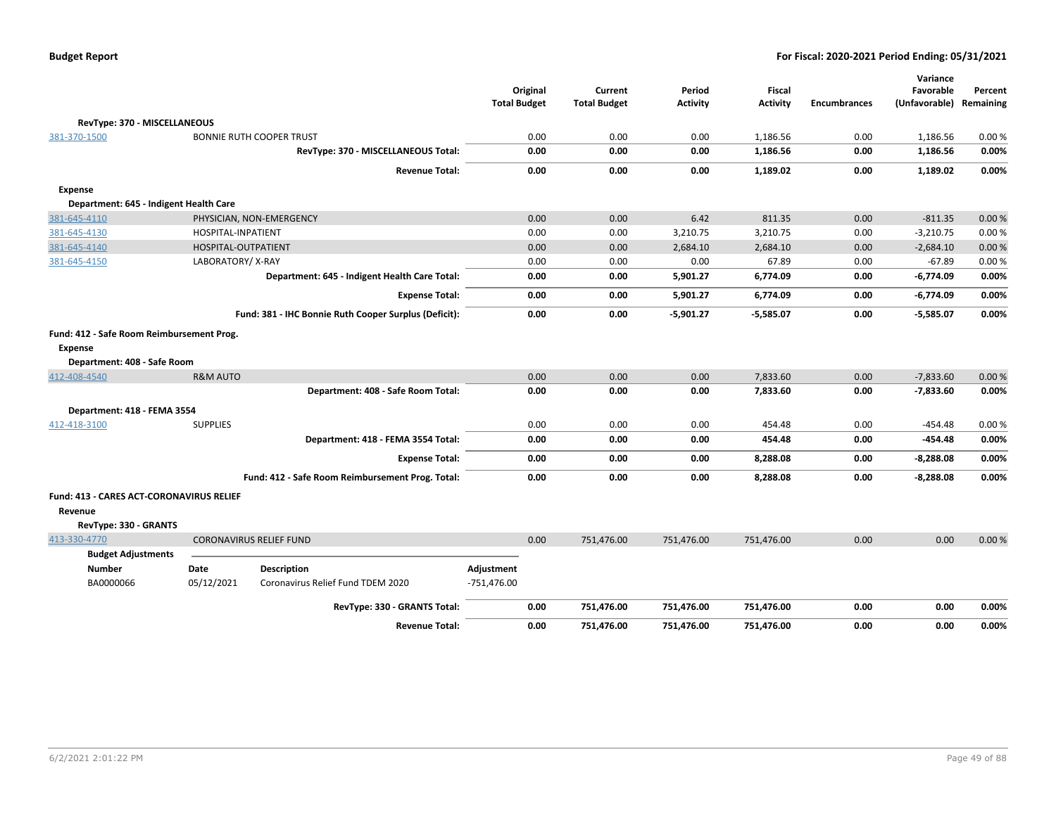| <b>Budget Report</b> |  |
|----------------------|--|
|----------------------|--|

|                                                                                            |                     |                                                       | <b>Total Budget</b> | Original | Current<br><b>Total Budget</b> | Period<br><b>Activity</b> | Fiscal<br><b>Activity</b> | <b>Encumbrances</b> | Variance<br>Favorable<br>(Unfavorable) | Percent<br>Remaining |
|--------------------------------------------------------------------------------------------|---------------------|-------------------------------------------------------|---------------------|----------|--------------------------------|---------------------------|---------------------------|---------------------|----------------------------------------|----------------------|
| RevType: 370 - MISCELLANEOUS                                                               |                     |                                                       |                     |          |                                |                           |                           |                     |                                        |                      |
| 381-370-1500                                                                               |                     | <b>BONNIE RUTH COOPER TRUST</b>                       |                     | 0.00     | 0.00                           | 0.00                      | 1,186.56                  | 0.00                | 1,186.56                               | 0.00%                |
|                                                                                            |                     | RevType: 370 - MISCELLANEOUS Total:                   |                     | 0.00     | 0.00                           | 0.00                      | 1,186.56                  | 0.00                | 1,186.56                               | 0.00%                |
|                                                                                            |                     | <b>Revenue Total:</b>                                 |                     | 0.00     | 0.00                           | 0.00                      | 1,189.02                  | 0.00                | 1,189.02                               | 0.00%                |
| Expense                                                                                    |                     |                                                       |                     |          |                                |                           |                           |                     |                                        |                      |
| Department: 645 - Indigent Health Care                                                     |                     |                                                       |                     |          |                                |                           |                           |                     |                                        |                      |
| 381-645-4110                                                                               |                     | PHYSICIAN, NON-EMERGENCY                              |                     | 0.00     | 0.00                           | 6.42                      | 811.35                    | 0.00                | $-811.35$                              | 0.00%                |
| 381-645-4130                                                                               | HOSPITAL-INPATIENT  |                                                       |                     | 0.00     | 0.00                           | 3,210.75                  | 3,210.75                  | 0.00                | $-3,210.75$                            | 0.00%                |
| 381-645-4140                                                                               | HOSPITAL-OUTPATIENT |                                                       |                     | 0.00     | 0.00                           | 2,684.10                  | 2,684.10                  | 0.00                | $-2,684.10$                            | 0.00%                |
| 381-645-4150                                                                               | LABORATORY/X-RAY    |                                                       |                     | 0.00     | 0.00                           | 0.00                      | 67.89                     | 0.00                | $-67.89$                               | 0.00%                |
|                                                                                            |                     | Department: 645 - Indigent Health Care Total:         |                     | 0.00     | 0.00                           | 5,901.27                  | 6,774.09                  | 0.00                | $-6,774.09$                            | 0.00%                |
|                                                                                            |                     | <b>Expense Total:</b>                                 |                     | 0.00     | 0.00                           | 5,901.27                  | 6,774.09                  | 0.00                | $-6,774.09$                            | 0.00%                |
|                                                                                            |                     | Fund: 381 - IHC Bonnie Ruth Cooper Surplus (Deficit): |                     | 0.00     | 0.00                           | $-5,901.27$               | $-5,585.07$               | 0.00                | $-5,585.07$                            | 0.00%                |
| Fund: 412 - Safe Room Reimbursement Prog.<br><b>Expense</b><br>Department: 408 - Safe Room |                     |                                                       |                     |          |                                |                           |                           |                     |                                        |                      |
| 412-408-4540                                                                               | <b>R&amp;M AUTO</b> |                                                       |                     | 0.00     | 0.00                           | 0.00                      | 7,833.60                  | 0.00                | $-7,833.60$                            | 0.00%                |
|                                                                                            |                     | Department: 408 - Safe Room Total:                    |                     | 0.00     | 0.00                           | 0.00                      | 7,833.60                  | 0.00                | $-7,833.60$                            | 0.00%                |
| Department: 418 - FEMA 3554                                                                |                     |                                                       |                     |          |                                |                           |                           |                     |                                        |                      |
| 412-418-3100                                                                               | <b>SUPPLIES</b>     |                                                       |                     | 0.00     | 0.00                           | 0.00                      | 454.48                    | 0.00                | $-454.48$                              | 0.00%                |
|                                                                                            |                     | Department: 418 - FEMA 3554 Total:                    |                     | 0.00     | 0.00                           | 0.00                      | 454.48                    | 0.00                | -454.48                                | 0.00%                |
|                                                                                            |                     | <b>Expense Total:</b>                                 |                     | 0.00     | 0.00                           | 0.00                      | 8,288.08                  | 0.00                | $-8,288.08$                            | 0.00%                |
|                                                                                            |                     | Fund: 412 - Safe Room Reimbursement Prog. Total:      |                     | 0.00     | 0.00                           | 0.00                      | 8,288.08                  | 0.00                | $-8,288.08$                            | 0.00%                |
| Fund: 413 - CARES ACT-CORONAVIRUS RELIEF<br>Revenue<br>RevType: 330 - GRANTS               |                     |                                                       |                     |          |                                |                           |                           |                     |                                        |                      |
| 413-330-4770                                                                               |                     | <b>CORONAVIRUS RELIEF FUND</b>                        |                     | 0.00     | 751,476.00                     | 751,476.00                | 751,476.00                | 0.00                | 0.00                                   | 0.00%                |
| <b>Budget Adjustments</b>                                                                  |                     |                                                       |                     |          |                                |                           |                           |                     |                                        |                      |
| <b>Number</b>                                                                              | Date                | Description                                           | Adjustment          |          |                                |                           |                           |                     |                                        |                      |
| BA0000066                                                                                  | 05/12/2021          | Coronavirus Relief Fund TDEM 2020                     | $-751,476.00$       |          |                                |                           |                           |                     |                                        |                      |
|                                                                                            |                     | RevType: 330 - GRANTS Total:                          |                     | 0.00     | 751,476.00                     | 751,476.00                | 751,476.00                | 0.00                | 0.00                                   | 0.00%                |
|                                                                                            |                     | <b>Revenue Total:</b>                                 |                     | 0.00     | 751,476.00                     | 751,476.00                | 751,476.00                | 0.00                | 0.00                                   | 0.00%                |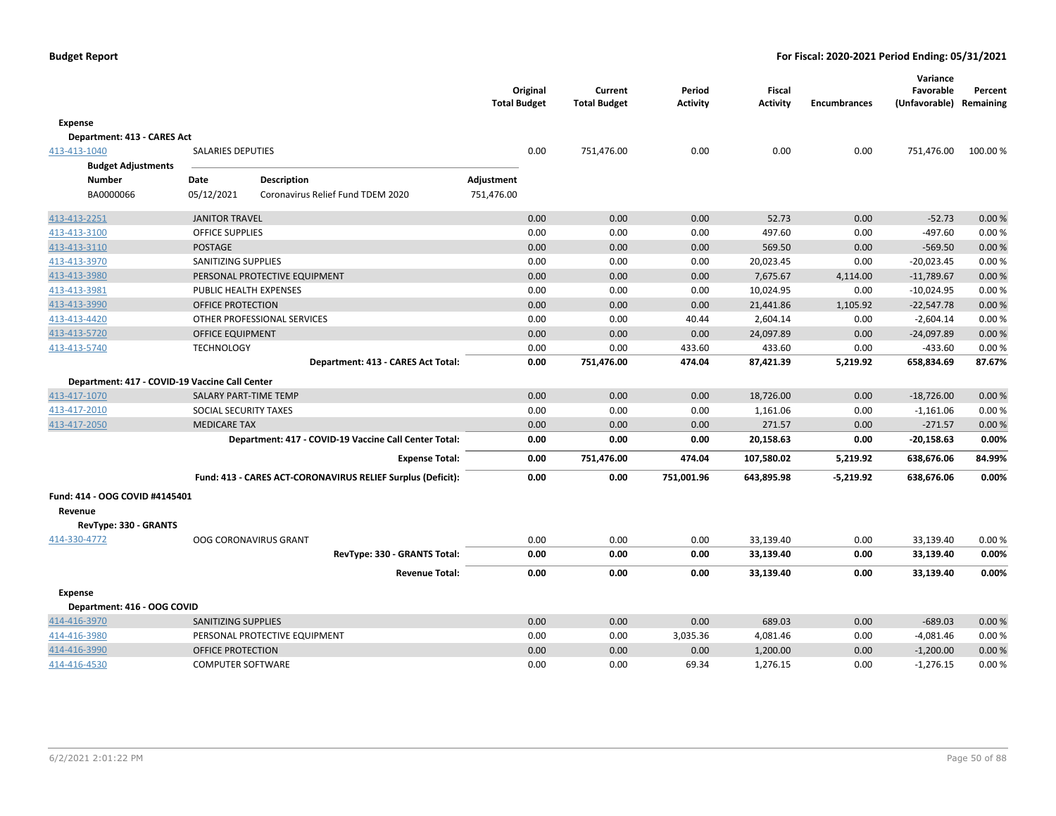|                                                |                          |                                                             | <b>Total Budget</b>   | Original | Current<br><b>Total Budget</b> | Period<br><b>Activity</b> | <b>Fiscal</b><br><b>Activity</b> | <b>Encumbrances</b> | Variance<br>Favorable<br>(Unfavorable) | Percent<br>Remaining |
|------------------------------------------------|--------------------------|-------------------------------------------------------------|-----------------------|----------|--------------------------------|---------------------------|----------------------------------|---------------------|----------------------------------------|----------------------|
| Expense                                        |                          |                                                             |                       |          |                                |                           |                                  |                     |                                        |                      |
| Department: 413 - CARES Act                    |                          |                                                             |                       |          |                                |                           |                                  |                     |                                        |                      |
| 413-413-1040                                   | <b>SALARIES DEPUTIES</b> |                                                             |                       | 0.00     | 751,476.00                     | 0.00                      | 0.00                             | 0.00                | 751,476.00                             | 100.00 %             |
| <b>Budget Adjustments</b>                      |                          |                                                             |                       |          |                                |                           |                                  |                     |                                        |                      |
| <b>Number</b>                                  | Date                     | <b>Description</b>                                          | Adjustment            |          |                                |                           |                                  |                     |                                        |                      |
| BA0000066                                      | 05/12/2021               | Coronavirus Relief Fund TDEM 2020                           | 751,476.00            |          |                                |                           |                                  |                     |                                        |                      |
| 413-413-2251                                   | <b>JANITOR TRAVEL</b>    |                                                             |                       | 0.00     | 0.00                           | 0.00                      | 52.73                            | 0.00                | $-52.73$                               | 0.00%                |
| 413-413-3100                                   | <b>OFFICE SUPPLIES</b>   |                                                             |                       | 0.00     | 0.00                           | 0.00                      | 497.60                           | 0.00                | $-497.60$                              | 0.00%                |
| 413-413-3110                                   | <b>POSTAGE</b>           |                                                             |                       | 0.00     | 0.00                           | 0.00                      | 569.50                           | 0.00                | $-569.50$                              | 0.00%                |
| 413-413-3970                                   | SANITIZING SUPPLIES      |                                                             |                       | 0.00     | 0.00                           | 0.00                      | 20,023.45                        | 0.00                | $-20,023.45$                           | 0.00%                |
| 413-413-3980                                   |                          | PERSONAL PROTECTIVE EQUIPMENT                               |                       | 0.00     | 0.00                           | 0.00                      | 7,675.67                         | 4,114.00            | $-11,789.67$                           | 0.00%                |
| 413-413-3981                                   | PUBLIC HEALTH EXPENSES   |                                                             |                       | 0.00     | 0.00                           | 0.00                      | 10,024.95                        | 0.00                | $-10,024.95$                           | 0.00%                |
| 413-413-3990                                   | OFFICE PROTECTION        |                                                             |                       | 0.00     | 0.00                           | 0.00                      | 21,441.86                        | 1,105.92            | $-22,547.78$                           | 0.00%                |
| 413-413-4420                                   |                          | OTHER PROFESSIONAL SERVICES                                 |                       | 0.00     | 0.00                           | 40.44                     | 2,604.14                         | 0.00                | $-2,604.14$                            | 0.00%                |
| 413-413-5720                                   | <b>OFFICE EQUIPMENT</b>  |                                                             |                       | 0.00     | 0.00                           | 0.00                      | 24,097.89                        | 0.00                | $-24,097.89$                           | 0.00%                |
| 413-413-5740                                   | <b>TECHNOLOGY</b>        |                                                             |                       | 0.00     | 0.00                           | 433.60                    | 433.60                           | 0.00                | $-433.60$                              | 0.00%                |
|                                                |                          | Department: 413 - CARES Act Total:                          |                       | 0.00     | 751,476.00                     | 474.04                    | 87,421.39                        | 5,219.92            | 658,834.69                             | 87.67%               |
| Department: 417 - COVID-19 Vaccine Call Center |                          |                                                             |                       |          |                                |                           |                                  |                     |                                        |                      |
| 413-417-1070                                   | SALARY PART-TIME TEMP    |                                                             |                       | 0.00     | 0.00                           | 0.00                      | 18,726.00                        | 0.00                | $-18,726.00$                           | 0.00%                |
| 413-417-2010                                   | SOCIAL SECURITY TAXES    |                                                             |                       | 0.00     | 0.00                           | 0.00                      | 1,161.06                         | 0.00                | $-1,161.06$                            | 0.00%                |
| 413-417-2050                                   | <b>MEDICARE TAX</b>      |                                                             |                       | 0.00     | 0.00                           | 0.00                      | 271.57                           | 0.00                | $-271.57$                              | 0.00 %               |
|                                                |                          | Department: 417 - COVID-19 Vaccine Call Center Total:       |                       | 0.00     | 0.00                           | 0.00                      | 20,158.63                        | 0.00                | $-20,158.63$                           | 0.00%                |
|                                                |                          |                                                             | <b>Expense Total:</b> | 0.00     | 751,476.00                     | 474.04                    | 107,580.02                       | 5,219.92            | 638,676.06                             | 84.99%               |
|                                                |                          | Fund: 413 - CARES ACT-CORONAVIRUS RELIEF Surplus (Deficit): |                       | 0.00     | 0.00                           | 751,001.96                | 643,895.98                       | $-5,219.92$         | 638,676.06                             | 0.00%                |
| Fund: 414 - OOG COVID #4145401                 |                          |                                                             |                       |          |                                |                           |                                  |                     |                                        |                      |
| Revenue                                        |                          |                                                             |                       |          |                                |                           |                                  |                     |                                        |                      |
| RevType: 330 - GRANTS                          |                          |                                                             |                       |          |                                |                           |                                  |                     |                                        |                      |
| 414-330-4772                                   |                          | <b>OOG CORONAVIRUS GRANT</b>                                |                       | 0.00     | 0.00                           | 0.00                      | 33,139.40                        | 0.00                | 33,139.40                              | 0.00%                |
|                                                |                          | RevType: 330 - GRANTS Total:                                |                       | 0.00     | 0.00                           | 0.00                      | 33,139.40                        | 0.00                | 33,139.40                              | 0.00%                |
|                                                |                          |                                                             | <b>Revenue Total:</b> | 0.00     | 0.00                           | 0.00                      | 33,139.40                        | 0.00                | 33,139.40                              | 0.00%                |
| <b>Expense</b>                                 |                          |                                                             |                       |          |                                |                           |                                  |                     |                                        |                      |
| Department: 416 - OOG COVID                    |                          |                                                             |                       |          |                                |                           |                                  |                     |                                        |                      |
| 414-416-3970                                   | SANITIZING SUPPLIES      |                                                             |                       | 0.00     | 0.00                           | 0.00                      | 689.03                           | 0.00                | $-689.03$                              | 0.00%                |
| 414-416-3980                                   |                          | PERSONAL PROTECTIVE EQUIPMENT                               |                       | 0.00     | 0.00                           | 3,035.36                  | 4,081.46                         | 0.00                | $-4,081.46$                            | 0.00%                |
| 414-416-3990                                   | OFFICE PROTECTION        |                                                             |                       | 0.00     | 0.00                           | 0.00                      | 1,200.00                         | 0.00                | $-1,200.00$                            | 0.00%                |
| 414-416-4530                                   | <b>COMPUTER SOFTWARE</b> |                                                             |                       | 0.00     | 0.00                           | 69.34                     | 1,276.15                         | 0.00                | $-1,276.15$                            | 0.00%                |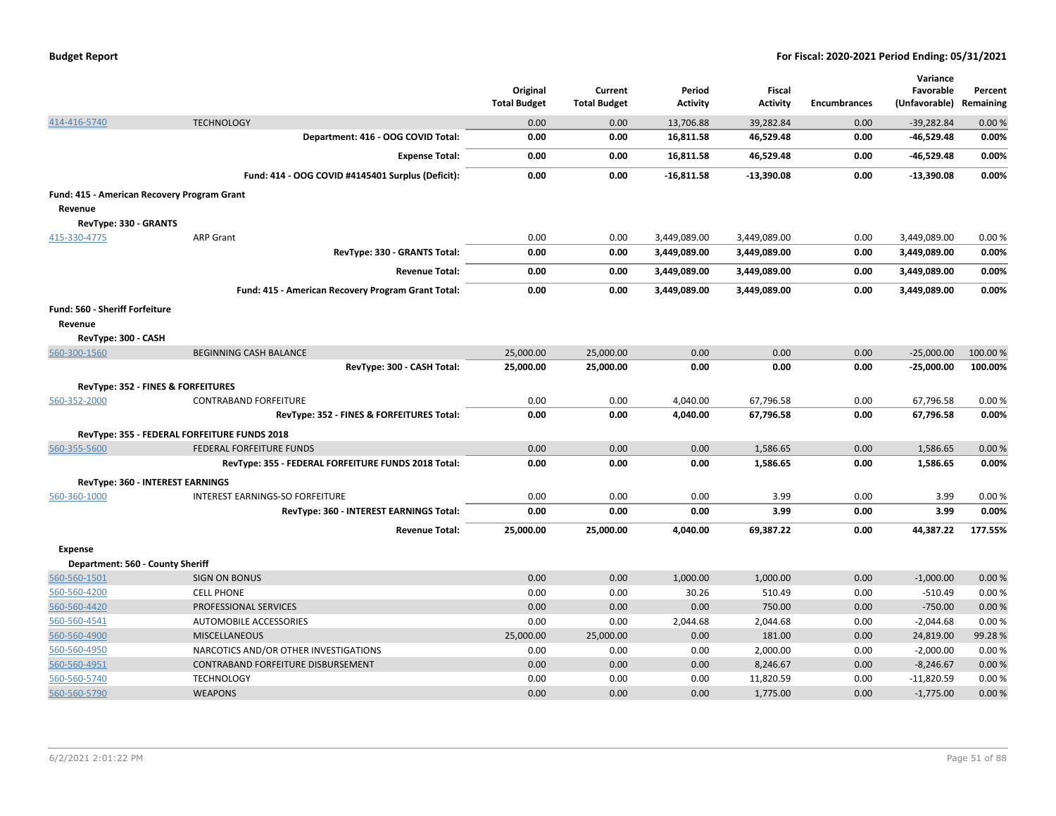|                                                        |                                                     | Original<br><b>Total Budget</b> | Current<br><b>Total Budget</b> | Period<br><b>Activity</b> | <b>Fiscal</b><br><b>Activity</b> | <b>Encumbrances</b> | Variance<br>Favorable<br>(Unfavorable) Remaining | Percent  |
|--------------------------------------------------------|-----------------------------------------------------|---------------------------------|--------------------------------|---------------------------|----------------------------------|---------------------|--------------------------------------------------|----------|
| 414-416-5740                                           | <b>TECHNOLOGY</b>                                   | 0.00                            | 0.00                           | 13,706.88                 | 39,282.84                        | 0.00                | $-39,282.84$                                     | 0.00%    |
|                                                        | Department: 416 - OOG COVID Total:                  | 0.00                            | 0.00                           | 16,811.58                 | 46,529.48                        | 0.00                | $-46,529.48$                                     | 0.00%    |
|                                                        | <b>Expense Total:</b>                               | 0.00                            | 0.00                           | 16,811.58                 | 46,529.48                        | 0.00                | -46,529.48                                       | 0.00%    |
|                                                        | Fund: 414 - OOG COVID #4145401 Surplus (Deficit):   | 0.00                            | 0.00                           | $-16,811.58$              | $-13,390.08$                     | 0.00                | $-13,390.08$                                     | 0.00%    |
| Fund: 415 - American Recovery Program Grant<br>Revenue |                                                     |                                 |                                |                           |                                  |                     |                                                  |          |
| RevType: 330 - GRANTS                                  |                                                     |                                 |                                |                           |                                  |                     |                                                  |          |
| 415-330-4775                                           | <b>ARP Grant</b>                                    | 0.00                            | 0.00                           | 3,449,089.00              | 3,449,089.00                     | 0.00                | 3,449,089.00                                     | 0.00%    |
|                                                        | RevType: 330 - GRANTS Total:                        | 0.00                            | 0.00                           | 3,449,089.00              | 3,449,089.00                     | 0.00                | 3,449,089.00                                     | 0.00%    |
|                                                        | <b>Revenue Total:</b>                               | 0.00                            | 0.00                           | 3,449,089.00              | 3,449,089.00                     | 0.00                | 3,449,089.00                                     | 0.00%    |
|                                                        | Fund: 415 - American Recovery Program Grant Total:  | 0.00                            | 0.00                           | 3,449,089.00              | 3,449,089.00                     | 0.00                | 3,449,089.00                                     | 0.00%    |
| Fund: 560 - Sheriff Forfeiture                         |                                                     |                                 |                                |                           |                                  |                     |                                                  |          |
| Revenue                                                |                                                     |                                 |                                |                           |                                  |                     |                                                  |          |
| RevType: 300 - CASH                                    |                                                     |                                 |                                |                           |                                  |                     |                                                  |          |
| 560-300-1560                                           | <b>BEGINNING CASH BALANCE</b>                       | 25,000.00                       | 25,000.00                      | 0.00                      | 0.00                             | 0.00                | $-25,000.00$                                     | 100.00 % |
|                                                        | RevType: 300 - CASH Total:                          | 25,000.00                       | 25,000.00                      | 0.00                      | 0.00                             | 0.00                | $-25,000.00$                                     | 100.00%  |
|                                                        | <b>RevType: 352 - FINES &amp; FORFEITURES</b>       |                                 |                                |                           |                                  |                     |                                                  |          |
| 560-352-2000                                           | <b>CONTRABAND FORFEITURE</b>                        | 0.00                            | 0.00                           | 4,040.00                  | 67,796.58                        | 0.00                | 67,796.58                                        | 0.00%    |
|                                                        | RevType: 352 - FINES & FORFEITURES Total:           | 0.00                            | 0.00                           | 4,040.00                  | 67,796.58                        | 0.00                | 67,796.58                                        | 0.00%    |
|                                                        | RevType: 355 - FEDERAL FORFEITURE FUNDS 2018        |                                 |                                |                           |                                  |                     |                                                  |          |
| 560-355-5600                                           | <b>FEDERAL FORFEITURE FUNDS</b>                     | 0.00                            | 0.00                           | 0.00                      | 1,586.65                         | 0.00                | 1,586.65                                         | 0.00%    |
|                                                        | RevType: 355 - FEDERAL FORFEITURE FUNDS 2018 Total: | 0.00                            | 0.00                           | 0.00                      | 1,586.65                         | 0.00                | 1,586.65                                         | 0.00%    |
|                                                        | <b>RevType: 360 - INTEREST EARNINGS</b>             |                                 |                                |                           |                                  |                     |                                                  |          |
| 560-360-1000                                           | INTEREST EARNINGS-SO FORFEITURE                     | 0.00                            | 0.00                           | 0.00                      | 3.99                             | 0.00                | 3.99                                             | 0.00%    |
|                                                        | RevType: 360 - INTEREST EARNINGS Total:             | 0.00                            | 0.00                           | 0.00                      | 3.99                             | 0.00                | 3.99                                             | 0.00%    |
|                                                        | <b>Revenue Total:</b>                               | 25,000.00                       | 25,000.00                      | 4,040.00                  | 69,387.22                        | 0.00                | 44,387.22                                        | 177.55%  |
| <b>Expense</b>                                         |                                                     |                                 |                                |                           |                                  |                     |                                                  |          |
| Department: 560 - County Sheriff                       |                                                     |                                 |                                |                           |                                  |                     |                                                  |          |
| 560-560-1501                                           | <b>SIGN ON BONUS</b>                                | 0.00                            | 0.00                           | 1,000.00                  | 1,000.00                         | 0.00                | $-1,000.00$                                      | 0.00%    |
| 560-560-4200                                           | <b>CELL PHONE</b>                                   | 0.00                            | 0.00                           | 30.26                     | 510.49                           | 0.00                | $-510.49$                                        | 0.00%    |
| 560-560-4420                                           | PROFESSIONAL SERVICES                               | 0.00                            | 0.00                           | 0.00                      | 750.00                           | 0.00                | $-750.00$                                        | 0.00%    |
| 560-560-4541                                           | AUTOMOBILE ACCESSORIES                              | 0.00                            | 0.00                           | 2,044.68                  | 2,044.68                         | 0.00                | $-2,044.68$                                      | 0.00%    |
| 560-560-4900                                           | <b>MISCELLANEOUS</b>                                | 25,000.00                       | 25,000.00                      | 0.00                      | 181.00                           | 0.00                | 24,819.00                                        | 99.28%   |
| 560-560-4950                                           | NARCOTICS AND/OR OTHER INVESTIGATIONS               | 0.00                            | 0.00                           | 0.00                      | 2,000.00                         | 0.00                | $-2,000.00$                                      | 0.00%    |
| 560-560-4951                                           | <b>CONTRABAND FORFEITURE DISBURSEMENT</b>           | 0.00                            | 0.00                           | 0.00                      | 8,246.67                         | 0.00                | $-8,246.67$                                      | 0.00%    |
| 560-560-5740                                           | <b>TECHNOLOGY</b>                                   | 0.00                            | 0.00                           | 0.00                      | 11,820.59                        | 0.00                | $-11,820.59$                                     | 0.00%    |
| 560-560-5790                                           | <b>WEAPONS</b>                                      | 0.00                            | 0.00                           | 0.00                      | 1,775.00                         | 0.00                | $-1,775.00$                                      | 0.00%    |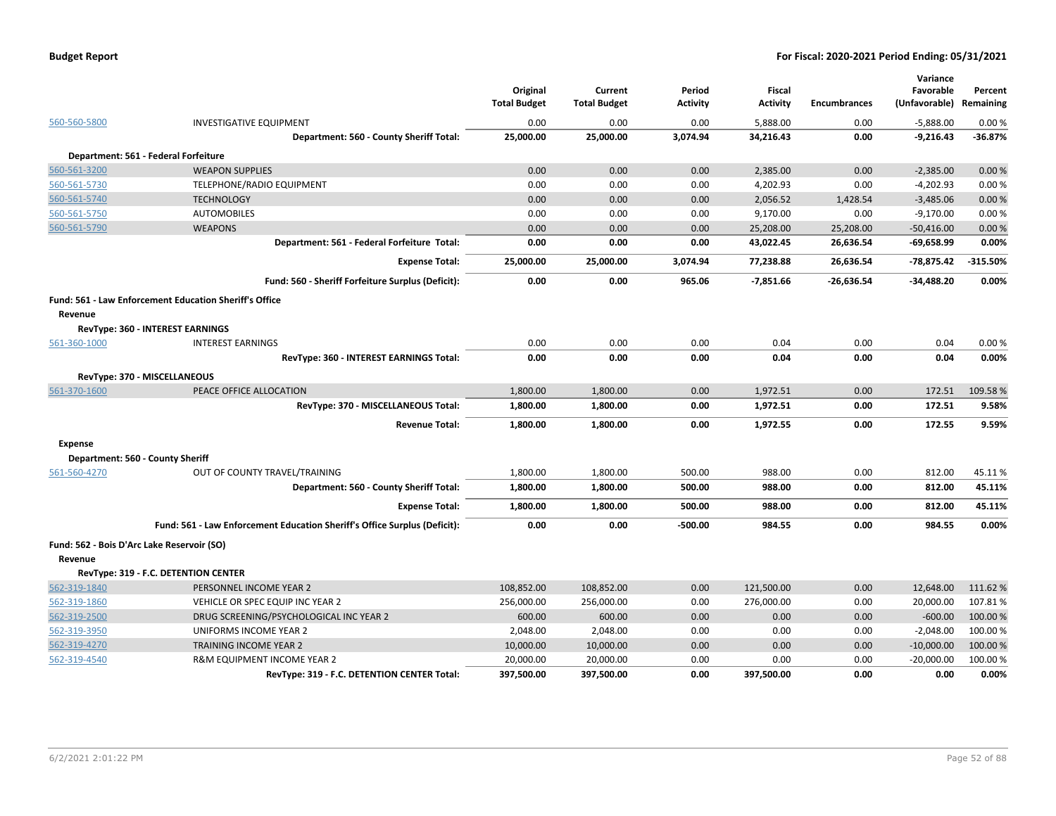|                |                                                                           | Original<br><b>Total Budget</b> | Current<br><b>Total Budget</b> | Period<br><b>Activity</b> | <b>Fiscal</b><br><b>Activity</b> | <b>Encumbrances</b> | Variance<br>Favorable<br>(Unfavorable) | Percent<br>Remaining |
|----------------|---------------------------------------------------------------------------|---------------------------------|--------------------------------|---------------------------|----------------------------------|---------------------|----------------------------------------|----------------------|
| 560-560-5800   | <b>INVESTIGATIVE EQUIPMENT</b>                                            | 0.00                            | 0.00                           | 0.00                      | 5,888.00                         | 0.00                | $-5,888.00$                            | 0.00%                |
|                | Department: 560 - County Sheriff Total:                                   | 25,000.00                       | 25,000.00                      | 3,074.94                  | 34,216.43                        | 0.00                | $-9,216.43$                            | $-36.87%$            |
|                | Department: 561 - Federal Forfeiture                                      |                                 |                                |                           |                                  |                     |                                        |                      |
| 560-561-3200   | <b>WEAPON SUPPLIES</b>                                                    | 0.00                            | 0.00                           | 0.00                      | 2.385.00                         | 0.00                | $-2,385.00$                            | 0.00%                |
| 560-561-5730   | TELEPHONE/RADIO EQUIPMENT                                                 | 0.00                            | 0.00                           | 0.00                      | 4,202.93                         | 0.00                | $-4,202.93$                            | 0.00%                |
| 560-561-5740   | <b>TECHNOLOGY</b>                                                         | 0.00                            | 0.00                           | 0.00                      | 2,056.52                         | 1,428.54            | $-3,485.06$                            | 0.00%                |
| 560-561-5750   | <b>AUTOMOBILES</b>                                                        | 0.00                            | 0.00                           | 0.00                      | 9,170.00                         | 0.00                | $-9,170.00$                            | 0.00%                |
| 560-561-5790   | <b>WEAPONS</b>                                                            | 0.00                            | 0.00                           | 0.00                      | 25,208.00                        | 25,208.00           | $-50,416.00$                           | 0.00%                |
|                | Department: 561 - Federal Forfeiture Total:                               | 0.00                            | 0.00                           | 0.00                      | 43,022.45                        | 26,636.54           | -69,658.99                             | 0.00%                |
|                | <b>Expense Total:</b>                                                     | 25,000.00                       | 25,000.00                      | 3,074.94                  | 77,238.88                        | 26,636.54           | -78,875.42                             | $-315.50%$           |
|                | Fund: 560 - Sheriff Forfeiture Surplus (Deficit):                         | 0.00                            | 0.00                           | 965.06                    | $-7,851.66$                      | $-26,636.54$        | -34,488.20                             | 0.00%                |
|                | <b>Fund: 561 - Law Enforcement Education Sheriff's Office</b>             |                                 |                                |                           |                                  |                     |                                        |                      |
| Revenue        |                                                                           |                                 |                                |                           |                                  |                     |                                        |                      |
|                | <b>RevType: 360 - INTEREST EARNINGS</b>                                   |                                 |                                |                           |                                  |                     |                                        |                      |
| 561-360-1000   | <b>INTEREST EARNINGS</b>                                                  | 0.00                            | 0.00                           | 0.00                      | 0.04                             | 0.00                | 0.04                                   | 0.00%                |
|                | RevType: 360 - INTEREST EARNINGS Total:                                   | 0.00                            | 0.00                           | 0.00                      | 0.04                             | 0.00                | 0.04                                   | 0.00%                |
|                | RevType: 370 - MISCELLANEOUS                                              |                                 |                                |                           |                                  |                     |                                        |                      |
| 561-370-1600   | PEACE OFFICE ALLOCATION                                                   | 1,800.00                        | 1,800.00                       | 0.00                      | 1,972.51                         | 0.00                | 172.51                                 | 109.58%              |
|                | RevType: 370 - MISCELLANEOUS Total:                                       | 1,800.00                        | 1,800.00                       | 0.00                      | 1,972.51                         | 0.00                | 172.51                                 | 9.58%                |
|                | <b>Revenue Total:</b>                                                     | 1,800.00                        | 1,800.00                       | 0.00                      | 1,972.55                         | 0.00                | 172.55                                 | 9.59%                |
| <b>Expense</b> |                                                                           |                                 |                                |                           |                                  |                     |                                        |                      |
|                | Department: 560 - County Sheriff                                          |                                 |                                |                           |                                  |                     |                                        |                      |
| 561-560-4270   | OUT OF COUNTY TRAVEL/TRAINING                                             | 1,800.00                        | 1,800.00                       | 500.00                    | 988.00                           | 0.00                | 812.00                                 | 45.11%               |
|                | Department: 560 - County Sheriff Total:                                   | 1,800.00                        | 1,800.00                       | 500.00                    | 988.00                           | 0.00                | 812.00                                 | 45.11%               |
|                | <b>Expense Total:</b>                                                     | 1,800.00                        | 1,800.00                       | 500.00                    | 988.00                           | 0.00                | 812.00                                 | 45.11%               |
|                | Fund: 561 - Law Enforcement Education Sheriff's Office Surplus (Deficit): | 0.00                            | 0.00                           | $-500.00$                 | 984.55                           | 0.00                | 984.55                                 | 0.00%                |
| Revenue        | Fund: 562 - Bois D'Arc Lake Reservoir (SO)                                |                                 |                                |                           |                                  |                     |                                        |                      |
|                | RevType: 319 - F.C. DETENTION CENTER                                      |                                 |                                |                           |                                  |                     |                                        |                      |
| 562-319-1840   | PERSONNEL INCOME YEAR 2                                                   | 108,852.00                      | 108,852.00                     | 0.00                      | 121,500.00                       | 0.00                | 12,648.00                              | 111.62 %             |
| 562-319-1860   | VEHICLE OR SPEC EQUIP INC YEAR 2                                          | 256,000.00                      | 256,000.00                     | 0.00                      | 276,000.00                       | 0.00                | 20,000.00                              | 107.81%              |
| 562-319-2500   | DRUG SCREENING/PSYCHOLOGICAL INC YEAR 2                                   | 600.00                          | 600.00                         | 0.00                      | 0.00                             | 0.00                | $-600.00$                              | 100.00 %             |
| 562-319-3950   | UNIFORMS INCOME YEAR 2                                                    | 2,048.00                        | 2,048.00                       | 0.00                      | 0.00                             | 0.00                | $-2,048.00$                            | 100.00%              |
| 562-319-4270   | <b>TRAINING INCOME YEAR 2</b>                                             | 10,000.00                       | 10,000.00                      | 0.00                      | 0.00                             | 0.00                | $-10,000.00$                           | 100.00 %             |
| 562-319-4540   | R&M EQUIPMENT INCOME YEAR 2                                               | 20,000.00                       | 20,000.00                      | 0.00                      | 0.00                             | 0.00                | $-20,000.00$                           | 100.00 %             |
|                | RevType: 319 - F.C. DETENTION CENTER Total:                               | 397,500.00                      | 397,500.00                     | 0.00                      | 397.500.00                       | 0.00                | 0.00                                   | 0.00%                |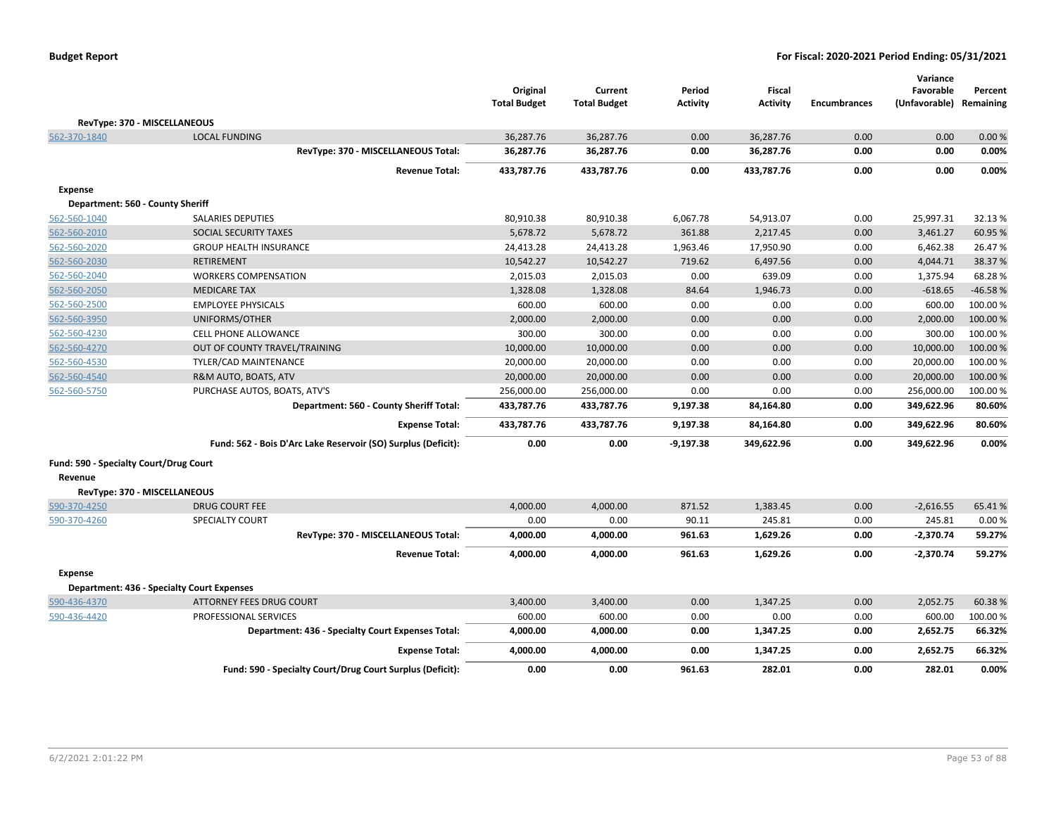|                                        |                                                               | Original<br><b>Total Budget</b> | Current<br><b>Total Budget</b> | Period<br><b>Activity</b> | Fiscal<br><b>Activity</b> | <b>Encumbrances</b> | Variance<br>Favorable<br>(Unfavorable) | Percent<br>Remaining |
|----------------------------------------|---------------------------------------------------------------|---------------------------------|--------------------------------|---------------------------|---------------------------|---------------------|----------------------------------------|----------------------|
| RevType: 370 - MISCELLANEOUS           |                                                               |                                 |                                |                           |                           |                     |                                        |                      |
| 562-370-1840                           | <b>LOCAL FUNDING</b>                                          | 36,287.76                       | 36,287.76                      | 0.00                      | 36,287.76                 | 0.00                | 0.00                                   | 0.00%                |
|                                        | RevType: 370 - MISCELLANEOUS Total:                           | 36,287.76                       | 36,287.76                      | 0.00                      | 36,287.76                 | 0.00                | 0.00                                   | 0.00%                |
|                                        | <b>Revenue Total:</b>                                         | 433,787.76                      | 433,787.76                     | 0.00                      | 433,787.76                | 0.00                | 0.00                                   | 0.00%                |
| <b>Expense</b>                         |                                                               |                                 |                                |                           |                           |                     |                                        |                      |
| Department: 560 - County Sheriff       |                                                               |                                 |                                |                           |                           |                     |                                        |                      |
| 562-560-1040                           | <b>SALARIES DEPUTIES</b>                                      | 80,910.38                       | 80,910.38                      | 6,067.78                  | 54,913.07                 | 0.00                | 25,997.31                              | 32.13 %              |
| 562-560-2010                           | SOCIAL SECURITY TAXES                                         | 5,678.72                        | 5,678.72                       | 361.88                    | 2,217.45                  | 0.00                | 3,461.27                               | 60.95%               |
| 562-560-2020                           | <b>GROUP HEALTH INSURANCE</b>                                 | 24,413.28                       | 24,413.28                      | 1,963.46                  | 17,950.90                 | 0.00                | 6,462.38                               | 26.47%               |
| 562-560-2030                           | <b>RETIREMENT</b>                                             | 10,542.27                       | 10,542.27                      | 719.62                    | 6,497.56                  | 0.00                | 4,044.71                               | 38.37 %              |
| 562-560-2040                           | <b>WORKERS COMPENSATION</b>                                   | 2,015.03                        | 2,015.03                       | 0.00                      | 639.09                    | 0.00                | 1,375.94                               | 68.28%               |
| 562-560-2050                           | <b>MEDICARE TAX</b>                                           | 1,328.08                        | 1,328.08                       | 84.64                     | 1,946.73                  | 0.00                | $-618.65$                              | $-46.58%$            |
| 562-560-2500                           | <b>EMPLOYEE PHYSICALS</b>                                     | 600.00                          | 600.00                         | 0.00                      | 0.00                      | 0.00                | 600.00                                 | 100.00 %             |
| 562-560-3950                           | UNIFORMS/OTHER                                                | 2,000.00                        | 2,000.00                       | 0.00                      | 0.00                      | 0.00                | 2,000.00                               | 100.00 %             |
| 562-560-4230                           | <b>CELL PHONE ALLOWANCE</b>                                   | 300.00                          | 300.00                         | 0.00                      | 0.00                      | 0.00                | 300.00                                 | 100.00 %             |
| 562-560-4270                           | OUT OF COUNTY TRAVEL/TRAINING                                 | 10,000.00                       | 10,000.00                      | 0.00                      | 0.00                      | 0.00                | 10,000.00                              | 100.00 %             |
| 562-560-4530                           | TYLER/CAD MAINTENANCE                                         | 20,000.00                       | 20,000.00                      | 0.00                      | 0.00                      | 0.00                | 20,000.00                              | 100.00 %             |
| 562-560-4540                           | R&M AUTO, BOATS, ATV                                          | 20,000.00                       | 20,000.00                      | 0.00                      | 0.00                      | 0.00                | 20,000.00                              | 100.00 %             |
| 562-560-5750                           | PURCHASE AUTOS, BOATS, ATV'S                                  | 256,000.00                      | 256,000.00                     | 0.00                      | 0.00                      | 0.00                | 256,000.00                             | 100.00%              |
|                                        | Department: 560 - County Sheriff Total:                       | 433,787.76                      | 433,787.76                     | 9,197.38                  | 84,164.80                 | 0.00                | 349,622.96                             | 80.60%               |
|                                        | <b>Expense Total:</b>                                         | 433,787.76                      | 433,787.76                     | 9,197.38                  | 84,164.80                 | 0.00                | 349,622.96                             | 80.60%               |
|                                        | Fund: 562 - Bois D'Arc Lake Reservoir (SO) Surplus (Deficit): | 0.00                            | 0.00                           | $-9,197.38$               | 349,622.96                | 0.00                | 349,622.96                             | 0.00%                |
| Fund: 590 - Specialty Court/Drug Court |                                                               |                                 |                                |                           |                           |                     |                                        |                      |
| Revenue                                |                                                               |                                 |                                |                           |                           |                     |                                        |                      |
| RevType: 370 - MISCELLANEOUS           |                                                               |                                 |                                |                           |                           |                     |                                        |                      |
| 590-370-4250                           | <b>DRUG COURT FEE</b>                                         | 4,000.00                        | 4,000.00                       | 871.52                    | 1,383.45                  | 0.00                | $-2,616.55$                            | 65.41%               |
| 590-370-4260                           | <b>SPECIALTY COURT</b>                                        | 0.00                            | 0.00                           | 90.11                     | 245.81                    | 0.00                | 245.81                                 | 0.00%                |
|                                        | RevType: 370 - MISCELLANEOUS Total:                           | 4,000.00                        | 4,000.00                       | 961.63                    | 1,629.26                  | 0.00                | $-2,370.74$                            | 59.27%               |
|                                        | <b>Revenue Total:</b>                                         | 4,000.00                        | 4,000.00                       | 961.63                    | 1,629.26                  | 0.00                | $-2,370.74$                            | 59.27%               |
| <b>Expense</b>                         |                                                               |                                 |                                |                           |                           |                     |                                        |                      |
|                                        | <b>Department: 436 - Specialty Court Expenses</b>             |                                 |                                |                           |                           |                     |                                        |                      |
| 590-436-4370                           | ATTORNEY FEES DRUG COURT                                      | 3,400.00                        | 3,400.00                       | 0.00                      | 1,347.25                  | 0.00                | 2,052.75                               | 60.38%               |
| 590-436-4420                           | PROFESSIONAL SERVICES                                         | 600.00                          | 600.00                         | 0.00                      | 0.00                      | 0.00                | 600.00                                 | 100.00 %             |
|                                        | Department: 436 - Specialty Court Expenses Total:             | 4,000.00                        | 4,000.00                       | 0.00                      | 1,347.25                  | 0.00                | 2,652.75                               | 66.32%               |
|                                        | <b>Expense Total:</b>                                         | 4,000.00                        | 4,000.00                       | 0.00                      | 1,347.25                  | 0.00                | 2,652.75                               | 66.32%               |
|                                        | Fund: 590 - Specialty Court/Drug Court Surplus (Deficit):     | 0.00                            | 0.00                           | 961.63                    | 282.01                    | 0.00                | 282.01                                 | 0.00%                |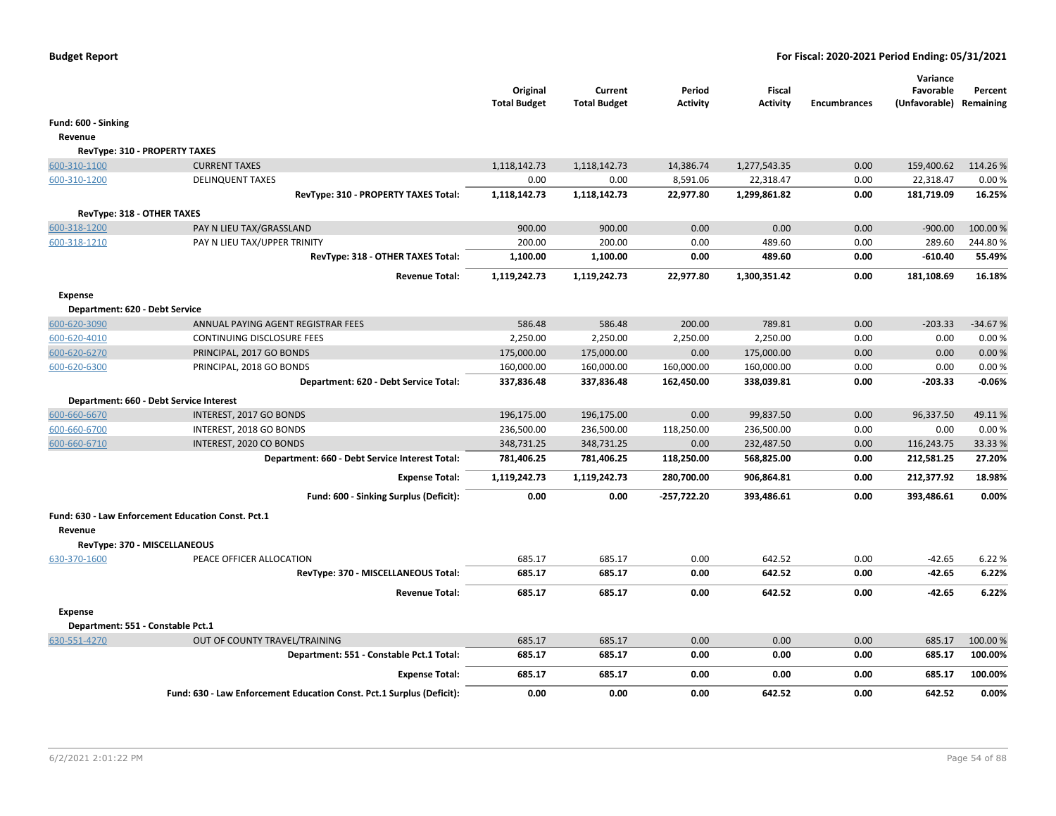|                                |                                                                       | Original<br><b>Total Budget</b> | Current<br><b>Total Budget</b> | Period<br><b>Activity</b> | <b>Fiscal</b><br><b>Activity</b> | <b>Encumbrances</b> | Variance<br>Favorable<br>(Unfavorable) Remaining | Percent           |
|--------------------------------|-----------------------------------------------------------------------|---------------------------------|--------------------------------|---------------------------|----------------------------------|---------------------|--------------------------------------------------|-------------------|
| Fund: 600 - Sinking            |                                                                       |                                 |                                |                           |                                  |                     |                                                  |                   |
| Revenue                        |                                                                       |                                 |                                |                           |                                  |                     |                                                  |                   |
|                                | RevType: 310 - PROPERTY TAXES                                         |                                 |                                |                           |                                  |                     |                                                  |                   |
| 600-310-1100                   | <b>CURRENT TAXES</b>                                                  | 1,118,142.73                    | 1,118,142.73                   | 14,386.74                 | 1,277,543.35                     | 0.00                | 159,400.62                                       | 114.26%           |
| 600-310-1200                   | <b>DELINQUENT TAXES</b>                                               | 0.00                            | 0.00                           | 8,591.06                  | 22,318.47                        | 0.00                | 22,318.47                                        | 0.00%             |
|                                | RevType: 310 - PROPERTY TAXES Total:                                  | 1,118,142.73                    | 1,118,142.73                   | 22,977.80                 | 1,299,861.82                     | 0.00                | 181,719.09                                       | 16.25%            |
| RevType: 318 - OTHER TAXES     |                                                                       |                                 |                                |                           |                                  |                     |                                                  |                   |
| 600-318-1200                   | PAY N LIEU TAX/GRASSLAND                                              | 900.00                          | 900.00                         | 0.00                      | 0.00                             | 0.00                | $-900.00$                                        | 100.00 %          |
| 600-318-1210                   | PAY N LIEU TAX/UPPER TRINITY                                          | 200.00                          | 200.00                         | 0.00                      | 489.60                           | 0.00                | 289.60                                           | 244.80%           |
|                                | RevType: 318 - OTHER TAXES Total:                                     | 1,100.00                        | 1,100.00                       | 0.00                      | 489.60                           | 0.00                | $-610.40$                                        | 55.49%            |
|                                | <b>Revenue Total:</b>                                                 | 1,119,242.73                    | 1,119,242.73                   | 22,977.80                 | 1,300,351.42                     | 0.00                | 181,108.69                                       | 16.18%            |
| <b>Expense</b>                 |                                                                       |                                 |                                |                           |                                  |                     |                                                  |                   |
| Department: 620 - Debt Service |                                                                       |                                 |                                |                           |                                  |                     |                                                  |                   |
| 600-620-3090                   | ANNUAL PAYING AGENT REGISTRAR FEES                                    | 586.48                          | 586.48                         | 200.00                    | 789.81                           | 0.00                | $-203.33$                                        | $-34.67%$         |
| 600-620-4010                   | <b>CONTINUING DISCLOSURE FEES</b>                                     | 2,250.00                        | 2,250.00                       | 2,250.00                  | 2,250.00                         | 0.00                | 0.00                                             | 0.00%             |
| 600-620-6270                   | PRINCIPAL, 2017 GO BONDS                                              | 175,000.00                      | 175,000.00                     | 0.00                      | 175,000.00                       | 0.00                | 0.00                                             | 0.00%             |
| 600-620-6300                   | PRINCIPAL, 2018 GO BONDS<br>Department: 620 - Debt Service Total:     | 160,000.00<br>337,836.48        | 160,000.00<br>337,836.48       | 160,000.00<br>162,450.00  | 160,000.00<br>338,039.81         | 0.00<br>0.00        | 0.00<br>$-203.33$                                | 0.00%<br>$-0.06%$ |
|                                |                                                                       |                                 |                                |                           |                                  |                     |                                                  |                   |
|                                | Department: 660 - Debt Service Interest                               |                                 |                                |                           |                                  |                     |                                                  |                   |
| 600-660-6670                   | INTEREST, 2017 GO BONDS                                               | 196,175.00                      | 196,175.00                     | 0.00                      | 99,837.50                        | 0.00                | 96,337.50                                        | 49.11%            |
| 600-660-6700                   | INTEREST, 2018 GO BONDS                                               | 236,500.00                      | 236,500.00                     | 118,250.00                | 236,500.00                       | 0.00                | 0.00                                             | 0.00%             |
| 600-660-6710                   | INTEREST, 2020 CO BONDS                                               | 348,731.25                      | 348,731.25                     | 0.00                      | 232,487.50                       | 0.00                | 116,243.75                                       | 33.33%            |
|                                | Department: 660 - Debt Service Interest Total:                        | 781,406.25                      | 781,406.25                     | 118,250.00                | 568,825.00                       | 0.00                | 212,581.25                                       | 27.20%            |
|                                | <b>Expense Total:</b>                                                 | 1,119,242.73                    | 1,119,242.73                   | 280,700.00                | 906,864.81                       | 0.00                | 212,377.92                                       | 18.98%            |
|                                | Fund: 600 - Sinking Surplus (Deficit):                                | 0.00                            | 0.00                           | $-257,722.20$             | 393,486.61                       | 0.00                | 393,486.61                                       | 0.00%             |
| Revenue                        | Fund: 630 - Law Enforcement Education Const. Pct.1                    |                                 |                                |                           |                                  |                     |                                                  |                   |
|                                | RevType: 370 - MISCELLANEOUS                                          |                                 |                                |                           |                                  |                     |                                                  |                   |
| 630-370-1600                   | PEACE OFFICER ALLOCATION                                              | 685.17                          | 685.17                         | 0.00                      | 642.52                           | 0.00                | -42.65                                           | 6.22 %            |
|                                | RevType: 370 - MISCELLANEOUS Total:                                   | 685.17                          | 685.17                         | 0.00                      | 642.52                           | 0.00                | $-42.65$                                         | 6.22%             |
|                                | <b>Revenue Total:</b>                                                 | 685.17                          | 685.17                         | 0.00                      | 642.52                           | 0.00                | -42.65                                           | 6.22%             |
| <b>Expense</b>                 |                                                                       |                                 |                                |                           |                                  |                     |                                                  |                   |
|                                | Department: 551 - Constable Pct.1                                     |                                 |                                |                           |                                  |                     |                                                  |                   |
| 630-551-4270                   | OUT OF COUNTY TRAVEL/TRAINING                                         | 685.17                          | 685.17                         | 0.00                      | 0.00                             | 0.00                | 685.17                                           | 100.00 %          |
|                                | Department: 551 - Constable Pct.1 Total:                              | 685.17                          | 685.17                         | 0.00                      | 0.00                             | 0.00                | 685.17                                           | 100.00%           |
|                                | <b>Expense Total:</b>                                                 | 685.17                          | 685.17                         | 0.00                      | 0.00                             | 0.00                | 685.17                                           | 100.00%           |
|                                | Fund: 630 - Law Enforcement Education Const. Pct.1 Surplus (Deficit): | 0.00                            | 0.00                           | 0.00                      | 642.52                           | 0.00                | 642.52                                           | 0.00%             |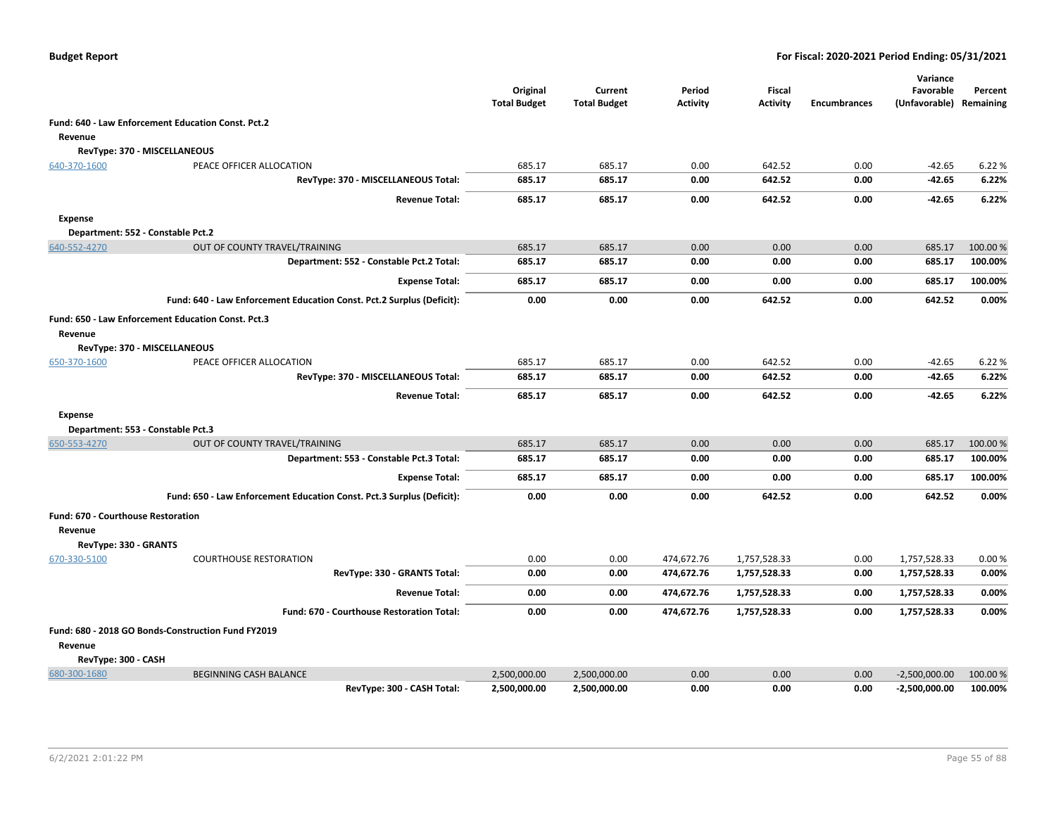|                                       |                                                                       | Original<br><b>Total Budget</b> | Current<br><b>Total Budget</b> | Period<br><b>Activity</b> | <b>Fiscal</b><br><b>Activity</b> | <b>Encumbrances</b> | Variance<br>Favorable<br>(Unfavorable) | Percent<br>Remaining |
|---------------------------------------|-----------------------------------------------------------------------|---------------------------------|--------------------------------|---------------------------|----------------------------------|---------------------|----------------------------------------|----------------------|
|                                       | Fund: 640 - Law Enforcement Education Const. Pct.2                    |                                 |                                |                           |                                  |                     |                                        |                      |
| Revenue                               |                                                                       |                                 |                                |                           |                                  |                     |                                        |                      |
|                                       | RevType: 370 - MISCELLANEOUS                                          |                                 |                                |                           |                                  |                     |                                        |                      |
| 640-370-1600                          | PEACE OFFICER ALLOCATION                                              | 685.17                          | 685.17                         | 0.00                      | 642.52                           | 0.00                | $-42.65$                               | 6.22 %               |
|                                       | RevType: 370 - MISCELLANEOUS Total:                                   | 685.17                          | 685.17                         | 0.00                      | 642.52                           | 0.00                | $-42.65$                               | 6.22%                |
|                                       | <b>Revenue Total:</b>                                                 | 685.17                          | 685.17                         | 0.00                      | 642.52                           | 0.00                | -42.65                                 | 6.22%                |
| <b>Expense</b>                        |                                                                       |                                 |                                |                           |                                  |                     |                                        |                      |
|                                       | Department: 552 - Constable Pct.2                                     |                                 |                                |                           |                                  |                     |                                        |                      |
| 640-552-4270                          | OUT OF COUNTY TRAVEL/TRAINING                                         | 685.17                          | 685.17                         | 0.00                      | 0.00                             | 0.00                | 685.17                                 | 100.00%              |
|                                       | Department: 552 - Constable Pct.2 Total:                              | 685.17                          | 685.17                         | 0.00                      | 0.00                             | 0.00                | 685.17                                 | 100.00%              |
|                                       | <b>Expense Total:</b>                                                 | 685.17                          | 685.17                         | 0.00                      | 0.00                             | 0.00                | 685.17                                 | 100.00%              |
|                                       | Fund: 640 - Law Enforcement Education Const. Pct.2 Surplus (Deficit): | 0.00                            | 0.00                           | 0.00                      | 642.52                           | 0.00                | 642.52                                 | 0.00%                |
|                                       | Fund: 650 - Law Enforcement Education Const. Pct.3                    |                                 |                                |                           |                                  |                     |                                        |                      |
| Revenue                               |                                                                       |                                 |                                |                           |                                  |                     |                                        |                      |
|                                       | RevType: 370 - MISCELLANEOUS                                          |                                 |                                |                           |                                  |                     |                                        |                      |
| 650-370-1600                          | PEACE OFFICER ALLOCATION                                              | 685.17                          | 685.17                         | 0.00                      | 642.52                           | 0.00                | $-42.65$                               | 6.22 %               |
|                                       | RevType: 370 - MISCELLANEOUS Total:                                   | 685.17                          | 685.17                         | 0.00                      | 642.52                           | 0.00                | $-42.65$                               | 6.22%                |
|                                       | <b>Revenue Total:</b>                                                 | 685.17                          | 685.17                         | 0.00                      | 642.52                           | 0.00                | $-42.65$                               | 6.22%                |
| <b>Expense</b>                        |                                                                       |                                 |                                |                           |                                  |                     |                                        |                      |
|                                       | Department: 553 - Constable Pct.3                                     |                                 |                                |                           |                                  |                     |                                        |                      |
| 650-553-4270                          | OUT OF COUNTY TRAVEL/TRAINING                                         | 685.17                          | 685.17                         | 0.00                      | 0.00                             | 0.00                | 685.17                                 | 100.00 %             |
|                                       | Department: 553 - Constable Pct.3 Total:                              | 685.17                          | 685.17                         | 0.00                      | 0.00                             | 0.00                | 685.17                                 | 100.00%              |
|                                       | <b>Expense Total:</b>                                                 | 685.17                          | 685.17                         | 0.00                      | 0.00                             | 0.00                | 685.17                                 | 100.00%              |
|                                       | Fund: 650 - Law Enforcement Education Const. Pct.3 Surplus (Deficit): | 0.00                            | 0.00                           | 0.00                      | 642.52                           | 0.00                | 642.52                                 | 0.00%                |
| Fund: 670 - Courthouse Restoration    |                                                                       |                                 |                                |                           |                                  |                     |                                        |                      |
| Revenue                               |                                                                       |                                 |                                |                           |                                  |                     |                                        |                      |
| RevType: 330 - GRANTS<br>670-330-5100 | <b>COURTHOUSE RESTORATION</b>                                         | 0.00                            | 0.00                           | 474,672.76                | 1,757,528.33                     | 0.00                | 1,757,528.33                           | 0.00%                |
|                                       | RevType: 330 - GRANTS Total:                                          | 0.00                            | 0.00                           | 474,672.76                | 1,757,528.33                     | 0.00                | 1,757,528.33                           | 0.00%                |
|                                       | <b>Revenue Total:</b>                                                 | 0.00                            | 0.00                           | 474,672.76                | 1,757,528.33                     | 0.00                | 1,757,528.33                           | 0.00%                |
|                                       | Fund: 670 - Courthouse Restoration Total:                             | 0.00                            | 0.00                           | 474,672.76                | 1,757,528.33                     | 0.00                | 1,757,528.33                           | 0.00%                |
|                                       | Fund: 680 - 2018 GO Bonds-Construction Fund FY2019                    |                                 |                                |                           |                                  |                     |                                        |                      |
| Revenue                               |                                                                       |                                 |                                |                           |                                  |                     |                                        |                      |
| RevType: 300 - CASH                   |                                                                       |                                 |                                |                           |                                  |                     |                                        |                      |
| 680-300-1680                          | <b>BEGINNING CASH BALANCE</b>                                         | 2,500,000.00                    | 2,500,000.00                   | 0.00                      | 0.00                             | 0.00                | $-2,500,000.00$                        | 100.00 %             |
|                                       | RevType: 300 - CASH Total:                                            | 2,500,000.00                    | 2,500,000.00                   | 0.00                      | 0.00                             | 0.00                | $-2,500,000.00$                        | 100.00%              |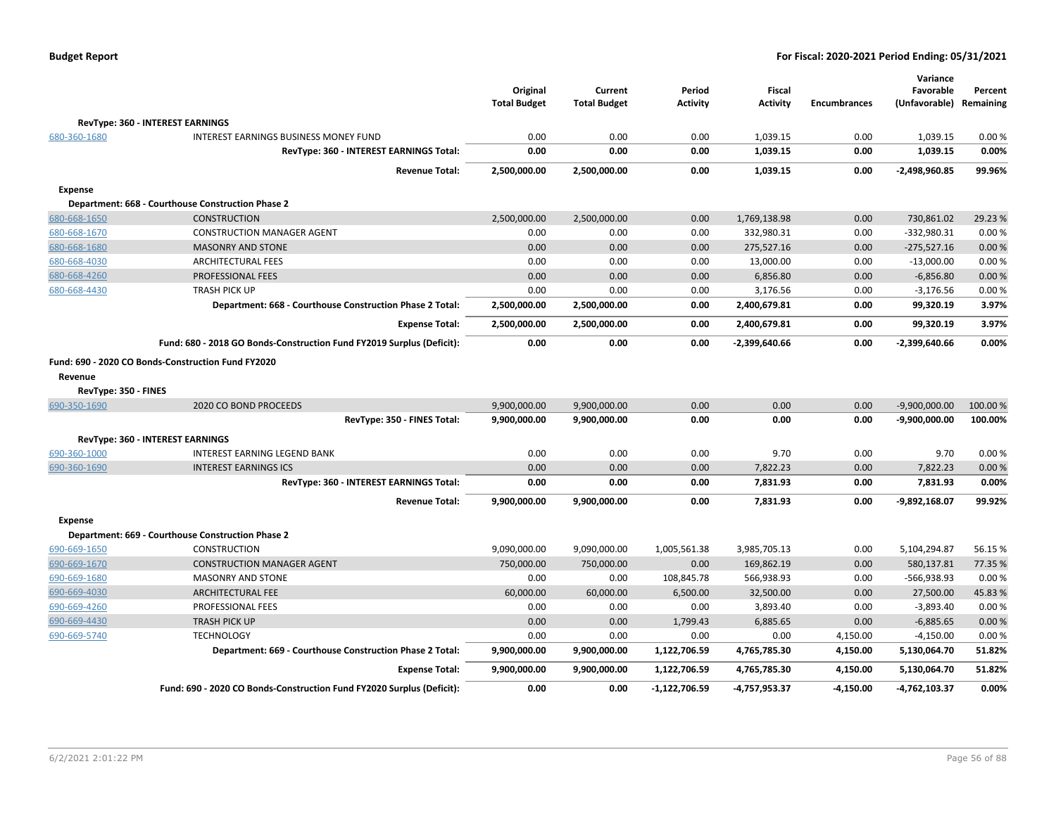|                      |                                                                       | Original<br><b>Total Budget</b> | Current<br><b>Total Budget</b> | Period<br><b>Activity</b> | <b>Fiscal</b><br><b>Activity</b> | <b>Encumbrances</b> | Variance<br>Favorable<br>(Unfavorable) | Percent<br>Remaining |
|----------------------|-----------------------------------------------------------------------|---------------------------------|--------------------------------|---------------------------|----------------------------------|---------------------|----------------------------------------|----------------------|
|                      | RevType: 360 - INTEREST EARNINGS                                      |                                 |                                |                           |                                  |                     |                                        |                      |
| 680-360-1680         | INTEREST EARNINGS BUSINESS MONEY FUND                                 | 0.00                            | 0.00                           | 0.00                      | 1,039.15                         | 0.00                | 1,039.15                               | 0.00%                |
|                      | RevType: 360 - INTEREST EARNINGS Total:                               | 0.00                            | 0.00                           | 0.00                      | 1,039.15                         | 0.00                | 1,039.15                               | 0.00%                |
|                      | <b>Revenue Total:</b>                                                 | 2,500,000.00                    | 2,500,000.00                   | 0.00                      | 1,039.15                         | 0.00                | -2,498,960.85                          | 99.96%               |
| Expense              |                                                                       |                                 |                                |                           |                                  |                     |                                        |                      |
|                      | Department: 668 - Courthouse Construction Phase 2                     |                                 |                                |                           |                                  |                     |                                        |                      |
| 680-668-1650         | <b>CONSTRUCTION</b>                                                   | 2,500,000.00                    | 2,500,000.00                   | 0.00                      | 1,769,138.98                     | 0.00                | 730,861.02                             | 29.23 %              |
| 680-668-1670         | <b>CONSTRUCTION MANAGER AGENT</b>                                     | 0.00                            | 0.00                           | 0.00                      | 332,980.31                       | 0.00                | $-332,980.31$                          | 0.00%                |
| 680-668-1680         | <b>MASONRY AND STONE</b>                                              | 0.00                            | 0.00                           | 0.00                      | 275,527.16                       | 0.00                | $-275,527.16$                          | 0.00%                |
| 680-668-4030         | <b>ARCHITECTURAL FEES</b>                                             | 0.00                            | 0.00                           | 0.00                      | 13,000.00                        | 0.00                | $-13,000.00$                           | 0.00%                |
| 680-668-4260         | PROFESSIONAL FEES                                                     | 0.00                            | 0.00                           | 0.00                      | 6,856.80                         | 0.00                | $-6,856.80$                            | 0.00%                |
| 680-668-4430         | <b>TRASH PICK UP</b>                                                  | 0.00                            | 0.00                           | 0.00                      | 3,176.56                         | 0.00                | $-3,176.56$                            | 0.00%                |
|                      | Department: 668 - Courthouse Construction Phase 2 Total:              | 2,500,000.00                    | 2,500,000.00                   | 0.00                      | 2,400,679.81                     | 0.00                | 99,320.19                              | 3.97%                |
|                      | <b>Expense Total:</b>                                                 | 2,500,000.00                    | 2,500,000.00                   | 0.00                      | 2,400,679.81                     | 0.00                | 99,320.19                              | 3.97%                |
|                      | Fund: 680 - 2018 GO Bonds-Construction Fund FY2019 Surplus (Deficit): | 0.00                            | 0.00                           | 0.00                      | -2,399,640.66                    | 0.00                | -2,399,640.66                          | 0.00%                |
|                      | Fund: 690 - 2020 CO Bonds-Construction Fund FY2020                    |                                 |                                |                           |                                  |                     |                                        |                      |
| Revenue              |                                                                       |                                 |                                |                           |                                  |                     |                                        |                      |
| RevType: 350 - FINES |                                                                       |                                 |                                |                           |                                  |                     |                                        |                      |
| 690-350-1690         | 2020 CO BOND PROCEEDS                                                 | 9,900,000.00                    | 9,900,000.00                   | 0.00                      | 0.00                             | 0.00                | $-9,900,000.00$                        | 100.00 %             |
|                      | RevType: 350 - FINES Total:                                           | 9,900,000.00                    | 9,900,000.00                   | 0.00                      | 0.00                             | 0.00                | $-9,900,000.00$                        | 100.00%              |
|                      | RevType: 360 - INTEREST EARNINGS                                      |                                 |                                |                           |                                  |                     |                                        |                      |
| 690-360-1000         | INTEREST EARNING LEGEND BANK                                          | 0.00                            | 0.00                           | 0.00                      | 9.70                             | 0.00                | 9.70                                   | 0.00%                |
| 690-360-1690         | <b>INTEREST EARNINGS ICS</b>                                          | 0.00                            | 0.00                           | 0.00                      | 7,822.23                         | 0.00                | 7,822.23                               | 0.00%                |
|                      | RevType: 360 - INTEREST EARNINGS Total:                               | 0.00                            | 0.00                           | 0.00                      | 7,831.93                         | 0.00                | 7,831.93                               | 0.00%                |
|                      | <b>Revenue Total:</b>                                                 | 9,900,000.00                    | 9,900,000.00                   | 0.00                      | 7,831.93                         | 0.00                | -9,892,168.07                          | 99.92%               |
|                      |                                                                       |                                 |                                |                           |                                  |                     |                                        |                      |
| <b>Expense</b>       |                                                                       |                                 |                                |                           |                                  |                     |                                        |                      |
|                      | Department: 669 - Courthouse Construction Phase 2                     |                                 |                                |                           |                                  |                     |                                        |                      |
| 690-669-1650         | <b>CONSTRUCTION</b>                                                   | 9,090,000.00                    | 9,090,000.00                   | 1,005,561.38              | 3,985,705.13                     | 0.00                | 5,104,294.87                           | 56.15%               |
| 690-669-1670         | <b>CONSTRUCTION MANAGER AGENT</b>                                     | 750,000.00                      | 750,000.00                     | 0.00                      | 169,862.19                       | 0.00                | 580,137.81                             | 77.35 %              |
| 690-669-1680         | <b>MASONRY AND STONE</b>                                              | 0.00                            | 0.00                           | 108,845.78                | 566,938.93                       | 0.00                | $-566,938.93$                          | 0.00%                |
| 690-669-4030         | <b>ARCHITECTURAL FEE</b>                                              | 60,000.00                       | 60,000.00                      | 6,500.00                  | 32,500.00                        | 0.00                | 27,500.00                              | 45.83%               |
| 690-669-4260         | PROFESSIONAL FEES                                                     | 0.00                            | 0.00                           | 0.00                      | 3,893.40                         | 0.00                | $-3,893.40$                            | 0.00%                |
| 690-669-4430         | <b>TRASH PICK UP</b>                                                  | 0.00                            | 0.00                           | 1,799.43                  | 6,885.65                         | 0.00                | $-6,885.65$                            | 0.00%                |
| 690-669-5740         | <b>TECHNOLOGY</b>                                                     | 0.00                            | 0.00                           | 0.00                      | 0.00                             | 4,150.00            | $-4,150.00$                            | 0.00%                |
|                      | Department: 669 - Courthouse Construction Phase 2 Total:              | 9,900,000.00                    | 9,900,000.00                   | 1,122,706.59              | 4,765,785.30                     | 4,150.00            | 5,130,064.70                           | 51.82%               |
|                      | <b>Expense Total:</b>                                                 | 9,900,000.00                    | 9,900,000.00                   | 1,122,706.59              | 4,765,785.30                     | 4,150.00            | 5,130,064.70                           | 51.82%               |
|                      | Fund: 690 - 2020 CO Bonds-Construction Fund FY2020 Surplus (Deficit): | 0.00                            | 0.00                           | $-1,122,706.59$           | -4,757,953.37                    | $-4,150.00$         | -4,762,103.37                          | 0.00%                |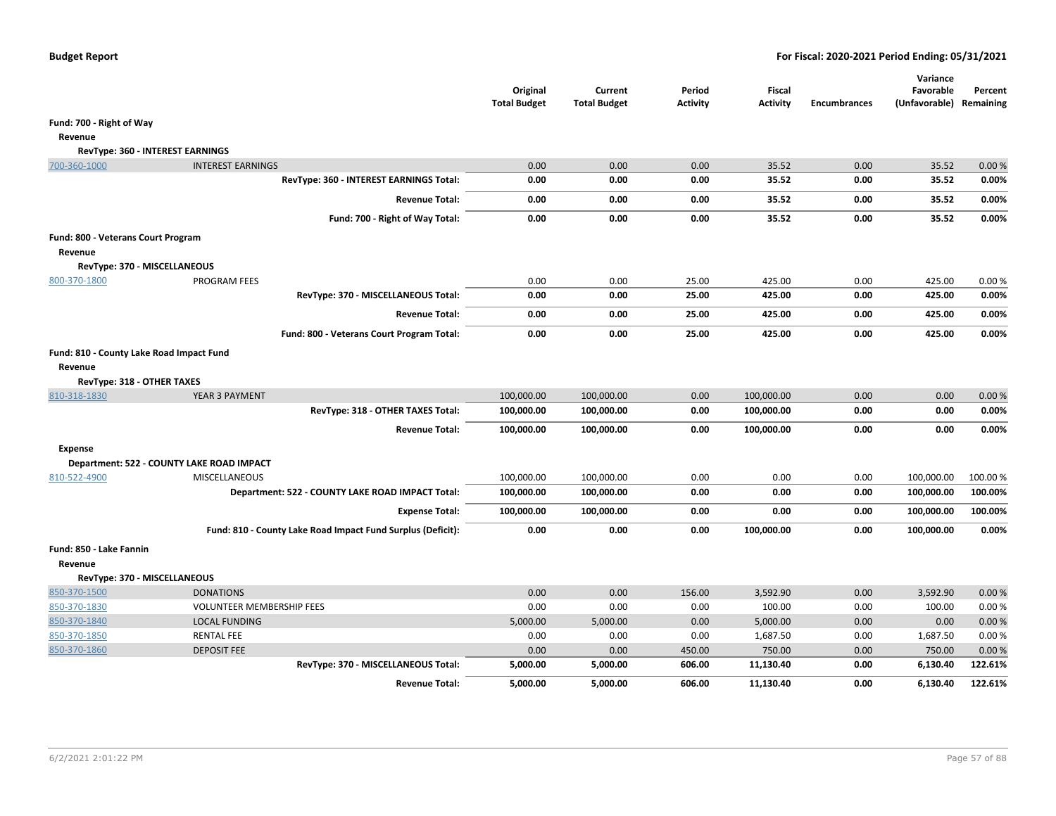|                                          |                                                             | Original<br><b>Total Budget</b> | Current<br><b>Total Budget</b> | Period<br><b>Activity</b> | Fiscal<br><b>Activity</b> | <b>Encumbrances</b> | Variance<br>Favorable<br>(Unfavorable) | Percent<br>Remaining |
|------------------------------------------|-------------------------------------------------------------|---------------------------------|--------------------------------|---------------------------|---------------------------|---------------------|----------------------------------------|----------------------|
| Fund: 700 - Right of Way                 |                                                             |                                 |                                |                           |                           |                     |                                        |                      |
| Revenue                                  |                                                             |                                 |                                |                           |                           |                     |                                        |                      |
|                                          | RevType: 360 - INTEREST EARNINGS                            |                                 |                                |                           |                           |                     |                                        |                      |
| 700-360-1000                             | <b>INTEREST EARNINGS</b>                                    | 0.00                            | 0.00                           | 0.00                      | 35.52                     | 0.00                | 35.52                                  | 0.00%                |
|                                          | RevType: 360 - INTEREST EARNINGS Total:                     | 0.00                            | 0.00                           | 0.00                      | 35.52                     | 0.00                | 35.52                                  | 0.00%                |
|                                          | <b>Revenue Total:</b>                                       | 0.00                            | 0.00                           | 0.00                      | 35.52                     | 0.00                | 35.52                                  | 0.00%                |
|                                          | Fund: 700 - Right of Way Total:                             | 0.00                            | 0.00                           | 0.00                      | 35.52                     | 0.00                | 35.52                                  | 0.00%                |
| Fund: 800 - Veterans Court Program       |                                                             |                                 |                                |                           |                           |                     |                                        |                      |
| Revenue                                  |                                                             |                                 |                                |                           |                           |                     |                                        |                      |
| RevType: 370 - MISCELLANEOUS             |                                                             |                                 |                                |                           |                           |                     |                                        |                      |
| 800-370-1800                             | <b>PROGRAM FEES</b>                                         | 0.00                            | 0.00                           | 25.00                     | 425.00                    | 0.00                | 425.00                                 | 0.00%                |
|                                          | RevType: 370 - MISCELLANEOUS Total:                         | 0.00                            | 0.00                           | 25.00                     | 425.00                    | 0.00                | 425.00                                 | 0.00%                |
|                                          | <b>Revenue Total:</b>                                       | 0.00                            | 0.00                           | 25.00                     | 425.00                    | 0.00                | 425.00                                 | 0.00%                |
|                                          | Fund: 800 - Veterans Court Program Total:                   | 0.00                            | 0.00                           | 25.00                     | 425.00                    | 0.00                | 425.00                                 | 0.00%                |
| Fund: 810 - County Lake Road Impact Fund |                                                             |                                 |                                |                           |                           |                     |                                        |                      |
| Revenue                                  |                                                             |                                 |                                |                           |                           |                     |                                        |                      |
| RevType: 318 - OTHER TAXES               |                                                             |                                 |                                |                           |                           |                     |                                        |                      |
| 810-318-1830                             | YEAR 3 PAYMENT                                              | 100,000.00                      | 100,000.00                     | 0.00                      | 100,000.00                | 0.00                | 0.00                                   | 0.00%                |
|                                          | RevType: 318 - OTHER TAXES Total:                           | 100,000.00                      | 100,000.00                     | 0.00                      | 100,000.00                | 0.00                | 0.00                                   | 0.00%                |
|                                          | <b>Revenue Total:</b>                                       | 100,000.00                      | 100,000.00                     | 0.00                      | 100,000.00                | 0.00                | 0.00                                   | 0.00%                |
| <b>Expense</b>                           |                                                             |                                 |                                |                           |                           |                     |                                        |                      |
|                                          | Department: 522 - COUNTY LAKE ROAD IMPACT                   |                                 |                                |                           |                           |                     |                                        |                      |
| 810-522-4900                             | <b>MISCELLANEOUS</b>                                        | 100,000.00                      | 100,000.00                     | 0.00                      | 0.00                      | 0.00                | 100,000.00                             | 100.00%              |
|                                          | Department: 522 - COUNTY LAKE ROAD IMPACT Total:            | 100,000.00                      | 100,000.00                     | 0.00                      | 0.00                      | 0.00                | 100,000.00                             | 100.00%              |
|                                          | <b>Expense Total:</b>                                       | 100,000.00                      | 100,000.00                     | 0.00                      | 0.00                      | 0.00                | 100,000.00                             | 100.00%              |
|                                          | Fund: 810 - County Lake Road Impact Fund Surplus (Deficit): | 0.00                            | 0.00                           | 0.00                      | 100,000.00                | 0.00                | 100,000.00                             | 0.00%                |
| Fund: 850 - Lake Fannin                  |                                                             |                                 |                                |                           |                           |                     |                                        |                      |
| Revenue                                  |                                                             |                                 |                                |                           |                           |                     |                                        |                      |
| RevType: 370 - MISCELLANEOUS             |                                                             |                                 |                                |                           |                           |                     |                                        |                      |
| 850-370-1500                             | <b>DONATIONS</b>                                            | 0.00                            | 0.00                           | 156.00                    | 3,592.90                  | 0.00                | 3,592.90                               | 0.00%                |
| 850-370-1830                             | <b>VOLUNTEER MEMBERSHIP FEES</b>                            | 0.00                            | 0.00                           | 0.00                      | 100.00                    | 0.00                | 100.00                                 | 0.00%                |
| 850-370-1840                             | <b>LOCAL FUNDING</b>                                        | 5,000.00                        | 5,000.00                       | 0.00                      | 5,000.00                  | 0.00                | 0.00                                   | 0.00%                |
| 850-370-1850                             | <b>RENTAL FEE</b>                                           | 0.00                            | 0.00                           | 0.00                      | 1,687.50                  | 0.00                | 1,687.50                               | 0.00%                |
| 850-370-1860                             | <b>DEPOSIT FEE</b>                                          | 0.00                            | 0.00                           | 450.00                    | 750.00                    | 0.00                | 750.00                                 | 0.00%                |
|                                          | RevType: 370 - MISCELLANEOUS Total:                         | 5,000.00                        | 5,000.00                       | 606.00                    | 11,130.40                 | 0.00                | 6,130.40                               | 122.61%              |
|                                          | <b>Revenue Total:</b>                                       | 5,000.00                        | 5,000.00                       | 606.00                    | 11,130.40                 | 0.00                | 6,130.40                               | 122.61%              |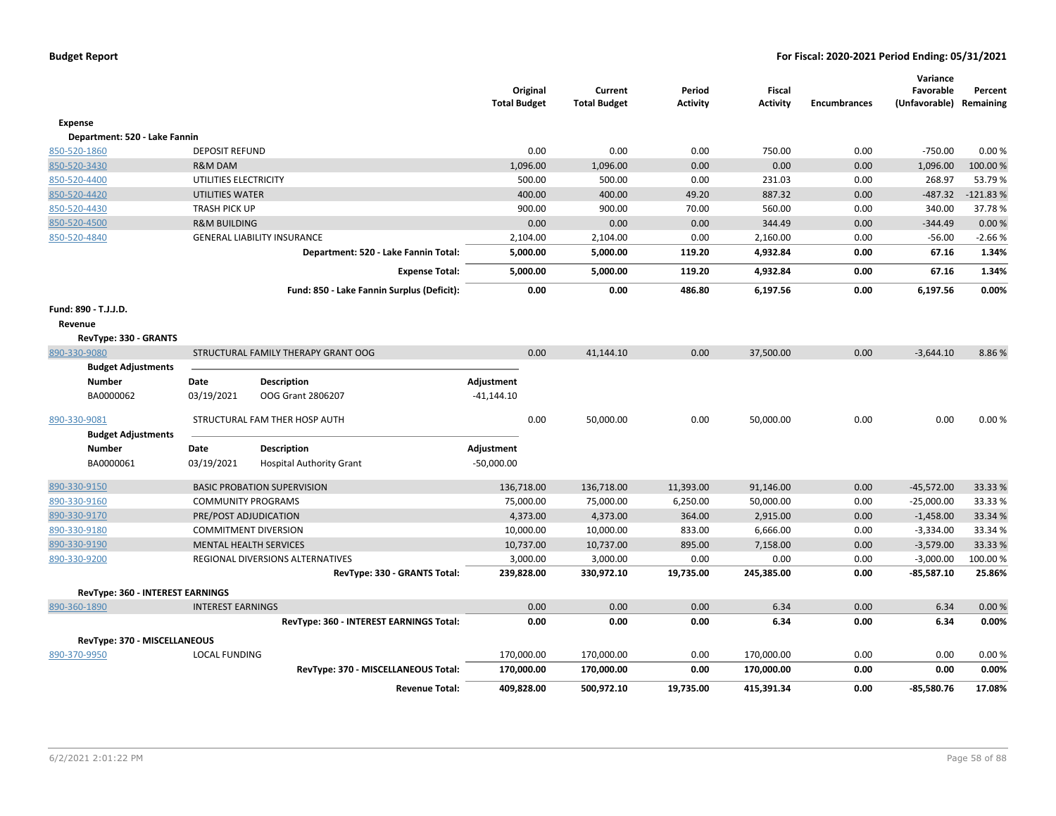|                                         |                           |                                            | Original<br><b>Total Budget</b> | Current<br><b>Total Budget</b> | Period<br><b>Activity</b> | <b>Fiscal</b><br><b>Activity</b> | <b>Encumbrances</b> | Variance<br>Favorable<br>(Unfavorable) | Percent<br>Remaining |
|-----------------------------------------|---------------------------|--------------------------------------------|---------------------------------|--------------------------------|---------------------------|----------------------------------|---------------------|----------------------------------------|----------------------|
| <b>Expense</b>                          |                           |                                            |                                 |                                |                           |                                  |                     |                                        |                      |
| Department: 520 - Lake Fannin           |                           |                                            |                                 |                                |                           |                                  |                     |                                        |                      |
| 850-520-1860                            | <b>DEPOSIT REFUND</b>     |                                            | 0.00                            | 0.00                           | 0.00                      | 750.00                           | 0.00                | $-750.00$                              | 0.00%                |
| 850-520-3430                            | R&M DAM                   |                                            | 1,096.00                        | 1,096.00                       | 0.00                      | 0.00                             | 0.00                | 1,096.00                               | 100.00 %             |
| 850-520-4400                            | UTILITIES ELECTRICITY     |                                            | 500.00                          | 500.00                         | 0.00                      | 231.03                           | 0.00                | 268.97                                 | 53.79%               |
| 850-520-4420                            | UTILITIES WATER           |                                            | 400.00                          | 400.00                         | 49.20                     | 887.32                           | 0.00                | $-487.32$                              | $-121.83%$           |
| 850-520-4430                            | <b>TRASH PICK UP</b>      |                                            | 900.00                          | 900.00                         | 70.00                     | 560.00                           | 0.00                | 340.00                                 | 37.78%               |
| 850-520-4500                            | <b>R&amp;M BUILDING</b>   |                                            | 0.00                            | 0.00                           | 0.00                      | 344.49                           | 0.00                | $-344.49$                              | 0.00%                |
| 850-520-4840                            |                           | <b>GENERAL LIABILITY INSURANCE</b>         | 2,104.00                        | 2,104.00                       | 0.00                      | 2,160.00                         | 0.00                | $-56.00$                               | $-2.66%$             |
|                                         |                           | Department: 520 - Lake Fannin Total:       | 5,000.00                        | 5,000.00                       | 119.20                    | 4,932.84                         | 0.00                | 67.16                                  | 1.34%                |
|                                         |                           | <b>Expense Total:</b>                      | 5,000.00                        | 5,000.00                       | 119.20                    | 4,932.84                         | 0.00                | 67.16                                  | 1.34%                |
|                                         |                           | Fund: 850 - Lake Fannin Surplus (Deficit): | 0.00                            | 0.00                           | 486.80                    | 6,197.56                         | 0.00                | 6,197.56                               | 0.00%                |
| Fund: 890 - T.J.J.D.                    |                           |                                            |                                 |                                |                           |                                  |                     |                                        |                      |
| Revenue                                 |                           |                                            |                                 |                                |                           |                                  |                     |                                        |                      |
| RevType: 330 - GRANTS                   |                           |                                            |                                 |                                |                           |                                  |                     |                                        |                      |
| 890-330-9080                            |                           | STRUCTURAL FAMILY THERAPY GRANT OOG        | 0.00                            | 41,144.10                      | 0.00                      | 37,500.00                        | 0.00                | $-3,644.10$                            | 8.86%                |
| <b>Budget Adjustments</b>               |                           |                                            |                                 |                                |                           |                                  |                     |                                        |                      |
| Number                                  | Date                      | <b>Description</b>                         | Adjustment                      |                                |                           |                                  |                     |                                        |                      |
| BA0000062                               | 03/19/2021                | OOG Grant 2806207                          | $-41,144.10$                    |                                |                           |                                  |                     |                                        |                      |
| 890-330-9081                            |                           | STRUCTURAL FAM THER HOSP AUTH              | 0.00                            | 50,000.00                      | 0.00                      | 50,000.00                        | 0.00                | 0.00                                   | 0.00%                |
| <b>Budget Adjustments</b>               |                           |                                            |                                 |                                |                           |                                  |                     |                                        |                      |
| <b>Number</b>                           | Date                      | <b>Description</b>                         | Adjustment                      |                                |                           |                                  |                     |                                        |                      |
| BA0000061                               | 03/19/2021                | <b>Hospital Authority Grant</b>            | $-50,000.00$                    |                                |                           |                                  |                     |                                        |                      |
| 890-330-9150                            |                           | <b>BASIC PROBATION SUPERVISION</b>         | 136,718.00                      | 136,718.00                     | 11,393.00                 | 91,146.00                        | 0.00                | $-45,572.00$                           | 33.33 %              |
| 890-330-9160                            | <b>COMMUNITY PROGRAMS</b> |                                            | 75,000.00                       | 75,000.00                      | 6,250.00                  | 50,000.00                        | 0.00                | $-25,000.00$                           | 33.33 %              |
| 890-330-9170                            |                           | PRE/POST ADJUDICATION                      | 4,373.00                        | 4,373.00                       | 364.00                    | 2,915.00                         | 0.00                | $-1,458.00$                            | 33.34 %              |
| 890-330-9180                            |                           | <b>COMMITMENT DIVERSION</b>                | 10,000.00                       | 10,000.00                      | 833.00                    | 6,666.00                         | 0.00                | $-3,334.00$                            | 33.34 %              |
| 890-330-9190                            |                           | <b>MENTAL HEALTH SERVICES</b>              | 10,737.00                       | 10,737.00                      | 895.00                    | 7,158.00                         | 0.00                | $-3,579.00$                            | 33.33 %              |
| 890-330-9200                            |                           | REGIONAL DIVERSIONS ALTERNATIVES           | 3,000.00                        | 3,000.00                       | 0.00                      | 0.00                             | 0.00                | $-3,000.00$                            | 100.00%              |
|                                         |                           | RevType: 330 - GRANTS Total:               | 239,828.00                      | 330,972.10                     | 19,735.00                 | 245,385.00                       | 0.00                | $-85,587.10$                           | 25.86%               |
| <b>RevType: 360 - INTEREST EARNINGS</b> |                           |                                            |                                 |                                |                           |                                  |                     |                                        |                      |
| 890-360-1890                            | <b>INTEREST EARNINGS</b>  |                                            | 0.00                            | 0.00                           | 0.00                      | 6.34                             | 0.00                | 6.34                                   | 0.00%                |
|                                         |                           | RevType: 360 - INTEREST EARNINGS Total:    | 0.00                            | 0.00                           | 0.00                      | 6.34                             | 0.00                | 6.34                                   | 0.00%                |
| RevType: 370 - MISCELLANEOUS            |                           |                                            |                                 |                                |                           |                                  |                     |                                        |                      |
| 890-370-9950                            | <b>LOCAL FUNDING</b>      |                                            | 170,000.00                      | 170,000.00                     | 0.00                      | 170,000.00                       | 0.00                | 0.00                                   | 0.00%                |
|                                         |                           | RevType: 370 - MISCELLANEOUS Total:        | 170,000.00                      | 170,000.00                     | 0.00                      | 170,000.00                       | 0.00                | 0.00                                   | 0.00%                |
|                                         |                           | <b>Revenue Total:</b>                      | 409,828.00                      | 500,972.10                     | 19,735.00                 | 415,391.34                       | 0.00                | -85,580.76                             | 17.08%               |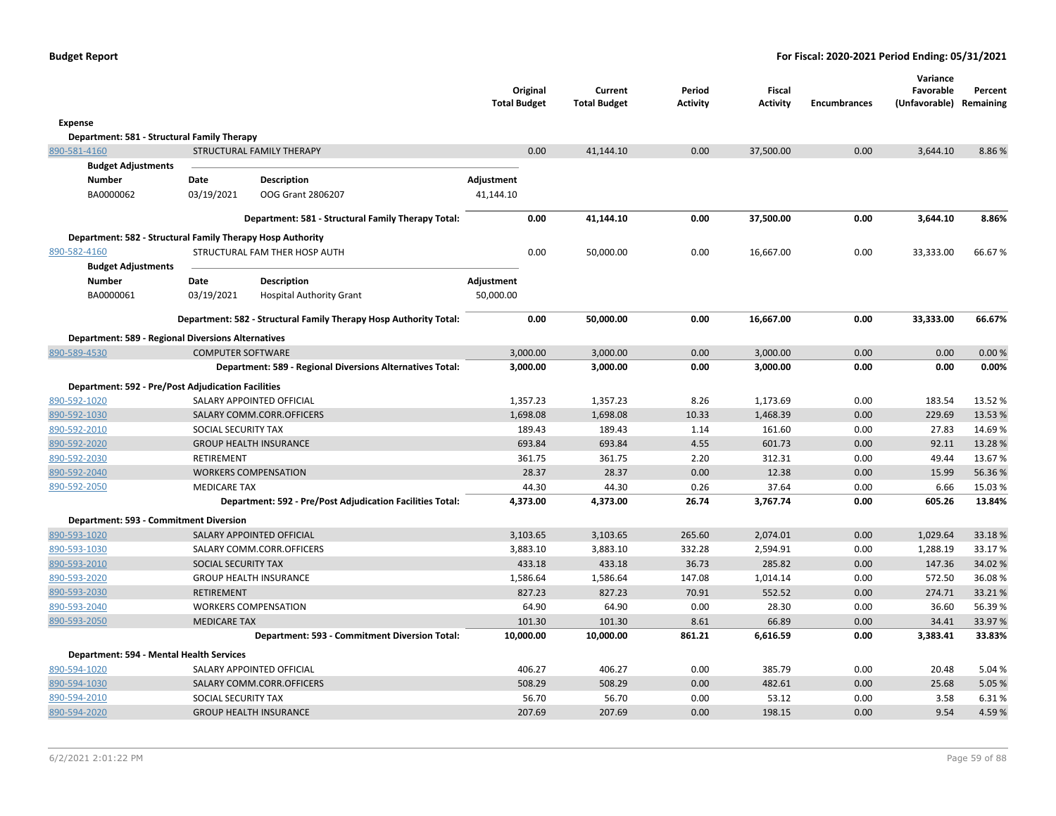|                                                            |                          |                                                                   | <b>Total Budget</b> | Original  | Current<br><b>Total Budget</b> | Period<br><b>Activity</b> | Fiscal<br>Activity | <b>Encumbrances</b> | Variance<br>Favorable<br>(Unfavorable) Remaining | Percent |
|------------------------------------------------------------|--------------------------|-------------------------------------------------------------------|---------------------|-----------|--------------------------------|---------------------------|--------------------|---------------------|--------------------------------------------------|---------|
| Expense                                                    |                          |                                                                   |                     |           |                                |                           |                    |                     |                                                  |         |
| Department: 581 - Structural Family Therapy                |                          |                                                                   |                     |           |                                |                           |                    |                     |                                                  |         |
| 890-581-4160                                               |                          | STRUCTURAL FAMILY THERAPY                                         |                     | 0.00      | 41,144.10                      | 0.00                      | 37,500.00          | 0.00                | 3,644.10                                         | 8.86%   |
| <b>Budget Adjustments</b>                                  |                          |                                                                   |                     |           |                                |                           |                    |                     |                                                  |         |
| <b>Number</b>                                              | Date                     | <b>Description</b>                                                | Adjustment          |           |                                |                           |                    |                     |                                                  |         |
| BA0000062                                                  | 03/19/2021               | OOG Grant 2806207                                                 | 41,144.10           |           |                                |                           |                    |                     |                                                  |         |
|                                                            |                          | Department: 581 - Structural Family Therapy Total:                |                     | 0.00      | 41,144.10                      | 0.00                      | 37,500.00          | 0.00                | 3,644.10                                         | 8.86%   |
| Department: 582 - Structural Family Therapy Hosp Authority |                          |                                                                   |                     |           |                                |                           |                    |                     |                                                  |         |
| 890-582-4160                                               |                          | STRUCTURAL FAM THER HOSP AUTH                                     |                     | 0.00      | 50,000.00                      | 0.00                      | 16,667.00          | 0.00                | 33,333.00                                        | 66.67%  |
| <b>Budget Adjustments</b>                                  |                          |                                                                   |                     |           |                                |                           |                    |                     |                                                  |         |
| Number                                                     | Date                     | Description                                                       | Adjustment          |           |                                |                           |                    |                     |                                                  |         |
| BA0000061                                                  | 03/19/2021               | <b>Hospital Authority Grant</b>                                   | 50,000.00           |           |                                |                           |                    |                     |                                                  |         |
|                                                            |                          | Department: 582 - Structural Family Therapy Hosp Authority Total: |                     | 0.00      | 50,000.00                      | 0.00                      | 16,667.00          | 0.00                | 33,333.00                                        | 66.67%  |
| <b>Department: 589 - Regional Diversions Alternatives</b>  |                          |                                                                   |                     |           |                                |                           |                    |                     |                                                  |         |
| 890-589-4530                                               | <b>COMPUTER SOFTWARE</b> |                                                                   |                     | 3,000.00  | 3,000.00                       | 0.00                      | 3,000.00           | 0.00                | 0.00                                             | 0.00 %  |
|                                                            |                          | Department: 589 - Regional Diversions Alternatives Total:         |                     | 3,000.00  | 3,000.00                       | 0.00                      | 3,000.00           | 0.00                | 0.00                                             | 0.00%   |
| <b>Department: 592 - Pre/Post Adjudication Facilities</b>  |                          |                                                                   |                     |           |                                |                           |                    |                     |                                                  |         |
| 890-592-1020                                               |                          | SALARY APPOINTED OFFICIAL                                         |                     | 1,357.23  | 1,357.23                       | 8.26                      | 1,173.69           | 0.00                | 183.54                                           | 13.52 % |
| 890-592-1030                                               |                          | SALARY COMM.CORR.OFFICERS                                         |                     | 1,698.08  | 1,698.08                       | 10.33                     | 1,468.39           | 0.00                | 229.69                                           | 13.53 % |
| 890-592-2010                                               | SOCIAL SECURITY TAX      |                                                                   |                     | 189.43    | 189.43                         | 1.14                      | 161.60             | 0.00                | 27.83                                            | 14.69%  |
| 890-592-2020                                               |                          | <b>GROUP HEALTH INSURANCE</b>                                     |                     | 693.84    | 693.84                         | 4.55                      | 601.73             | 0.00                | 92.11                                            | 13.28 % |
| 890-592-2030                                               | RETIREMENT               |                                                                   |                     | 361.75    | 361.75                         | 2.20                      | 312.31             | 0.00                | 49.44                                            | 13.67%  |
| 890-592-2040                                               |                          | <b>WORKERS COMPENSATION</b>                                       |                     | 28.37     | 28.37                          | 0.00                      | 12.38              | 0.00                | 15.99                                            | 56.36%  |
| 890-592-2050                                               | <b>MEDICARE TAX</b>      |                                                                   |                     | 44.30     | 44.30                          | 0.26                      | 37.64              | 0.00                | 6.66                                             | 15.03%  |
|                                                            |                          | Department: 592 - Pre/Post Adjudication Facilities Total:         |                     | 4,373.00  | 4,373.00                       | 26.74                     | 3,767.74           | 0.00                | 605.26                                           | 13.84%  |
| Department: 593 - Commitment Diversion                     |                          |                                                                   |                     |           |                                |                           |                    |                     |                                                  |         |
| 890-593-1020                                               |                          | SALARY APPOINTED OFFICIAL                                         |                     | 3,103.65  | 3,103.65                       | 265.60                    | 2,074.01           | 0.00                | 1,029.64                                         | 33.18%  |
| 890-593-1030                                               |                          | SALARY COMM.CORR.OFFICERS                                         |                     | 3,883.10  | 3,883.10                       | 332.28                    | 2,594.91           | 0.00                | 1,288.19                                         | 33.17%  |
| 890-593-2010                                               | SOCIAL SECURITY TAX      |                                                                   |                     | 433.18    | 433.18                         | 36.73                     | 285.82             | 0.00                | 147.36                                           | 34.02%  |
| 890-593-2020                                               |                          | <b>GROUP HEALTH INSURANCE</b>                                     |                     | 1,586.64  | 1,586.64                       | 147.08                    | 1,014.14           | 0.00                | 572.50                                           | 36.08%  |
| 890-593-2030                                               | <b>RETIREMENT</b>        |                                                                   |                     | 827.23    | 827.23                         | 70.91                     | 552.52             | 0.00                | 274.71                                           | 33.21%  |
| 890-593-2040                                               |                          | <b>WORKERS COMPENSATION</b>                                       |                     | 64.90     | 64.90                          | 0.00                      | 28.30              | 0.00                | 36.60                                            | 56.39%  |
| 890-593-2050                                               | <b>MEDICARE TAX</b>      |                                                                   |                     | 101.30    | 101.30                         | 8.61                      | 66.89              | 0.00                | 34.41                                            | 33.97%  |
|                                                            |                          | Department: 593 - Commitment Diversion Total:                     |                     | 10,000.00 | 10,000.00                      | 861.21                    | 6,616.59           | 0.00                | 3,383.41                                         | 33.83%  |
| Department: 594 - Mental Health Services                   |                          |                                                                   |                     |           |                                |                           |                    |                     |                                                  |         |
| 890-594-1020                                               |                          | SALARY APPOINTED OFFICIAL                                         |                     | 406.27    | 406.27                         | 0.00                      | 385.79             | 0.00                | 20.48                                            | 5.04 %  |
| 890-594-1030                                               |                          | SALARY COMM.CORR.OFFICERS                                         |                     | 508.29    | 508.29                         | 0.00                      | 482.61             | 0.00                | 25.68                                            | 5.05 %  |
| 890-594-2010                                               | SOCIAL SECURITY TAX      |                                                                   |                     | 56.70     | 56.70                          | 0.00                      | 53.12              | 0.00                | 3.58                                             | 6.31%   |
| 890-594-2020                                               |                          | <b>GROUP HEALTH INSURANCE</b>                                     |                     | 207.69    | 207.69                         | 0.00                      | 198.15             | 0.00                | 9.54                                             | 4.59%   |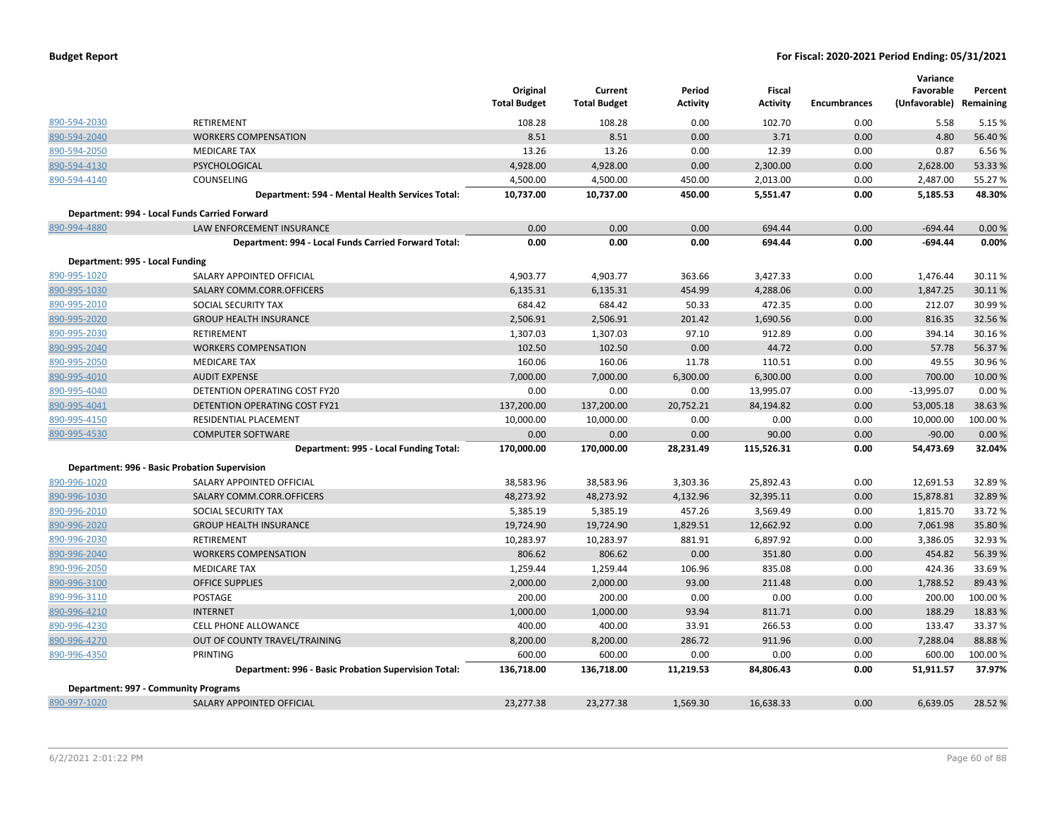| <b>Budget Report</b> |  |
|----------------------|--|
|----------------------|--|

|                                 |                                                      |                                 |                                |                           |                           |              | Variance                   |                      |
|---------------------------------|------------------------------------------------------|---------------------------------|--------------------------------|---------------------------|---------------------------|--------------|----------------------------|----------------------|
|                                 |                                                      | Original<br><b>Total Budget</b> | Current<br><b>Total Budget</b> | Period<br><b>Activity</b> | Fiscal<br><b>Activity</b> | Encumbrances | Favorable<br>(Unfavorable) | Percent<br>Remaining |
| 890-594-2030                    | RETIREMENT                                           | 108.28                          | 108.28                         | 0.00                      | 102.70                    | 0.00         | 5.58                       | 5.15 %               |
| 890-594-2040                    | <b>WORKERS COMPENSATION</b>                          | 8.51                            | 8.51                           | 0.00                      | 3.71                      | 0.00         | 4.80                       | 56.40%               |
| 890-594-2050                    | <b>MEDICARE TAX</b>                                  | 13.26                           | 13.26                          | 0.00                      | 12.39                     | 0.00         | 0.87                       | 6.56%                |
| 890-594-4130                    | PSYCHOLOGICAL                                        | 4,928.00                        | 4,928.00                       | 0.00                      | 2,300.00                  | 0.00         | 2,628.00                   | 53.33 %              |
| 890-594-4140                    | <b>COUNSELING</b>                                    | 4,500.00                        | 4,500.00                       | 450.00                    | 2,013.00                  | 0.00         | 2,487.00                   | 55.27 %              |
|                                 | Department: 594 - Mental Health Services Total:      | 10,737.00                       | 10,737.00                      | 450.00                    | 5,551.47                  | 0.00         | 5,185.53                   | 48.30%               |
|                                 | Department: 994 - Local Funds Carried Forward        |                                 |                                |                           |                           |              |                            |                      |
| 890-994-4880                    | LAW ENFORCEMENT INSURANCE                            | 0.00                            | 0.00                           | 0.00                      | 694.44                    | 0.00         | $-694.44$                  | 0.00%                |
|                                 | Department: 994 - Local Funds Carried Forward Total: | 0.00                            | 0.00                           | 0.00                      | 694.44                    | 0.00         | $-694.44$                  | 0.00%                |
| Department: 995 - Local Funding |                                                      |                                 |                                |                           |                           |              |                            |                      |
| 890-995-1020                    | SALARY APPOINTED OFFICIAL                            | 4,903.77                        | 4,903.77                       | 363.66                    | 3,427.33                  | 0.00         | 1,476.44                   | 30.11%               |
| 890-995-1030                    | SALARY COMM.CORR.OFFICERS                            | 6,135.31                        | 6,135.31                       | 454.99                    | 4,288.06                  | 0.00         | 1,847.25                   | 30.11%               |
| 890-995-2010                    | SOCIAL SECURITY TAX                                  | 684.42                          | 684.42                         | 50.33                     | 472.35                    | 0.00         | 212.07                     | 30.99 %              |
| 890-995-2020                    | <b>GROUP HEALTH INSURANCE</b>                        | 2,506.91                        | 2,506.91                       | 201.42                    | 1,690.56                  | 0.00         | 816.35                     | 32.56%               |
| 890-995-2030                    | RETIREMENT                                           | 1,307.03                        | 1,307.03                       | 97.10                     | 912.89                    | 0.00         | 394.14                     | 30.16%               |
| 890-995-2040                    | <b>WORKERS COMPENSATION</b>                          | 102.50                          | 102.50                         | 0.00                      | 44.72                     | 0.00         | 57.78                      | 56.37%               |
| 890-995-2050                    | <b>MEDICARE TAX</b>                                  | 160.06                          | 160.06                         | 11.78                     | 110.51                    | 0.00         | 49.55                      | 30.96%               |
| 890-995-4010                    | <b>AUDIT EXPENSE</b>                                 | 7,000.00                        | 7,000.00                       | 6,300.00                  | 6,300.00                  | 0.00         | 700.00                     | 10.00 %              |
| 890-995-4040                    | DETENTION OPERATING COST FY20                        | 0.00                            | 0.00                           | 0.00                      | 13,995.07                 | 0.00         | $-13,995.07$               | 0.00%                |
| 890-995-4041                    | DETENTION OPERATING COST FY21                        | 137,200.00                      | 137,200.00                     | 20,752.21                 | 84,194.82                 | 0.00         | 53,005.18                  | 38.63%               |
| 890-995-4150                    | RESIDENTIAL PLACEMENT                                | 10,000.00                       | 10,000.00                      | 0.00                      | 0.00                      | 0.00         | 10,000.00                  | 100.00%              |
| 890-995-4530                    | <b>COMPUTER SOFTWARE</b>                             | 0.00                            | 0.00                           | 0.00                      | 90.00                     | 0.00         | $-90.00$                   | 0.00%                |
|                                 | Department: 995 - Local Funding Total:               | 170,000.00                      | 170,000.00                     | 28,231.49                 | 115,526.31                | 0.00         | 54,473.69                  | 32.04%               |
|                                 | Department: 996 - Basic Probation Supervision        |                                 |                                |                           |                           |              |                            |                      |
| 890-996-1020                    | SALARY APPOINTED OFFICIAL                            | 38,583.96                       | 38,583.96                      | 3,303.36                  | 25,892.43                 | 0.00         | 12,691.53                  | 32.89%               |
| 890-996-1030                    | SALARY COMM.CORR.OFFICERS                            | 48,273.92                       | 48,273.92                      | 4,132.96                  | 32,395.11                 | 0.00         | 15,878.81                  | 32.89%               |
| 890-996-2010                    | SOCIAL SECURITY TAX                                  | 5,385.19                        | 5,385.19                       | 457.26                    | 3,569.49                  | 0.00         | 1,815.70                   | 33.72%               |
| 890-996-2020                    | <b>GROUP HEALTH INSURANCE</b>                        | 19,724.90                       | 19,724.90                      | 1,829.51                  | 12,662.92                 | 0.00         | 7,061.98                   | 35.80%               |
| 890-996-2030                    | RETIREMENT                                           | 10,283.97                       | 10,283.97                      | 881.91                    | 6,897.92                  | 0.00         | 3,386.05                   | 32.93%               |
| 890-996-2040                    | <b>WORKERS COMPENSATION</b>                          | 806.62                          | 806.62                         | 0.00                      | 351.80                    | 0.00         | 454.82                     | 56.39 %              |
| 890-996-2050                    | <b>MEDICARE TAX</b>                                  | 1,259.44                        | 1,259.44                       | 106.96                    | 835.08                    | 0.00         | 424.36                     | 33.69%               |
| 890-996-3100                    | <b>OFFICE SUPPLIES</b>                               | 2,000.00                        | 2,000.00                       | 93.00                     | 211.48                    | 0.00         | 1,788.52                   | 89.43%               |
| 890-996-3110                    | <b>POSTAGE</b>                                       | 200.00                          | 200.00                         | 0.00                      | 0.00                      | 0.00         | 200.00                     | 100.00%              |
| 890-996-4210                    | <b>INTERNET</b>                                      | 1,000.00                        | 1,000.00                       | 93.94                     | 811.71                    | 0.00         | 188.29                     | 18.83%               |
| 890-996-4230                    | CELL PHONE ALLOWANCE                                 | 400.00                          | 400.00                         | 33.91                     | 266.53                    | 0.00         | 133.47                     | 33.37%               |
| 890-996-4270                    | OUT OF COUNTY TRAVEL/TRAINING                        | 8,200.00                        | 8,200.00                       | 286.72                    | 911.96                    | 0.00         | 7,288.04                   | 88.88%               |
| 890-996-4350                    | <b>PRINTING</b>                                      | 600.00                          | 600.00                         | 0.00                      | 0.00                      | 0.00         | 600.00                     | 100.00%              |
|                                 | Department: 996 - Basic Probation Supervision Total: | 136,718.00                      | 136,718.00                     | 11,219.53                 | 84,806.43                 | 0.00         | 51,911.57                  | 37.97%               |
|                                 | Department: 997 - Community Programs                 |                                 |                                |                           |                           |              |                            |                      |
| 890-997-1020                    | SALARY APPOINTED OFFICIAL                            | 23,277.38                       | 23,277.38                      | 1,569.30                  | 16,638.33                 | 0.00         | 6,639.05                   | 28.52 %              |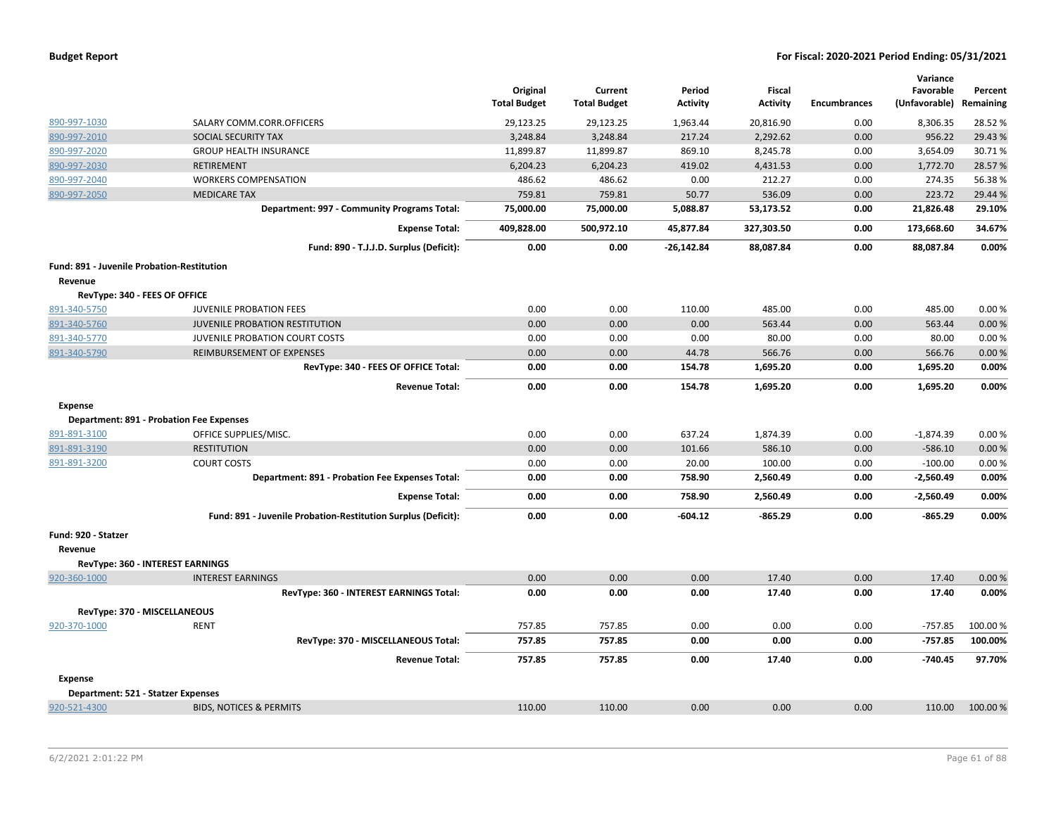|                                            |                                                               | Original<br><b>Total Budget</b> | Current<br><b>Total Budget</b> | Period<br>Activity | Fiscal<br><b>Activity</b> | <b>Encumbrances</b> | Variance<br>Favorable<br>(Unfavorable) Remaining | Percent  |
|--------------------------------------------|---------------------------------------------------------------|---------------------------------|--------------------------------|--------------------|---------------------------|---------------------|--------------------------------------------------|----------|
| 890-997-1030                               | SALARY COMM.CORR.OFFICERS                                     | 29,123.25                       | 29,123.25                      | 1,963.44           | 20,816.90                 | 0.00                | 8,306.35                                         | 28.52%   |
| 890-997-2010                               | <b>SOCIAL SECURITY TAX</b>                                    | 3,248.84                        | 3,248.84                       | 217.24             | 2,292.62                  | 0.00                | 956.22                                           | 29.43 %  |
| 890-997-2020                               | <b>GROUP HEALTH INSURANCE</b>                                 | 11,899.87                       | 11,899.87                      | 869.10             | 8,245.78                  | 0.00                | 3,654.09                                         | 30.71%   |
| 890-997-2030                               | RETIREMENT                                                    | 6,204.23                        | 6,204.23                       | 419.02             | 4,431.53                  | 0.00                | 1,772.70                                         | 28.57%   |
| 890-997-2040                               | <b>WORKERS COMPENSATION</b>                                   | 486.62                          | 486.62                         | 0.00               | 212.27                    | 0.00                | 274.35                                           | 56.38%   |
| 890-997-2050                               | <b>MEDICARE TAX</b>                                           | 759.81                          | 759.81                         | 50.77              | 536.09                    | 0.00                | 223.72                                           | 29.44 %  |
|                                            | Department: 997 - Community Programs Total:                   | 75,000.00                       | 75,000.00                      | 5,088.87           | 53,173.52                 | 0.00                | 21,826.48                                        | 29.10%   |
|                                            | <b>Expense Total:</b>                                         | 409,828.00                      | 500,972.10                     | 45,877.84          | 327,303.50                | 0.00                | 173,668.60                                       | 34.67%   |
|                                            | Fund: 890 - T.J.J.D. Surplus (Deficit):                       | 0.00                            | 0.00                           | -26,142.84         | 88,087.84                 | 0.00                | 88,087.84                                        | 0.00%    |
| Fund: 891 - Juvenile Probation-Restitution |                                                               |                                 |                                |                    |                           |                     |                                                  |          |
| Revenue                                    |                                                               |                                 |                                |                    |                           |                     |                                                  |          |
| RevType: 340 - FEES OF OFFICE              |                                                               |                                 |                                |                    |                           |                     |                                                  |          |
| 891-340-5750                               | <b>JUVENILE PROBATION FEES</b>                                | 0.00                            | 0.00                           | 110.00             | 485.00                    | 0.00                | 485.00                                           | 0.00%    |
| 891-340-5760                               | <b>JUVENILE PROBATION RESTITUTION</b>                         | 0.00                            | 0.00                           | 0.00               | 563.44                    | 0.00                | 563.44                                           | 0.00%    |
| 891-340-5770                               | JUVENILE PROBATION COURT COSTS                                | 0.00                            | 0.00                           | 0.00               | 80.00                     | 0.00                | 80.00                                            | 0.00%    |
| 891-340-5790                               | REIMBURSEMENT OF EXPENSES                                     | 0.00                            | 0.00                           | 44.78              | 566.76                    | 0.00                | 566.76                                           | 0.00%    |
|                                            | RevType: 340 - FEES OF OFFICE Total:                          | 0.00                            | 0.00                           | 154.78             | 1,695.20                  | 0.00                | 1,695.20                                         | 0.00%    |
|                                            | <b>Revenue Total:</b>                                         | 0.00                            | 0.00                           | 154.78             | 1,695.20                  | 0.00                | 1,695.20                                         | 0.00%    |
| <b>Expense</b>                             |                                                               |                                 |                                |                    |                           |                     |                                                  |          |
|                                            | <b>Department: 891 - Probation Fee Expenses</b>               |                                 |                                |                    |                           |                     |                                                  |          |
| 891-891-3100                               | OFFICE SUPPLIES/MISC.                                         | 0.00                            | 0.00                           | 637.24             | 1,874.39                  | 0.00                | $-1,874.39$                                      | 0.00%    |
| 891-891-3190                               | <b>RESTITUTION</b>                                            | 0.00                            | 0.00                           | 101.66             | 586.10                    | 0.00                | $-586.10$                                        | 0.00%    |
| 891-891-3200                               | <b>COURT COSTS</b>                                            | 0.00                            | 0.00                           | 20.00              | 100.00                    | 0.00                | $-100.00$                                        | 0.00%    |
|                                            | Department: 891 - Probation Fee Expenses Total:               | 0.00                            | 0.00                           | 758.90             | 2,560.49                  | 0.00                | $-2,560.49$                                      | 0.00%    |
|                                            | <b>Expense Total:</b>                                         | 0.00                            | 0.00                           | 758.90             | 2,560.49                  | 0.00                | $-2,560.49$                                      | 0.00%    |
|                                            | Fund: 891 - Juvenile Probation-Restitution Surplus (Deficit): | 0.00                            | 0.00                           | $-604.12$          | $-865.29$                 | 0.00                | $-865.29$                                        | 0.00%    |
| Fund: 920 - Statzer                        |                                                               |                                 |                                |                    |                           |                     |                                                  |          |
| Revenue                                    |                                                               |                                 |                                |                    |                           |                     |                                                  |          |
|                                            | RevType: 360 - INTEREST EARNINGS                              |                                 |                                |                    |                           |                     |                                                  |          |
| 920-360-1000                               | <b>INTEREST EARNINGS</b>                                      | 0.00                            | 0.00                           | 0.00               | 17.40                     | 0.00                | 17.40                                            | 0.00%    |
|                                            | RevType: 360 - INTEREST EARNINGS Total:                       | 0.00                            | 0.00                           | 0.00               | 17.40                     | 0.00                | 17.40                                            | 0.00%    |
| RevType: 370 - MISCELLANEOUS               |                                                               |                                 |                                |                    |                           |                     |                                                  |          |
| 920-370-1000                               | <b>RENT</b>                                                   | 757.85                          | 757.85                         | 0.00               | 0.00                      | 0.00                | $-757.85$                                        | 100.00%  |
|                                            | RevType: 370 - MISCELLANEOUS Total:                           | 757.85                          | 757.85                         | 0.00               | 0.00                      | 0.00                | $-757.85$                                        | 100.00%  |
|                                            | <b>Revenue Total:</b>                                         | 757.85                          | 757.85                         | 0.00               | 17.40                     | 0.00                | $-740.45$                                        | 97.70%   |
| <b>Expense</b>                             |                                                               |                                 |                                |                    |                           |                     |                                                  |          |
| Department: 521 - Statzer Expenses         |                                                               |                                 |                                |                    |                           |                     |                                                  |          |
| 920-521-4300                               | <b>BIDS, NOTICES &amp; PERMITS</b>                            | 110.00                          | 110.00                         | 0.00               | 0.00                      | 0.00                | 110.00                                           | 100.00 % |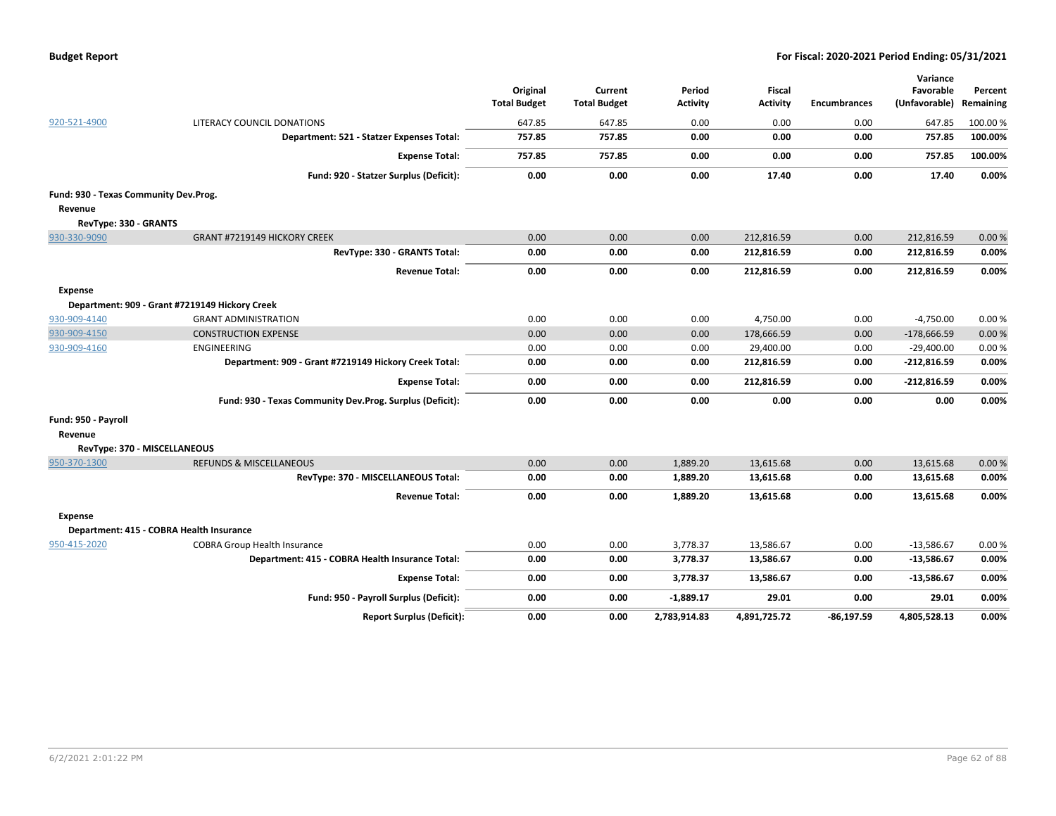| <b>Budget Report</b> |  |
|----------------------|--|
|----------------------|--|

|                                          |                                                          |                     |                     |                 |                 |                     | Variance      |           |
|------------------------------------------|----------------------------------------------------------|---------------------|---------------------|-----------------|-----------------|---------------------|---------------|-----------|
|                                          |                                                          | Original            | Current             | Period          | <b>Fiscal</b>   |                     | Favorable     | Percent   |
|                                          |                                                          | <b>Total Budget</b> | <b>Total Budget</b> | <b>Activity</b> | <b>Activity</b> | <b>Encumbrances</b> | (Unfavorable) | Remaining |
| 920-521-4900                             | LITERACY COUNCIL DONATIONS                               | 647.85              | 647.85              | 0.00            | 0.00            | 0.00                | 647.85        | 100.00 %  |
|                                          | Department: 521 - Statzer Expenses Total:                | 757.85              | 757.85              | 0.00            | 0.00            | 0.00                | 757.85        | 100.00%   |
|                                          | <b>Expense Total:</b>                                    | 757.85              | 757.85              | 0.00            | 0.00            | 0.00                | 757.85        | 100.00%   |
|                                          | Fund: 920 - Statzer Surplus (Deficit):                   | 0.00                | 0.00                | 0.00            | 17.40           | 0.00                | 17.40         | 0.00%     |
| Fund: 930 - Texas Community Dev.Prog.    |                                                          |                     |                     |                 |                 |                     |               |           |
| Revenue                                  |                                                          |                     |                     |                 |                 |                     |               |           |
| RevType: 330 - GRANTS                    |                                                          |                     |                     |                 |                 |                     |               |           |
| 930-330-9090                             | <b>GRANT #7219149 HICKORY CREEK</b>                      | 0.00                | 0.00                | 0.00            | 212,816.59      | 0.00                | 212,816.59    | 0.00%     |
|                                          | RevType: 330 - GRANTS Total:                             | 0.00                | 0.00                | 0.00            | 212,816.59      | 0.00                | 212,816.59    | 0.00%     |
|                                          | <b>Revenue Total:</b>                                    | 0.00                | 0.00                | 0.00            | 212,816.59      | 0.00                | 212,816.59    | 0.00%     |
| <b>Expense</b>                           |                                                          |                     |                     |                 |                 |                     |               |           |
|                                          | Department: 909 - Grant #7219149 Hickory Creek           |                     |                     |                 |                 |                     |               |           |
| 930-909-4140                             | <b>GRANT ADMINISTRATION</b>                              | 0.00                | 0.00                | 0.00            | 4,750.00        | 0.00                | $-4,750.00$   | 0.00%     |
| 930-909-4150                             | <b>CONSTRUCTION EXPENSE</b>                              | 0.00                | 0.00                | 0.00            | 178,666.59      | 0.00                | $-178,666.59$ | 0.00%     |
| 930-909-4160                             | ENGINEERING                                              | 0.00                | 0.00                | 0.00            | 29,400.00       | 0.00                | $-29,400.00$  | 0.00%     |
|                                          | Department: 909 - Grant #7219149 Hickory Creek Total:    | 0.00                | 0.00                | 0.00            | 212,816.59      | 0.00                | $-212,816.59$ | 0.00%     |
|                                          | <b>Expense Total:</b>                                    | 0.00                | 0.00                | 0.00            | 212,816.59      | 0.00                | $-212,816.59$ | 0.00%     |
|                                          | Fund: 930 - Texas Community Dev.Prog. Surplus (Deficit): | 0.00                | 0.00                | 0.00            | 0.00            | 0.00                | 0.00          | 0.00%     |
| Fund: 950 - Payroll                      |                                                          |                     |                     |                 |                 |                     |               |           |
| Revenue                                  |                                                          |                     |                     |                 |                 |                     |               |           |
| RevType: 370 - MISCELLANEOUS             |                                                          |                     |                     |                 |                 |                     |               |           |
| 950-370-1300                             | <b>REFUNDS &amp; MISCELLANEOUS</b>                       | 0.00                | 0.00                | 1,889.20        | 13,615.68       | 0.00                | 13,615.68     | 0.00%     |
|                                          | RevType: 370 - MISCELLANEOUS Total:                      | 0.00                | 0.00                | 1,889.20        | 13,615.68       | 0.00                | 13,615.68     | 0.00%     |
|                                          | <b>Revenue Total:</b>                                    | 0.00                | 0.00                | 1,889.20        | 13,615.68       | 0.00                | 13,615.68     | 0.00%     |
| <b>Expense</b>                           |                                                          |                     |                     |                 |                 |                     |               |           |
| Department: 415 - COBRA Health Insurance |                                                          |                     |                     |                 |                 |                     |               |           |
| 950-415-2020                             | <b>COBRA Group Health Insurance</b>                      | 0.00                | 0.00                | 3,778.37        | 13,586.67       | 0.00                | $-13,586.67$  | 0.00%     |
|                                          | Department: 415 - COBRA Health Insurance Total:          | 0.00                | 0.00                | 3,778.37        | 13,586.67       | 0.00                | $-13,586.67$  | 0.00%     |
|                                          | <b>Expense Total:</b>                                    | 0.00                | 0.00                | 3,778.37        | 13,586.67       | 0.00                | $-13,586.67$  | 0.00%     |
|                                          | Fund: 950 - Payroll Surplus (Deficit):                   | 0.00                | 0.00                | $-1,889.17$     | 29.01           | 0.00                | 29.01         | 0.00%     |
|                                          | <b>Report Surplus (Deficit):</b>                         | 0.00                | 0.00                | 2,783,914.83    | 4,891,725.72    | $-86,197.59$        | 4,805,528.13  | 0.00%     |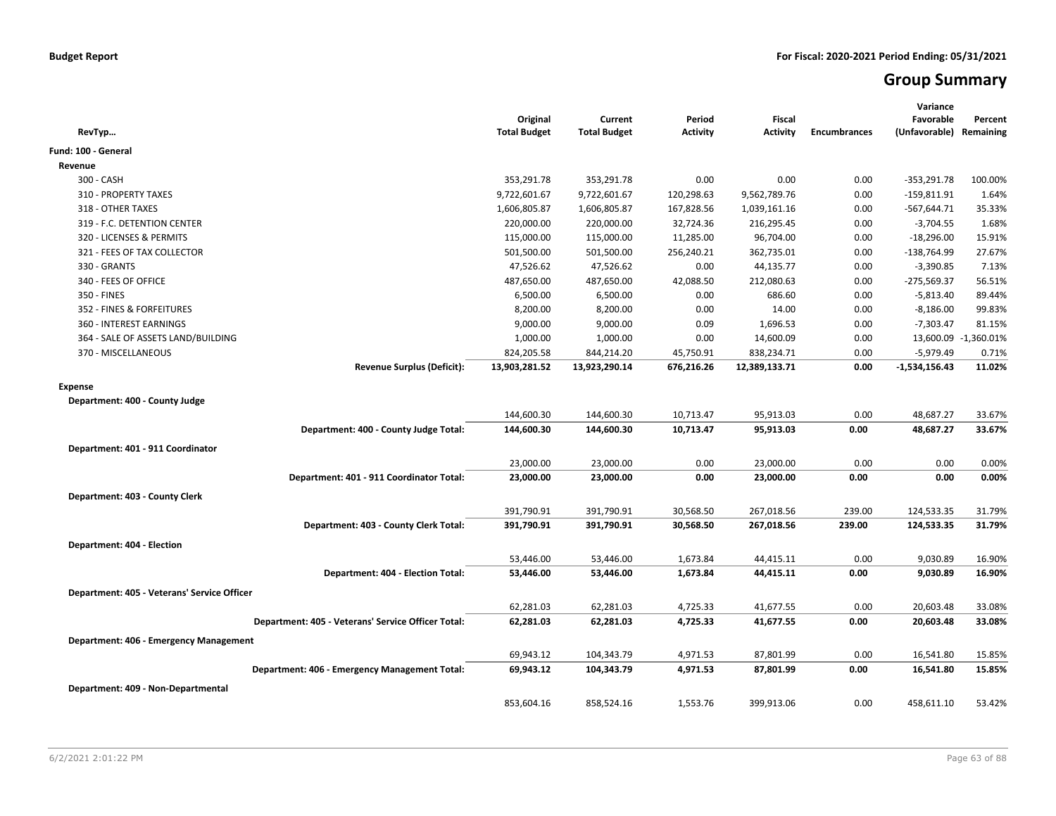# **Group Summary**

| RevTyp                                      |                                                    | Original<br><b>Total Budget</b> | Current<br><b>Total Budget</b> | Period<br><b>Activity</b> | <b>Fiscal</b><br><b>Activity</b> | <b>Encumbrances</b> | Variance<br>Favorable<br>(Unfavorable) Remaining | Percent              |
|---------------------------------------------|----------------------------------------------------|---------------------------------|--------------------------------|---------------------------|----------------------------------|---------------------|--------------------------------------------------|----------------------|
| Fund: 100 - General                         |                                                    |                                 |                                |                           |                                  |                     |                                                  |                      |
| Revenue                                     |                                                    |                                 |                                |                           |                                  |                     |                                                  |                      |
| 300 - CASH                                  |                                                    | 353,291.78                      | 353,291.78                     | 0.00                      | 0.00                             | 0.00                | $-353,291.78$                                    | 100.00%              |
| 310 - PROPERTY TAXES                        |                                                    | 9,722,601.67                    | 9,722,601.67                   | 120,298.63                | 9,562,789.76                     | 0.00                | $-159,811.91$                                    | 1.64%                |
| 318 - OTHER TAXES                           |                                                    | 1,606,805.87                    | 1,606,805.87                   | 167,828.56                | 1,039,161.16                     | 0.00                | $-567,644.71$                                    | 35.33%               |
| 319 - F.C. DETENTION CENTER                 |                                                    | 220,000.00                      | 220,000.00                     | 32,724.36                 | 216,295.45                       | 0.00                | $-3,704.55$                                      | 1.68%                |
| 320 - LICENSES & PERMITS                    |                                                    | 115,000.00                      | 115,000.00                     | 11,285.00                 | 96,704.00                        | 0.00                | $-18,296.00$                                     | 15.91%               |
| 321 - FEES OF TAX COLLECTOR                 |                                                    | 501,500.00                      | 501,500.00                     | 256,240.21                | 362,735.01                       | 0.00                | $-138,764.99$                                    | 27.67%               |
| 330 - GRANTS                                |                                                    | 47,526.62                       | 47,526.62                      | 0.00                      | 44,135.77                        | 0.00                | $-3,390.85$                                      | 7.13%                |
| 340 - FEES OF OFFICE                        |                                                    | 487,650.00                      | 487,650.00                     | 42,088.50                 | 212,080.63                       | 0.00                | $-275,569.37$                                    | 56.51%               |
| 350 - FINES                                 |                                                    | 6,500.00                        | 6,500.00                       | 0.00                      | 686.60                           | 0.00                | $-5,813.40$                                      | 89.44%               |
| 352 - FINES & FORFEITURES                   |                                                    | 8,200.00                        | 8,200.00                       | 0.00                      | 14.00                            | 0.00                | $-8,186.00$                                      | 99.83%               |
| 360 - INTEREST EARNINGS                     |                                                    | 9,000.00                        | 9,000.00                       | 0.09                      | 1,696.53                         | 0.00                | $-7,303.47$                                      | 81.15%               |
| 364 - SALE OF ASSETS LAND/BUILDING          |                                                    | 1,000.00                        | 1,000.00                       | 0.00                      | 14,600.09                        | 0.00                |                                                  | 13,600.09 -1,360.01% |
| 370 - MISCELLANEOUS                         |                                                    | 824,205.58                      | 844,214.20                     | 45,750.91                 | 838,234.71                       | 0.00                | $-5,979.49$                                      | 0.71%                |
|                                             | <b>Revenue Surplus (Deficit):</b>                  | 13,903,281.52                   | 13,923,290.14                  | 676,216.26                | 12,389,133.71                    | 0.00                | $-1,534,156.43$                                  | 11.02%               |
| <b>Expense</b>                              |                                                    |                                 |                                |                           |                                  |                     |                                                  |                      |
| Department: 400 - County Judge              |                                                    |                                 |                                |                           |                                  |                     |                                                  |                      |
|                                             |                                                    | 144,600.30                      | 144,600.30                     | 10,713.47                 | 95,913.03                        | 0.00                | 48,687.27                                        | 33.67%               |
|                                             | Department: 400 - County Judge Total:              | 144,600.30                      | 144,600.30                     | 10,713.47                 | 95,913.03                        | 0.00                | 48,687.27                                        | 33.67%               |
|                                             |                                                    |                                 |                                |                           |                                  |                     |                                                  |                      |
| Department: 401 - 911 Coordinator           |                                                    |                                 |                                |                           |                                  |                     |                                                  |                      |
|                                             |                                                    | 23,000.00                       | 23,000.00                      | 0.00                      | 23,000.00                        | 0.00                | 0.00                                             | 0.00%                |
|                                             | Department: 401 - 911 Coordinator Total:           | 23,000.00                       | 23,000.00                      | 0.00                      | 23,000.00                        | 0.00                | 0.00                                             | 0.00%                |
| Department: 403 - County Clerk              |                                                    |                                 |                                |                           |                                  |                     |                                                  |                      |
|                                             |                                                    | 391,790.91                      | 391,790.91                     | 30,568.50                 | 267,018.56                       | 239.00              | 124,533.35                                       | 31.79%               |
|                                             | Department: 403 - County Clerk Total:              | 391,790.91                      | 391,790.91                     | 30,568.50                 | 267,018.56                       | 239.00              | 124,533.35                                       | 31.79%               |
| Department: 404 - Election                  |                                                    |                                 |                                |                           |                                  |                     |                                                  |                      |
|                                             |                                                    | 53,446.00                       | 53,446.00                      | 1,673.84                  | 44,415.11                        | 0.00                | 9,030.89                                         | 16.90%               |
|                                             | Department: 404 - Election Total:                  | 53,446.00                       | 53,446.00                      | 1,673.84                  | 44,415.11                        | 0.00                | 9,030.89                                         | 16.90%               |
| Department: 405 - Veterans' Service Officer |                                                    |                                 |                                |                           |                                  |                     |                                                  |                      |
|                                             |                                                    | 62,281.03                       | 62,281.03                      | 4,725.33                  | 41,677.55                        | 0.00                | 20,603.48                                        | 33.08%               |
|                                             | Department: 405 - Veterans' Service Officer Total: | 62,281.03                       | 62,281.03                      | 4,725.33                  | 41,677.55                        | 0.00                | 20,603.48                                        | 33.08%               |
|                                             |                                                    |                                 |                                |                           |                                  |                     |                                                  |                      |
| Department: 406 - Emergency Management      |                                                    |                                 |                                |                           |                                  |                     |                                                  |                      |
|                                             |                                                    | 69,943.12                       | 104,343.79                     | 4,971.53                  | 87,801.99                        | 0.00                | 16,541.80                                        | 15.85%               |
|                                             | Department: 406 - Emergency Management Total:      | 69,943.12                       | 104,343.79                     | 4,971.53                  | 87,801.99                        | 0.00                | 16,541.80                                        | 15.85%               |
| Department: 409 - Non-Departmental          |                                                    |                                 |                                |                           |                                  |                     |                                                  |                      |
|                                             |                                                    | 853,604.16                      | 858,524.16                     | 1,553.76                  | 399,913.06                       | 0.00                | 458,611.10                                       | 53.42%               |
|                                             |                                                    |                                 |                                |                           |                                  |                     |                                                  |                      |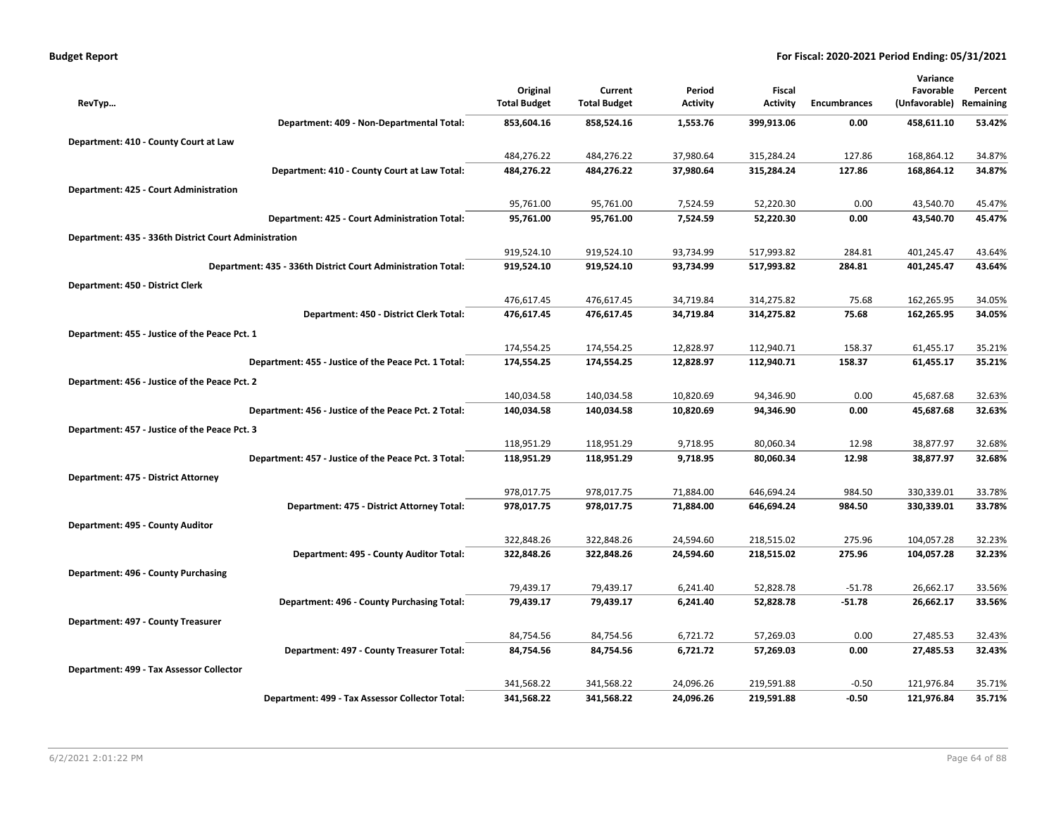| <b>Budget Report</b> |  |
|----------------------|--|
|----------------------|--|

| Original<br>Current<br>Period<br>Fiscal<br>Favorable<br>Percent<br>(Unfavorable)<br><b>Total Budget</b><br><b>Total Budget</b><br><b>Activity</b><br><b>Activity</b><br><b>Encumbrances</b><br>Remaining<br>RevTyp<br>53.42%<br>Department: 409 - Non-Departmental Total:<br>853,604.16<br>858,524.16<br>1,553.76<br>399,913.06<br>458,611.10<br>0.00<br>Department: 410 - County Court at Law<br>484,276.22<br>484,276.22<br>37,980.64<br>127.86<br>34.87%<br>315,284.24<br>168,864.12<br>168,864.12<br>34.87%<br>Department: 410 - County Court at Law Total:<br>484,276.22<br>484,276.22<br>37,980.64<br>315,284.24<br>127.86<br>Department: 425 - Court Administration<br>95,761.00<br>95,761.00<br>7,524.59<br>52,220.30<br>0.00<br>43,540.70<br>45.47%<br>52,220.30<br>45.47%<br>Department: 425 - Court Administration Total:<br>95,761.00<br>95,761.00<br>7,524.59<br>0.00<br>43,540.70<br>Department: 435 - 336th District Court Administration<br>919,524.10<br>919,524.10<br>93,734.99<br>517,993.82<br>401,245.47<br>284.81<br>43.64%<br>43.64%<br>Department: 435 - 336th District Court Administration Total:<br>919,524.10<br>919,524.10<br>93,734.99<br>517,993.82<br>284.81<br>401,245.47<br>Department: 450 - District Clerk<br>476,617.45<br>476,617.45<br>34,719.84<br>314,275.82<br>75.68<br>162,265.95<br>34.05%<br>Department: 450 - District Clerk Total:<br>476,617.45<br>34,719.84<br>314,275.82<br>75.68<br>162,265.95<br>34.05%<br>476,617.45<br>Department: 455 - Justice of the Peace Pct. 1<br>174,554.25<br>174,554.25<br>12,828.97<br>112,940.71<br>158.37<br>61,455.17<br>35.21%<br>35.21%<br>Department: 455 - Justice of the Peace Pct. 1 Total:<br>174,554.25<br>174,554.25<br>12,828.97<br>112,940.71<br>158.37<br>61,455.17 |
|--------------------------------------------------------------------------------------------------------------------------------------------------------------------------------------------------------------------------------------------------------------------------------------------------------------------------------------------------------------------------------------------------------------------------------------------------------------------------------------------------------------------------------------------------------------------------------------------------------------------------------------------------------------------------------------------------------------------------------------------------------------------------------------------------------------------------------------------------------------------------------------------------------------------------------------------------------------------------------------------------------------------------------------------------------------------------------------------------------------------------------------------------------------------------------------------------------------------------------------------------------------------------------------------------------------------------------------------------------------------------------------------------------------------------------------------------------------------------------------------------------------------------------------------------------------------------------------------------------------------------------------------------------------------------------------------------------------------------------------------------------------------|
|                                                                                                                                                                                                                                                                                                                                                                                                                                                                                                                                                                                                                                                                                                                                                                                                                                                                                                                                                                                                                                                                                                                                                                                                                                                                                                                                                                                                                                                                                                                                                                                                                                                                                                                                                                    |
|                                                                                                                                                                                                                                                                                                                                                                                                                                                                                                                                                                                                                                                                                                                                                                                                                                                                                                                                                                                                                                                                                                                                                                                                                                                                                                                                                                                                                                                                                                                                                                                                                                                                                                                                                                    |
|                                                                                                                                                                                                                                                                                                                                                                                                                                                                                                                                                                                                                                                                                                                                                                                                                                                                                                                                                                                                                                                                                                                                                                                                                                                                                                                                                                                                                                                                                                                                                                                                                                                                                                                                                                    |
|                                                                                                                                                                                                                                                                                                                                                                                                                                                                                                                                                                                                                                                                                                                                                                                                                                                                                                                                                                                                                                                                                                                                                                                                                                                                                                                                                                                                                                                                                                                                                                                                                                                                                                                                                                    |
|                                                                                                                                                                                                                                                                                                                                                                                                                                                                                                                                                                                                                                                                                                                                                                                                                                                                                                                                                                                                                                                                                                                                                                                                                                                                                                                                                                                                                                                                                                                                                                                                                                                                                                                                                                    |
|                                                                                                                                                                                                                                                                                                                                                                                                                                                                                                                                                                                                                                                                                                                                                                                                                                                                                                                                                                                                                                                                                                                                                                                                                                                                                                                                                                                                                                                                                                                                                                                                                                                                                                                                                                    |
|                                                                                                                                                                                                                                                                                                                                                                                                                                                                                                                                                                                                                                                                                                                                                                                                                                                                                                                                                                                                                                                                                                                                                                                                                                                                                                                                                                                                                                                                                                                                                                                                                                                                                                                                                                    |
|                                                                                                                                                                                                                                                                                                                                                                                                                                                                                                                                                                                                                                                                                                                                                                                                                                                                                                                                                                                                                                                                                                                                                                                                                                                                                                                                                                                                                                                                                                                                                                                                                                                                                                                                                                    |
|                                                                                                                                                                                                                                                                                                                                                                                                                                                                                                                                                                                                                                                                                                                                                                                                                                                                                                                                                                                                                                                                                                                                                                                                                                                                                                                                                                                                                                                                                                                                                                                                                                                                                                                                                                    |
|                                                                                                                                                                                                                                                                                                                                                                                                                                                                                                                                                                                                                                                                                                                                                                                                                                                                                                                                                                                                                                                                                                                                                                                                                                                                                                                                                                                                                                                                                                                                                                                                                                                                                                                                                                    |
|                                                                                                                                                                                                                                                                                                                                                                                                                                                                                                                                                                                                                                                                                                                                                                                                                                                                                                                                                                                                                                                                                                                                                                                                                                                                                                                                                                                                                                                                                                                                                                                                                                                                                                                                                                    |
|                                                                                                                                                                                                                                                                                                                                                                                                                                                                                                                                                                                                                                                                                                                                                                                                                                                                                                                                                                                                                                                                                                                                                                                                                                                                                                                                                                                                                                                                                                                                                                                                                                                                                                                                                                    |
|                                                                                                                                                                                                                                                                                                                                                                                                                                                                                                                                                                                                                                                                                                                                                                                                                                                                                                                                                                                                                                                                                                                                                                                                                                                                                                                                                                                                                                                                                                                                                                                                                                                                                                                                                                    |
|                                                                                                                                                                                                                                                                                                                                                                                                                                                                                                                                                                                                                                                                                                                                                                                                                                                                                                                                                                                                                                                                                                                                                                                                                                                                                                                                                                                                                                                                                                                                                                                                                                                                                                                                                                    |
|                                                                                                                                                                                                                                                                                                                                                                                                                                                                                                                                                                                                                                                                                                                                                                                                                                                                                                                                                                                                                                                                                                                                                                                                                                                                                                                                                                                                                                                                                                                                                                                                                                                                                                                                                                    |
|                                                                                                                                                                                                                                                                                                                                                                                                                                                                                                                                                                                                                                                                                                                                                                                                                                                                                                                                                                                                                                                                                                                                                                                                                                                                                                                                                                                                                                                                                                                                                                                                                                                                                                                                                                    |
|                                                                                                                                                                                                                                                                                                                                                                                                                                                                                                                                                                                                                                                                                                                                                                                                                                                                                                                                                                                                                                                                                                                                                                                                                                                                                                                                                                                                                                                                                                                                                                                                                                                                                                                                                                    |
|                                                                                                                                                                                                                                                                                                                                                                                                                                                                                                                                                                                                                                                                                                                                                                                                                                                                                                                                                                                                                                                                                                                                                                                                                                                                                                                                                                                                                                                                                                                                                                                                                                                                                                                                                                    |
| Department: 456 - Justice of the Peace Pct. 2                                                                                                                                                                                                                                                                                                                                                                                                                                                                                                                                                                                                                                                                                                                                                                                                                                                                                                                                                                                                                                                                                                                                                                                                                                                                                                                                                                                                                                                                                                                                                                                                                                                                                                                      |
| 140,034.58<br>140,034.58<br>10,820.69<br>94,346.90<br>0.00<br>45,687.68<br>32.63%                                                                                                                                                                                                                                                                                                                                                                                                                                                                                                                                                                                                                                                                                                                                                                                                                                                                                                                                                                                                                                                                                                                                                                                                                                                                                                                                                                                                                                                                                                                                                                                                                                                                                  |
| 32.63%<br>Department: 456 - Justice of the Peace Pct. 2 Total:<br>140,034.58<br>140,034.58<br>10,820.69<br>94,346.90<br>0.00<br>45,687.68                                                                                                                                                                                                                                                                                                                                                                                                                                                                                                                                                                                                                                                                                                                                                                                                                                                                                                                                                                                                                                                                                                                                                                                                                                                                                                                                                                                                                                                                                                                                                                                                                          |
| Department: 457 - Justice of the Peace Pct. 3                                                                                                                                                                                                                                                                                                                                                                                                                                                                                                                                                                                                                                                                                                                                                                                                                                                                                                                                                                                                                                                                                                                                                                                                                                                                                                                                                                                                                                                                                                                                                                                                                                                                                                                      |
| 118,951.29<br>80,060.34<br>12.98<br>38,877.97<br>118,951.29<br>9,718.95<br>32.68%                                                                                                                                                                                                                                                                                                                                                                                                                                                                                                                                                                                                                                                                                                                                                                                                                                                                                                                                                                                                                                                                                                                                                                                                                                                                                                                                                                                                                                                                                                                                                                                                                                                                                  |
| Department: 457 - Justice of the Peace Pct. 3 Total:<br>118,951.29<br>118,951.29<br>9,718.95<br>80,060.34<br>12.98<br>38,877.97<br>32.68%                                                                                                                                                                                                                                                                                                                                                                                                                                                                                                                                                                                                                                                                                                                                                                                                                                                                                                                                                                                                                                                                                                                                                                                                                                                                                                                                                                                                                                                                                                                                                                                                                          |
| Department: 475 - District Attorney                                                                                                                                                                                                                                                                                                                                                                                                                                                                                                                                                                                                                                                                                                                                                                                                                                                                                                                                                                                                                                                                                                                                                                                                                                                                                                                                                                                                                                                                                                                                                                                                                                                                                                                                |
| 978,017.75<br>978,017.75<br>71,884.00<br>646,694.24<br>984.50<br>330,339.01<br>33.78%                                                                                                                                                                                                                                                                                                                                                                                                                                                                                                                                                                                                                                                                                                                                                                                                                                                                                                                                                                                                                                                                                                                                                                                                                                                                                                                                                                                                                                                                                                                                                                                                                                                                              |
| Department: 475 - District Attorney Total:<br>978,017.75<br>978,017.75<br>71,884.00<br>646,694.24<br>330,339.01<br>33.78%<br>984.50                                                                                                                                                                                                                                                                                                                                                                                                                                                                                                                                                                                                                                                                                                                                                                                                                                                                                                                                                                                                                                                                                                                                                                                                                                                                                                                                                                                                                                                                                                                                                                                                                                |
| Department: 495 - County Auditor                                                                                                                                                                                                                                                                                                                                                                                                                                                                                                                                                                                                                                                                                                                                                                                                                                                                                                                                                                                                                                                                                                                                                                                                                                                                                                                                                                                                                                                                                                                                                                                                                                                                                                                                   |
| 322,848.26<br>322,848.26<br>24,594.60<br>218,515.02<br>275.96<br>104,057.28<br>32.23%                                                                                                                                                                                                                                                                                                                                                                                                                                                                                                                                                                                                                                                                                                                                                                                                                                                                                                                                                                                                                                                                                                                                                                                                                                                                                                                                                                                                                                                                                                                                                                                                                                                                              |
| 32.23%<br>Department: 495 - County Auditor Total:<br>322,848.26<br>322,848.26<br>24,594.60<br>218,515.02<br>275.96<br>104,057.28                                                                                                                                                                                                                                                                                                                                                                                                                                                                                                                                                                                                                                                                                                                                                                                                                                                                                                                                                                                                                                                                                                                                                                                                                                                                                                                                                                                                                                                                                                                                                                                                                                   |
| Department: 496 - County Purchasing                                                                                                                                                                                                                                                                                                                                                                                                                                                                                                                                                                                                                                                                                                                                                                                                                                                                                                                                                                                                                                                                                                                                                                                                                                                                                                                                                                                                                                                                                                                                                                                                                                                                                                                                |
| 79,439.17<br>52,828.78<br>79,439.17<br>6,241.40<br>$-51.78$<br>26,662.17<br>33.56%                                                                                                                                                                                                                                                                                                                                                                                                                                                                                                                                                                                                                                                                                                                                                                                                                                                                                                                                                                                                                                                                                                                                                                                                                                                                                                                                                                                                                                                                                                                                                                                                                                                                                 |
| Department: 496 - County Purchasing Total:<br>79,439.17<br>79,439.17<br>6,241.40<br>52,828.78<br>$-51.78$<br>26,662.17<br>33.56%                                                                                                                                                                                                                                                                                                                                                                                                                                                                                                                                                                                                                                                                                                                                                                                                                                                                                                                                                                                                                                                                                                                                                                                                                                                                                                                                                                                                                                                                                                                                                                                                                                   |
| Department: 497 - County Treasurer                                                                                                                                                                                                                                                                                                                                                                                                                                                                                                                                                                                                                                                                                                                                                                                                                                                                                                                                                                                                                                                                                                                                                                                                                                                                                                                                                                                                                                                                                                                                                                                                                                                                                                                                 |
| 84,754.56<br>84,754.56<br>6,721.72<br>57,269.03<br>0.00<br>27,485.53<br>32.43%                                                                                                                                                                                                                                                                                                                                                                                                                                                                                                                                                                                                                                                                                                                                                                                                                                                                                                                                                                                                                                                                                                                                                                                                                                                                                                                                                                                                                                                                                                                                                                                                                                                                                     |
| 32.43%<br>Department: 497 - County Treasurer Total:<br>84,754.56<br>84,754.56<br>6,721.72<br>57,269.03<br>0.00<br>27,485.53                                                                                                                                                                                                                                                                                                                                                                                                                                                                                                                                                                                                                                                                                                                                                                                                                                                                                                                                                                                                                                                                                                                                                                                                                                                                                                                                                                                                                                                                                                                                                                                                                                        |
| Department: 499 - Tax Assessor Collector                                                                                                                                                                                                                                                                                                                                                                                                                                                                                                                                                                                                                                                                                                                                                                                                                                                                                                                                                                                                                                                                                                                                                                                                                                                                                                                                                                                                                                                                                                                                                                                                                                                                                                                           |
| 341,568.22<br>341,568.22<br>24,096.26<br>219,591.88<br>$-0.50$<br>121,976.84<br>35.71%                                                                                                                                                                                                                                                                                                                                                                                                                                                                                                                                                                                                                                                                                                                                                                                                                                                                                                                                                                                                                                                                                                                                                                                                                                                                                                                                                                                                                                                                                                                                                                                                                                                                             |
| Department: 499 - Tax Assessor Collector Total:<br>341,568.22<br>341,568.22<br>24,096.26<br>219,591.88<br>$-0.50$<br>121,976.84<br>35.71%                                                                                                                                                                                                                                                                                                                                                                                                                                                                                                                                                                                                                                                                                                                                                                                                                                                                                                                                                                                                                                                                                                                                                                                                                                                                                                                                                                                                                                                                                                                                                                                                                          |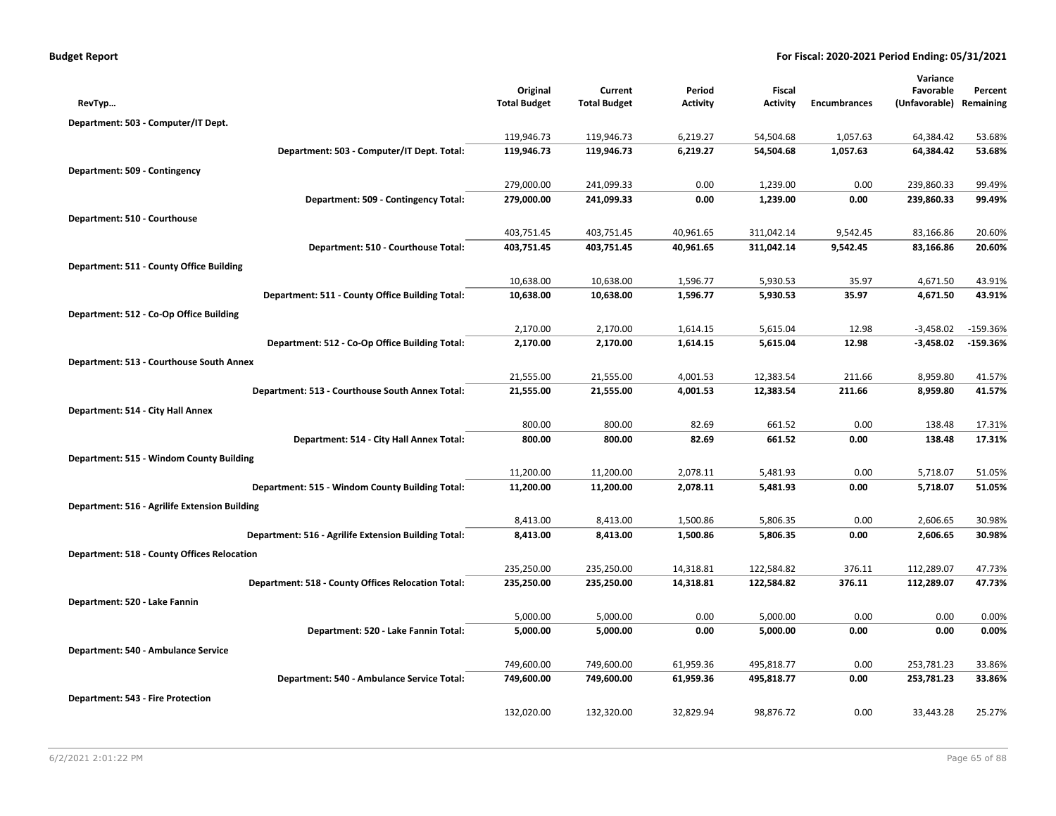| Original<br>Favorable<br>Current<br>Period<br>Fiscal<br>Percent<br><b>Total Budget</b><br><b>Total Budget</b><br><b>Activity</b><br><b>Activity</b><br><b>Encumbrances</b><br>(Unfavorable) Remaining<br>RevTyp<br>Department: 503 - Computer/IT Dept.<br>119,946.73<br>119,946.73<br>6,219.27<br>54,504.68<br>1,057.63<br>64,384.42<br>53.68%<br>Department: 503 - Computer/IT Dept. Total:<br>119,946.73<br>119,946.73<br>6,219.27<br>54,504.68<br>1,057.63<br>64,384.42<br>53.68%<br>Department: 509 - Contingency<br>279,000.00<br>0.00<br>1,239.00<br>0.00<br>241,099.33<br>239,860.33<br>99.49%<br>Department: 509 - Contingency Total:<br>279,000.00<br>241,099.33<br>0.00<br>1,239.00<br>0.00<br>239,860.33<br>99.49%<br>Department: 510 - Courthouse<br>9,542.45<br>403,751.45<br>403,751.45<br>40,961.65<br>311,042.14<br>83,166.86<br>20.60%<br>Department: 510 - Courthouse Total:<br>403,751.45<br>40,961.65<br>311,042.14<br>9,542.45<br>83,166.86<br>20.60%<br>403,751.45<br>Department: 511 - County Office Building<br>10,638.00<br>10,638.00<br>1,596.77<br>5,930.53<br>35.97<br>4,671.50<br>43.91%<br>Department: 511 - County Office Building Total:<br>10,638.00<br>10,638.00<br>1,596.77<br>5,930.53<br>35.97<br>4,671.50<br>43.91% |
|-----------------------------------------------------------------------------------------------------------------------------------------------------------------------------------------------------------------------------------------------------------------------------------------------------------------------------------------------------------------------------------------------------------------------------------------------------------------------------------------------------------------------------------------------------------------------------------------------------------------------------------------------------------------------------------------------------------------------------------------------------------------------------------------------------------------------------------------------------------------------------------------------------------------------------------------------------------------------------------------------------------------------------------------------------------------------------------------------------------------------------------------------------------------------------------------------------------------------------------------------------------|
|                                                                                                                                                                                                                                                                                                                                                                                                                                                                                                                                                                                                                                                                                                                                                                                                                                                                                                                                                                                                                                                                                                                                                                                                                                                           |
|                                                                                                                                                                                                                                                                                                                                                                                                                                                                                                                                                                                                                                                                                                                                                                                                                                                                                                                                                                                                                                                                                                                                                                                                                                                           |
|                                                                                                                                                                                                                                                                                                                                                                                                                                                                                                                                                                                                                                                                                                                                                                                                                                                                                                                                                                                                                                                                                                                                                                                                                                                           |
|                                                                                                                                                                                                                                                                                                                                                                                                                                                                                                                                                                                                                                                                                                                                                                                                                                                                                                                                                                                                                                                                                                                                                                                                                                                           |
|                                                                                                                                                                                                                                                                                                                                                                                                                                                                                                                                                                                                                                                                                                                                                                                                                                                                                                                                                                                                                                                                                                                                                                                                                                                           |
|                                                                                                                                                                                                                                                                                                                                                                                                                                                                                                                                                                                                                                                                                                                                                                                                                                                                                                                                                                                                                                                                                                                                                                                                                                                           |
|                                                                                                                                                                                                                                                                                                                                                                                                                                                                                                                                                                                                                                                                                                                                                                                                                                                                                                                                                                                                                                                                                                                                                                                                                                                           |
|                                                                                                                                                                                                                                                                                                                                                                                                                                                                                                                                                                                                                                                                                                                                                                                                                                                                                                                                                                                                                                                                                                                                                                                                                                                           |
|                                                                                                                                                                                                                                                                                                                                                                                                                                                                                                                                                                                                                                                                                                                                                                                                                                                                                                                                                                                                                                                                                                                                                                                                                                                           |
|                                                                                                                                                                                                                                                                                                                                                                                                                                                                                                                                                                                                                                                                                                                                                                                                                                                                                                                                                                                                                                                                                                                                                                                                                                                           |
|                                                                                                                                                                                                                                                                                                                                                                                                                                                                                                                                                                                                                                                                                                                                                                                                                                                                                                                                                                                                                                                                                                                                                                                                                                                           |
|                                                                                                                                                                                                                                                                                                                                                                                                                                                                                                                                                                                                                                                                                                                                                                                                                                                                                                                                                                                                                                                                                                                                                                                                                                                           |
|                                                                                                                                                                                                                                                                                                                                                                                                                                                                                                                                                                                                                                                                                                                                                                                                                                                                                                                                                                                                                                                                                                                                                                                                                                                           |
|                                                                                                                                                                                                                                                                                                                                                                                                                                                                                                                                                                                                                                                                                                                                                                                                                                                                                                                                                                                                                                                                                                                                                                                                                                                           |
| Department: 512 - Co-Op Office Building                                                                                                                                                                                                                                                                                                                                                                                                                                                                                                                                                                                                                                                                                                                                                                                                                                                                                                                                                                                                                                                                                                                                                                                                                   |
| 2,170.00<br>2,170.00<br>5,615.04<br>12.98<br>$-3,458.02$<br>$-159.36%$<br>1,614.15                                                                                                                                                                                                                                                                                                                                                                                                                                                                                                                                                                                                                                                                                                                                                                                                                                                                                                                                                                                                                                                                                                                                                                        |
| Department: 512 - Co-Op Office Building Total:<br>2,170.00<br>2,170.00<br>1,614.15<br>5,615.04<br>12.98<br>$-3,458.02$<br>$-159.36%$                                                                                                                                                                                                                                                                                                                                                                                                                                                                                                                                                                                                                                                                                                                                                                                                                                                                                                                                                                                                                                                                                                                      |
| Department: 513 - Courthouse South Annex                                                                                                                                                                                                                                                                                                                                                                                                                                                                                                                                                                                                                                                                                                                                                                                                                                                                                                                                                                                                                                                                                                                                                                                                                  |
| 12,383.54<br>8,959.80<br>21,555.00<br>21,555.00<br>4,001.53<br>211.66<br>41.57%                                                                                                                                                                                                                                                                                                                                                                                                                                                                                                                                                                                                                                                                                                                                                                                                                                                                                                                                                                                                                                                                                                                                                                           |
| Department: 513 - Courthouse South Annex Total:<br>21,555.00<br>21,555.00<br>4,001.53<br>12,383.54<br>211.66<br>8,959.80<br>41.57%                                                                                                                                                                                                                                                                                                                                                                                                                                                                                                                                                                                                                                                                                                                                                                                                                                                                                                                                                                                                                                                                                                                        |
| Department: 514 - City Hall Annex                                                                                                                                                                                                                                                                                                                                                                                                                                                                                                                                                                                                                                                                                                                                                                                                                                                                                                                                                                                                                                                                                                                                                                                                                         |
| 800.00<br>0.00<br>800.00<br>82.69<br>661.52<br>138.48<br>17.31%                                                                                                                                                                                                                                                                                                                                                                                                                                                                                                                                                                                                                                                                                                                                                                                                                                                                                                                                                                                                                                                                                                                                                                                           |
| 17.31%<br>Department: 514 - City Hall Annex Total:<br>800.00<br>800.00<br>82.69<br>661.52<br>0.00<br>138.48                                                                                                                                                                                                                                                                                                                                                                                                                                                                                                                                                                                                                                                                                                                                                                                                                                                                                                                                                                                                                                                                                                                                               |
| Department: 515 - Windom County Building                                                                                                                                                                                                                                                                                                                                                                                                                                                                                                                                                                                                                                                                                                                                                                                                                                                                                                                                                                                                                                                                                                                                                                                                                  |
| 11,200.00<br>2,078.11<br>5,481.93<br>0.00<br>11,200.00<br>5,718.07<br>51.05%                                                                                                                                                                                                                                                                                                                                                                                                                                                                                                                                                                                                                                                                                                                                                                                                                                                                                                                                                                                                                                                                                                                                                                              |
| 5,481.93<br>Department: 515 - Windom County Building Total:<br>11,200.00<br>11,200.00<br>2,078.11<br>0.00<br>5,718.07<br>51.05%                                                                                                                                                                                                                                                                                                                                                                                                                                                                                                                                                                                                                                                                                                                                                                                                                                                                                                                                                                                                                                                                                                                           |
| Department: 516 - Agrilife Extension Building                                                                                                                                                                                                                                                                                                                                                                                                                                                                                                                                                                                                                                                                                                                                                                                                                                                                                                                                                                                                                                                                                                                                                                                                             |
| 8,413.00<br>8,413.00<br>1,500.86<br>5,806.35<br>0.00<br>2,606.65<br>30.98%                                                                                                                                                                                                                                                                                                                                                                                                                                                                                                                                                                                                                                                                                                                                                                                                                                                                                                                                                                                                                                                                                                                                                                                |
| 30.98%<br>Department: 516 - Agrilife Extension Building Total:<br>8,413.00<br>8,413.00<br>1,500.86<br>5,806.35<br>0.00<br>2,606.65                                                                                                                                                                                                                                                                                                                                                                                                                                                                                                                                                                                                                                                                                                                                                                                                                                                                                                                                                                                                                                                                                                                        |
| <b>Department: 518 - County Offices Relocation</b>                                                                                                                                                                                                                                                                                                                                                                                                                                                                                                                                                                                                                                                                                                                                                                                                                                                                                                                                                                                                                                                                                                                                                                                                        |
| 235,250.00<br>112,289.07<br>235,250.00<br>14,318.81<br>122,584.82<br>376.11<br>47.73%                                                                                                                                                                                                                                                                                                                                                                                                                                                                                                                                                                                                                                                                                                                                                                                                                                                                                                                                                                                                                                                                                                                                                                     |
| 235,250.00<br>47.73%<br>Department: 518 - County Offices Relocation Total:<br>235,250.00<br>14,318.81<br>122,584.82<br>376.11<br>112,289.07                                                                                                                                                                                                                                                                                                                                                                                                                                                                                                                                                                                                                                                                                                                                                                                                                                                                                                                                                                                                                                                                                                               |
| Department: 520 - Lake Fannin                                                                                                                                                                                                                                                                                                                                                                                                                                                                                                                                                                                                                                                                                                                                                                                                                                                                                                                                                                                                                                                                                                                                                                                                                             |
| 5,000.00<br>0.00<br>0.00<br>5,000.00<br>5,000.00<br>0.00<br>0.00%                                                                                                                                                                                                                                                                                                                                                                                                                                                                                                                                                                                                                                                                                                                                                                                                                                                                                                                                                                                                                                                                                                                                                                                         |
| Department: 520 - Lake Fannin Total:<br>0.00%<br>5,000.00<br>5,000.00<br>0.00<br>5,000.00<br>0.00<br>0.00                                                                                                                                                                                                                                                                                                                                                                                                                                                                                                                                                                                                                                                                                                                                                                                                                                                                                                                                                                                                                                                                                                                                                 |
| Department: 540 - Ambulance Service                                                                                                                                                                                                                                                                                                                                                                                                                                                                                                                                                                                                                                                                                                                                                                                                                                                                                                                                                                                                                                                                                                                                                                                                                       |
| 749,600.00<br>749,600.00<br>61,959.36<br>495,818.77<br>0.00<br>253,781.23<br>33.86%                                                                                                                                                                                                                                                                                                                                                                                                                                                                                                                                                                                                                                                                                                                                                                                                                                                                                                                                                                                                                                                                                                                                                                       |
| 749,600.00<br>253,781.23<br>Department: 540 - Ambulance Service Total:<br>749,600.00<br>61,959.36<br>495,818.77<br>0.00<br>33.86%                                                                                                                                                                                                                                                                                                                                                                                                                                                                                                                                                                                                                                                                                                                                                                                                                                                                                                                                                                                                                                                                                                                         |
| <b>Department: 543 - Fire Protection</b>                                                                                                                                                                                                                                                                                                                                                                                                                                                                                                                                                                                                                                                                                                                                                                                                                                                                                                                                                                                                                                                                                                                                                                                                                  |
| 33,443.28<br>132,020.00<br>132,320.00<br>32,829.94<br>98,876.72<br>0.00<br>25.27%                                                                                                                                                                                                                                                                                                                                                                                                                                                                                                                                                                                                                                                                                                                                                                                                                                                                                                                                                                                                                                                                                                                                                                         |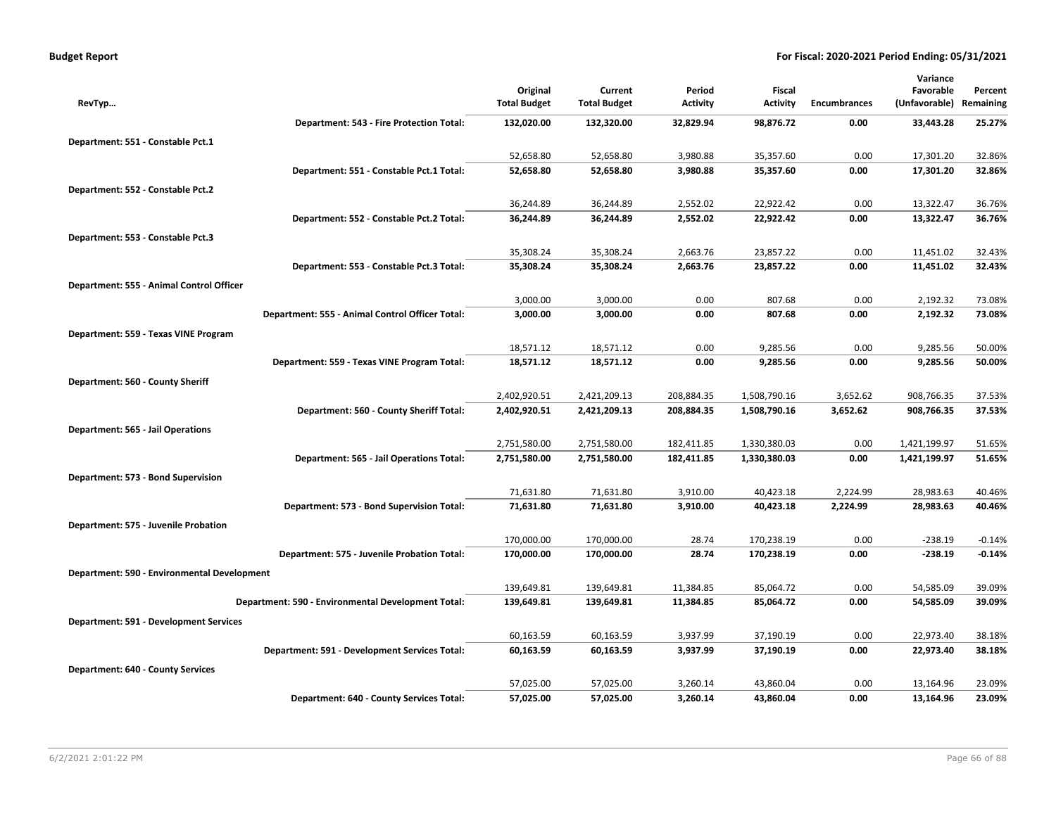| <b>Budget Report</b> |  |
|----------------------|--|
|----------------------|--|

|                                             |                                                    |                     |                     |                 |                 |                     | Variance      |           |
|---------------------------------------------|----------------------------------------------------|---------------------|---------------------|-----------------|-----------------|---------------------|---------------|-----------|
|                                             |                                                    | Original            | Current             | Period          | Fiscal          |                     | Favorable     | Percent   |
| RevTyp                                      |                                                    | <b>Total Budget</b> | <b>Total Budget</b> | <b>Activity</b> | <b>Activity</b> | <b>Encumbrances</b> | (Unfavorable) | Remaining |
|                                             | Department: 543 - Fire Protection Total:           | 132,020.00          | 132,320.00          | 32,829.94       | 98,876.72       | 0.00                | 33,443.28     | 25.27%    |
| Department: 551 - Constable Pct.1           |                                                    |                     |                     |                 |                 |                     |               |           |
|                                             |                                                    | 52,658.80           | 52,658.80           | 3,980.88        | 35,357.60       | 0.00                | 17,301.20     | 32.86%    |
|                                             | Department: 551 - Constable Pct.1 Total:           | 52,658.80           | 52,658.80           | 3,980.88        | 35,357.60       | 0.00                | 17,301.20     | 32.86%    |
| Department: 552 - Constable Pct.2           |                                                    |                     |                     |                 |                 |                     |               |           |
|                                             |                                                    | 36,244.89           | 36,244.89           | 2,552.02        | 22,922.42       | 0.00                | 13,322.47     | 36.76%    |
|                                             | Department: 552 - Constable Pct.2 Total:           | 36,244.89           | 36,244.89           | 2,552.02        | 22,922.42       | 0.00                | 13,322.47     | 36.76%    |
| Department: 553 - Constable Pct.3           |                                                    |                     |                     |                 |                 |                     |               |           |
|                                             |                                                    | 35,308.24           | 35,308.24           | 2,663.76        | 23,857.22       | 0.00                | 11,451.02     | 32.43%    |
|                                             | Department: 553 - Constable Pct.3 Total:           | 35,308.24           | 35,308.24           | 2,663.76        | 23,857.22       | 0.00                | 11,451.02     | 32.43%    |
| Department: 555 - Animal Control Officer    |                                                    |                     |                     |                 |                 |                     |               |           |
|                                             |                                                    | 3,000.00            | 3,000.00            | 0.00            | 807.68          | 0.00                | 2,192.32      | 73.08%    |
|                                             | Department: 555 - Animal Control Officer Total:    | 3,000.00            | 3,000.00            | 0.00            | 807.68          | 0.00                | 2,192.32      | 73.08%    |
| Department: 559 - Texas VINE Program        |                                                    |                     |                     |                 |                 |                     |               |           |
|                                             |                                                    | 18,571.12           | 18,571.12           | 0.00            | 9,285.56        | 0.00                | 9,285.56      | 50.00%    |
|                                             | Department: 559 - Texas VINE Program Total:        | 18,571.12           | 18,571.12           | 0.00            | 9,285.56        | 0.00                | 9,285.56      | 50.00%    |
| Department: 560 - County Sheriff            |                                                    |                     |                     |                 |                 |                     |               |           |
|                                             |                                                    | 2,402,920.51        | 2,421,209.13        | 208,884.35      | 1,508,790.16    | 3,652.62            | 908,766.35    | 37.53%    |
|                                             | Department: 560 - County Sheriff Total:            | 2,402,920.51        | 2,421,209.13        | 208,884.35      | 1,508,790.16    | 3,652.62            | 908,766.35    | 37.53%    |
| Department: 565 - Jail Operations           |                                                    |                     |                     |                 |                 |                     |               |           |
|                                             |                                                    | 2,751,580.00        | 2,751,580.00        | 182,411.85      | 1,330,380.03    | 0.00                | 1,421,199.97  | 51.65%    |
|                                             | Department: 565 - Jail Operations Total:           | 2,751,580.00        | 2,751,580.00        | 182,411.85      | 1,330,380.03    | 0.00                | 1,421,199.97  | 51.65%    |
| Department: 573 - Bond Supervision          |                                                    |                     |                     |                 |                 |                     |               |           |
|                                             |                                                    | 71,631.80           | 71,631.80           | 3,910.00        | 40,423.18       | 2,224.99            | 28,983.63     | 40.46%    |
|                                             | Department: 573 - Bond Supervision Total:          | 71,631.80           | 71,631.80           | 3,910.00        | 40,423.18       | 2,224.99            | 28,983.63     | 40.46%    |
| Department: 575 - Juvenile Probation        |                                                    |                     |                     |                 |                 |                     |               |           |
|                                             |                                                    | 170,000.00          | 170,000.00          | 28.74           | 170,238.19      | 0.00                | -238.19       | $-0.14%$  |
|                                             | Department: 575 - Juvenile Probation Total:        | 170,000.00          | 170,000.00          | 28.74           | 170,238.19      | 0.00                | $-238.19$     | $-0.14%$  |
| Department: 590 - Environmental Development |                                                    |                     |                     |                 |                 |                     |               |           |
|                                             |                                                    | 139,649.81          | 139,649.81          | 11,384.85       | 85,064.72       | 0.00                | 54,585.09     | 39.09%    |
|                                             | Department: 590 - Environmental Development Total: | 139,649.81          | 139,649.81          | 11,384.85       | 85,064.72       | 0.00                | 54,585.09     | 39.09%    |
| Department: 591 - Development Services      |                                                    |                     |                     |                 |                 |                     |               |           |
|                                             |                                                    | 60,163.59           | 60,163.59           | 3,937.99        | 37,190.19       | 0.00                | 22,973.40     | 38.18%    |
|                                             | Department: 591 - Development Services Total:      | 60,163.59           | 60,163.59           | 3,937.99        | 37,190.19       | 0.00                | 22,973.40     | 38.18%    |
| <b>Department: 640 - County Services</b>    |                                                    |                     |                     |                 |                 |                     |               |           |
|                                             |                                                    | 57,025.00           | 57,025.00           | 3,260.14        | 43,860.04       | 0.00                | 13,164.96     | 23.09%    |
|                                             | Department: 640 - County Services Total:           | 57,025.00           | 57,025.00           | 3,260.14        | 43,860.04       | 0.00                | 13,164.96     | 23.09%    |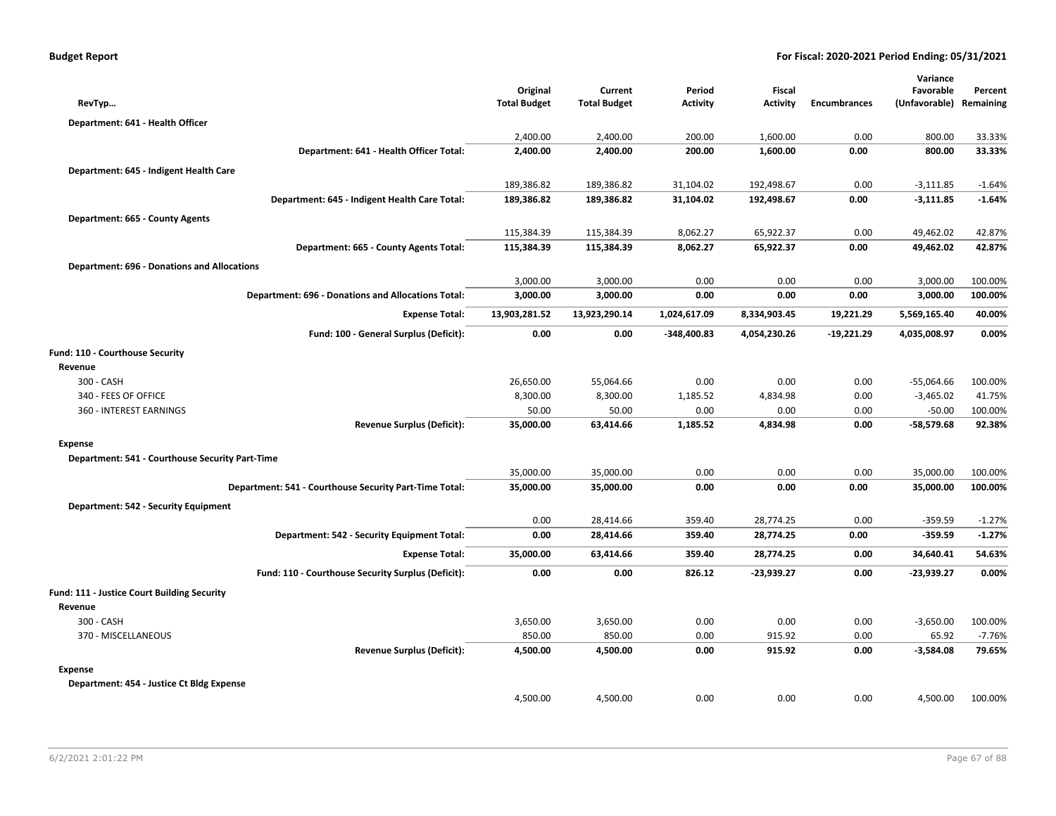|                                                    |                                                           |                                 |                                |                      |                           |                     | Variance                   |                      |
|----------------------------------------------------|-----------------------------------------------------------|---------------------------------|--------------------------------|----------------------|---------------------------|---------------------|----------------------------|----------------------|
| RevTyp                                             |                                                           | Original<br><b>Total Budget</b> | Current<br><b>Total Budget</b> | Period<br>Activity   | Fiscal<br><b>Activity</b> | <b>Encumbrances</b> | Favorable<br>(Unfavorable) | Percent<br>Remaining |
|                                                    |                                                           |                                 |                                |                      |                           |                     |                            |                      |
| Department: 641 - Health Officer                   |                                                           | 2,400.00                        | 2,400.00                       | 200.00               | 1,600.00                  | 0.00                | 800.00                     | 33.33%               |
|                                                    | Department: 641 - Health Officer Total:                   | 2,400.00                        | 2,400.00                       | 200.00               | 1,600.00                  | 0.00                | 800.00                     | 33.33%               |
|                                                    |                                                           |                                 |                                |                      |                           |                     |                            |                      |
| Department: 645 - Indigent Health Care             |                                                           | 189,386.82                      | 189,386.82                     | 31,104.02            | 192,498.67                | 0.00                | $-3,111.85$                |                      |
|                                                    | Department: 645 - Indigent Health Care Total:             | 189,386.82                      | 189,386.82                     | 31,104.02            | 192,498.67                | 0.00                | $-3,111.85$                | $-1.64%$<br>$-1.64%$ |
|                                                    |                                                           |                                 |                                |                      |                           |                     |                            |                      |
| Department: 665 - County Agents                    |                                                           |                                 |                                |                      |                           |                     |                            |                      |
|                                                    | Department: 665 - County Agents Total:                    | 115,384.39<br>115,384.39        | 115,384.39<br>115,384.39       | 8,062.27<br>8,062.27 | 65,922.37<br>65,922.37    | 0.00<br>0.00        | 49,462.02<br>49,462.02     | 42.87%<br>42.87%     |
|                                                    |                                                           |                                 |                                |                      |                           |                     |                            |                      |
| <b>Department: 696 - Donations and Allocations</b> |                                                           |                                 |                                |                      |                           |                     |                            |                      |
|                                                    |                                                           | 3,000.00                        | 3,000.00                       | 0.00                 | 0.00                      | 0.00                | 3,000.00                   | 100.00%              |
|                                                    | <b>Department: 696 - Donations and Allocations Total:</b> | 3,000.00                        | 3,000.00                       | 0.00                 | 0.00                      | 0.00                | 3,000.00                   | 100.00%              |
|                                                    | <b>Expense Total:</b>                                     | 13,903,281.52                   | 13,923,290.14                  | 1,024,617.09         | 8,334,903.45              | 19,221.29           | 5,569,165.40               | 40.00%               |
|                                                    | Fund: 100 - General Surplus (Deficit):                    | 0.00                            | 0.00                           | $-348,400.83$        | 4,054,230.26              | $-19,221.29$        | 4,035,008.97               | 0.00%                |
| Fund: 110 - Courthouse Security                    |                                                           |                                 |                                |                      |                           |                     |                            |                      |
| Revenue                                            |                                                           |                                 |                                |                      |                           |                     |                            |                      |
| 300 - CASH                                         |                                                           | 26,650.00                       | 55,064.66                      | 0.00                 | 0.00                      | 0.00                | $-55,064.66$               | 100.00%              |
| 340 - FEES OF OFFICE                               |                                                           | 8,300.00                        | 8,300.00                       | 1,185.52             | 4,834.98                  | 0.00                | $-3,465.02$                | 41.75%               |
| 360 - INTEREST EARNINGS                            |                                                           | 50.00                           | 50.00                          | 0.00                 | 0.00                      | 0.00                | $-50.00$                   | 100.00%              |
|                                                    | <b>Revenue Surplus (Deficit):</b>                         | 35,000.00                       | 63,414.66                      | 1,185.52             | 4,834.98                  | 0.00                | $-58,579.68$               | 92.38%               |
| <b>Expense</b>                                     |                                                           |                                 |                                |                      |                           |                     |                            |                      |
| Department: 541 - Courthouse Security Part-Time    |                                                           |                                 |                                |                      |                           |                     |                            |                      |
|                                                    |                                                           | 35,000.00                       | 35,000.00                      | 0.00                 | 0.00                      | 0.00                | 35,000.00                  | 100.00%              |
|                                                    | Department: 541 - Courthouse Security Part-Time Total:    | 35,000.00                       | 35,000.00                      | 0.00                 | 0.00                      | 0.00                | 35,000.00                  | 100.00%              |
| Department: 542 - Security Equipment               |                                                           |                                 |                                |                      |                           |                     |                            |                      |
|                                                    |                                                           | 0.00                            | 28,414.66                      | 359.40               | 28,774.25                 | 0.00                | $-359.59$                  | $-1.27%$             |
|                                                    | Department: 542 - Security Equipment Total:               | 0.00                            | 28,414.66                      | 359.40               | 28,774.25                 | 0.00                | $-359.59$                  | $-1.27%$             |
|                                                    | <b>Expense Total:</b>                                     | 35,000.00                       | 63,414.66                      | 359.40               | 28,774.25                 | 0.00                | 34,640.41                  | 54.63%               |
|                                                    | Fund: 110 - Courthouse Security Surplus (Deficit):        | 0.00                            | 0.00                           | 826.12               | $-23,939.27$              | 0.00                | $-23,939.27$               | 0.00%                |
| Fund: 111 - Justice Court Building Security        |                                                           |                                 |                                |                      |                           |                     |                            |                      |
| Revenue                                            |                                                           |                                 |                                |                      |                           |                     |                            |                      |
| 300 - CASH                                         |                                                           | 3,650.00                        | 3,650.00                       | 0.00                 | 0.00                      | 0.00                | $-3,650.00$                | 100.00%              |
| 370 - MISCELLANEOUS                                |                                                           | 850.00                          | 850.00                         | 0.00                 | 915.92                    | 0.00                | 65.92                      | $-7.76%$             |
|                                                    | <b>Revenue Surplus (Deficit):</b>                         | 4,500.00                        | 4,500.00                       | 0.00                 | 915.92                    | 0.00                | $-3,584.08$                | 79.65%               |
| Expense                                            |                                                           |                                 |                                |                      |                           |                     |                            |                      |
| Department: 454 - Justice Ct Bldg Expense          |                                                           |                                 |                                |                      |                           |                     |                            |                      |
|                                                    |                                                           | 4,500.00                        | 4,500.00                       | 0.00                 | 0.00                      | 0.00                | 4,500.00                   | 100.00%              |
|                                                    |                                                           |                                 |                                |                      |                           |                     |                            |                      |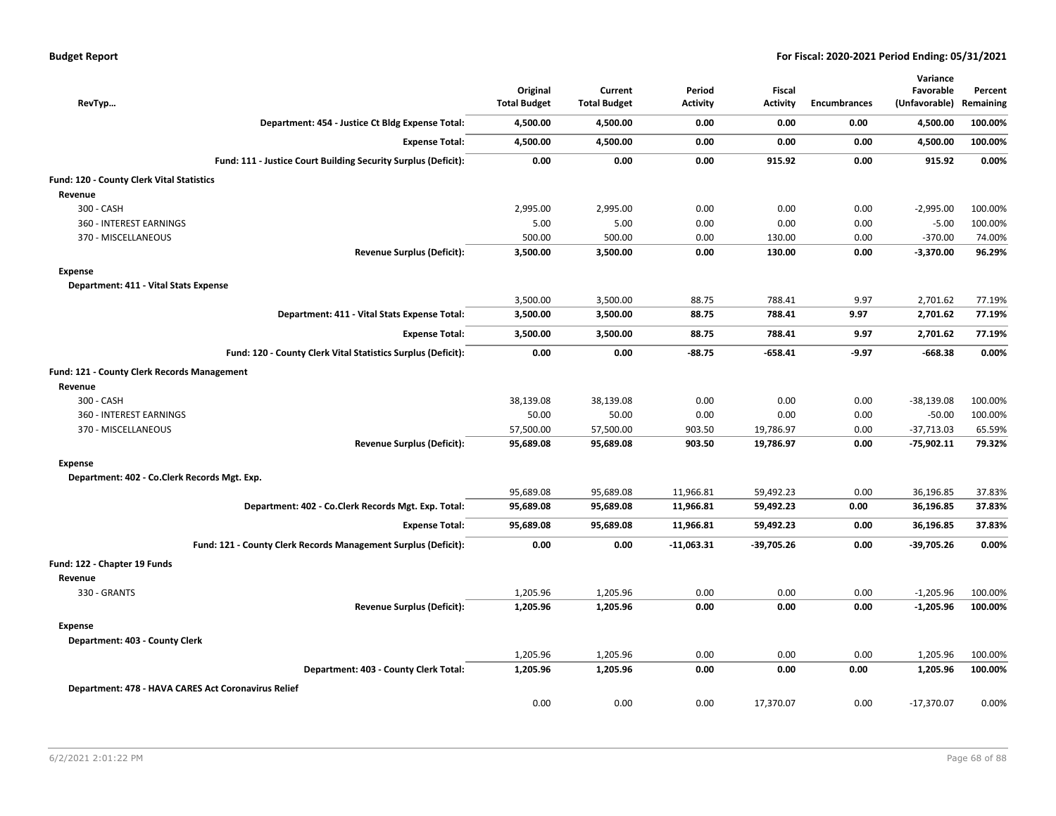| RevTyp                                              |                                                                | Original<br><b>Total Budget</b> | Current<br><b>Total Budget</b> | Period<br>Activity | <b>Fiscal</b><br><b>Activity</b> | <b>Encumbrances</b> | Variance<br>Favorable<br>(Unfavorable) | Percent<br>Remaining |
|-----------------------------------------------------|----------------------------------------------------------------|---------------------------------|--------------------------------|--------------------|----------------------------------|---------------------|----------------------------------------|----------------------|
|                                                     | Department: 454 - Justice Ct Bldg Expense Total:               | 4,500.00                        | 4,500.00                       | 0.00               | 0.00                             | 0.00                | 4,500.00                               | 100.00%              |
|                                                     | <b>Expense Total:</b>                                          | 4,500.00                        | 4,500.00                       | 0.00               | 0.00                             | 0.00                | 4,500.00                               | 100.00%              |
|                                                     | Fund: 111 - Justice Court Building Security Surplus (Deficit): | 0.00                            | 0.00                           | 0.00               | 915.92                           | 0.00                | 915.92                                 | 0.00%                |
| Fund: 120 - County Clerk Vital Statistics           |                                                                |                                 |                                |                    |                                  |                     |                                        |                      |
| Revenue                                             |                                                                |                                 |                                |                    |                                  |                     |                                        |                      |
| 300 - CASH                                          |                                                                | 2,995.00                        | 2,995.00                       | 0.00               | 0.00                             | 0.00                | $-2,995.00$                            | 100.00%              |
| 360 - INTEREST EARNINGS                             |                                                                | 5.00                            | 5.00                           | 0.00               | 0.00                             | 0.00                | $-5.00$                                | 100.00%              |
| 370 - MISCELLANEOUS                                 |                                                                | 500.00                          | 500.00                         | 0.00               | 130.00                           | 0.00                | $-370.00$                              | 74.00%               |
|                                                     | <b>Revenue Surplus (Deficit):</b>                              | 3,500.00                        | 3,500.00                       | 0.00               | 130.00                           | 0.00                | $-3,370.00$                            | 96.29%               |
| Expense                                             |                                                                |                                 |                                |                    |                                  |                     |                                        |                      |
| Department: 411 - Vital Stats Expense               |                                                                |                                 |                                |                    |                                  |                     |                                        |                      |
|                                                     |                                                                | 3,500.00                        | 3,500.00                       | 88.75              | 788.41                           | 9.97                | 2,701.62                               | 77.19%               |
|                                                     | Department: 411 - Vital Stats Expense Total:                   | 3,500.00                        | 3,500.00                       | 88.75              | 788.41                           | 9.97                | 2,701.62                               | 77.19%               |
|                                                     | <b>Expense Total:</b>                                          | 3,500.00                        | 3,500.00                       | 88.75              | 788.41                           | 9.97                | 2,701.62                               | 77.19%               |
|                                                     | Fund: 120 - County Clerk Vital Statistics Surplus (Deficit):   | 0.00                            | 0.00                           | $-88.75$           | $-658.41$                        | $-9.97$             | $-668.38$                              | 0.00%                |
| <b>Fund: 121 - County Clerk Records Management</b>  |                                                                |                                 |                                |                    |                                  |                     |                                        |                      |
| Revenue                                             |                                                                |                                 |                                |                    |                                  |                     |                                        |                      |
| 300 - CASH                                          |                                                                | 38,139.08                       | 38,139.08                      | 0.00               | 0.00                             | 0.00                | $-38,139.08$                           | 100.00%              |
| 360 - INTEREST EARNINGS                             |                                                                | 50.00                           | 50.00                          | 0.00               | 0.00                             | 0.00                | $-50.00$                               | 100.00%              |
| 370 - MISCELLANEOUS                                 |                                                                | 57,500.00                       | 57,500.00                      | 903.50             | 19,786.97                        | 0.00                | $-37,713.03$                           | 65.59%               |
|                                                     | <b>Revenue Surplus (Deficit):</b>                              | 95,689.08                       | 95,689.08                      | 903.50             | 19,786.97                        | 0.00                | -75,902.11                             | 79.32%               |
| <b>Expense</b>                                      |                                                                |                                 |                                |                    |                                  |                     |                                        |                      |
| Department: 402 - Co.Clerk Records Mgt. Exp.        |                                                                |                                 |                                |                    |                                  |                     |                                        |                      |
|                                                     |                                                                | 95,689.08                       | 95,689.08                      | 11,966.81          | 59,492.23                        | 0.00                | 36,196.85                              | 37.83%               |
|                                                     | Department: 402 - Co.Clerk Records Mgt. Exp. Total:            | 95,689.08                       | 95,689.08                      | 11,966.81          | 59,492.23                        | 0.00                | 36,196.85                              | 37.83%               |
|                                                     | <b>Expense Total:</b>                                          | 95,689.08                       | 95,689.08                      | 11,966.81          | 59,492.23                        | 0.00                | 36,196.85                              | 37.83%               |
|                                                     | Fund: 121 - County Clerk Records Management Surplus (Deficit): | 0.00                            | 0.00                           | $-11,063.31$       | $-39,705.26$                     | 0.00                | $-39,705.26$                           | 0.00%                |
| Fund: 122 - Chapter 19 Funds                        |                                                                |                                 |                                |                    |                                  |                     |                                        |                      |
| Revenue                                             |                                                                |                                 |                                |                    |                                  |                     |                                        |                      |
| 330 - GRANTS                                        |                                                                | 1,205.96                        | 1,205.96                       | 0.00               | 0.00                             | 0.00                | $-1,205.96$                            | 100.00%              |
|                                                     | <b>Revenue Surplus (Deficit):</b>                              | 1,205.96                        | 1,205.96                       | 0.00               | 0.00                             | 0.00                | $-1,205.96$                            | 100.00%              |
| <b>Expense</b>                                      |                                                                |                                 |                                |                    |                                  |                     |                                        |                      |
| Department: 403 - County Clerk                      |                                                                |                                 |                                |                    |                                  |                     |                                        |                      |
|                                                     |                                                                | 1,205.96                        | 1,205.96                       | 0.00               | 0.00                             | 0.00                | 1,205.96                               | 100.00%              |
|                                                     | Department: 403 - County Clerk Total:                          | 1,205.96                        | 1,205.96                       | 0.00               | 0.00                             | 0.00                | 1,205.96                               | 100.00%              |
| Department: 478 - HAVA CARES Act Coronavirus Relief |                                                                |                                 |                                |                    |                                  |                     |                                        |                      |
|                                                     |                                                                | 0.00                            | 0.00                           | 0.00               | 17,370.07                        | 0.00                | $-17,370.07$                           | 0.00%                |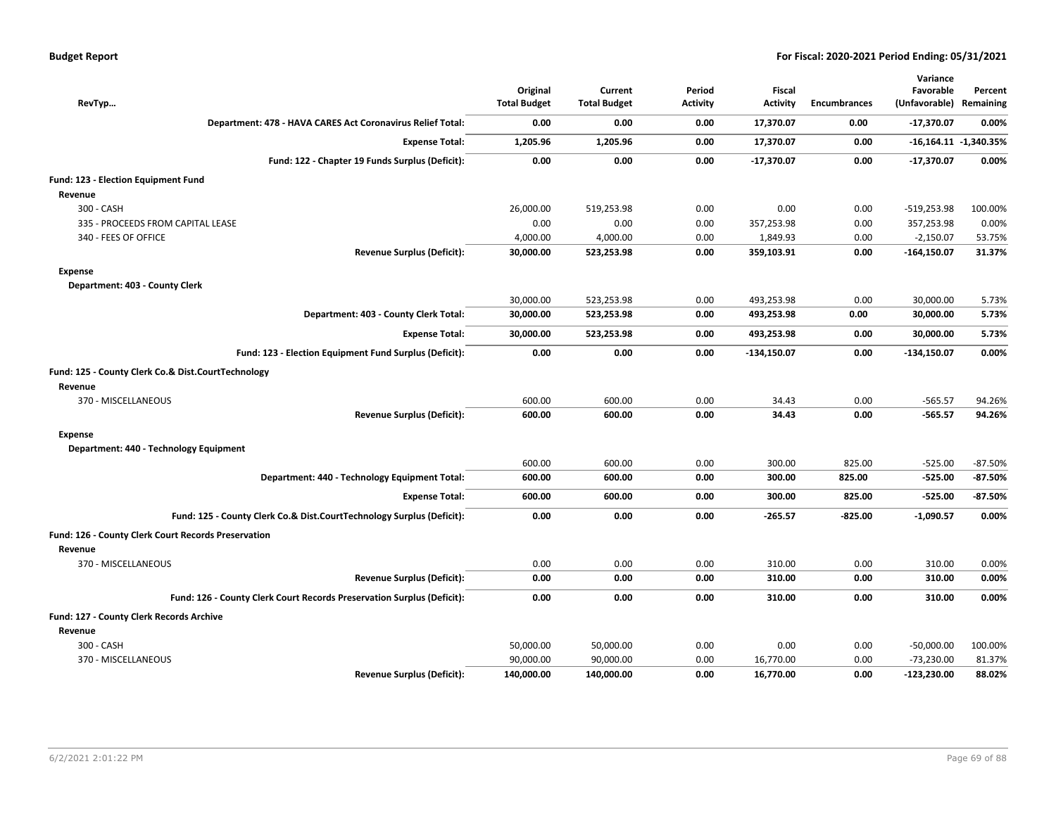| RevTyp                                                                 | Original<br><b>Total Budget</b> | Current<br><b>Total Budget</b> | Period<br><b>Activity</b> | Fiscal<br><b>Activity</b> | <b>Encumbrances</b> | Variance<br>Favorable<br>(Unfavorable) Remaining | Percent               |
|------------------------------------------------------------------------|---------------------------------|--------------------------------|---------------------------|---------------------------|---------------------|--------------------------------------------------|-----------------------|
| Department: 478 - HAVA CARES Act Coronavirus Relief Total:             | 0.00                            | 0.00                           | 0.00                      | 17,370.07                 | 0.00                | -17,370.07                                       | 0.00%                 |
| <b>Expense Total:</b>                                                  | 1,205.96                        | 1,205.96                       | 0.00                      | 17,370.07                 | 0.00                |                                                  | -16,164.11 -1,340.35% |
| Fund: 122 - Chapter 19 Funds Surplus (Deficit):                        | 0.00                            | 0.00                           | 0.00                      | $-17,370.07$              | 0.00                | $-17,370.07$                                     | 0.00%                 |
| Fund: 123 - Election Equipment Fund                                    |                                 |                                |                           |                           |                     |                                                  |                       |
| Revenue                                                                |                                 |                                |                           |                           |                     |                                                  |                       |
| 300 - CASH                                                             | 26,000.00                       | 519,253.98                     | 0.00                      | 0.00                      | 0.00                | $-519,253.98$                                    | 100.00%               |
| 335 - PROCEEDS FROM CAPITAL LEASE                                      | 0.00                            | 0.00                           | 0.00                      | 357,253.98                | 0.00                | 357,253.98                                       | 0.00%                 |
| 340 - FEES OF OFFICE                                                   | 4,000.00                        | 4,000.00                       | 0.00                      | 1,849.93                  | 0.00                | $-2,150.07$                                      | 53.75%                |
| <b>Revenue Surplus (Deficit):</b>                                      | 30,000.00                       | 523,253.98                     | 0.00                      | 359,103.91                | 0.00                | $-164,150.07$                                    | 31.37%                |
| <b>Expense</b>                                                         |                                 |                                |                           |                           |                     |                                                  |                       |
| Department: 403 - County Clerk                                         |                                 |                                |                           |                           |                     |                                                  |                       |
|                                                                        | 30,000.00                       | 523,253.98                     | 0.00                      | 493,253.98                | 0.00                | 30,000.00                                        | 5.73%                 |
| Department: 403 - County Clerk Total:                                  | 30,000.00                       | 523,253.98                     | 0.00                      | 493,253.98                | 0.00                | 30,000.00                                        | 5.73%                 |
| <b>Expense Total:</b>                                                  | 30,000.00                       | 523,253.98                     | 0.00                      | 493,253.98                | 0.00                | 30,000.00                                        | 5.73%                 |
| Fund: 123 - Election Equipment Fund Surplus (Deficit):                 | 0.00                            | 0.00                           | 0.00                      | $-134,150.07$             | 0.00                | $-134,150.07$                                    | 0.00%                 |
| Fund: 125 - County Clerk Co.& Dist.CourtTechnology                     |                                 |                                |                           |                           |                     |                                                  |                       |
| Revenue                                                                |                                 |                                |                           |                           |                     |                                                  |                       |
| 370 - MISCELLANEOUS                                                    | 600.00                          | 600.00                         | 0.00                      | 34.43                     | 0.00                | $-565.57$                                        | 94.26%                |
| <b>Revenue Surplus (Deficit):</b>                                      | 600.00                          | 600.00                         | 0.00                      | 34.43                     | 0.00                | $-565.57$                                        | 94.26%                |
| <b>Expense</b>                                                         |                                 |                                |                           |                           |                     |                                                  |                       |
| Department: 440 - Technology Equipment                                 |                                 |                                |                           |                           |                     |                                                  |                       |
|                                                                        | 600.00                          | 600.00                         | 0.00                      | 300.00                    | 825.00              | $-525.00$                                        | $-87.50%$             |
| Department: 440 - Technology Equipment Total:                          | 600.00                          | 600.00                         | 0.00                      | 300.00                    | 825.00              | $-525.00$                                        | $-87.50\%$            |
| <b>Expense Total:</b>                                                  | 600.00                          | 600.00                         | 0.00                      | 300.00                    | 825.00              | $-525.00$                                        | $-87.50\%$            |
| Fund: 125 - County Clerk Co.& Dist.CourtTechnology Surplus (Deficit):  | 0.00                            | 0.00                           | 0.00                      | $-265.57$                 | $-825.00$           | $-1,090.57$                                      | 0.00%                 |
| <b>Fund: 126 - County Clerk Court Records Preservation</b>             |                                 |                                |                           |                           |                     |                                                  |                       |
| Revenue                                                                |                                 |                                |                           |                           |                     |                                                  |                       |
| 370 - MISCELLANEOUS                                                    | 0.00                            | 0.00                           | 0.00                      | 310.00                    | 0.00                | 310.00                                           | 0.00%                 |
| <b>Revenue Surplus (Deficit):</b>                                      | 0.00                            | 0.00                           | 0.00                      | 310.00                    | 0.00                | 310.00                                           | 0.00%                 |
| Fund: 126 - County Clerk Court Records Preservation Surplus (Deficit): | 0.00                            | 0.00                           | 0.00                      | 310.00                    | 0.00                | 310.00                                           | 0.00%                 |
| Fund: 127 - County Clerk Records Archive                               |                                 |                                |                           |                           |                     |                                                  |                       |
| Revenue                                                                |                                 |                                |                           |                           |                     |                                                  |                       |
| 300 - CASH                                                             | 50,000.00                       | 50,000.00                      | 0.00                      | 0.00                      | 0.00                | $-50,000.00$                                     | 100.00%               |
| 370 - MISCELLANEOUS                                                    | 90,000.00                       | 90,000.00                      | 0.00                      | 16,770.00                 | 0.00                | $-73,230.00$                                     | 81.37%                |
| <b>Revenue Surplus (Deficit):</b>                                      | 140,000.00                      | 140,000.00                     | 0.00                      | 16,770.00                 | 0.00                | $-123,230.00$                                    | 88.02%                |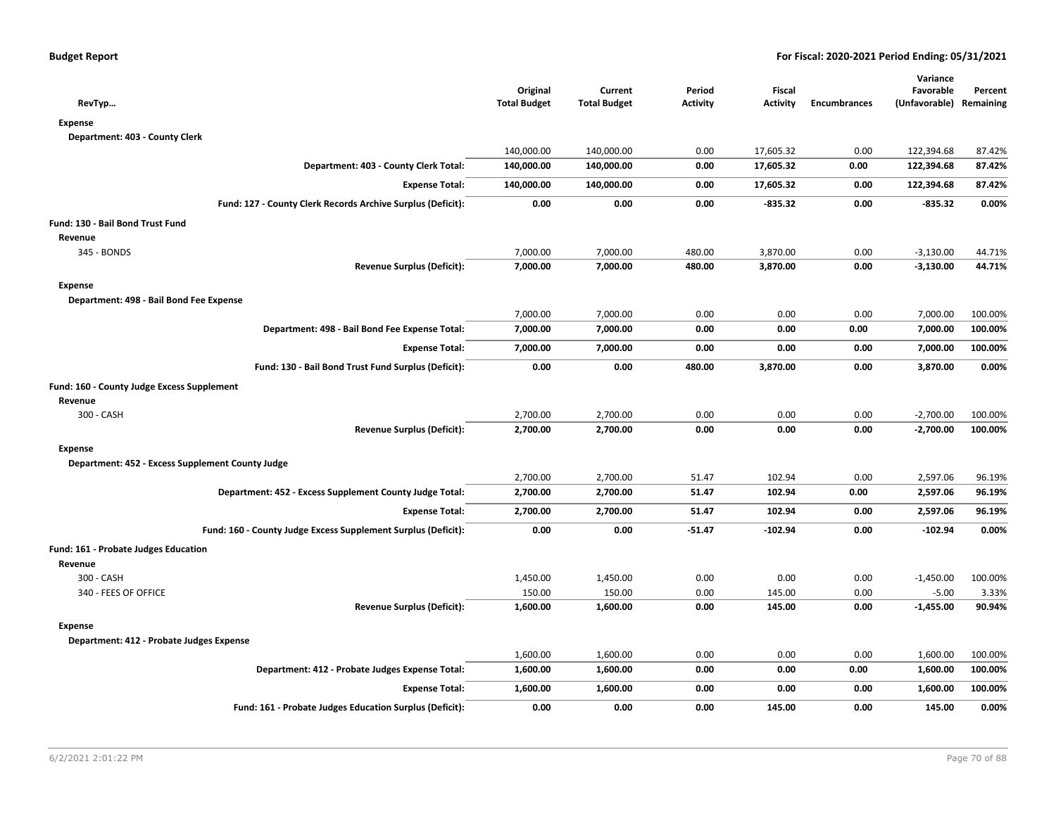| RevTyp                                                        | Original<br><b>Total Budget</b> | Current<br><b>Total Budget</b> | Period<br><b>Activity</b> | Fiscal<br><b>Activity</b> | <b>Encumbrances</b> | Variance<br>Favorable<br>(Unfavorable) Remaining | Percent |
|---------------------------------------------------------------|---------------------------------|--------------------------------|---------------------------|---------------------------|---------------------|--------------------------------------------------|---------|
| <b>Expense</b>                                                |                                 |                                |                           |                           |                     |                                                  |         |
| Department: 403 - County Clerk                                |                                 |                                |                           |                           |                     |                                                  |         |
|                                                               | 140,000.00                      | 140,000.00                     | 0.00                      | 17,605.32                 | 0.00                | 122,394.68                                       | 87.42%  |
| Department: 403 - County Clerk Total:                         | 140,000.00                      | 140,000.00                     | 0.00                      | 17,605.32                 | 0.00                | 122,394.68                                       | 87.42%  |
| <b>Expense Total:</b>                                         | 140,000.00                      | 140,000.00                     | 0.00                      | 17,605.32                 | 0.00                | 122,394.68                                       | 87.42%  |
| Fund: 127 - County Clerk Records Archive Surplus (Deficit):   | 0.00                            | 0.00                           | 0.00                      | $-835.32$                 | 0.00                | $-835.32$                                        | 0.00%   |
| Fund: 130 - Bail Bond Trust Fund                              |                                 |                                |                           |                           |                     |                                                  |         |
| Revenue                                                       |                                 |                                |                           |                           |                     |                                                  |         |
| 345 - BONDS                                                   | 7,000.00                        | 7,000.00                       | 480.00                    | 3,870.00                  | 0.00                | $-3,130.00$                                      | 44.71%  |
| <b>Revenue Surplus (Deficit):</b>                             | 7,000.00                        | 7,000.00                       | 480.00                    | 3,870.00                  | 0.00                | $-3,130.00$                                      | 44.71%  |
| <b>Expense</b>                                                |                                 |                                |                           |                           |                     |                                                  |         |
| Department: 498 - Bail Bond Fee Expense                       |                                 |                                |                           |                           |                     |                                                  |         |
|                                                               | 7,000.00                        | 7,000.00                       | 0.00                      | 0.00                      | 0.00                | 7,000.00                                         | 100.00% |
| Department: 498 - Bail Bond Fee Expense Total:                | 7,000.00                        | 7,000.00                       | 0.00                      | 0.00                      | 0.00                | 7,000.00                                         | 100.00% |
| <b>Expense Total:</b>                                         | 7,000.00                        | 7,000.00                       | 0.00                      | 0.00                      | 0.00                | 7,000.00                                         | 100.00% |
| Fund: 130 - Bail Bond Trust Fund Surplus (Deficit):           | 0.00                            | 0.00                           | 480.00                    | 3,870.00                  | 0.00                | 3,870.00                                         | 0.00%   |
| Fund: 160 - County Judge Excess Supplement                    |                                 |                                |                           |                           |                     |                                                  |         |
| Revenue                                                       |                                 |                                |                           |                           |                     |                                                  |         |
| 300 - CASH                                                    | 2,700.00                        | 2,700.00                       | 0.00                      | 0.00                      | 0.00                | $-2,700.00$                                      | 100.00% |
| <b>Revenue Surplus (Deficit):</b>                             | 2,700.00                        | 2,700.00                       | 0.00                      | 0.00                      | 0.00                | $-2,700.00$                                      | 100.00% |
| <b>Expense</b>                                                |                                 |                                |                           |                           |                     |                                                  |         |
| Department: 452 - Excess Supplement County Judge              |                                 |                                |                           |                           |                     |                                                  |         |
|                                                               | 2,700.00                        | 2,700.00                       | 51.47                     | 102.94                    | 0.00                | 2,597.06                                         | 96.19%  |
| Department: 452 - Excess Supplement County Judge Total:       | 2,700.00                        | 2,700.00                       | 51.47                     | 102.94                    | 0.00                | 2,597.06                                         | 96.19%  |
| <b>Expense Total:</b>                                         | 2,700.00                        | 2,700.00                       | 51.47                     | 102.94                    | 0.00                | 2,597.06                                         | 96.19%  |
| Fund: 160 - County Judge Excess Supplement Surplus (Deficit): | 0.00                            | 0.00                           | -51.47                    | $-102.94$                 | 0.00                | $-102.94$                                        | 0.00%   |
| Fund: 161 - Probate Judges Education                          |                                 |                                |                           |                           |                     |                                                  |         |
| Revenue                                                       |                                 |                                |                           |                           |                     |                                                  |         |
| 300 - CASH                                                    | 1,450.00                        | 1,450.00                       | 0.00                      | 0.00                      | 0.00                | $-1,450.00$                                      | 100.00% |
| 340 - FEES OF OFFICE                                          | 150.00                          | 150.00                         | 0.00                      | 145.00                    | 0.00                | $-5.00$                                          | 3.33%   |
| <b>Revenue Surplus (Deficit):</b>                             | 1,600.00                        | 1,600.00                       | 0.00                      | 145.00                    | 0.00                | $-1,455.00$                                      | 90.94%  |
| <b>Expense</b>                                                |                                 |                                |                           |                           |                     |                                                  |         |
| Department: 412 - Probate Judges Expense                      |                                 |                                |                           |                           |                     |                                                  |         |
|                                                               | 1,600.00                        | 1,600.00                       | 0.00                      | 0.00                      | 0.00                | 1,600.00                                         | 100.00% |
| Department: 412 - Probate Judges Expense Total:               | 1,600.00                        | 1,600.00                       | 0.00                      | 0.00                      | 0.00                | 1,600.00                                         | 100.00% |
| <b>Expense Total:</b>                                         | 1,600.00                        | 1,600.00                       | 0.00                      | 0.00                      | 0.00                | 1,600.00                                         | 100.00% |
| Fund: 161 - Probate Judges Education Surplus (Deficit):       | 0.00                            | 0.00                           | 0.00                      | 145.00                    | 0.00                | 145.00                                           | 0.00%   |
|                                                               |                                 |                                |                           |                           |                     |                                                  |         |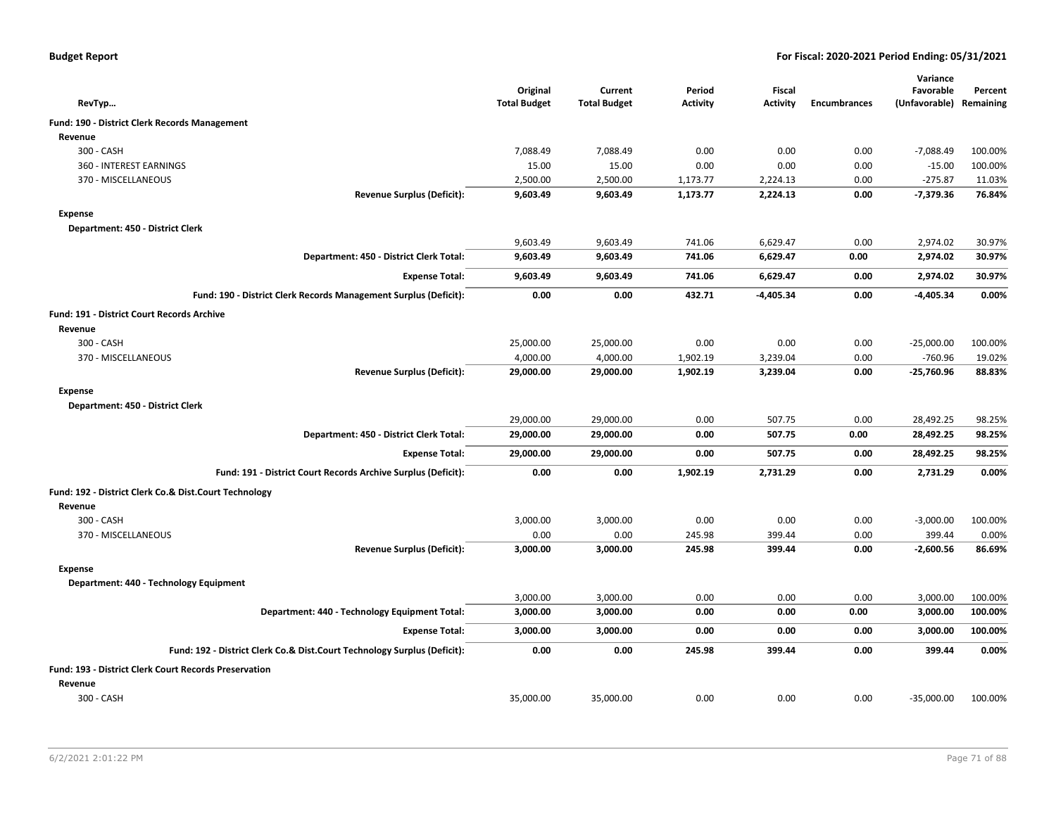| <b>Budget Report</b> |  |
|----------------------|--|
|----------------------|--|

|                                                                          |                                 |                                |                           |                           |                     | Variance                   |                      |
|--------------------------------------------------------------------------|---------------------------------|--------------------------------|---------------------------|---------------------------|---------------------|----------------------------|----------------------|
|                                                                          | Original<br><b>Total Budget</b> | Current<br><b>Total Budget</b> | Period<br><b>Activity</b> | Fiscal<br><b>Activity</b> | <b>Encumbrances</b> | Favorable<br>(Unfavorable) | Percent<br>Remaining |
| RevTyp                                                                   |                                 |                                |                           |                           |                     |                            |                      |
| Fund: 190 - District Clerk Records Management                            |                                 |                                |                           |                           |                     |                            |                      |
| Revenue                                                                  |                                 |                                |                           |                           |                     |                            |                      |
| 300 - CASH                                                               | 7,088.49<br>15.00               | 7,088.49<br>15.00              | 0.00                      | 0.00                      | 0.00                | $-7,088.49$                | 100.00%<br>100.00%   |
| 360 - INTEREST EARNINGS<br>370 - MISCELLANEOUS                           | 2,500.00                        | 2,500.00                       | 0.00<br>1,173.77          | 0.00<br>2,224.13          | 0.00<br>0.00        | $-15.00$<br>$-275.87$      | 11.03%               |
| <b>Revenue Surplus (Deficit):</b>                                        | 9,603.49                        | 9,603.49                       | 1,173.77                  | 2,224.13                  | 0.00                | $-7,379.36$                | 76.84%               |
| <b>Expense</b>                                                           |                                 |                                |                           |                           |                     |                            |                      |
| Department: 450 - District Clerk                                         |                                 |                                |                           |                           |                     |                            |                      |
|                                                                          | 9,603.49                        | 9,603.49                       | 741.06                    | 6,629.47                  | 0.00                | 2,974.02                   | 30.97%               |
| Department: 450 - District Clerk Total:                                  | 9,603.49                        | 9,603.49                       | 741.06                    | 6,629.47                  | 0.00                | 2,974.02                   | 30.97%               |
| <b>Expense Total:</b>                                                    | 9,603.49                        | 9,603.49                       | 741.06                    | 6,629.47                  | 0.00                | 2,974.02                   | 30.97%               |
| Fund: 190 - District Clerk Records Management Surplus (Deficit):         | 0.00                            | 0.00                           | 432.71                    | $-4,405.34$               | 0.00                | $-4,405.34$                | 0.00%                |
| Fund: 191 - District Court Records Archive                               |                                 |                                |                           |                           |                     |                            |                      |
| Revenue                                                                  |                                 |                                |                           |                           |                     |                            |                      |
| 300 - CASH                                                               | 25,000.00                       | 25,000.00                      | 0.00                      | 0.00                      | 0.00                | $-25,000.00$               | 100.00%              |
| 370 - MISCELLANEOUS                                                      | 4,000.00                        | 4,000.00                       | 1,902.19                  | 3,239.04                  | 0.00                | $-760.96$                  | 19.02%               |
| <b>Revenue Surplus (Deficit):</b>                                        | 29,000.00                       | 29,000.00                      | 1,902.19                  | 3,239.04                  | 0.00                | $-25,760.96$               | 88.83%               |
| <b>Expense</b>                                                           |                                 |                                |                           |                           |                     |                            |                      |
| Department: 450 - District Clerk                                         |                                 |                                |                           |                           |                     |                            |                      |
|                                                                          | 29,000.00                       | 29,000.00                      | 0.00                      | 507.75                    | 0.00                | 28,492.25                  | 98.25%               |
| Department: 450 - District Clerk Total:                                  | 29,000.00                       | 29,000.00                      | 0.00                      | 507.75                    | 0.00                | 28,492.25                  | 98.25%               |
| <b>Expense Total:</b>                                                    | 29,000.00                       | 29,000.00                      | 0.00                      | 507.75                    | 0.00                | 28,492.25                  | 98.25%               |
| Fund: 191 - District Court Records Archive Surplus (Deficit):            | 0.00                            | 0.00                           | 1,902.19                  | 2,731.29                  | 0.00                | 2,731.29                   | 0.00%                |
| Fund: 192 - District Clerk Co.& Dist.Court Technology                    |                                 |                                |                           |                           |                     |                            |                      |
| Revenue                                                                  |                                 |                                |                           |                           |                     |                            |                      |
| 300 - CASH                                                               | 3,000.00                        | 3,000.00                       | 0.00                      | 0.00                      | 0.00                | $-3,000.00$                | 100.00%              |
| 370 - MISCELLANEOUS                                                      | 0.00                            | 0.00                           | 245.98                    | 399.44                    | 0.00                | 399.44                     | 0.00%                |
| <b>Revenue Surplus (Deficit):</b>                                        | 3,000.00                        | 3,000.00                       | 245.98                    | 399.44                    | 0.00                | $-2,600.56$                | 86.69%               |
| <b>Expense</b>                                                           |                                 |                                |                           |                           |                     |                            |                      |
| Department: 440 - Technology Equipment                                   |                                 |                                |                           |                           |                     |                            |                      |
|                                                                          | 3,000.00                        | 3,000.00                       | 0.00                      | 0.00                      | 0.00                | 3,000.00                   | 100.00%              |
| Department: 440 - Technology Equipment Total:                            | 3,000.00                        | 3,000.00                       | 0.00                      | 0.00                      | 0.00                | 3,000.00                   | 100.00%              |
| <b>Expense Total:</b>                                                    | 3,000.00                        | 3,000.00                       | 0.00                      | 0.00                      | 0.00                | 3,000.00                   | 100.00%              |
| Fund: 192 - District Clerk Co.& Dist.Court Technology Surplus (Deficit): | 0.00                            | 0.00                           | 245.98                    | 399.44                    | 0.00                | 399.44                     | 0.00%                |
| Fund: 193 - District Clerk Court Records Preservation                    |                                 |                                |                           |                           |                     |                            |                      |
| Revenue                                                                  |                                 |                                |                           |                           |                     |                            |                      |
| 300 - CASH                                                               | 35,000.00                       | 35,000.00                      | 0.00                      | 0.00                      | 0.00                | $-35,000.00$               | 100.00%              |
|                                                                          |                                 |                                |                           |                           |                     |                            |                      |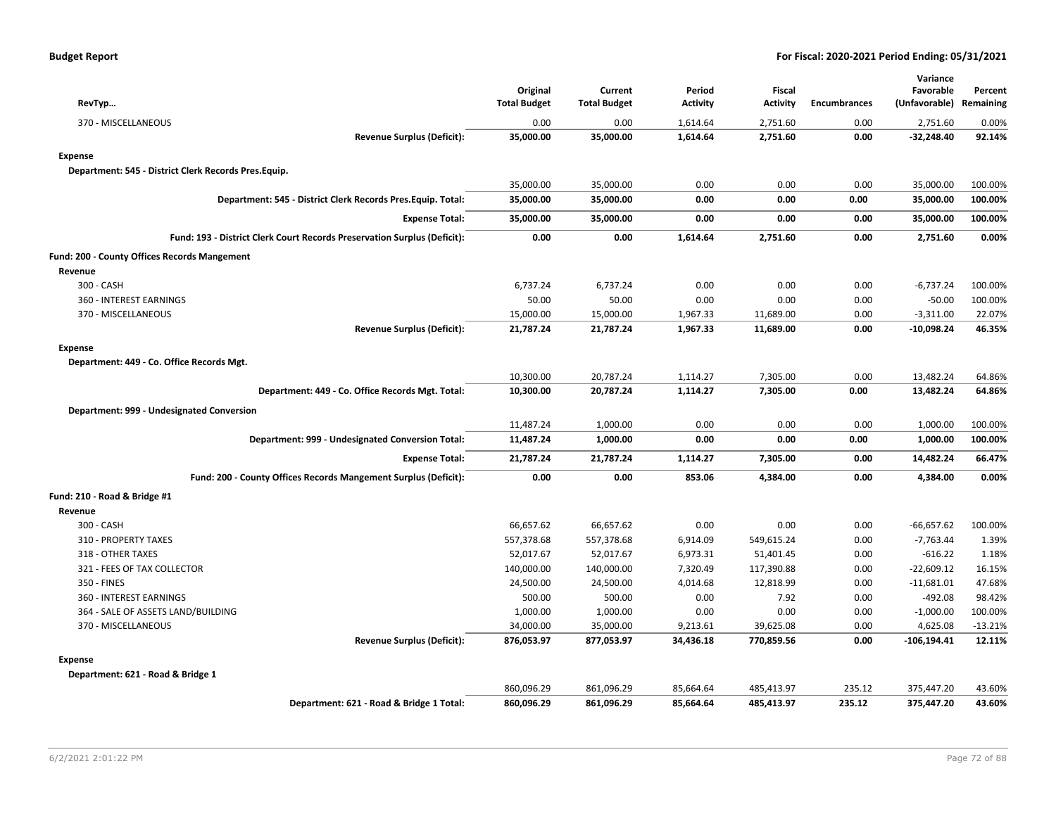| RevTyp                                                                   | Original<br><b>Total Budget</b> | Current<br><b>Total Budget</b> | Period<br><b>Activity</b> | <b>Fiscal</b><br><b>Activity</b> | <b>Encumbrances</b> | Variance<br>Favorable<br>(Unfavorable) Remaining | Percent   |
|--------------------------------------------------------------------------|---------------------------------|--------------------------------|---------------------------|----------------------------------|---------------------|--------------------------------------------------|-----------|
| 370 - MISCELLANEOUS                                                      | 0.00                            | 0.00                           | 1,614.64                  | 2,751.60                         | 0.00                | 2,751.60                                         | 0.00%     |
| <b>Revenue Surplus (Deficit):</b>                                        | 35,000.00                       | 35,000.00                      | 1,614.64                  | 2,751.60                         | 0.00                | $-32,248.40$                                     | 92.14%    |
| <b>Expense</b>                                                           |                                 |                                |                           |                                  |                     |                                                  |           |
| Department: 545 - District Clerk Records Pres.Equip.                     |                                 |                                |                           |                                  |                     |                                                  |           |
|                                                                          | 35,000.00                       | 35,000.00                      | 0.00                      | 0.00                             | 0.00                | 35,000.00                                        | 100.00%   |
| Department: 545 - District Clerk Records Pres. Equip. Total:             | 35,000.00                       | 35,000.00                      | 0.00                      | 0.00                             | 0.00                | 35,000.00                                        | 100.00%   |
| <b>Expense Total:</b>                                                    | 35,000.00                       | 35,000.00                      | 0.00                      | 0.00                             | 0.00                | 35,000.00                                        | 100.00%   |
| Fund: 193 - District Clerk Court Records Preservation Surplus (Deficit): | 0.00                            | 0.00                           | 1,614.64                  | 2,751.60                         | 0.00                | 2,751.60                                         | 0.00%     |
| Fund: 200 - County Offices Records Mangement                             |                                 |                                |                           |                                  |                     |                                                  |           |
| Revenue                                                                  |                                 |                                |                           |                                  |                     |                                                  |           |
| 300 - CASH                                                               | 6,737.24                        | 6,737.24                       | 0.00                      | 0.00                             | 0.00                | $-6,737.24$                                      | 100.00%   |
| 360 - INTEREST EARNINGS                                                  | 50.00                           | 50.00                          | 0.00                      | 0.00                             | 0.00                | $-50.00$                                         | 100.00%   |
| 370 - MISCELLANEOUS                                                      | 15,000.00                       | 15,000.00                      | 1,967.33                  | 11,689.00                        | 0.00                | $-3,311.00$                                      | 22.07%    |
| <b>Revenue Surplus (Deficit):</b>                                        | 21,787.24                       | 21,787.24                      | 1,967.33                  | 11,689.00                        | 0.00                | $-10,098.24$                                     | 46.35%    |
| <b>Expense</b>                                                           |                                 |                                |                           |                                  |                     |                                                  |           |
| Department: 449 - Co. Office Records Mgt.                                |                                 |                                |                           |                                  |                     |                                                  |           |
|                                                                          | 10,300.00                       | 20,787.24                      | 1,114.27                  | 7,305.00                         | 0.00                | 13,482.24                                        | 64.86%    |
| Department: 449 - Co. Office Records Mgt. Total:                         | 10,300.00                       | 20,787.24                      | 1,114.27                  | 7,305.00                         | 0.00                | 13,482.24                                        | 64.86%    |
| Department: 999 - Undesignated Conversion                                |                                 |                                |                           |                                  |                     |                                                  |           |
|                                                                          | 11,487.24                       | 1,000.00                       | 0.00                      | 0.00                             | 0.00                | 1,000.00                                         | 100.00%   |
| Department: 999 - Undesignated Conversion Total:                         | 11,487.24                       | 1,000.00                       | 0.00                      | 0.00                             | 0.00                | 1,000.00                                         | 100.00%   |
| <b>Expense Total:</b>                                                    | 21,787.24                       | 21,787.24                      | 1,114.27                  | 7,305.00                         | 0.00                | 14,482.24                                        | 66.47%    |
| Fund: 200 - County Offices Records Mangement Surplus (Deficit):          | 0.00                            | 0.00                           | 853.06                    | 4,384.00                         | 0.00                | 4,384.00                                         | 0.00%     |
| Fund: 210 - Road & Bridge #1                                             |                                 |                                |                           |                                  |                     |                                                  |           |
| Revenue                                                                  |                                 |                                |                           |                                  |                     |                                                  |           |
| 300 - CASH                                                               | 66,657.62                       | 66,657.62                      | 0.00                      | 0.00                             | 0.00                | $-66,657.62$                                     | 100.00%   |
| 310 - PROPERTY TAXES                                                     | 557,378.68                      | 557,378.68                     | 6,914.09                  | 549,615.24                       | 0.00                | $-7,763.44$                                      | 1.39%     |
| 318 - OTHER TAXES                                                        | 52,017.67                       | 52,017.67                      | 6,973.31                  | 51,401.45                        | 0.00                | $-616.22$                                        | 1.18%     |
| 321 - FEES OF TAX COLLECTOR                                              | 140,000.00                      | 140,000.00                     | 7,320.49                  | 117,390.88                       | 0.00                | $-22,609.12$                                     | 16.15%    |
| 350 - FINES                                                              | 24,500.00                       | 24,500.00                      | 4,014.68                  | 12,818.99                        | 0.00                | $-11,681.01$                                     | 47.68%    |
| 360 - INTEREST EARNINGS                                                  | 500.00                          | 500.00                         | 0.00                      | 7.92                             | 0.00                | $-492.08$                                        | 98.42%    |
| 364 - SALE OF ASSETS LAND/BUILDING                                       | 1,000.00                        | 1,000.00                       | 0.00                      | 0.00                             | 0.00                | $-1,000.00$                                      | 100.00%   |
| 370 - MISCELLANEOUS                                                      | 34,000.00                       | 35,000.00                      | 9,213.61                  | 39,625.08                        | 0.00                | 4,625.08                                         | $-13.21%$ |
| <b>Revenue Surplus (Deficit):</b>                                        | 876,053.97                      | 877,053.97                     | 34,436.18                 | 770,859.56                       | 0.00                | $-106, 194.41$                                   | 12.11%    |
| <b>Expense</b>                                                           |                                 |                                |                           |                                  |                     |                                                  |           |
| Department: 621 - Road & Bridge 1                                        |                                 |                                |                           |                                  |                     |                                                  |           |
|                                                                          | 860,096.29                      | 861,096.29                     | 85,664.64                 | 485,413.97                       | 235.12              | 375,447.20                                       | 43.60%    |
| Department: 621 - Road & Bridge 1 Total:                                 | 860,096.29                      | 861,096.29                     | 85,664.64                 | 485,413.97                       | 235.12              | 375,447.20                                       | 43.60%    |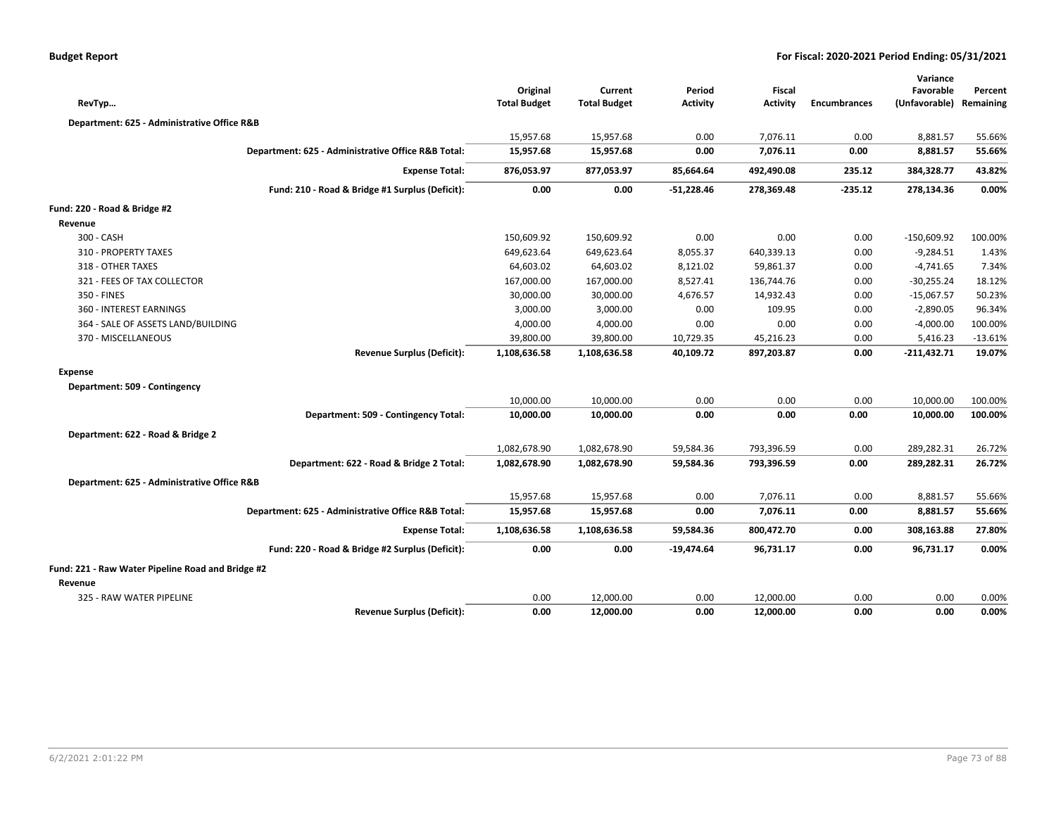|                                                   |                                                    | Original            | Current             | Period          | <b>Fiscal</b>   |                     | Variance<br>Favorable | Percent   |
|---------------------------------------------------|----------------------------------------------------|---------------------|---------------------|-----------------|-----------------|---------------------|-----------------------|-----------|
| RevTyp                                            |                                                    | <b>Total Budget</b> | <b>Total Budget</b> | <b>Activity</b> | <b>Activity</b> | <b>Encumbrances</b> | (Unfavorable)         | Remaining |
| Department: 625 - Administrative Office R&B       |                                                    |                     |                     |                 |                 |                     |                       |           |
|                                                   |                                                    | 15,957.68           | 15,957.68           | 0.00            | 7,076.11        | 0.00                | 8,881.57              | 55.66%    |
|                                                   | Department: 625 - Administrative Office R&B Total: | 15,957.68           | 15,957.68           | 0.00            | 7,076.11        | 0.00                | 8,881.57              | 55.66%    |
|                                                   | <b>Expense Total:</b>                              | 876,053.97          | 877,053.97          | 85,664.64       | 492,490.08      | 235.12              | 384,328.77            | 43.82%    |
|                                                   | Fund: 210 - Road & Bridge #1 Surplus (Deficit):    | 0.00                | 0.00                | $-51,228.46$    | 278,369.48      | $-235.12$           | 278,134.36            | 0.00%     |
| Fund: 220 - Road & Bridge #2                      |                                                    |                     |                     |                 |                 |                     |                       |           |
| Revenue                                           |                                                    |                     |                     |                 |                 |                     |                       |           |
| 300 - CASH                                        |                                                    | 150,609.92          | 150,609.92          | 0.00            | 0.00            | 0.00                | $-150,609.92$         | 100.00%   |
| 310 - PROPERTY TAXES                              |                                                    | 649,623.64          | 649,623.64          | 8,055.37        | 640,339.13      | 0.00                | $-9,284.51$           | 1.43%     |
| 318 - OTHER TAXES                                 |                                                    | 64,603.02           | 64,603.02           | 8,121.02        | 59,861.37       | 0.00                | $-4,741.65$           | 7.34%     |
| 321 - FEES OF TAX COLLECTOR                       |                                                    | 167,000.00          | 167,000.00          | 8,527.41        | 136,744.76      | 0.00                | $-30,255.24$          | 18.12%    |
| 350 - FINES                                       |                                                    | 30,000.00           | 30,000.00           | 4,676.57        | 14,932.43       | 0.00                | $-15,067.57$          | 50.23%    |
| 360 - INTEREST EARNINGS                           |                                                    | 3,000.00            | 3,000.00            | 0.00            | 109.95          | 0.00                | $-2,890.05$           | 96.34%    |
| 364 - SALE OF ASSETS LAND/BUILDING                |                                                    | 4,000.00            | 4,000.00            | 0.00            | 0.00            | 0.00                | $-4,000.00$           | 100.00%   |
| 370 - MISCELLANEOUS                               |                                                    | 39,800.00           | 39,800.00           | 10,729.35       | 45,216.23       | 0.00                | 5,416.23              | $-13.61%$ |
|                                                   | <b>Revenue Surplus (Deficit):</b>                  | 1,108,636.58        | 1,108,636.58        | 40,109.72       | 897,203.87      | 0.00                | $-211,432.71$         | 19.07%    |
| <b>Expense</b>                                    |                                                    |                     |                     |                 |                 |                     |                       |           |
| Department: 509 - Contingency                     |                                                    |                     |                     |                 |                 |                     |                       |           |
|                                                   |                                                    | 10,000.00           | 10,000.00           | 0.00            | 0.00            | 0.00                | 10,000.00             | 100.00%   |
|                                                   | Department: 509 - Contingency Total:               | 10,000.00           | 10,000.00           | 0.00            | 0.00            | 0.00                | 10,000.00             | 100.00%   |
| Department: 622 - Road & Bridge 2                 |                                                    |                     |                     |                 |                 |                     |                       |           |
|                                                   |                                                    | 1,082,678.90        | 1,082,678.90        | 59,584.36       | 793,396.59      | 0.00                | 289,282.31            | 26.72%    |
|                                                   | Department: 622 - Road & Bridge 2 Total:           | 1,082,678.90        | 1,082,678.90        | 59,584.36       | 793,396.59      | 0.00                | 289,282.31            | 26.72%    |
| Department: 625 - Administrative Office R&B       |                                                    |                     |                     |                 |                 |                     |                       |           |
|                                                   |                                                    | 15,957.68           | 15,957.68           | 0.00            | 7,076.11        | 0.00                | 8,881.57              | 55.66%    |
|                                                   | Department: 625 - Administrative Office R&B Total: | 15,957.68           | 15,957.68           | 0.00            | 7,076.11        | 0.00                | 8,881.57              | 55.66%    |
|                                                   | <b>Expense Total:</b>                              | 1,108,636.58        | 1,108,636.58        | 59,584.36       | 800,472.70      | 0.00                | 308,163.88            | 27.80%    |
|                                                   | Fund: 220 - Road & Bridge #2 Surplus (Deficit):    | 0.00                | 0.00                | -19,474.64      | 96,731.17       | 0.00                | 96,731.17             | 0.00%     |
| Fund: 221 - Raw Water Pipeline Road and Bridge #2 |                                                    |                     |                     |                 |                 |                     |                       |           |
| Revenue                                           |                                                    |                     |                     |                 |                 |                     |                       |           |
| 325 - RAW WATER PIPELINE                          |                                                    | 0.00                | 12,000.00           | 0.00            | 12,000.00       | 0.00                | 0.00                  | 0.00%     |
|                                                   | <b>Revenue Surplus (Deficit):</b>                  | 0.00                | 12,000.00           | 0.00            | 12,000.00       | 0.00                | 0.00                  | 0.00%     |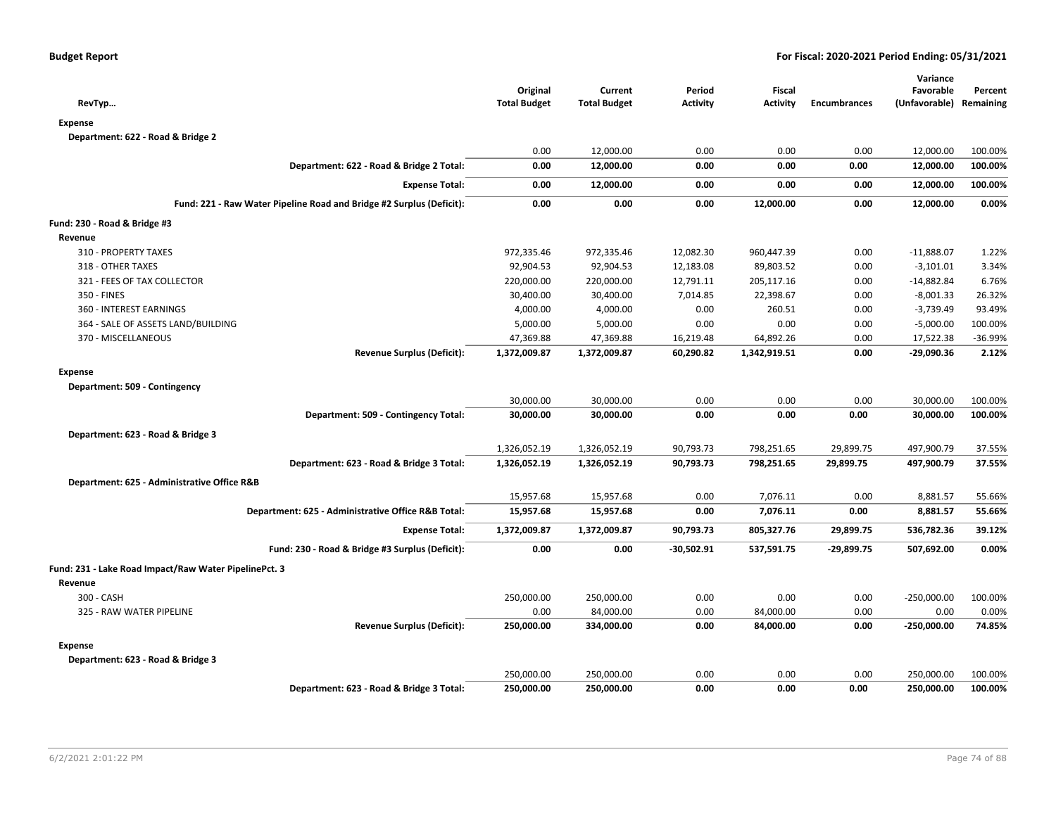| RevTyp                                                               | Original<br><b>Total Budget</b> | Current<br><b>Total Budget</b> | Period<br><b>Activity</b> | Fiscal<br><b>Activity</b> | <b>Encumbrances</b> | Variance<br>Favorable<br>(Unfavorable) Remaining | Percent |
|----------------------------------------------------------------------|---------------------------------|--------------------------------|---------------------------|---------------------------|---------------------|--------------------------------------------------|---------|
| <b>Expense</b>                                                       |                                 |                                |                           |                           |                     |                                                  |         |
| Department: 622 - Road & Bridge 2                                    |                                 |                                |                           |                           |                     |                                                  |         |
|                                                                      | 0.00                            | 12,000.00                      | 0.00                      | 0.00                      | 0.00                | 12,000.00                                        | 100.00% |
| Department: 622 - Road & Bridge 2 Total:                             | 0.00                            | 12,000.00                      | 0.00                      | 0.00                      | 0.00                | 12,000.00                                        | 100.00% |
| <b>Expense Total:</b>                                                | 0.00                            | 12,000.00                      | 0.00                      | 0.00                      | 0.00                | 12,000.00                                        | 100.00% |
| Fund: 221 - Raw Water Pipeline Road and Bridge #2 Surplus (Deficit): | 0.00                            | 0.00                           | 0.00                      | 12,000.00                 | 0.00                | 12,000.00                                        | 0.00%   |
| Fund: 230 - Road & Bridge #3                                         |                                 |                                |                           |                           |                     |                                                  |         |
| Revenue                                                              |                                 |                                |                           |                           |                     |                                                  |         |
| 310 - PROPERTY TAXES                                                 | 972,335.46                      | 972,335.46                     | 12,082.30                 | 960,447.39                | 0.00                | $-11,888.07$                                     | 1.22%   |
| 318 - OTHER TAXES                                                    | 92,904.53                       | 92,904.53                      | 12,183.08                 | 89,803.52                 | 0.00                | $-3,101.01$                                      | 3.34%   |
| 321 - FEES OF TAX COLLECTOR                                          | 220,000.00                      | 220,000.00                     | 12,791.11                 | 205,117.16                | 0.00                | $-14,882.84$                                     | 6.76%   |
| 350 - FINES                                                          | 30,400.00                       | 30,400.00                      | 7,014.85                  | 22,398.67                 | 0.00                | $-8,001.33$                                      | 26.32%  |
| 360 - INTEREST EARNINGS                                              | 4,000.00                        | 4,000.00                       | 0.00                      | 260.51                    | 0.00                | $-3,739.49$                                      | 93.49%  |
| 364 - SALE OF ASSETS LAND/BUILDING                                   | 5,000.00                        | 5,000.00                       | 0.00                      | 0.00                      | 0.00                | $-5,000.00$                                      | 100.00% |
| 370 - MISCELLANEOUS                                                  | 47,369.88                       | 47,369.88                      | 16,219.48                 | 64,892.26                 | 0.00                | 17,522.38                                        | -36.99% |
| <b>Revenue Surplus (Deficit):</b>                                    | 1,372,009.87                    | 1,372,009.87                   | 60,290.82                 | 1,342,919.51              | 0.00                | -29,090.36                                       | 2.12%   |
| <b>Expense</b>                                                       |                                 |                                |                           |                           |                     |                                                  |         |
| Department: 509 - Contingency                                        |                                 |                                |                           |                           |                     |                                                  |         |
|                                                                      | 30,000.00                       | 30,000.00                      | 0.00                      | 0.00                      | 0.00                | 30,000.00                                        | 100.00% |
| Department: 509 - Contingency Total:                                 | 30,000.00                       | 30,000.00                      | 0.00                      | 0.00                      | 0.00                | 30,000.00                                        | 100.00% |
| Department: 623 - Road & Bridge 3                                    |                                 |                                |                           |                           |                     |                                                  |         |
|                                                                      | 1,326,052.19                    | 1,326,052.19                   | 90,793.73                 | 798,251.65                | 29,899.75           | 497,900.79                                       | 37.55%  |
| Department: 623 - Road & Bridge 3 Total:                             | 1,326,052.19                    | 1,326,052.19                   | 90,793.73                 | 798,251.65                | 29,899.75           | 497,900.79                                       | 37.55%  |
| Department: 625 - Administrative Office R&B                          |                                 |                                |                           |                           |                     |                                                  |         |
|                                                                      | 15,957.68                       | 15,957.68                      | 0.00                      | 7,076.11                  | 0.00                | 8,881.57                                         | 55.66%  |
| Department: 625 - Administrative Office R&B Total:                   | 15,957.68                       | 15,957.68                      | 0.00                      | 7,076.11                  | 0.00                | 8,881.57                                         | 55.66%  |
| <b>Expense Total:</b>                                                | 1,372,009.87                    | 1,372,009.87                   | 90,793.73                 | 805,327.76                | 29,899.75           | 536,782.36                                       | 39.12%  |
| Fund: 230 - Road & Bridge #3 Surplus (Deficit):                      | 0.00                            | 0.00                           | $-30,502.91$              | 537,591.75                | $-29,899.75$        | 507,692.00                                       | 0.00%   |
| Fund: 231 - Lake Road Impact/Raw Water PipelinePct. 3                |                                 |                                |                           |                           |                     |                                                  |         |
|                                                                      |                                 |                                |                           |                           |                     |                                                  |         |
| Revenue<br>300 - CASH                                                | 250,000.00                      | 250,000.00                     | 0.00                      | 0.00                      | 0.00                | $-250,000.00$                                    | 100.00% |
| 325 - RAW WATER PIPELINE                                             | 0.00                            | 84,000.00                      | 0.00                      | 84,000.00                 | 0.00                | 0.00                                             | 0.00%   |
| <b>Revenue Surplus (Deficit):</b>                                    | 250,000.00                      | 334,000.00                     | 0.00                      | 84,000.00                 | 0.00                | $-250,000.00$                                    | 74.85%  |
|                                                                      |                                 |                                |                           |                           |                     |                                                  |         |
| <b>Expense</b>                                                       |                                 |                                |                           |                           |                     |                                                  |         |
| Department: 623 - Road & Bridge 3                                    |                                 |                                |                           |                           |                     |                                                  |         |
|                                                                      | 250,000.00                      | 250,000.00                     | 0.00                      | 0.00                      | 0.00                | 250,000.00                                       | 100.00% |
| Department: 623 - Road & Bridge 3 Total:                             | 250,000.00                      | 250,000.00                     | 0.00                      | 0.00                      | 0.00                | 250,000.00                                       | 100.00% |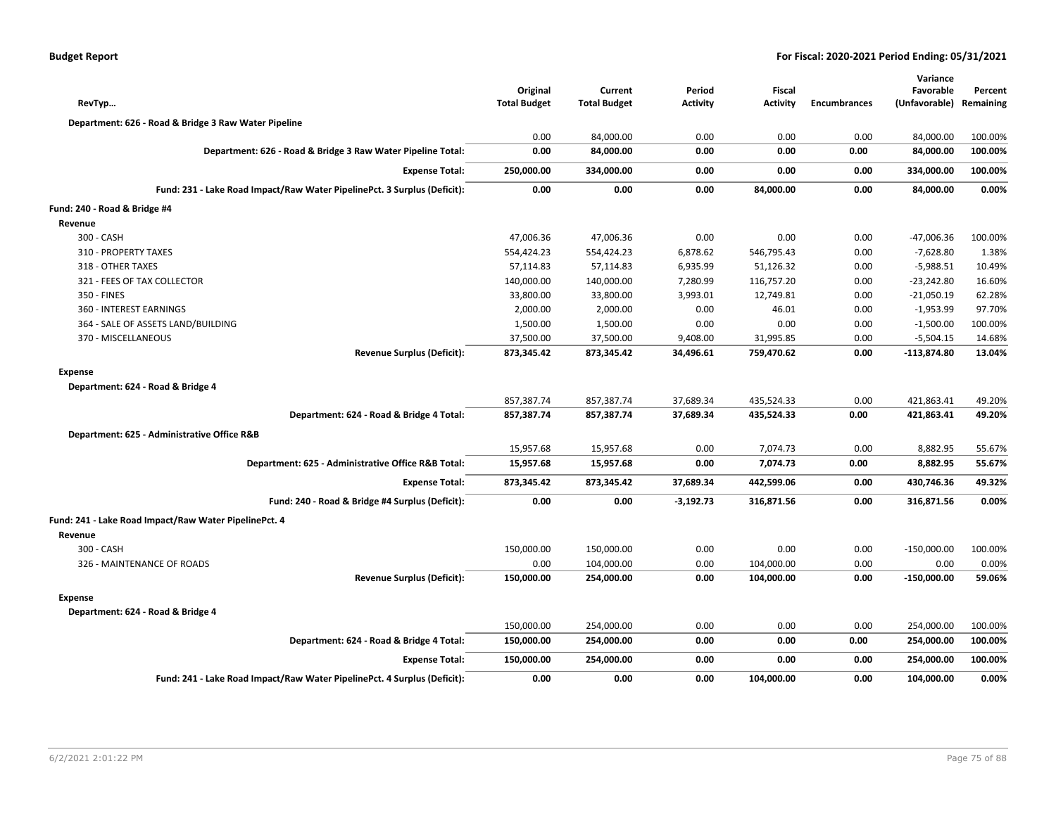| <b>Budget Report</b> |  |
|----------------------|--|
|----------------------|--|

| RevTyp                                                                   | Original<br><b>Total Budget</b> | Current<br><b>Total Budget</b> | Period<br><b>Activity</b> | Fiscal<br><b>Activity</b> | <b>Encumbrances</b> | Variance<br>Favorable<br>(Unfavorable) | Percent<br>Remaining |
|--------------------------------------------------------------------------|---------------------------------|--------------------------------|---------------------------|---------------------------|---------------------|----------------------------------------|----------------------|
| Department: 626 - Road & Bridge 3 Raw Water Pipeline                     |                                 |                                |                           |                           |                     |                                        |                      |
|                                                                          | 0.00                            | 84,000.00                      | 0.00                      | 0.00                      | 0.00                | 84,000.00                              | 100.00%              |
| Department: 626 - Road & Bridge 3 Raw Water Pipeline Total:              | 0.00                            | 84,000.00                      | 0.00                      | 0.00                      | 0.00                | 84,000.00                              | 100.00%              |
| <b>Expense Total:</b>                                                    | 250,000.00                      | 334,000.00                     | 0.00                      | 0.00                      | 0.00                | 334,000.00                             | 100.00%              |
| Fund: 231 - Lake Road Impact/Raw Water PipelinePct. 3 Surplus (Deficit): | 0.00                            | 0.00                           | 0.00                      | 84,000.00                 | 0.00                | 84,000.00                              | 0.00%                |
| Fund: 240 - Road & Bridge #4                                             |                                 |                                |                           |                           |                     |                                        |                      |
| Revenue                                                                  |                                 |                                |                           |                           |                     |                                        |                      |
| 300 - CASH                                                               | 47,006.36                       | 47,006.36                      | 0.00                      | 0.00                      | 0.00                | -47,006.36                             | 100.00%              |
| 310 - PROPERTY TAXES                                                     | 554,424.23                      | 554,424.23                     | 6,878.62                  | 546,795.43                | 0.00                | $-7,628.80$                            | 1.38%                |
| 318 - OTHER TAXES                                                        | 57,114.83                       | 57,114.83                      | 6,935.99                  | 51,126.32                 | 0.00                | $-5,988.51$                            | 10.49%               |
| 321 - FEES OF TAX COLLECTOR                                              | 140,000.00                      | 140,000.00                     | 7,280.99                  | 116,757.20                | 0.00                | $-23,242.80$                           | 16.60%               |
| 350 - FINES                                                              | 33,800.00                       | 33,800.00                      | 3,993.01                  | 12,749.81                 | 0.00                | $-21,050.19$                           | 62.28%               |
| 360 - INTEREST EARNINGS                                                  | 2,000.00                        | 2,000.00                       | 0.00                      | 46.01                     | 0.00                | $-1,953.99$                            | 97.70%               |
| 364 - SALE OF ASSETS LAND/BUILDING                                       | 1,500.00                        | 1,500.00                       | 0.00                      | 0.00                      | 0.00                | $-1,500.00$                            | 100.00%              |
| 370 - MISCELLANEOUS                                                      | 37,500.00                       | 37,500.00                      | 9,408.00                  | 31,995.85                 | 0.00                | $-5,504.15$                            | 14.68%               |
| <b>Revenue Surplus (Deficit):</b>                                        | 873,345.42                      | 873,345.42                     | 34,496.61                 | 759,470.62                | 0.00                | -113,874.80                            | 13.04%               |
| <b>Expense</b>                                                           |                                 |                                |                           |                           |                     |                                        |                      |
| Department: 624 - Road & Bridge 4                                        |                                 |                                |                           |                           |                     |                                        |                      |
|                                                                          | 857,387.74                      | 857,387.74                     | 37,689.34                 | 435,524.33                | 0.00                | 421,863.41                             | 49.20%               |
| Department: 624 - Road & Bridge 4 Total:                                 | 857,387.74                      | 857,387.74                     | 37,689.34                 | 435,524.33                | 0.00                | 421,863.41                             | 49.20%               |
| Department: 625 - Administrative Office R&B                              |                                 |                                |                           |                           |                     |                                        |                      |
|                                                                          | 15,957.68                       | 15,957.68                      | 0.00                      | 7,074.73                  | 0.00                | 8,882.95                               | 55.67%               |
| Department: 625 - Administrative Office R&B Total:                       | 15,957.68                       | 15,957.68                      | 0.00                      | 7,074.73                  | 0.00                | 8,882.95                               | 55.67%               |
| <b>Expense Total:</b>                                                    | 873,345.42                      | 873,345.42                     | 37,689.34                 | 442,599.06                | 0.00                | 430,746.36                             | 49.32%               |
| Fund: 240 - Road & Bridge #4 Surplus (Deficit):                          | 0.00                            | 0.00                           | $-3,192.73$               | 316,871.56                | 0.00                | 316,871.56                             | 0.00%                |
| Fund: 241 - Lake Road Impact/Raw Water PipelinePct. 4                    |                                 |                                |                           |                           |                     |                                        |                      |
| Revenue                                                                  |                                 |                                |                           |                           |                     |                                        |                      |
| 300 - CASH                                                               | 150,000.00                      | 150,000.00                     | 0.00                      | 0.00                      | 0.00                | $-150,000.00$                          | 100.00%              |
| 326 - MAINTENANCE OF ROADS                                               | 0.00                            | 104,000.00                     | 0.00                      | 104,000.00                | 0.00                | 0.00                                   | 0.00%                |
| <b>Revenue Surplus (Deficit):</b>                                        | 150,000.00                      | 254,000.00                     | 0.00                      | 104,000.00                | 0.00                | $-150,000.00$                          | 59.06%               |
| <b>Expense</b>                                                           |                                 |                                |                           |                           |                     |                                        |                      |
| Department: 624 - Road & Bridge 4                                        |                                 |                                |                           |                           |                     |                                        |                      |
|                                                                          | 150,000.00                      | 254,000.00                     | 0.00                      | 0.00                      | 0.00                | 254,000.00                             | 100.00%              |
| Department: 624 - Road & Bridge 4 Total:                                 | 150,000.00                      | 254,000.00                     | 0.00                      | 0.00                      | 0.00                | 254,000.00                             | 100.00%              |
| <b>Expense Total:</b>                                                    | 150,000.00                      | 254,000.00                     | 0.00                      | 0.00                      | 0.00                | 254,000.00                             | 100.00%              |
| Fund: 241 - Lake Road Impact/Raw Water PipelinePct. 4 Surplus (Deficit): | 0.00                            | 0.00                           | 0.00                      | 104,000.00                | 0.00                | 104,000.00                             | 0.00%                |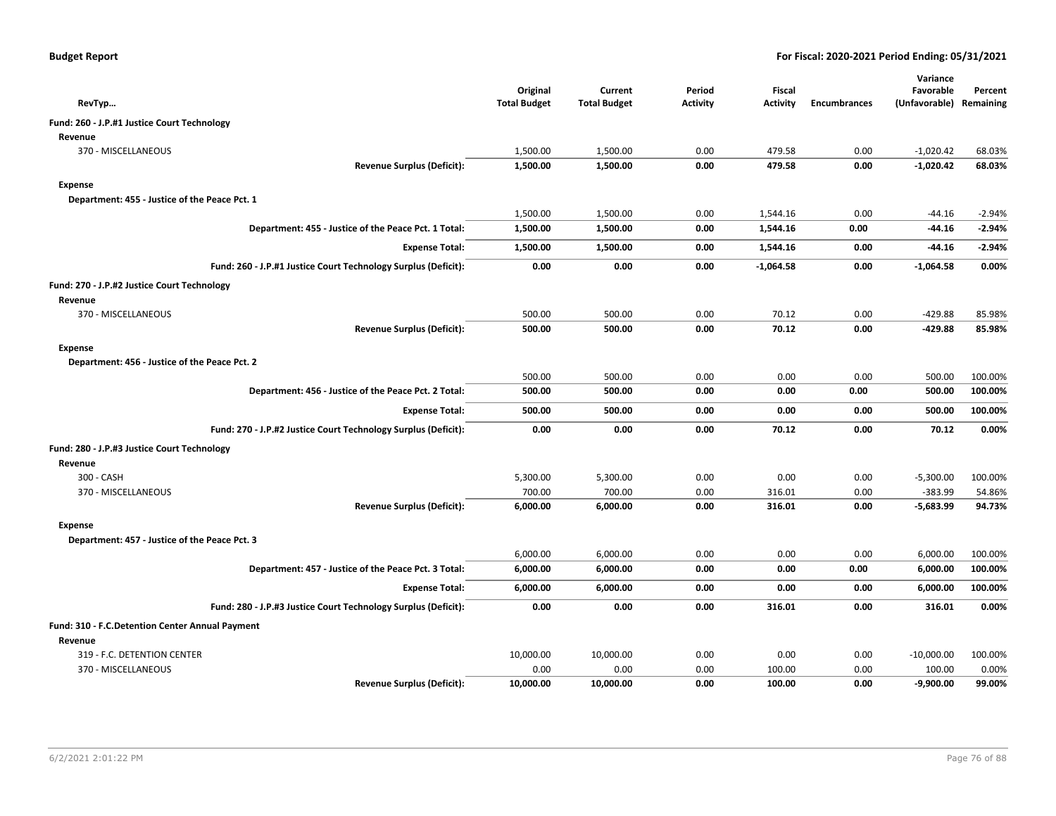| RevTyp                                                         |                                   | Original<br><b>Total Budget</b> | Current<br><b>Total Budget</b> | Period<br>Activity | <b>Fiscal</b><br><b>Activity</b> | <b>Encumbrances</b> | Variance<br>Favorable<br>(Unfavorable) Remaining | Percent  |
|----------------------------------------------------------------|-----------------------------------|---------------------------------|--------------------------------|--------------------|----------------------------------|---------------------|--------------------------------------------------|----------|
| Fund: 260 - J.P.#1 Justice Court Technology                    |                                   |                                 |                                |                    |                                  |                     |                                                  |          |
| Revenue                                                        |                                   |                                 |                                |                    |                                  |                     |                                                  |          |
| 370 - MISCELLANEOUS                                            |                                   | 1,500.00                        | 1,500.00                       | 0.00               | 479.58                           | 0.00                | $-1,020.42$                                      | 68.03%   |
|                                                                | <b>Revenue Surplus (Deficit):</b> | 1,500.00                        | 1,500.00                       | 0.00               | 479.58                           | 0.00                | $-1,020.42$                                      | 68.03%   |
| Expense                                                        |                                   |                                 |                                |                    |                                  |                     |                                                  |          |
| Department: 455 - Justice of the Peace Pct. 1                  |                                   |                                 |                                |                    |                                  |                     |                                                  |          |
|                                                                |                                   | 1,500.00                        | 1,500.00                       | 0.00               | 1,544.16                         | 0.00                | -44.16                                           | $-2.94%$ |
| Department: 455 - Justice of the Peace Pct. 1 Total:           |                                   | 1,500.00                        | 1,500.00                       | 0.00               | 1,544.16                         | 0.00                | -44.16                                           | $-2.94%$ |
|                                                                | <b>Expense Total:</b>             | 1,500.00                        | 1,500.00                       | 0.00               | 1,544.16                         | 0.00                | -44.16                                           | $-2.94%$ |
| Fund: 260 - J.P.#1 Justice Court Technology Surplus (Deficit): |                                   | 0.00                            | 0.00                           | 0.00               | $-1,064.58$                      | 0.00                | $-1,064.58$                                      | 0.00%    |
| Fund: 270 - J.P.#2 Justice Court Technology                    |                                   |                                 |                                |                    |                                  |                     |                                                  |          |
| Revenue                                                        |                                   |                                 |                                |                    |                                  |                     |                                                  |          |
| 370 - MISCELLANEOUS                                            |                                   | 500.00                          | 500.00                         | 0.00               | 70.12                            | 0.00                | $-429.88$                                        | 85.98%   |
|                                                                | <b>Revenue Surplus (Deficit):</b> | 500.00                          | 500.00                         | 0.00               | 70.12                            | 0.00                | $-429.88$                                        | 85.98%   |
| Expense                                                        |                                   |                                 |                                |                    |                                  |                     |                                                  |          |
| Department: 456 - Justice of the Peace Pct. 2                  |                                   |                                 |                                |                    |                                  |                     |                                                  |          |
|                                                                |                                   | 500.00                          | 500.00                         | 0.00               | 0.00                             | 0.00                | 500.00                                           | 100.00%  |
| Department: 456 - Justice of the Peace Pct. 2 Total:           |                                   | 500.00                          | 500.00                         | 0.00               | 0.00                             | 0.00                | 500.00                                           | 100.00%  |
|                                                                | <b>Expense Total:</b>             | 500.00                          | 500.00                         | 0.00               | 0.00                             | 0.00                | 500.00                                           | 100.00%  |
| Fund: 270 - J.P.#2 Justice Court Technology Surplus (Deficit): |                                   | 0.00                            | 0.00                           | 0.00               | 70.12                            | 0.00                | 70.12                                            | 0.00%    |
| Fund: 280 - J.P.#3 Justice Court Technology                    |                                   |                                 |                                |                    |                                  |                     |                                                  |          |
| Revenue                                                        |                                   |                                 |                                |                    |                                  |                     |                                                  |          |
| 300 - CASH                                                     |                                   | 5,300.00                        | 5,300.00                       | 0.00               | 0.00                             | 0.00                | $-5,300.00$                                      | 100.00%  |
| 370 - MISCELLANEOUS                                            |                                   | 700.00                          | 700.00                         | 0.00               | 316.01                           | 0.00                | $-383.99$                                        | 54.86%   |
|                                                                | <b>Revenue Surplus (Deficit):</b> | 6,000.00                        | 6,000.00                       | 0.00               | 316.01                           | 0.00                | $-5,683.99$                                      | 94.73%   |
| <b>Expense</b>                                                 |                                   |                                 |                                |                    |                                  |                     |                                                  |          |
| Department: 457 - Justice of the Peace Pct. 3                  |                                   |                                 |                                |                    |                                  |                     |                                                  |          |
|                                                                |                                   | 6,000.00                        | 6,000.00                       | 0.00               | 0.00                             | 0.00                | 6,000.00                                         | 100.00%  |
| Department: 457 - Justice of the Peace Pct. 3 Total:           |                                   | 6,000.00                        | 6,000.00                       | 0.00               | 0.00                             | 0.00                | 6,000.00                                         | 100.00%  |
|                                                                | <b>Expense Total:</b>             | 6,000.00                        | 6,000.00                       | 0.00               | 0.00                             | 0.00                | 6,000.00                                         | 100.00%  |
| Fund: 280 - J.P.#3 Justice Court Technology Surplus (Deficit): |                                   | 0.00                            | 0.00                           | 0.00               | 316.01                           | 0.00                | 316.01                                           | 0.00%    |
| Fund: 310 - F.C.Detention Center Annual Payment                |                                   |                                 |                                |                    |                                  |                     |                                                  |          |
| Revenue                                                        |                                   |                                 |                                |                    |                                  |                     |                                                  |          |
| 319 - F.C. DETENTION CENTER                                    |                                   | 10,000.00                       | 10,000.00                      | 0.00               | 0.00                             | 0.00                | $-10,000.00$                                     | 100.00%  |
| 370 - MISCELLANEOUS                                            |                                   | 0.00                            | 0.00                           | 0.00               | 100.00                           | 0.00                | 100.00                                           | 0.00%    |
|                                                                | <b>Revenue Surplus (Deficit):</b> | 10,000.00                       | 10,000.00                      | 0.00               | 100.00                           | 0.00                | $-9,900.00$                                      | 99.00%   |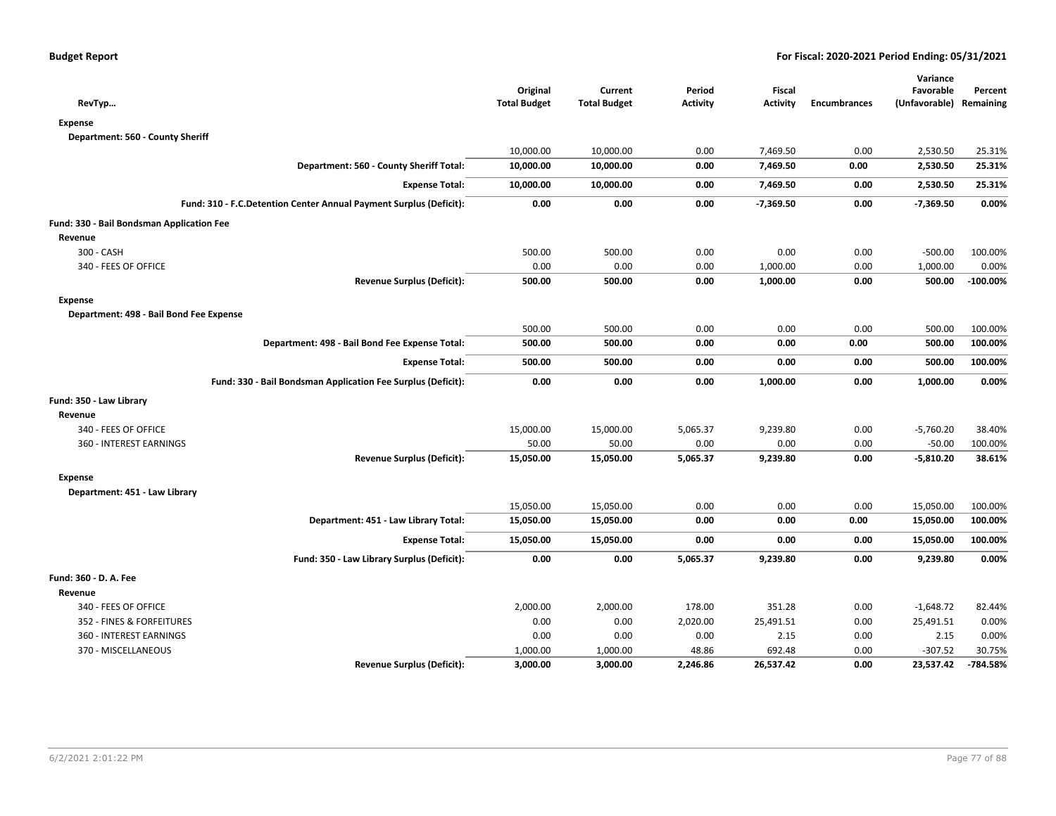| RevTyp                                                             | Original<br><b>Total Budget</b> | Current<br><b>Total Budget</b> | Period<br><b>Activity</b> | Fiscal<br><b>Activity</b> | <b>Encumbrances</b> | Variance<br>Favorable<br>(Unfavorable) Remaining | Percent     |
|--------------------------------------------------------------------|---------------------------------|--------------------------------|---------------------------|---------------------------|---------------------|--------------------------------------------------|-------------|
| <b>Expense</b>                                                     |                                 |                                |                           |                           |                     |                                                  |             |
| Department: 560 - County Sheriff                                   |                                 |                                |                           |                           |                     |                                                  |             |
|                                                                    | 10,000.00                       | 10,000.00                      | 0.00                      | 7,469.50                  | 0.00                | 2,530.50                                         | 25.31%      |
| Department: 560 - County Sheriff Total:                            | 10,000.00                       | 10,000.00                      | 0.00                      | 7,469.50                  | 0.00                | 2,530.50                                         | 25.31%      |
| <b>Expense Total:</b>                                              | 10,000.00                       | 10,000.00                      | 0.00                      | 7,469.50                  | 0.00                | 2,530.50                                         | 25.31%      |
| Fund: 310 - F.C.Detention Center Annual Payment Surplus (Deficit): | 0.00                            | 0.00                           | 0.00                      | $-7,369.50$               | 0.00                | $-7,369.50$                                      | 0.00%       |
| Fund: 330 - Bail Bondsman Application Fee                          |                                 |                                |                           |                           |                     |                                                  |             |
| Revenue                                                            |                                 |                                |                           |                           |                     |                                                  |             |
| 300 - CASH                                                         | 500.00                          | 500.00                         | 0.00                      | 0.00                      | 0.00                | $-500.00$                                        | 100.00%     |
| 340 - FEES OF OFFICE                                               | 0.00                            | 0.00                           | 0.00                      | 1,000.00                  | 0.00                | 1,000.00                                         | 0.00%       |
| <b>Revenue Surplus (Deficit):</b>                                  | 500.00                          | 500.00                         | 0.00                      | 1,000.00                  | 0.00                | 500.00                                           | $-100.00\%$ |
| <b>Expense</b>                                                     |                                 |                                |                           |                           |                     |                                                  |             |
| Department: 498 - Bail Bond Fee Expense                            |                                 |                                |                           |                           |                     |                                                  |             |
|                                                                    | 500.00                          | 500.00                         | 0.00                      | 0.00                      | 0.00                | 500.00                                           | 100.00%     |
| Department: 498 - Bail Bond Fee Expense Total:                     | 500.00                          | 500.00                         | 0.00                      | 0.00                      | 0.00                | 500.00                                           | 100.00%     |
| <b>Expense Total:</b>                                              | 500.00                          | 500.00                         | 0.00                      | 0.00                      | 0.00                | 500.00                                           | 100.00%     |
| Fund: 330 - Bail Bondsman Application Fee Surplus (Deficit):       | 0.00                            | 0.00                           | 0.00                      | 1,000.00                  | 0.00                | 1,000.00                                         | 0.00%       |
| Fund: 350 - Law Library                                            |                                 |                                |                           |                           |                     |                                                  |             |
| Revenue                                                            |                                 |                                |                           |                           |                     |                                                  |             |
| 340 - FEES OF OFFICE                                               | 15,000.00                       | 15,000.00                      | 5,065.37                  | 9,239.80                  | 0.00                | $-5,760.20$                                      | 38.40%      |
| 360 - INTEREST EARNINGS                                            | 50.00                           | 50.00                          | 0.00                      | 0.00                      | 0.00                | $-50.00$                                         | 100.00%     |
| <b>Revenue Surplus (Deficit):</b>                                  | 15,050.00                       | 15,050.00                      | 5,065.37                  | 9,239.80                  | 0.00                | $-5,810.20$                                      | 38.61%      |
| <b>Expense</b>                                                     |                                 |                                |                           |                           |                     |                                                  |             |
| Department: 451 - Law Library                                      |                                 |                                |                           |                           |                     |                                                  |             |
|                                                                    | 15,050.00                       | 15,050.00                      | 0.00                      | 0.00                      | 0.00                | 15,050.00                                        | 100.00%     |
| Department: 451 - Law Library Total:                               | 15,050.00                       | 15,050.00                      | 0.00                      | 0.00                      | 0.00                | 15,050.00                                        | 100.00%     |
| <b>Expense Total:</b>                                              | 15,050.00                       | 15,050.00                      | 0.00                      | 0.00                      | 0.00                | 15,050.00                                        | 100.00%     |
| Fund: 350 - Law Library Surplus (Deficit):                         | 0.00                            | 0.00                           | 5,065.37                  | 9,239.80                  | 0.00                | 9,239.80                                         | 0.00%       |
| Fund: 360 - D. A. Fee                                              |                                 |                                |                           |                           |                     |                                                  |             |
| Revenue                                                            |                                 |                                |                           |                           |                     |                                                  |             |
| 340 - FEES OF OFFICE                                               | 2,000.00                        | 2,000.00                       | 178.00                    | 351.28                    | 0.00                | $-1,648.72$                                      | 82.44%      |
| 352 - FINES & FORFEITURES                                          | 0.00                            | 0.00                           | 2,020.00                  | 25,491.51                 | 0.00                | 25,491.51                                        | 0.00%       |
| 360 - INTEREST EARNINGS                                            | 0.00                            | 0.00                           | 0.00                      | 2.15                      | 0.00                | 2.15                                             | 0.00%       |
| 370 - MISCELLANEOUS                                                | 1,000.00                        | 1,000.00                       | 48.86                     | 692.48                    | 0.00                | $-307.52$                                        | 30.75%      |
| <b>Revenue Surplus (Deficit):</b>                                  | 3,000.00                        | 3,000.00                       | 2,246.86                  | 26,537.42                 | 0.00                | 23,537.42                                        | -784.58%    |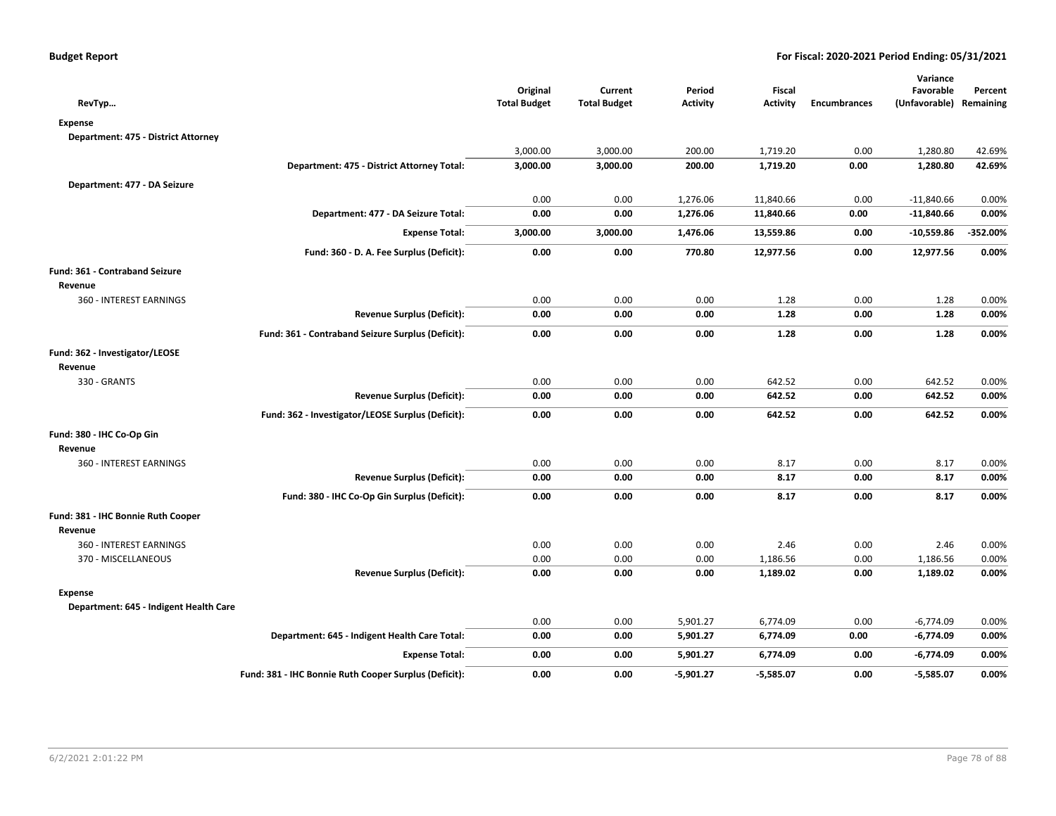| RevTyp                                 |                                                       | Original<br><b>Total Budget</b> | Current<br><b>Total Budget</b> | Period<br><b>Activity</b> | Fiscal<br><b>Activity</b> | <b>Encumbrances</b> | Variance<br>Favorable<br>(Unfavorable) Remaining | Percent  |
|----------------------------------------|-------------------------------------------------------|---------------------------------|--------------------------------|---------------------------|---------------------------|---------------------|--------------------------------------------------|----------|
| <b>Expense</b>                         |                                                       |                                 |                                |                           |                           |                     |                                                  |          |
| Department: 475 - District Attorney    |                                                       |                                 |                                |                           |                           |                     |                                                  |          |
|                                        |                                                       | 3,000.00                        | 3,000.00                       | 200.00                    | 1,719.20                  | 0.00                | 1,280.80                                         | 42.69%   |
|                                        | Department: 475 - District Attorney Total:            | 3,000.00                        | 3,000.00                       | 200.00                    | 1,719.20                  | 0.00                | 1,280.80                                         | 42.69%   |
| Department: 477 - DA Seizure           |                                                       |                                 |                                |                           |                           |                     |                                                  |          |
|                                        |                                                       | 0.00                            | 0.00                           | 1,276.06                  | 11,840.66                 | 0.00                | $-11,840.66$                                     | 0.00%    |
|                                        | Department: 477 - DA Seizure Total:                   | 0.00                            | 0.00                           | 1,276.06                  | 11,840.66                 | 0.00                | $-11,840.66$                                     | 0.00%    |
|                                        | <b>Expense Total:</b>                                 | 3,000.00                        | 3,000.00                       | 1,476.06                  | 13,559.86                 | 0.00                | $-10,559.86$                                     | -352.00% |
|                                        | Fund: 360 - D. A. Fee Surplus (Deficit):              | 0.00                            | 0.00                           | 770.80                    | 12,977.56                 | 0.00                | 12,977.56                                        | 0.00%    |
| Fund: 361 - Contraband Seizure         |                                                       |                                 |                                |                           |                           |                     |                                                  |          |
| Revenue                                |                                                       |                                 |                                |                           |                           |                     |                                                  |          |
| 360 - INTEREST EARNINGS                |                                                       | 0.00                            | 0.00                           | 0.00                      | 1.28                      | 0.00                | 1.28                                             | 0.00%    |
|                                        | <b>Revenue Surplus (Deficit):</b>                     | 0.00                            | 0.00                           | 0.00                      | 1.28                      | 0.00                | 1.28                                             | 0.00%    |
|                                        | Fund: 361 - Contraband Seizure Surplus (Deficit):     | 0.00                            | 0.00                           | 0.00                      | 1.28                      | 0.00                | 1.28                                             | 0.00%    |
| Fund: 362 - Investigator/LEOSE         |                                                       |                                 |                                |                           |                           |                     |                                                  |          |
| Revenue                                |                                                       |                                 |                                |                           |                           |                     |                                                  |          |
| 330 - GRANTS                           |                                                       | 0.00                            | 0.00                           | 0.00                      | 642.52                    | 0.00                | 642.52                                           | 0.00%    |
|                                        | <b>Revenue Surplus (Deficit):</b>                     | 0.00                            | 0.00                           | 0.00                      | 642.52                    | 0.00                | 642.52                                           | 0.00%    |
|                                        | Fund: 362 - Investigator/LEOSE Surplus (Deficit):     | 0.00                            | 0.00                           | 0.00                      | 642.52                    | 0.00                | 642.52                                           | 0.00%    |
| Fund: 380 - IHC Co-Op Gin              |                                                       |                                 |                                |                           |                           |                     |                                                  |          |
| Revenue                                |                                                       |                                 |                                |                           |                           |                     |                                                  |          |
| 360 - INTEREST EARNINGS                |                                                       | 0.00                            | 0.00                           | 0.00                      | 8.17                      | 0.00                | 8.17                                             | 0.00%    |
|                                        | <b>Revenue Surplus (Deficit):</b>                     | 0.00                            | 0.00                           | 0.00                      | 8.17                      | 0.00                | 8.17                                             | 0.00%    |
|                                        | Fund: 380 - IHC Co-Op Gin Surplus (Deficit):          | 0.00                            | 0.00                           | 0.00                      | 8.17                      | 0.00                | 8.17                                             | 0.00%    |
| Fund: 381 - IHC Bonnie Ruth Cooper     |                                                       |                                 |                                |                           |                           |                     |                                                  |          |
| Revenue                                |                                                       |                                 |                                |                           |                           |                     |                                                  |          |
| 360 - INTEREST EARNINGS                |                                                       | 0.00                            | 0.00                           | 0.00                      | 2.46                      | 0.00                | 2.46                                             | 0.00%    |
| 370 - MISCELLANEOUS                    |                                                       | 0.00                            | 0.00                           | 0.00                      | 1,186.56                  | 0.00                | 1,186.56                                         | 0.00%    |
|                                        | <b>Revenue Surplus (Deficit):</b>                     | 0.00                            | 0.00                           | 0.00                      | 1,189.02                  | 0.00                | 1,189.02                                         | 0.00%    |
| <b>Expense</b>                         |                                                       |                                 |                                |                           |                           |                     |                                                  |          |
| Department: 645 - Indigent Health Care |                                                       |                                 |                                |                           |                           |                     |                                                  |          |
|                                        |                                                       | 0.00                            | 0.00                           | 5,901.27                  | 6,774.09                  | 0.00                | $-6,774.09$                                      | 0.00%    |
|                                        | Department: 645 - Indigent Health Care Total:         | 0.00                            | 0.00                           | 5,901.27                  | 6,774.09                  | 0.00                | $-6,774.09$                                      | 0.00%    |
|                                        | <b>Expense Total:</b>                                 | 0.00                            | 0.00                           | 5,901.27                  | 6,774.09                  | 0.00                | -6,774.09                                        | 0.00%    |
|                                        | Fund: 381 - IHC Bonnie Ruth Cooper Surplus (Deficit): | 0.00                            | 0.00                           | $-5,901.27$               | $-5,585.07$               | 0.00                | $-5,585.07$                                      | 0.00%    |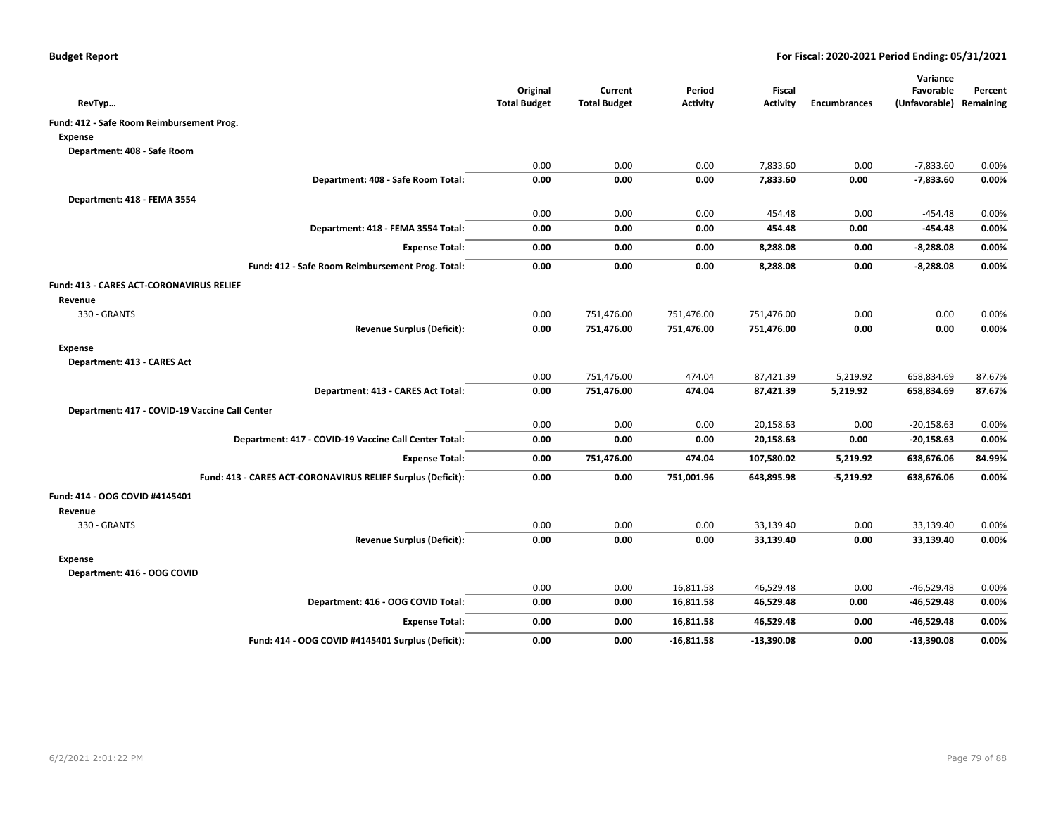| RevTyp                                                      | Original<br><b>Total Budget</b> | Current<br><b>Total Budget</b> | Period<br><b>Activity</b> | <b>Fiscal</b><br><b>Activity</b> | <b>Encumbrances</b> | Variance<br>Favorable<br>(Unfavorable) | Percent<br>Remaining |
|-------------------------------------------------------------|---------------------------------|--------------------------------|---------------------------|----------------------------------|---------------------|----------------------------------------|----------------------|
| Fund: 412 - Safe Room Reimbursement Prog.                   |                                 |                                |                           |                                  |                     |                                        |                      |
| <b>Expense</b>                                              |                                 |                                |                           |                                  |                     |                                        |                      |
| Department: 408 - Safe Room                                 |                                 |                                |                           |                                  |                     |                                        |                      |
|                                                             | 0.00                            | 0.00                           | 0.00                      | 7,833.60                         | 0.00                | $-7,833.60$                            | 0.00%                |
| Department: 408 - Safe Room Total:                          | 0.00                            | 0.00                           | 0.00                      | 7,833.60                         | 0.00                | $-7,833.60$                            | 0.00%                |
| Department: 418 - FEMA 3554                                 |                                 |                                |                           |                                  |                     |                                        |                      |
|                                                             | 0.00                            | 0.00                           | 0.00                      | 454.48                           | 0.00                | $-454.48$                              | 0.00%                |
| Department: 418 - FEMA 3554 Total:                          | 0.00                            | 0.00                           | 0.00                      | 454.48                           | 0.00                | -454.48                                | 0.00%                |
| <b>Expense Total:</b>                                       | 0.00                            | 0.00                           | 0.00                      | 8,288.08                         | 0.00                | $-8,288.08$                            | 0.00%                |
| Fund: 412 - Safe Room Reimbursement Prog. Total:            | 0.00                            | 0.00                           | 0.00                      | 8,288.08                         | 0.00                | $-8,288.08$                            | 0.00%                |
| <b>Fund: 413 - CARES ACT-CORONAVIRUS RELIEF</b>             |                                 |                                |                           |                                  |                     |                                        |                      |
| Revenue                                                     |                                 |                                |                           |                                  |                     |                                        |                      |
| 330 - GRANTS                                                | 0.00                            | 751,476.00                     | 751,476.00                | 751,476.00                       | 0.00                | 0.00                                   | 0.00%                |
| <b>Revenue Surplus (Deficit):</b>                           | 0.00                            | 751,476.00                     | 751,476.00                | 751,476.00                       | 0.00                | 0.00                                   | 0.00%                |
| <b>Expense</b>                                              |                                 |                                |                           |                                  |                     |                                        |                      |
| Department: 413 - CARES Act                                 |                                 |                                |                           |                                  |                     |                                        |                      |
|                                                             | 0.00                            | 751,476.00                     | 474.04                    | 87,421.39                        | 5,219.92            | 658,834.69                             | 87.67%               |
| Department: 413 - CARES Act Total:                          | 0.00                            | 751,476.00                     | 474.04                    | 87,421.39                        | 5,219.92            | 658,834.69                             | 87.67%               |
| Department: 417 - COVID-19 Vaccine Call Center              |                                 |                                |                           |                                  |                     |                                        |                      |
|                                                             | 0.00                            | 0.00                           | 0.00                      | 20,158.63                        | 0.00                | $-20,158.63$                           | 0.00%                |
| Department: 417 - COVID-19 Vaccine Call Center Total:       | 0.00                            | 0.00                           | 0.00                      | 20,158.63                        | 0.00                | $-20,158.63$                           | 0.00%                |
| <b>Expense Total:</b>                                       | 0.00                            | 751,476.00                     | 474.04                    | 107,580.02                       | 5,219.92            | 638,676.06                             | 84.99%               |
| Fund: 413 - CARES ACT-CORONAVIRUS RELIEF Surplus (Deficit): | 0.00                            | 0.00                           | 751,001.96                | 643,895.98                       | $-5,219.92$         | 638,676.06                             | 0.00%                |
| Fund: 414 - OOG COVID #4145401                              |                                 |                                |                           |                                  |                     |                                        |                      |
| Revenue                                                     |                                 |                                |                           |                                  |                     |                                        |                      |
| 330 - GRANTS                                                | 0.00                            | 0.00                           | 0.00                      | 33,139.40                        | 0.00                | 33,139.40                              | 0.00%                |
| <b>Revenue Surplus (Deficit):</b>                           | 0.00                            | 0.00                           | 0.00                      | 33,139.40                        | 0.00                | 33,139.40                              | 0.00%                |
| <b>Expense</b><br>Department: 416 - OOG COVID               |                                 |                                |                           |                                  |                     |                                        |                      |
|                                                             | 0.00                            | 0.00                           | 16,811.58                 | 46,529.48                        | 0.00                | $-46,529.48$                           | 0.00%                |
| Department: 416 - OOG COVID Total:                          | 0.00                            | 0.00                           | 16,811.58                 | 46,529.48                        | 0.00                | $-46,529.48$                           | 0.00%                |
| <b>Expense Total:</b>                                       | 0.00                            | 0.00                           | 16,811.58                 | 46,529.48                        | 0.00                | -46,529.48                             | 0.00%                |
| Fund: 414 - OOG COVID #4145401 Surplus (Deficit):           | 0.00                            | 0.00                           | $-16,811.58$              | $-13,390.08$                     | 0.00                | $-13,390.08$                           | 0.00%                |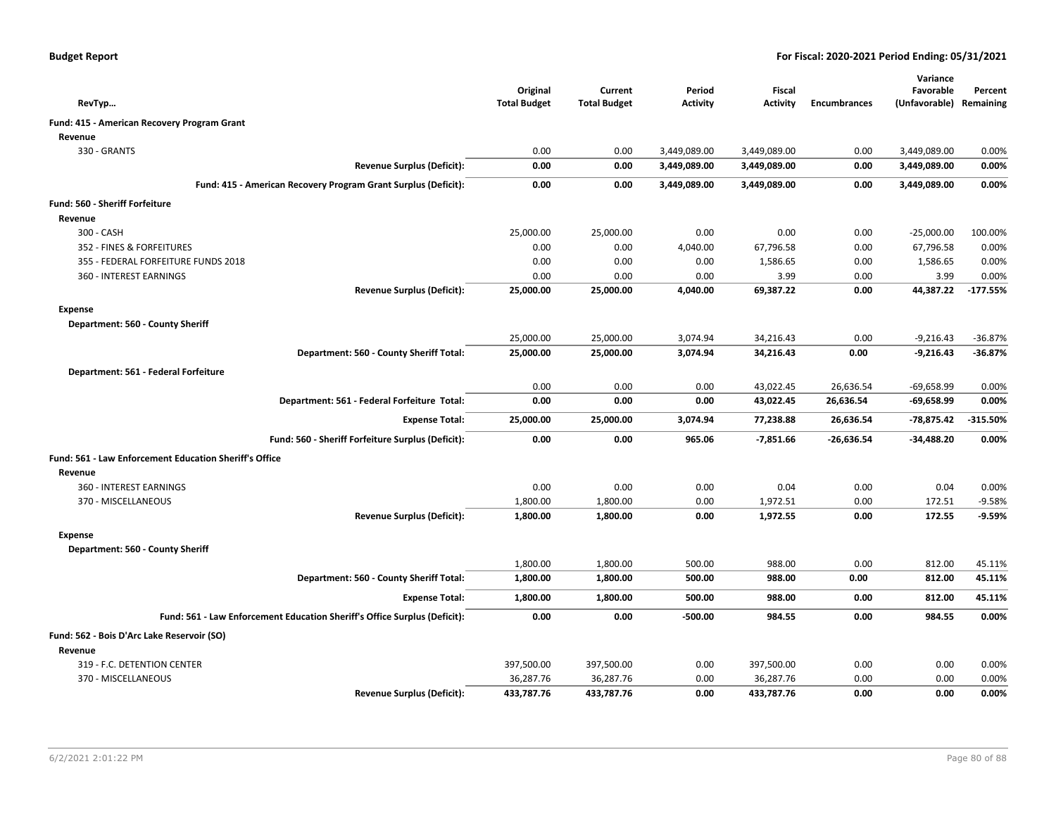| <b>Budget Report</b> |  |
|----------------------|--|
|----------------------|--|

|                                                                           |                                 |                                |                           |                                  |                     | Variance                             |            |
|---------------------------------------------------------------------------|---------------------------------|--------------------------------|---------------------------|----------------------------------|---------------------|--------------------------------------|------------|
|                                                                           | Original<br><b>Total Budget</b> | Current<br><b>Total Budget</b> | Period<br><b>Activity</b> | <b>Fiscal</b><br><b>Activity</b> | <b>Encumbrances</b> | Favorable<br>(Unfavorable) Remaining | Percent    |
| RevTyp                                                                    |                                 |                                |                           |                                  |                     |                                      |            |
| Fund: 415 - American Recovery Program Grant                               |                                 |                                |                           |                                  |                     |                                      |            |
| Revenue                                                                   |                                 |                                |                           |                                  |                     |                                      |            |
| 330 - GRANTS                                                              | 0.00                            | 0.00                           | 3,449,089.00              | 3,449,089.00                     | 0.00                | 3,449,089.00                         | 0.00%      |
| <b>Revenue Surplus (Deficit):</b>                                         | 0.00                            | 0.00                           | 3,449,089.00              | 3,449,089.00                     | 0.00                | 3,449,089.00                         | 0.00%      |
| Fund: 415 - American Recovery Program Grant Surplus (Deficit):            | 0.00                            | 0.00                           | 3,449,089.00              | 3,449,089.00                     | 0.00                | 3,449,089.00                         | 0.00%      |
| Fund: 560 - Sheriff Forfeiture                                            |                                 |                                |                           |                                  |                     |                                      |            |
| Revenue                                                                   |                                 |                                |                           |                                  |                     |                                      |            |
| 300 - CASH                                                                | 25,000.00                       | 25,000.00                      | 0.00                      | 0.00                             | 0.00                | $-25,000.00$                         | 100.00%    |
| 352 - FINES & FORFEITURES                                                 | 0.00                            | 0.00                           | 4,040.00                  | 67,796.58                        | 0.00                | 67,796.58                            | 0.00%      |
| 355 - FEDERAL FORFEITURE FUNDS 2018                                       | 0.00                            | 0.00                           | 0.00                      | 1,586.65                         | 0.00                | 1,586.65                             | 0.00%      |
| 360 - INTEREST EARNINGS                                                   | 0.00                            | 0.00                           | 0.00                      | 3.99                             | 0.00                | 3.99                                 | 0.00%      |
| <b>Revenue Surplus (Deficit):</b>                                         | 25,000.00                       | 25,000.00                      | 4,040.00                  | 69,387.22                        | 0.00                | 44,387.22                            | $-177.55%$ |
| <b>Expense</b>                                                            |                                 |                                |                           |                                  |                     |                                      |            |
| Department: 560 - County Sheriff                                          |                                 |                                |                           |                                  |                     |                                      |            |
|                                                                           | 25,000.00                       | 25,000.00                      | 3,074.94                  | 34,216.43                        | 0.00                | $-9,216.43$                          | $-36.87%$  |
| Department: 560 - County Sheriff Total:                                   | 25,000.00                       | 25,000.00                      | 3,074.94                  | 34,216.43                        | 0.00                | $-9,216.43$                          | $-36.87%$  |
| Department: 561 - Federal Forfeiture                                      |                                 |                                |                           |                                  |                     |                                      |            |
|                                                                           | 0.00                            | 0.00                           | 0.00                      | 43,022.45                        | 26,636.54           | $-69,658.99$                         | 0.00%      |
| Department: 561 - Federal Forfeiture Total:                               | 0.00                            | 0.00                           | 0.00                      | 43,022.45                        | 26,636.54           | $-69,658.99$                         | 0.00%      |
| <b>Expense Total:</b>                                                     | 25,000.00                       | 25,000.00                      | 3,074.94                  | 77,238.88                        | 26,636.54           | -78,875.42                           | $-315.50%$ |
| Fund: 560 - Sheriff Forfeiture Surplus (Deficit):                         | 0.00                            | 0.00                           | 965.06                    | $-7,851.66$                      | $-26,636.54$        | $-34,488.20$                         | 0.00%      |
|                                                                           |                                 |                                |                           |                                  |                     |                                      |            |
| Fund: 561 - Law Enforcement Education Sheriff's Office                    |                                 |                                |                           |                                  |                     |                                      |            |
| Revenue                                                                   |                                 |                                |                           |                                  |                     |                                      |            |
| 360 - INTEREST EARNINGS                                                   | 0.00                            | 0.00                           | 0.00                      | 0.04                             | 0.00                | 0.04                                 | 0.00%      |
| 370 - MISCELLANEOUS                                                       | 1,800.00                        | 1,800.00                       | 0.00                      | 1,972.51                         | 0.00                | 172.51                               | $-9.58%$   |
| <b>Revenue Surplus (Deficit):</b>                                         | 1,800.00                        | 1,800.00                       | 0.00                      | 1,972.55                         | 0.00                | 172.55                               | $-9.59%$   |
| <b>Expense</b>                                                            |                                 |                                |                           |                                  |                     |                                      |            |
| Department: 560 - County Sheriff                                          |                                 |                                |                           |                                  |                     |                                      |            |
|                                                                           | 1,800.00                        | 1,800.00                       | 500.00                    | 988.00                           | 0.00                | 812.00                               | 45.11%     |
| Department: 560 - County Sheriff Total:                                   | 1,800.00                        | 1,800.00                       | 500.00                    | 988.00                           | 0.00                | 812.00                               | 45.11%     |
| <b>Expense Total:</b>                                                     | 1,800.00                        | 1,800.00                       | 500.00                    | 988.00                           | 0.00                | 812.00                               | 45.11%     |
| Fund: 561 - Law Enforcement Education Sheriff's Office Surplus (Deficit): | 0.00                            | 0.00                           | -500.00                   | 984.55                           | 0.00                | 984.55                               | 0.00%      |
| Fund: 562 - Bois D'Arc Lake Reservoir (SO)                                |                                 |                                |                           |                                  |                     |                                      |            |
| Revenue                                                                   |                                 |                                |                           |                                  |                     |                                      |            |
| 319 - F.C. DETENTION CENTER                                               | 397,500.00                      | 397,500.00                     | 0.00                      | 397,500.00                       | 0.00                | 0.00                                 | 0.00%      |
| 370 - MISCELLANEOUS                                                       | 36,287.76                       | 36,287.76                      | 0.00                      | 36,287.76                        | 0.00                | 0.00                                 | 0.00%      |
| <b>Revenue Surplus (Deficit):</b>                                         | 433,787.76                      | 433,787.76                     | 0.00                      | 433,787.76                       | 0.00                | 0.00                                 | 0.00%      |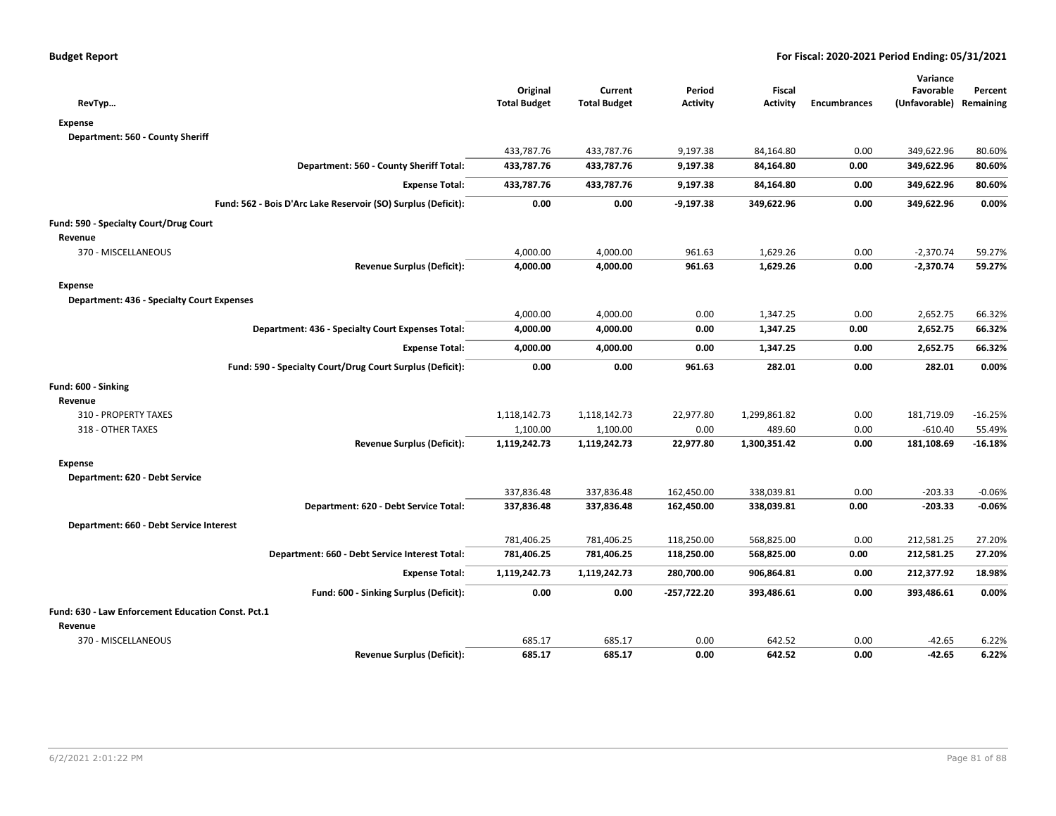|                                                               |                                 |                                |                           |                                  |                     | Variance                             |           |
|---------------------------------------------------------------|---------------------------------|--------------------------------|---------------------------|----------------------------------|---------------------|--------------------------------------|-----------|
| RevTyp                                                        | Original<br><b>Total Budget</b> | Current<br><b>Total Budget</b> | Period<br><b>Activity</b> | <b>Fiscal</b><br><b>Activity</b> | <b>Encumbrances</b> | Favorable<br>(Unfavorable) Remaining | Percent   |
| <b>Expense</b>                                                |                                 |                                |                           |                                  |                     |                                      |           |
| Department: 560 - County Sheriff                              |                                 |                                |                           |                                  |                     |                                      |           |
|                                                               | 433,787.76                      | 433,787.76                     | 9,197.38                  | 84,164.80                        | 0.00                | 349,622.96                           | 80.60%    |
| Department: 560 - County Sheriff Total:                       | 433,787.76                      | 433,787.76                     | 9,197.38                  | 84,164.80                        | 0.00                | 349,622.96                           | 80.60%    |
| <b>Expense Total:</b>                                         | 433,787.76                      | 433,787.76                     | 9,197.38                  | 84,164.80                        | 0.00                | 349,622.96                           | 80.60%    |
| Fund: 562 - Bois D'Arc Lake Reservoir (SO) Surplus (Deficit): | 0.00                            | 0.00                           | $-9,197.38$               | 349,622.96                       | 0.00                | 349,622.96                           | 0.00%     |
| Fund: 590 - Specialty Court/Drug Court                        |                                 |                                |                           |                                  |                     |                                      |           |
| Revenue                                                       |                                 |                                |                           |                                  |                     |                                      |           |
| 370 - MISCELLANEOUS                                           | 4,000.00                        | 4,000.00                       | 961.63                    | 1,629.26                         | 0.00                | $-2,370.74$                          | 59.27%    |
| <b>Revenue Surplus (Deficit):</b>                             | 4,000.00                        | 4,000.00                       | 961.63                    | 1,629.26                         | 0.00                | $-2,370.74$                          | 59.27%    |
| <b>Expense</b>                                                |                                 |                                |                           |                                  |                     |                                      |           |
| <b>Department: 436 - Specialty Court Expenses</b>             |                                 |                                |                           |                                  |                     |                                      |           |
|                                                               | 4,000.00                        | 4,000.00                       | 0.00                      | 1,347.25                         | 0.00                | 2,652.75                             | 66.32%    |
| Department: 436 - Specialty Court Expenses Total:             | 4,000.00                        | 4,000.00                       | 0.00                      | 1,347.25                         | 0.00                | 2,652.75                             | 66.32%    |
| <b>Expense Total:</b>                                         | 4,000.00                        | 4,000.00                       | 0.00                      | 1,347.25                         | 0.00                | 2,652.75                             | 66.32%    |
| Fund: 590 - Specialty Court/Drug Court Surplus (Deficit):     | 0.00                            | 0.00                           | 961.63                    | 282.01                           | 0.00                | 282.01                               | 0.00%     |
| Fund: 600 - Sinking                                           |                                 |                                |                           |                                  |                     |                                      |           |
| Revenue                                                       |                                 |                                |                           |                                  |                     |                                      |           |
| 310 - PROPERTY TAXES                                          | 1,118,142.73                    | 1,118,142.73                   | 22,977.80                 | 1,299,861.82                     | 0.00                | 181,719.09                           | $-16.25%$ |
| 318 - OTHER TAXES                                             | 1,100.00                        | 1,100.00                       | 0.00                      | 489.60                           | 0.00                | $-610.40$                            | 55.49%    |
| <b>Revenue Surplus (Deficit):</b>                             | 1,119,242.73                    | 1,119,242.73                   | 22,977.80                 | 1,300,351.42                     | 0.00                | 181,108.69                           | $-16.18%$ |
| <b>Expense</b>                                                |                                 |                                |                           |                                  |                     |                                      |           |
| Department: 620 - Debt Service                                |                                 |                                |                           |                                  |                     |                                      |           |
|                                                               | 337,836.48                      | 337,836.48                     | 162,450.00                | 338,039.81                       | 0.00                | $-203.33$                            | $-0.06%$  |
| Department: 620 - Debt Service Total:                         | 337,836.48                      | 337,836.48                     | 162,450.00                | 338,039.81                       | 0.00                | $-203.33$                            | $-0.06%$  |
| Department: 660 - Debt Service Interest                       |                                 |                                |                           |                                  |                     |                                      |           |
|                                                               | 781,406.25                      | 781,406.25                     | 118,250.00                | 568,825.00                       | 0.00                | 212,581.25                           | 27.20%    |
| Department: 660 - Debt Service Interest Total:                | 781,406.25                      | 781,406.25                     | 118,250.00                | 568,825.00                       | 0.00                | 212,581.25                           | 27.20%    |
| <b>Expense Total:</b>                                         | 1,119,242.73                    | 1,119,242.73                   | 280,700.00                | 906,864.81                       | 0.00                | 212,377.92                           | 18.98%    |
| Fund: 600 - Sinking Surplus (Deficit):                        | 0.00                            | 0.00                           | -257,722.20               | 393,486.61                       | 0.00                | 393,486.61                           | 0.00%     |
| Fund: 630 - Law Enforcement Education Const. Pct.1            |                                 |                                |                           |                                  |                     |                                      |           |
| Revenue                                                       |                                 |                                |                           |                                  |                     |                                      |           |
| 370 - MISCELLANEOUS                                           | 685.17                          | 685.17                         | 0.00                      | 642.52                           | 0.00                | $-42.65$                             | 6.22%     |
| <b>Revenue Surplus (Deficit):</b>                             | 685.17                          | 685.17                         | 0.00                      | 642.52                           | 0.00                | $-42.65$                             | 6.22%     |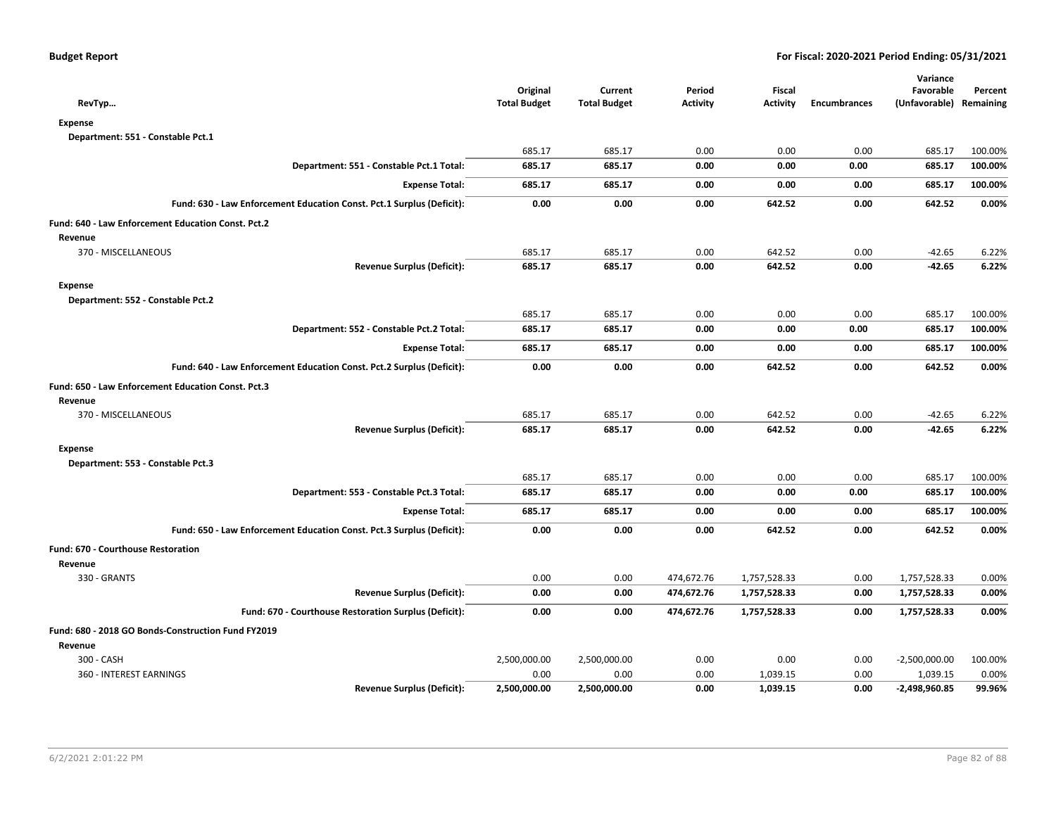| RevTyp                                                                | Original<br><b>Total Budget</b> | Current<br><b>Total Budget</b> | Period<br><b>Activity</b> | <b>Fiscal</b><br><b>Activity</b> | <b>Encumbrances</b> | Variance<br>Favorable<br>(Unfavorable) Remaining | Percent |
|-----------------------------------------------------------------------|---------------------------------|--------------------------------|---------------------------|----------------------------------|---------------------|--------------------------------------------------|---------|
| <b>Expense</b>                                                        |                                 |                                |                           |                                  |                     |                                                  |         |
| Department: 551 - Constable Pct.1                                     |                                 |                                |                           |                                  |                     |                                                  |         |
|                                                                       | 685.17                          | 685.17                         | 0.00                      | 0.00                             | 0.00                | 685.17                                           | 100.00% |
| Department: 551 - Constable Pct.1 Total:                              | 685.17                          | 685.17                         | 0.00                      | 0.00                             | 0.00                | 685.17                                           | 100.00% |
| <b>Expense Total:</b>                                                 | 685.17                          | 685.17                         | 0.00                      | 0.00                             | 0.00                | 685.17                                           | 100.00% |
| Fund: 630 - Law Enforcement Education Const. Pct.1 Surplus (Deficit): | 0.00                            | 0.00                           | 0.00                      | 642.52                           | 0.00                | 642.52                                           | 0.00%   |
| Fund: 640 - Law Enforcement Education Const. Pct.2                    |                                 |                                |                           |                                  |                     |                                                  |         |
| Revenue                                                               |                                 |                                |                           |                                  |                     |                                                  |         |
| 370 - MISCELLANEOUS                                                   | 685.17                          | 685.17                         | 0.00                      | 642.52                           | 0.00                | $-42.65$                                         | 6.22%   |
| <b>Revenue Surplus (Deficit):</b>                                     | 685.17                          | 685.17                         | 0.00                      | 642.52                           | 0.00                | $-42.65$                                         | 6.22%   |
| <b>Expense</b>                                                        |                                 |                                |                           |                                  |                     |                                                  |         |
| Department: 552 - Constable Pct.2                                     |                                 |                                |                           |                                  |                     |                                                  |         |
|                                                                       | 685.17                          | 685.17                         | 0.00                      | 0.00                             | 0.00                | 685.17                                           | 100.00% |
| Department: 552 - Constable Pct.2 Total:                              | 685.17                          | 685.17                         | 0.00                      | 0.00                             | 0.00                | 685.17                                           | 100.00% |
| <b>Expense Total:</b>                                                 | 685.17                          | 685.17                         | 0.00                      | 0.00                             | 0.00                | 685.17                                           | 100.00% |
| Fund: 640 - Law Enforcement Education Const. Pct.2 Surplus (Deficit): | 0.00                            | 0.00                           | 0.00                      | 642.52                           | 0.00                | 642.52                                           | 0.00%   |
| Fund: 650 - Law Enforcement Education Const. Pct.3                    |                                 |                                |                           |                                  |                     |                                                  |         |
| Revenue                                                               |                                 |                                |                           |                                  |                     |                                                  |         |
| 370 - MISCELLANEOUS                                                   | 685.17                          | 685.17                         | 0.00                      | 642.52                           | 0.00                | $-42.65$                                         | 6.22%   |
| <b>Revenue Surplus (Deficit):</b>                                     | 685.17                          | 685.17                         | 0.00                      | 642.52                           | 0.00                | $-42.65$                                         | 6.22%   |
| <b>Expense</b>                                                        |                                 |                                |                           |                                  |                     |                                                  |         |
| Department: 553 - Constable Pct.3                                     |                                 |                                |                           |                                  |                     |                                                  |         |
|                                                                       | 685.17                          | 685.17                         | 0.00                      | 0.00                             | 0.00                | 685.17                                           | 100.00% |
| Department: 553 - Constable Pct.3 Total:                              | 685.17                          | 685.17                         | 0.00                      | 0.00                             | 0.00                | 685.17                                           | 100.00% |
| <b>Expense Total:</b>                                                 | 685.17                          | 685.17                         | 0.00                      | 0.00                             | 0.00                | 685.17                                           | 100.00% |
| Fund: 650 - Law Enforcement Education Const. Pct.3 Surplus (Deficit): | 0.00                            | 0.00                           | 0.00                      | 642.52                           | 0.00                | 642.52                                           | 0.00%   |
| <b>Fund: 670 - Courthouse Restoration</b>                             |                                 |                                |                           |                                  |                     |                                                  |         |
| Revenue                                                               |                                 |                                |                           |                                  |                     |                                                  |         |
| 330 - GRANTS                                                          | 0.00                            | 0.00                           | 474,672.76                | 1,757,528.33                     | 0.00                | 1,757,528.33                                     | 0.00%   |
| <b>Revenue Surplus (Deficit):</b>                                     | 0.00                            | 0.00                           | 474,672.76                | 1,757,528.33                     | 0.00                | 1,757,528.33                                     | 0.00%   |
| Fund: 670 - Courthouse Restoration Surplus (Deficit):                 | 0.00                            | 0.00                           | 474,672.76                | 1,757,528.33                     | 0.00                | 1,757,528.33                                     | 0.00%   |
| Fund: 680 - 2018 GO Bonds-Construction Fund FY2019                    |                                 |                                |                           |                                  |                     |                                                  |         |
| Revenue                                                               |                                 |                                |                           |                                  |                     |                                                  |         |
| 300 - CASH                                                            | 2,500,000.00                    | 2,500,000.00                   | 0.00                      | 0.00                             | 0.00                | $-2,500,000.00$                                  | 100.00% |
| 360 - INTEREST EARNINGS                                               | 0.00                            | 0.00                           | 0.00                      | 1,039.15                         | 0.00                | 1,039.15                                         | 0.00%   |
| <b>Revenue Surplus (Deficit):</b>                                     | 2,500,000.00                    | 2,500,000.00                   | 0.00                      | 1,039.15                         | 0.00                | -2,498,960.85                                    | 99.96%  |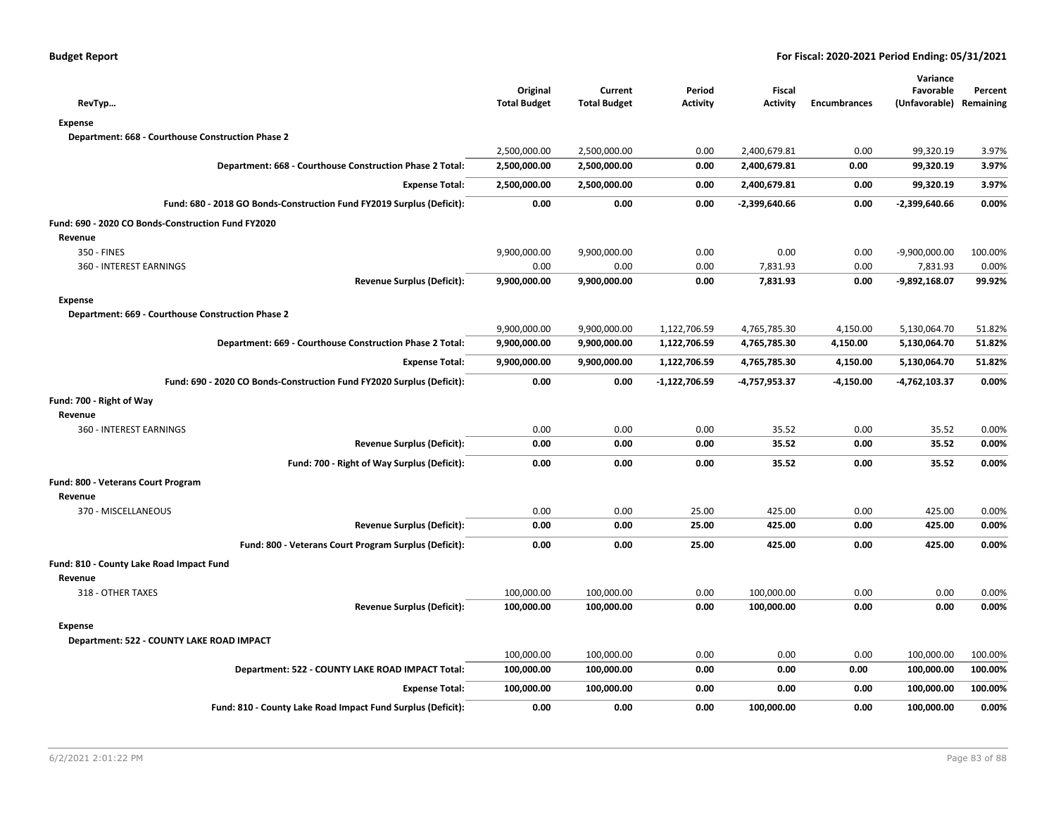| RevTyp                                                                | Original<br><b>Total Budget</b> | Current<br><b>Total Budget</b> | Period<br><b>Activity</b> | Fiscal<br><b>Activity</b> | <b>Encumbrances</b> | Variance<br>Favorable<br>(Unfavorable) Remaining | Percent |
|-----------------------------------------------------------------------|---------------------------------|--------------------------------|---------------------------|---------------------------|---------------------|--------------------------------------------------|---------|
| Expense                                                               |                                 |                                |                           |                           |                     |                                                  |         |
| Department: 668 - Courthouse Construction Phase 2                     |                                 |                                |                           |                           |                     |                                                  |         |
|                                                                       | 2,500,000.00                    | 2,500,000.00                   | 0.00                      | 2,400,679.81              | 0.00                | 99,320.19                                        | 3.97%   |
| Department: 668 - Courthouse Construction Phase 2 Total:              | 2,500,000.00                    | 2,500,000.00                   | 0.00                      | 2,400,679.81              | 0.00                | 99,320.19                                        | 3.97%   |
| <b>Expense Total:</b>                                                 | 2,500,000.00                    | 2,500,000.00                   | 0.00                      | 2,400,679.81              | 0.00                | 99,320.19                                        | 3.97%   |
| Fund: 680 - 2018 GO Bonds-Construction Fund FY2019 Surplus (Deficit): | 0.00                            | 0.00                           | 0.00                      | $-2,399,640.66$           | 0.00                | $-2,399,640.66$                                  | 0.00%   |
| Fund: 690 - 2020 CO Bonds-Construction Fund FY2020                    |                                 |                                |                           |                           |                     |                                                  |         |
| Revenue                                                               |                                 |                                |                           |                           |                     |                                                  |         |
| 350 - FINES                                                           | 9,900,000.00                    | 9,900,000.00                   | 0.00                      | 0.00                      | 0.00                | $-9,900,000.00$                                  | 100.00% |
| 360 - INTEREST EARNINGS                                               | 0.00                            | 0.00                           | 0.00                      | 7,831.93                  | 0.00                | 7,831.93                                         | 0.00%   |
| <b>Revenue Surplus (Deficit):</b>                                     | 9,900,000.00                    | 9,900,000.00                   | 0.00                      | 7,831.93                  | 0.00                | -9,892,168.07                                    | 99.92%  |
| <b>Expense</b>                                                        |                                 |                                |                           |                           |                     |                                                  |         |
| Department: 669 - Courthouse Construction Phase 2                     |                                 |                                |                           |                           |                     |                                                  |         |
|                                                                       | 9,900,000.00                    | 9,900,000.00                   | 1,122,706.59              | 4,765,785.30              | 4,150.00            | 5,130,064.70                                     | 51.82%  |
| Department: 669 - Courthouse Construction Phase 2 Total:              | 9,900,000.00                    | 9,900,000.00                   | 1,122,706.59              | 4,765,785.30              | 4,150.00            | 5,130,064.70                                     | 51.82%  |
| <b>Expense Total:</b>                                                 | 9,900,000.00                    | 9,900,000.00                   | 1,122,706.59              | 4,765,785.30              | 4,150.00            | 5,130,064.70                                     | 51.82%  |
| Fund: 690 - 2020 CO Bonds-Construction Fund FY2020 Surplus (Deficit): | 0.00                            | 0.00                           | -1,122,706.59             | -4,757,953.37             | $-4,150.00$         | -4,762,103.37                                    | 0.00%   |
| Fund: 700 - Right of Way                                              |                                 |                                |                           |                           |                     |                                                  |         |
| Revenue                                                               |                                 |                                |                           |                           |                     |                                                  |         |
| 360 - INTEREST EARNINGS                                               | 0.00                            | 0.00                           | 0.00                      | 35.52                     | 0.00                | 35.52                                            | 0.00%   |
| <b>Revenue Surplus (Deficit):</b>                                     | 0.00                            | 0.00                           | 0.00                      | 35.52                     | 0.00                | 35.52                                            | 0.00%   |
| Fund: 700 - Right of Way Surplus (Deficit):                           | 0.00                            | 0.00                           | 0.00                      | 35.52                     | 0.00                | 35.52                                            | 0.00%   |
| Fund: 800 - Veterans Court Program                                    |                                 |                                |                           |                           |                     |                                                  |         |
| Revenue                                                               |                                 |                                |                           |                           |                     |                                                  |         |
| 370 - MISCELLANEOUS                                                   | 0.00                            | 0.00                           | 25.00                     | 425.00                    | 0.00                | 425.00                                           | 0.00%   |
| <b>Revenue Surplus (Deficit):</b>                                     | 0.00                            | 0.00                           | 25.00                     | 425.00                    | 0.00                | 425.00                                           | 0.00%   |
| Fund: 800 - Veterans Court Program Surplus (Deficit):                 | 0.00                            | 0.00                           | 25.00                     | 425.00                    | 0.00                | 425.00                                           | 0.00%   |
| Fund: 810 - County Lake Road Impact Fund                              |                                 |                                |                           |                           |                     |                                                  |         |
| Revenue                                                               |                                 |                                |                           |                           |                     |                                                  |         |
| 318 - OTHER TAXES                                                     | 100,000.00                      | 100,000.00                     | 0.00                      | 100,000.00                | 0.00                | 0.00                                             | 0.00%   |
| <b>Revenue Surplus (Deficit):</b>                                     | 100,000.00                      | 100,000.00                     | 0.00                      | 100,000.00                | 0.00                | 0.00                                             | 0.00%   |
| <b>Expense</b>                                                        |                                 |                                |                           |                           |                     |                                                  |         |
| Department: 522 - COUNTY LAKE ROAD IMPACT                             |                                 |                                |                           |                           |                     |                                                  |         |
|                                                                       | 100,000.00                      | 100,000.00                     | 0.00                      | 0.00                      | 0.00                | 100,000.00                                       | 100.00% |
| Department: 522 - COUNTY LAKE ROAD IMPACT Total:                      | 100,000.00                      | 100,000.00                     | 0.00                      | 0.00                      | 0.00                | 100,000.00                                       | 100.00% |
| <b>Expense Total:</b>                                                 | 100,000.00                      | 100,000.00                     | 0.00                      | 0.00                      | 0.00                | 100,000.00                                       | 100.00% |
| Fund: 810 - County Lake Road Impact Fund Surplus (Deficit):           | 0.00                            | 0.00                           | 0.00                      | 100,000.00                | 0.00                | 100,000.00                                       | 0.00%   |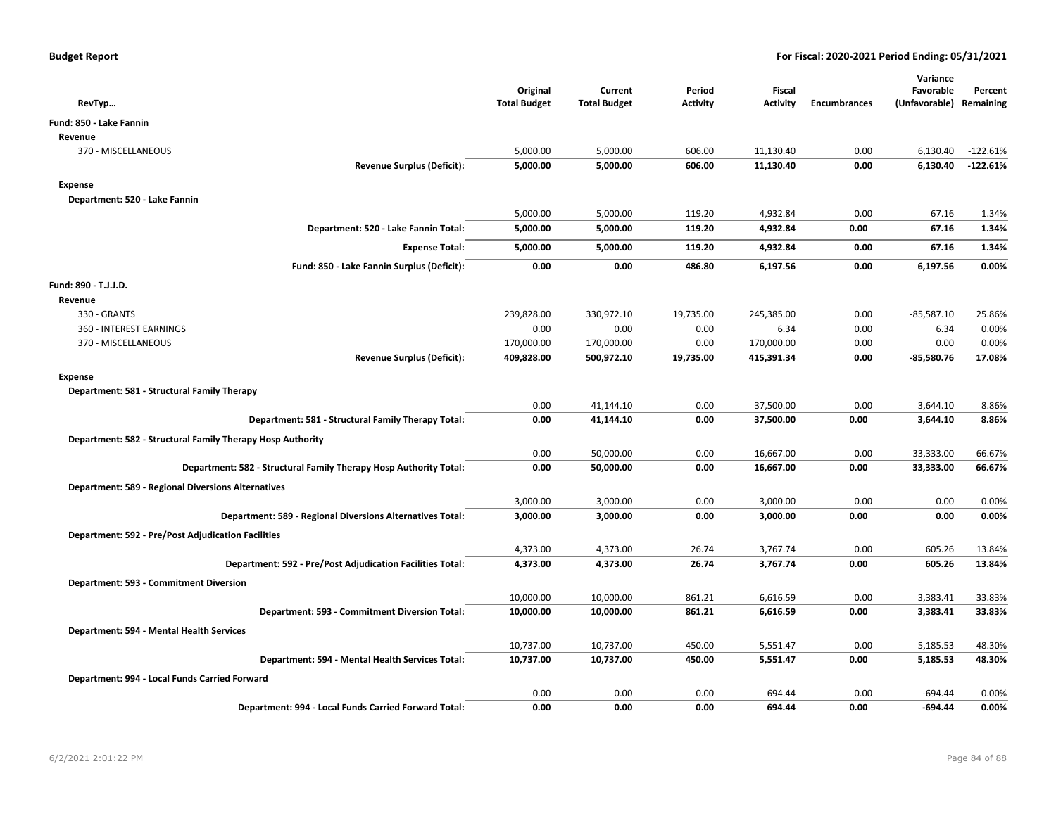| RevTyp                                                            | Original<br><b>Total Budget</b> | Current<br><b>Total Budget</b> | Period<br>Activity | Fiscal<br><b>Activity</b> | <b>Encumbrances</b> | Variance<br>Favorable<br>(Unfavorable) Remaining | Percent    |
|-------------------------------------------------------------------|---------------------------------|--------------------------------|--------------------|---------------------------|---------------------|--------------------------------------------------|------------|
| Fund: 850 - Lake Fannin                                           |                                 |                                |                    |                           |                     |                                                  |            |
| Revenue                                                           |                                 |                                |                    |                           |                     |                                                  |            |
| 370 - MISCELLANEOUS                                               | 5,000.00                        | 5,000.00                       | 606.00             | 11,130.40                 | 0.00                | 6,130.40                                         | $-122.61%$ |
| <b>Revenue Surplus (Deficit):</b>                                 | 5,000.00                        | 5,000.00                       | 606.00             | 11,130.40                 | 0.00                | 6,130.40                                         | $-122.61%$ |
| Expense                                                           |                                 |                                |                    |                           |                     |                                                  |            |
| Department: 520 - Lake Fannin                                     |                                 |                                |                    |                           |                     |                                                  |            |
|                                                                   | 5,000.00                        | 5,000.00                       | 119.20             | 4,932.84                  | 0.00                | 67.16                                            | 1.34%      |
| Department: 520 - Lake Fannin Total:                              | 5,000.00                        | 5,000.00                       | 119.20             | 4,932.84                  | 0.00                | 67.16                                            | 1.34%      |
| <b>Expense Total:</b>                                             | 5,000.00                        | 5,000.00                       | 119.20             | 4,932.84                  | 0.00                | 67.16                                            | 1.34%      |
| Fund: 850 - Lake Fannin Surplus (Deficit):                        | 0.00                            | 0.00                           | 486.80             | 6,197.56                  | 0.00                | 6,197.56                                         | 0.00%      |
| Fund: 890 - T.J.J.D.                                              |                                 |                                |                    |                           |                     |                                                  |            |
| Revenue                                                           |                                 |                                |                    |                           |                     |                                                  |            |
| 330 - GRANTS                                                      | 239,828.00                      | 330,972.10                     | 19,735.00          | 245,385.00                | 0.00                | $-85,587.10$                                     | 25.86%     |
| 360 - INTEREST EARNINGS                                           | 0.00                            | 0.00                           | 0.00               | 6.34                      | 0.00                | 6.34                                             | 0.00%      |
| 370 - MISCELLANEOUS                                               | 170,000.00                      | 170,000.00                     | 0.00               | 170,000.00                | 0.00                | 0.00                                             | 0.00%      |
| <b>Revenue Surplus (Deficit):</b>                                 | 409,828.00                      | 500,972.10                     | 19,735.00          | 415,391.34                | 0.00                | $-85,580.76$                                     | 17.08%     |
| <b>Expense</b>                                                    |                                 |                                |                    |                           |                     |                                                  |            |
| Department: 581 - Structural Family Therapy                       |                                 |                                |                    |                           |                     |                                                  |            |
|                                                                   | 0.00                            | 41,144.10                      | 0.00               | 37,500.00                 | 0.00                | 3,644.10                                         | 8.86%      |
| Department: 581 - Structural Family Therapy Total:                | 0.00                            | 41,144.10                      | 0.00               | 37,500.00                 | 0.00                | 3,644.10                                         | 8.86%      |
| Department: 582 - Structural Family Therapy Hosp Authority        |                                 |                                |                    |                           |                     |                                                  |            |
|                                                                   | 0.00                            | 50,000.00                      | 0.00               | 16,667.00                 | 0.00                | 33,333.00                                        | 66.67%     |
| Department: 582 - Structural Family Therapy Hosp Authority Total: | 0.00                            | 50,000.00                      | 0.00               | 16,667.00                 | 0.00                | 33,333.00                                        | 66.67%     |
| <b>Department: 589 - Regional Diversions Alternatives</b>         |                                 |                                |                    |                           |                     |                                                  |            |
|                                                                   | 3,000.00                        | 3,000.00                       | 0.00               | 3,000.00                  | 0.00                | 0.00                                             | 0.00%      |
| Department: 589 - Regional Diversions Alternatives Total:         | 3,000.00                        | 3,000.00                       | 0.00               | 3,000.00                  | 0.00                | 0.00                                             | 0.00%      |
| <b>Department: 592 - Pre/Post Adjudication Facilities</b>         |                                 |                                |                    |                           |                     |                                                  |            |
|                                                                   | 4,373.00                        | 4,373.00                       | 26.74              | 3,767.74                  | 0.00                | 605.26                                           | 13.84%     |
| Department: 592 - Pre/Post Adjudication Facilities Total:         | 4,373.00                        | 4,373.00                       | 26.74              | 3,767.74                  | 0.00                | 605.26                                           | 13.84%     |
| Department: 593 - Commitment Diversion                            |                                 |                                |                    |                           |                     |                                                  |            |
|                                                                   | 10,000.00                       | 10,000.00                      | 861.21             | 6,616.59                  | 0.00                | 3,383.41                                         | 33.83%     |
| Department: 593 - Commitment Diversion Total:                     | 10,000.00                       | 10,000.00                      | 861.21             | 6,616.59                  | 0.00                | 3,383.41                                         | 33.83%     |
| Department: 594 - Mental Health Services                          |                                 |                                |                    |                           |                     |                                                  |            |
|                                                                   | 10,737.00                       | 10,737.00                      | 450.00             | 5,551.47                  | 0.00                | 5,185.53                                         | 48.30%     |
| Department: 594 - Mental Health Services Total:                   | 10,737.00                       | 10,737.00                      | 450.00             | 5,551.47                  | 0.00                | 5,185.53                                         | 48.30%     |
| Department: 994 - Local Funds Carried Forward                     |                                 |                                |                    |                           |                     |                                                  |            |
|                                                                   | 0.00                            | 0.00                           | 0.00               | 694.44                    | 0.00                | $-694.44$                                        | 0.00%      |
| Department: 994 - Local Funds Carried Forward Total:              | 0.00                            | 0.00                           | 0.00               | 694.44                    | 0.00                | -694.44                                          | 0.00%      |
|                                                                   |                                 |                                |                    |                           |                     |                                                  |            |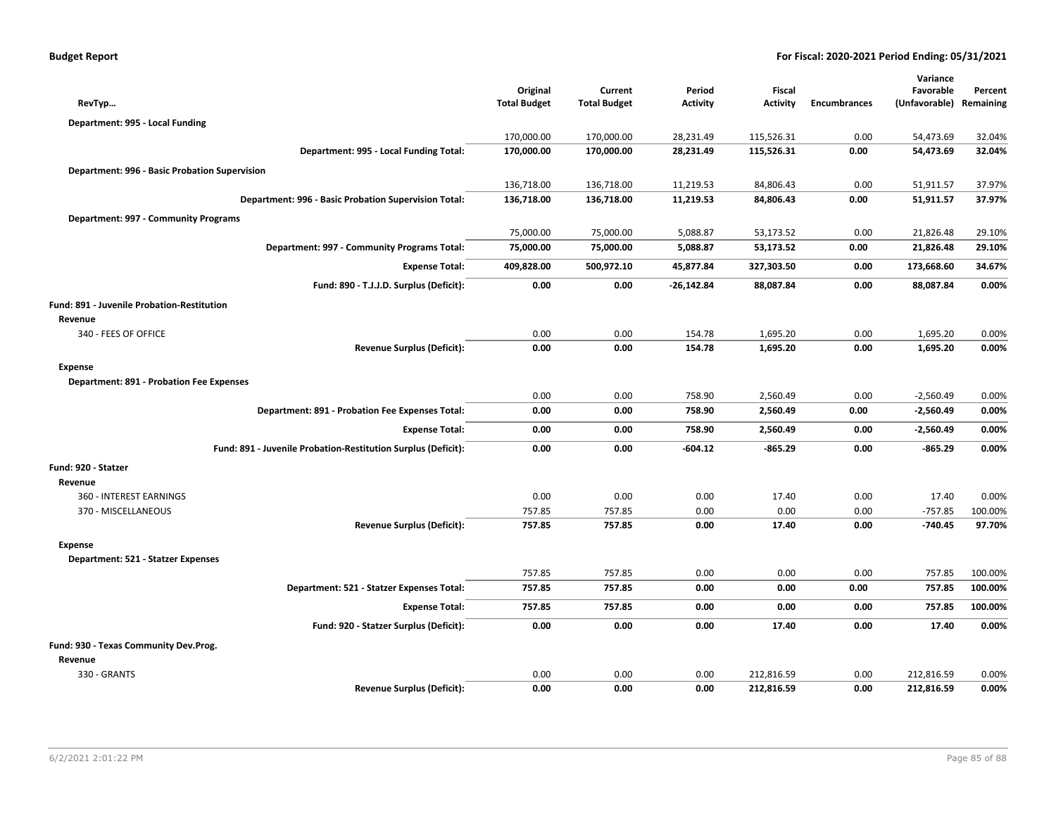| <b>Budget Report</b> |
|----------------------|
|----------------------|

|                                                               |                                 |                                |                           |                           |                     | Variance                   |                      |
|---------------------------------------------------------------|---------------------------------|--------------------------------|---------------------------|---------------------------|---------------------|----------------------------|----------------------|
| RevTyp                                                        | Original<br><b>Total Budget</b> | Current<br><b>Total Budget</b> | Period<br><b>Activity</b> | Fiscal<br><b>Activity</b> | <b>Encumbrances</b> | Favorable<br>(Unfavorable) | Percent<br>Remaining |
|                                                               |                                 |                                |                           |                           |                     |                            |                      |
| Department: 995 - Local Funding                               | 170,000.00                      | 170,000.00                     | 28,231.49                 | 115,526.31                | 0.00                | 54,473.69                  | 32.04%               |
| Department: 995 - Local Funding Total:                        | 170,000.00                      | 170,000.00                     | 28,231.49                 | 115,526.31                | 0.00                | 54,473.69                  | 32.04%               |
|                                                               |                                 |                                |                           |                           |                     |                            |                      |
| Department: 996 - Basic Probation Supervision                 | 136,718.00                      | 136,718.00                     | 11,219.53                 | 84,806.43                 | 0.00                | 51,911.57                  | 37.97%               |
| Department: 996 - Basic Probation Supervision Total:          | 136,718.00                      | 136,718.00                     | 11,219.53                 | 84,806.43                 | 0.00                | 51,911.57                  | 37.97%               |
|                                                               |                                 |                                |                           |                           |                     |                            |                      |
| Department: 997 - Community Programs                          | 75,000.00                       | 75,000.00                      | 5,088.87                  | 53,173.52                 | 0.00                | 21,826.48                  | 29.10%               |
| Department: 997 - Community Programs Total:                   | 75,000.00                       | 75,000.00                      | 5,088.87                  | 53,173.52                 | 0.00                | 21,826.48                  | 29.10%               |
|                                                               |                                 |                                |                           |                           |                     |                            |                      |
| <b>Expense Total:</b>                                         | 409,828.00                      | 500,972.10                     | 45,877.84                 | 327,303.50                | 0.00                | 173,668.60                 | 34.67%               |
| Fund: 890 - T.J.J.D. Surplus (Deficit):                       | 0.00                            | 0.00                           | $-26,142.84$              | 88,087.84                 | 0.00                | 88,087.84                  | 0.00%                |
| Fund: 891 - Juvenile Probation-Restitution                    |                                 |                                |                           |                           |                     |                            |                      |
| Revenue                                                       |                                 |                                |                           |                           |                     |                            |                      |
| 340 - FEES OF OFFICE                                          | 0.00                            | 0.00                           | 154.78                    | 1,695.20                  | 0.00                | 1,695.20                   | 0.00%                |
| <b>Revenue Surplus (Deficit):</b>                             | 0.00                            | 0.00                           | 154.78                    | 1,695.20                  | 0.00                | 1,695.20                   | 0.00%                |
| Expense                                                       |                                 |                                |                           |                           |                     |                            |                      |
| <b>Department: 891 - Probation Fee Expenses</b>               |                                 |                                |                           |                           |                     |                            |                      |
|                                                               | 0.00                            | 0.00                           | 758.90                    | 2,560.49                  | 0.00                | $-2,560.49$                | 0.00%                |
| Department: 891 - Probation Fee Expenses Total:               | 0.00                            | 0.00                           | 758.90                    | 2,560.49                  | 0.00                | $-2,560.49$                | 0.00%                |
| <b>Expense Total:</b>                                         | 0.00                            | 0.00                           | 758.90                    | 2,560.49                  | 0.00                | $-2,560.49$                | 0.00%                |
| Fund: 891 - Juvenile Probation-Restitution Surplus (Deficit): | 0.00                            | 0.00                           | $-604.12$                 | $-865.29$                 | 0.00                | $-865.29$                  | 0.00%                |
| Fund: 920 - Statzer                                           |                                 |                                |                           |                           |                     |                            |                      |
| Revenue                                                       |                                 |                                |                           |                           |                     |                            |                      |
| 360 - INTEREST EARNINGS                                       | 0.00                            | 0.00                           | 0.00                      | 17.40                     | 0.00                | 17.40                      | 0.00%                |
| 370 - MISCELLANEOUS                                           | 757.85                          | 757.85                         | 0.00                      | 0.00                      | 0.00                | $-757.85$                  | 100.00%              |
| <b>Revenue Surplus (Deficit):</b>                             | 757.85                          | 757.85                         | 0.00                      | 17.40                     | 0.00                | $-740.45$                  | 97.70%               |
| <b>Expense</b>                                                |                                 |                                |                           |                           |                     |                            |                      |
| Department: 521 - Statzer Expenses                            |                                 |                                |                           |                           |                     |                            |                      |
|                                                               | 757.85                          | 757.85                         | 0.00                      | 0.00                      | 0.00                | 757.85                     | 100.00%              |
| Department: 521 - Statzer Expenses Total:                     | 757.85                          | 757.85                         | 0.00                      | 0.00                      | 0.00                | 757.85                     | 100.00%              |
| <b>Expense Total:</b>                                         | 757.85                          | 757.85                         | 0.00                      | 0.00                      | 0.00                | 757.85                     | 100.00%              |
| Fund: 920 - Statzer Surplus (Deficit):                        | 0.00                            | 0.00                           | 0.00                      | 17.40                     | 0.00                | 17.40                      | 0.00%                |
| Fund: 930 - Texas Community Dev.Prog.                         |                                 |                                |                           |                           |                     |                            |                      |
| Revenue                                                       |                                 |                                |                           |                           |                     |                            |                      |
| 330 - GRANTS                                                  | 0.00                            | 0.00                           | 0.00                      | 212.816.59                | 0.00                | 212,816.59                 | 0.00%                |
| <b>Revenue Surplus (Deficit):</b>                             | 0.00                            | 0.00                           | 0.00                      | 212,816.59                | 0.00                | 212,816.59                 | 0.00%                |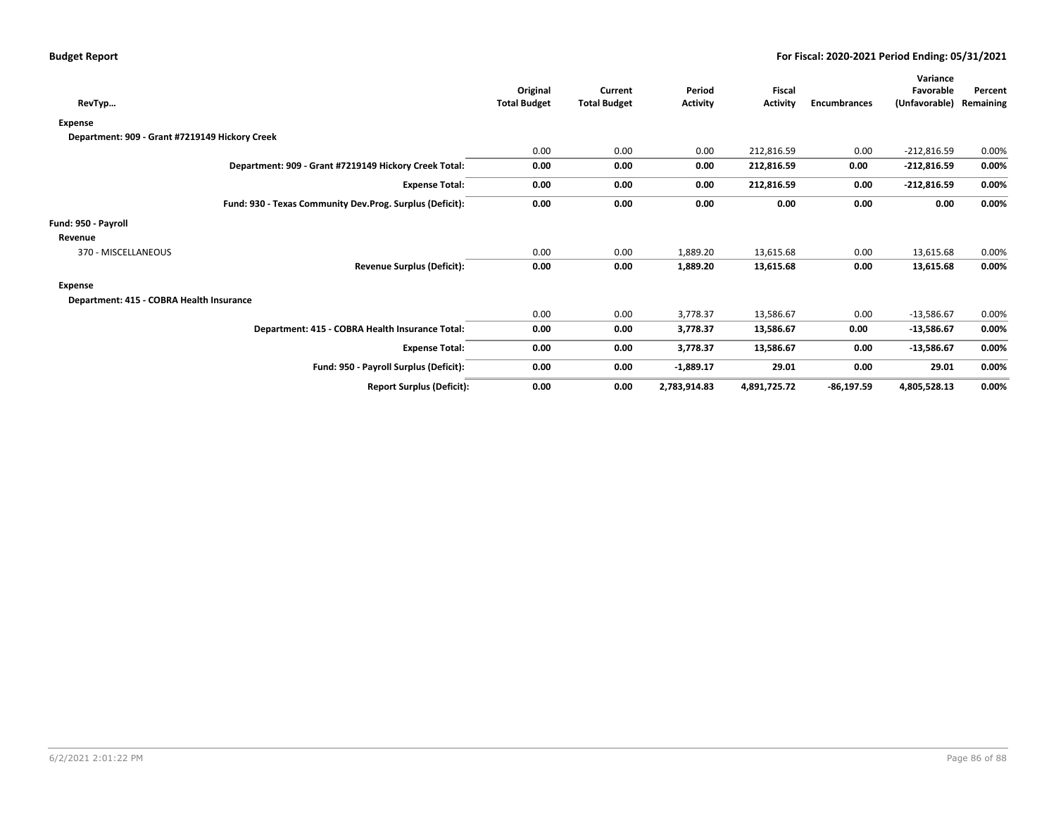| RevTyp                                                   |                                        | Original<br><b>Total Budget</b> | Current<br><b>Total Budget</b> | Period<br><b>Activity</b> | Fiscal<br><b>Activity</b> | <b>Encumbrances</b> | Variance<br>Favorable<br>(Unfavorable) | Percent<br>Remaining |
|----------------------------------------------------------|----------------------------------------|---------------------------------|--------------------------------|---------------------------|---------------------------|---------------------|----------------------------------------|----------------------|
| Expense                                                  |                                        |                                 |                                |                           |                           |                     |                                        |                      |
| Department: 909 - Grant #7219149 Hickory Creek           |                                        |                                 |                                |                           |                           |                     |                                        |                      |
|                                                          |                                        | 0.00                            | 0.00                           | 0.00                      | 212,816.59                | 0.00                | $-212,816.59$                          | 0.00%                |
| Department: 909 - Grant #7219149 Hickory Creek Total:    |                                        | 0.00                            | 0.00                           | 0.00                      | 212,816.59                | 0.00                | $-212,816.59$                          | 0.00%                |
|                                                          | <b>Expense Total:</b>                  | 0.00                            | 0.00                           | 0.00                      | 212,816.59                | 0.00                | $-212,816.59$                          | 0.00%                |
| Fund: 930 - Texas Community Dev.Prog. Surplus (Deficit): |                                        | 0.00                            | 0.00                           | 0.00                      | 0.00                      | 0.00                | 0.00                                   | $0.00\%$             |
| Fund: 950 - Payroll                                      |                                        |                                 |                                |                           |                           |                     |                                        |                      |
| Revenue                                                  |                                        |                                 |                                |                           |                           |                     |                                        |                      |
| 370 - MISCELLANEOUS                                      |                                        | 0.00                            | 0.00                           | 1,889.20                  | 13,615.68                 | 0.00                | 13,615.68                              | 0.00%                |
|                                                          | <b>Revenue Surplus (Deficit):</b>      | 0.00                            | 0.00                           | 1,889.20                  | 13,615.68                 | 0.00                | 13,615.68                              | $0.00\%$             |
| Expense                                                  |                                        |                                 |                                |                           |                           |                     |                                        |                      |
| Department: 415 - COBRA Health Insurance                 |                                        |                                 |                                |                           |                           |                     |                                        |                      |
|                                                          |                                        | 0.00                            | 0.00                           | 3,778.37                  | 13,586.67                 | 0.00                | $-13,586.67$                           | 0.00%                |
| Department: 415 - COBRA Health Insurance Total:          |                                        | 0.00                            | 0.00                           | 3,778.37                  | 13,586.67                 | 0.00                | $-13,586.67$                           | $0.00\%$             |
|                                                          | <b>Expense Total:</b>                  | 0.00                            | 0.00                           | 3,778.37                  | 13,586.67                 | 0.00                | $-13,586.67$                           | 0.00%                |
|                                                          | Fund: 950 - Payroll Surplus (Deficit): | 0.00                            | 0.00                           | $-1,889.17$               | 29.01                     | 0.00                | 29.01                                  | $0.00\%$             |
|                                                          | <b>Report Surplus (Deficit):</b>       | 0.00                            | 0.00                           | 2,783,914.83              | 4,891,725.72              | $-86,197.59$        | 4,805,528.13                           | 0.00%                |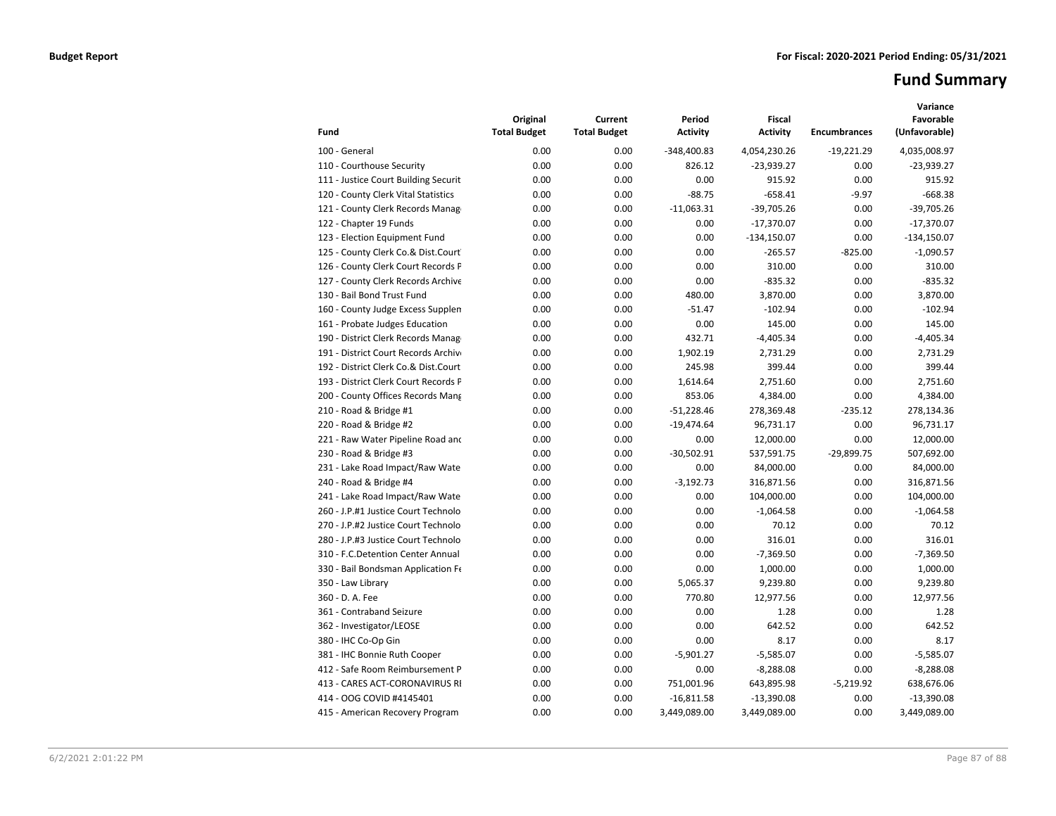# **Fund Summary**

| Fund                                 | Original<br><b>Total Budget</b> | Current<br><b>Total Budget</b> | Period<br><b>Activity</b> | <b>Fiscal</b><br><b>Activity</b> | <b>Encumbrances</b> | Variance<br>Favorable<br>(Unfavorable) |
|--------------------------------------|---------------------------------|--------------------------------|---------------------------|----------------------------------|---------------------|----------------------------------------|
| 100 - General                        | 0.00                            | 0.00                           | $-348,400.83$             | 4,054,230.26                     | $-19,221.29$        | 4,035,008.97                           |
| 110 - Courthouse Security            | 0.00                            | 0.00                           | 826.12                    | $-23,939.27$                     | 0.00                | $-23,939.27$                           |
| 111 - Justice Court Building Securit | 0.00                            | 0.00                           | 0.00                      | 915.92                           | 0.00                | 915.92                                 |
| 120 - County Clerk Vital Statistics  | 0.00                            | 0.00                           | $-88.75$                  | $-658.41$                        | $-9.97$             | $-668.38$                              |
| 121 - County Clerk Records Manag     | 0.00                            | 0.00                           | $-11,063.31$              | $-39,705.26$                     | 0.00                | $-39,705.26$                           |
| 122 - Chapter 19 Funds               | 0.00                            | 0.00                           | 0.00                      | $-17,370.07$                     | 0.00                | $-17,370.07$                           |
| 123 - Election Equipment Fund        | 0.00                            | 0.00                           | 0.00                      | $-134,150.07$                    | 0.00                | $-134,150.07$                          |
| 125 - County Clerk Co.& Dist.Court   | 0.00                            | 0.00                           | 0.00                      | $-265.57$                        | $-825.00$           | $-1,090.57$                            |
| 126 - County Clerk Court Records P   | 0.00                            | 0.00                           | 0.00                      | 310.00                           | 0.00                | 310.00                                 |
| 127 - County Clerk Records Archive   | 0.00                            | 0.00                           | 0.00                      | $-835.32$                        | 0.00                | $-835.32$                              |
| 130 - Bail Bond Trust Fund           | 0.00                            | 0.00                           | 480.00                    | 3,870.00                         | 0.00                | 3,870.00                               |
| 160 - County Judge Excess Supplen    | 0.00                            | 0.00                           | $-51.47$                  | $-102.94$                        | 0.00                | $-102.94$                              |
| 161 - Probate Judges Education       | 0.00                            | 0.00                           | 0.00                      | 145.00                           | 0.00                | 145.00                                 |
| 190 - District Clerk Records Manag   | 0.00                            | 0.00                           | 432.71                    | $-4,405.34$                      | 0.00                | $-4,405.34$                            |
| 191 - District Court Records Archive | 0.00                            | 0.00                           | 1,902.19                  | 2,731.29                         | 0.00                | 2,731.29                               |
| 192 - District Clerk Co.& Dist.Court | 0.00                            | 0.00                           | 245.98                    | 399.44                           | 0.00                | 399.44                                 |
| 193 - District Clerk Court Records P | 0.00                            | 0.00                           | 1,614.64                  | 2,751.60                         | 0.00                | 2,751.60                               |
| 200 - County Offices Records Mang    | 0.00                            | 0.00                           | 853.06                    | 4,384.00                         | 0.00                | 4,384.00                               |
| 210 - Road & Bridge #1               | 0.00                            | 0.00                           | $-51,228.46$              | 278,369.48                       | $-235.12$           | 278,134.36                             |
| 220 - Road & Bridge #2               | 0.00                            | 0.00                           | $-19,474.64$              | 96,731.17                        | 0.00                | 96,731.17                              |
| 221 - Raw Water Pipeline Road and    | 0.00                            | 0.00                           | 0.00                      | 12,000.00                        | 0.00                | 12,000.00                              |
| 230 - Road & Bridge #3               | 0.00                            | 0.00                           | $-30,502.91$              | 537,591.75                       | $-29,899.75$        | 507,692.00                             |
| 231 - Lake Road Impact/Raw Wate      | 0.00                            | 0.00                           | 0.00                      | 84,000.00                        | 0.00                | 84,000.00                              |
| 240 - Road & Bridge #4               | 0.00                            | 0.00                           | $-3,192.73$               | 316,871.56                       | 0.00                | 316,871.56                             |
| 241 - Lake Road Impact/Raw Wate      | 0.00                            | 0.00                           | 0.00                      | 104,000.00                       | 0.00                | 104,000.00                             |
| 260 - J.P.#1 Justice Court Technolo  | 0.00                            | 0.00                           | 0.00                      | $-1,064.58$                      | 0.00                | $-1,064.58$                            |
| 270 - J.P.#2 Justice Court Technolo  | 0.00                            | 0.00                           | 0.00                      | 70.12                            | 0.00                | 70.12                                  |
| 280 - J.P.#3 Justice Court Technolo  | 0.00                            | 0.00                           | 0.00                      | 316.01                           | 0.00                | 316.01                                 |
| 310 - F.C.Detention Center Annual    | 0.00                            | 0.00                           | 0.00                      | $-7,369.50$                      | 0.00                | $-7,369.50$                            |
| 330 - Bail Bondsman Application Fe   | 0.00                            | 0.00                           | 0.00                      | 1,000.00                         | 0.00                | 1,000.00                               |
| 350 - Law Library                    | 0.00                            | 0.00                           | 5,065.37                  | 9,239.80                         | 0.00                | 9,239.80                               |
| 360 - D. A. Fee                      | 0.00                            | 0.00                           | 770.80                    | 12,977.56                        | 0.00                | 12,977.56                              |
| 361 - Contraband Seizure             | 0.00                            | 0.00                           | 0.00                      | 1.28                             | 0.00                | 1.28                                   |
| 362 - Investigator/LEOSE             | 0.00                            | 0.00                           | 0.00                      | 642.52                           | 0.00                | 642.52                                 |
| 380 - IHC Co-Op Gin                  | 0.00                            | 0.00                           | 0.00                      | 8.17                             | 0.00                | 8.17                                   |
| 381 - IHC Bonnie Ruth Cooper         | 0.00                            | 0.00                           | $-5,901.27$               | $-5,585.07$                      | 0.00                | $-5,585.07$                            |
| 412 - Safe Room Reimbursement P      | 0.00                            | 0.00                           | 0.00                      | $-8,288.08$                      | 0.00                | $-8,288.08$                            |
| 413 - CARES ACT-CORONAVIRUS RI       | 0.00                            | 0.00                           | 751,001.96                | 643,895.98                       | $-5,219.92$         | 638,676.06                             |
| 414 - OOG COVID #4145401             | 0.00                            | 0.00                           | $-16,811.58$              | $-13,390.08$                     | 0.00                | $-13,390.08$                           |
| 415 - American Recovery Program      | 0.00                            | 0.00                           | 3,449,089.00              | 3,449,089.00                     | 0.00                | 3,449,089.00                           |